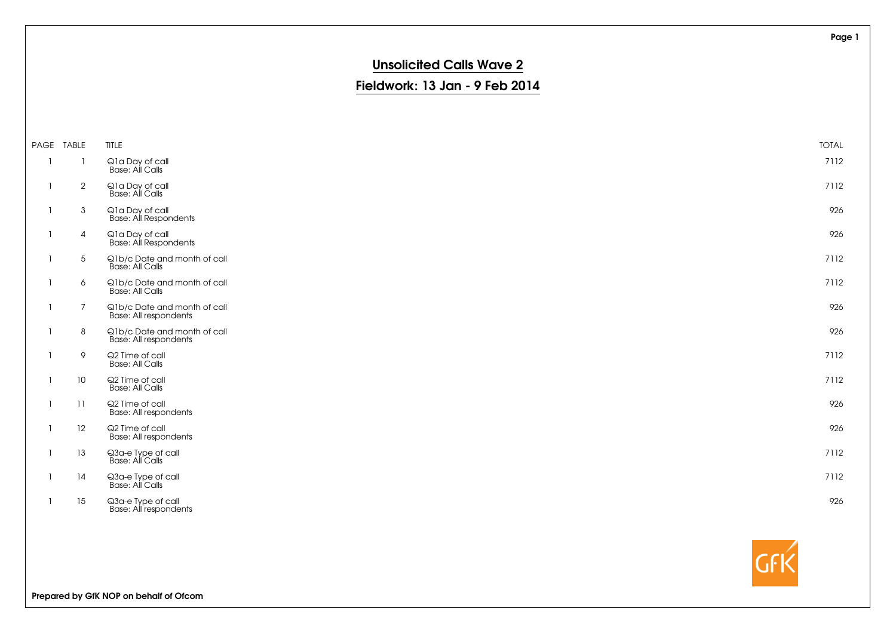|    | PAGE TABLE     | <b>TITLE</b>                                           | <b>TOTAL</b> |
|----|----------------|--------------------------------------------------------|--------------|
|    | -1             | Q1a Day of call<br>Base: All Calls                     | 7112         |
| -1 | $\overline{2}$ | Q1a Day of call<br>Base: All Calls                     | 7112         |
|    | 3              | Q1a Day of call<br>Base: All Respondents               | 926          |
|    | 4              | Q1a Day of call<br><b>Base: All Respondents</b>        | 926          |
|    | 5              | Q1b/c Date and month of call<br><b>Base: All Calls</b> | 7112         |
|    | 6              | Q1b/c Date and month of call<br>Base: All Calls        | 7112         |
|    | 7              | Q1b/c Date and month of call<br>Base: All respondents  | 926          |
|    | 8              | Q1b/c Date and month of call<br>Base: All respondents  | 926          |
|    | 9              | Q2 Time of call<br><b>Base: All Calls</b>              | 7112         |
|    | 10             | Q2 Time of call<br><b>Base: All Calls</b>              | 7112         |
|    | 11             | Q2 Time of call<br><b>Base: All respondents</b>        | 926          |
|    | 12             | Q2 Time of call<br>Base: All respondents               | 926          |
|    | 13             | Q3a-e Type of call<br>Base: All Calls                  | 7112         |
|    | 14             | Q3a-e Type of call<br>Base: All Calls                  | 7112         |
|    | 15             | Q3a-e Type of call<br><b>Base: All respondents</b>     | 926          |
|    |                |                                                        |              |

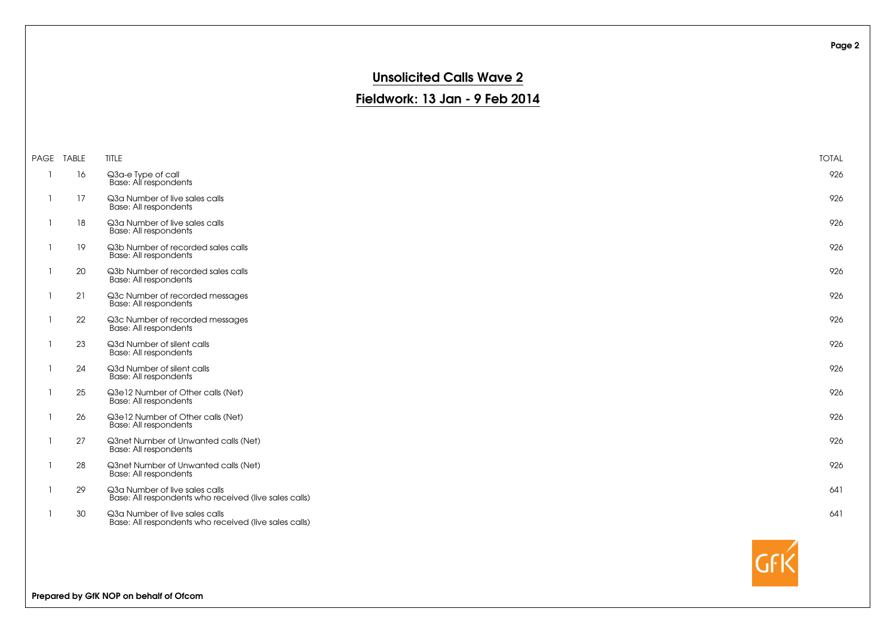| PAGE TABLE | <b>TITLE</b>                                                                            | <b>TOTAL</b> |
|------------|-----------------------------------------------------------------------------------------|--------------|
| 16         | Q3a-e Type of call<br>Base: All respondents                                             | 926          |
| 17         | Q3a Number of live sales calls<br><b>Base: All respondents</b>                          | 926          |
| 18         | Q3a Number of live sales calls<br><b>Base: All respondents</b>                          | 926          |
| 19         | Q3b Number of recorded sales calls<br><b>Base: All respondents</b>                      | 926          |
| 20         | Q3b Number of recorded sales calls<br><b>Base: All respondents</b>                      | 926          |
| 21         | Q3c Number of recorded messages<br><b>Base: All respondents</b>                         | 926          |
| 22         | Q3c Number of recorded messages<br><b>Base: All respondents</b>                         | 926          |
| 23         | Q3d Number of silent calls<br><b>Base: All respondents</b>                              | 926          |
| 24         | Q3d Number of silent calls<br><b>Base: All respondents</b>                              | 926          |
| 25         | Q3e12 Number of Other calls (Net)<br><b>Base: All respondents</b>                       | 926          |
| 26         | Q3e12 Number of Other calls (Net)<br><b>Base: All respondents</b>                       | 926          |
| 27         | Q3net Number of Unwanted calls (Net)<br><b>Base: All respondents</b>                    | 926          |
| 28         | Q3net Number of Unwanted calls (Net)<br><b>Base: All respondents</b>                    | 926          |
| 29         | Q3a Number of live sales calls<br>Base: All respondents who received (live sales calls) | 641          |
| 30         | Q3a Number of live sales calls<br>Base: All respondents who received (live sales calls) | 641          |
|            |                                                                                         | - 13         |

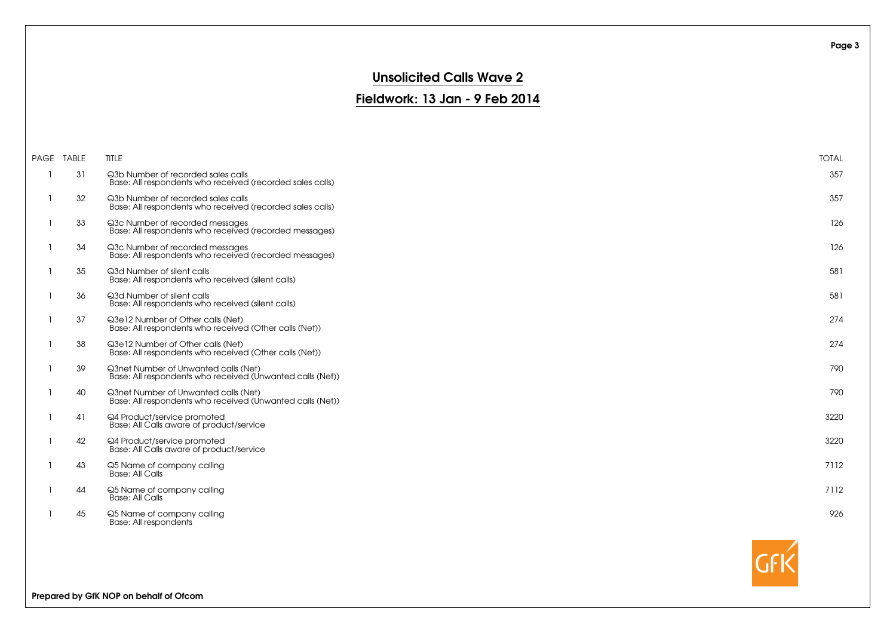| PAGE TABLE | <b>TITLE</b>                                                                                      | <b>TOTAL</b> |
|------------|---------------------------------------------------------------------------------------------------|--------------|
| 31         | Q3b Number of recorded sales calls<br>Base: All respondents who received (recorded sales calls)   | 357          |
| 32         | Q3b Number of recorded sales calls<br>Base: All respondents who received (recorded sales calls)   | 357          |
| 33         | Q3c Number of recorded messages<br>Base: All respondents who received (recorded messages)         | 126          |
| 34         | Q3c Number of recorded messages<br>Base: All respondents who received (recorded messages)         | 126          |
| 35         | Q3d Number of silent calls<br>Base: All respondents who received (silent calls)                   | 581          |
| 36         | Q3d Number of silent calls<br>Base: All respondents who received (silent calls)                   | 581          |
| 37         | Q3e12 Number of Other calls (Net)<br>Base: All respondents who received (Other calls (Net))       | 274          |
| 38         | Q3e12 Number of Other calls (Net)<br>Base: All respondents who received (Other calls (Net))       | 274          |
| 39         | Q3net Number of Unwanted calls (Net)<br>Base: All respondents who received (Unwanted calls (Net)) | 790          |
| 40         | Q3net Number of Unwanted calls (Net)<br>Base: All respondents who received (Unwanted calls (Net)) | 790          |
| 41         | Q4 Product/service promoted<br>Base: All Calls aware of product/service                           | 3220         |
| 42         | Q4 Product/service promoted<br>Base: All Calls aware of product/service                           | 3220         |
| 43         | Q5 Name of company calling<br><b>Base: All Calls</b>                                              | 7112         |
| 44         | Q5 Name of company calling<br><b>Base: All Calls</b>                                              | 7112         |
| 45         | Q5 Name of company calling<br>Base: All respondents                                               | 926          |
|            |                                                                                                   |              |

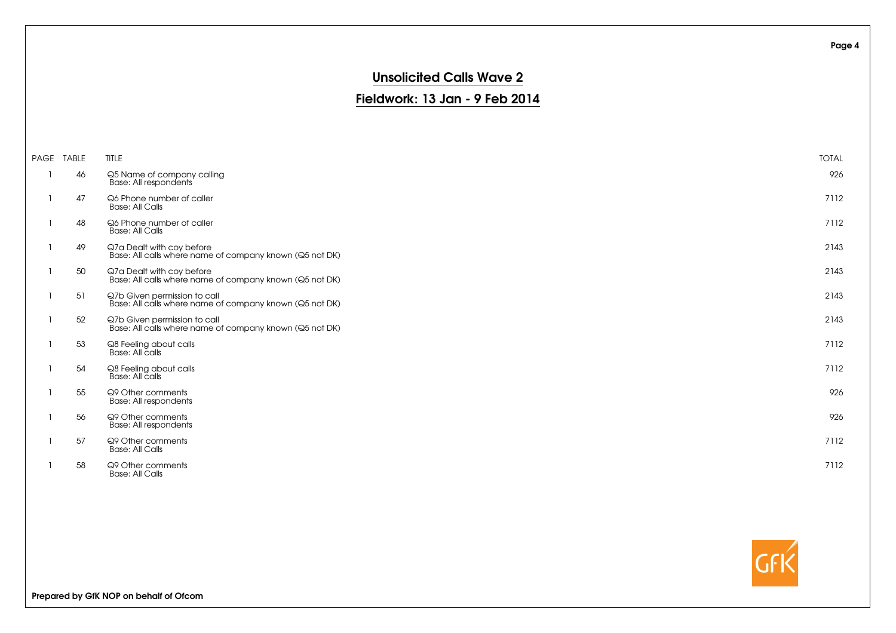| PAGE TABLE | <b>TITLE</b>                                                                            | <b>TOTAL</b> |
|------------|-----------------------------------------------------------------------------------------|--------------|
| 46         | Q5 Name of company calling<br>Base: All respondents                                     | 926          |
| 47         | Q6 Phone number of caller<br><b>Base: All Calls</b>                                     | 7112         |
| 48         | Q6 Phone number of caller<br><b>Base: All Calls</b>                                     | 7112         |
| 49         | Q7a Dealt with coy before<br>Base: All calls where name of company known (Q5 not DK)    | 2143         |
| 50         | Q7a Dealt with coy before<br>Base: All calls where name of company known (Q5 not DK)    | 2143         |
| 51         | Q7b Given permission to call<br>Base: All calls where name of company known (Q5 not DK) | 2143         |
| 52         | Q7b Given permission to call<br>Base: All calls where name of company known (Q5 not DK) | 2143         |
| 53         | Q8 Feeling about calls<br>Base: All calls                                               | 7112         |
| 54         | Q8 Feeling about calls<br>Base: All calls                                               | 7112         |
| 55         | Q9 Other comments<br><b>Base: All respondents</b>                                       | 926          |
| 56         | Q9 Other comments<br><b>Base: All respondents</b>                                       | 926          |
| 57         | Q9 Other comments<br><b>Base: All Calls</b>                                             | 7112         |
| 58         | Q9 Other comments<br><b>Base: All Calls</b>                                             | 7112         |
|            |                                                                                         |              |

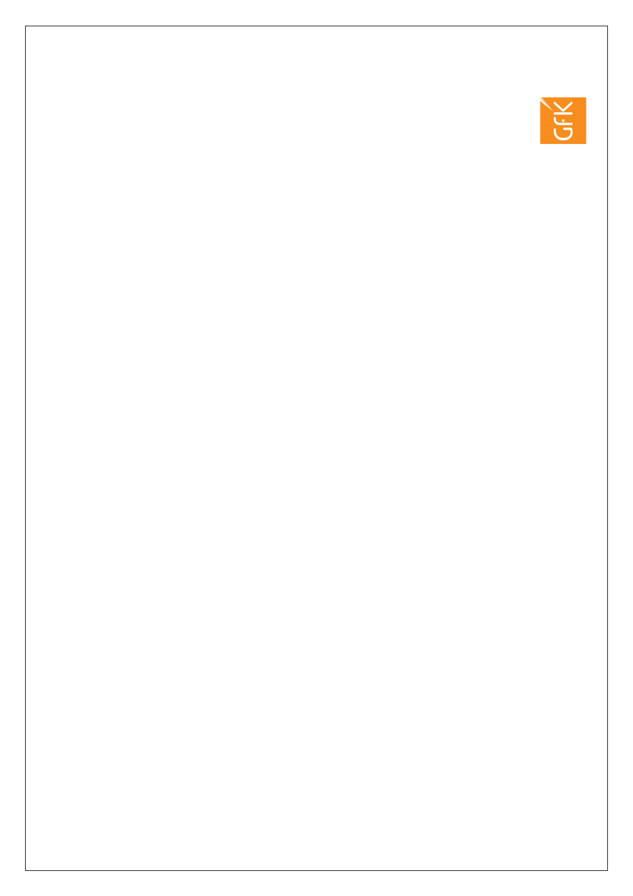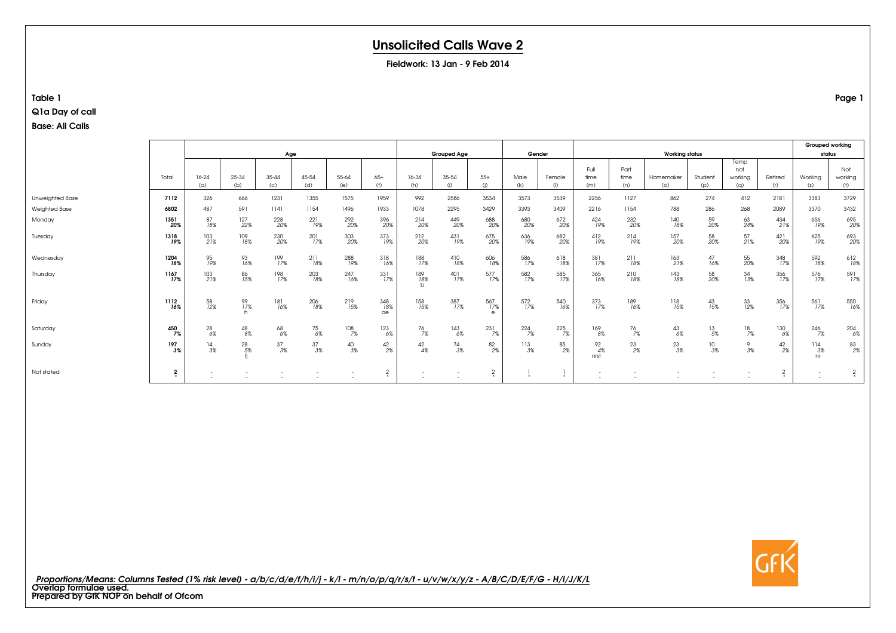Fieldwork: 13 Jan - 9 Feb 2014

### Table 1

### Q1a Day of call

### Base: All Calls

|                        |                     |                    |                 | Age                        |                 |                          |                      |                                                 | <b>Grouped Age</b>         |                                   | Gender             |                    | <b>Working status</b>    |                     |                                            |                   |                               |                    | Grouped working<br>status                  |                                            |  |
|------------------------|---------------------|--------------------|-----------------|----------------------------|-----------------|--------------------------|----------------------|-------------------------------------------------|----------------------------|-----------------------------------|--------------------|--------------------|--------------------------|---------------------|--------------------------------------------|-------------------|-------------------------------|--------------------|--------------------------------------------|--------------------------------------------|--|
|                        | Total               | 16-24<br>(a)       | 25-34<br>(b)    | 35-44<br>(c)               | 45-54<br>(d)    | 55-64<br>(e)             | $65+$<br>(f)         | 16-34<br>(h)                                    | 35-54<br>(i)               | $55+$<br>(i)                      | Male<br>(k)        | Female<br>(1)      | Full<br>time<br>(m)      | Part<br>time<br>(n) | Homemaker<br>(0)                           | Student<br>(p)    | Temp<br>not<br>working<br>(q) | Retired<br>(r)     | Working<br>(s)                             | Not<br>working<br>(t)                      |  |
| <b>Unweighted Base</b> | 7112                | 326                | 666             | 1231                       | 1355            | 1575                     | 1959                 | 992                                             | 2586                       | 3534                              | 3573               | 3539               | 2256                     | 1127                | 862                                        | 274               | 412                           | 2181               | 3383                                       | 3729                                       |  |
| Weighted Base          | 6802                | 487                | 591             | 1141                       | 1154            | 1496                     | 1933                 | 1078                                            | 2295                       | 3429                              | 3393               | 3409               | 2216                     | 1154                | 788                                        | 286               | 268                           | 2089               | 3370                                       | 3432                                       |  |
| Monday                 | 1351<br>20%         | 87<br>18%          | $^{127}_{22\%}$ | $^{228}_{20\%}$            | $^{221}_{19\%}$ | $^{292}_{20\%}$          | 396<br>20%           | $^{214}_{20\%}$                                 | 449<br>20%                 | 688<br>20%                        | 680<br>20%         | 672<br>20%         | 424<br>79%               | $^{232}_{20\%}$     | $\begin{array}{c} 140 \\ 18\% \end{array}$ | 59<br>20%         | $^{63}_{24\%}$                | $^{434}_{21\%}$    | 656<br>19%                                 | 695<br>20%                                 |  |
| Tuesday                | 1318<br>19%         | 103<br>21%         | 109<br>18%      | $^{230}_{\phantom{1}20\%}$ | 201<br>17%      | $\substack{303 \\ 20\%}$ | $\frac{373}{19\%}$   | 212<br>20%                                      | 431<br><i>19</i> %         | 675<br>20%                        | 636<br>19%         | 682<br>20%         | 412<br>19%               | 214<br>19%          | 157<br>20%                                 | 58<br>20%         | $\frac{57}{21\%}$             | 421<br>20%         | 625<br>19%                                 | 693<br>20%                                 |  |
| Wednesdav              | 1204<br>18%         | 95<br>19%          | 93<br>16%       | 199<br>17%                 | $^{211}_{18\%}$ | $^{288}_{19\%}$          | $\frac{318}{16\%}$   | $\frac{188}{17\%}$                              | $^{410}_{\phantom{1}18\%}$ | 606<br><i>18%</i>                 | 586<br>17%         | $^{618}_{18\%}$    | $\frac{381}{17\%}$       | 211<br>18%          | $\frac{163}{21\%}$                         | 47<br>16%         | 55<br>20%                     | $\frac{348}{17\%}$ | $\frac{592}{18\%}$                         | $^{612}_{18\%}$                            |  |
| Thursday               | $\frac{1167}{17\%}$ | $\frac{103}{21\%}$ | 86<br>15%       | 198<br>17%                 | $^{203}_{18\%}$ | $\frac{247}{16\%}$       | 331<br>17%           | $\begin{array}{c} 189 \\ 18\% \end{array}$<br>b | $^{401}_{17\%}$            | $\frac{577}{17\%}$                | $\frac{582}{17\%}$ | $\frac{585}{17\%}$ | $\frac{365}{16\%}$       | $^{210}_{18\%}$     | $\begin{array}{c} 143 \\ 18\% \end{array}$ | $\frac{58}{20\%}$ | $\frac{34}{13\%}$             | $\frac{356}{17\%}$ | $\begin{array}{c} 576 \\ 17\% \end{array}$ | $\begin{array}{c} 591 \\ 17\% \end{array}$ |  |
| Friday                 | 1112<br>16%         | 58<br>12%          | 99<br>17%       | 181<br>16%                 | 206<br>18%      | $^{219}_{15\%}$          | 348<br>18%<br>ae     | $\begin{array}{c} 158 \\ 15\% \end{array}$      | $\frac{387}{17\%}$         | $\frac{567}{17\%}$<br>$\mathbf e$ | 572<br>17%         | 540<br>16%         | 373<br>17%               | 189<br>16%          | 118<br>15%                                 | $^{43}_{15\%}$    | $\frac{33}{12\%}$             | $\frac{356}{17\%}$ | 561<br>77%                                 | $\frac{550}{16\%}$                         |  |
| Saturday               | 450<br>7%           | 28<br>6%           | 48<br>8%        | 68<br>6%                   | 75<br>6%        | 108<br>7%                | 123<br>6%            | 76<br>7%                                        | 143<br>6%                  | 231<br>7%                         | 224<br>7%          | 225<br>7%          | 169<br>8%                | $\frac{76}{7%}$     | 43<br>6%                                   | 13<br>5%          | $\frac{18}{7%}$               | 130<br>6%          | 246<br>7%                                  | 204<br>6%                                  |  |
| Sunday                 | 197<br>3%           | 14<br>3%           | $^{28}_{\ 5\%}$ | 37<br>3%                   | 37<br>3%        | $^{40}_{3\%}$            | 42<br>2%             | 42<br>4%                                        | 74<br>3%                   | $\frac{82}{2\%}$                  | 113<br>3%          | $\frac{85}{2\%}$   | $\frac{92}{4\%}$<br>nrst | $^{23}_{2\%}$       | $^{23}_{\bf 3\%}$                          | $\frac{10}{3\%}$  | 9<br>3%                       | 42<br>2%           | 114<br>3%<br>nr                            | $\frac{83}{2\%}$                           |  |
| Not stated             | $\overline{2}$      |                    |                 |                            |                 | $\sim$                   | $\frac{2}{\epsilon}$ |                                                 |                            | $\frac{2}{x}$                     |                    |                    |                          |                     |                                            |                   |                               | $\frac{2}{x}$      |                                            | $\frac{2}{1}$                              |  |



Proportions/Means: Columns Tested (1% risk level) - a/b/c/d/e/f/h/i/j - k/l - m/n/o/p/q/r/s/t - u/v/w/x/y/z - A/B/C/D/E/F/G - H/I/J/K/L<br>Overlap formulae used.<br>Prepared by GfK NOP on behalf of Ofcom

en de la provincia de la provincia de la provincia de la provincia de la provincia de la provincia de la provi<br>1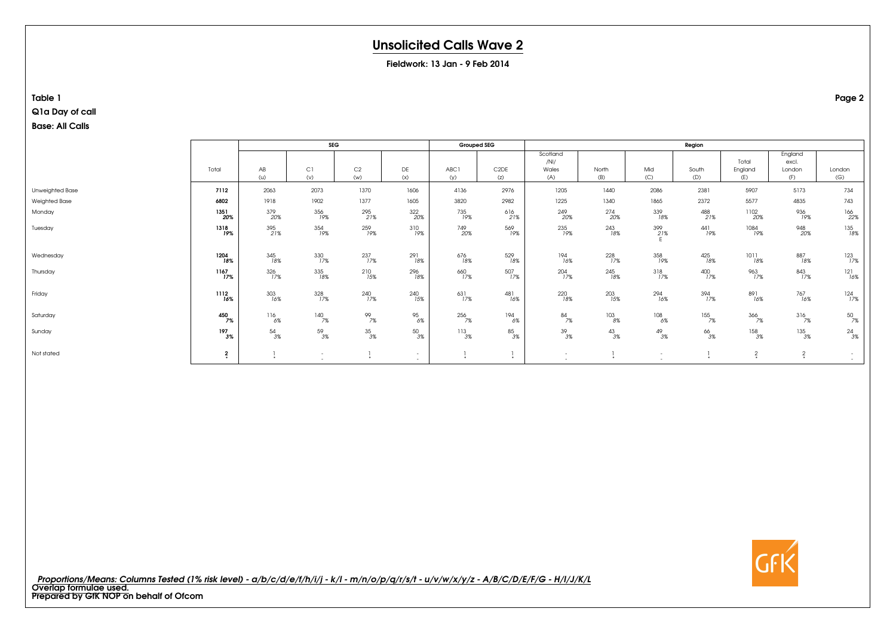Fieldwork: 13 Jan - 9 Feb 2014

### Table 1

### Q1a Day of call

### Base: All Calls

|                      |                     |                          | SEG                                       |                            |                           | Grouped SEG            |                                            | Region                           |                    |                                              |                            |                         |                                            |                                               |  |  |
|----------------------|---------------------|--------------------------|-------------------------------------------|----------------------------|---------------------------|------------------------|--------------------------------------------|----------------------------------|--------------------|----------------------------------------------|----------------------------|-------------------------|--------------------------------------------|-----------------------------------------------|--|--|
|                      | Total               | AB<br>(u)                | C1<br>(v)                                 | C2<br>(w)                  | DE<br>(x)                 | ABC1<br>(y)            | C <sub>2</sub> DE<br>(z)                   | Scotland<br>/NI/<br>Wales<br>(A) | North<br>(B)       | Mid<br>(C)                                   | South<br>(D)               | Total<br>England<br>(E) | England<br>excl.<br>London<br>(F)          | London<br>(G)                                 |  |  |
| Unweighted Base      | 7112                | 2063                     | 2073                                      | 1370                       | 1606                      | 4136                   | 2976                                       | 1205                             | 1440               | 2086                                         | 2381                       | 5907                    | 5173                                       | 734                                           |  |  |
| <b>Weighted Base</b> | 6802                | 1918                     | 1902                                      | 1377                       | 1605                      | 3820                   | 2982                                       | 1225                             | 1340               | 1865                                         | 2372                       | 5577                    | 4835                                       | 743                                           |  |  |
| Monday               | 1351<br>20%         | 379<br>20%               | 356<br>19%                                | $\frac{295}{21\%}$         | 322<br>20%                | $\frac{735}{19\%}$     | 616<br>21%                                 | 249<br>20%                       | 274<br>20%         | $\frac{339}{18\%}$                           | $^{488}_{\phantom{1}21\%}$ | 1102<br>20%             | 936<br>19%                                 | 166<br>22%                                    |  |  |
| Tuesday              | 1318<br>19%         | 395<br>21%               |                                           | 259<br>19%                 | $\frac{310}{19\%}$        | 749<br>20%             | 569<br>19%                                 | $^{235}_{19\%}$                  | $\frac{243}{18\%}$ | $\frac{399}{21\%}$                           | 441<br>19%                 | 1084<br>19%             | 948<br>20%                                 | $\begin{array}{c} 135 \\ 18\% \end{array}$    |  |  |
| Wednesday            | 1204<br>18%         | $\frac{345}{18\%}$       | 330<br>17%                                | $\frac{237}{17\%}$         | 291<br>18%                | 676<br>18%             | 529<br>78%                                 | 194<br>16%                       | 228<br>17%         | $\frac{358}{19\%}$                           | $^{425}_{18\%}$            | 1011<br>18%             | $\begin{array}{c} 887 \\ 18\% \end{array}$ | $\begin{array}{c}\n123 \\ 17\% \n\end{array}$ |  |  |
| Thursday             | $\frac{1167}{17\%}$ | $\frac{326}{17%}$        | $\frac{335}{18\%}$                        | $^{210}_{\phantom{1}15\%}$ | $\frac{296}{18\%}$        | 660<br>17%             | $\begin{array}{c} 507 \\ 17\% \end{array}$ | $^{204}_{17\%}$                  | $^{245}_{18\%}$    | $\begin{array}{c}\n318 \\ 17\%\n\end{array}$ | $^{400}_{17\%}$            | 963<br>17%              | 843<br>17%                                 | $\begin{array}{c} 121 \\ 16\% \end{array}$    |  |  |
| Friday               | $\frac{1112}{16\%}$ | $\frac{303}{16\%}$       | $\frac{328}{17\%}$                        | $\underset{17}{240}$       | $\underset{15\%}{^{240}}$ | $^{631}_{17\%}$        | $\frac{481}{16\%}$                         | $^{220}_{\phantom{1}18\%}$       | $\frac{203}{15\%}$ | 294<br>16%                                   | 394<br>17%                 | 891<br>16%              | 767<br>16%                                 | $\begin{array}{c}\n124 \\ 17\%\n\end{array}$  |  |  |
| Saturday             | 450<br>7%           | $\frac{116}{6\%}$        | $\begin{array}{c} 140 \\ 7\% \end{array}$ | 99<br>7%                   | $\frac{95}{6\%}$          | $^{256}$ <sub>7%</sub> | 194<br>6%                                  | 84<br>7%                         | $\frac{103}{8\%}$  | $\frac{108}{6\%}$                            | $\frac{155}{7\%}$          | 366<br>7%               | $316$ <sub>7%</sub>                        | $^{50}_{7\%}$                                 |  |  |
| Sunday               | 197<br>3%           | $^{54}_{\phantom{1}3\%}$ | $\frac{59}{3\%}$                          | $\frac{35}{3\%}$           | $^{50}_{3\%}$             | $\frac{113}{3\%}$      | $\frac{85}{3\%}$                           | $\frac{39}{3\%}$                 | $\frac{43}{3\%}$   | $\substack{49 \\ 3\%}$                       | 66<br>3%                   | $\frac{158}{3%}$        | $\frac{135}{3\%}$                          | $\frac{24}{3\%}$                              |  |  |
| Not stated           | $\overline{2}$      |                          | $\sim$                                    | $\bullet$                  | $\sim$<br>$\sim$          | ٠                      | $\bullet$                                  | $\sim$                           | ٠                  | $\sim$                                       |                            | $\frac{2}{1}$           | $\frac{2}{3}$                              | $\sim$<br>$\sim$                              |  |  |

Proportions/Means: Columns Tested (1% risk level) - a/b/c/d/e/f/h/i/j - k/l - m/n/o/p/q/r/s/t - u/v/w/x/y/z - A/B/C/D/E/F/G - H/l/J/K/L<br>Overlap formulae used.<br>Prepared by GfK NOP on behalf of Ofcom



### en al de la construction de la construction de la construction de la construction de la construction de la construction de la construction de la construction de la construction de la construction de la construction de la c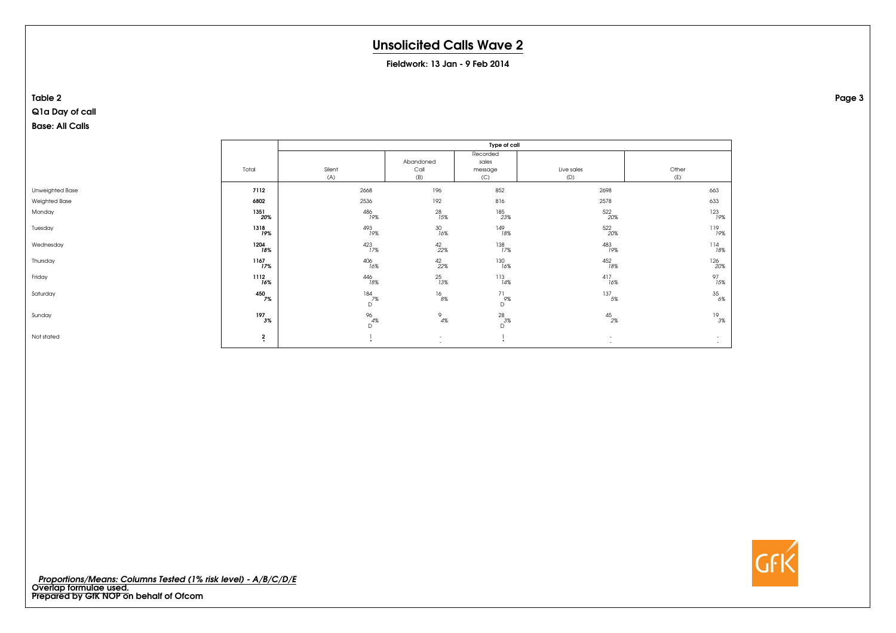Fieldwork: 13 Jan - 9 Feb 2014

Table 2

Q1a Day of call

Base: All Calls

Unweighted Base

Weighted Base

Wednesday

Thursday

Saturday

Not stated

|                 |                             | Type of call           |                                       |                                            |                           |                            |  |  |  |  |  |  |  |  |
|-----------------|-----------------------------|------------------------|---------------------------------------|--------------------------------------------|---------------------------|----------------------------|--|--|--|--|--|--|--|--|
|                 | Total                       | Silent<br>(A)          | Abandoned<br>Call<br>(B)              | Recorded<br>sales<br>message<br>(C)        | Live sales<br>(D)         | Other<br>(E)               |  |  |  |  |  |  |  |  |
| Unweighted Base | 7112                        | 2668                   | 196                                   | 852                                        | 2698                      | 663                        |  |  |  |  |  |  |  |  |
| Weighted Base   | 6802                        | 2536                   | 192                                   | 816                                        | 2578                      | 633                        |  |  |  |  |  |  |  |  |
| Monday          | 1351<br>20%                 | 486<br>19%             | $^{28}_{\phantom{1}15\%}$             | 185<br>23%                                 | $522 \atop 20\%$          | $\frac{123}{19\%}$         |  |  |  |  |  |  |  |  |
| Tuesday         | 1318<br><i>19%</i>          | 493<br>19%             | $\frac{30}{16\%}$                     | $\begin{array}{c} 149 \\ 18\% \end{array}$ | 522<br>20%                | $^{119}_{\phantom{1}79\%}$ |  |  |  |  |  |  |  |  |
| Wednesday       | 1204<br><i>18%</i>          | $423$ <sub>17%</sub>   | $^{42}_{22\%}$                        | $\begin{array}{c} 138 \\ 17\% \end{array}$ | 483<br>19%                | $^{114}_{\phantom{1}18\%}$ |  |  |  |  |  |  |  |  |
| Thursday        | 1167<br>17%                 | $\frac{406}{16\%}$     | $^{42}_{22\%}$                        | $\frac{130}{16\%}$                         | $rac{452}{18\%}$          | 126<br>20%                 |  |  |  |  |  |  |  |  |
| Friday          | $\frac{1112}{16\%}$         | 446<br>18%             | $^{25}_{\phantom{1} \overline{1}3\%}$ | $\begin{array}{c} 113 \\ 14\% \end{array}$ | $417$<br>$16\%$           | $\frac{97}{15\%}$          |  |  |  |  |  |  |  |  |
| Saturday        | 450<br>7%                   | $\frac{184}{7\%}$<br>D | $\frac{16}{8\%}$                      | 71<br>9%<br>D                              | $^{137}_{\phantom{1}5\%}$ | $35\atop{6\%}$             |  |  |  |  |  |  |  |  |
| Sunday          | $\frac{197}{3\%}$           | $\frac{96}{4\%}$<br>D  | $\ensuremath{\mathcal{P}_{\rm 4\%}}$  | $^{28}_{\phantom{1}3\%}$<br>D              | $^{45}_{2\%}$             | $\frac{19}{3\%}$           |  |  |  |  |  |  |  |  |
| Not stated      | $\overline{2}$<br>$\bullet$ |                        |                                       |                                            |                           | $\sim$                     |  |  |  |  |  |  |  |  |
|                 |                             |                        |                                       |                                            |                           |                            |  |  |  |  |  |  |  |  |



Proportions/Means: Columns Tested (1% risk level) - A/B/C/D/E Overlap formulae used. Prepared by GfK NOP on behalf of Ofcom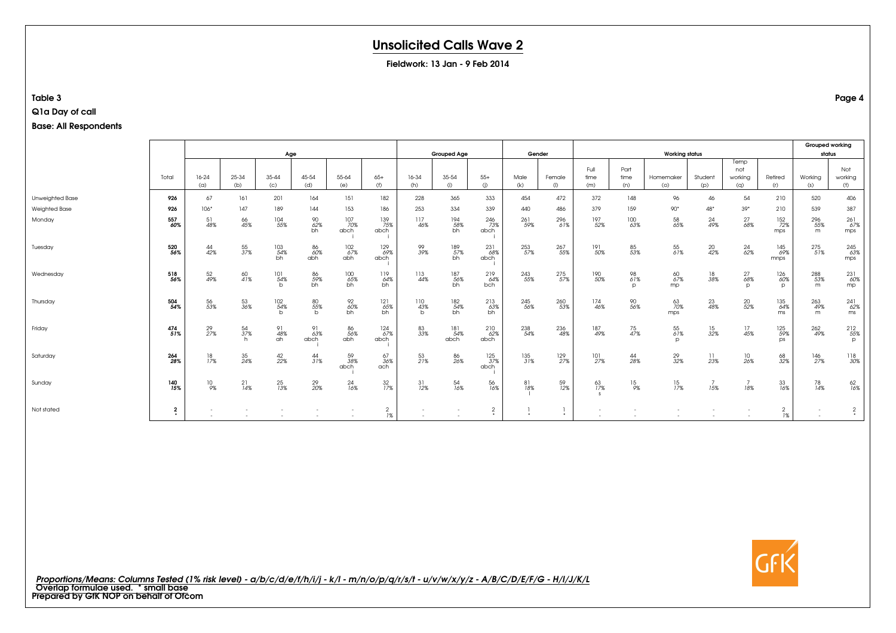Fieldwork: 13 Jan - 9 Feb 2014

#### Table 3

Q1a Day of call

### Base: All Respondents

|                      |                                            |                   |                   | Age                                                      |                         |                    |                                                       |                         | <b>Grouped Age</b>         |                                                    | Gender          |                   | <b>Working status</b> |                            |                                   |                   |                            |                           | Grouped working<br>status |                                            |  |
|----------------------|--------------------------------------------|-------------------|-------------------|----------------------------------------------------------|-------------------------|--------------------|-------------------------------------------------------|-------------------------|----------------------------|----------------------------------------------------|-----------------|-------------------|-----------------------|----------------------------|-----------------------------------|-------------------|----------------------------|---------------------------|---------------------------|--------------------------------------------|--|
|                      |                                            |                   |                   |                                                          |                         |                    |                                                       |                         |                            |                                                    |                 |                   |                       |                            |                                   |                   | Temp                       |                           |                           |                                            |  |
|                      |                                            |                   |                   |                                                          |                         |                    |                                                       |                         |                            |                                                    |                 |                   | Full                  | Part                       |                                   |                   | not                        |                           |                           | Not                                        |  |
|                      | Total                                      | 16-24<br>(a)      | 25-34<br>(b)      | 35-44<br>(c)                                             | 45-54<br>(d)            | 55-64<br>(e)       | $65+$<br>(f)                                          | 16-34<br>(h)            | 35-54<br>(i)               | $55+$<br>(i)                                       | Male<br>(k)     | Female<br>(1)     | time<br>(m)           | time<br>(n)                | Homemaker<br>(0)                  | Student<br>(p)    | working<br>$\mathsf{q}$    | Retired<br>(r)            | Working<br>(s)            | working<br>(t)                             |  |
|                      |                                            |                   |                   |                                                          |                         |                    |                                                       |                         |                            |                                                    |                 |                   |                       |                            |                                   |                   |                            |                           |                           |                                            |  |
| Unweighted Base      | 926                                        | 67                | 161               | 201                                                      | 164                     | 151                | 182                                                   | 228                     | 365                        | 333                                                | 454             | 472               | 372                   | 148                        | 96                                | 46                | 54                         | 210                       | 520                       | 406                                        |  |
| <b>Weighted Base</b> | 926                                        | $106*$            | 147               | 189                                                      | 144                     | 153                | 186                                                   | 253                     | 334                        | 339                                                | 440             | 486               | 379                   | 159                        | 90*                               | 48*               | $39*$                      | 210                       | 539                       | 387                                        |  |
| Monday               | 557<br>60%                                 | 51<br>48%         | $\frac{66}{45\%}$ | 104<br>55%                                               | $\frac{90}{62\%}$<br>bh | 107<br>70%<br>abch | 139<br>75%<br>abch                                    | 117<br>46%              | 194<br>58%<br>bh           | 246<br>73%<br>abch                                 | $^{261}_{59\%}$ | $^{296}_{61\%}$   | 197<br>52%            | 100<br>63%                 | $\frac{58}{65\%}$                 | 24<br>49%         | $^{27}_{68\%}$             | $\frac{152}{72\%}$<br>mps | 296<br>55%<br>m           | $\frac{261}{67\%}$<br>mps                  |  |
| Tuesday              | 520<br>56%                                 | $^{44}_{42\%}$    | $\frac{55}{37%}$  | 103<br>54%<br>bh                                         | 86<br>60%<br>abh        | 102<br>67%<br>abh  | 129<br>69%<br>abch                                    | 99<br>39%               | 189<br>57%<br>bh           | $^{231}_{68\%}$<br>abch                            | $^{253}_{57\%}$ | 267<br>55%        | 191<br>50%            | 85/53%                     | $^{55}_{61\%}$                    | $^{20}_{42\%}$    | $^{24}_{62\%}$             | 145<br>69%<br>mnps        | $^{275}_{51\%}$           | 245<br>63%<br>mps                          |  |
| Wednesday            | $518$<br>$56\%$                            | $\frac{52}{49\%}$ | $^{60}_{41\%}$    | $^{101}_{54\%}$<br>b                                     | 86<br>59%<br>bh         | 100<br>65%<br>bh   | 119<br>64%<br>bh                                      | 113<br>44%              | 187<br>56%<br>bh           | 219<br>64%<br>bch                                  | 243<br>55%      | $^{275}_{57\%}$   | 190<br>50%            | $^{98}_{61\%}$<br><b>p</b> | 60<br>67%<br>mp                   | $\frac{18}{38\%}$ | $^{27}_{68\%}$<br><b>p</b> | 126<br>60%<br>$\circ$     | 288<br>53%<br>m           | $\frac{231}{60\%}$<br>mp                   |  |
| Thursday             | 504<br>54%                                 | $^{56}_{53\%}$    | 53<br>36%         | $\frac{102}{54\%}$<br>b                                  | $^{80}_{55\%}$<br>b     | 92<br>60%<br>bh    | 121<br>65%<br>bh                                      | 110<br>43%<br>b         | 182<br>54%<br>bh           | 213<br>63%<br>bh                                   | 245<br>56%      | 260<br>53%        | 174<br>46%            | 90<br>56%                  | $^{63}_{70\%}$<br>mps             | $^{23}_{48\%}$    | $^{20}_{52\%}$             | 135<br>64%<br>ms          | 263<br>49%<br>m           | $^{241}_{62\%}$<br>ms                      |  |
| Friday               | $\begin{array}{c} 474 \\ 51\% \end{array}$ | $^{29}_{27\%}$    | 54<br>37%<br>h    | $\begin{array}{c} 91 \\ 48\% \\ \mathrm{dh} \end{array}$ | 91<br>63%<br>abch       | 86<br>56%<br>abh   | $\begin{array}{c}\n124 \\ 67\% \n\end{array}$<br>abch | $\substack{83 \\ 33\%}$ | $\frac{181}{54\%}$<br>abch | $^{210}_{62\%}$<br>abch                            | 238<br>54%      | 236<br>48%        | 187<br>49%            | $\frac{75}{47%}$           | $\frac{55}{61\%}$<br>$\mathsf{D}$ | $\frac{15}{32\%}$ | $\frac{17}{45\%}$          | 125<br>59%<br><b>ps</b>   | 262<br>49%                | $^{212}_{55\%}$<br><b>p</b>                |  |
| Saturday             | 264<br>28%                                 | 18<br>17%         | $\frac{35}{24\%}$ | $^{42}_{22\%}$                                           | 44<br>31%               | 59<br>38%<br>abch  | 67<br>36%<br>ach                                      | 53<br>21%               | 86<br>26%                  | $\begin{array}{c} 125 \\ 37\% \end{array}$<br>abch | 135<br>31%      | 129<br>27%        | 101<br>27%            | 44<br>28%                  | $\frac{29}{32\%}$                 | 11<br>23%         | 10 <sup>°</sup><br>26%     | 68<br>32%                 | 146<br>27%                | $\begin{array}{c} 118 \\ 30\% \end{array}$ |  |
| Sunday               | 140<br>15%                                 | $\frac{10}{9\%}$  | $^{21}_{14\%}$    | $^{25}_{13\%}$                                           | $^{29}_{20\%}$          | 24<br>16%          | $\frac{32}{17\%}$                                     | 31<br>12%               | 54<br>16%                  | 56<br>16%                                          | 81<br>18%       | $\frac{59}{12\%}$ | $^{63}_{17\%}$        | $\frac{15}{9\%}$           | 15<br>17%                         | 15%               | 18%                        | 33<br>16%                 | 78<br>14%                 | $^{62}_{16\%}$                             |  |
| Not stated           | $\overline{2}$<br>$\bullet$                |                   |                   |                                                          |                         |                    | $\frac{2}{1\%}$                                       |                         | $\overline{\phantom{a}}$   | $\frac{2}{x}$                                      |                 | $\cdot$           |                       |                            |                                   |                   |                            | $\frac{2}{1\%}$           |                           | $\frac{2}{\ast}$                           |  |

Proportions/Means: Columns Tested (1% risk level) - a/b/c/d/e/f/h/i/j - k/l - m/n/o/p/q/r/s/t - u/v/w/x/y/z - A/B/C/D/E/F/G - H/I/J/K/L<br>Overlap formulae used. \* small base<br>Prepared by GfK NOP on behalf of Ofcom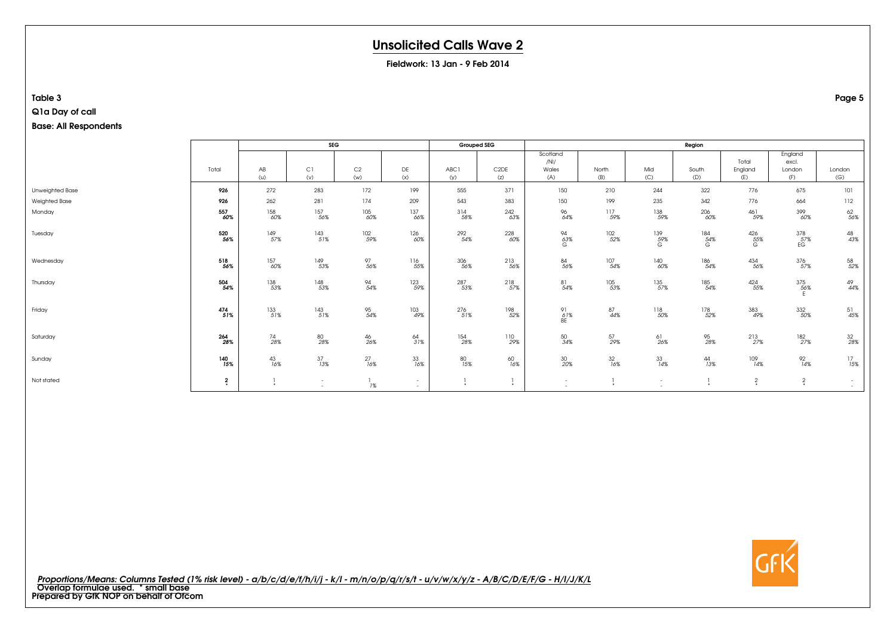Fieldwork: 13 Jan - 9 Feb 2014

#### Table 3

Q1a Day of call

### Base: All Respondents

|                      |                                            |                                            | <b>SEG</b>                                 |                    |                    | Grouped SEG                                |                                            |                                  |                                            |                                            | Region                  |                                            |                                                      |                         |
|----------------------|--------------------------------------------|--------------------------------------------|--------------------------------------------|--------------------|--------------------|--------------------------------------------|--------------------------------------------|----------------------------------|--------------------------------------------|--------------------------------------------|-------------------------|--------------------------------------------|------------------------------------------------------|-------------------------|
|                      | Total                                      | AB<br>(u)                                  | C1<br>(v)                                  | C2<br>(w)          | DE<br>(x)          | ABC1<br>(y)                                | C <sub>2</sub> DE<br>(z)                   | Scotland<br>/NI/<br>Wales<br>(A) | North<br>(B)                               | Mid<br>(C)                                 | South<br>(D)            | Total<br>England<br>(E)                    | England<br>excl.<br>London<br>(F)                    | London<br>(G)           |
| Unweighted Base      | 926                                        | 272                                        | 283                                        | 172                | 199                | 555                                        | 371                                        | 150                              | 210                                        | 244                                        | 322                     | 776                                        | 675                                                  | 101                     |
| <b>Weighted Base</b> | 926                                        | 262                                        | 281                                        | 174                | 209                | 543                                        | 383                                        | 150                              | 199                                        | 235                                        | 342                     | 776                                        | 664                                                  | 112                     |
| Monday               | 557<br>60%                                 | $^{158}_{60\%}$                            | $\underset{56\%}{^{157}}$                  | $\frac{105}{60\%}$ | 137<br>66%         | $\begin{array}{c} 314 \\ 58\% \end{array}$ | 242<br>63%                                 | 96<br>64%                        | $\begin{array}{c} 117 \\ 59\% \end{array}$ | 138<br>59%                                 | 206<br>60%              | 461<br>59%                                 | 399<br>60%                                           | 62<br>56%               |
| Tuesday              | 520<br>56%                                 | 149<br>57%                                 | $^{143}_{\phantom{1}51\%}$                 | 102<br>59%         | $\frac{126}{60\%}$ | 292<br>54%                                 | 228<br>60%                                 | 94<br>63%<br>G                   | 102<br>52%                                 | 139<br>59%<br>G                            | $\frac{184}{54\%}$<br>G | 426<br>55%<br>G                            | $\underset{\text{EG}}{378}$                          | $\substack{48 \\ 43\%}$ |
| Wednesday            | 518<br>56%                                 | $\frac{157}{60\%}$                         | 149<br>53%                                 | 97<br>56%          | 116<br>55%         | 306<br>56%                                 | $^{213}_{56\%}$                            | 84<br>56%                        | $\frac{107}{54\%}$                         | $^{140}_{60\%}$                            | 186<br>54%              | $434\n56%$                                 | $\frac{376}{57\%}$                                   | $\frac{58}{52\%}$       |
| Thursday             | 504<br>54%                                 | $\underset{53\%}{^{138}}$                  | $\underset{53\%}{^{148}}$                  | 94<br>54%          | 123<br>59%         | 287<br>53%                                 | $\begin{array}{c} 218 \\ 57\% \end{array}$ | $81 \over 54\%$                  | 105<br>53%                                 | $\begin{array}{c} 135 \\ 57\% \end{array}$ | $\frac{185}{54\%}$      | 424<br>55%                                 | $\begin{array}{r} 375 \\ 56\% \\ \hline \end{array}$ | $\frac{49}{44\%}$       |
| Friday               | $\begin{array}{c} 474 \\ 51\% \end{array}$ | $\begin{array}{c} 133 \\ 51\% \end{array}$ | $\begin{array}{c} 143 \\ 51\% \end{array}$ | 95<br>54%          | $\frac{103}{49\%}$ | $^{276}_{51\%}$                            | 198<br>52%                                 | $^{91}_{61\%}$ BE                | 87<br>44%                                  | $\begin{array}{c} 118 \\ 50\% \end{array}$ | 178<br>52%              | 383<br>49%                                 | $332\phantom{00}50\%$                                | $\underset{45\%}{51}$   |
| Saturday             | 264<br>28%                                 | 74<br>28%                                  | $\substack{80 \\ 28\%}$                    | $\frac{46}{26\%}$  | $^{64}_{31\%}$     | 154<br>28%                                 | 110<br>29%                                 | $\frac{50}{34\%}$                | $\frac{57}{29\%}$                          | $^{61}_{26\%}$                             | 95<br>28%               | $\begin{array}{c} 213 \\ 27\% \end{array}$ | 182<br>27%                                           | $\frac{32}{28\%}$       |
| Sunday               | 140<br>75%                                 | $\frac{43}{16\%}$                          | $^{37}_{13\%}$                             | $^{27}_{16\%}$     | $\frac{33}{16\%}$  | 80<br>15%                                  | $\frac{60}{16\%}$                          | $\frac{30}{20\%}$                | $\frac{32}{16\%}$                          | $\frac{33}{14\%}$                          | $\frac{44}{13\%}$       | $\frac{109}{14\%}$                         | 92<br>14%                                            | $^{17}_{15\%}$          |
| Not stated           | $\overline{\mathbf{2}}$                    | ٠                                          | $\sim$<br>$\sim$                           | 7%                 | $\sim$             | $\bullet$                                  | $\ddot{ }$                                 | $\sim$<br>$\sim$                 | $\bullet$                                  | $\sim$                                     |                         | $\frac{2}{3}$                              | $\frac{2}{1}$                                        | $\sim$<br>$\sim$        |



Proportions/Means: Columns Tested (1% risk level) - a/b/c/d/e/f/h/i/j - k/l - m/n/o/p/q/r/s/t - u/v/w/x/y/z - A/B/C/D/E/F/G - H/l/J/K/L<br>Overlap formulae used. \* small base<br>Prepared by GfK NOP on behalf of Ofcom

en and the set of the set of the set of the set of the set of the set of the set of the set of the set of the set of the set of the set of the set of the set of the set of the set of the set of the set of the set of the se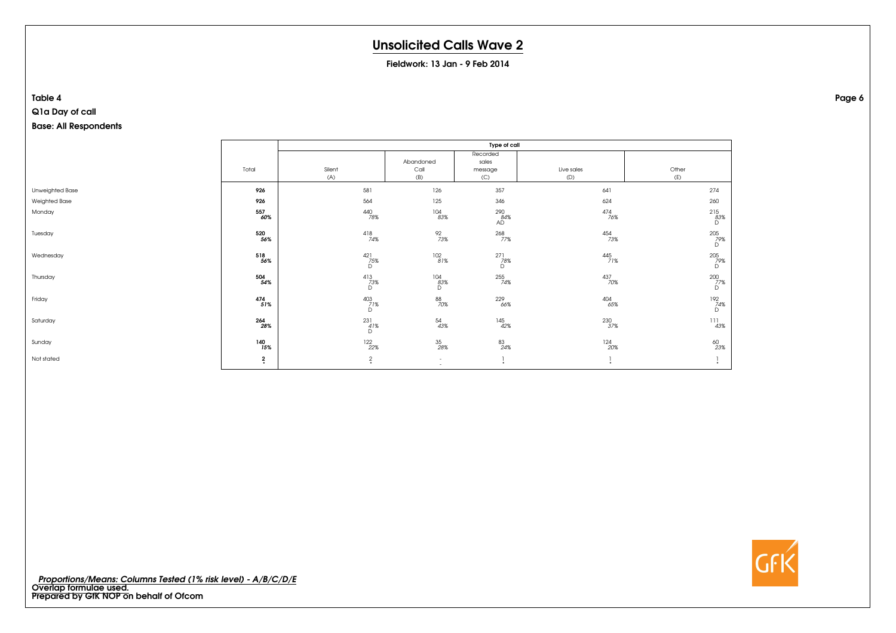Fieldwork: 13 Jan - 9 Feb 2014

#### Table 4

Q1a Day of call

### Base: All Respondents

|                      |                    | Type of call                                    |                                                       |                                                          |                               |                                            |  |  |  |  |  |  |  |  |
|----------------------|--------------------|-------------------------------------------------|-------------------------------------------------------|----------------------------------------------------------|-------------------------------|--------------------------------------------|--|--|--|--|--|--|--|--|
|                      | Total              | Silent<br>(A)                                   | Abandoned<br>Call<br>(B)                              | Recorded<br>sales<br>message<br>(C)                      | Live sales<br>(D)             | Other<br>(E)                               |  |  |  |  |  |  |  |  |
| Unweighted Base      | 926                | 581                                             | 126                                                   | 357                                                      | 641                           | 274                                        |  |  |  |  |  |  |  |  |
| <b>Weighted Base</b> | 926                | 564                                             | 125                                                   | 346                                                      | 624                           | 260                                        |  |  |  |  |  |  |  |  |
| Monday               | 557<br>60%         | 440<br>78%                                      | $\underset{83\%}{^{104}}$                             | $\overset{290}{\underset{\text{AD}}{\scriptstyle 84\%}}$ | 474<br>76%                    | $\overset{215}{\underset{\text{D}}{83\%}}$ |  |  |  |  |  |  |  |  |
| Tuesday              | 520<br>56%         | $^{418}_{74\%}$                                 | $\frac{92}{73\%}$                                     | 268<br>77%                                               | 454<br>73%                    | 205<br>79%<br>D                            |  |  |  |  |  |  |  |  |
| Wednesday            | $\frac{518}{56\%}$ | $\begin{array}{c} 421 \\ 75\% \\ D \end{array}$ | $\frac{102}{81\%}$                                    | $\begin{array}{c} 271 \\ 78\% \\ D \end{array}$          | 445<br>71%                    | 205<br>79%<br>D                            |  |  |  |  |  |  |  |  |
| Thursday             | 504<br>54%         | $^{413}_{73\%}$ D                               | $\frac{104}{83\%}$<br>D                               | 255<br>74%                                               | 437<br>70%                    | $\frac{200}{77\%}$<br>D                    |  |  |  |  |  |  |  |  |
| Friday               | $^{474}_{51\%}$    | $\frac{403}{71\%}$                              | $\substack{88 \\ 70\%}$                               | 229<br>66%                                               | $^{404}_{65\%}$               | $\frac{192}{74\%}$<br>D                    |  |  |  |  |  |  |  |  |
| Saturday             | 264<br>28%         | $\overset{231}{\underset{\text{D}}{41\%}}$      | $\overset{54}{\underset{43\%}{\cancel{}}\phantom{0}}$ | 145<br>42%                                               | 230<br>37%                    | $\begin{array}{c} 111 \\ 43\% \end{array}$ |  |  |  |  |  |  |  |  |
| Sunday               | $\frac{140}{15\%}$ | $\frac{122}{22\%}$                              | $^{35}_{\phantom{1}28\%}$                             | 83<br>24%                                                | <sup>124</sup> <sub>20%</sub> | 60<br>23%                                  |  |  |  |  |  |  |  |  |
| Not stated           | $\frac{2}{x}$      | $\frac{2}{\epsilon}$                            | $\sim$<br>$\sim$                                      | $\cdot$                                                  | $\bullet$                     | $\cdot$                                    |  |  |  |  |  |  |  |  |

en and the set of the set of the set of the set of the set of the set of the set of the set of the set of the set of the set of the set of the set of the set of the set of the set of the set of the set of the set of the se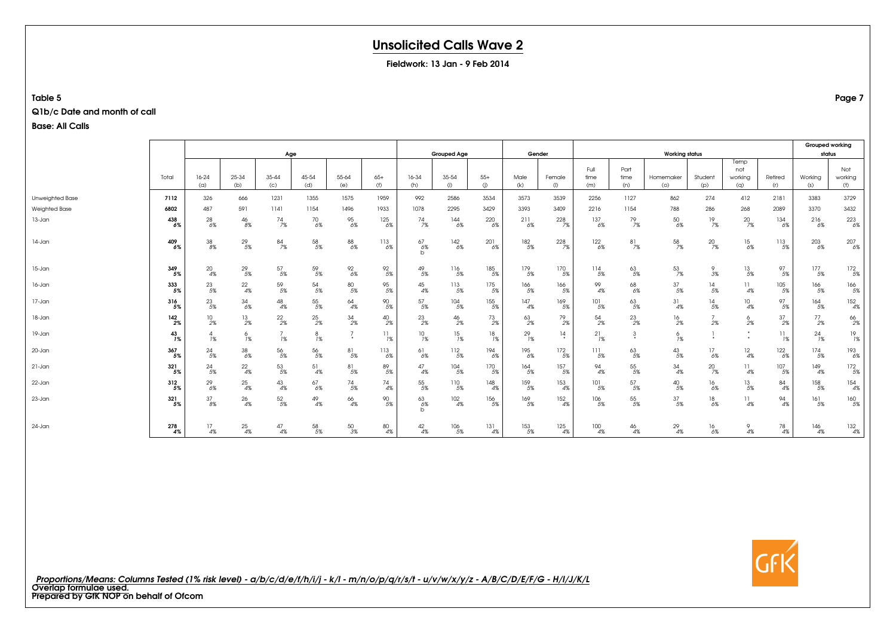Fieldwork: 13 Jan - 9 Feb 2014

#### Table 5

#### Q1b/c Date and month of call

#### Base: All Calls

|                        |                   |                      |                          |                      |                                   |               |                          |                | Gender             |                  |                                           |                   | <b>Working status</b> |                  |                 |                  |                       |                                           | Grouped working   |                   |  |
|------------------------|-------------------|----------------------|--------------------------|----------------------|-----------------------------------|---------------|--------------------------|----------------|--------------------|------------------|-------------------------------------------|-------------------|-----------------------|------------------|-----------------|------------------|-----------------------|-------------------------------------------|-------------------|-------------------|--|
|                        |                   |                      |                          | Age                  |                                   |               |                          |                | <b>Grouped Age</b> |                  |                                           |                   |                       |                  |                 |                  |                       |                                           | status            |                   |  |
|                        |                   |                      |                          |                      |                                   |               |                          |                |                    |                  |                                           |                   | Full                  | Part             |                 |                  | Temp<br>not           |                                           |                   | Not               |  |
|                        | Total             | 16-24                | 25-34                    | 35-44                | 45-54                             | 55-64         | $65+$                    | 16-34          | 35-54              | $55+$            | Male                                      | Female            | time                  | time             | Homemaker       | Student          | working               | Retired                                   | Working           | working           |  |
|                        |                   | (a)                  | (b)                      | (c)                  | (d)                               | (e)           | (f)                      | (h)            | (i)                | (j)              | (k)                                       | (1)               | (m)                   | (n)              | (0)             | (p)              | (q)                   | (r)                                       | (s)               | (t)               |  |
| <b>Unweighted Base</b> | 7112              | 326                  | 666                      | 1231                 | 1355                              | 1575          | 1959                     | 992            | 2586               | 3534             | 3573                                      | 3539              | 2256                  | 1127             | 862             | 274              | 412                   | 2181                                      | 3383              | 3729              |  |
| Weighted Base          | 6802              | 487                  | 591                      | 1141                 | 1154                              | 1496          | 1933                     | 1078           | 2295               | 3429             | 3393                                      | 3409              | 2216                  | 1154             | 788             | 286              | 268                   | 2089                                      | 3370              | 3432              |  |
| 13-Jan                 | 438<br>6%         | 28<br>6%             | 46<br>8%                 | $^{74}_{7\%}$        | 70<br>6%                          | 95<br>6%      | 125<br>6%                | $^{74}$ 7%     | 144<br>6%          | 220<br>6%        | 211<br>6%                                 | $^{228}_{7%}$     | 137<br>6%             | $\frac{79}{7\%}$ | 50<br>6%        | 19<br>7%         | $^{20}_{7\%}$         | 134<br>6%                                 | 216<br>6%         | $\frac{223}{6\%}$ |  |
| 14-Jan                 | 409<br>6%         | $\frac{38}{8\%}$     | $^{29}_{\phantom{1}5\%}$ | $\frac{84}{7%}$      | $\substack{58 \\ 5\%}$            | 88<br>6%      | 113<br>6%                | 67<br>6%<br>b. | 142<br>6%          | 201<br>6%        | $\begin{array}{c} 182 \\ 5\% \end{array}$ | $^{228}_{7\%}$    | 122<br>6%             | $\frac{81}{7\%}$ | $\frac{58}{7%}$ | 20<br>7%         | 15<br>6%              | $\begin{array}{c} 113 \\ 5\% \end{array}$ | 203<br>6%         | 207<br>6%         |  |
| 15-Jan                 | 349<br>5%         | 20<br>4%             | 29<br>5%                 | 57<br>5%             | 59<br>5%                          | 92<br>6%      | 92<br>5%                 | 49<br>5%       | 116<br>5%          | 185<br>5%        | 179<br>5%                                 | 170<br>5%         | 114<br>5%             | 63<br>5%         | 53<br>7%        | $\circ$<br>3%    | 13<br>5%              | 97<br>5%                                  | 177<br>5%         | 172<br>5%         |  |
| 16-Jan                 | 333<br>5%         | 23<br>5%             | 22<br>4%                 | 59<br>5%             | 54<br>5%                          | 80<br>5%      | 95<br>5%                 | 45<br>4%       | 113<br>5%          | 175<br>5%        | 166<br>5%                                 | 166<br>5%         | 99<br>4%              | 68<br>6%         | 37<br>5%        | 14<br>5%         | 11<br>4%              | 105<br>5%                                 | 166<br>5%         | $\frac{166}{5\%}$ |  |
| 17-Jan                 | 316<br>5%         | 23<br>5%             | 34<br>6%                 | 48<br>4%             | 55<br>5%                          | 64<br>4%      | 90<br>5%                 | 57<br>5%       | 104<br>5%          | 155<br>5%        | 147<br>4%                                 | 169<br>5%         | 101<br>5%             | 63<br>5%         | 31<br>4%        | 14<br>5%         | 10 <sup>°</sup><br>4% | 97<br>5%                                  | 164<br>5%         | 152<br>4%         |  |
| 18-Jan                 | $\frac{142}{2\%}$ | $^{10}_{2\%}$        | 13<br>2%                 | $^{22}_{2\%}$        | $^{25}_{\phantom{2}\mathbf{2}\%}$ | 34<br>2%      | $^{40}_{\phantom{1}2\%}$ | $^{23}_{2\%}$  | $^{46}_{2\%}$      | $^{73}_{\ 2\%}$  | 63<br>2%                                  | 79<br>2%          | 54<br>2%              | $^{23}_{2\%}$    | $^{16}_{2\%}$   | 2%               | 6<br>2%               | 37<br>2%                                  | 77<br>2%          | $^{66}_{2\%}$     |  |
| 19-Jan                 | 43<br>1%          | $\overline{A}$<br>1% | 6<br>1%                  | $\overline{7}$<br>1% | 8<br>1%                           | $\cdot$       | 11<br>1%                 | $10-10$<br>1%  | 15<br>1%           | $\frac{18}{1\%}$ | 29<br>1%                                  | $\frac{14}{1}$    | 21<br>1%              | 3<br>۰           | 6<br>1%         |                  | $\star$<br>$\cdot$    | $\overline{11}$<br>1%                     | 24<br>1%          | $\frac{19}{1\%}$  |  |
| $20 - Jan$             | 367<br>5%         | 24<br>5%             | 38<br>6%                 | 56<br>5%             | 56<br>5%                          | 81<br>5%      | 113<br>6%                | 61<br>6%       | 112<br>5%          | 194<br>6%        | 195<br>6%                                 | 172<br>5%         | 111<br>5%             | 63<br>5%         | 43<br>5%        | 17<br>6%         | 12<br>4%              | 122<br>6%                                 | 174<br>5%         | 193<br>6%         |  |
| $21$ -Jan              | 321<br>5%         | 24<br>5%             | 22<br>4%                 | 53<br>5%             | 51<br>4%                          | 81<br>5%      | 89<br>5%                 | 47<br>4%       | 104<br>5%          | 170<br>5%        | 164<br>5%                                 | 157<br>5%         | 94<br>4%              | 55<br>5%         | 34<br>4%        | 20<br>7%         | 11<br>4%              | 107<br>5%                                 | 149<br>4%         | $^{172}_{-5\%}$   |  |
| 22-Jan                 | 312<br>5%         | 29<br>6%             | 25<br>4%                 | 43<br>4%             | 67<br>6%                          | 74<br>5%      | 74<br>4%                 | 55<br>5%       | 110<br>5%          | 148<br>4%        | 159<br>5%                                 | 153<br>4%         | 101<br>5%             | 57<br>5%         | 40<br>5%        | 16<br>6%         | 13<br>5%              | 84<br>4%                                  | 158<br>5%         | 154<br>4%         |  |
| 23-Jan                 | 321<br>5%         | 37<br>8%             | $\frac{26}{4\%}$         | $^{52}_{\,5\%}$      | 49<br>4%                          | 66<br>4%      | $^{90}_{\phantom{1}5\%}$ | 63<br>6%<br>b. | $\frac{102}{4\%}$  | 156<br>5%        | 169<br>5%                                 | 152<br>4%         | 106<br>5%             | $^{55}_{\ 5\%}$  | 37<br>5%        | $\frac{18}{6\%}$ | 11<br>4%              | 94<br>4%                                  | 161<br>5%         | $\frac{160}{5\%}$ |  |
| 24-Jan                 | $\frac{278}{4\%}$ | 17<br>4%             | $\frac{25}{4\%}$         | 47<br>4%             | $^{58}_{\phantom{1}5\%}$          | $^{50}_{3\%}$ | $\overset{80}{_{4\%}}$   | 42<br>4%       | $\frac{106}{5\%}$  | 131<br>4%        | $\frac{153}{5\%}$                         | $\frac{125}{4\%}$ | 100<br>4%             | $\frac{46}{4\%}$ | $^{29}_{4\%}$   | $\frac{16}{6\%}$ | 9<br>4%               | $\frac{78}{4\%}$                          | $\frac{146}{4\%}$ | $\frac{132}{4\%}$ |  |



Proportions/Means: Columns Tested (1% risk level) - a/b/c/d/e/f/h/i/j - k/l - m/n/o/p/q/r/s/t - u/v/w/x/y/z - A/B/C/D/E/F/G - H/I/J/K/L<br>Overlap formulae used.<br>Prepared by GfK NOP on behalf of Ofcom

Page 7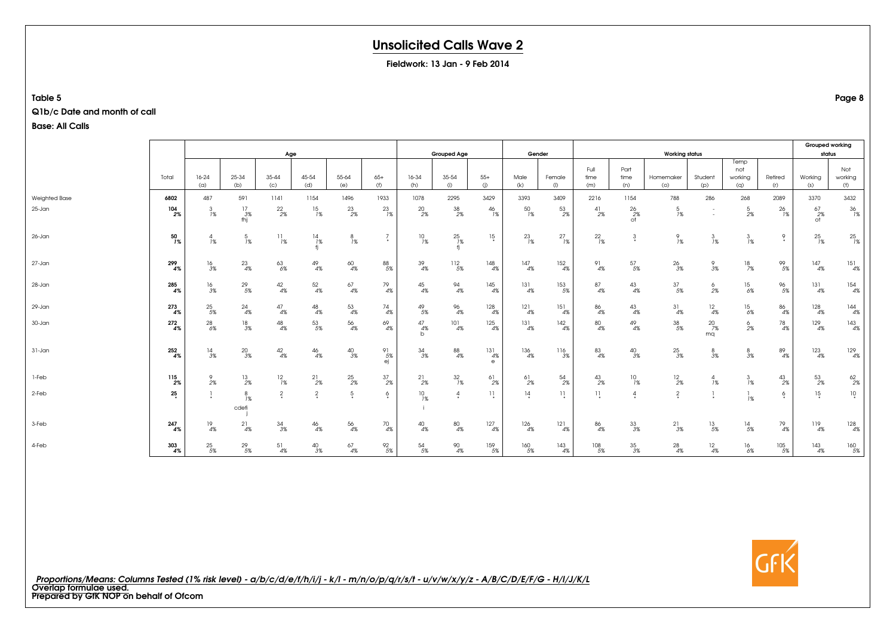Fieldwork: 13 Jan - 9 Feb 2014

#### Table 5Page 8

Q1b/c Date and month of call

### Base: All Calls

|                      |           | Age                    |                          |                            |                          |                |                           |                                                   | Grouped Age<br>Gender |                          |                                           |             | <b>Working status</b> |                        |                        |                      |                               |                  |                   | Grouped working<br>status                  |  |  |
|----------------------|-----------|------------------------|--------------------------|----------------------------|--------------------------|----------------|---------------------------|---------------------------------------------------|-----------------------|--------------------------|-------------------------------------------|-------------|-----------------------|------------------------|------------------------|----------------------|-------------------------------|------------------|-------------------|--------------------------------------------|--|--|
|                      | Total     | 16-24<br>(a)           | 25-34<br>(b)             | 35-44<br>$\left( c\right)$ | 45-54<br>(d)             | 55-64<br>(e)   | $65+$<br>(f)              | 16-34<br>(h)                                      | 35-54<br>(i)          | $55+$<br>(i)             | Male<br>(k)                               | Female<br>( | Full<br>time<br>(m)   | Part<br>time<br>(n)    | Homemaker<br>(0)       | Student<br>(p)       | Temp<br>not<br>working<br>(q) | Retired<br>(r)   | Working<br>(s)    | Not<br>working<br>(t)                      |  |  |
| <b>Weighted Base</b> | 6802      | 487                    | 591                      | 1141                       | 1154                     | 1496           | 1933                      | 1078                                              | 2295                  | 3429                     | 3393                                      | 3409        | 2216                  | 1154                   | 788                    | 286                  | 268                           | 2089             | 3370              | 3432                                       |  |  |
| $25 - Jan$           | 104<br>2% | 3<br>1%                | 17<br>3%<br>fhi          | 22<br>2%                   | 15<br>1%                 | 23<br>2%       | 23<br>1%                  | $^{20}_{\phantom{1}2\%}$                          | 38<br>2%              | 46<br>1%                 | 50<br>1%                                  | 53<br>2%    | 41<br>2%              | 26<br>2%<br>ot         | -5<br>1%               | $\sim$               | $\frac{5}{2\%}$               | 26<br>1%         | 67<br>2%<br>ot    | 36<br>$1\%$                                |  |  |
| $26 - Jan$           | 50<br>1%  | 4<br>$1\%$             | $\frac{5}{1\%}$          | $11 -$<br>1%               | 14<br>1%                 | 8<br>7%        | $\overline{7}$<br>$\cdot$ | $^{10}_{\hphantom{1}\hphantom{1}\hphantom{1}7\%}$ | 25<br>7%              | 15<br>$\cdot$            | $^{23}_{\hbox{1\%}}$                      | 27<br>1%    | $\frac{22}{1\%}$      | $\frac{3}{4}$          | 9<br>1%                | 3<br>7%              | $\frac{3}{1\%}$               | 9                | 25<br>1%          | $\frac{25}{1\%}$                           |  |  |
| 27-Jan               | 299<br>4% | $\frac{16}{3\%}$       | 23<br>4%                 | 63<br>6%                   | 49<br>4%                 | 60<br>4%       | 88<br>5%                  | 39<br>4%                                          | $^{112}_{-5\%}$       | 148<br>4%                | 147<br>4%                                 | 152<br>4%   | 91<br>4%              | 57<br>5%               | $^{26}_{\,\,3\%}$      | $\circ$<br>$3\%$     | $^{18}_{7\%}$                 | $\frac{99}{5\%}$ | 147<br>4%         | 151<br>4%                                  |  |  |
| 28-Jan               | 285<br>4% | $\frac{16}{3\%}$       | 29<br>5%                 | 42<br>4%                   | $\frac{52}{4\%}$         | 67<br>4%       | 79<br>4%                  | 45<br>4%                                          | 94<br>$4\%$           | 145<br>4%                | 131<br>4%                                 | 153<br>5%   | 87<br>4%              | 43<br>4%               | 37<br>5%               | 6<br>2%              | 15<br>6%                      | $\frac{96}{5\%}$ | 131<br>4%         | 154<br>4%                                  |  |  |
| 29-Jan               | 273<br>4% | $^{25}_{\ 5\%}$        | 24<br>4%                 | 47<br>4%                   | $\substack{48 \\ 4\%}$   | 53<br>4%       | 74<br>4%                  | 49<br>5%                                          | 96<br>4%              | $\frac{128}{4\%}$        | $\begin{array}{c} 121 \\ 4\% \end{array}$ | 151<br>4%   | $\frac{86}{4\%}$      | $\frac{43}{4\%}$       | 31<br>4%               | $\frac{12}{4\%}$     | $\frac{15}{6\%}$              | $\frac{86}{4\%}$ | $\frac{128}{4\%}$ | $\begin{array}{c}\n144 \\ 4\% \end{array}$ |  |  |
| 30-Jan               | 272<br>4% | 28<br>6%               | 18<br>3%                 | 48<br>4%                   | 53<br>5%                 | 56<br>4%       | 69<br>4%                  | 47<br>4%<br>b                                     | 101<br>4%             | 125<br>4%                | 131<br>4%                                 | 142<br>4%   | 80<br>4%              | 49<br>4%               | $\substack{38 \\ 5\%}$ | 20<br>7%<br>mq       | $^6_{2\%}$                    | 78<br>4%         | 129<br>4%         | $\frac{143}{4\%}$                          |  |  |
| $31-Jan$             | 252<br>4% | $\frac{14}{3\%}$       | $^{20}_{\phantom{1}3\%}$ | 42<br>$4\%$                | $\frac{46}{4\%}$         | 40<br>3%       | 91<br>5%<br>ej            | $\frac{34}{3\%}$                                  | 88<br>4%              | 131<br>4%<br>$\mathbf e$ | $\frac{136}{4\%}$                         | 116<br>3%   | 83<br>4%              | $\substack{40 \\ 3\%}$ | $\frac{25}{3\%}$       | 8<br>3%              | $\frac{8}{3\%}$               | 89<br>4%         | $\frac{123}{4\%}$ | 129<br>$4\%$                               |  |  |
| 1-Feb                | 115<br>2% | $\circ$<br>2%          | 13<br>2%                 | $\frac{12}{1\%}$           | $^{21}_{\phantom{1}2\%}$ | 25<br>2%       | 37<br>2%                  | $^{21}_{\phantom{1}2\%}$                          | 32<br>1%              | 61<br>2%                 | 61<br>2%                                  | 54<br>2%    | 43<br>2%              | 10<br>1%               | $^{12}_{\ 2\%}$        | $\overline{A}$<br>1% | $\frac{3}{1\%}$               | 43<br>2%         | 53<br>2%          | $^{62}_{2\%}$                              |  |  |
| 2-Feb                | 25        |                        | 1%<br>cdefi              | $\frac{2}{\ast}$           | $\frac{2}{\epsilon}$     | $\overline{5}$ | 6                         | 10<br>1%                                          | $\overline{4}$        | 11                       | 14                                        | 11          | 11                    | $\overline{4}$         | $\overline{2}$         |                      | 1%                            | 6                | 15                | $\frac{10}{15}$                            |  |  |
| 3-Feb                | 247<br>4% | 19<br>4%               | 21<br>4%                 | 34<br>3%                   | 46<br>4%                 | 56<br>4%       | 70<br>4%                  | 40<br>4%                                          | 80<br>4%              | 127<br>4%                | 126<br>4%                                 | 121<br>4%   | 86<br>4%              | $\frac{33}{3\%}$       | $^{21}_{\bf 3\%}$      | 13<br>5%             | 14<br>5%                      | 79<br>4%         | 119<br>4%         | $\begin{array}{c} 128 \\ 4\% \end{array}$  |  |  |
| 4-Feb                | 303<br>4% | $\substack{25 \\ 5\%}$ | 29<br>5%                 | $\frac{51}{4\%}$           | 40<br>3%                 | 67<br>4%       | $\frac{92}{5\%}$          | 54<br>5%                                          | 90<br>4%              | 159<br>5%                | 160<br>5%                                 | 143<br>4%   | 108<br>5%             | 35<br>3%               | 28<br>4%               | 12<br>4%             | 16<br>6%                      | 105<br>5%        | 143<br>4%         | $\frac{160}{5\%}$                          |  |  |

Proportions/Means: Columns Tested (1% risk level) - a/b/c/d/e/f/h/i/j - k/l - m/n/o/p/q/r/s/t - u/v/w/x/y/z - A/B/C/D/E/F/G - H/I/J/K/L<br>Overlap formulae used.<br>Prepared by GfK NOP on behalf of Ofcom

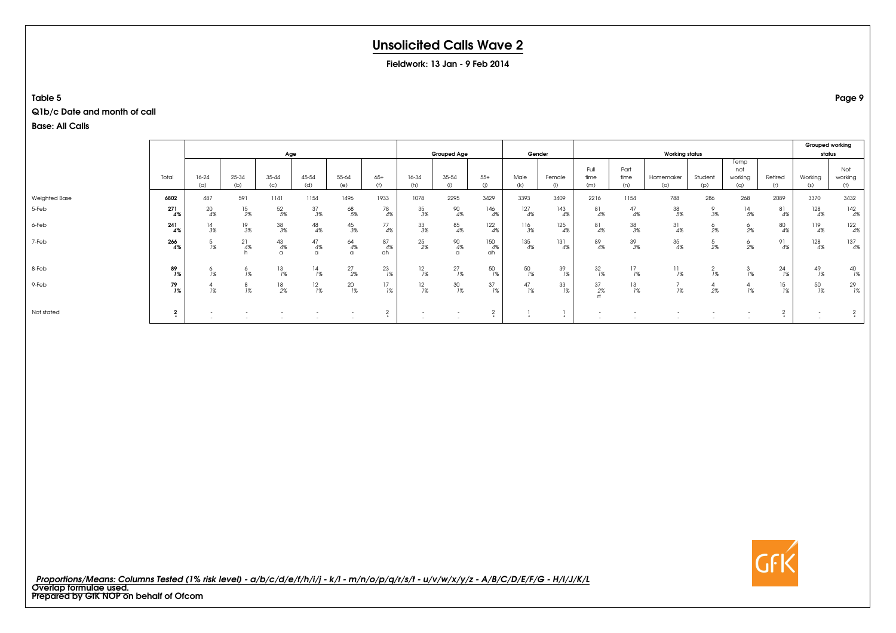Fieldwork: 13 Jan - 9 Feb 2014

#### Table 5

Q1b/c Date and month of call

### Base: All Calls

|               |           |                        |              | Age                |                       |                      |                |                          | <b>Grouped Age</b>           |                                                 | Gender            |               |                     |                     | <b>Working status</b>  |                       |                                    |                | Grouped working<br>status |                           |
|---------------|-----------|------------------------|--------------|--------------------|-----------------------|----------------------|----------------|--------------------------|------------------------------|-------------------------------------------------|-------------------|---------------|---------------------|---------------------|------------------------|-----------------------|------------------------------------|----------------|---------------------------|---------------------------|
|               | Total     | 16-24<br>(a)           | 25-34<br>(b) | 35-44<br>(c)       | 45-54<br>(d)          | 55-64<br>(e)         | $65+$<br>(f)   | 16-34<br>(h)             | 35-54                        | $55+$<br>(i)                                    | Male<br>(k)       | Female<br>(1) | Full<br>time<br>(m) | Part<br>time<br>(n) | Homemaker<br>(0)       | Student<br>(p)        | Temp<br>not<br>working<br>(a)      | Retired<br>(r) | Working<br>(s)            | Not<br>working<br>(t)     |
| Weighted Base | 6802      | 487                    | 591          | 1141               | 1154                  | 1496                 | 1933           | 1078                     | 2295                         | 3429                                            | 3393              | 3409          | 2216                | 1154                | 788                    | 286                   | 268                                | 2089           | 3370                      | 3432                      |
| 5-Feb         | 271<br>4% | $\substack{20 \\ 4\%}$ | 15<br>2%     | $52\phantom{1}5\%$ | 37<br>3%              | 68<br>5%             | 78<br>4%       | $\frac{35}{3\%}$         | $\frac{90}{4\%}$             | $\frac{146}{4%}$                                | 127<br>4%         | 143<br>4%     | 81<br>4%            | 47<br>4%            | $\substack{38 \\ 5\%}$ | $\circ$<br>3%         | $^{14}_{\phantom{1}5\%}$           | 81<br>4%       | 128<br>4%                 | $\frac{142}{4\%}$         |
| 6-Feb         | 241<br>4% | $\frac{14}{3\%}$       | 19<br>3%     | $\frac{38}{3\%}$   | 48<br>4%              | 45<br>3%             | 77<br>4%       | $\frac{33}{3\%}$         | $\frac{85}{4\%}$             | 122<br>4%                                       | 116<br>3%         | 125<br>4%     | 81<br>4%            | $\frac{38}{3\%}$    | 31<br>4%               | 6<br>2%               | $\frac{6}{2\%}$                    | 80<br>4%       | 119<br>4%                 | 122<br>4%                 |
| 7-Feb         | 266<br>4% | 5<br>1%                | 21<br>4%     | 43<br>4%<br>a      | 47<br>4%<br>$\Omega$  | 64<br>4%<br>$\Omega$ | 87<br>4%<br>ah | $^{25}_{2\%}$            | $\frac{90}{4\%}$<br>$\alpha$ | $\begin{array}{c} 150 \\ 4\% \end{array}$<br>ah | $\frac{135}{4\%}$ | 131<br>4%     | 89<br>4%            | 39<br>3%            | $35\,$<br>4%           | 5<br>2%               | $\frac{6}{2\%}$                    | 91<br>4%       | $\frac{128}{4\%}$         | $\frac{137}{4\%}$         |
| 8-Feb         | 89<br>1%  | Ó<br>1%                | 1%           | 13<br>1%           | $\overline{14}$<br>1% | 27<br>2%             | 23<br>1%       | 12<br>1%                 | $\frac{27}{1\%}$             | 50<br>1%                                        | $\frac{50}{1\%}$  | 39<br>1%      | 32<br>1%            | 17<br>1%            | 11<br>1%               | $\sqrt{2}$<br>∠<br>1% | 3<br>1%                            | 24<br>1%       | 49<br>1%                  | $\frac{40}{1\%}$          |
| 9-Feb         | 79<br>1%  | 4<br>1%                | 1%           | 18<br>2%           | 12<br>1%              | 20<br>1%             | 17<br>1%       | 12<br>1%                 | 30<br>1%                     | 37<br>1%                                        | 47<br>1%          | 33<br>1%      | 37<br>2%            | 13<br>1%            | 1%                     | 2%                    | 4<br>1%                            | 15<br>1%       | 50<br>1%                  | 29<br>1%                  |
| Not stated    | ∠         |                        |              |                    |                       | $\sim$               | $\overline{2}$ | $\overline{\phantom{a}}$ | $\sim$                       | $\overline{2}$                                  |                   |               |                     |                     |                        |                       | $\overline{\phantom{a}}$<br>$\sim$ | $\overline{2}$ | $\sim$                    | $\overline{2}$<br>$\cdot$ |

Proportions/Means: Columns Tested (1% risk level) - a/b/c/d/e/f/h/i/j - k/l - m/n/o/p/q/r/s/t - u/v/w/x/y/z - A/B/C/D/E/F/G - H/I/J/K/L<br>Overlap formulae used.<br>Prepared by GfK NOP on behalf of Ofcom



Page 9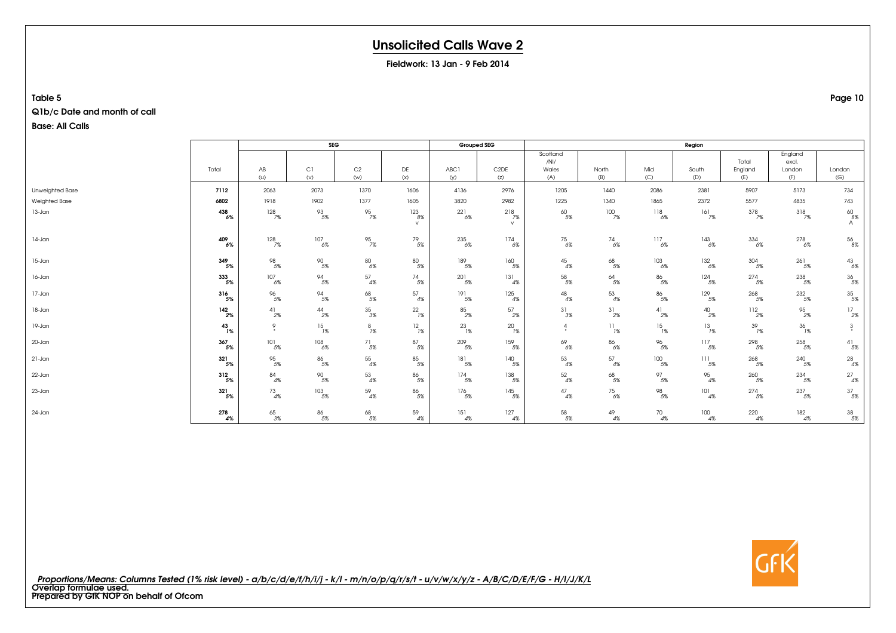Fieldwork: 13 Jan - 9 Feb 2014

#### Table 5

#### Q1b/c Date and month of call

#### Base: All Calls

|                      |                                           |                              | <b>SEG</b>                     |                  |                                                     | <b>Grouped SEG</b>                        |                           |                                  |                                           |                                           | Region                                       |                                           |                                           |                                          |
|----------------------|-------------------------------------------|------------------------------|--------------------------------|------------------|-----------------------------------------------------|-------------------------------------------|---------------------------|----------------------------------|-------------------------------------------|-------------------------------------------|----------------------------------------------|-------------------------------------------|-------------------------------------------|------------------------------------------|
|                      | Total                                     | AB<br>(u)                    | C1<br>(v)                      | C2<br>(w)        | DE<br>(x)                                           | ABC1<br>(y)                               | C <sub>2</sub> DE<br>(z)  | Scotland<br>/NI/<br>Wales<br>(A) | North<br>(B)                              | Mid<br>(C)                                | South<br>(D)                                 | Total<br>England<br>(E)                   | England<br>excl.<br>London<br>(F)         | London<br>(G)                            |
| Unweighted Base      | 7112                                      | 2063                         | 2073                           | 1370             | 1606                                                | 4136                                      | 2976                      | 1205                             | 1440                                      | 2086                                      | 2381                                         | 5907                                      | 5173                                      | 734                                      |
| <b>Weighted Base</b> | 6802                                      | 1918                         | 1902                           | 1377             | 1605                                                | 3820                                      | 2982                      | 1225                             | 1340                                      | 1865                                      | 2372                                         | 5577                                      | 4835                                      | 743                                      |
| 13-Jan               | 438<br>6%                                 | 128<br>7%                    | $\overset{93}{\phantom{1}5\%}$ | $\frac{95}{7\%}$ | $\begin{array}{c} 123 \\ 8\% \end{array}$<br>$\vee$ | 221<br>6%                                 | 218<br>7%<br>$\vee$       | $^{60}_{-5\%}$                   | $\begin{array}{c} 100 \\ 7\% \end{array}$ | $\begin{array}{c} 118 \\ 6\% \end{array}$ | 161<br>7%                                    | $\frac{378}{7%}$                          | 318<br>7%                                 | $^{60}_{8\%}$<br>A                       |
| 14-Jan               | 409<br>6%                                 | 128<br>7%                    | 107<br>6%                      | $\frac{95}{7\%}$ | 79<br>5%                                            | 235<br>6%                                 | 174<br>6%                 | 75<br>6%                         | 74<br>6%                                  | 117<br>6%                                 | 143<br>6%                                    | 334<br>6%                                 | 278<br>6%                                 | $56$ $8\%$                               |
| 15-Jan               | $\begin{array}{c} 349 \\ 5\% \end{array}$ | $\overset{\mathbf{98}}{5\%}$ | $90\n5%$                       | $\frac{80}{6\%}$ | $80$ $5\%$                                          | $\begin{array}{c} 189 \\ 5\% \end{array}$ | $\frac{160}{5\%}$         | $45$<br>$4%$                     | $^{68}_{-5\%}$                            | $\frac{103}{6\%}$                         | $\begin{array}{c}\n132 \\ 6\% \n\end{array}$ | $304 \over 5\%$                           | $^{261}_{-5\%}$                           | $^{43}_{6\%}$                            |
| 16-Jan               | $\begin{array}{c} 333 \\ 5\% \end{array}$ | 107<br>6%                    | $^{94}_{\phantom{1}5\%}$       | 57<br>4%         | $^{74}_{\phantom{1}5\%}$                            | $\underset{5\%}{^{201}}$                  | 131<br>4%                 | $58$ $5\%$                       | 64<br>5%                                  | 86<br>5%                                  | 124<br>5%                                    | $\begin{array}{c} 274 \\ 5\% \end{array}$ | 238<br>5%                                 | $\begin{array}{c} 36 \\ 5\% \end{array}$ |
| 17-Jan               | $\begin{array}{c} 316 \\ 5\% \end{array}$ | 96<br>5%                     | $^{94}_{\phantom{1}5\%}$       | 68<br>5%         | 57<br>4%                                            | 191<br>5%                                 | 125<br>4%                 | 48<br>4%                         | 53<br>4%                                  | $\frac{86}{5\%}$                          | 129<br>5%                                    | 268<br>5%                                 | 232<br>5%                                 | $35$ $5\%$                               |
| 18-Jan               | $\begin{array}{c} 142 \\ 2\% \end{array}$ | 41<br>2%                     | $^{44}_{2\%}$                  | $\frac{35}{3\%}$ | $^{22}$ <sub>1%</sub>                               | $\frac{85}{2\%}$                          | 57<br>2%                  | 31<br>3%                         | 31<br>2%                                  | $^{41}_{2\%}$                             | 40<br>2%                                     | $\begin{array}{c} 112 \\ 2\% \end{array}$ | $\frac{95}{2\%}$                          | $^{17}_{\phantom{1}2\%}$                 |
| 19-Jan               | 43<br>7%                                  | $\circ$                      | $\frac{15}{1\%}$               | $\frac{8}{1\%}$  | $\frac{12}{1\%}$                                    | $^{23}$ <sub>1%</sub>                     | $\frac{20}{1\%}$          | $\overline{4}$<br>$\bullet$      | $\frac{11}{1\%}$                          | $\frac{15}{1\%}$                          | $\frac{13}{1\%}$                             | $\frac{39}{1\%}$                          | $\frac{36}{1\%}$                          | $\frac{3}{x}$                            |
| 20-Jan               | $\frac{367}{5\%}$                         | 101<br>5%                    | $\frac{108}{6\%}$              | $^{71}_{5\%}$    | 87<br>5%                                            | $\begin{array}{c} 209 \\ 5\% \end{array}$ | $^{159}_{\phantom{1}5\%}$ | 69<br>6%                         | 86<br>6%                                  | $\frac{96}{5\%}$                          | $^{117}_{\phantom{1}5\%}$                    | $\begin{array}{l} 298 \\ 5\% \end{array}$ | $\begin{array}{c} 258 \\ 5\% \end{array}$ | $^{41}_{\,5\%}$                          |
| $21$ -Jan            | 321<br>$5\%$                              | 95<br>5%                     | 86<br>5%                       | 55<br>4%         | 85<br>5%                                            | 181<br>5%                                 | 140<br>5%                 | 53<br>4%                         | 57<br>4%                                  | 100<br>5%                                 | 111<br>5%                                    | $\begin{array}{c} 268 \\ 5\% \end{array}$ | 240<br>5%                                 | $^{28}_{4\%}$                            |
| 22-Jan               | $\begin{array}{c} 312 \\ 5\% \end{array}$ | 84<br>4%                     | 90<br>5%                       | 53<br>4%         | 86<br>5%                                            | $\begin{array}{c} 174 \\ 5\% \end{array}$ | 138<br>5%                 | 52<br>4%                         | 68<br>5%                                  | $\overset{\mathtt{97}}{\mathbf{5\%}}$     | 95<br>4%                                     | $\begin{array}{c} 260 \\ 5\% \end{array}$ | 234<br>5%                                 | $\frac{27}{4\%}$                         |
| $23$ -Jan            | 321<br>$5\%$                              | 73<br>4%                     | 103<br>5%                      | 59<br>4%         | 86<br>5%                                            | $\begin{array}{c} 176 \\ 5\% \end{array}$ | 145<br>5%                 | 47<br>4%                         | 75<br>6%                                  | $\overset{\mathbf{98}}{5\%}$              | 101<br>4%                                    | $\begin{array}{c} 274 \\ 5\% \end{array}$ | 237<br>5%                                 | $\frac{37}{5\%}$                         |
| 24-Jan               | 278<br>4%                                 | 65<br>3%                     | 86<br>5%                       | 68<br>5%         | 59<br>4%                                            | 151<br>4%                                 | 127<br>4%                 | $58$ $5\%$                       | 49<br>4%                                  | $\frac{70}{4\%}$                          | 100<br>4%                                    | 220<br>4%                                 | 182<br>4%                                 | $\begin{array}{c} 38 \\ 5\% \end{array}$ |

Proportions/Means: Columns Tested (1% risk level) - a/b/c/d/e/f/h/i/j - k/l - m/n/o/p/q/r/s/t - u/v/w/x/y/z - A/B/C/D/E/F/G - H/l/J/K/L<br>Overlap formulae used.<br>Prepared by GfK NOP on behalf of Ofcom

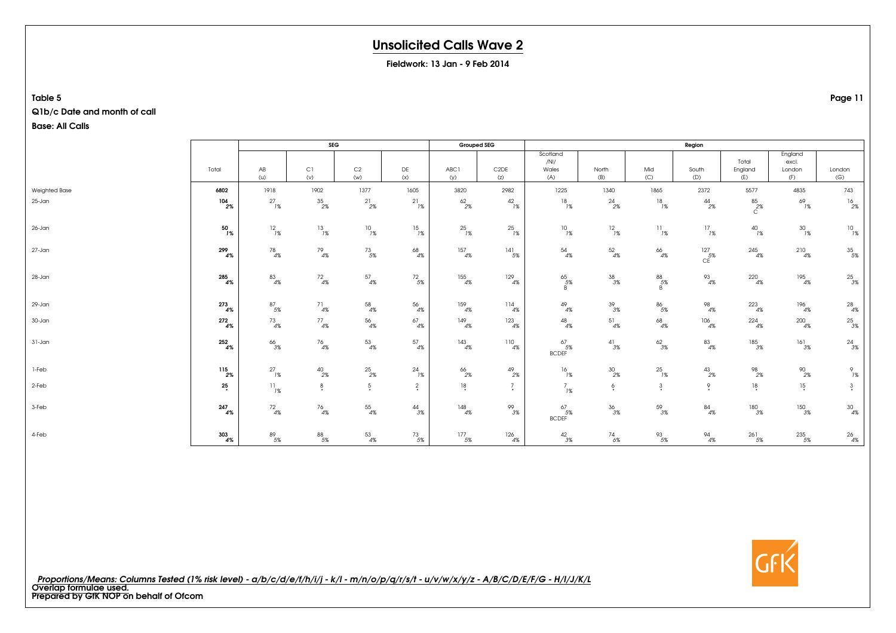Fieldwork: 13 Jan - 9 Feb 2014

#### Table 5

Q1b/c Date and month of call

#### Base: All Calls

|               |                                           |                   | <b>SEG</b>         |                     |                                                                                         | Grouped SEG                               |                                           |                                        |                                          |                         | Region                                             |                                           |                                           |                                          |
|---------------|-------------------------------------------|-------------------|--------------------|---------------------|-----------------------------------------------------------------------------------------|-------------------------------------------|-------------------------------------------|----------------------------------------|------------------------------------------|-------------------------|----------------------------------------------------|-------------------------------------------|-------------------------------------------|------------------------------------------|
|               | Total                                     | ${\sf AB}$<br>(u) | C1<br>(v)          | C2<br>(w)           | DE<br>(x)                                                                               | ABC1<br>(y)                               | C <sub>2</sub> DE<br>(z)                  | Scotland<br>$/$ NI $/$<br>Wales<br>(A) | North<br>(B)                             | Mid<br>(C)              | South<br>(D)                                       | Total<br>England<br>(E)                   | England<br>excl.<br>London<br>(F)         | London<br>(G)                            |
| Weighted Base | 6802                                      | 1918              | 1902               | 1377                | 1605                                                                                    | 3820                                      | 2982                                      | 1225                                   | 1340                                     | 1865                    | 2372                                               | 5577                                      | 4835                                      | 743                                      |
| $25 - Jan$    | $\frac{104}{2\%}$                         | $27$ $_{\rm 1\%}$ | $\frac{35}{2\%}$   | $^{21}_{2\%}$       | $21$<br>$_{\rm 1\%}$                                                                    | $62 \atop 2\%$                            | $\begin{array}{cc} 42 \\ 1\% \end{array}$ | $\frac{18}{1\%}$                       | $^{24}_{2\%}$                            | $\frac{18}{1\%}$        | $^{44}_{2\%}$                                      | $85 \atop C^2\%$                          | $69$ <sub>1%</sub>                        | $\frac{16}{2\%}$                         |
| 26-Jan        | $\frac{50}{1\%}$                          | $\frac{12}{1\%}$  | $\frac{13}{1\%}$   | $\frac{10}{1\%}$    | $^{15}_{\phantom{1}\phantom{1}\phantom{1}\phantom{1}\phantom{1}\phantom{1}\phantom{1}}$ | $^{25}$ <sub>1%</sub>                     | $^{25}_{\hbox{{\it 1\%}}}$                | $^{10}$ $_{1\%}$                       | $\frac{12}{1\%}$                         | $\frac{11}{1\%}$        | $\frac{17}{1\%}$                                   | $^{40}$ <sub>1%</sub>                     | $\frac{30}{1\%}$                          | $\frac{10}{1\%}$                         |
| 27-Jan        | 299<br>4%                                 | $^{78}_{4\%}$     | $\frac{79}{4\%}$   | $\frac{73}{5\%}$    | 68<br>4%                                                                                | $\begin{array}{c} 157 \\ 4\% \end{array}$ | $\begin{array}{c} 141 \\ 5\% \end{array}$ | $^{54}_{\ 4\%}$                        | $\frac{52}{4\%}$                         | 66<br>4%                | $\begin{array}{c}\n127 \\ 5\% \n\end{array}$<br>CE | $\overset{245}{_{4\%}}$                   | $\overset{210}{_{4\%}}$                   | $\begin{array}{c} 35 \\ 5\% \end{array}$ |
| 28-Jan        | 285<br>4%                                 | $\frac{83}{4\%}$  | $\frac{72}{4\%}$   | $\frac{57}{4\%}$    | $^{72}_{\phantom{1}5\%}$                                                                | $\underset{4\%}{^{155}}$                  | 129<br>4%                                 | $^{65}_{\phantom{1}5\%}$<br>B          | $\begin{array}{c} 38 \\ 3\% \end{array}$ | $88\phantom{1}5\%$<br>B | $\frac{93}{4\%}$                                   | $\overset{220}{_{4\%}}$                   | $\begin{array}{c} 195 \\ 4\% \end{array}$ | $\frac{25}{3\%}$                         |
| 29-Jan        | 273<br>4%                                 | $87 \over 5\%$    | $\frac{71}{4\%}$   | $58 \atop 4\%$      | 56<br>4%                                                                                | $\begin{array}{c} 159 \\ 4\% \end{array}$ | 114<br>4%                                 | $49$<br>$4\%$                          | $\frac{39}{3\%}$                         | 86<br>5%                | 98<br>4%                                           | $\overset{223}{_{4\%}}$                   | $\begin{array}{c} 196 \\ 4\% \end{array}$ | $^{28}_{\  \, 4\%}$                      |
| 30-Jan        | 272<br>4%                                 | $\frac{73}{4\%}$  | 77<br>$4\%$        | $\frac{56}{4\%}$    | 67<br>4%                                                                                | 149<br>$4\%$                              | 123<br>4%                                 | 48<br>4%                               | 51<br>$4\%$                              | 68<br>4%                | $\frac{106}{4\%}$                                  | 224<br>4%                                 | $\overset{200}{_{4\%}}$                   | $\frac{25}{3\%}$                         |
| 31-Jan        | $\overset{252}{_{4\%}}$                   | 66<br>3%          | $^{76}_{4\%}$      | $^{53}_{\  \, 4\%}$ | 57<br>4%                                                                                | $\frac{143}{4\%}$                         | $\begin{array}{c} 110 \\ 4\% \end{array}$ | 67<br>5%<br><b>BCDEF</b>               | $^{41}_{3\%}$                            | $^{62}_{3%}$            | $\frac{83}{4\%}$                                   | $^{185}_{\phantom{1}3\%}$                 | $\begin{array}{c} 161 \\ 3\% \end{array}$ | $^{24}$ 3%                               |
| 1-Feb         | $\begin{array}{c} 115 \\ 2\% \end{array}$ | $27$ $_{\rm 1\%}$ | $^{40}_{2\%}$      | $^{25}_{2\%}$       | $^{24}_{\phantom{1}\phantom{1}\phantom{1}\phantom{1}\phantom{1}\!\!}$                   | <sup>66</sup> <sub>2%</sub>               | $49 \atop 2\%$                            | $\frac{16}{1\%}$                       | $\frac{30}{2\%}$                         | $25$ $_{\rm J\%}$       | $^{43}_{2\%}$                                      | $^{98}_{2\%}$                             | $\frac{90}{2\%}$                          | $\frac{9}{1\%}$                          |
| 2-Feb         | $25 \overline{.}$                         | $\frac{11}{1\%}$  | 8                  | $\frac{5}{\ast}$    | $\frac{2}{\pi}$                                                                         | $\frac{18}{1}$                            | $\overline{7}$<br>$\star$                 | $\frac{7}{1\%}$                        | 6<br>$\cdot$                             | $\mathbf{3}$            | 9                                                  | $\frac{18}{15}$                           | $\frac{15}{15}$                           | $\frac{3}{\pi}$                          |
| 3-Feb         | $\frac{247}{4\%}$                         | $^{72}_{4\%}$     | $^{76}_{4\%}$      | $55$ $4\%$          | $\overset{44}{_{3\%}}$                                                                  | $\begin{array}{c} 148 \\ 4\% \end{array}$ | 99<br>3%                                  | $^{67}_{-5\%}$<br><b>BCDEF</b>         | $\frac{36}{3%}$                          | $59$ $3\%$              | $^{84}_{\ 4\%}$                                    | $\begin{array}{c} 180 \\ 3\% \end{array}$ | $^{150}_{\phantom{1}3\%}$                 | $\frac{30}{4\%}$                         |
| 4-Feb         | $\begin{array}{c} 303 \\ 4\% \end{array}$ | $89\atop-5\%$     | $88\phantom{1}5\%$ | $\frac{53}{4\%}$    | $\begin{array}{c} 73 \\ 5\% \end{array}$                                                | $^{177}_{-5\%}$                           | $\begin{array}{c} 126 \\ 4\% \end{array}$ | $^{42}_{3\%}$                          | $\frac{74}{6\%}$                         | $\frac{93}{5\%}$        | $\frac{94}{4\%}$                                   | $^{261}_{5\%}$                            | $\substack{235 \\ 5\%}$                   | $\frac{26}{4\%}$                         |

Proportions/Means: Columns Tested (1% risk level) - a/b/c/d/e/f/h/i/j - k/l - m/n/o/p/q/r/s/t - u/v/w/x/y/z - A/B/C/D/E/F/G - H/I/J/K/L

Overlap formulae used. Prepared by GfK NOP on behalf of Ofcom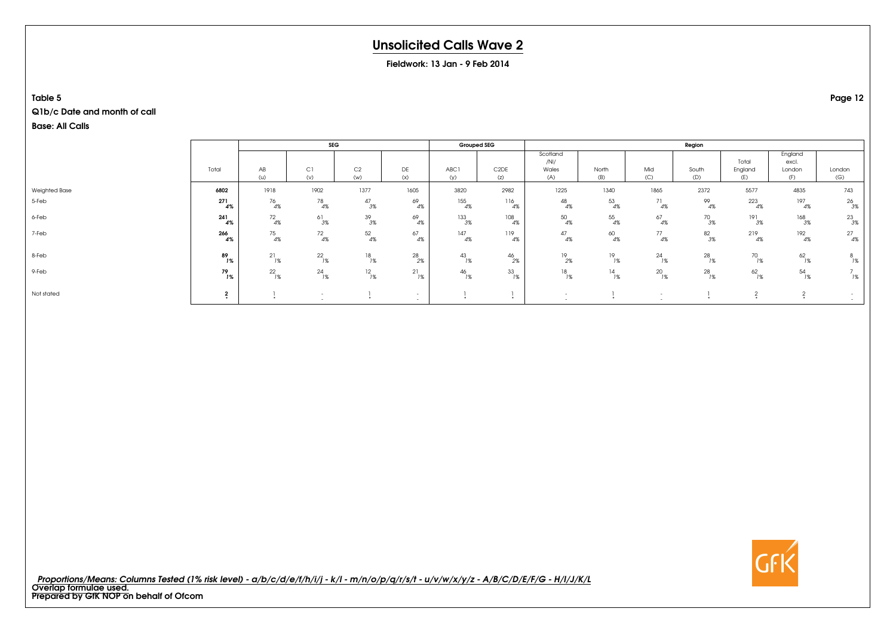Fieldwork: 13 Jan - 9 Feb 2014

#### Table 5

Q1b/c Date and month of call

### Base: All Calls

|               |           |                  |                       | SEG              |                  | <b>Grouped SEG</b> |                          |                                  |                  |                       | Region       |                         |                                   |                  |
|---------------|-----------|------------------|-----------------------|------------------|------------------|--------------------|--------------------------|----------------------------------|------------------|-----------------------|--------------|-------------------------|-----------------------------------|------------------|
|               | Total     | AB<br>(u)        | C1<br>(v)             | C2<br>(w)        | DE<br>(x)        | ABC1<br>(y)        | C <sub>2</sub> DE<br>(z) | Scotland<br>/NI/<br>Wales<br>(A) | North<br>(B)     | Mid<br>(C)            | South<br>(D) | Total<br>England<br>(E) | England<br>excl.<br>London<br>(F) | London<br>(G)    |
| Weighted Base | 6802      | 1918             | 1902                  | 1377             | 1605             | 3820               | 2982                     | 1225                             | 1340             | 1865                  | 2372         | 5577                    | 4835                              | 743              |
| 5-Feb         | 271<br>4% | $\frac{76}{4\%}$ | $\frac{78}{4\%}$      | $^{47}_{3\%}$    | 69<br>4%         | 155<br>4%          | $\frac{116}{4\%}$        | 48<br>4%                         | $\frac{53}{4\%}$ | $^{71}_{4\%}$         | 99<br>4%     | 223<br>4%               | $\frac{197}{4\%}$                 | $\frac{26}{3\%}$ |
| 6-Feb         | 241<br>4% | 72<br>4%         | $^{61}_{3\%}$         | $\frac{39}{3\%}$ | 69<br>4%         | $\frac{133}{3\%}$  | $\frac{108}{4\%}$        | 50<br>4%                         | $\frac{55}{4\%}$ | $^{67}_{4\%}$         | 70<br>3%     | 191<br>3%               | $\frac{168}{3%}$                  | $^{23}$ 3%       |
| 7-Feb         | 266<br>4% | 75<br>4%         | 72<br>4%              | $\frac{52}{4\%}$ | 67<br>4%         | 147<br>4%          | 119<br>4%                | 47<br>4%                         | 60<br>4%         | 77<br>4%              | 82<br>3%     | 219<br>4%               | 192<br>4%                         | 27<br>4%         |
| 8-Feb         | 89<br>1%  | 21<br>1%         | $^{22}$ <sub>1%</sub> | $\frac{18}{1\%}$ | $\frac{28}{2\%}$ | 43<br>1%           | $^{46}_{2\%}$            | $\frac{19}{2\%}$                 | 19<br>1%         | 24<br>1%              | 28<br>1%     | $\frac{70}{1\%}$        | $rac{62}{1%}$                     | 1%               |
| 9-Feb         | 79<br>1%  | 22<br>1%         | 24<br>1%              | $\frac{12}{1\%}$ | 21<br>7%         | 46<br>7%           | $\frac{33}{1\%}$         | 18<br>1%                         | 14<br>1%         | $^{20}$ <sub>1%</sub> | 28<br>1%     | $62$ <sub>1%</sub>      | $\frac{54}{1\%}$                  | 1%               |
| Not stated    |           |                  | $\sim$                |                  | $\sim$<br>$\sim$ |                    |                          | $\sim$                           |                  | $\sim$                |              |                         | $\sim$<br>∠                       | $\sim$           |



Proportions/Means: Columns Tested (1% risk level) - a/b/c/d/e/f/h/i/j - k/l - m/n/o/p/q/r/s/t - u/v/w/x/y/z - A/B/C/D/E/F/G - H/I/J/K/L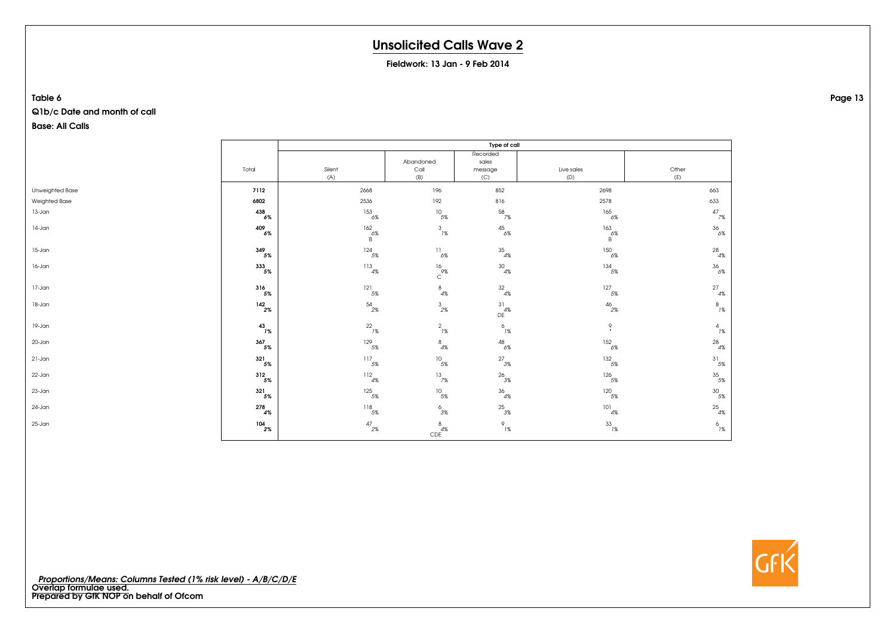Fieldwork: 13 Jan - 9 Feb 2014

#### Table 6

Q1b/c Date and month of call

### Base: All Calls

|                 |                                           |                                              |                                              | Type of call                        |                                              |                                          |
|-----------------|-------------------------------------------|----------------------------------------------|----------------------------------------------|-------------------------------------|----------------------------------------------|------------------------------------------|
|                 | Total                                     | Silent<br>(A)                                | Abandoned<br>Call<br>(B)                     | Recorded<br>sales<br>message<br>(C) | Live sales<br>(D)                            | Other<br>(E)                             |
| Unweighted Base | 7112                                      | 2668                                         | 196                                          | 852                                 | 2698                                         | 663                                      |
| Weighted Base   | 6802                                      | 2536                                         | 192                                          | 816                                 | 2578                                         | 633                                      |
| 13-Jan          | $\begin{array}{c} 438 \\ 6\% \end{array}$ | $\begin{array}{c}\n153 \\ 6\% \n\end{array}$ | $^{10}_{\phantom{1}5\%}$                     | $\frac{58}{7\%}$                    | $\begin{array}{c}\n165 \\ 6\% \n\end{array}$ | $47$ $_{7\%}$                            |
| 14-Jan          | $\frac{409}{6\%}$                         | $\frac{162}{6\%}$<br>B                       | $\frac{3}{1\%}$                              | $^{45}_{6\%}$                       | $\frac{163}{9}6\%$<br>B                      | $\frac{36}{6\%}$                         |
| $15 - Jan$      | $\begin{array}{c} 349 \\ 5\% \end{array}$ | $^{124}_{\phantom{1}5\%}$                    | $^{11}_{\phantom{1}6\%}$                     | $\frac{35}{4\%}$                    | $\begin{array}{c} 150 \\ 6\% \end{array}$    | $^{28}_{\ \ \ \ 4\%}$                    |
| 16-Jan          | $\begin{array}{c} 333 \\ 5\% \end{array}$ | $\begin{array}{c} 113 \\ 4\% \end{array}$    | $\overset{16}{\underset{\text{C}}{\circ\%}}$ | $\overset{30}{_{4\%}}$              | $\begin{array}{c} 134 \\ 5\% \end{array}$    | $\begin{array}{c}\n36 \\ 6\n\end{array}$ |
| $17 - Jan$      | $\begin{array}{c} 316 \\ 5\% \end{array}$ | $^{121}_{-5\%}$                              | $\overset{8}{4}\%$                           | $\frac{32}{4\%}$                    | $^{127}_{\phantom{1}5\%}$                    | $^{27}_{\rm -4\%}$                       |
| $18 - Jan$      | $\begin{array}{c} 142 \\ 2\% \end{array}$ | $54$ $_{\rm 2\%}$                            | $3$ 2%                                       | $\frac{31}{4\%}$<br>DE              | $^{46}_{2\%}$                                | $8\atop 1\%$                             |
| 19-Jan          | $1\%$                                     | $^{22}$ $_{\rm 1\%}$                         | $^2_{\phantom{1}\! \gamma\! \rm g}$          | $^{6}$ $_{1\%}$                     | ě                                            | $\sqrt[4]{1\%}$                          |
| 20-Jan          | $\begin{array}{c} 367 \\ 5\% \end{array}$ | $^{129}_{\phantom{1}5\%}$                    | $\overset{8}{4}\%$                           | $^{48}_{6\%}$                       | $\begin{array}{c} 152 \\ 6\% \end{array}$    | $^{28}_{\  \  \, 4\%}$                   |
| 21-Jan          | $\begin{array}{c} 321 \\ 5\% \end{array}$ | $^{117}_{\phantom{1}5\%}$                    | $^{10}_{\phantom{1}5\%}$                     | $^{27}_{\phantom{1}3\%}$            | $\begin{array}{c} 132 \\ 5\% \end{array}$    | 31<br>5%                                 |
| 22-Jan          | $\begin{array}{c} 312 \\ 5\% \end{array}$ | $^{112}_{\phantom{1}4\%}$                    | $^{13}$ 7%                                   | $\frac{26}{3\%}$                    | $\begin{array}{c} 126 \\ 5\% \end{array}$    | $35\atop -5\%$                           |
| 23-Jan          | $\begin{array}{c} 321 \\ 5\% \end{array}$ | $^{125}_{\phantom{1}5\%}$                    | $^{10}_{\phantom{1}5\%}$                     | $\frac{36}{4\%}$                    | $\begin{array}{c} 120 \\ 5\% \end{array}$    | $\begin{array}{c} 30 \\ 5\% \end{array}$ |
| 24-Jan          | $\begin{array}{c} 278 \\ 4\% \end{array}$ | $\begin{array}{c} 118 \\ 5\% \end{array}$    | $^6_{3\%}$                                   | $^{25}_{\phantom{1}3\%}$            | $^{101}_{\phantom{1}4\%}$                    | $^{25}_{\  \  \, 4\%}$                   |
| 25-Jan          | $\begin{array}{c} 104 \\ 2\% \end{array}$ | $47_{\scriptstyle 2\%}$                      | $\frac{8}{4\%}$<br>CDE                       | $\ensuremath{^\circ_{1\%}}$         | $33$ <sub>1%</sub>                           | $^{6}$ $^{1\%}$                          |

Proportions/Means: Columns Tested (1% risk level) - A/B/C/D/E Overlap formulae used. Prepared by GfK NOP on behalf of Ofcom

Page 13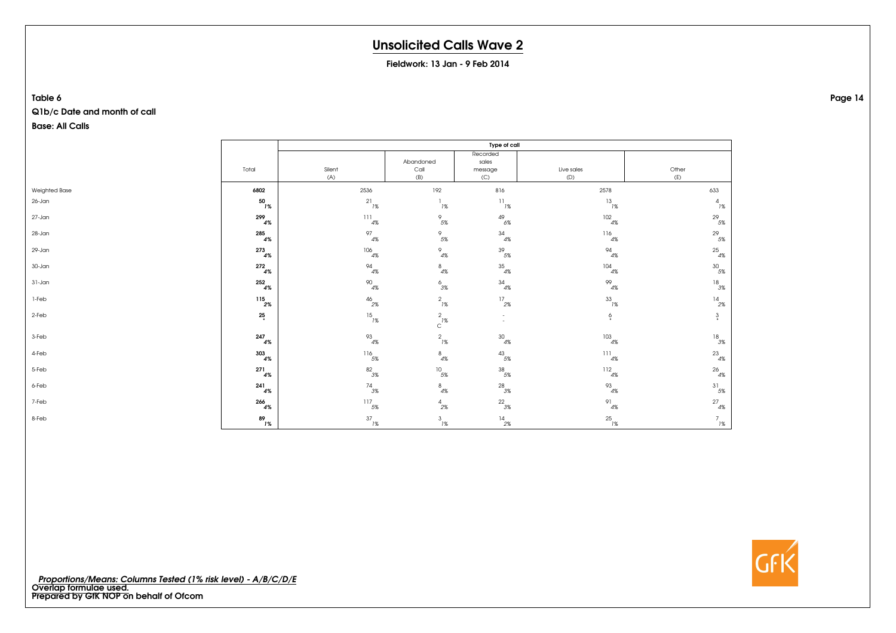Fieldwork: 13 Jan - 9 Feb 2014

#### Table 6

Weighted Base

Q1b/c Date and month of call

### Base: All Calls

|                      |                                           |                                            |                                         | Type of call                                              |                                           |                                          |
|----------------------|-------------------------------------------|--------------------------------------------|-----------------------------------------|-----------------------------------------------------------|-------------------------------------------|------------------------------------------|
|                      | Total                                     | Silent<br>(A)                              | Abandoned<br>Call<br>(B)                | Recorded<br>sales<br>message<br>$\left(\mathrm{C}\right)$ | Live sales<br>(D)                         | Other<br>(E)                             |
| <b>Weighted Base</b> | 6802                                      | 2536                                       | 192                                     | 816                                                       | 2578                                      | 633                                      |
| 26-Jan               | $\frac{50}{1\%}$                          | $^{21}_{\phantom{1}\mathbf{7}\mathbf{\%}}$ | $\frac{1}{1\%}$                         | $^{11}\prime\%$                                           | $\frac{13}{1\%}$                          | $\sqrt[4]{1\%}$                          |
| 27-Jan               | 299<br>4%                                 | $\begin{array}{c} 111 \\ 4\% \end{array}$  | $^9$ 5%                                 | $^{49}_{6\%}$                                             | $^{102}_{-4\%}$                           | $^{29}_{\phantom{1}5\%}$                 |
| 28-Jan               | $\overset{285}{_{4\%}}$                   | $97$ $4\%$                                 | $^9_{\phantom{1}5\%}$                   | $\frac{34}{4\%}$                                          | $\begin{array}{c} 116 \\ 4\% \end{array}$ | $\begin{array}{c} 29 \\ 5\% \end{array}$ |
| 29-Jan               | $\overset{273}{_{4\%}}$                   | $^{106}_{-4\%}$                            | $^9_{4\%}$                              | $39$ $5\%$                                                | $^{94}_{\phantom{1}4\%}$                  | $\overset{25}{_{4\%}}$                   |
| 30-Jan               | $\overset{272}{_{4\%}}$                   | $^{94}_{\phantom{1}4\%}$                   | $\begin{array}{c} 8 \\ 4\% \end{array}$ | $\overset{35}{_{4\%}}$                                    | $^{104}_{\phantom{1}4\%}$                 | $\begin{array}{c} 30 \\ 5\% \end{array}$ |
| 31-Jan               | $\overset{252}{_{4\%}}$                   | $\begin{array}{c} 90 \\ 4\% \end{array}$   | $^6_{3\%}$                              | $\frac{34}{4\%}$                                          | $\begin{array}{c} 99 \\ 4\% \end{array}$  | $\frac{18}{3\%}$                         |
| 1-Feb                | $\begin{array}{c} 115 \\ 2\% \end{array}$ | $^{46}_{2\%}$                              | $\sqrt{2}_{1\%}$                        | $^{17}$ $^{2\%}$                                          | $33$ <sub>1%</sub>                        | $\frac{14}{2\%}$                         |
| 2-Feb                | $25 \overline{ }$                         | $^{15}$ $_{l\%}$                           | $\frac{2}{1\%}$<br>C                    | $\overline{\phantom{a}}$<br>$\sim$                        | $\frac{6}{\pi}$                           | $\frac{3}{4}$                            |
| 3-Feb                | 247<br>4%                                 | $\frac{93}{4\%}$                           | $\sqrt{2}_{1\%}$                        | $\frac{30}{4\%}$                                          | $^{103}_{\phantom{1}4\%}$                 | $\frac{18}{3\%}$                         |
| 4-Feb                | $\begin{array}{c} 303 \\ 4\% \end{array}$ | $^{116}_{-5\%}$                            | $\overset{8}{4}\%$                      | $^{43}_{\,\,5\%}$                                         | $^{111}_{\phantom{1}4\%}$                 | $^{23}_{\ \ \ \ 4\%}$                    |
| 5-Feb                | $^{271}_{4\%}$                            | $^{82}_{\phantom{1}3\%}$                   | $^{10}_{\phantom{1}5\%}$                | $38\phantom{1}5\%$                                        | $^{112}_{\phantom{1}4\%}$                 | $^{26}_{4\%}$                            |
| 6-Feb                | $\frac{241}{4\%}$                         | $^{74}_{3\%}$                              | $\begin{array}{c} 8 \\ 4\% \end{array}$ | $^{28}_{\phantom{1}3\%}$                                  | $\frac{93}{4\%}$                          | $\begin{array}{c} 31 \\ 5\% \end{array}$ |
| 7-Feb                | 266<br>4%                                 | $^{117}_{\phantom{1}5\%}$                  | $^4_{\phantom{1}2\%}$                   | $^{22}_{\phantom{2}3\%}$                                  | 91<br>4%                                  | 27<br>4%                                 |
| 8-Feb                | $\frac{89}{1\%}$                          | 37<br>1%                                   | $3$ $_{1\%}$                            | $\frac{14}{2\%}$                                          | $\frac{25}{1\%}$                          | $7^{\circ}$<br>1%                        |

Proportions/Means: Columns Tested (1% risk level) - A/B/C/D/EOverlap formulae used. Prepared by GfK NOP on behalf of Ofcom



Page 14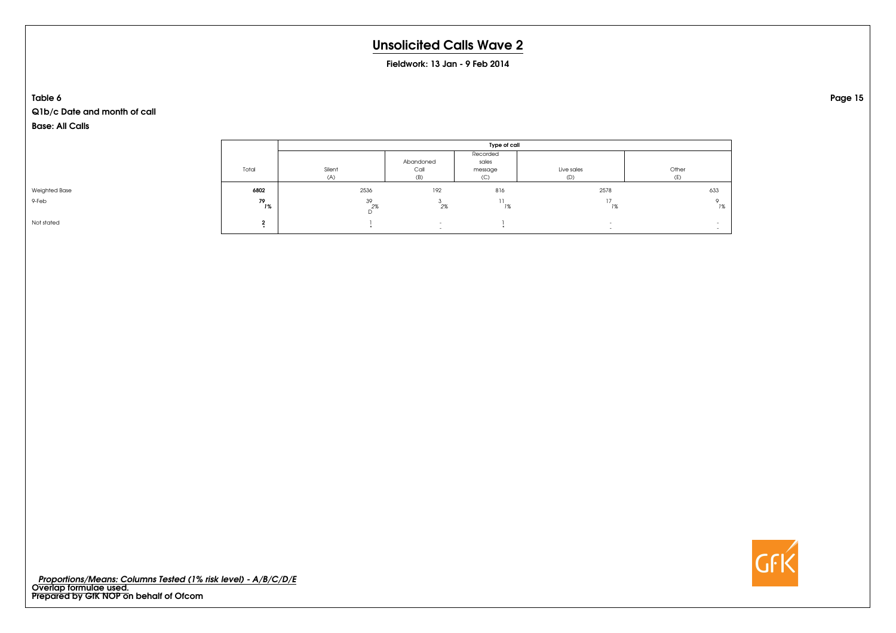Fieldwork: 13 Jan - 9 Feb 2014

#### Table 6

Q1b/c Date and month of call

Base: All Calls

|               |          |               |           | Type of call          |            |                |
|---------------|----------|---------------|-----------|-----------------------|------------|----------------|
|               |          |               |           | Recorded              |            |                |
|               |          |               | Abandoned | sales                 |            |                |
|               | Total    | Silent        | Call      | message               | Live sales | Other          |
|               |          | (A)           | (B)       | (C)                   | (D)        | (E)            |
| Weighted Base | 6802     | 2536          | 192       | 816                   | 2578       | 633            |
| 9-Feb         | 79<br>1% | 39<br>2%<br>D | 2%        | $\overline{11}$<br>1% | 17<br>1%   | $\Omega$<br>1% |
| Not stated    |          |               |           |                       |            | $\sim$         |

Weighted Base

Not stated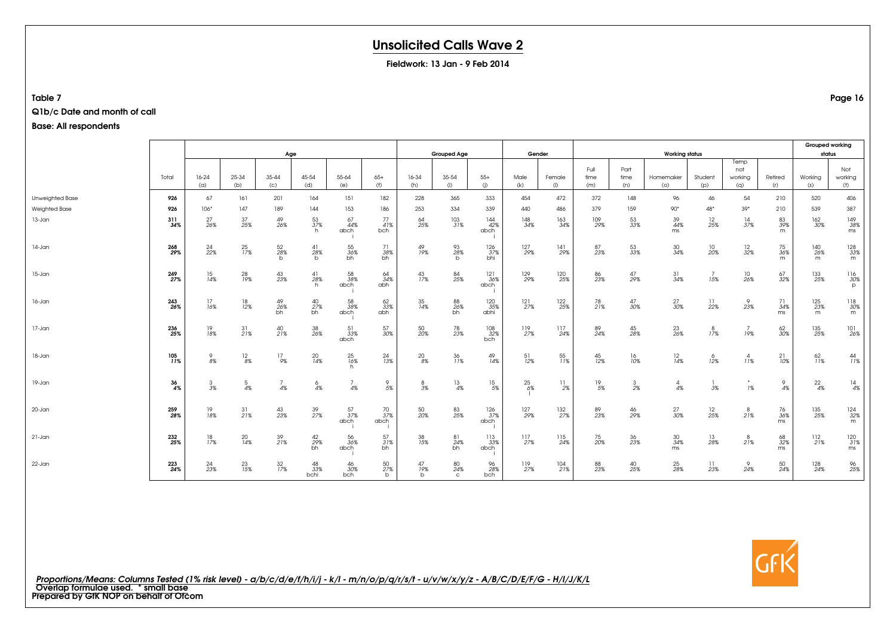Fieldwork: 13 Jan - 9 Feb 2014

#### Table 7

Q1b/c Date and month of call

#### Base: All respondents

|                        |                          |                    |                       | Age                    |                                                      |                           |                         |                | <b>Grouped Age</b>        |                            | Gender         |                               |                     |                     | <b>Working status</b>   |                   |                               |                   | Grouped working<br>status                  |                                                  |
|------------------------|--------------------------|--------------------|-----------------------|------------------------|------------------------------------------------------|---------------------------|-------------------------|----------------|---------------------------|----------------------------|----------------|-------------------------------|---------------------|---------------------|-------------------------|-------------------|-------------------------------|-------------------|--------------------------------------------|--------------------------------------------------|
|                        | Total                    | 16-24<br>(a)       | 25-34<br>(b)          | 35-44<br>(c)           | 45-54<br>(d)                                         | 55-64<br>(e)              | $65+$<br>(f)            | 16-34<br>(h)   | 35-54<br>(i)              | $55+$<br>(i)               | Male<br>(k)    | Female<br>$($ l               | Full<br>time<br>(m) | Part<br>time<br>(n) | Homemaker<br>(0)        | Student<br>(p)    | Temp<br>not<br>working<br>(q) | Retired<br>(r)    | Working<br>(s)                             | Not<br>working<br>$(+)$                          |
| <b>Unweighted Base</b> | 926                      | 67                 | 161                   | 201                    | 164                                                  | 151                       | 182                     | 228            | 365                       | 333                        | 454            | 472                           | 372                 | 148                 | 96                      | 46                | 54                            | 210               | 520                                        | 406                                              |
| <b>Weighted Base</b>   | 926                      | $106*$             | 147                   | 189                    | 144                                                  | 153                       | 186                     | 253            | 334                       | 339                        | 440            | 486                           | 379                 | 159                 | 90*                     | 48*               | $39*$                         | 210               | 539                                        | 387                                              |
| $13 - Jan$             | 311<br>34%               | 27<br>26%          | 37<br>25%             | $^{49}_{26\%}$         | $\frac{53}{37\%}$<br>h.                              | 67<br>44%<br>abch         | 77<br>41%<br>bch        | 64<br>25%      | $\frac{103}{31\%}$        | $\frac{144}{42\%}$<br>abch | 148<br>34%     | $\frac{163}{34\%}$            | 109<br>29%          | 53<br>33%           | 39<br>44%<br>ms         | 12<br>25%         | $\frac{14}{37%}$              | 83<br>39%<br>m    | $\frac{162}{30\%}$                         | $\begin{array}{c} 149 \\ 38\% \end{array}$<br>ms |
| 14-Jan                 | 268<br>29%               | $^{24}_{22\%}$     | $^{25}_{17\%}$        | $\frac{52}{28\%}$<br>b | $^{41}_{28\%}$<br>$\mathbf{b}$                       | 55<br>36%<br>bh           | $\frac{71}{38\%}$<br>bh | 49<br>19%      | 93<br>28%<br>b            | $\frac{126}{37%}$<br>bhi   | 127<br>29%     | $^{141}_{29\%}$               | 87<br>23%           | $\frac{53}{33\%}$   | $\frac{30}{34\%}$       | $\frac{10}{20\%}$ | $^{12}_{32\%}$                | 75<br>36%<br>m    | 140<br>26%<br>m                            | $^{128}_{33\%}$<br>m                             |
| 15-Jan                 | 249<br>27%               | 15<br><i>14</i> %  | $^{28}_{19\%}$        | 43<br>23%              | $^{41}_{28\%}$<br>h.                                 | 58<br>38%<br>abch         | 64<br>34%<br>abh        | 43<br>17%      | $\substack{84 \\ 25\%}$   | 121<br>36%<br>abch         | 129<br>29%     | <sup>120</sup> <sub>25%</sub> | $\frac{86}{23\%}$   | 47<br>29%           | $\frac{31}{34\%}$       | $\frac{7}{15\%}$  | $^{10}_{26\%}$                | 67<br>32%         | <sup>133</sup> <sub>25%</sub>              | $^{116}_{30\%}$<br><b>p</b>                      |
| 16-Jan                 | 243<br>26%               | 17<br>16%          | 18<br>12%             | 49<br>26%<br>bh        | 40<br>27%<br>bh                                      | 58<br>38%<br>abch         | 62<br>33%<br>abh        | 35<br>14%      | 88<br>26%<br>bh           | 120<br>35%<br>abhi         | 121<br>27%     | 122<br>25%                    | 78<br>21%           | 47<br>30%           | 27<br>30%               | $11 -$<br>22%     | 9<br>23%                      | 71<br>34%<br>ms   | 125<br>23%<br>m                            | $^{118}_{30\%}$<br>m                             |
| 17-Jan                 | 236<br>25%               | $\frac{19}{18\%}$  | $\frac{31}{21\%}$     | 40<br>21%              | 38<br>26%                                            | 51<br>33%<br>abch         | 57<br>30%               | 50<br>20%      | 78<br>23%                 | $\frac{108}{32\%}$<br>bch  | 119<br>27%     | 117<br>24%                    | 89<br>24%           | 45<br>28%           | $\frac{23}{26\%}$       | 8<br>17%          | $\overline{7}$<br>19%         | $\frac{62}{30\%}$ | $^{135}_{\phantom{1}25\%}$                 | $^{101}_{\phantom{1}26\%}$                       |
| 18-Jan                 | 105<br>$\overline{11}\%$ | 9<br>8%            | $\frac{12}{8\%}$      | 17<br>9%               | $^{20}_{14\%}$                                       | 25<br>16%<br>h.           | 24<br>13%               | 20<br>8%       | 36<br>11%                 | 49<br>14%                  | $^{51}_{12\%}$ | 55<br>11%                     | $^{45}_{12\%}$      | 16<br>10%           | $\frac{12}{14\%}$       | 6<br>12%          | $\overline{4}$<br>11%         | 21<br>10%         | $^{62}_{11\%}$                             | $^{44}_{\phantom{1}11\%}$                        |
| 19-Jan                 | 36<br>4%                 | $\mathbf{3}$<br>3% | $5\overline{)}$<br>4% | $\overline{7}$<br>4%   | 6<br>4%                                              | 4%                        | 9<br>5%                 | 8<br>3%        | 13<br>4%                  | 15<br>5%                   | 25<br>6%       | 11<br>2%                      | 19<br>5%            | 3<br>2%             | $\overline{4}$<br>4%    | 3%                | $\star$<br>1%                 | 9<br>4%           | 22<br>4%                                   | $\frac{14}{4\%}$                                 |
| 20-Jan                 | 259<br>28%               | 19<br>18%          | $\frac{31}{21\%}$     | $^{43}_{23\%}$         | $\frac{39}{27\%}$                                    | $\frac{57}{37\%}$<br>abch | 70<br>37%<br>abch       | 50<br>20%      | $\frac{83}{25\%}$         | 126<br>37%<br>abch         | 127<br>29%     | 132<br>27%                    | 89<br>23%           | 46<br>29%           | $\frac{27}{30\%}$       | $^{12}_{25\%}$    | $^{8}_{21\%}$                 | 76<br>36%<br>ms   | $\begin{array}{c} 135 \\ 25\% \end{array}$ | $^{124}_{32\%}$<br>m                             |
| $21$ -Jan              | 232<br>25%               | $\frac{18}{17\%}$  | 20<br>74%             | 39<br>21%              | $\begin{array}{c} 42 \\ 29\% \\ \rm{bh} \end{array}$ | 56<br>36%<br>abch         | 57<br>31%<br>bh         | 38<br>15%      | 81<br>24%<br>bh           | 113<br>33%<br>abch         | 117<br>27%     | 115<br>24%                    | $^{75}_{20\%}$      | 36<br>23%           | $\frac{30}{34\%}$<br>ms | 13<br>28%         | $^{8}_{21\%}$                 | 68<br>32%<br>ms   | $\begin{array}{c} 112 \\ 21\% \end{array}$ | $\begin{array}{c} 120 \\ 31\% \end{array}$<br>ms |
| $22$ -Jan              | 223<br>24%               | 24<br>23%          | 23<br>15%             | $\frac{32}{17\%}$      | 48<br>33%<br>bchi                                    | 46<br>30%<br>bch          | 50<br>27%<br>b          | 47<br>19%<br>b | 80<br>24%<br>$\mathbf{C}$ | 96<br>28%<br>bch           | 119<br>27%     | 104<br>21%                    | 88<br>23%           | 40<br>25%           | 25<br>28%               | 11<br>23%         | 9<br>24%                      | 50<br>24%         | 128<br>24%                                 | $\frac{96}{25\%}$                                |



Proportions/Means: Columns Tested (1% risk level) - a/b/c/d/e/f/h/i/j - k/l - m/n/o/p/q/r/s/t - u/v/w/x/y/z - A/B/C/D/E/F/G - H/I/J/K/L<br>Overlap formulae used. \* small base<br>Prepared by GfK NOP on behalf of Ofcom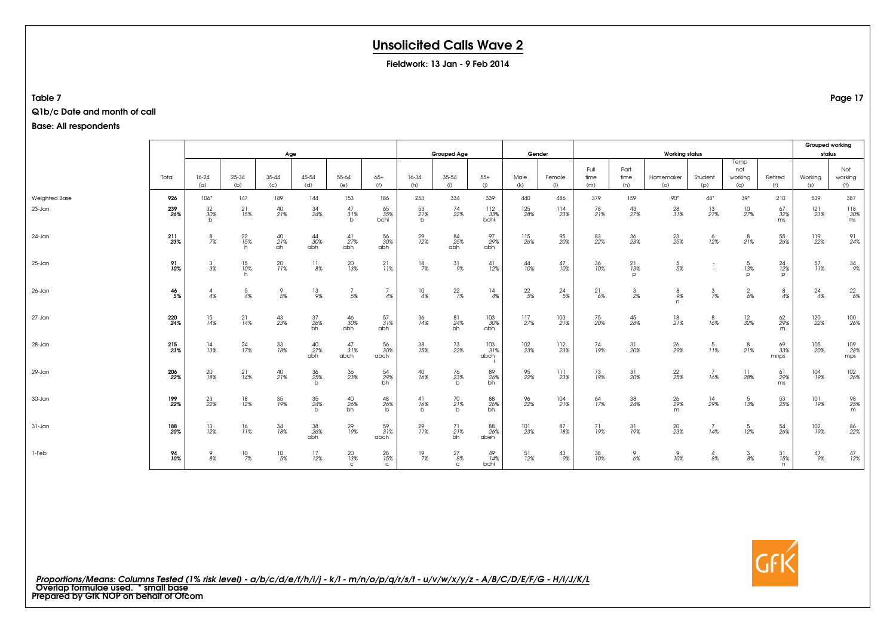Fieldwork: 13 Jan - 9 Feb 2014

#### Table 7Page 17

Q1b/c Date and month of call

#### Base: All respondents

|                      |                 |                        |                | Age               |                                                      |                                |                                  |                     | <b>Grouped Age</b>                |                                                    | Gender                                     |                                            |                     |                                | <b>Working status</b> |                       |                                             |                           | Grouped working<br>status                  |                                                  |
|----------------------|-----------------|------------------------|----------------|-------------------|------------------------------------------------------|--------------------------------|----------------------------------|---------------------|-----------------------------------|----------------------------------------------------|--------------------------------------------|--------------------------------------------|---------------------|--------------------------------|-----------------------|-----------------------|---------------------------------------------|---------------------------|--------------------------------------------|--------------------------------------------------|
|                      | Total           | 16-24<br>(a)           | 25-34<br>(b)   | 35-44<br>(c)      | 45-54<br>(d)                                         | 55-64<br>(e)                   | $65+$<br>(f)                     | 16-34<br>(h)        | 35-54<br>(i)                      | $55+$<br>(j)                                       | Male<br>(k)                                | Female<br>(1)                              | Full<br>time<br>(m) | Part<br>time<br>(n)            | Homemaker<br>(0)      | Student<br>(p)        | Temp<br>not<br>working<br>$\left( q\right)$ | Retired<br>(r)            | Working<br>(s)                             | Not<br>working<br>(t)                            |
| <b>Weighted Base</b> | 926             | $106*$                 | 147            | 189               | 144                                                  | 153                            | 186                              | 253                 | 334                               | 339                                                | 440                                        | 486                                        | 379                 | 159                            | 90*                   | 48*                   | $39*$                                       | 210                       | 539                                        | 387                                              |
| $23 - Jan$           | 239<br>26%      | $\frac{32}{30\%}$<br>b | $^{21}_{15\%}$ | $^{40}_{21\%}$    | 34<br>24%                                            | 47<br>31%<br>b                 | 65<br>35%<br>bchi                | 53<br>21%<br>b      | 74<br>22%                         | 112<br>33%<br>bchi                                 | <sup>125</sup><br>28%                      | 114<br>23%                                 | 78<br>21%           | $^{43}_{27\%}$                 | 28<br>31%             | $\frac{13}{27\%}$     | $\frac{10}{27\%}$                           | 67<br>32%<br>ms           | $\begin{array}{c} 121 \\ 23\% \end{array}$ | $\begin{array}{c} 118 \\ 30\% \end{array}$<br>ms |
| 24-Jan               | 211<br>23%      | 8<br>7%                | 22<br>15%<br>h | 40<br>21%<br>ah   | 44<br>30%<br>abh                                     | 41<br>27%<br>abh               | 56<br>30%<br>abh                 | $^{29}_{12\%}$      | 84<br>25%<br>abh                  | 97<br>29%<br>abh                                   | $\begin{array}{c} 115 \\ 26\% \end{array}$ | 95<br>20%                                  | $\frac{83}{22\%}$   | $\frac{36}{23\%}$              | 23<br>25%             | 6<br>12%              | 8<br>21%                                    | 55<br>26%                 | $\begin{array}{c} 119 \\ 22\% \end{array}$ | $\frac{91}{24\%}$                                |
| 25-Jan               | 91<br>10%       | 3<br>3%                | 15<br>10%      | $^{20}_{11\%}$    | 11<br>8%                                             | 20<br>13%                      | 21<br>11%                        | $\frac{18}{7%}$     | 31<br>9%                          | 41<br>12%                                          | $\frac{44}{10\%}$                          | 47<br>10%                                  | $\frac{36}{10\%}$   | $^{21}_{13\%}$<br><sub>p</sub> | $5\over 5\%$          |                       | 5<br>13%<br>p                               | $^{24}_{12\%}$<br>$\circ$ | $\frac{57}{11\%}$                          | $\substack{34 \\ 9\%}$                           |
| 26-Jan               | $^{46}_{\ 5\%}$ | $\overline{4}$<br>4%   | $\frac{5}{4%}$ | $\frac{9}{5\%}$   | $^{13}_{9\%}$                                        | 7<br>5%                        | $\frac{7}{4\%}$                  | $\frac{10}{4\%}$    | $^{22}_{7\%}$                     | 14<br>4%                                           | $^{22}_{\,5\%}$                            | $^{24}_{\,\,5\%}$                          | $^{21}_{\,\,6\%}$   | $_{2\%}^3$                     | $^8_{9\%}$<br>n       | $\frac{3}{7\%}$       | $_{\rm 6\%}^2$                              | $\frac{8}{4\%}$           | $^{24}_{\ 4\%}$                            | $\frac{22}{6\%}$                                 |
| 27-Jan               | 220<br>24%      | $\frac{15}{14\%}$      | $^{21}_{14\%}$ | $^{43}_{23\%}$    | $\begin{array}{c} 37 \\ 26\% \\ \rm{bh} \end{array}$ | 46<br>30%<br>abh               | $\frac{57}{31\%}$<br>abh         | $\frac{36}{14\%}$   | $\frac{81}{24\%}$<br>bh           | $^{103}_{30\%}$<br>abh                             | $\begin{array}{c} 117 \\ 27\% \end{array}$ | $^{103}_{21\%}$                            | 75<br>20%           | $^{45}_{28\%}$                 | $^{18}_{21\%}$        | $^{8}_{16\%}$         | $^{12}_{32\%}$                              | 62<br>29%<br>m            | $^{120}_{22\%}$                            | $^{100}_{26\%}$                                  |
| 28-Jan               | 215<br>23%      | $^{14}_{13\%}$         | $^{24}_{17\%}$ | $^{33}_{18\%}$    | $^{40}_{27\%}$<br>abh                                | $\frac{47}{31\%}$<br>abch      | 56<br>30%<br>abch                | $\frac{38}{15\%}$   | $^{73}_{22\%}$                    | $\begin{array}{c} 103 \\ 31\% \end{array}$<br>abch | $^{102}_{23\%}$                            | $\begin{array}{c} 112 \\ 23\% \end{array}$ | 74<br>19%           | $\frac{31}{20\%}$              | $^{26}_{29\%}$        | $\frac{5}{11\%}$      | $^{8}_{21\%}$                               | 69<br>33%<br>mnps         | $^{105}_{20\%}$                            | 109<br>28%<br>mps                                |
| 29-Jan               | 206<br>22%      | $^{20}_{18\%}$         | $^{21}_{14\%}$ | $^{40}_{21\%}$    | $\frac{36}{25\%}$<br>b.                              | $\frac{36}{23\%}$              | 54<br>29%<br>bh                  | 40<br>16%           | 76<br>23%<br>b                    | 89<br>26%<br>bh                                    | $\frac{95}{22\%}$                          | 111<br>23%                                 | 73<br>19%           | $\frac{31}{20\%}$              | $^{22}_{25\%}$        | $\overline{7}$<br>16% | $^{11}_{28\%}$                              | $^{61}_{29\%}$<br>ms      | $^{104}_{19\%}$                            | $^{102}_{26\%}$                                  |
| 30-Jan               | 199<br>22%      | $^{23}_{22\%}$         | $^{18}_{12\%}$ | $\frac{35}{19\%}$ | $\frac{35}{24\%}$<br>b                               | $^{40}_{26\%}$<br>bh           | $^{48}_{26\%}$<br>b              | $^{41}_{16\%}$<br>b | $^{70}_{21\%}$<br>b               | 88<br>26%<br>bh                                    | 96<br>22%                                  | $^{104}_{21\%}$                            | $^{64}_{17\%}$      | $\frac{38}{24\%}$              | $^{26}_{29\%}$<br>m   | 14<br>29%             | $\frac{5}{13\%}$                            | 53<br>25%                 | $^{101}_{19\%}$                            | $\frac{98}{25\%}$<br>m                           |
| $31-Jan$             | 188<br>20%      | $^{13}_{12\%}$         | $^{16}_{11\%}$ | $^{34}_{18\%}$    | $\frac{38}{26\%}$<br>abh                             | $^{29}_{19\%}$                 | 59<br>31%<br>abch                | $^{29}_{11\%}$      | $^{71}_{21\%}$<br>bh              | 88<br>26%<br>abeh                                  | $^{101}_{23\%}$                            | $\substack{87 \\ 18\%}$                    | $^{71}_{19\%}$      | $\frac{31}{19\%}$              | $\substack{20\\23\%}$ | 14%                   | $\frac{5}{12\%}$                            | 54<br>26%                 | $\frac{102}{19\%}$                         | $\frac{86}{22\%}$                                |
| 1-Feb                | 94<br>10%       | $\circ$<br>8%          | $^{10}_{7\%}$  | $^{10}_{\,5\%}$   | 17<br>12%                                            | $^{20}_{13\%}$<br>$\mathbf{C}$ | $^{28}_{\,15\%}$<br>$\mathbf{C}$ | $\frac{19}{7\%}$    | $^{27}_{\,\,8\%}$<br>$\mathbf{C}$ | 49<br>14%<br>bchi                                  | $^{51}_{12\%}$                             | $^{43}_{9\%}$                              | $^{38}_{10\%}$      | 9<br>6%                        | 9<br>10%              | 4<br>8%               | $\frac{3}{8\%}$                             | $\frac{31}{15\%}$<br>n    | 47<br>9%                                   | $^{47}_{12\%}$                                   |

Proportions/Means: Columns Tested (1% risk level) - a/b/c/d/e/f/h/i/j - k/l - m/n/o/p/q/r/s/t - u/v/w/x/y/z - A/B/C/D/E/F/G - H/I/J/K/L<br>Overlap formulae used. \* small base<br>Prepared by GfK NOP on behalf of Ofcom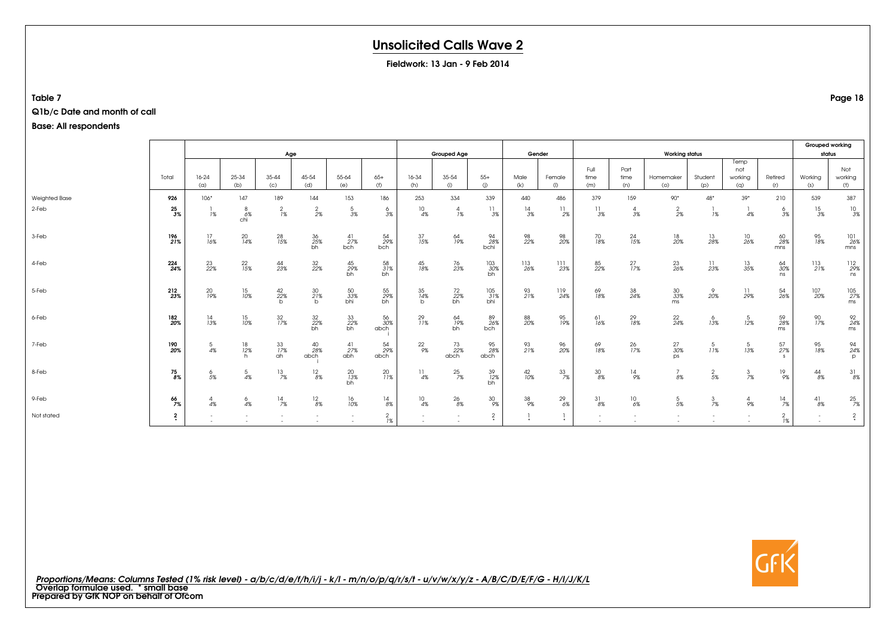Fieldwork: 13 Jan - 9 Feb 2014

#### Table 7

Q1b/c Date and month of call

#### Base: All respondents

|               |                                      |                      |                      | Age                     |                         |                          |                                  |                        | Grouped Age                     |                                                   | Gender         |                  |                        |                        | <b>Working status</b> |                  |                               |                  | Grouped working<br>status |                         |
|---------------|--------------------------------------|----------------------|----------------------|-------------------------|-------------------------|--------------------------|----------------------------------|------------------------|---------------------------------|---------------------------------------------------|----------------|------------------|------------------------|------------------------|-----------------------|------------------|-------------------------------|------------------|---------------------------|-------------------------|
|               | Total                                | 16-24<br>(a)         | 25-34<br>(b)         | 35-44<br>(c)            | 45-54<br>(d)            | 55-64<br>(e)             | $65+$<br>(f)                     | 16-34<br>(h)           | 35-54<br>(i)                    | $55+$<br>(i)                                      | Male<br>(k)    | Female<br>(1)    | Full<br>time<br>(m)    | Part<br>time<br>(n)    | Homemaker<br>(0)      | Student<br>(p)   | Temp<br>not<br>working<br>(q) | Retired<br>(r)   | Working<br>(s)            | Not<br>working<br>(t)   |
| Weighted Base | 926                                  | $106*$               | 147                  | 189                     | 144                     | 153                      | 186                              | 253                    | 334                             | 339                                               | 440            | 486              | 379                    | 159                    | 90*                   | 48*              | $39*$                         | 210              | 539                       | 387                     |
| 2-Feb         | 25<br>3%                             | 1%                   | 8<br>6%<br>chi       | $\overline{2}$<br>1%    | $\overline{2}$<br>2%    | 5<br>3%                  | 6<br>3%                          | 10 <sup>°</sup><br>4%  | $^4_{\hbox{{\scriptsize 1\%}}}$ | $\overline{11}$<br>3%                             | 14<br>3%       | 11<br>2%         | 11<br>3%               | $\overline{4}$<br>3%   | $^2_{2\%}$            | 1%               | 4%                            | 6<br>3%          | 15<br>3%                  | $^{10}_{3\%}$           |
| 3-Feb         | 196<br>21%                           | 17<br>16%            | 20<br>14%            | 28<br>15%               | 36<br>25%<br>bh         | 41<br>27%<br>bch         | 54<br>29%<br>bch                 | 37<br>15%              | 64<br>19%                       | 94<br>28%<br>bchi                                 | 98<br>22%      | 98<br>20%        | 70<br>18%              | 24<br>15%              | 18<br>20%             | 13<br>28%        | 10<br>26%                     | 60<br>28%<br>mns | 95<br>18%                 | 101<br>26%<br>mns       |
| 4-Feb         | 224<br>24%                           | 23<br>22%            | $^{22}_{15\%}$       | $\frac{44}{23\%}$       | $\frac{32}{22\%}$       | $^{45}_{29\%}$<br>bh     | 58<br>31%<br>bh                  | 45<br>18%              | $\frac{76}{23\%}$               | 103<br>30%<br>bh                                  | 113<br>26%     | 111<br>23%       | 85<br>22%              | 27<br>17%              | 23<br>26%             | 11<br>23%        | $\frac{13}{35\%}$             | 64<br>30%<br>ns  | 113<br>21%                | 112<br>29%<br>ns        |
| 5-Feb         | $^{212}_{23\%}$                      | $^{20}_{19\%}$       | $^{15}_{10\%}$       | $^{42}_{22\%}$<br>b     | $\frac{30}{21\%}$<br>b  | $\frac{50}{33\%}$<br>bhi | 55<br>29%<br>bh                  | $\frac{35}{14\%}$<br>b | $^{72}_{22\%}$<br>bh            | $\begin{array}{c} 105 \\ 31\% \end{array}$<br>bhi | 93<br>21%      | 119<br>24%       | 69<br>18%              | $\frac{38}{24%}$       | 30<br>33%<br>ms       | 9<br>20%         | $^{11}_{29\%}$                | $^{54}_{26\%}$   | $^{107}_{20\%}$           | 105<br>27%<br>ms        |
| 6-Feb         | 182<br>20%                           | $^{14}_{13\%}$       | $^{15}_{10\%}$       | $\frac{32}{17\%}$       | $\frac{32}{22\%}$<br>bh | $\frac{33}{22\%}$<br>bh  | 56<br>30%<br>abch                | $^{29}_{11\%}$         | 64<br>19%<br>bh                 | 89<br>26%<br>bch                                  | 88<br>20%      | 95<br>19%        | 61<br>16%              | $^{29}_{18\%}$         | $^{22}_{24\%}$        | 6<br>13%         | $\frac{5}{12\%}$              | 59<br>28%<br>ms  | 90<br>17%                 | $\frac{92}{24\%}$<br>ms |
| 7-Feb         | 190<br>20%                           | $\frac{5}{4\%}$      | $^{18}_{12\%}$<br>h. | $\frac{33}{17\%}$<br>ah | $^{40}_{28\%}$<br>abch  | 41<br>27%<br>abh         | 54<br>29%<br>abch                | $^{22}_{\rm 9\%}$      | $^{73}_{22\%}$<br>abch          | 95<br>28%<br>abch                                 | 93<br>21%      | 96<br>20%        | 69<br>18%              | $^{26}_{17\%}$         | 27<br>30%<br>ps       | $\frac{5}{11\%}$ | $\frac{5}{13\%}$              | 57<br>27%<br>- S | 95<br>18%                 | $\frac{94}{24\%}$<br>p  |
| 8-Feb         | 75<br>8%                             | $^6_{5\%}$           | $\frac{5}{4\%}$      | $\frac{13}{7\%}$        | $\frac{12}{8\%}$        | 20<br>13%<br>bh          | $20\degree$<br>$\overline{11}\%$ | $\frac{11}{4\%}$       | $^{25}_{7\%}$                   | 39<br>12%<br>bh                                   | $^{42}_{10\%}$ | $\frac{33}{7\%}$ | $\substack{30 \\ 8\%}$ | $^{14}_{9\%}$          | $\overline{7}$<br>8%  | $^2_{5\%}$       | $\frac{3}{7\%}$               | 19<br>9%         | $\substack{44 \\ 8\%}$    | $\frac{31}{8\%}$        |
| 9-Feb         | 66<br>7%                             | $\overline{A}$<br>4% | $^{\rm 6}_{\rm 4\%}$ | $^{14}_{7\%}$           | $\frac{12}{8\%}$        | $\frac{16}{10\%}$        | $\frac{14}{8\%}$                 | 10 <sup>°</sup><br>4%  | $^{26}_{\,\,8\%}$               | 30 <sup>°</sup><br>9%                             | 38<br>9%       | 29<br>6%         | $\frac{31}{8\%}$       | 10 <sup>10</sup><br>6% | $\frac{5}{5\%}$       | $\frac{3}{7\%}$  | 4<br>9%                       | 14<br>7%         | 41<br>8%                  | $^{25}_{7\%}$           |
| Not stated    | $\overline{\mathbf{2}}$<br>$\bullet$ |                      | $\sim$               |                         |                         | $\sim$<br>$\sim$         | $\frac{2}{1\%}$                  |                        | $\sim$                          | $\overline{2}$<br>$\bullet$                       | $\bullet$      | $\cdot$          | $\sim$                 |                        |                       |                  | $\overline{a}$<br>$\sim$      | $\frac{2}{1\%}$  |                           | $\frac{2}{\epsilon}$    |

Proportions/Means: Columns Tested (1% risk level) - a/b/c/d/e/f/h/i/j - k/l - m/n/o/p/q/r/s/t - u/v/w/x/y/z - A/B/C/D/E/F/G - H/I/J/K/L<br>Overlap formulae used. \* small base<br>Prepared by GfK NOP on behalf of Ofcom

7 August 2014 and 2014 and 2014 and 2014 and 2014 and 2014 and 2014 and 2014 and 2014 and 2014 and 2014 and 20<br>The contract of the contract of the contract of the contract of the contract of the contract of the contract o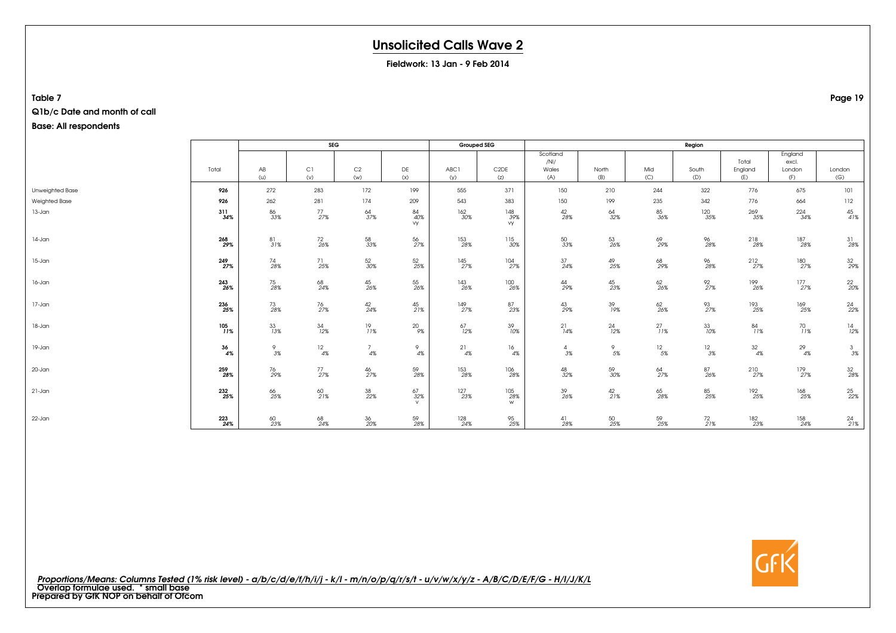Fieldwork: 13 Jan - 9 Feb 2014

#### Table 7

Q1b/c Date and month of call

#### Base: All respondents

|                        |                    |                   | SEG               |                         |                          | Grouped SEG                                |                                            |                                  |                         |                  | Region            |                                            |                                            |                           |
|------------------------|--------------------|-------------------|-------------------|-------------------------|--------------------------|--------------------------------------------|--------------------------------------------|----------------------------------|-------------------------|------------------|-------------------|--------------------------------------------|--------------------------------------------|---------------------------|
|                        | Total              | AB<br>(u)         | C1<br>(v)         | $\mathbb{C}2$<br>(w)    | DE<br>(x)                | ABC1<br>(y)                                | C <sub>2</sub> DE<br>(z)                   | Scotland<br>/NI/<br>Wales<br>(A) | North<br>(B)            | Mid<br>(C)       | South<br>(D)      | Total<br>England<br>(E)                    | England<br>excl.<br>London<br>(F)          | London<br>(G)             |
| <b>Unweighted Base</b> | 926                | 272               | 283               | 172                     | 199                      | 555                                        | 371                                        | 150                              | 210                     | 244              | 322               | 776                                        | 675                                        | 101                       |
| <b>Weighted Base</b>   | 926                | 262               | 281               | 174                     | 209                      | 543                                        | 383                                        | 150                              | 199                     | 235              | 342               | 776                                        | 664                                        | 112                       |
| $13 - Jan$             | 311<br>34%         | 86<br>33%         | $^{77}_{27\%}$    | $^{64}_{37\%}$          | 84<br>40%<br>vy          | $\frac{162}{30\%}$                         | 148<br>39%<br>vy                           | $^{42}_{\ 28\%}$                 | 64<br>32%               | 85<br>36%        | 120<br>35%        | 269<br>35%                                 | $\frac{224}{34\%}$                         | $^{45}_{\,41\%}$          |
| 14-Jan                 | 268<br>29%         | $\frac{81}{31\%}$ | $\frac{72}{26\%}$ | $\frac{58}{33\%}$       | $\frac{56}{27\%}$        | 153<br>28%                                 | $^{115}_{\phantom{1}30\%}$                 | 50<br>33%                        | $^{53}_{\,26\%}$        | 69<br>29%        | 96<br>28%         | $\begin{array}{c} 218 \\ 28\% \end{array}$ | $\begin{array}{c} 187 \\ 28\% \end{array}$ | $\frac{31}{28\%}$         |
| 15-Jan                 | 249<br>27%         | 74<br>28%         | $\frac{71}{25\%}$ | $^{52}_{30\%}$          | $\frac{52}{25\%}$        | $\begin{array}{c} 145 \\ 27\% \end{array}$ | $\begin{array}{c} 104 \\ 27\% \end{array}$ | $\frac{37}{24\%}$                | $\substack{49 \\ 25\%}$ | 68<br>29%        | 96<br>28%         | $^{212}_{27\%}$                            | 180<br>27%                                 | $\frac{32}{29\%}$         |
| 16-Jan                 | 243<br>26%         | $^{75}_{28\%}$    | $^{68}_{24\%}$    | $\substack{45 \\ 26\%}$ | 55<br>26%                | $\begin{array}{c} 143 \\ 26\% \end{array}$ | $\begin{array}{c} 100 \\ 26\% \end{array}$ | 44<br>29%                        | $\frac{45}{23\%}$       | $^{62}_{26\%}$   | $\frac{92}{27\%}$ | 199<br>26%                                 | $\begin{array}{c} 177 \\ 27\% \end{array}$ | $^{22}_{\ 20\%}$          |
| 17-Jan                 | 236<br>25%         | $^{73}_{28\%}$    | $\frac{76}{27\%}$ | $^{42}_{24\%}$          | 45<br>21%                | 149<br>27%                                 | 87<br>23%                                  | $^{43}_{29\%}$                   | 39<br>19%               | $^{62}_{26\%}$   | 93<br>27%         | 193<br>25%                                 | 169<br>25%                                 | $^{24}_{22\%}$            |
| 18-Jan                 | $\frac{105}{11\%}$ | $\frac{33}{13\%}$ | $\frac{34}{12\%}$ | $^{19}_{11\%}$          | $^{20}_{\mathcal{9\%}}$  | 67<br>12%                                  | $\frac{39}{10\%}$                          | $^{21}_{14\%}$                   | $^{24}_{12\%}$          | $^{27}_{11\%}$   | $\frac{33}{10\%}$ | $^{84}_{11\%}$                             | $^{70}_{11\%}$                             | $^{14}_{\phantom{1}12\%}$ |
| 19-Jan                 | 36<br>4%           | 9<br>3%           | $\frac{12}{4\%}$  | $7^{\circ}$<br>$4\%$    | 9<br>$4\%$               | $^{21}_{4\%}$                              | $\frac{16}{4\%}$                           | $\frac{4}{3\%}$                  | $\frac{9}{5\%}$         | $\frac{12}{5\%}$ | $\frac{12}{3\%}$  | $\frac{32}{4\%}$                           | $\substack{29 \\ 4\%}$                     | $3\over 3\%$              |
| 20-Jan                 | 259<br>28%         | 76<br>29%         | $^{77}_{27\%}$    | $^{46}_{27\%}$          | 59<br>28%                | <sup>153</sup> <sub>28%</sub>              | 106<br>28%                                 | $\frac{48}{32\%}$                | 59<br>30%               | 64<br>27%        | 87<br>26%         | $^{210}_{27\%}$                            | 179<br>27%                                 | $^{32}_{\ 28\%}$          |
| $21$ -Jan              | 232<br>25%         | 66<br>25%         | $^{60}_{\,21\%}$  | $^{38}_{\ 22\%}$        | $^{67}_{32\%}$<br>$\vee$ | $\begin{array}{c} 127 \\ 23\% \end{array}$ | $^{105}_{\phantom{1}28\%}$<br>W            | 39<br>26%                        | $^{42}_{\ 21\%}$        | 65<br>28%        | 85<br>25%         | 192<br>25%                                 | 168<br>25%                                 | $^{25}_{\  \, 22\%}$      |
| 22-Jan                 | 223<br>24%         | $^{60}_{23\%}$    | $^{68}_{24\%}$    | 36<br>20%               | 59<br>28%                | 128<br>24%                                 | 95<br>25%                                  | $^{41}_{\ 28\%}$                 | 50<br>25%               | 59<br>25%        | $\frac{72}{21\%}$ | 182<br>23%                                 | 158<br>24%                                 | $^{24}_{\rm 21\%}$        |

Proportions/Means: Columns Tested (1% risk level) - a/b/c/d/e/f/h/i/j - k/l - m/n/o/p/q/r/s/t - u/v/w/x/y/z - A/B/C/D/E/F/G - H/l/J/K/L<br>Overlap formulae used. \* small base<br>Prepared by GfK NOP on behalf of Ofcom

7 and the contract of the contract of the contract of the contract of the contract of the contract of the contract of the contract of the contract of the contract of the contract of the contract of the contract of the cont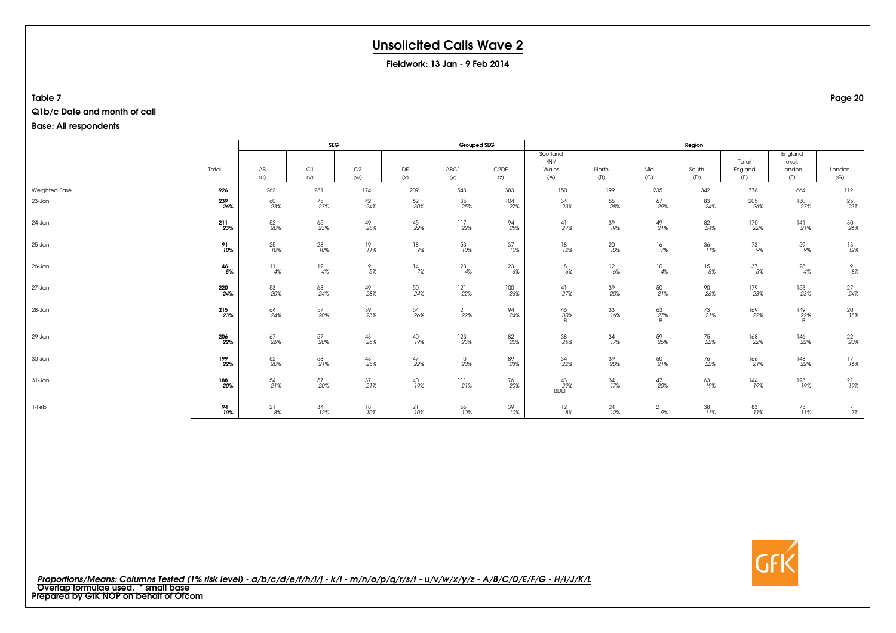Fieldwork: 13 Jan - 9 Feb 2014

#### Table 7

Q1b/c Date and month of call

#### Base: All respondents

|                      |                  |                           |                   | <b>SEG</b>              |                   | Grouped SEG                                |                                            |                                                |                         |                                                 | Region            |                           |                                                      |                   |
|----------------------|------------------|---------------------------|-------------------|-------------------------|-------------------|--------------------------------------------|--------------------------------------------|------------------------------------------------|-------------------------|-------------------------------------------------|-------------------|---------------------------|------------------------------------------------------|-------------------|
|                      | Total            | AB<br>(u)                 | C1<br>(v)         | C2<br>(w)               | DE<br>(x)         | ABC1<br>(y)                                | C <sub>2</sub> DE<br>(z)                   | Scotland<br>/NI/<br>Wales<br>(A)               | North<br>(B)            | Mid<br>(C)                                      | South<br>(D)      | Total<br>England<br>(E)   | England<br>excl.<br>London<br>(F)                    | London<br>(G)     |
| <b>Weighted Base</b> | 926              | 262                       | 281               | 174                     | 209               | 543                                        | 383                                        | 150                                            | 199                     | 235                                             | 342               | 776                       | 664                                                  | 112               |
| $23$ -Jan            | 239<br>26%       | $^{60}_{23\%}$            | $^{75}_{27\%}$    | $^{42}_{24\%}$          | $\frac{62}{30\%}$ | $\begin{array}{c} 135 \\ 25\% \end{array}$ | $\begin{array}{c} 104 \\ 27\% \end{array}$ | $\frac{34}{23\%}$                              | $\frac{55}{28\%}$       | 67<br>29%                                       | 83<br>24%         | $\underset{26\%}{^{205}}$ | $\begin{array}{c} 180 \\ 27\% \end{array}$           | $^{25}_{23\%}$    |
| 24-Jan               | 211<br>23%       | $^{52}_{\ 20\%}$          | $^{65}_{23\%}$    | $\substack{49 \\ 28\%}$ | $\frac{45}{22\%}$ | 117<br>22%                                 | 94<br>25%                                  | $^{41}_{\ 27\%}$                               | 39<br>19%               | $^{49}_{21\%}$                                  | 82<br>24%         | 170<br>22%                | $\begin{array}{c} 141 \\ 21\% \end{array}$           | $\frac{30}{26\%}$ |
| 25-Jan               | 91<br>10%        | $^{25}_{10\%}$            | $^{28}_{10\%}$    | $^{19}_{11\%}$          | $\frac{18}{9\%}$  | $\frac{53}{10\%}$                          | $\frac{37}{10\%}$                          | $^{18}_{12\%}$                                 | $^{20}_{10\%}$          | $\frac{16}{7%}$                                 | $\frac{36}{11\%}$ | $^{73}$ %                 | $^{59}_{9\%}$                                        | $\frac{13}{12\%}$ |
| 26-Jan               | $\frac{46}{5\%}$ | $^{11}_{\hphantom{1}4\%}$ | $\frac{12}{4\%}$  | $^9_{5\%}$              | $\frac{14}{7\%}$  | $^{23}_{4\%}$                              | $\frac{23}{6\%}$                           | $\frac{8}{6\%}$                                | $\frac{12}{6\%}$        | $^{10}_{\phantom{1}4\%}$                        | $\frac{15}{5\%}$  | $37$ $5\%$                | $^{28}_{\ \ 4\%}$                                    | $^{\rm o}_{s\%}$  |
| 27-Jan               | 220<br>24%       | $\frac{53}{20\%}$         | $^{68}_{24\%}$    | $^{49}_{28\%}$          | $\frac{50}{24\%}$ | $\begin{array}{c} 121 \\ 22\% \end{array}$ | $\begin{array}{c} 100 \\ 26\% \end{array}$ | $^{41}_{27\%}$                                 | 39<br>20%               | $^{50}_{21\%}$                                  | 90<br>26%         | 179<br>23%                | <sup>153</sup> <sub>23%</sub>                        | $^{27}_{24\%}$    |
| 28-Jan               | 215<br>23%       | $^{64}_{24\%}$            | $\frac{57}{20\%}$ | $\frac{39}{23\%}$       | 54<br>26%         | $\begin{array}{c} 121 \\ 22\% \end{array}$ | 94<br>24%                                  | $\frac{46}{30\%}$<br>B.                        | $\frac{33}{16\%}$       | $^{63}_{\substack{27}{\scriptstyle\mathrm{B}}}$ | $\frac{73}{21\%}$ | 169<br>22%                | $\begin{array}{c} 149 \\ 22\% \\ \hline \end{array}$ | $^{20}_{18\%}$    |
| 29-Jan               | 206<br>22%       | $^{67}_{26\%}$            | $^{57}_{20\%}$    | $\substack{43 \\ 25\%}$ | $^{40}_{19\%}$    | 123<br>23%                                 | 82<br>22%                                  | $\frac{38}{25\%}$                              | $\frac{34}{17\%}$       | 59<br>25%                                       | $\frac{75}{22\%}$ | 168<br>22%                | 146<br>22%                                           | $^{22}_{20\%}$    |
| 30-Jan               | 199<br>22%       | 52<br>20%                 | $^{58}_{21\%}$    | $\substack{43 \\ 25\%}$ | $^{47}_{22\%}$    | 110<br>20%                                 | 89<br>23%                                  | $^{34}_{22\%}$                                 | $\substack{39 \\ 20\%}$ | $^{50}_{21\%}$                                  | 76<br>22%         | $\frac{166}{21\%}$        | 148<br>22%                                           | $^{17}_{16\%}$    |
| 31-Jan               | 188<br>20%       | $^{54}_{21\%}$            | $^{57}_{20\%}$    | $\frac{37}{21\%}$       | $^{40}_{19\%}$    | $\begin{array}{c} 111 \\ 21\% \end{array}$ | 76<br>20%                                  | $\begin{array}{c} 43 \\ 29\% \end{array}$ BDEF | $\frac{34}{17\%}$       | $^{47}_{20\%}$                                  | 63<br>79%         | 144<br><i>19</i> %        | $\frac{123}{19\%}$                                   | $^{21}_{19\%}$    |
| 1-Feb                | 94<br>10%        | $^{21}_{8\%}$             | $\frac{34}{12\%}$ | $\frac{18}{10\%}$       | $^{21}_{10\%}$    | $\frac{55}{10\%}$                          | $\frac{39}{10\%}$                          | $\frac{12}{8\%}$                               | $^{24}_{12\%}$          | $^{21}_{9\%}$                                   | $\frac{38}{11\%}$ | $^{83}_{11\%}$            | $^{75}_{11\%}$                                       | $\frac{7}{7\%}$   |



Proportions/Means: Columns Tested (1% risk level) - a/b/c/d/e/f/h/i/j - k/l - m/n/o/p/q/r/s/t - u/v/w/x/y/z - A/B/C/D/E/F/G - H/l/J/K/L<br>Overlap formulae used. \* small base<br>Prepared by GfK NOP on behalf of Ofcom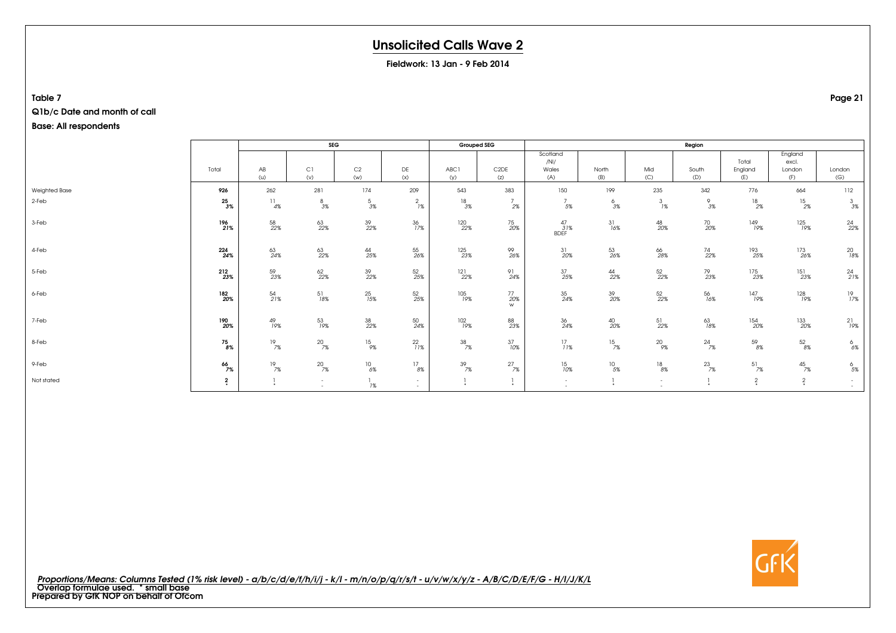Fieldwork: 13 Jan - 9 Feb 2014

#### Table 7

Q1b/c Date and month of call

#### Base: All respondents

|                      |                         | SEG               |                                            |                           |                                      | <b>Grouped SEG</b>                         |                          |                                        |                          |                   | Region                |                          |                                            |                          |
|----------------------|-------------------------|-------------------|--------------------------------------------|---------------------------|--------------------------------------|--------------------------------------------|--------------------------|----------------------------------------|--------------------------|-------------------|-----------------------|--------------------------|--------------------------------------------|--------------------------|
|                      | Total                   | AB<br>(u)         | C1<br>(v)                                  | C2<br>(w)                 | DE<br>(x)                            | ABC1<br>(y)                                | C <sub>2</sub> DE<br>(z) | Scotland<br>$/$ NI $/$<br>Wales<br>(A) | North<br>(B)             | Mid<br>(C)        | South<br>(D)          | Total<br>England<br>(E)  | England<br>excl.<br>London<br>(F)          | London<br>(G)            |
| <b>Weighted Base</b> | 926                     | 262               | 281                                        | 174                       | 209                                  | 543                                        | 383                      | 150                                    | 199                      | 235               | 342                   | 776                      | 664                                        | 112                      |
| 2-Feb                | $\frac{25}{3\%}$        | 11<br>4%          | $\frac{8}{3\%}$                            | $^5_{3\%}$                | $2\phantom{12}\phantom{12}\!\!\!7\%$ | $\frac{18}{3\%}$                           | $7\over 2\%$             | 5%                                     | $^6_{3\%}$               | $\frac{3}{1\%}$   | $\frac{9}{3\%}$       | $\frac{18}{2\%}$         | $\frac{15}{2\%}$                           | $_{\rm 3\%}^{\rm 3}$     |
| 3-Feb                | 196<br>21%              | $\frac{58}{22\%}$ | $^{63}_{22\%}$                             | $\frac{39}{22\%}$         | $\frac{36}{17\%}$                    | $\begin{array}{c} 120 \\ 22\% \end{array}$ | 75<br>20%                | 47<br>$\frac{37}{37}$ %                | $\frac{31}{16\%}$        | $^{48}_{\ 20\%}$  | 70<br>20%             | 149<br><i>19%</i>        | $\frac{125}{19\%}$                         | $^{24}_{22\%}$           |
| 4-Feb                | 224<br>24%              | 63<br>24%         | $^{63}_{22\%}$                             | $\frac{44}{25\%}$         | 55<br>26%                            | $\begin{array}{c} 125 \\ 23\% \end{array}$ | 99<br>26%                | $\frac{31}{20\%}$                      | $^{53}_{26\%}$           | 66<br>28%         | $\frac{74}{22\%}$     | 193<br>25%               | 173<br>26%                                 | $^{20}_{18\%}$           |
| 5-Feb                | 212<br>23%              | 59<br>23%         | $^{62}_{22\%}$                             | $\frac{39}{22\%}$         | $\frac{52}{25\%}$                    | $\begin{array}{c} 121 \\ 22\% \end{array}$ | $\frac{91}{24\%}$        | $\frac{37}{25\%}$                      | $^{44}_{22\%}$           | $\frac{52}{22\%}$ | 79<br>23%             | 175<br>23%               | $\begin{array}{c} 151 \\ 23\% \end{array}$ | $^{24}_{21\%}$           |
| 6-Feb                | 182<br>20%              | $^{54}_{21\%}$    | $^{51}_{18\%}$                             | $^{25}_{\phantom{1}75\%}$ | $\frac{52}{25\%}$                    | $\frac{105}{19\%}$                         | 77<br>20%<br>W           | 35<br>24%                              | 39<br>20%                | $\frac{52}{22\%}$ | 56<br>16%             | 147<br><i>19</i> %       | $\frac{128}{19\%}$                         | $^{19}_{17\%}$           |
| 7-Feb                | 190<br>20%              | $\frac{49}{19\%}$ | $\frac{53}{19\%}$                          | $\frac{38}{22\%}$         | $\frac{50}{24\%}$                    | $\frac{102}{19\%}$                         | 88<br>23%                | 36<br>24%                              | $^{40}_{\,20\%}$         | $\frac{51}{22\%}$ | $^{63}_{18\%}$        | 154<br>20%               | 133<br>20%                                 | $^{21}_{19\%}$           |
| 8-Feb                | $\frac{75}{8\%}$        | $\frac{19}{7\%}$  | $^{20}$ 7%                                 | $\frac{15}{9\%}$          | $^{22}_{11\%}$                       | $\frac{38}{7\%}$                           | $\frac{37}{10\%}$        | $^{17}_{11\%}$                         | $\frac{15}{7\%}$         | $^{20}_{9\%}$     | $^{24}$ <sub>7%</sub> | $^{59}_{\phantom{1}8\%}$ | $52\phantom{1}8\%$                         | $^6_{6\%}$               |
| 9-Feb                | 66<br>7%                | $\frac{19}{7\%}$  | $^{20}_{\phantom{1}\mathbf{7}\mathbf{\%}}$ | $\frac{10}{6\%}$          | $^{17}_{\phantom{1}8\%}$             | $\begin{array}{c} 39 \\ 7\% \end{array}$   | 27<br>7%                 | $^{15}_{10\%}$                         | $^{10}_{\phantom{1}5\%}$ | $\frac{18}{8\%}$  | $^{23}$ <sub>7%</sub> | $\frac{51}{7\%}$         | $\frac{45}{7\%}$                           | $^6_{5\%}$               |
| Not stated           | $\overline{\mathbf{2}}$ | $\bullet$         | $\sim$<br>$\sim$                           | 1%                        | $\sim$<br>$\sim$ 10 $\pm$            |                                            |                          | $\sim$<br>$\sim$                       |                          | $\sim$<br>$\sim$  |                       | $\frac{2}{1}$            | $\frac{2}{3}$                              | <b>Section</b><br>$\sim$ |



Proportions/Means: Columns Tested (1% risk level) - a/b/c/d/e/f/h/i/j - k/l - m/n/o/p/q/r/s/t - u/v/w/x/y/z - A/B/C/D/E/F/G - H/l/J/K/L<br>Overlap formulae used. \* small base<br>Prepared by GfK NOP on behalf of Ofcom

7 and the contract of the contract of the contract of the contract of the contract of the contract of the contract of the contract of the contract of the contract of the contract of the contract of the contract of the cont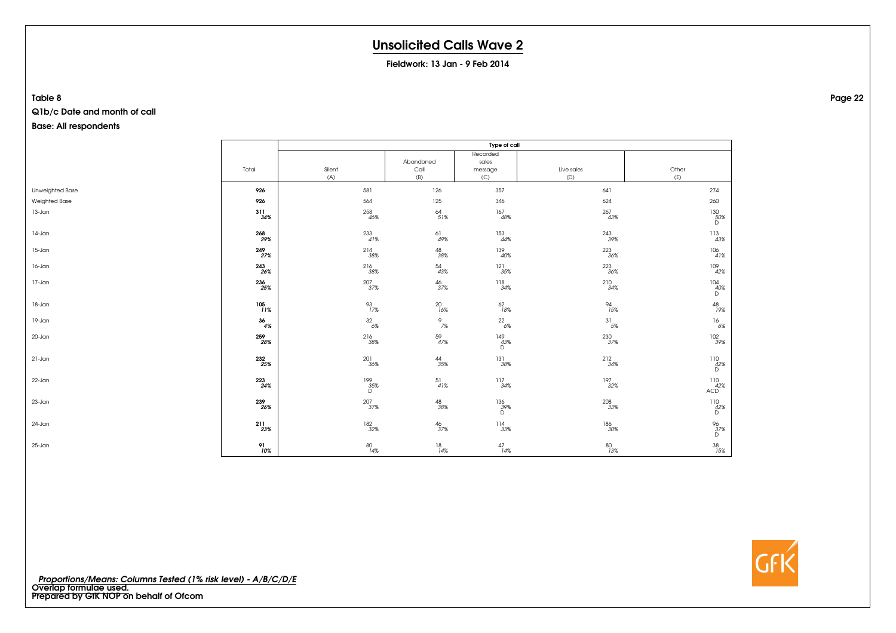Fieldwork: 13 Jan - 9 Feb 2014

#### Table 8

Q1b/c Date and month of call

#### Base: All respondents

|                 |                                            | Type of call                       |                                                                                    |                                            |                           |                                                        |  |  |  |  |  |  |
|-----------------|--------------------------------------------|------------------------------------|------------------------------------------------------------------------------------|--------------------------------------------|---------------------------|--------------------------------------------------------|--|--|--|--|--|--|
|                 | Total                                      | Silent<br>(A)                      | Abandoned<br>Call<br>(B)                                                           | Recorded<br>sales<br>message<br>(C)        | Live sales<br>(D)         | Other<br>(E)                                           |  |  |  |  |  |  |
| Unweighted Base | 926                                        | 581                                | 126                                                                                | 357                                        | 641                       | 274                                                    |  |  |  |  |  |  |
| Weighted Base   | 926                                        | 564                                | 125                                                                                | 346                                        | 624                       | 260                                                    |  |  |  |  |  |  |
| 13-Jan          | $\begin{array}{c} 311 \\ 34\% \end{array}$ | 258<br>46%                         | $^{64}_{51\%}$                                                                     | 167<br>48%                                 | 267<br>43%                | $\underset{\begin{array}{c} 130\\ D \end{array}}{130}$ |  |  |  |  |  |  |
| 14-Jan          | 268<br>29%                                 | $\overset{233}{\underset{41\%}{}}$ | $^{61}_{49\%}$                                                                     | 153<br>44%                                 | 243<br>39%                | $\begin{array}{c} 113 \\ 43\% \end{array}$             |  |  |  |  |  |  |
| 15-Jan          | 249<br>27%                                 | $\overset{214}{_{38\%}}$           | $\substack{48 \\ 38\%}$                                                            | 139<br>40%                                 | 223<br>36%                | $\begin{array}{c} 106 \\ 41\% \end{array}$             |  |  |  |  |  |  |
| 16-Jan          | 243<br>26%                                 | $^{216}_{38\%}$                    | $\overset{54}{\mathbf{43\%}}$                                                      | $\begin{array}{c} 121 \\ 35\% \end{array}$ | $\underset{36\%}{^{223}}$ | $\frac{109}{42\%}$                                     |  |  |  |  |  |  |
| $17 - Jan$      | 236<br>25%                                 | $\overset{207}{_{37\%}}$           | $\substack{46 \\ 37\%}$                                                            | $\begin{array}{c} 118 \\ 34\% \end{array}$ | $\underset{34\%}{^{210}}$ | 104<br>40%<br>D                                        |  |  |  |  |  |  |
| $18 - Jan$      | $\frac{105}{11\%}$                         | $\frac{93}{17\%}$                  | $^{20}_{\phantom{1} \phantom{1} \phantom{1} \phantom{1} \phantom{1} \phantom{1} }$ | $^{62}_{18\%}$                             | $^{94}_{\phantom{1}15\%}$ | $\underset{19\%}{^{48}}$                               |  |  |  |  |  |  |
| 19-Jan          | $\frac{36}{4\%}$                           | $\frac{32}{6\%}$                   | $\frac{9}{7\%}$                                                                    | $\frac{22}{6\%}$                           | $\frac{31}{5\%}$          | 16<br>6%                                               |  |  |  |  |  |  |
| 20-Jan          | 259<br>28%                                 | $\overset{216}{_{38\%}}$           | $\frac{59}{47\%}$                                                                  | 149<br>43%<br>D                            | 230<br>37%                | 102<br>39%                                             |  |  |  |  |  |  |
| 21-Jan          | 232<br>25%                                 | 201<br>36%                         | $\frac{44}{35\%}$                                                                  | $\begin{array}{c} 131 \\ 38\% \end{array}$ | $\overset{212}{_{34\%}}$  | $\frac{110}{42\%}$<br>D                                |  |  |  |  |  |  |
| 22-Jan          | 223<br>24%                                 | 199<br>35%<br>D                    | $^{51}_{\ 41\%}$                                                                   | $^{117}_{\phantom{1}34\%}$                 | 197<br>32%                | $\frac{110}{42\%}$<br>ACD                              |  |  |  |  |  |  |
| 23-Jan          | 239<br>26%                                 | $\overset{207}{_{37\%}}$           | $\substack{48 \\ 38\%}$                                                            | 136<br>39%<br>D                            | $\underset{33\%}{^{208}}$ | $\begin{array}{c}\n110 \\ 42\% \\ D\n\end{array}$      |  |  |  |  |  |  |
| 24-Jan          | $\frac{211}{23\%}$                         | 182<br>32%                         | $\frac{46}{37\%}$                                                                  | $\begin{array}{c} 114 \\ 33\% \end{array}$ | 186<br>30%                | $\frac{96}{37\%}$<br>D                                 |  |  |  |  |  |  |
| 25-Jan          | 91<br>10%                                  | $80 \atop 14\%$                    | $\underset{14\%}{^{18}}$                                                           | $^{47}_{\phantom{1}14\%}$                  | $\underset{13\%}{80}$     | $\frac{38}{15\%}$                                      |  |  |  |  |  |  |



Page 22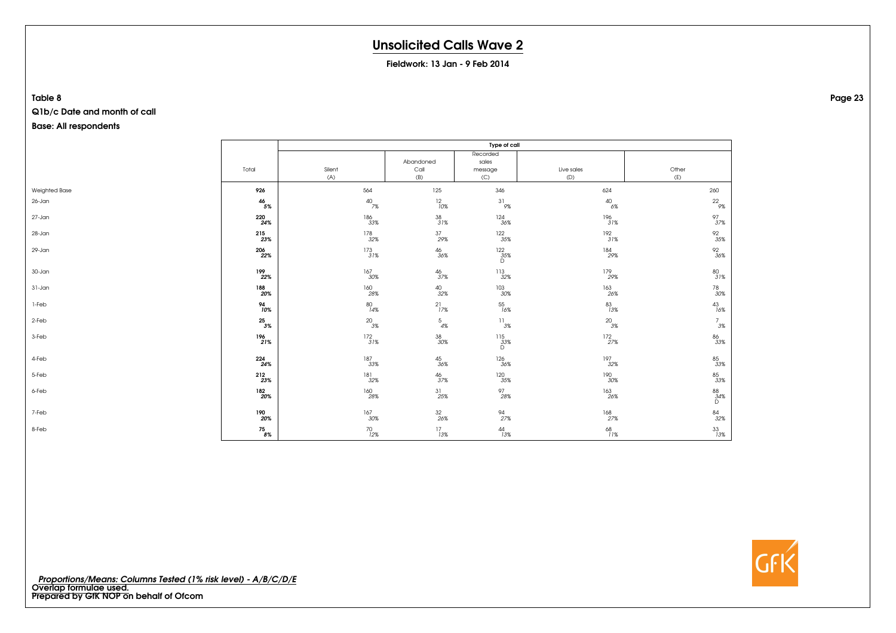Fieldwork: 13 Jan - 9 Feb 2014

#### Table 8Page 23

Q1b/c Date and month of call

#### Base: All respondents

|               |                  | Type of call                               |                                   |                                                               |                                            |                                           |  |  |  |  |  |  |
|---------------|------------------|--------------------------------------------|-----------------------------------|---------------------------------------------------------------|--------------------------------------------|-------------------------------------------|--|--|--|--|--|--|
|               | Total            | Silent<br>(A)                              | Abandoned<br>Call<br>(B)          | Recorded<br>sales<br>message<br>(C)                           | Live sales<br>(D)                          | Other<br>(E)                              |  |  |  |  |  |  |
| Weighted Base | 926              | 564                                        | 125                               | 346                                                           | 624                                        | 260                                       |  |  |  |  |  |  |
| 26-Jan        | 46/5%            | $^{40}$ <sub>7%</sub>                      | $^{12}_{\hbox{10\%}}$             | $31_{9\%}$                                                    | $^{40}_{6\%}$                              | $^{22}_{\vphantom{1}9\%}$                 |  |  |  |  |  |  |
| 27-Jan        | 220<br>24%       | 186<br>33%                                 | $\frac{38}{31\%}$                 | $\begin{array}{c} 124 \\ 36\% \end{array}$                    | $\frac{196}{31\%}$                         | $\frac{97}{37\%}$                         |  |  |  |  |  |  |
| 28-Jan        | 215<br>23%       | 178<br>32%                                 | $^{37}_{\ 29\%}$                  | $\begin{array}{c} 122 \\ 35\% \end{array}$                    | $\begin{array}{c} 192 \\ 31\% \end{array}$ | $\substack{92 \\ 35\%}$                   |  |  |  |  |  |  |
| 29-Jan        | 206<br>22%       | $\begin{array}{c} 173 \\ 31\% \end{array}$ | $\substack{46 \\ 36\%}$           | $\underset{\begin{array}{c}\n0.95 \\ 0.95\n\end{array}}{122}$ | 184<br>29%                                 | $\frac{92}{36\%}$                         |  |  |  |  |  |  |
| 30-Jan        | 199<br>22%       | $\frac{167}{30\%}$                         | $\frac{46}{37%}$                  | $\begin{array}{c} 113 \\ 32\% \end{array}$                    | 179<br>29%                                 | $\substack{80\\31\%}$                     |  |  |  |  |  |  |
| 31-Jan        | 188<br>20%       | $\begin{array}{c} 160 \\ 28\% \end{array}$ | $\substack{40 \\ 32\%}$           | $^{103}_{30\%}$                                               | 163<br>26%                                 | $^{78}_{\ 30\%}$                          |  |  |  |  |  |  |
| 1-Feb         | 94<br>10%        | $80 \atop 14\%$                            | $^{21}_{\hbox{\scriptsize 17\%}}$ | $\frac{55}{16\%}$                                             | $\underset{13\%}{^{83}}$                   | $\frac{43}{16\%}$                         |  |  |  |  |  |  |
| 2-Feb         | $\frac{25}{3\%}$ | $^{20}_{\phantom{1}3\%}$                   | $5$ $4\%$                         | $\frac{11}{3\%}$                                              | $^{20}_{\phantom{1}3\%}$                   | $7\over 3\%$                              |  |  |  |  |  |  |
| 3-Feb         | 196<br>21%       | $^{172}_{\phantom{1}31\%}$                 | $\substack{38 \\ 30\%}$           | 115<br>33%<br>D                                               | 172<br>27%                                 | 86<br>33%                                 |  |  |  |  |  |  |
| 4-Feb         | 224<br>24%       | 187<br>33%                                 | $\substack{45 \\ 36\%}$           | 126<br>36%                                                    | 197<br>32%                                 | $\underset{33\%}{^{85}}$                  |  |  |  |  |  |  |
| 5-Feb         | 212<br>23%       | $\begin{array}{c} 181 \\ 32\% \end{array}$ | $\substack{46 \\ 37\%}$           | $^{120}_{35\%}$                                               | 190<br>30%                                 | $\underset{33\%}{^{85}}$                  |  |  |  |  |  |  |
| 6-Feb         | 182<br>20%       | 160<br>28%                                 | $^{31}_{25\%}$                    | $^{97}_{28\%}$                                                | 163<br>26%                                 | 88<br>34%<br>D                            |  |  |  |  |  |  |
| 7-Feb         | 190<br>20%       | 167<br>30%                                 | $\frac{32}{26\%}$                 | $\frac{94}{27\%}$                                             | 168<br>27%                                 | $\underset{32\%}{^{84}}$                  |  |  |  |  |  |  |
| 8-Feb         | $\frac{75}{8\%}$ | $\frac{70}{12\%}$                          | $^{17}_{\phantom{1}13\%}$         | $\frac{44}{13\%}$                                             | $^{68}_{\phantom{1}11\%}$                  | $\begin{array}{c} 33 \\ 13\% \end{array}$ |  |  |  |  |  |  |



Proportions/Means: Columns Tested (1% risk level) - A/B/C/D/E Overlap formulae used. Prepared by GfK NOP on behalf of Ofcom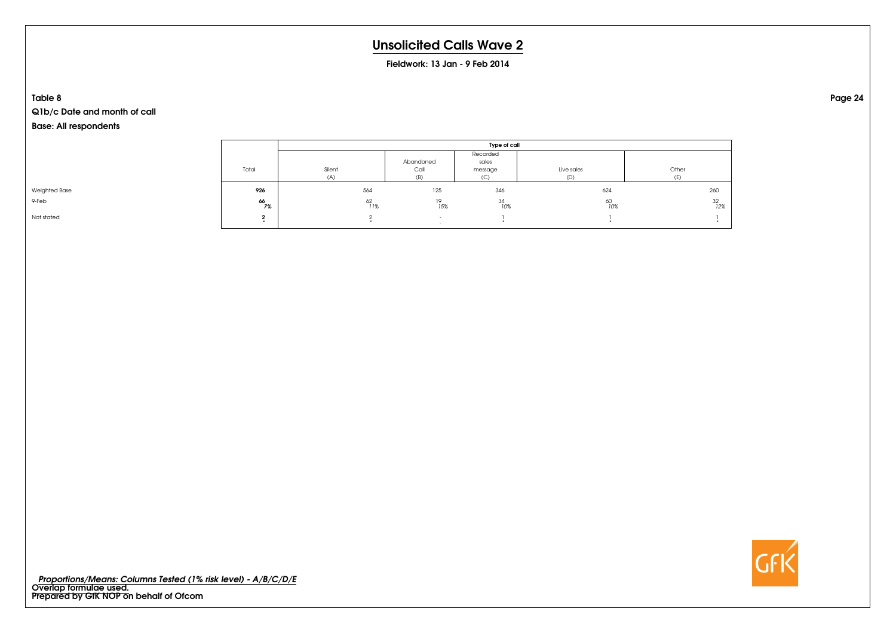Fieldwork: 13 Jan - 9 Feb 2014

#### Table 8

Q1b/c Date and month of call

#### Base: All respondents

|                      |          |                | Type of call |           |                  |                   |
|----------------------|----------|----------------|--------------|-----------|------------------|-------------------|
|                      |          |                |              | Recorded  |                  |                   |
|                      |          |                | Abandoned    | sales     |                  |                   |
|                      | Total    | Silent         | Call         | message   | Live sales       | Other             |
|                      |          | (A)            | (B)          | (C)       | (D)              | (E)               |
| <b>Weighted Base</b> | 926      | 564            | 125          | 346       | 624              | 260               |
| 9-Feb                | 66<br>7% | $^{62}_{11\%}$ | 19<br>15%    | 34<br>10% | 60<br><i>10%</i> | $\frac{32}{12\%}$ |
| Not stated           |          |                |              |           |                  |                   |
|                      |          |                |              |           |                  |                   |

Weighted Base

Not stated 2

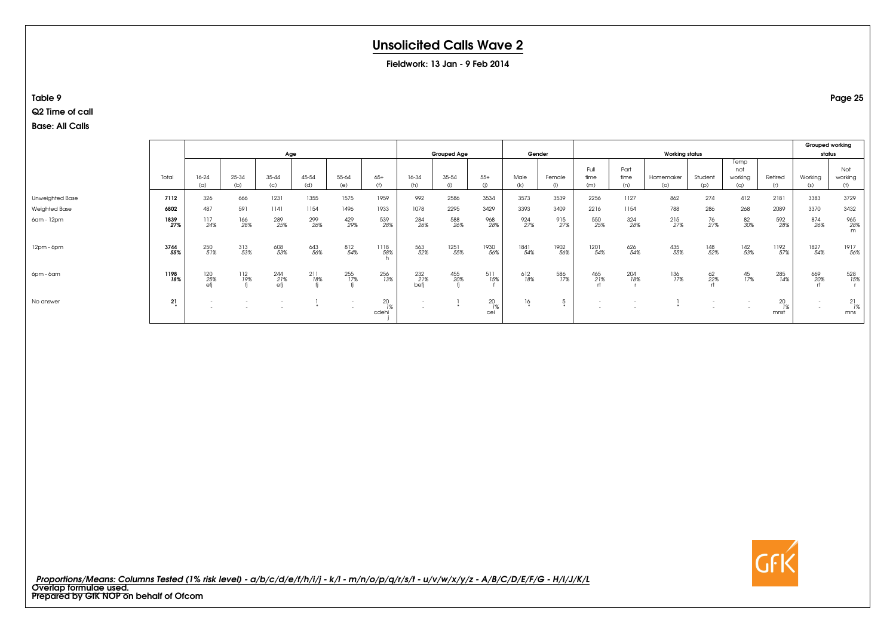Fieldwork: 13 Jan - 9 Feb 2014

### Table 9

# Q2 Time of call

### Base: All Calls

|                        |                     |                                            | Age                                        |                                                   |                 |                          |                                             |                         | <b>Grouped Age</b>       |                                            |                    | Gender          | <b>Working status</b> |                     |                      |                |                               |                      | Grouped working<br>status |                    |
|------------------------|---------------------|--------------------------------------------|--------------------------------------------|---------------------------------------------------|-----------------|--------------------------|---------------------------------------------|-------------------------|--------------------------|--------------------------------------------|--------------------|-----------------|-----------------------|---------------------|----------------------|----------------|-------------------------------|----------------------|---------------------------|--------------------|
|                        | Total               | 16-24<br>(a)                               | 25-34<br>(b)                               | 35-44<br>(c)                                      | 45-54<br>(d)    | 55-64<br>(e)             | $65+$<br>(f)                                | 16-34<br>(h)            | 35-54                    | $55+$<br>(i)                               | Male<br>(k)        | Female<br>(1)   | Full<br>time<br>(m)   | Part<br>time<br>(n) | Homemaker<br>$\circ$ | Student<br>(p) | Temp<br>not<br>working<br>(a) | Retired<br>(r)       | Working<br>(s)            | Not<br>working     |
| <b>Unweighted Base</b> | 7112                | 326                                        | 666                                        | 1231                                              | 1355            | 1575                     | 1959                                        | 992                     | 2586                     | 3534                                       | 3573               | 3539            | 2256                  | 1127                | 862                  | 274            | 412                           | 2181                 | 3383                      | 3729               |
| Weighted Base          | 6802                | 487                                        | 591                                        | 1141                                              | 1154            | 1496                     | 1933                                        | 1078                    | 2295                     | 3429                                       | 3393               | 3409            | 2216                  | 1154                | 788                  | 286            | 268                           | 2089                 | 3370                      | 3432               |
| 6am - 12pm             | 1839<br>27%         | $\begin{array}{c} 117 \\ 24\% \end{array}$ | <sup>166</sup> <sub>28%</sub>              | 289<br>25%                                        | 299<br>26%      | 429<br>29%               | 539<br>28%                                  | 284<br>26%              | 588<br>26%               | 968<br>28%                                 | $\frac{924}{27\%}$ | $^{915}_{27\%}$ | 550<br>25%            | 324<br>28%          | $^{215}_{27\%}$      | 76<br>27%      | 82<br>30%                     | 592<br>28%           | 874<br>26%                | 965<br>28%<br>m    |
| 12pm - 6pm             | 3744<br>55%         | $^{250}_{51\%}$                            | $\begin{array}{c} 313 \\ 53\% \end{array}$ | 608<br>53%                                        | 643<br>56%      | 812<br>54%               | $\begin{array}{r} 1118 \\ 58\% \end{array}$ | 563<br>52%              | 1251<br>55%              | 1930<br>56%                                | 1841<br>54%        | 1902<br>56%     | 1201<br>54%           | 626<br>54%          | 435<br>55%           | 148<br>52%     | <sup>142</sup> 53%            | 1192<br>57%          | 1827<br>54%               | 1917<br>56%        |
| ópm - óam              | $\frac{1198}{18\%}$ | $^{120}_{25\%}$                            | $\begin{array}{c} 112 \\ 19\% \end{array}$ | $\begin{array}{c} 244 \\ 21\% \end{array}$<br>efj | $^{211}_{18\%}$ | $^{255}_{17\%}$          | 256<br>13%                                  | $^{232}_{21\%}$<br>befj | $\substack{455 \\ 20\%}$ | $\begin{array}{c} 511 \\ 15\% \end{array}$ | $^{612}_{18\%}$    | 586<br>17%      | $\frac{465}{21\%}$    | 204<br>18%          | 136<br><i>17%</i>    | $62$<br>22%    | $^{45}_{17\%}$                | $^{285}_{14\%}$      | 669<br>20%                | $\frac{528}{15\%}$ |
| No answer              | 21                  |                                            |                                            |                                                   |                 | $\overline{\phantom{a}}$ | 20<br>1%<br>cdehi                           | $\sim$<br><b>.</b>      |                          | 20<br>1%<br>cei                            | 16<br>$\bullet$    | 5<br>$\bullet$  |                       |                     |                      |                | $\overline{\phantom{a}}$      | $20\,$<br>1%<br>mnst | $\sim$<br>$\overline{a}$  | 21<br>1%<br>mns    |

Proportions/Means: Columns Tested (1% risk level) - a/b/c/d/e/f/h/i/j - k/l - m/n/o/p/q/r/s/t - u/v/w/x/y/z - A/B/C/D/E/F/G - H/I/J/K/L

### en de la construction de la construction de la construction de la construction de la construction de la construction de la construction de la construction de la construction de la construction de la construction de la cons

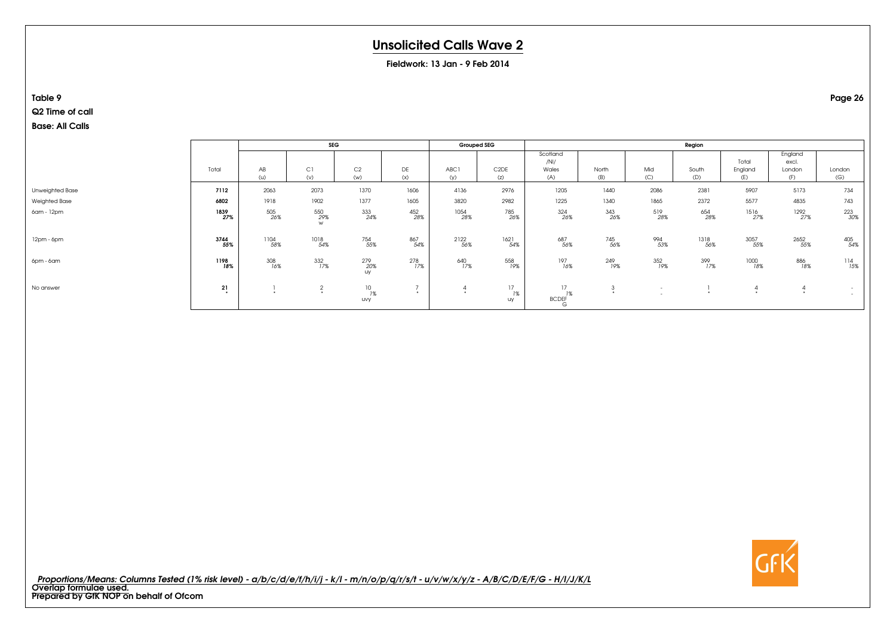Fieldwork: 13 Jan - 9 Feb 2014

Table 9

Q2 Time of call

Base: All Calls

|                 |             |                    | <b>SEG</b>                                   |                                                                                           |                    | Grouped SEG |                        |                   |              |                         | Region                                      |                     |             |                                            |
|-----------------|-------------|--------------------|----------------------------------------------|-------------------------------------------------------------------------------------------|--------------------|-------------|------------------------|-------------------|--------------|-------------------------|---------------------------------------------|---------------------|-------------|--------------------------------------------|
|                 | Total       | AB<br>(u)          | C1<br>(v)                                    | /NI/<br>C2<br>DE<br>C <sub>2</sub> DE<br>ABC1<br>Wales<br>(x)<br>(A)<br>(w)<br>(y)<br>(z) |                    | Scotland    | North<br>(B)           | Mid<br>(C)        | South<br>(D) | Total<br>England<br>(E) | England<br>excl.<br>London<br>(F)           | London<br>(G)       |             |                                            |
| Unweighted Base | 7112        | 2063               | 2073                                         | 1370                                                                                      | 1606               | 4136        | 2976                   | 1205              | 1440         | 2086                    | 2381                                        | 5907                | 5173        | 734                                        |
| Weighted Base   | 6802        | 1902<br>1918       |                                              | 1377                                                                                      | 1605               | 3820        | 2982                   | 1225              | 1340         | 1865                    | 2372                                        | 5577                | 4835        | 743                                        |
| 6am - 12pm      | 1839<br>27% | 505<br>26%         | $\underset{\mathsf{W}}{\overset{550}{29\%}}$ | 333<br>24%                                                                                | 452<br>28%         | 1054<br>28% | 785<br>26%             | 324<br>26%        | 343<br>26%   | 519<br>28%              | 654<br>28%                                  | 1516<br>27%         | 1292<br>27% | 223<br>30%                                 |
| 12pm - 6pm      | 3744<br>55% | 1104<br>58%        | 1018<br>54%                                  | 754<br>55%                                                                                | 867<br>54%         | 2122<br>56% | 1621<br>54%            | 687<br>56%        | 745<br>56%   | 994<br>53%              | $\begin{array}{r} 1318 \\ 56\% \end{array}$ | 3057<br>55%         | 2652<br>55% | 405<br>54%                                 |
| 6pm - 6am       | 1198<br>18% | $\frac{308}{16\%}$ | $\frac{332}{17\%}$                           | $\begin{array}{c} 279 \\ 20\% \\ \mathrm{uy} \end{array}$                                 | $\frac{278}{17\%}$ | 640<br>17%  | $\frac{558}{19\%}$     | 197<br>16%        | 249<br>19%   | 352<br>19%              | 399<br>17%                                  | $\frac{1000}{18\%}$ | 886<br>18%  | $\begin{array}{c} 114 \\ 15\% \end{array}$ |
| No answer       | 21          |                    | $\sim$<br>∠<br><b>ALC</b>                    | $\frac{10}{1\%}$<br>uvy                                                                   | $\bullet$          |             | $\frac{17}{1\%}$<br>uy | 17<br>1%<br>BCDEF | 3            | $\sim$                  |                                             |                     |             | $\sim$<br>$\sim$                           |

Proportions/Means: Columns Tested (1% risk level) - a/b/c/d/e/f/h/i/j - k/l - m/n/o/p/q/r/s/t - u/v/w/x/y/z - A/B/C/D/E/F/G - H/I/J/K/L

en de la provincia de la provincia de la provincia de la provincia de la provincia de la provincia de la provi<br>Page 26

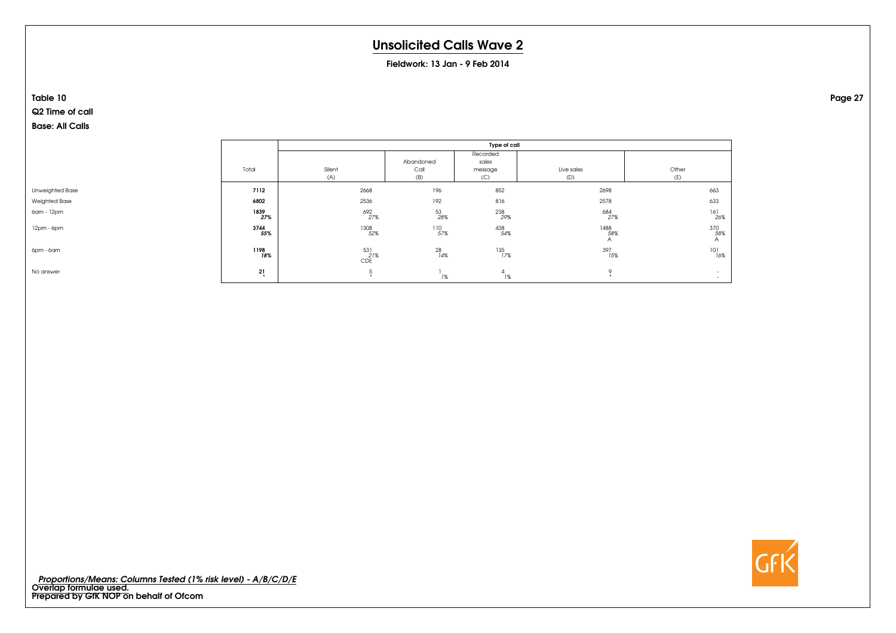Fieldwork: 13 Jan - 9 Feb 2014

Table 10

Q2 Time of call

Base: All Calls

Unweighted Base

Weighted Base

6am - 12pm 1839

12pm - 6pm 3744

6pm - 6am 1198

No answer

|                    |                   |                                            | Type of call                        |                   |                    |
|--------------------|-------------------|--------------------------------------------|-------------------------------------|-------------------|--------------------|
| Total              | Silent<br>(A)     | Abandoned<br>Call<br>(B)                   | Recorded<br>sales<br>message<br>(C) | Live sales<br>(D) | Other<br>(E)       |
| 7112               | 2668              | 196                                        | 852                                 | 2698              | 663                |
| 6802               | 2536              | 192                                        | 816                                 | 2578              | 633                |
| 1839<br>27%        | 692<br>27%        | $\frac{53}{28\%}$                          | 238<br>29%                          | 684<br>27%        | 161<br>26%         |
| 3744<br>55%        | 1308<br>52%       | $\begin{array}{c} 110 \\ 57\% \end{array}$ | 438<br>54%                          | 1488<br>58%<br>A  | 370<br>58%<br>Α    |
| 1198<br><i>18%</i> | 531<br>21%<br>CDE | $^{28}_{14\%}$                             | 135<br><i>17%</i>                   | 397<br>15%        | $\frac{101}{16\%}$ |
| 2!                 | b.<br>٠           | 1%                                         | 4<br>1%                             | 9                 | $\sim$             |

Page 27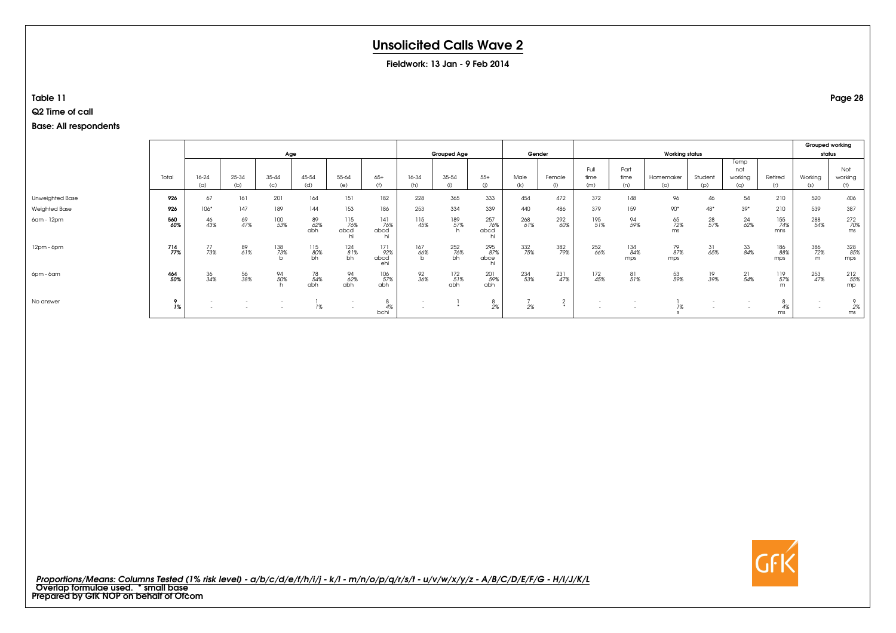Fieldwork: 13 Jan - 9 Feb 2014

Table 11

Q2 Time of call

### Base: All respondents

|                      |               |                | Age               |                       |                          |                                                         |                                   |                   | <b>Grouped Age</b>     |                               | Gender          |                           |                 |                           | <b>Working status</b> |                   |                                                      |                   | Grouped working<br>status |                                                  |  |
|----------------------|---------------|----------------|-------------------|-----------------------|--------------------------|---------------------------------------------------------|-----------------------------------|-------------------|------------------------|-------------------------------|-----------------|---------------------------|-----------------|---------------------------|-----------------------|-------------------|------------------------------------------------------|-------------------|---------------------------|--------------------------------------------------|--|
|                      | Total         | 16-24          | 25-34             | 35-44                 | 45-54                    | 55-64                                                   | $65+$                             | 16-34             | 35-54                  | $55+$                         | Male            | Female                    | Full<br>time    | Part<br>time              | Homemaker             | Student           | Temp<br>not<br>working                               | Retired           | Working                   | Not<br>working                                   |  |
|                      |               | (a)            | (b)               | (c)                   | (d)                      | (e)                                                     | (f)                               | (h)               | (i)                    | $\circ$                       | (k)             | (1)                       | (m)             | (n)                       | (0)                   | (p)               | $\left( q\right)$                                    | (r)               | (s)                       | (t)                                              |  |
| Unweighted Base      | 926           | 67             | 161               | 201                   | 164                      | 151                                                     | 182                               | 228               | 365                    | 333                           | 454             | 472                       | 372             | 148                       | 96                    | 46                | 54                                                   | 210               | 520                       | 406                                              |  |
| <b>Weighted Base</b> | 926           | $106*$         | 147               | 189                   | 144                      | 153                                                     | 186                               | 253               | 334                    | 339                           | 440             | 486                       | 379             | 159                       | 90*                   | 48*               | $39*$                                                | 210               | 539                       | 387                                              |  |
| 6am - 12pm           | 560<br>60%    | 46<br>43%      | 69<br>47%         | <sup>100</sup> 53%    | 89<br>62%<br>abh         | $\begin{array}{c} 115 \\ 76\% \end{array}$<br>abcd      | 141<br>76%<br>abcd<br>hi          | 115<br>45%        | 189<br>57%             | 257<br>76%<br>abcd<br>hi      | $^{268}_{61\%}$ | 292<br>60%                | $^{195}_{51\%}$ | $\frac{94}{59\%}$         | $^{65}_{72\%}$<br>ms  | $^{28}_{57\%}$    | $^{24}_{62\%}$                                       | 155<br>74%<br>mns | 288<br>54%                | 272<br>70%<br>ms                                 |  |
| 12pm - 6pm           | 714<br>77%    | $^{77}_{73\%}$ | $^{89}_{61\%}$    | $^{138}_{73\%}$<br>b. | $\frac{115}{80\%}$<br>bh | $\begin{array}{c} 124 \\ 81\% \\ \text{bh} \end{array}$ | $\frac{171}{92\%}$<br>abcd<br>ehi | 167<br>66%<br>b.  | $\frac{252}{76\%}$ bh  | $^{295}_{87\%}$<br>abce<br>hi | 332<br>75%      | 382<br>79%                | 252<br>66%      | $\frac{134}{84\%}$<br>mps | 79<br>87%<br>mps      | $\frac{31}{65\%}$ | $\frac{33}{84\%}$                                    | 186<br>88%<br>mps | 386<br>72%<br>m           | 328<br>85%<br>mps                                |  |
| 6pm - 6am            | 464<br>50%    | 36<br>34%      | $\frac{56}{38\%}$ | 94<br>50%<br>h        | 78<br>54%<br>abh         | $\frac{94}{62\%}$ abh                                   | 106<br>57%<br>abh                 | $\frac{92}{36\%}$ | $^{172}_{51\%}$<br>abh | 201<br>59%<br>abh             | 234<br>53%      | $\frac{231}{47\%}$        | 172<br>45%      | $^{81}_{51\%}$            | $\frac{53}{59\%}$     | 19<br>39%         | $^{21}_{54\%}$                                       | 119<br>57%<br>m.  | 253<br>47%                | $\begin{array}{c} 212 \\ 55\% \\ mp \end{array}$ |  |
| No answer            | $\circ$<br>1% |                |                   | $\sim$                | 1%                       | $\overline{\phantom{a}}$<br>. .                         | 8<br>4%<br>bchi                   |                   |                        | 8<br>2%                       | 2%              | $\overline{2}$<br>$\cdot$ |                 | $\overline{\phantom{a}}$  | 1%                    |                   | $\overline{\phantom{a}}$<br>$\overline{\phantom{a}}$ | 4%<br>ms          |                           | $\circ$<br>$2\%$<br>ms                           |  |



la a comparativa de la construction de la comparativa de la construction de la comparativa de la comparativa d<br>Page 28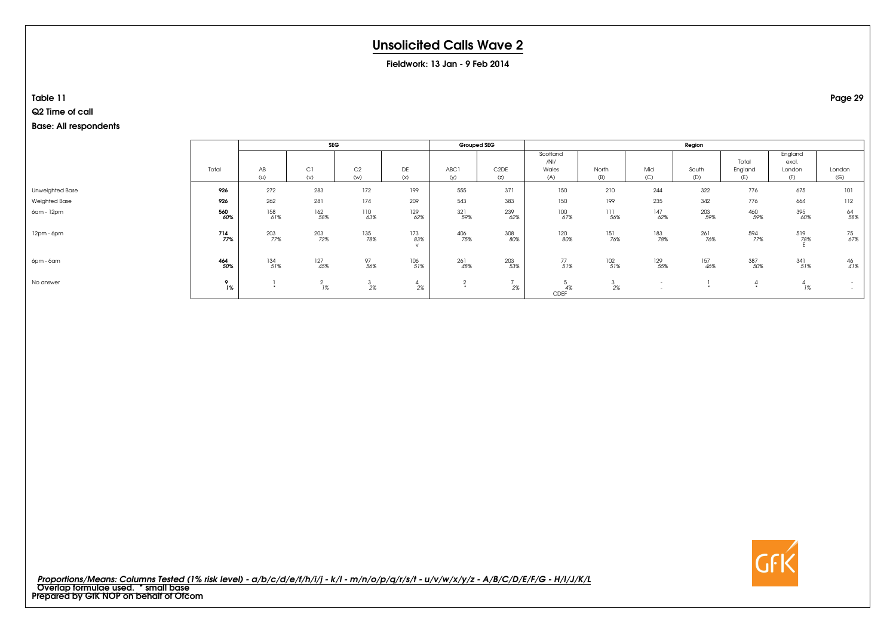Fieldwork: 13 Jan - 9 Feb 2014

Table 11

Q2 Time of call

#### Base: All respondents

|                      |            | $\sf{SEG}$                                    |                                            |            |                      | <b>Grouped SEG</b>    |                          |                                            |                 |                                            | Region       |                         |                                   |                                            |  |  |
|----------------------|------------|-----------------------------------------------|--------------------------------------------|------------|----------------------|-----------------------|--------------------------|--------------------------------------------|-----------------|--------------------------------------------|--------------|-------------------------|-----------------------------------|--------------------------------------------|--|--|
|                      | Total      | C1<br>AB<br>(u)<br>(v)                        |                                            | C2<br>(w)  | DE<br>(x)            |                       | C <sub>2</sub> DE<br>(z) | Scotland<br>/NI/<br>Wales<br>(A)           | North<br>(B)    | Mid<br>(C)                                 | South<br>(D) | Total<br>England<br>(E) | England<br>excl.<br>London<br>(F) | London<br>(G)                              |  |  |
| Unweighted Base      | 926        | 272                                           | 283                                        | 172        | 199                  | 555                   | 371                      | 150                                        | 210             | 244                                        | 322          | 776                     | 675                               | 101                                        |  |  |
| <b>Weighted Base</b> | 926        | 262                                           | 281                                        | 174        | 209                  | 543                   | 383                      | 150                                        | 199             | 235                                        | 342          | 776                     | 664                               | 112                                        |  |  |
| 6am - 12pm           | 560<br>60% | $\frac{158}{61\%}$                            | <sup>162</sup><br>58%                      | 110<br>63% | 129<br>62%           | 321<br>59%            | 239<br>62%               | $\begin{array}{c} 100 \\ 67\% \end{array}$ | 111<br>56%      | $\begin{array}{c} 147 \\ 62\% \end{array}$ | 203<br>59%   | 460<br>59%              | 395<br>60%                        | 64<br>58%                                  |  |  |
| 12pm - 6pm           | 714<br>77% | 203<br>77%                                    | 203<br>72%                                 | 135<br>78% | 173<br>83%<br>$\vee$ | 406<br>75%            | $\frac{308}{80\%}$       | $^{120}_{80\%}$                            | 151<br>76%      | 183<br>78%                                 | 261<br>76%   | 594<br>77%              | 519<br>78%                        | 75<br>67%                                  |  |  |
| ópm - 6am            | 464<br>50% | $\begin{array}{c}\n134 \\ 51\% \n\end{array}$ | $\begin{array}{c} 127 \\ 45\% \end{array}$ | 97<br>56%  | $\frac{106}{51\%}$   | 261<br>48%            | 203<br>53%               | $^{77}_{51\%}$                             | $^{102}_{51\%}$ | 129<br>55%                                 | 157<br>46%   | 387<br>50%              | $\frac{341}{51\%}$                | $\frac{46}{41\%}$                          |  |  |
| No answer            | 1%         |                                               | $\overline{2}$<br>1%                       | 3<br>2%    | $\frac{4}{2\%}$      | $\sim$<br>∠<br>$\sim$ | $\overline{ }$<br>$2\%$  | 4%<br><b>CDEF</b>                          | 3<br>2%         | $\sim$<br>$\sim$                           |              |                         | 1%                                | <b>Service</b><br><b>Contract Contract</b> |  |  |

Proportions/Means: Columns Tested (1% risk level) - a/b/c/d/e/f/h/i/j - k/l - m/n/o/p/q/r/s/t - u/v/w/x/y/z - A/B/C/D/E/F/G - H/l/J/K/L<br>Overlap formulae used. \* small base<br>Prepared by GfK NOP on behalf of Ofcom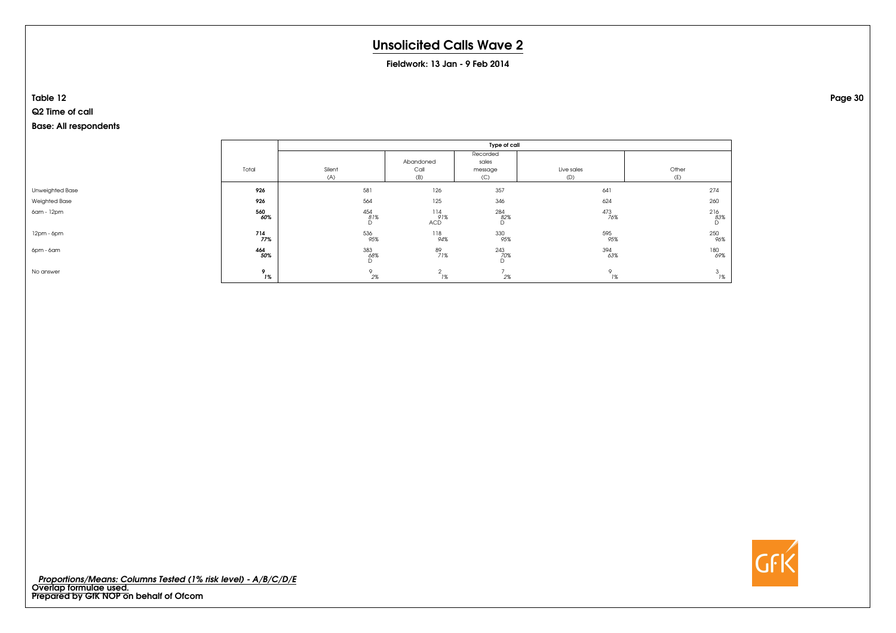Fieldwork: 13 Jan - 9 Feb 2014

Table 12

Unweighted Base

Weighted Base

6am - 12pm 560

12pm - 6pm

6pm - 6am 464

No answer

Q2 Time of call

### Base: All respondents

|                 |                 |                           | Type of call                 |               |                 |
|-----------------|-----------------|---------------------------|------------------------------|---------------|-----------------|
| Total           | Silent          | Abandoned<br>Call         | Recorded<br>sales<br>message | Live sales    | Other           |
|                 | (A)             | (B)                       | (C)                          | (D)           | (E)             |
| 926             | 581             | 126                       | 357                          | 641           | 274             |
| 926             | 564             | 125                       | 346                          | 624           | 260             |
| 560<br>60%      | 454<br>81%<br>D | $\frac{114}{91\%}$<br>ACD | 284<br>82%<br>D              | 473<br>76%    | 216<br>83%<br>D |
| 714<br>77%      | 536<br>95%      | 118<br>94%                | 330<br>95%                   | 595<br>95%    | 250<br>96%      |
| 464<br>50%      | 383<br>68%<br>D | 89<br>71%                 | 243<br>70%<br>D              | 394<br>63%    | 180<br>69%      |
| $\frac{9}{1\%}$ | $^9_{2\%}$      | 2<br>1%                   | 2%                           | $\circ$<br>1% | 3/26            |

en and the state of the state of the state of the state of the state of the state of the state of the state of the state of the state of the state of the state of the state of the state of the state of the state of the sta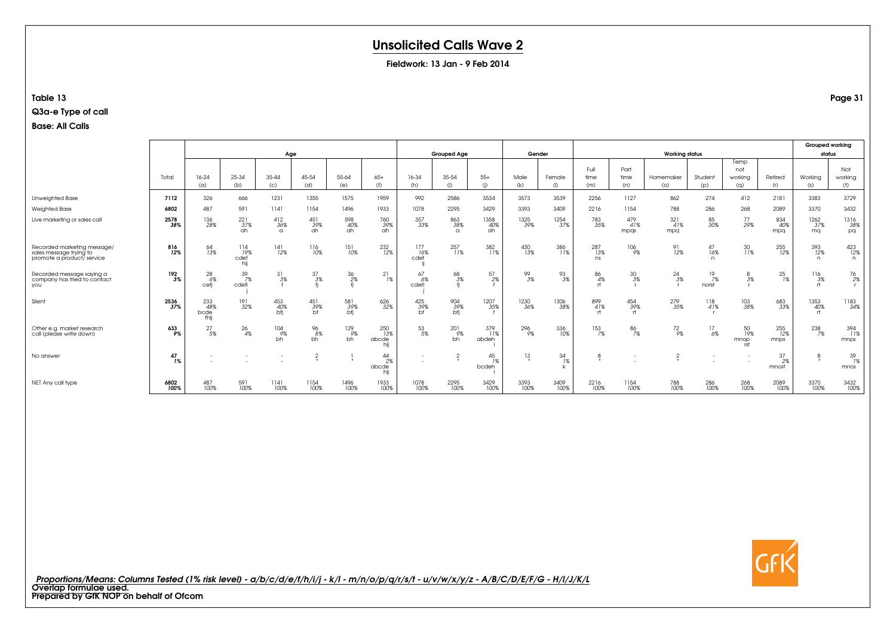Fieldwork: 13 Jan - 9 Feb 2014

#### Table 13en and the set of the set of the set of the set of the set of the set of the set of the set of the set of the set of the set of the set of the set of the set of the set of the set of the set of the set of the set of the se Q3a-e Type of call

Base: All Calls

|                                                                                      |                                            | Age                        |                            |                        |                         |                    |                           |                    | Grouped Age             |                           | Gender       |              | <b>Working status</b> |                         |                   |                   |                                    |                    | Grouped working<br>status |                                                   |
|--------------------------------------------------------------------------------------|--------------------------------------------|----------------------------|----------------------------|------------------------|-------------------------|--------------------|---------------------------|--------------------|-------------------------|---------------------------|--------------|--------------|-----------------------|-------------------------|-------------------|-------------------|------------------------------------|--------------------|---------------------------|---------------------------------------------------|
|                                                                                      | Total                                      | 16-24<br>(a)               | 25-34<br>(b)               | 35-44<br>(c)           | 45-54<br>(d)            | 55-64<br>(e)       | $65+$<br>(f)              | 16-34<br>(h)       | 35-54<br>(i)            | $55+$<br>(i)              | Male<br>(k)  | Female<br>(  | Full<br>time<br>(m)   | Part<br>time<br>(n)     | Homemaker<br>(0)  | Student<br>(p)    | Temp<br>not<br>working<br>$\alpha$ | Retired<br>(r)     | Working<br>(s)            | Not<br>working<br>(t)                             |
| <b>Unweighted Base</b>                                                               | 7112                                       | 326                        | 666                        | 1231                   | 1355                    | 1575               | 1959                      | 992                | 2586                    | 3534                      | 3573         | 3539         | 2256                  | 1127                    | 862               | 274               | 412                                | 2181               | 3383                      | 3729                                              |
| <b>Weighted Base</b>                                                                 | 6802                                       | 487                        | 591                        | 1141                   | 1154                    | 1496               | 1933                      | 1078               | 2295                    | 3429                      | 3393         | 3409         | 2216                  | 1154                    | 788               | 286               | 268                                | 2089               | 3370                      | 3432                                              |
| Live marketing or sales call                                                         | 2578<br>38%                                | 136<br>28%                 | 221<br>37%<br>αh           | 412<br>36%<br>$\alpha$ | 451<br>39%<br>αh        | 598<br>40%<br>ah   | 760<br>39%<br>ah          | 357<br>33%         | 863<br>38%<br>$\alpha$  | $\frac{1358}{40\%}$<br>ah | 1325<br>39%  | 1254<br>37%  | 783<br>35%            | 479<br>41%<br>mpgs      | 321<br>41%<br>mpg | 85<br>30%         | 77<br>29%                          | 834<br>40%<br>mpa  | 1262<br>37%<br>mq         | $\begin{array}{c} 1316 \\ 38\% \end{array}$<br>pq |
| Recorded marketing message/<br>sales message trying to<br>promote a product/ service | $\begin{array}{c} 816 \\ 12\% \end{array}$ | 64<br>73%                  | $\frac{114}{19\%}$<br>cdef | 141<br>12%             | $\frac{116}{10\%}$      | $\frac{151}{10\%}$ | $^{232}_{12\%}$           | 177<br>16%<br>cdef | $^{257}_{11\%}$         | $\frac{382}{11\%}$        | 430<br>13%   | 386<br>11%   | 287<br>13%<br>ns      | 106<br>-9%              | 91<br>12%         | 47<br>16%<br>n.   | 30<br>71%                          | $^{255}_{12\%}$    | $\frac{393}{12\%}$<br>n   | $^{423}_{12\%}$<br>$\mathsf{n}$                   |
| Recorded message saying a<br>company has tried to contact<br>you                     | 192<br>3%                                  | 28<br>6%<br>cefi           | 39<br>7%<br>cdefi          | 31<br>3%               | 37<br>3%                | $\frac{36}{2\%}$   | $^{21}_{1\%}$             | 67<br>6%<br>cdefi  | $^{68}_{3\%}$           | $\frac{57}{2\%}$          | 99<br>3%     | 93<br>3%     | 86<br>4%              | 30 <sup>°</sup><br>3%   | 24<br>3%          | 19<br>7%<br>norst | -8<br>3%                           | 25<br>1%           | 116<br>3%                 | $^{76}_{2\%}$<br>$\mathbf{r}$                     |
| Silent                                                                               | 2536<br>37%                                | 233<br>48%<br>bcde<br>fhij | 191<br>32%                 | 453<br>40%<br>bfj      | $\frac{451}{39%}$<br>bf | 581<br>39%<br>bfj  | 626<br>32%                | 425<br>39%<br>bf   | 904<br>39%<br>bfj       | 1207<br>$-35%$            | 1230<br>36%  | 1306<br>38%  | 899<br>41%            | 454<br>39%<br><b>rt</b> | 279<br>35%        | 118<br>41%        | 103<br>38%                         | 683<br>33%         | 1353<br>40%               | $\begin{array}{r} 1183 \\ 34\% \end{array}$       |
| Other e.g. market research<br>call (please write down)                               | 633<br>9%                                  | 27<br>5%                   | 26<br>4%                   | 104<br>9%<br>bh        | $\frac{96}{8\%}$<br>bh  | 129<br>9%<br>bh    | 250<br>13%<br>abcde<br>hi | $\frac{53}{5\%}$   | $\frac{201}{9\%}$<br>bh | 379<br>11%<br>abdeh       | 296<br>9%    | 336<br>10%   | 153<br>7%             | 86<br>7%                | 72<br>9%          | 17<br>6%          | 50<br>19%<br>mnop<br>rst           | 255<br>12%<br>mnps | 238<br>7%                 | 394<br>11%<br>mnps                                |
| No answer                                                                            | 47<br>1%                                   |                            |                            |                        | $\overline{2}$          |                    | 44<br>2%<br>abcde<br>hii  |                    |                         | 45<br>1%<br>bcdeh         | 13           | 34<br>1%     |                       |                         | $\sim$            |                   |                                    | 37<br>2%<br>mnost  |                           | 39<br>1%<br>mnos                                  |
| NET Any call type                                                                    | 6802<br>100%                               | 487<br>100%                | 591<br>100%                | 1141<br>100%           | 1154<br>100%            | 1496<br>100%       | 1933<br>100%              | 1078<br>100%       | 2295<br>700%            | 3429<br>100%              | 3393<br>100% | 3409<br>100% | 2216<br>100%          | 1154<br>100%            | 788<br>100%       | 286<br>100%       | 268<br>100%                        | 2089<br>100%       | 3370<br>100%              | 3432<br>100%                                      |

Proportions/Means: Columns Tested (1% risk level) - a/b/c/d/e/f/h/i/j - k/l - m/n/o/p/q/r/s/t - u/v/w/x/y/z - A/B/C/D/E/F/G - H/I/J/K/L

Overlap formulae used. Prepared by GfK NOP on behalf of Ofcom

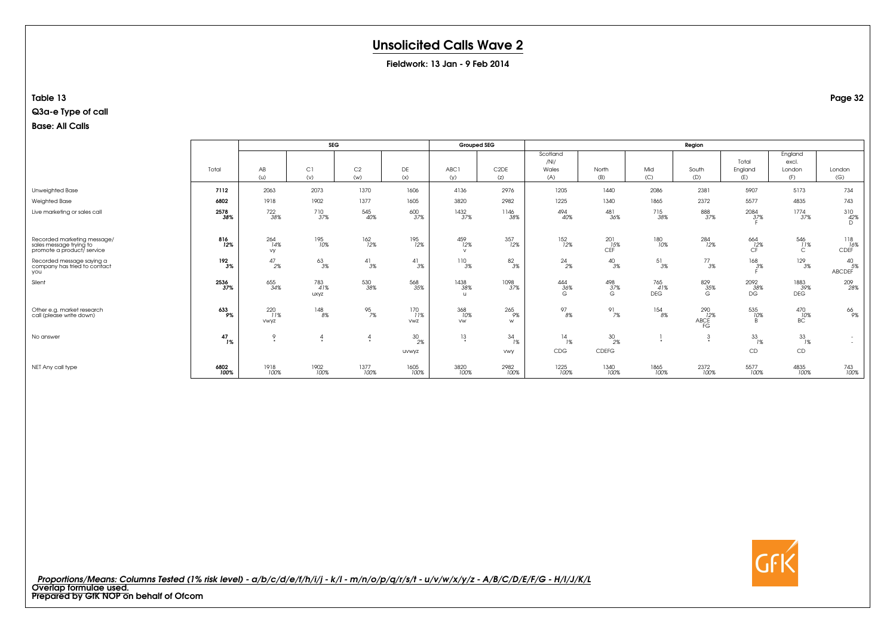Fieldwork: 13 Jan - 9 Feb 2014

#### Table 13en and the state of the state of the state of the state of the state of the state of the state of the state of the state of the state of the state of the state of the state of the state of the state of the state of the sta Q3a-e Type of call

#### Base: All Calls

|                                                                                     |                     |                            | <b>SEG</b><br>C2<br>AB<br>C1               |                                               |                           | <b>Grouped SEG</b>                        |                          |                                            |                                                   |                                            | Region                   |                          |                                                            |                                                           |
|-------------------------------------------------------------------------------------|---------------------|----------------------------|--------------------------------------------|-----------------------------------------------|---------------------------|-------------------------------------------|--------------------------|--------------------------------------------|---------------------------------------------------|--------------------------------------------|--------------------------|--------------------------|------------------------------------------------------------|-----------------------------------------------------------|
|                                                                                     | Total               | (u)                        | (v)                                        | (w)                                           | DE<br>(x)                 | ABC <sup>®</sup><br>(y)                   | C <sub>2</sub> DE<br>(z) | Scotland<br>/NI/<br>Wales<br>(A)           | North<br>(B)                                      | Mid<br>(C)                                 | South<br>(D)             | Total<br>England<br>(E)  | England<br>excl.<br>London<br>(F)                          | London<br>$\left( G\right)$                               |
| <b>Unweighted Base</b>                                                              | 7112                | 2063                       | 2073                                       | 1370                                          | 1606                      | 4136                                      | 2976                     | 1205                                       | 1440                                              | 2086                                       | 2381                     | 5907                     | 5173                                                       | 734                                                       |
| <b>Weighted Base</b>                                                                | 6802                | 1918                       | 1902                                       | 1377                                          | 1605                      | 3820                                      | 2982                     | 1225                                       | 1340                                              | 1865                                       | 2372                     | 5577                     | 4835                                                       | 743                                                       |
| Live marketing or sales call                                                        | 2578<br>38%         | $^{722}_{\phantom{2}38\%}$ | 710<br>37%                                 | 545<br>40%                                    | 600<br>37%                | 1432<br>37%                               | 1146<br>38%              | 494<br>40%                                 | 481<br>36%                                        | 715<br>38%                                 | 888<br>37%               | 2084<br>37%              | 1774<br>37%                                                | $\frac{310}{42\%}$<br>D                                   |
| Recorded marketing message/<br>sales message trying to<br>promote a product/service | 816<br>72%          | 264<br>14%<br>VV           | $\begin{array}{c} 195 \\ 10\% \end{array}$ | $\begin{array}{c}\n162 \\ 12\% \n\end{array}$ | 195<br><i>12%</i>         | 459<br>12%                                | 357<br>12%               | $\begin{array}{c} 152 \\ 12\% \end{array}$ | $^{201}_{15\%}$<br>CEF                            | 180<br><i>10%</i>                          | 284<br>12%               | 664<br>12%<br>CF         | $\begin{array}{c} 546 \\ l1\% \end{array}$<br>$\mathsf{C}$ | $\begin{array}{c} 118 \\ 16\% \\ \text{CDEF} \end{array}$ |
| Recorded message saying a<br>company has tried to contact<br>you                    | $\frac{192}{3\%}$   | 47<br>2%                   | $^{63}_{3\%}$                              | $^{41}_{3\%}$                                 | 41<br>3%                  | $\begin{array}{c} 110 \\ 3\% \end{array}$ | 82<br>3%                 | $^{24}_{2\%}$                              | $^{40}_{3\%}$                                     | $^{51}_{3\%}$                              | 77<br>3%                 | $\frac{168}{3%}$         | 129<br>3%                                                  | $40$ $5\%$<br>ABCDEF                                      |
| Silent                                                                              | 2536<br>37%         | 655<br>34%                 | 783<br>41%<br>uxyz                         | $^{530}_{\phantom{1}38\%}$                    | 568<br>35%                | 1438<br>38%<br>$\mathbf{U}$               | 1098<br>37%              | 444<br>36%<br>G                            | $\frac{498}{37\%}$                                | 765<br>41%<br><b>DEG</b>                   | 829<br>35%<br>G          | 2092<br>38%<br><b>DG</b> | 1883<br>_39%<br>DEG                                        | 209<br>28%                                                |
| Other e.g. market research<br>call (please write down)                              | $633$ $9\%$         | 220<br>11%<br><b>VWVZ</b>  | $^{148}_{-8\%}$                            | $\frac{95}{7\%}$                              | $\frac{170}{11\%}$<br>VWZ | $\frac{368}{10\%}$<br><b>VW</b>           | 265<br>9%<br>W           | 97<br>8%                                   | $\begin{array}{c} 91 \\ 7\% \end{array}$          | $\begin{array}{c} 154 \\ -8\% \end{array}$ | 290<br>12%<br>ABCE<br>FG | 535<br>10%               | $^{470}_{10\%}$<br>BC                                      | 66<br>9%                                                  |
| No answer                                                                           | 47<br>1%            | $\circ$                    | 4<br>$\bullet$                             | $\bullet$                                     | $\frac{30}{2\%}$<br>uvwyz | 13                                        | 34<br>1%<br><b>VWY</b>   | 14<br>1%<br>CDG                            | $\begin{array}{c} 30 \\ 2\% \end{array}$<br>CDEFG |                                            | 3                        | 33<br>1%<br>CD           | 33<br>1%<br>CD                                             | $\sim$<br>$\sim$ 10 $\pm$                                 |
| NET Any call type                                                                   | 6802<br><i>100%</i> | 1918<br><i>100%</i>        | 1902<br>700%                               | 1377<br>100%                                  | 1605<br>700%              | 3820<br><i>100%</i>                       | 2982<br>100%             | 1225<br>700%                               | 1340<br>700%                                      | 1865<br>700%                               | 2372<br>100%             | 5577<br>100%             | 4835<br><i>100%</i>                                        | 743<br>100%                                               |



Proportions/Means: Columns Tested (1% risk level) - a/b/c/d/e/f/h/i/j - k/l - m/n/o/p/q/r/s/t - u/v/w/x/y/z - A/B/C/D/E/F/G - H/I/J/K/L

Overlap formulae used. Prepared by GfK NOP on behalf of Ofcom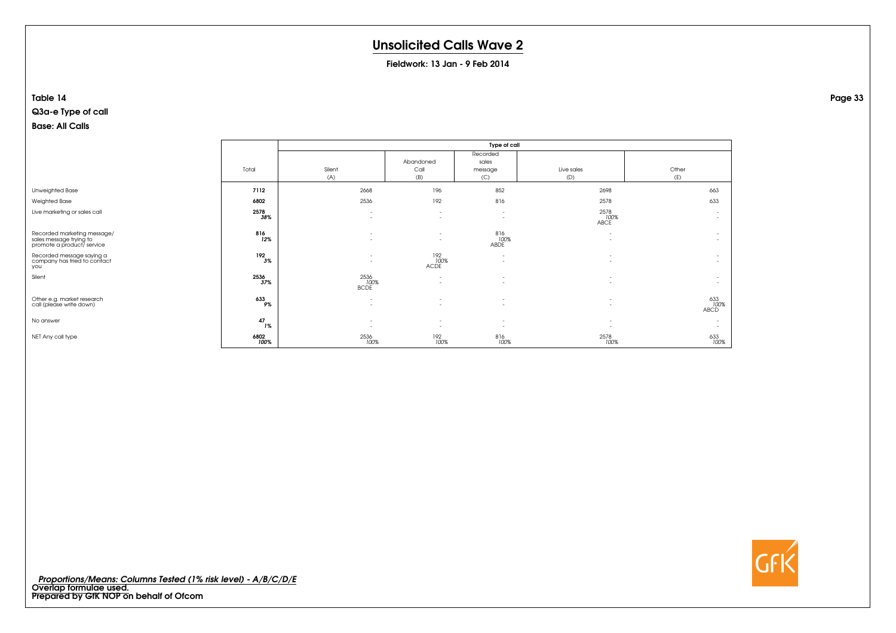Fieldwork: 13 Jan - 9 Feb 2014

### Table 14Q3a-e Type of call

Base: All Calls

|                                                                                                                 |                   |                                                      |                                    | Type of call                        |                      |                                                      |
|-----------------------------------------------------------------------------------------------------------------|-------------------|------------------------------------------------------|------------------------------------|-------------------------------------|----------------------|------------------------------------------------------|
|                                                                                                                 | Total             | Silent<br>(A)                                        | Abandoned<br>Call<br>(B)           | Recorded<br>sales<br>message<br>(C) | Live sales<br>(D)    | Other<br>(E)                                         |
| Unweighted Base                                                                                                 | 7112              | 2668                                                 | 196                                | 852                                 | 2698                 | 663                                                  |
| Weighted Base                                                                                                   | 6802              | 2536                                                 | 192                                | 816                                 | 2578                 | 633                                                  |
| Live marketing or sales call                                                                                    | 2578<br>38%       | $\overline{\phantom{a}}$<br>$\overline{\phantom{a}}$ | $\sim$<br>$\sim$                   | $\sim$<br>$\sim$                    | 2578<br>100%<br>ABCE | $\overline{\phantom{a}}$                             |
| Recorded marketing message/<br>sales message trying to<br>sales message trying to<br>promote a product/ service | 816<br><i>12%</i> |                                                      | $\overline{\phantom{a}}$           | 816<br>100%<br>ABDE                 | $\sim$<br>$\sim$     | $\sim$<br>$\sim$                                     |
| Recorded message saying a<br>company has tried to contact<br>you                                                | 192<br>3%         |                                                      | 192<br><i>100%</i><br>ACDE         |                                     |                      | $\overline{\phantom{a}}$<br>$\overline{\phantom{a}}$ |
| Silent                                                                                                          | 2536<br>37%       | 2536<br>100%<br><b>BCDE</b>                          | $\sim$<br>$\sim$                   |                                     |                      | $\sim$<br>$\sim$                                     |
| Other e.g. market research<br>call (please write down)                                                          | $633$ 9%          | $\overline{\phantom{a}}$<br>$\sim$                   | $\overline{\phantom{a}}$<br>$\sim$ | $\sim$                              | $\sim$<br>$\sim$     | 633<br>100%<br>ABCD                                  |
| No answer                                                                                                       | 47<br>1%          | $\overline{\phantom{a}}$                             | $\sim$<br>$\sim$                   | $\overline{\phantom{a}}$            | ۰.                   | $\overline{\phantom{a}}$                             |
| NET Any call type                                                                                               | 6802<br>700%      | 2536<br>700%                                         | 192<br><i>100%</i>                 | 816<br>700%                         | 2578<br>100%         | $\frac{633}{100\%}$                                  |

4 All the state of the state of the state of the state of the state of the state of the state of the state of the state of the state of the state of the state of the state of the state of the state of the state of the stat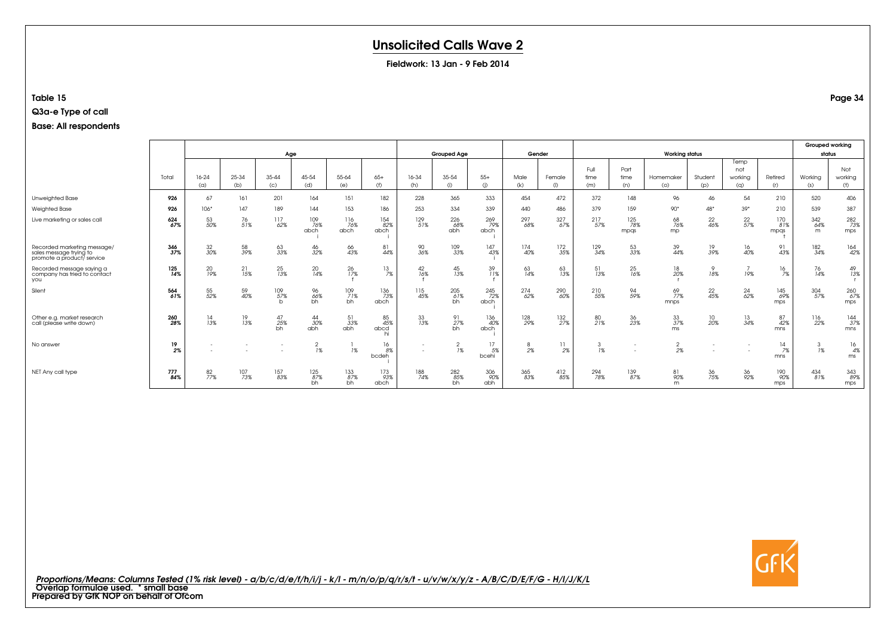Fieldwork: 13 Jan - 9 Feb 2014

#### Table 15

### Q3a-e Type of call

#### Base: All respondents

|                                                                                      |            |                   |              |                            |                    |                          |                            |                          |                                |                         |                          |                               |             |                            |                           |                   |                   |                    | Grouped working    |                           |
|--------------------------------------------------------------------------------------|------------|-------------------|--------------|----------------------------|--------------------|--------------------------|----------------------------|--------------------------|--------------------------------|-------------------------|--------------------------|-------------------------------|-------------|----------------------------|---------------------------|-------------------|-------------------|--------------------|--------------------|---------------------------|
|                                                                                      |            |                   |              | Age                        |                    |                          |                            |                          | Grouped Age                    |                         | Gender                   |                               |             |                            | <b>Working status</b>     |                   |                   |                    | status             |                           |
|                                                                                      |            |                   |              |                            |                    |                          |                            |                          |                                |                         |                          |                               | Full        | Part                       |                           |                   | Temp<br>not       |                    |                    | Not                       |
|                                                                                      | Total      | 16-24<br>(a)      | 25-34<br>(b) | 35-44<br>(c)               | 45-54<br>(d)       | 55-64<br>(e)             | $65+$<br>(f)               | 16-34<br>(h)             | 35-54<br>(i)                   | $55+$<br>(j)            | Male<br>(k)              | Female<br>(1)                 | time<br>(m) | time<br>(n)                | Homemaker<br>(0)          | Student<br>(p)    | working<br>(q)    | Retired<br>(r)     | Working<br>(s)     | working<br>(t)            |
| Unweighted Base                                                                      | 926        | 67                | 161          | 201                        | 164                | 151                      | 182                        | 228                      | 365                            | 333                     | 454                      | 472                           | 372         | 148                        | 96                        | 46                | 54                | 210                | 520                | 406                       |
| <b>Weighted Base</b>                                                                 | 926        | 106*              | 147          | 189                        | 144                | 153                      | 186                        | 253                      | 334                            | 339                     | 440                      | 486                           | 379         | 159                        | 90*                       | 48*               | $39*$             | 210                | 539                | 387                       |
| Live marketing or sales call                                                         | 624<br>67% | 53<br>50%         | 76<br>51%    | $\frac{117}{62\%}$         | 109<br>76%<br>abch | 116<br>76%<br>abch       | <sup>154</sup> 82%<br>abch | 129<br>51%               | 226<br>68%<br>abh              | 269<br>79%<br>abch      | 297<br>68%               | 327<br>67%                    | 217<br>57%  | $\frac{125}{78\%}$<br>mpgs | 68<br>76%<br>mp           | 22<br>46%         | $^{22}_{57\%}$    | 170<br>81%<br>mpgs | 342<br>64%<br>m    | $^{282}_{73\%}$<br>mps    |
| Recorded marketing message/<br>sales message trying to<br>promote a product/ service | 346<br>37% | $\frac{32}{30\%}$ | 58<br>39%    | 63<br>33%                  | 46<br>32%          | 66<br>43%                | 81<br>44%                  | 90<br>36%                | 109<br>33%                     | 147<br>43%              | 174<br>40%               | 172<br>35%                    | 129<br>34%  | 53<br>33%                  | 39<br>44%                 | 19<br>39%         | $\frac{16}{40\%}$ | 91<br>43%          | 182<br>34%         | $\frac{164}{42\%}$        |
| Recorded message saying a<br>company has tried to contact<br>you                     | 125<br>14% | 20<br>19%         | 21<br>15%    | 25<br>13%                  | 20<br>14%          | 26<br>17%                | 13<br>7%                   | 42<br>16%                | 45<br>13%                      | 39<br>11%               | 63<br>14%                | 63<br>13%                     | 51<br>13%   | 25<br>16%                  | 18<br>20%                 | 9<br>18%          | 19%               | 16<br>7%           | 76<br>14%          | $^{49}_{13\%}$            |
| Silent                                                                               | 564<br>61% | $\frac{55}{52\%}$ | 59<br>40%    | 109<br>57%<br>$\mathsf{b}$ | 96<br>66%<br>bh    | $\frac{109}{71\%}$<br>bh | 136<br>73%<br>abch         | 115<br>45%               | $^{205}_{61\%}$<br>bh          | $^{245}_{72\%}$<br>abch | 274<br>62%               | 290<br>60%                    | 210<br>55%  | 94<br>59%                  | 69<br>77%<br>mnps         | $^{22}_{45\%}$    | $^{24}_{62\%}$    | 145<br>69%<br>mps  | $\frac{304}{57\%}$ | 260<br>67%<br>mps         |
| Other e.g. market research<br>call (please write down)                               | 260<br>28% | 14<br>13%         | 19<br>13%    | 47<br>25%<br>bh            | 44<br>30%<br>abh   | 51<br>33%<br>abh         | 85<br>45%<br>abcd<br>hi    | 33<br>13%                | $\frac{91}{27\%}$<br>bh        | 136<br>40%<br>abch      | 128<br>29%               | <sup>132</sup> <sub>27%</sub> | 80<br>21%   | $\frac{36}{23\%}$          | 33<br>37%<br>ms           | 10<br>20%         | $\frac{13}{34\%}$ | 87<br>42%<br>mns   | $\frac{116}{22\%}$ | $\frac{144}{37\%}$<br>mns |
| No answer                                                                            | 19<br>2%   |                   |              | $\sim$                     | 1%                 | 1%                       | $\frac{16}{8\%}$<br>bcdeh  | $\overline{\phantom{a}}$ | $\frac{2}{1\%}$                | 17<br>5%<br>bcehi       | $\frac{8}{2\%}$          | 11<br>2%                      | 3<br>1%     | $\overline{\phantom{a}}$   | $\sim$<br>$\frac{2}{2}$ % |                   |                   | 14<br>7%<br>mns    | 3<br>7%            | $\frac{16}{4\%}$<br>ms    |
| NET Any call type                                                                    | 777<br>84% | 82<br>77%         | 107<br>73%   | $\frac{157}{83\%}$         | 125<br>87%<br>bh   | $\frac{133}{87\%}$<br>bh | 173<br>93%<br>abch         | 188<br>74%               | $\substack{282 \\ 85\%}$<br>bh | 306<br>90%<br>abh       | $\substack{365 \\ 83\%}$ | $^{412}_{85\%}$               | 294<br>78%  | 139<br>87%                 | 81<br>90%<br>m            | $\frac{36}{75\%}$ | $\frac{36}{92\%}$ | 190<br>90%<br>mps  | $^{434}_{81\%}$    | 343<br>89%<br>mps         |



Proportions/Means: Columns Tested (1% risk level) - a/b/c/d/e/f/h/i/j - k/l - m/n/o/p/q/r/s/t - u/v/w/x/y/z - A/B/C/D/E/F/G - H/I/J/K/L<br>Overlap formulae used. \* small base<br>Prepared by GfK NOP on behalf of Ofcom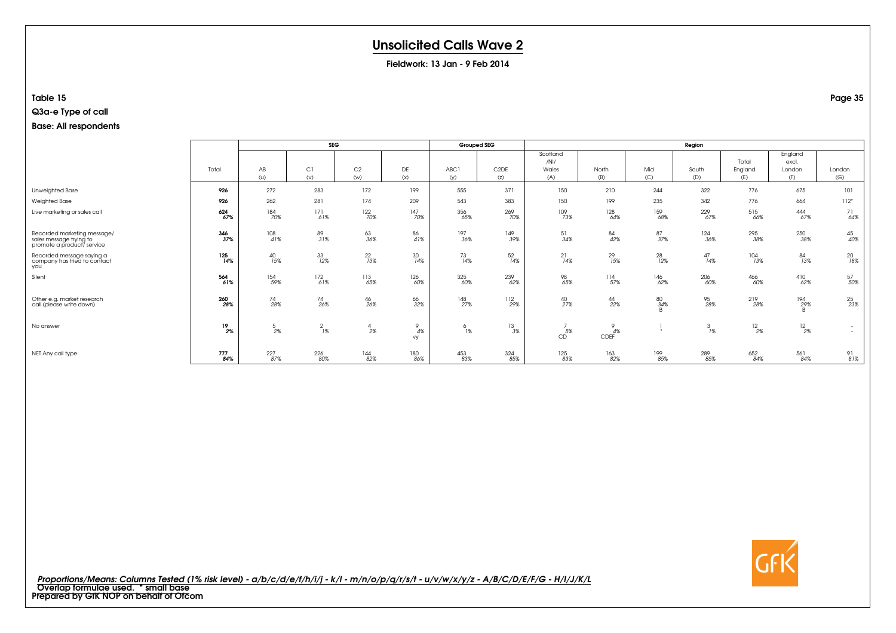Fieldwork: 13 Jan - 9 Feb 2014

#### Table 15

#### Q3a-e Type of call

#### Base: All respondents

|                                                                                      |            |                 | <b>SEG</b>        |                                            |                     | <b>Grouped SEG</b>                         |                          |                                            |                                            |                 | Region                                     |                         |                                   |                             |
|--------------------------------------------------------------------------------------|------------|-----------------|-------------------|--------------------------------------------|---------------------|--------------------------------------------|--------------------------|--------------------------------------------|--------------------------------------------|-----------------|--------------------------------------------|-------------------------|-----------------------------------|-----------------------------|
|                                                                                      | Total      | AB<br>(u)       | C1<br>(v)         | C2<br>(w)                                  | DE<br>(x)           | ABC1<br>(y)                                | C <sub>2</sub> DE<br>(z) | Scotland<br>/NI/<br>Wales<br>(A)           | North<br>(B)                               | Mid<br>(C)      | South<br>(D)                               | Total<br>England<br>(E) | England<br>excl.<br>London<br>(F) | London<br>(G)               |
| Unweighted Base                                                                      | 926        | 272             | 283               | 172                                        | 199                 | 555                                        | 371                      | 150                                        | 210                                        | 244             | 322                                        | 776                     | 675                               | 101                         |
| Weighted Base                                                                        | 926        | 262             | 281               | 174                                        | 209                 | 543                                        | 383                      | 150                                        | 199                                        | 235             | 342                                        | 776                     | 664                               | $112*$                      |
| Live marketing or sales call                                                         | 624<br>67% | 184<br>70%      | 171<br>61%        | 122<br>70%                                 | 147<br>70%          | 356<br>65%                                 | 269<br>70%               | 109<br>73%                                 | 128<br>64%                                 | 159<br>68%      | 229<br>67%                                 | 515<br>66%              | 444<br>67%                        | 71<br>64%                   |
| Recorded marketing message/<br>sales message trying to<br>promote a product/ service | 346<br>37% | 108<br>41%      | 89<br>31%         | 63<br>36%                                  | $\frac{86}{41\%}$   | 197<br>36%                                 | 149<br>39%               | 51<br>34%                                  | 84<br>42%                                  | 87<br>37%       | $\begin{array}{c} 124 \\ 36\% \end{array}$ | 295<br>38%              | $\underset{38\%}{^{250}}$         | $\substack{45 \\ 40\%}$     |
| Recorded message saying a<br>company has tried to contact<br>you                     | 125<br>14% | $^{40}_{15\%}$  | $\frac{33}{12\%}$ | $^{22}_{\phantom{2}13\%}$                  | $\frac{30}{14\%}$   | $\frac{73}{14\%}$                          | 52<br>14%                | $^{21}_{14\%}$                             | $^{29}_{15\%}$                             | $^{28}_{12\%}$  | 47<br>14%                                  | 104<br>13%              | 84<br>13%                         | $^{20}_{18\%}$              |
| Silent                                                                               | 564<br>61% | 154<br>59%      | 172<br>61%        | $\begin{array}{c} 113 \\ 65\% \end{array}$ | 126<br>60%          | 325<br>60%                                 | 239<br>62%               | 98<br>65%                                  | $\begin{array}{c} 114 \\ 57\% \end{array}$ | 146<br>62%      | 206<br>60%                                 | 466<br>60%              | 410<br>62%                        | $57 \over 50\%$             |
| Other e.g. market research<br>call (please write down)                               | 260<br>28% | 74<br>28%       | $\frac{74}{26\%}$ | $\frac{46}{26\%}$                          | 66<br>32%           | $\begin{array}{c} 148 \\ 27\% \end{array}$ | $^{112}_{29\%}$          | $^{40}_{27\%}$                             | $\frac{44}{22\%}$                          | 80<br>34%<br>B. | 95<br>28%                                  | 219<br>28%              | 194<br>29%                        | $\frac{25}{23\%}$           |
| No answer                                                                            | 19<br>2%   | $\frac{5}{2\%}$ | $^2_{1\%}$        | $^4_{2\%}$                                 | $\circ$<br>4%<br>vy | $^{6}$ 1%                                  | $\frac{13}{3\%}$         | 5%<br>CD                                   | $\circ$<br>4%<br><b>CDEF</b>               |                 | $\frac{3}{1\%}$                            | $\frac{12}{2\%}$        | $^{12}_{2\%}$                     | <b>Service</b><br>$\sim 10$ |
| NET Any call type                                                                    | 777<br>84% | $^{227}_{87\%}$ | 226<br>80%        | $\begin{array}{c} 144 \\ 82\% \end{array}$ | 180<br>86%          | $\begin{array}{c} 453 \\ 83\% \end{array}$ | 324<br>85%               | $\begin{array}{c} 125 \\ 83\% \end{array}$ | $\frac{163}{82\%}$                         | 199<br>85%      | 289<br>85%                                 | 652<br>84%              | 561<br>84%                        | $\frac{91}{81\%}$           |

# Proportions/Means: Columns Tested (1% risk level) - a/b/c/d/e/f/h/i/j - k/l - m/n/o/p/q/r/s/t - u/v/w/x/y/z - A/B/C/D/E/F/G - H/l/J/K/L<br>Overlap formulae used. \* small base<br>Prepared by GfK NOP on behalf of Ofcom



### Page 35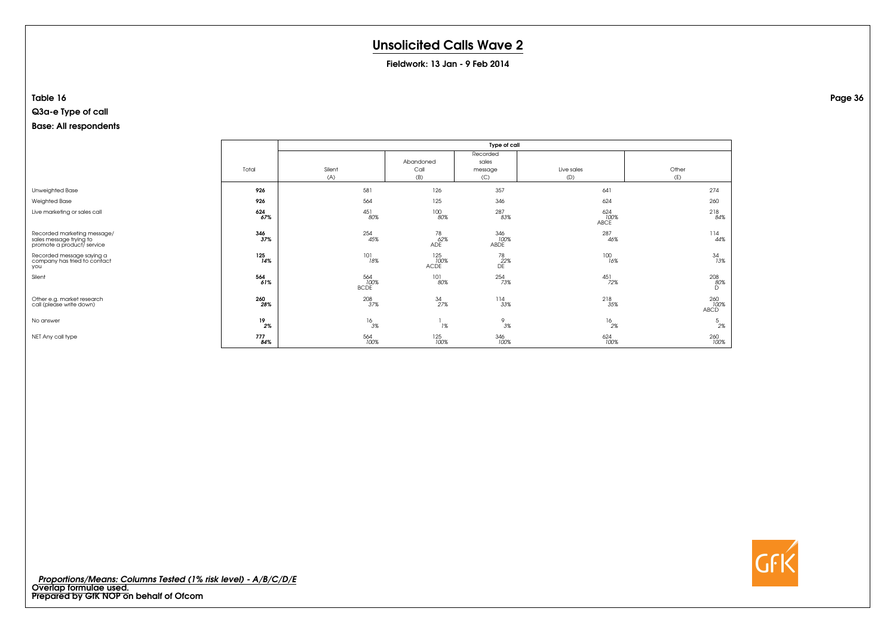Fieldwork: 13 Jan - 9 Feb 2014

#### Table 16

Q3a-e Type of call

### Base: All respondents

|                                                                                      |                   |                            |                                        | Type of call                               |                          |                                                 |
|--------------------------------------------------------------------------------------|-------------------|----------------------------|----------------------------------------|--------------------------------------------|--------------------------|-------------------------------------------------|
|                                                                                      | Total             | Silent<br>(A)              | Abandoned<br>Call<br>(B)               | Recorded<br>sales<br>message<br>(C)        | Live sales<br>(D)        | Other<br>(E)                                    |
| Unweighted Base                                                                      | 926               | 581                        | 126                                    | 357                                        | 641                      | 274                                             |
| Weighted Base                                                                        | 926               | 564                        | 125                                    | 346                                        | 624                      | 260                                             |
| Live marketing or sales call                                                         | 624<br>67%        | 451<br>80%                 | $^{100}_{80\%}$                        | $\underset{83\%}{^{287}}$                  | $624$<br>$100\%$<br>ABCE | $^{218}_{\phantom{1}84\%}$                      |
| Recorded marketing message/<br>sales message trying to<br>promote a product/ service | 346<br>37%        | 254<br>45%                 | 78<br>62%<br>ADE                       | 346<br>100%<br>ABDE                        | 287<br>46%               | 114<br>44%                                      |
| Recorded message saying a<br>company has tried to contact<br>you                     | 125<br><i>14%</i> | 101<br>18%                 | 125<br>$\frac{120}{100\%}$             | 78<br>22%<br>DE                            | $\frac{100}{16\%}$       | $\frac{34}{13\%}$                               |
| Silent                                                                               | 564<br>61%        | 564<br>100%<br><b>BCDE</b> | $\underset{\mathit{80\%}}{\text{101}}$ | 254<br>73%                                 | 451<br>72%               | $\begin{array}{c} 208 \\ 80\% \end{array}$<br>D |
| Other e.g. market research<br>call (please write down)                               | 260<br>28%        | 208<br>37%                 | $\frac{34}{27\%}$                      | $\begin{array}{c} 114 \\ 33\% \end{array}$ | $^{218}_{35\%}$          | 260<br>100%<br>ABCD                             |
| No answer                                                                            | 19<br>2%          | $\frac{16}{3\%}$           | 1%                                     | 9<br>3%                                    | $\frac{16}{2\%}$         | 5<br>2%                                         |
| NET Any call type                                                                    | 777<br>84%        | 564<br>100%                | 125<br><i>100</i> %                    | 346<br>100%                                | 624<br>100%              | 260<br>100%                                     |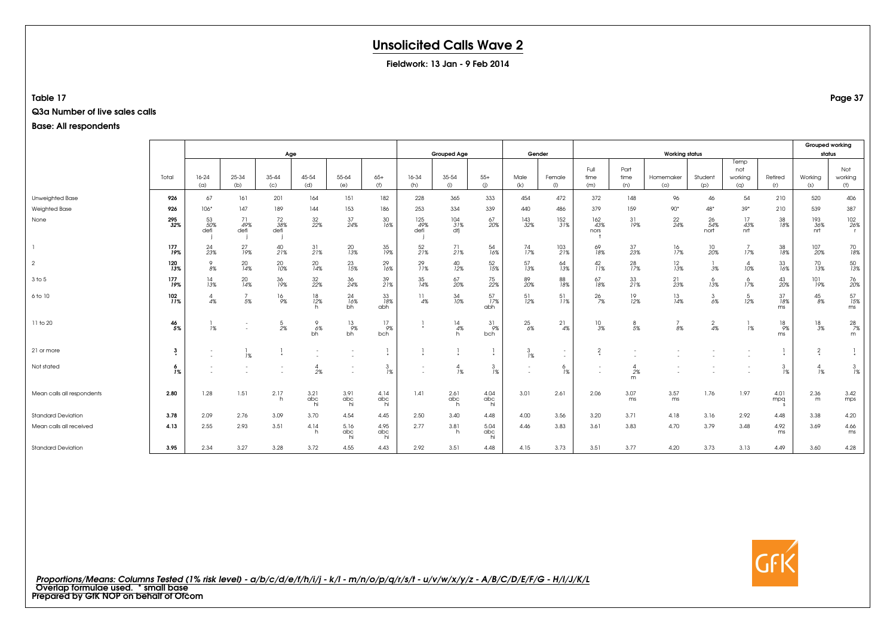Fieldwork: 13 Jan - 9 Feb 2014

#### Table 17

#### Q3a Number of live sales calls

#### Base: All respondents

|                            |            | Age                       |                   |                            |                   |                        |                         |                    | Grouped Age            |                   | Gender         |                    |                            |                           | <b>Working status</b>   |                        |                                             |                   | Grouped working<br>status |                                    |
|----------------------------|------------|---------------------------|-------------------|----------------------------|-------------------|------------------------|-------------------------|--------------------|------------------------|-------------------|----------------|--------------------|----------------------------|---------------------------|-------------------------|------------------------|---------------------------------------------|-------------------|---------------------------|------------------------------------|
|                            | Total      | 16-24<br>(a)              | 25-34<br>(b)      | 35-44<br>$\left( c\right)$ | 45-54<br>(d)      | 55-64<br>(e)           | $65+$<br>(f)            | 16-34<br>(h)       | 35-54<br>(i)           | $55+$<br>(i)      | Male<br>(k)    | Female<br>$($ l    | Full<br>time<br>(m)        | Part<br>time<br>(n)       | Homemaker<br>(0)        | Student<br>(p)         | Temp<br>not<br>working<br>$\left( q\right)$ | Retired<br>(r)    | Working<br>(s)            | Not<br>working<br>(t)              |
| <b>Unweighted Base</b>     | 926        | 67                        | 161               | 201                        | 164               | 151                    | 182                     | 228                | 365                    | 333               | 454            | 472                | 372                        | 148                       | 96                      | 46                     | 54                                          | 210               | 520                       | 406                                |
| <b>Weighted Base</b>       | 926        | $106*$                    | 147               | 189                        | 144               | 153                    | 186                     | 253                | 334                    | 339               | 440            | 486                | 379                        | 159                       | 90*                     | 48*                    | $39*$                                       | 210               | 539                       | 387                                |
| None                       | 295<br>32% | $\frac{53}{50\%}$<br>defi | 71<br>49%<br>defi | $\frac{72}{38\%}$<br>defi  | $\frac{32}{22\%}$ | 37<br>24%              | $\frac{30}{16\%}$       | 125<br>49%<br>defi | $^{104}_{31\%}$<br>dfj | 67<br>20%         | 143<br>32%     | $\frac{152}{31\%}$ | $\frac{162}{43\%}$<br>nors | $\frac{31}{19\%}$         | $^{22}_{24\%}$          | 26<br>54%<br>nort      | $\frac{17}{43\%}$<br>nrt                    | $\frac{38}{18\%}$ | 193<br>36%<br>nrt         | $^{102}_{26\%}$<br>$\mathsf{r}$    |
| $\mathbf{1}$               | 177<br>19% | $^{24}_{23\%}$            | 27<br>79%         | 40<br>21%                  | 31<br>21%         | $^{20}_{13\%}$         | $\frac{35}{19%}$        | $\frac{52}{21\%}$  | $^{71}_{21\%}$         | $\frac{54}{16\%}$ | $^{74}_{17\%}$ | $^{103}_{21\%}$    | 69<br>18%                  | 37<br>23%                 | 16<br>17%               | 10 <sup>°</sup><br>20% | $\frac{7}{17\%}$                            | $\frac{38}{18\%}$ | 107<br>20%                | 70<br>18%                          |
| $\overline{2}$             | 120<br>13% | 9<br>8%                   | 20<br>14%         | $^{20}_{10\%}$             | 20<br>14%         | 23<br>15%              | 29<br>16%               | 29<br>11%          | 40<br>12%              | $\frac{52}{15%}$  | 57<br>13%      | 64<br>13%          | 42<br>11%                  | 28<br>17%                 | 12<br>13%               | 3%                     | $\overline{4}$<br>10%                       | 33<br>16%         | 70<br>13%                 | $^{50}_{13\%}$                     |
| 3 to 5                     | 177<br>19% | 14<br>13%                 | 20<br>14%         | 36<br>19%                  | 32<br>22%         | 36<br>24%              | 39<br>21%               | 35<br>14%          | 67<br>20%              | 75<br>22%         | 89<br>20%      | 88<br>18%          | 67<br>18%                  | 33<br>21%                 | 21<br>23%               | 6<br>13%               | 6<br>17%                                    | 43<br>20%         | 101<br>19%                | 76<br>20%                          |
| 6 to 10                    | 102<br>11% | 4<br>4%                   | 5%                | 16<br>9%                   | 18<br>12%<br>h    | 24<br>16%<br>bh        | $\frac{33}{18%}$<br>abh | 11<br>4%           | 34<br>10%              | 57<br>17%<br>abh  | 51<br>12%      | 51<br>11%          | 26<br>7%                   | 19<br>12%                 | 13<br>14%               | 3<br>6%                | 5<br>12%                                    | 37<br>18%<br>ms   | 45<br>8%                  | $^{57}_{\scriptstyle{15\%}}$<br>ms |
| 11 to 20                   | 46<br>5%   | 1%                        |                   | $\frac{5}{2\%}$            | 9<br>6%<br>bh     | $\frac{13}{9\%}$<br>bh | 17<br>9%<br>bch         |                    | 14<br>4%<br>h          | 31<br>9%<br>bch   | 25<br>6%       | 21<br>4%           | 10<br>3%                   | 8<br>5%                   | $\overline{7}$<br>$8\%$ | $\overline{2}$<br>4%   | 1%                                          | 18<br>9%<br>ms    | 18<br>3%                  | $^{28}_{7\%}$<br>m                 |
| 21 or more                 | 3          |                           | 1%                |                            |                   |                        |                         |                    | ٠                      |                   | 3<br>1%        | $\sim$<br>$\sim$   | $\mathcal{P}$              |                           |                         |                        |                                             |                   | $\overline{2}$            | $\cdot$                            |
| Not stated                 | 6<br>1%    |                           |                   |                            | 4<br>2%           | ۰                      | $\mathbf{3}$<br>1%      |                    | $\overline{A}$<br>1%   | 3<br>1%           |                | 6<br>1%            |                            | $\overline{A}$<br>2%<br>m |                         |                        | $\overline{\phantom{a}}$                    | 3<br>1%           | 1%                        | $\mathbf{3}$<br>1%                 |
| Mean calls all respondents | 2.80       | 1.28                      | 1.51              | 2.17<br>h                  | 3.21<br>abc<br>hi | 3.91<br>abc<br>hi      | 4.14<br>abc<br>hi       | 1.41               | 2.61<br>abc<br>h.      | 4.04<br>abc<br>hi | 3.01           | 2.61               | 2.06                       | 3.07<br>ms                | 3.57<br>ms              | 1.76                   | 1.97                                        | 4.01<br>mpq       | 2.36<br>m                 | 3.42<br>mps                        |
| <b>Standard Deviation</b>  | 3.78       | 2.09                      | 2.76              | 3.09                       | 3.70              | 4.54                   | 4.45                    | 2.50               | 3.40                   | 4.48              | 4.00           | 3.56               | 3.20                       | 3.71                      | 4.18                    | 3.16                   | 2.92                                        | 4.48              | 3.38                      | 4.20                               |
| Mean calls all received    | 4.13       | 2.55                      | 2.93              | 3.51                       | 4.14<br>h         | 5.16<br>abc<br>hi      | 4.95<br>abc<br>hi       | 2.77               | 3.81<br>h              | 5.04<br>abc<br>hi | 4.46           | 3.83               | 3.61                       | 3.83                      | 4.70                    | 3.79                   | 3.48                                        | 4.92<br>ms        | 3.69                      | 4.66<br>ms                         |
| <b>Standard Deviation</b>  | 3.95       | 2.34                      | 3.27              | 3.28                       | 3.72              | 4.55                   | 4.43                    | 2.92               | 3.51                   | 4.48              | 4.15           | 3.73               | 3.51                       | 3.77                      | 4.20                    | 3.73                   | 3.13                                        | 4.49              | 3.60                      | 4.28                               |

Proportions/Means: Columns Tested (1% risk level) - a/b/c/d/e/f/h/i/j - k/l - m/n/o/p/q/r/s/t - u/v/w/x/y/z - A/B/C/D/E/F/G - H/I/J/K/L<br>Overlap formulae used. \* small base<br>Prepared by GfK NOP on behalf of Ofcom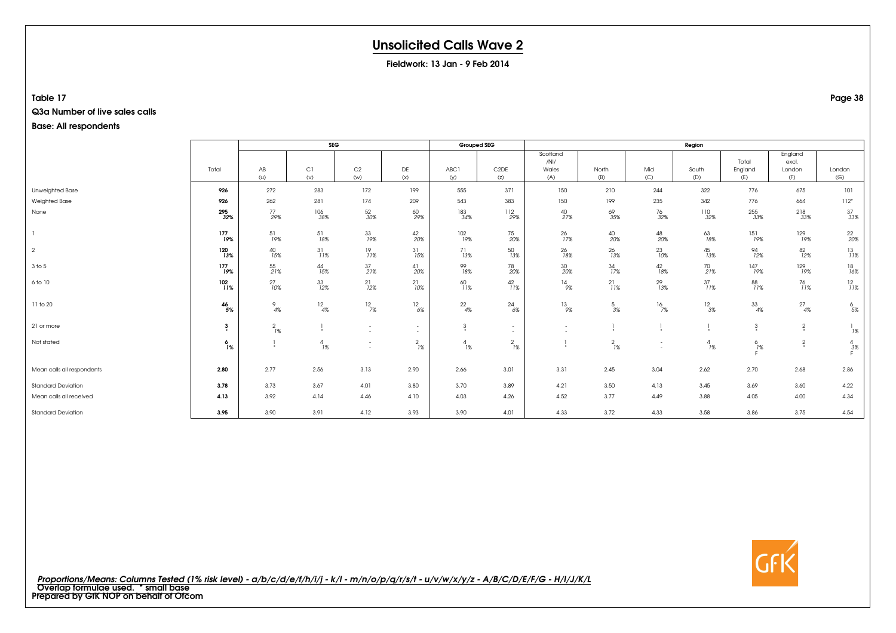Fieldwork: 13 Jan - 9 Feb 2014

#### Table 177 August 2014 and 2016 and 2017 and 2018 and 2018 and 2018 and 2018 and 2018 and 2018 and 2019 and 2019 and 20<br>The contract of the contract of the contract of the contract of the contract of the contract of the contract of

#### Q3a Number of live sales calls

#### Base: All respondents

|                            |                    |                      | <b>SEG</b>        |                                    |                  |                    | <b>Grouped SEG</b>       |                                        |                                    |                  | Region                                     |                                            |                                               |                                    |
|----------------------------|--------------------|----------------------|-------------------|------------------------------------|------------------|--------------------|--------------------------|----------------------------------------|------------------------------------|------------------|--------------------------------------------|--------------------------------------------|-----------------------------------------------|------------------------------------|
|                            | Total              | AB<br>(u)            | C1<br>(v)         | C2<br>(w)                          | DE<br>(x)        | ABC1<br>(y)        | C <sub>2</sub> DE<br>(z) | Scotland<br>$/$ NI $/$<br>Wales<br>(A) | North<br>(B)                       | Mid<br>(C)       | South<br>(D)                               | Total<br>England<br>(E)                    | England<br>excl.<br>London<br>(F)             | London<br>(G)                      |
| <b>Unweighted Base</b>     | 926                | 272                  | 283               | 172                                | 199              | 555                | 371                      | 150                                    | 210                                | 244              | 322                                        | 776                                        | 675                                           | 101                                |
| Weighted Base              | 926                | 262                  | 281               | 174                                | 209              | 543                | 383                      | 150                                    | 199                                | 235              | 342                                        | 776                                        | 664                                           | $112*$                             |
| None                       | 295<br>32%         | 77<br>29%            | $^{106}_{38\%}$   | $\frac{52}{30\%}$                  | 60<br>29%        | 183<br>34%         | 112<br>29%               | $^{40}_{27\%}$                         | 69<br>35%                          | 76<br>32%        | $\begin{array}{c} 110 \\ 32\% \end{array}$ | $\underset{33\%}{^{255}}$                  | $^{218}_{33\%}$                               | $\substack{37 \\ 33\%}$            |
|                            | 177<br>19%         | $\frac{51}{19\%}$    | $^{51}_{18\%}$    | $\frac{33}{19\%}$                  | $^{42}_{\ 20\%}$ | $\frac{102}{19\%}$ | $\frac{75}{20\%}$        | $^{26}_{17\%}$                         | $^{40}_{\,20\%}$                   | $^{48}_{20\%}$   | 63<br>18%                                  | $\begin{array}{c} 151 \\ 19\% \end{array}$ | 129<br><i>19%</i>                             | $^{22}_{\ 20\%}$                   |
| $\overline{2}$             | 120<br>73%         | 40<br>15%            | 31<br>11%         | $\frac{19}{11\%}$                  | 31<br>15%        | $\frac{71}{13\%}$  | $\frac{50}{13\%}$        | $^{26}_{18\%}$                         | $\frac{26}{13\%}$                  | $^{23}_{10\%}$   | 45<br>13%                                  | 94<br>12%                                  | $\frac{82}{12\%}$                             | $^{13}_{\hbox{\scriptsize{11}}\%}$ |
| $3$ to $5$                 | 177<br>19%         | $^{55}_{21\%}$       | 44<br>15%         | 37<br>21%                          | 41<br>20%        | 99<br>18%          | 78<br>20%                | $\frac{30}{20\%}$                      | $\frac{34}{17\%}$                  | 42<br>18%        | 70<br>21%                                  | 147<br>19%                                 | $\begin{array}{c}\n129 \\ 19\% \n\end{array}$ | $\frac{18}{16\%}$                  |
| 6 to 10                    | $\frac{102}{11\%}$ | 27<br>70%            | $\frac{33}{12\%}$ | $^{21}_{\phantom{1}12\%}$          | 21<br>70%        | 60<br>11%          | 42<br>11%                | $\frac{14}{9\%}$                       | $^{21}_{\hbox{\scriptsize{11}}\%}$ | $^{29}_{13\%}$   | 37<br>71%                                  | 88<br>11%                                  | $\frac{76}{11\%}$                             | $\frac{12}{11\%}$                  |
| 11 to 20                   | $\frac{46}{5\%}$   | $^{\rm 9}_{\rm 4\%}$ | 12<br>4%          | $\frac{12}{7\%}$                   | 12<br>6%         | $^{22}_{4\%}$      | 24<br>6%                 | $\frac{13}{9\%}$                       | $\frac{5}{3\%}$                    | $\frac{16}{7\%}$ | $\frac{12}{3\%}$                           | 33<br>4%                                   | $^{27}_{4\%}$                                 | $^6$ 5%                            |
| 21 or more                 | 3                  | $^2_{1\%}$           | $\star$           | $\sim$<br>$\sim$                   | $\sim$<br>$\sim$ | 3<br>÷             | $\sim$<br>$\sim$         | $\sim$                                 |                                    |                  |                                            | $\frac{3}{5}$                              | $\frac{2}{\ast}$                              | 7%                                 |
| Not stated                 | 6<br>1%            |                      | $\frac{4}{1\%}$   | $\overline{\phantom{a}}$<br>$\sim$ | $\frac{2}{1\%}$  | $\frac{4}{1\%}$    | $^2_{1\%}$               |                                        | $^2_{1\%}$                         | $\sim$           | $\overline{4}$<br>1%                       | $^{6}$ 1%<br>E.                            | $\frac{2}{1}$                                 | $\frac{4}{3\%}$ F                  |
| Mean calls all respondents | 2.80               | 2.77                 | 2.56              | 3.13                               | 2.90             | 2.66               | 3.01                     | 3.31                                   | 2.45                               | 3.04             | 2.62                                       | 2.70                                       | 2.68                                          | 2.86                               |
| <b>Standard Deviation</b>  | 3.78               | 3.73                 | 3.67              | 4.01                               | 3.80             | 3.70               | 3.89                     | 4.21                                   | 3.50                               | 4.13             | 3.45                                       | 3.69                                       | 3.60                                          | 4.22                               |
| Mean calls all received    | 4.13               | 3.92                 | 4.14              | 4.46                               | 4.10             | 4.03               | 4.26                     | 4.52                                   | 3.77                               | 4.49             | 3.88                                       | 4.05                                       | 4.00                                          | 4.34                               |
| <b>Standard Deviation</b>  | 3.95               | 3.90                 | 3.91              | 4.12                               | 3.93             | 3.90               | 4.01                     | 4.33                                   | 3.72                               | 4.33             | 3.58                                       | 3.86                                       | 3.75                                          | 4.54                               |

Proportions/Means: Columns Tested (1% risk level) - a/b/c/d/e/f/h/i/j - k/l - m/n/o/p/q/r/s/t - u/v/w/x/y/z - A/B/C/D/E/F/G - H/l/J/K/L<br>Overlap formulae used. \* small base<br>Prepared by GfK NOP on behalf of Ofcom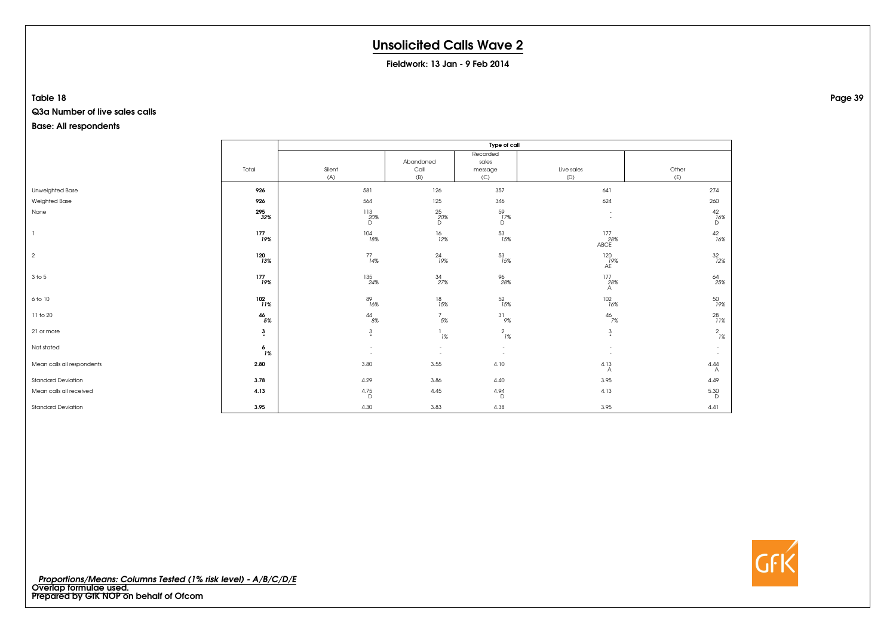Fieldwork: 13 Jan - 9 Feb 2014

#### Table 18

Q3a Number of live sales calls

#### Base: All respondents

|                            |                    |                                                 |                                             | Type of call                                     |                                                                                  |                                           |
|----------------------------|--------------------|-------------------------------------------------|---------------------------------------------|--------------------------------------------------|----------------------------------------------------------------------------------|-------------------------------------------|
|                            | Total              | Silent<br>(A)                                   | Abandoned<br>Call<br>(B)                    | Recorded<br>sales<br>message<br>(C)              | Live sales<br>(D)                                                                | Other<br>(E)                              |
| <b>Unweighted Base</b>     | 926                | 581                                             | 126                                         | 357                                              | 641                                                                              | 274                                       |
| Weighted Base              | 926                | 564                                             | 125                                         | 346                                              | 624                                                                              | 260                                       |
| None                       | 295<br>32%         | $\begin{array}{c} 113 \\ 20\% \\ D \end{array}$ | $\overset{25}{\underset{\mathsf{D}}{20\%}}$ | $\frac{59}{17\%}$<br>D                           | $\overline{\phantom{a}}$                                                         | $^{42}_{\hbox{\scriptsize l\acute{o}}\%}$ |
| $\mathbf{1}$               | 177<br>19%         | $^{104}_{\phantom{1}18\%}$                      | $^{16}_{12\%}$                              | $^{53}_{\phantom{1}75\%}$                        | $\begin{array}{c}\n 177 \\  \underline{28\%} \\  \underline{ABCE}\n \end{array}$ | $\frac{42}{16\%}$                         |
| $\overline{2}$             | 120<br><i>13%</i>  | $^{77}_{\phantom{1}14\%}$                       | $^{24}_{\phantom{1}19\%}$                   | $^{53}_{\phantom{1}75\%}$                        | $\frac{120}{19\%}$ AE                                                            | $\frac{32}{12\%}$                         |
| 3 to 5                     | 177<br>19%         | 135<br>24%                                      | $\frac{34}{27\%}$                           | 96<br>28%                                        | $\frac{177}{28\%}$<br>Α                                                          | $^{64}_{25\%}$                            |
| 6 to 10                    | $\frac{102}{11\%}$ | $\frac{89}{16\%}$                               | $^{18}_{15\%}$                              | $\frac{52}{15\%}$                                | $\frac{102}{16\%}$                                                               | $^{50}_{19\%}$                            |
| 11 to 20                   | $\frac{46}{5\%}$   | $^{44}_{\phantom{1}8\%}$                        | $^7_{\,5\%}$                                | $31_{9\%}$                                       | $^{46}$ <sub>7%</sub>                                                            | $^{28}_{\ \ \ \ 11\%}$                    |
| 21 or more                 | $\frac{3}{4}$      | $\frac{3}{\ast}$                                | 1%                                          | $\sqrt{2}_{1\%}$                                 | $\frac{3}{1}$                                                                    | $\sqrt{2}_{1\%}$                          |
| Not stated                 | $^{6}$ 1%          |                                                 | $\overline{\phantom{a}}$                    |                                                  |                                                                                  | $\sim$<br>$\overline{\phantom{a}}$        |
| Mean calls all respondents | 2.80               | 3.80                                            | 3.55                                        | 4.10                                             | $4.13$<br>A                                                                      | 4.44<br>$\overline{A}$                    |
| <b>Standard Deviation</b>  | 3.78               | 4.29                                            | 3.86                                        | 4.40                                             | 3.95                                                                             | 4.49                                      |
| Mean calls all received    | 4.13               | $4.75$ D                                        | 4.45                                        | $\overset{\textup{4.94}}{\phantom{0}\textup{D}}$ | 4.13                                                                             | $5.30$ D                                  |
| <b>Standard Deviation</b>  | 3.95               | 4.30                                            | 3.83                                        | 4.38                                             | 3.95                                                                             | 4.41                                      |



Page 39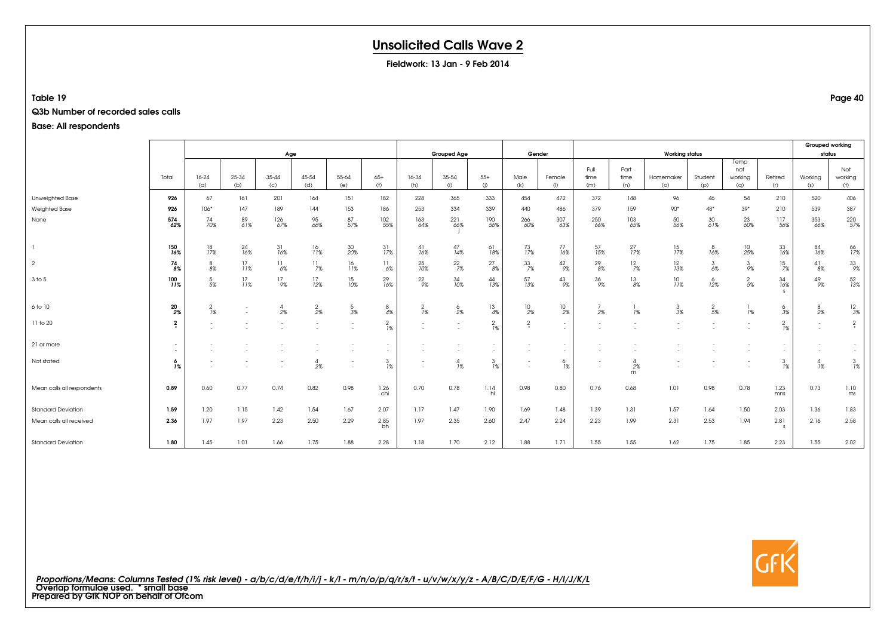Fieldwork: 13 Jan - 9 Feb 2014

#### Table 19

#### Q3b Number of recorded sales calls

#### Base: All respondents

|                            |                         |                          |                | Age                  |                   |                 |                      |                 | Grouped Age                   |                      | Gender                         |                  |                     |                     | <b>Working status</b> |                   |                                    |                      | Grouped working<br>status |                       |
|----------------------------|-------------------------|--------------------------|----------------|----------------------|-------------------|-----------------|----------------------|-----------------|-------------------------------|----------------------|--------------------------------|------------------|---------------------|---------------------|-----------------------|-------------------|------------------------------------|----------------------|---------------------------|-----------------------|
|                            | Total                   | 16-24<br>(a)             | 25-34<br>(b)   | 35-44<br>(c)         | 45-54<br>(d)      | 55-64<br>(e)    | $65+$<br>(f)         | 16-34<br>(h)    | 35-54<br>(i)                  | $55+$<br>(i)         | Male<br>(k)                    | Female<br>(1)    | Full<br>time<br>(m) | Part<br>time<br>(n) | Homemaker<br>(0)      | Student<br>(p)    | Temp<br>not<br>working<br>(q)      | Retired<br>(r)       | Working<br>(s)            | Not<br>working<br>(t) |
| <b>Unweighted Base</b>     | 926                     | 67                       | 161            | 201                  | 164               | 151             | 182                  | 228             | 365                           | 333                  | 454                            | 472              | 372                 | 148                 | 96                    | 46                | 54                                 | 210                  | 520                       | 406                   |
| <b>Weighted Base</b>       | 926                     | $106*$                   | 147            | 189                  | 144               | 153             | 186                  | 253             | 334                           | 339                  | 440                            | 486              | 379                 | 159                 | 90*                   | 48*               | $39*$                              | 210                  | 539                       | 387                   |
| None                       | 574<br>62%              | 74<br>70%                | $^{89}_{61\%}$ | 126<br>67%           | 95<br>66%         | 87<br>57%       | <sup>102</sup> 55%   | 163<br>64%      | 221<br>66%                    | 190<br>56%           | 266<br>60%                     | 307<br>63%       | 250<br>66%          | 103<br>65%          | $50\atop56\%$         | $\frac{30}{61\%}$ | $^{23}_{60\%}$                     | 117<br>56%           | 353<br>66%                | 220<br>57%            |
|                            | 150<br><i>16%</i>       | $^{18}_{17\%}$           | $^{24}_{16\%}$ | $\frac{31}{16\%}$    | $\frac{16}{11\%}$ | 30<br>20%       | $\frac{31}{17\%}$    | 41<br>16%       | $^{47}_{14\%}$                | $^{61}_{18\%}$       | $^{73}_{17\%}$                 | 77<br>16%        | 57<br>15%           | $^{27}_{17\%}$      | 15<br>17%             | 8<br>16%          | $^{10}_{25\%}$                     | $\frac{33}{16\%}$    | 84<br>16%                 | 66<br>17%             |
| $\overline{2}$             | 74<br>8%                | $_{8\%}^8$               | 17<br>11%      | $11 -$<br>6%         | 11<br>7%          | 16<br>11%       | 11<br>6%             | $^{25}_{10\%}$  | $^{22}_{7\%}$                 | 27<br>8%             | $\frac{33}{7\%}$               | $\frac{42}{9\%}$ | $^{29}_{\,\,8\%}$   | $\frac{12}{7\%}$    | 12<br><i>13%</i>      | 3<br>6%           | $\frac{3}{9\%}$                    | $\frac{15}{7\%}$     | 41<br>8%                  | $^{33}_{9\%}$         |
| 3 to 5                     | 100<br>11%              | $5\phantom{.0}$<br>5%    | 17<br>11%      | 17<br>9%             | 17<br>12%         | 15<br>10%       | 29<br>16%            | 22<br>9%        | $\frac{34}{10\%}$             | 44<br>13%            | 57<br>13%                      | 43<br>9%         | 36<br>9%            | 13<br>8%            | 10<br>11%             | 6<br>12%          | $\overline{2}$<br>$\overline{5}$ % | 34<br>16%<br>S.      | 49<br>9%                  | $\frac{52}{13\%}$     |
| 6 to 10                    | $^{20}_{2\%}$           | $\frac{2}{1\%}$          |                | $\overline{4}$<br>2% | $\frac{2}{2\%}$   | $\frac{5}{3\%}$ | $\frac{8}{4\%}$      | $\frac{2}{1\%}$ | $\frac{6}{2\%}$               | $\frac{13}{4\%}$     | $^{10}_{2\%}$                  | $^{10}_{2\%}$    | 2%                  | 1%                  | $\frac{3}{3\%}$       | $\frac{2}{5\%}$   | 1%                                 | $\frac{6}{3\%}$      | 2%                        | $^{12}_{3\%}$         |
| 11 to 20                   | $\overline{\mathbf{2}}$ | $\overline{\phantom{a}}$ |                |                      |                   | ۰<br>۰          | $\overline{2}$<br>1% | $\sim$          | $\sim$<br>$\sim$              | $\overline{2}$<br>1% | $\overline{2}$                 | $\sim$<br>$\sim$ |                     |                     |                       |                   | $\overline{\phantom{a}}$           | $\overline{2}$<br>1% |                           | $\frac{2}{\ast}$      |
| 21 or more                 | $\sim$                  |                          |                |                      |                   |                 | $\sim$               |                 | $\overline{\phantom{a}}$<br>٠ | $\sim$<br>$\sim$     | ٠.<br>$\overline{\phantom{a}}$ | $\sim$<br>$\sim$ |                     |                     |                       |                   |                                    | ٠                    |                           | $\sim$                |
| Not stated                 | 6<br>1%                 |                          |                |                      | 4<br>2%           | ٠               | $\frac{3}{1\%}$      |                 | $\frac{4}{1\%}$               | $\frac{3}{1\%}$      |                                | $\frac{6}{1\%}$  |                     | $\Delta$<br>2%<br>m |                       |                   | $\overline{\phantom{a}}$           | $\frac{3}{1\%}$      | 1%                        | $\frac{3}{1\%}$       |
| Mean calls all respondents | 0.89                    | 0.60                     | 0.77           | 0.74                 | 0.82              | 0.98            | 1.26<br>chi          | 0.70            | 0.78                          | 1.14<br>hi           | 0.98                           | 0.80             | 0.76                | 0.68                | 1.01                  | 0.98              | 0.78                               | 1.23<br>mns          | 0.73                      | $\frac{1.10}{ms}$     |
| <b>Standard Deviation</b>  | 1.59                    | 1.20                     | 1.15           | 1.42                 | 1.54              | 1.67            | 2.07                 | 1.17            | 1.47                          | 1.90                 | 1.69                           | 1.48             | 1.39                | 1.31                | 1.57                  | 1.64              | 1.50                               | 2.03                 | 1.36                      | 1.83                  |
| Mean calls all received    | 2.36                    | 1.97                     | 1.97           | 2.23                 | 2.50              | 2.29            | 2.85<br>bh           | 1.97            | 2.35                          | 2.60                 | 2.47                           | 2.24             | 2.23                | 1.99                | 2.31                  | 2.53              | 1.94                               | 2.81                 | 2.16                      | 2.58                  |
| <b>Standard Deviation</b>  | 1.80                    | 1.45                     | 1.01           | 1.66                 | 1.75              | 1.88            | 2.28                 | 1.18            | 1.70                          | 2.12                 | 1.88                           | 1.71             | 1.55                | 1.55                | 1.62                  | 1.75              | 1.85                               | 2.23                 | 1.55                      | 2.02                  |

Proportions/Means: Columns Tested (1% risk level) - a/b/c/d/e/f/h/i/j - k/l - m/n/o/p/q/r/s/t - u/v/w/x/y/z - A/B/C/D/E/F/G - H/I/J/K/L<br>Overlap formulae used. \* small base<br>Prepared by GfK NOP on behalf of Ofcom

en de la provincia de la provincia de la provincia de la provincia de la provincia de la provincia de la provi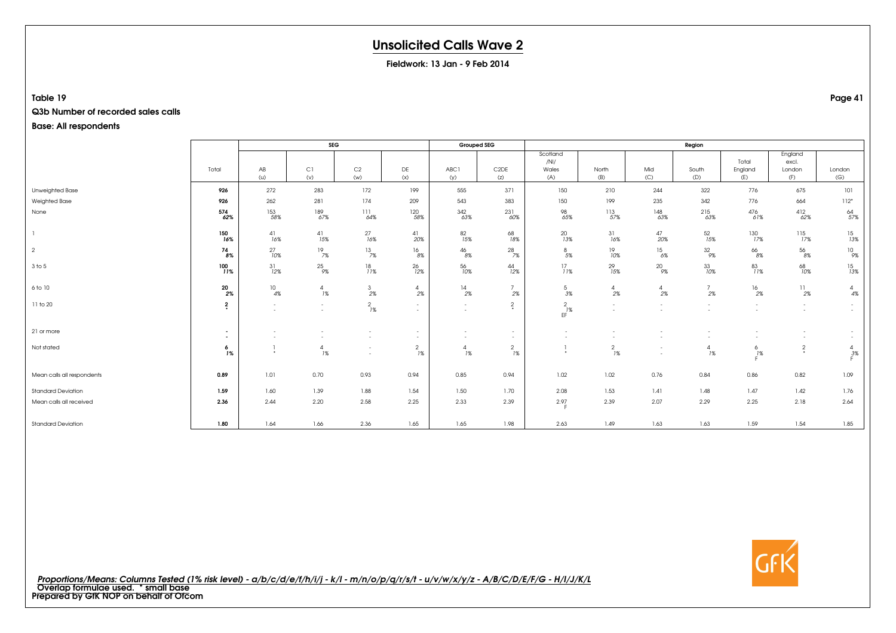Fieldwork: 13 Jan - 9 Feb 2014

#### Table 19en de la provincia de la provincia de la provincia de la provincia de la provincia de la provincia de la provi

Q3b Number of recorded sales calls

#### Base: All respondents

|                            |                          |                                                      | $\sf{SEG}$               |                                    |                      |                                          | <b>Grouped SEG</b>       |                                        |                                            |                      | Region                                     |                                            |                                   |                             |
|----------------------------|--------------------------|------------------------------------------------------|--------------------------|------------------------------------|----------------------|------------------------------------------|--------------------------|----------------------------------------|--------------------------------------------|----------------------|--------------------------------------------|--------------------------------------------|-----------------------------------|-----------------------------|
|                            | Total                    | AB<br>(u)                                            | C1<br>(v)                | C2<br>(w)                          | DE<br>(x)            | ABC1<br>(y)                              | C <sub>2</sub> DE<br>(z) | Scotland<br>$/$ NI $/$<br>Wales<br>(A) | North<br>(B)                               | Mid<br>(C)           | South<br>(D)                               | Total<br>England<br>(E)                    | England<br>excl.<br>London<br>(F) | London<br>$\left( G\right)$ |
| Unweighted Base            | 926                      | 272                                                  | 283                      | 172                                | 199                  | 555                                      | 371                      | 150                                    | 210                                        | 244                  | 322                                        | 776                                        | 675                               | 101                         |
| Weighted Base              | 926                      | 262                                                  | 281                      | 174                                | 209                  | 543                                      | 383                      | 150                                    | 199                                        | 235                  | 342                                        | 776                                        | 664                               | $112*$                      |
| None                       | 574<br>62%               | 153<br>58%                                           | 189<br>67%               | 111<br>64%                         | 120<br>58%           | 342<br>63%                               | 231<br>60%               | 98<br>65%                              | $\begin{array}{c} 113 \\ 57\% \end{array}$ | 148<br>63%           | $\begin{array}{c} 215 \\ 63\% \end{array}$ | $^{476}_{61\%}$                            | $^{412}_{62\%}$                   | $^{64}_{57\%}$              |
| $\mathbf{1}$               | 150<br>76%               | 41<br>16%                                            | $\underset{15\%}{^{41}}$ | 27<br>76%                          | $^{41}_{\ 20\%}$     | $\frac{82}{15\%}$                        | 68<br>18%                | $^{20}_{13\%}$                         | $\frac{31}{16\%}$                          | 47<br>20%            | $\frac{52}{15\%}$                          | $\begin{array}{c} 130 \\ 17\% \end{array}$ | 115<br>17%                        | $\frac{15}{13\%}$           |
| $\overline{2}$             | 74<br>8%                 | $^{27}_{10\%}$                                       | 19<br>7%                 | $\frac{13}{7\%}$                   | 16<br>8%             | $\begin{array}{c} 46 \\ 8\% \end{array}$ | $^{28}_{7\%}$            | 8<br>5%                                | 19<br>10%                                  | 15<br>6%             | $\frac{32}{9\%}$                           | $^{66}_{8\%}$                              | $^{56}_{\phantom{1}8\%}$          | $\frac{10}{9\%}$            |
| $3$ to $5$                 | 100<br>11%               | 31<br>12%                                            | $^{25}_{\phantom{1}9\%}$ | 18<br>11%                          | 26<br>12%            | $\frac{56}{10\%}$                        | 44<br>12%                | $^{17}_{\hphantom{1}11\%}$             | $^{29}_{15\%}$                             | $^{20}_{9\%}$        | 33<br>10%                                  | 83<br>11%                                  | 68<br>10%                         | $^{15}_{13\%}$              |
| 6 to 10                    | $^{20}_{\phantom{1}2\%}$ | $^{10}_{\phantom{1}4\%}$                             | $\frac{4}{1\%}$          | $_{2\%}^3$                         | $\overline{4}$<br>2% | $\frac{14}{2\%}$                         | $\frac{7}{2\%}$          | $\frac{5}{3\%}$                        | $\overline{4}$<br>2%                       | $\overline{4}$<br>2% | $\frac{7}{2\%}$                            | $\frac{16}{2\%}$                           | $\frac{11}{2\%}$                  | $\frac{4}{4\%}$             |
| 11 to 20                   | $\overline{2}$           | $\overline{\phantom{a}}$<br>$\sim$                   | $\sim$<br>$\sim$         | $^2_{1\%}$                         | $\sim$<br>$\sim$     | $\sim$<br>$\sim$                         | $\frac{2}{\ast}$         | $\frac{2}{1\%}$<br>EF <sup>1</sup>     | $\sim$<br>$\sim$                           | $\sim$<br>$\sim$     | $\overline{\phantom{a}}$<br>$\sim$         | $\sim$<br>$\sim$                           | $\sim$<br>$\sim$                  | $\sim$<br><b>Section</b>    |
| 21 or more                 | $\sim$<br>$\sim$         | $\overline{\phantom{a}}$<br>$\overline{\phantom{a}}$ | $\overline{\phantom{a}}$ | $\sim$<br>$\sim$                   | $\sim$<br>$\sim$     | $\sim$<br>$\sim$                         | $\sim$<br>$\sim$         |                                        |                                            |                      | $\overline{\phantom{a}}$                   |                                            | $\sim$<br>$\sim$                  | $\sim$                      |
| Not stated                 | 6<br>1%                  |                                                      | 4<br>1%                  | $\overline{\phantom{a}}$<br>$\sim$ | $\overline{2}$<br>1% | $\overline{4}$<br>1%                     | $\overline{2}$<br>1%     |                                        | $\frac{2}{1\%}$                            | $\sim$               | 4<br>1%                                    | 6<br>1%                                    | $\frac{2}{\epsilon}$              | $\frac{4}{3\%}$<br>F.       |
| Mean calls all respondents | 0.89                     | 1.01                                                 | 0.70                     | 0.93                               | 0.94                 | 0.85                                     | 0.94                     | 1.02                                   | 1.02                                       | 0.76                 | 0.84                                       | 0.86                                       | 0.82                              | 1.09                        |
| <b>Standard Deviation</b>  | 1.59                     | 1.60                                                 | 1.39                     | 1.88                               | 1.54                 | 1.50                                     | 1.70                     | 2.08                                   | 1.53                                       | 1.41                 | 1.48                                       | 1.47                                       | 1.42                              | 1.76                        |
| Mean calls all received    | 2.36                     | 2.44                                                 | 2.20                     | 2.58                               | 2.25                 | 2.33                                     | 2.39                     | 2.97                                   | 2.39                                       | 2.07                 | 2.29                                       | 2.25                                       | 2.18                              | 2.64                        |
| <b>Standard Deviation</b>  | 1.80                     | 1.64                                                 | 1.66                     | 2.36                               | 1.65                 | 1.65                                     | 1.98                     | 2.63                                   | 1.49                                       | 1.63                 | 1.63                                       | 1.59                                       | 1.54                              | 1.85                        |

Proportions/Means: Columns Tested (1% risk level) - a/b/c/d/e/f/h/i/j - k/l - m/n/o/p/q/r/s/t - u/v/w/x/y/z - A/B/C/D/E/F/G - H/l/J/K/L<br>Overlap formulae used. \* small base<br>Prepared by GfK NOP on behalf of Ofcom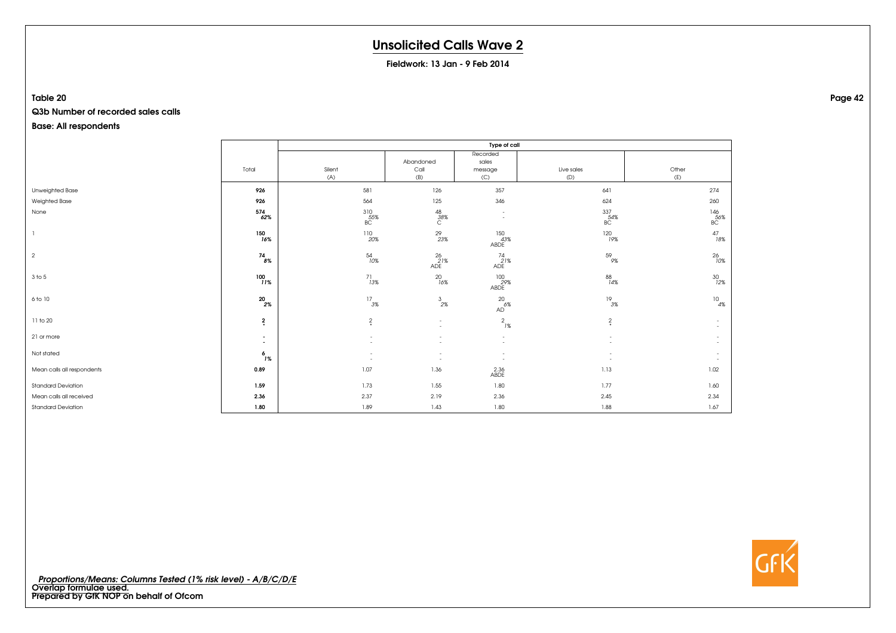Fieldwork: 13 Jan - 9 Feb 2014

#### Table 20

Q3b Number of recorded sales calls

#### Base: All respondents

|                            |                               |                                            |                                                                                    | Type of call                                            |                                                    |                                          |
|----------------------------|-------------------------------|--------------------------------------------|------------------------------------------------------------------------------------|---------------------------------------------------------|----------------------------------------------------|------------------------------------------|
|                            | Total                         | Silent<br>(A)                              | Abandoned<br>$C$ all<br>(B)                                                        | Recorded<br>sales<br>message<br>(C)                     | Live sales<br>(D)                                  | Other<br>(E)                             |
| <b>Unweighted Base</b>     | 926                           | 581                                        | 126                                                                                | 357                                                     | 641                                                | 274                                      |
| Weighted Base              | 926                           | 564                                        | 125                                                                                | 346                                                     | 624                                                | 260                                      |
| None                       | 574<br>62%                    | $\underset{\text{BC}}{310}$                | $^{48}_{38\%}$ C                                                                   | $\overline{\phantom{a}}$<br>$\sim$                      | $\overset{337}{\underset{\text{BC}}{\text{54\%}}}$ | 146<br>56%<br>BC                         |
| $\mathbf{1}$               | 150<br><i>16%</i>             | $\begin{array}{c} 110 \\ 20\% \end{array}$ | $\substack{29 \\ 23\%}$                                                            | 150<br>43%<br>ABDE                                      | $\frac{120}{19\%}$                                 | $^{47}_{\phantom{1}18\%}$                |
| $\overline{2}$             | $\frac{74}{8\%}$              | $^{54}_{10\%}$                             | $\begin{array}{c}\n 26 \\  21\% \\  \text{ADE}\n \end{array}$                      | $\begin{array}{c} 74 \\ 21\% \\ \text{ADE} \end{array}$ | $^{59}_{9\%}$                                      | $^{26}_{10\%}$                           |
| $3$ to $5$                 | $\frac{100}{11\%}$            | $^{71}_{\hphantom{1}13\%}$                 | $^{20}_{\phantom{1} \phantom{1} \phantom{1} \phantom{1} \phantom{1} \phantom{1} }$ | $\begin{array}{c}\n100 \\ 29\% \\ \end{array}$ ABDE     | $\frac{88}{14\%}$                                  | $\frac{30}{12\%}$                        |
| 6 to 10                    | $^{20}_{2\%}$                 | $^{17}_{\phantom{1}3\%}$                   | $^3_{\phantom{1}2\%}$                                                              | 20 <sub>2</sub><br>6%<br>AD.                            | $\frac{19}{3\%}$                                   | $\begin{array}{c} 10 \\ 4\% \end{array}$ |
| 11 to 20                   | $\frac{2}{x}$                 | $\frac{2}{\epsilon}$                       |                                                                                    | $^2_{\phantom{1}\! \gamma\! \! \gamma}$                 | $\frac{2}{\pi}$                                    | $\sim$<br>$\sim$                         |
| 21 or more                 | $\overline{\phantom{a}}$<br>٠ |                                            |                                                                                    | $\sim$                                                  |                                                    | $\sim$<br>$\sim$                         |
| Not stated                 | $^{6}$ 1%                     | <b>.</b>                                   | $\sim$                                                                             | $\sim$                                                  | $\overline{\phantom{a}}$<br>$\sim$                 | $\sim$<br>$\sim$                         |
| Mean calls all respondents | 0.89                          | 1.07                                       | 1.36                                                                               | $2.36$<br>ABDE                                          | 1.13                                               | 1.02                                     |
| <b>Standard Deviation</b>  | 1.59                          | 1.73                                       | 1.55                                                                               | 1.80                                                    | 1.77                                               | 1.60                                     |
| Mean calls all received    | 2.36                          | 2.37                                       | 2.19                                                                               | 2.36                                                    | 2.45                                               | 2.34                                     |
| <b>Standard Deviation</b>  | 1.80                          | 1.89                                       | 1.43                                                                               | 1.80                                                    | 1.88                                               | 1.67                                     |

Proportions/Means: Columns Tested (1% risk level) - A/B/C/D/E Overlap formulae used. Prepared by GfK NOP on behalf of Ofcom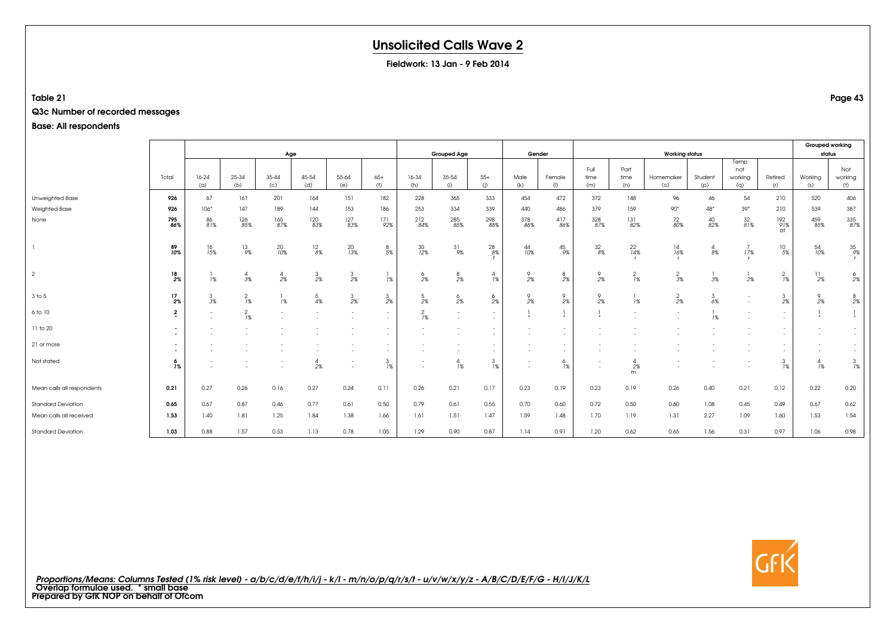Fieldwork: 13 Jan - 9 Feb 2014

#### Table 21

#### Q3c Number of recorded messages

#### Base: All respondents

|                            |                  |                          |                      | Age                                        |                    |                                            |                    |                      | <b>Grouped Age</b>       |                      | Gender                             |                            |                    |                                | <b>Working status</b>     |                      |                                    |                          | Grouped working<br>status |                                  |
|----------------------------|------------------|--------------------------|----------------------|--------------------------------------------|--------------------|--------------------------------------------|--------------------|----------------------|--------------------------|----------------------|------------------------------------|----------------------------|--------------------|--------------------------------|---------------------------|----------------------|------------------------------------|--------------------------|---------------------------|----------------------------------|
|                            | Total            | 16-24                    | 25-34                | 35-44                                      | 45-54              | 55-64                                      | $65+$              | 16-34                | 35-54                    | $55+$                | Male                               | Female                     | Full<br>time       | Part<br>time                   | Homemaker                 | Student              | Temp<br>not<br>working             | Retired                  | Working                   | Not<br>working                   |
| Unweighted Base            | 926              | (a)<br>67                | (b)<br>161           | $\left( c\right)$<br>201                   | (d)<br>164         | (e)<br>151                                 | (f)<br>182         | (h)<br>228           | (i)<br>365               | (j)<br>333           | (k)<br>454                         | (<br>472                   | (m)<br>372         | (n)<br>148                     | (0)<br>96                 | (p)<br>46            | (q)<br>54                          | (r)<br>210               | (s)<br>520                | (t)<br>406                       |
| <b>Weighted Base</b>       | 926              | $106*$                   | 147                  | 189                                        | 144                | 153                                        | 186                | 253                  | 334                      | 339                  | 440                                | 486                        | 379                | 159                            | 90*                       | 48*                  | $39*$                              | 210                      | 539                       | 387                              |
| None                       | 795<br>86%       | $\underset{81\%}{^{86}}$ | <sup>126</sup> 85%   | $\begin{array}{c} 165 \\ 87\% \end{array}$ | $\frac{120}{83\%}$ | $\begin{array}{c} 127 \\ 83\% \end{array}$ | 171<br>92%         | $^{212}_{84\%}$      | $\substack{285 \\ 85\%}$ | 298<br>$-88%$        | 378<br>86%                         | 417<br>86%                 | $\frac{328}{87\%}$ | $^{131}_{82\%}$                | $\frac{72}{80\%}$         | 40<br>82%            | $\frac{32}{81}\%$                  | $\frac{192}{91\%}$<br>ot | $\substack{459 \\ 85\%}$  | $\frac{335}{87\%}$               |
| $\mathbf{1}$               | 89<br>10%        | $\frac{16}{15\%}$        | $\frac{13}{9\%}$     | $^{20}_{10\%}$                             | $\frac{12}{8\%}$   | $^{20}_{13\%}$                             | $\frac{8}{5\%}$    | $\frac{30}{12\%}$    | $\frac{31}{9\%}$         | $^{28}_{\,\,8\%}$    | $^{44}_{10\%}$                     | $^{45}_{\phantom{1}\!9\%}$ | $\frac{32}{8\%}$   | $^{22}_{14\%}$<br>$\mathsf{r}$ | 14<br>16%<br>$\mathbf{r}$ | $\overline{4}$<br>8% | 17%                                | $\frac{10}{5\%}$         | $\frac{54}{10\%}$         | $\frac{35}{9\%}$<br>$\mathbf{r}$ |
| $\overline{2}$             | $\frac{18}{2\%}$ | 1%                       | $\overline{4}$<br>3% | $\overline{4}$<br>2%                       | $_{2\%}^3$         | $\frac{3}{2\%}$                            | 1%                 | $\frac{6}{2\%}$      | $_{2\%}^8$               | $\overline{4}$<br>1% | $\circ$<br>$2\%$                   | $\frac{8}{2\%}$            | 9<br>2%            | $\frac{2}{1\%}$                | $_{\rm 3\%}^2$            | 3%                   | 2%                                 | $\frac{2}{1\%}$          | $^{11}_{2\%}$             | $^6_{2\%}$                       |
| 3 to 5                     | 17<br>2%         | $\mathbf{3}$<br>3%       | $\overline{2}$<br>1% | 1%                                         | 5<br>4%            | 2%                                         | $\mathbf{3}$<br>2% | 5<br>2%              | 6<br>2%                  | 6<br>2%              | $\circ$<br>2%                      | 9<br>2%                    | $\circ$<br>2%      | 1%                             | $\overline{2}$<br>$2\%$   | 3<br>6%              | $\overline{\phantom{a}}$<br>$\sim$ | 3<br>2%                  | $\circ$<br>2%             | $\frac{8}{2\%}$                  |
| 6 to 10                    | $\overline{2}$   | $\sim$<br>÷.             | 2<br>1%              |                                            |                    |                                            | $\sim$<br>$\sim$   | $\overline{2}$<br>1% | $\sim$<br>$\sim$         | $\sim$<br>$\sim$     | $\bullet$                          | $\star$                    |                    |                                |                           | 1%                   | $\overline{\phantom{a}}$<br>$\sim$ | $\sim$                   | $\bullet$                 | $\cdot$                          |
| 11 to 20                   |                  |                          |                      |                                            |                    |                                            |                    |                      |                          | $\sim$<br>$\sim$     |                                    | $\sim$<br>$\sim$           |                    |                                |                           |                      |                                    | $\sim$                   |                           | $\sim$<br>$\sim$                 |
| 21 or more                 | $\sim$           |                          |                      |                                            |                    |                                            |                    |                      | $\overline{\phantom{a}}$ | $\sim$<br>$\sim$     |                                    | $\sim$<br>$\sim$           |                    |                                |                           |                      |                                    | $\sim$<br>$\sim$         |                           | $\sim$<br>$\sim$                 |
| Not stated                 | 6<br>1%          |                          |                      |                                            | 4<br>2%            |                                            | $\mathbf{3}$<br>7% |                      | $\overline{A}$<br>1%     | 3<br>1%              | $\overline{\phantom{a}}$<br>$\sim$ | 6<br>1%                    |                    | $\overline{A}$<br>2%<br>m      |                           |                      | $\sim$                             | 1%                       | $\overline{A}$<br>1%      | $\frac{3}{1\%}$                  |
| Mean calls all respondents | 0.21             | 0.27                     | 0.26                 | 0.16                                       | 0.27               | 0.24                                       | 0.11               | 0.26                 | 0.21                     | 0.17                 | 0.23                               | 0.19                       | 0.23               | 0.19                           | 0.26                      | 0.40                 | 0.21                               | 0.12                     | 0.22                      | 0.20                             |
| <b>Standard Deviation</b>  | 0.65             | 0.67                     | 0.87                 | 0.46                                       | 0.77               | 0.61                                       | 0.50               | 0.79                 | 0.61                     | 0.55                 | 0.70                               | 0.60                       | 0.72               | 0.50                           | 0.60                      | 1.08                 | 0.45                               | 0.49                     | 0.67                      | 0.62                             |
| Mean calls all received    | 1.53             | 1.40                     | 1.81                 | 1.25                                       | 1.84               | 1.38                                       | 1.66               | 1.61                 | 1.51                     | 1.47                 | 1.59                               | 1.48                       | 1.70               | 1.19                           | 1.31                      | 2.27                 | 1.09                               | 1.60                     | 1.53                      | 1.54                             |
| <b>Standard Deviation</b>  | 1.03             | 0.88                     | 1.57                 | 0.53                                       | 1.13               | 0.78                                       | 1.05               | 1.29                 | 0.90                     | 0.87                 | 1.14                               | 0.91                       | 1.20               | 0.62                           | 0.65                      | 1.56                 | 0.31                               | 0.97                     | 1.06                      | 0.98                             |

Proportions/Means: Columns Tested (1% risk level) - a/b/c/d/e/f/h/i/j - k/l - m/n/o/p/q/r/s/t - u/v/w/x/y/z - A/B/C/D/E/F/G - H/I/J/K/L<br>Overlap formulae used. \* small base<br>Prepared by GfK NOP on behalf of Ofcom

la and the contract of the contract of the contract of the contract of the contract of the contract of the contract of the contract of the contract of the contract of the contract of the contract of the contract of the con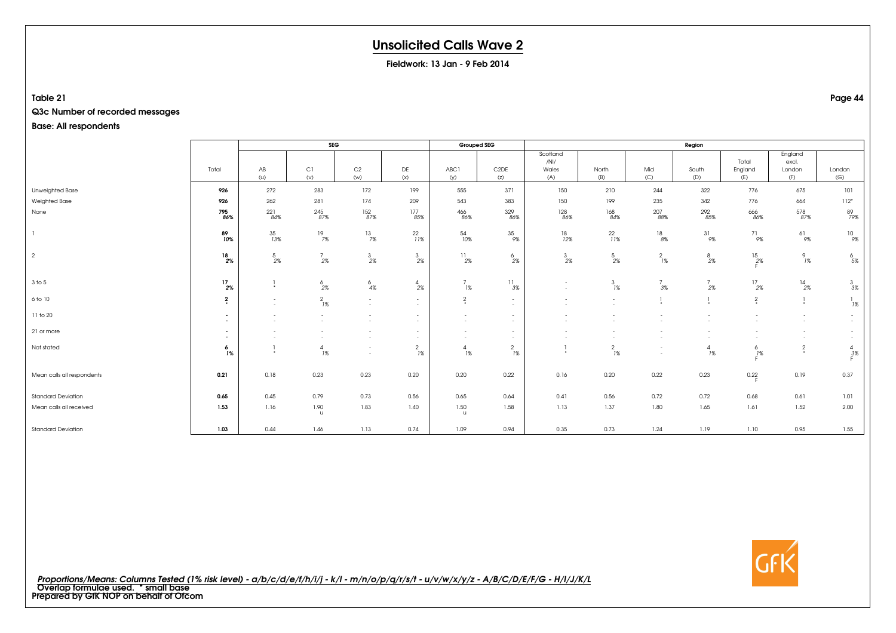Fieldwork: 13 Jan - 9 Feb 2014

#### Table 21

#### Q3c Number of recorded messages

#### Base: All respondents

|                            |                                                      |                                    | SEG                      |                   |                           | <b>Grouped SEG</b>                         |                                     |                                            |                                    |                                            | Region               |                                                      |                                                      |                          |
|----------------------------|------------------------------------------------------|------------------------------------|--------------------------|-------------------|---------------------------|--------------------------------------------|-------------------------------------|--------------------------------------------|------------------------------------|--------------------------------------------|----------------------|------------------------------------------------------|------------------------------------------------------|--------------------------|
|                            | Total                                                | AB<br>(u)                          | C1<br>(v)                | C2<br>(w)         | DE<br>(x)                 | ABC1<br>(y)                                | C <sub>2</sub> DE<br>(z)            | Scotland<br>/NI/<br>Wales<br>(A)           | North<br>(B)                       | Mid<br>(C)                                 | South<br>(D)         | Total<br>England<br>(E)                              | England<br>excl.<br>London<br>(F)                    | London<br>(G)            |
| Unweighted Base            | 926                                                  | 272                                | 283                      | 172               | 199                       | 555                                        | 371                                 | 150                                        | 210                                | 244                                        | 322                  | 776                                                  | 675                                                  | 101                      |
| <b>Weighted Base</b>       | 926                                                  | 262                                | 281                      | 174               | 209                       | 543                                        | 383                                 | 150                                        | 199                                | 235                                        | 342                  | 776                                                  | 664                                                  | $112*$                   |
| None                       | 795<br>86%                                           | $\frac{221}{84\%}$                 | $\substack{245 \\ 87\%}$ | $\frac{152}{87%}$ | 177<br>85%                | $\begin{array}{c} 466 \\ 86\% \end{array}$ | 329<br>86%                          | $\begin{array}{c} 128 \\ 86\% \end{array}$ | 168<br>84%                         | $\begin{array}{c} 207 \\ 88\% \end{array}$ | 292<br>85%           | 666<br>86%                                           | $\underset{\mathbf{87\%}}{578}$                      | 89<br>79%                |
| $\mathbf{1}$               | 89<br>10%                                            | $\frac{35}{13\%}$                  | $\frac{19}{7\%}$         | $\frac{13}{7\%}$  | $^{22}_{\phantom{2}11\%}$ | $^{54}_{10\%}$                             | $\overset{35}{\circ}_{\!\!9\rm{%}}$ | $^{18}_{12\%}$                             | $^{22}_{\hbox{\scriptsize{11}}\%}$ | $\frac{18}{8\%}$                           | 31<br>9%             | $\frac{71}{9\%}$                                     | $^{61}_{9\%}$                                        | $\frac{10}{9\%}$         |
| $\overline{2}$             | $\frac{18}{2\%}$                                     | $\frac{5}{2\%}$                    | $\frac{7}{2\%}$          | $\frac{3}{2\%}$   | $\mathbf{3}$<br>2%        | $\frac{11}{2\%}$                           | 6<br>2%                             | $\frac{3}{2\%}$                            | $\frac{5}{2\%}$                    | $\frac{2}{1\%}$                            | 8<br>2%              | $\begin{array}{c} 15 \\ 2\% \\ \text{F} \end{array}$ | $\frac{9}{1\%}$                                      | $^6_{5\%}$               |
| 3 to 5                     | $\frac{17}{2\%}$                                     | $\cdot$                            | $^6_{2\%}$               | $^6_{4\%}$        | $\overline{4}$<br>$2\%$   | $7^{\circ}$<br>1%                          | $^{11}_{3\%}$                       | $\sim$                                     | $\frac{3}{1\%}$                    | 7<br>3%                                    | 2%                   | $^{17}_{\phantom{1}2\%}$                             | $^{14}_{\phantom{1}2\%}$                             | $\frac{3}{3\%}$          |
| 6 to 10                    | $\frac{2}{x}$                                        | $\sim$<br>$\overline{\phantom{a}}$ | $^2_{1\%}$               | $\sim$<br>$\sim$  | $\sim$<br>$\sim$          | $\frac{2}{\epsilon}$                       | $\sim$<br>$\sim$                    |                                            | $\sim$                             |                                            |                      | $\frac{2}{\pi}$                                      | $\cdot$                                              | $\frac{1}{1\%}$          |
| 11 to 20                   | $\overline{\phantom{a}}$<br>$\sim$                   | $\overline{\phantom{a}}$           | $\sim$                   | $\sim$<br>$\sim$  | $\sim$<br>$\sim$          | $\sim$<br>$\sim$                           | $\sim$<br>$\sim$                    |                                            |                                    |                                            |                      |                                                      | $\overline{\phantom{a}}$<br>$\overline{\phantom{a}}$ | $\sim$<br>$\sim$         |
| 21 or more                 | $\overline{\phantom{a}}$<br>$\overline{\phantom{a}}$ | $\overline{\phantom{a}}$           |                          | $\sim$<br>$\sim$  | $\sim$<br>$\sim$          | $\sim$<br>$\sim$                           | $\sim$<br>$\sim$                    |                                            |                                    |                                            |                      |                                                      | $\overline{\phantom{a}}$<br>$\sim$                   | $\sim$<br><b>Section</b> |
| Not stated                 | 6<br>1%                                              | $\bullet$                          | 4<br>1%                  | $\sim$<br>$\sim$  | $\overline{2}$<br>1%      | $\overline{4}$<br>1%                       | $\overline{2}$<br>1%                |                                            | $\frac{2}{1\%}$                    | $\sim$                                     | $\overline{A}$<br>1% | 6<br>1%<br>F.                                        | $\frac{2}{\epsilon}$                                 | $\frac{4}{3\%}$          |
| Mean calls all respondents | 0.21                                                 | 0.18                               | 0.23                     | 0.23              | 0.20                      | 0.20                                       | 0.22                                | 0.16                                       | 0.20                               | 0.22                                       | 0.23                 | 0.22                                                 | 0.19                                                 | 0.37                     |
| <b>Standard Deviation</b>  | 0.65                                                 | 0.45                               | 0.79                     | 0.73              | 0.56                      | 0.65                                       | 0.64                                | 0.41                                       | 0.56                               | 0.72                                       | 0.72                 | 0.68                                                 | 0.61                                                 | 1.01                     |
| Mean calls all received    | 1.53                                                 | 1.16                               | 1.90<br>$\cup$           | 1.83              | 1.40                      | 1.50<br>$\cup$                             | 1.58                                | 1.13                                       | 1.37                               | 1.80                                       | 1.65                 | 1.61                                                 | 1.52                                                 | 2.00                     |
| <b>Standard Deviation</b>  | 1.03                                                 | 0.44                               | 1.46                     | 1.13              | 0.74                      | 1.09                                       | 0.94                                | 0.35                                       | 0.73                               | 1.24                                       | 1.19                 | 1.10                                                 | 0.95                                                 | 1.55                     |

Proportions/Means: Columns Tested (1% risk level) - a/b/c/d/e/f/h/i/j - k/l - m/n/o/p/q/r/s/t - u/v/w/x/y/z - A/B/C/D/E/F/G - H/l/J/K/L<br>Overlap formulae used. \* small base<br>Prepared by GfK NOP on behalf of Ofcom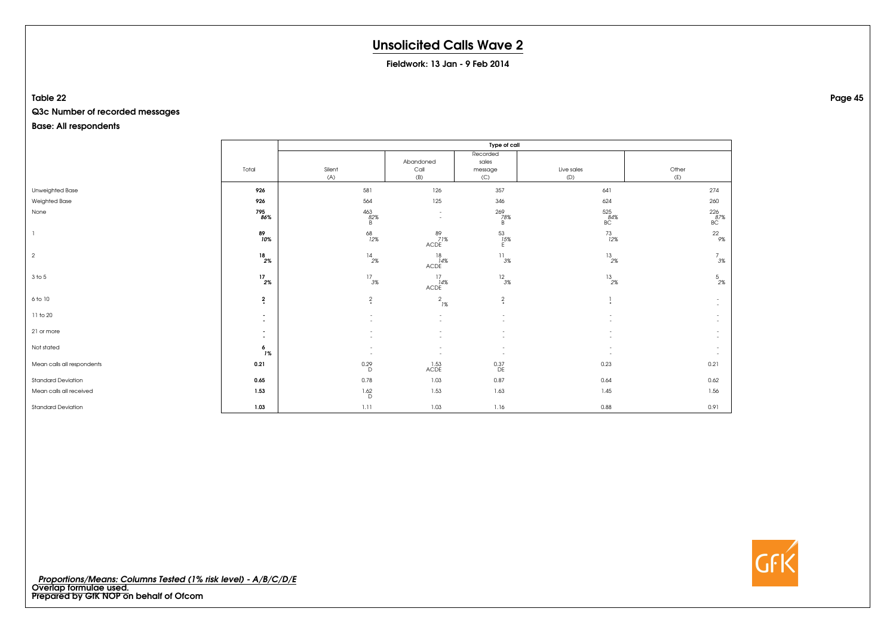Fieldwork: 13 Jan - 9 Feb 2014

#### Table 22

Q3c Number of recorded messages

#### Base: All respondents

|                            |                               |                                                      |                                                                | Type of call                        |                                                    |                                                    |
|----------------------------|-------------------------------|------------------------------------------------------|----------------------------------------------------------------|-------------------------------------|----------------------------------------------------|----------------------------------------------------|
|                            | Total                         | Silent<br>(A)                                        | Abandoned<br>Call<br>(B)                                       | Recorded<br>sales<br>message<br>(C) | Live sales<br>(D)                                  | Other<br>(E)                                       |
| Unweighted Base            | 926                           | 581                                                  | 126                                                            | 357                                 | 641                                                | 274                                                |
| Weighted Base              | 926                           | 564                                                  | 125                                                            | 346                                 | 624                                                | 260                                                |
| None                       | 795<br>86%                    | $\begin{array}{r} 463 \\ 82\% \\ \hline \end{array}$ | $\overline{\phantom{a}}$<br>$\sim$                             | $\frac{269}{78\%}$ B                | $\overset{525}{\underset{\text{BC}}{\text{84\%}}}$ | $\overset{226}{\underset{\text{BC}}{\text{87\%}}}$ |
| $\mathbf{1}$               | 89<br>10%                     | $^{68}_{12\%}$                                       | $\begin{array}{c}\n 89 \\  71\% \\  \text{ACDE}\n \end{array}$ | $\frac{53}{15\%}$                   | $\frac{73}{12\%}$                                  | $^{22}_{\mathcal{\%}}$                             |
| $\overline{2}$             | $\frac{18}{2\%}$              | $\frac{14}{2\%}$                                     | $\begin{array}{c}\n 18 \\  14\% \\  \text{ACDE}\n \end{array}$ | $\frac{11}{3\%}$                    | $\frac{13}{2\%}$                                   | $7\over 3\%$                                       |
| $3$ to $5$                 | $\frac{17}{2\%}$              | $^{17}_{\phantom{1}3\%}$                             | $17\,$<br>14%<br><b>ACDE</b>                                   | $^{12}_{3\%}$                       | $^{13}_{\phantom{1}2\%}$                           | $5\atop 2\%$                                       |
| 6 to 10                    | $\frac{2}{x}$                 | $\frac{2}{\ast}$                                     | $2_{1\%}$                                                      | $\frac{2}{\ast}$                    |                                                    | $\sim$<br>$\sim$                                   |
| 11 to 20                   | ٠<br>٠                        | $\overline{\phantom{a}}$                             | $\overline{\phantom{a}}$<br>٠                                  |                                     |                                                    | $\sim$<br>$\sim$                                   |
| 21 or more                 | ٠<br>$\overline{\phantom{a}}$ |                                                      |                                                                |                                     |                                                    | $\sim$<br>$\sim$                                   |
| Not stated                 | $^{6}$ 1%                     |                                                      |                                                                |                                     |                                                    | $\overline{\phantom{a}}$                           |
| Mean calls all respondents | 0.21                          | $0.29$ D                                             | $1.53$<br>ACDE                                                 | $0.37$ DE                           | 0.23                                               | 0.21                                               |
| <b>Standard Deviation</b>  | 0.65                          | 0.78                                                 | 1.03                                                           | 0.87                                | 0.64                                               | 0.62                                               |
| Mean calls all received    | 1.53                          | $1.62$<br>D                                          | 1.53                                                           | 1.63                                | 1.45                                               | 1.56                                               |
| <b>Standard Deviation</b>  | 1.03                          | 1.11                                                 | 1.03                                                           | 1.16                                | 0.88                                               | 0.91                                               |

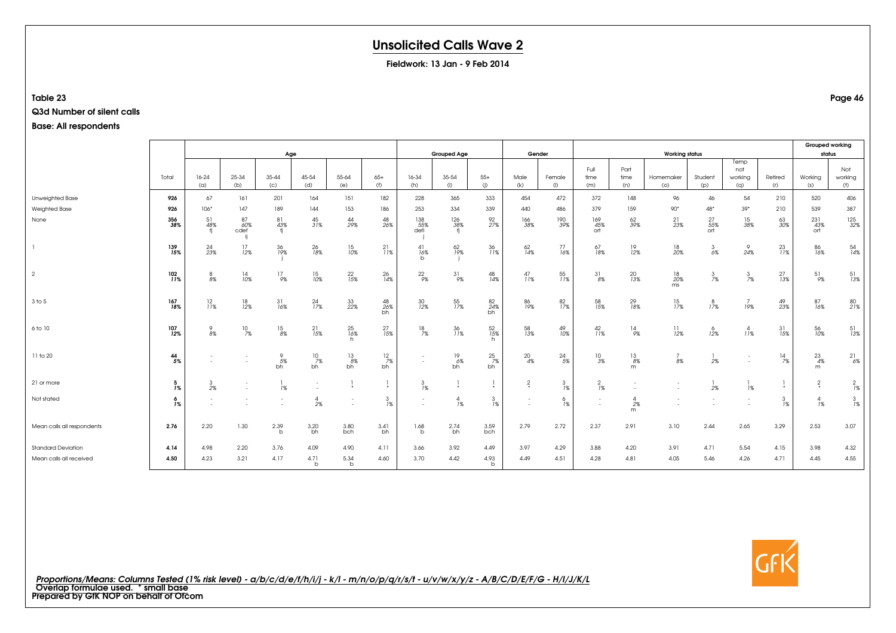Fieldwork: 13 Jan - 9 Feb 2014

#### Table 23

#### Q3d Number of silent calls

#### Base: All respondents

|                            |                       |                      |                        | Age                        |                             |                        |                       |                            | Grouped Age                     |                                                      | Gender           |                   |                     |                           | <b>Working status</b>   |                       |                                    |                   | Grouped working<br>status |                       |
|----------------------------|-----------------------|----------------------|------------------------|----------------------------|-----------------------------|------------------------|-----------------------|----------------------------|---------------------------------|------------------------------------------------------|------------------|-------------------|---------------------|---------------------------|-------------------------|-----------------------|------------------------------------|-------------------|---------------------------|-----------------------|
|                            | Total                 | 16-24<br>(a)         | 25-34<br>(b)           | 35-44<br>$\left( c\right)$ | 45-54<br>(d)                | 55-64<br>(e)           | $65+$<br>(f)          | 16-34<br>(h)               | 35-54<br>(i)                    | $55+$<br>(i)                                         | Male<br>(k)      | Female<br>(1)     | Full<br>time<br>(m) | Part<br>time<br>(n)       | Homemaker<br>(0)        | Student<br>(p)        | Temp<br>not<br>working<br>(q)      | Retired<br>(r)    | Working<br>(s)            | Not<br>working<br>(t) |
| <b>Unweighted Base</b>     | 926                   | 67                   | 161                    | 201                        | 164                         | 151                    | 182                   | 228                        | 365                             | 333                                                  | 454              | 472               | 372                 | 148                       | 96                      | 46                    | 54                                 | 210               | 520                       | 406                   |
| Weighted Base              | 926                   | $106*$               | 147                    | 189                        | 144                         | 153                    | 186                   | 253                        | 334                             | 339                                                  | 440              | 486               | 379                 | 159                       | 90*                     | 48*                   | $39*$                              | 210               | 539                       | 387                   |
| None                       | 356<br>38%            | $^{51}_{48\%}$<br>fi | 87<br>60%<br>cdef      | $\frac{81}{43\%}$          | $^{45}_{31\%}$              | $^{44}_{29\%}$         | $^{48}_{26\%}$        | <sup>138</sup> 55%<br>defi | $^{126}_{38\%}$<br>fi           | $\frac{92}{27\%}$                                    | 166<br>38%       | 190<br>39%        | 169<br>45%<br>ort   | $\frac{62}{39%}$          | $^{21}_{23\%}$          | $^{27}_{55\%}$<br>ort | $\frac{15}{38\%}$                  | $\frac{63}{30\%}$ | $^{231}_{43\%}$<br>ort    | <sup>125</sup> 32%    |
|                            | 139<br>15%            | $^{24}_{23\%}$       | $^{17}_{12\%}$         | 36<br>19%                  | $^{26}_{18\%}$              | $^{15}_{10\%}$         | $^{21}_{11\%}$        | 41<br>16%<br>b             | 62<br>19%                       | $\frac{36}{11\%}$                                    | $^{62}_{14\%}$   | 77<br>16%         | 67<br>18%           | $^{19}_{12\%}$            | $\frac{18}{20\%}$       | 3<br>6%               | 9<br>24%                           | $^{23}_{11\%}$    | 86<br>16%                 | $\frac{54}{14\%}$     |
| $\overline{2}$             | $\frac{102}{11\%}$    | $\frac{8}{8\%}$      | $\overline{14}$<br>10% | $^{17}_{9\%}$              | $^{15}_{10\%}$              | $^{22}_{15\%}$         | $\frac{26}{14\%}$     | $^{22}_{9\%}$              | $31_{9\%}$                      | $\frac{48}{14\%}$                                    | 47<br>11%        | $\frac{55}{11\%}$ | $\frac{31}{8\%}$    | $^{20}_{13\%}$            | $\frac{18}{20\%}$<br>ms | $\frac{3}{7\%}$       | $\frac{3}{7\%}$                    | $^{27}_{13\%}$    | $^{51}_{9\%}$             | $^{51}_{13\%}$        |
| $3$ to $5$                 | 167<br>18%            | 12<br>11%            | 18<br>12%              | 31<br>16%                  | 24<br>17%                   | $\frac{33}{22\%}$      | 48<br>26%<br>bh       | $\frac{30}{12\%}$          | $\frac{55}{17\%}$               | $\begin{array}{c} 82 \\ 24\% \\ \rm{bh} \end{array}$ | 86<br>19%        | $\frac{82}{17\%}$ | $\frac{58}{15\%}$   | 29<br>78%                 | 15<br>17%               | 8<br>17%              | $\overline{7}$<br>19%              | 49<br>23%         | 87<br>16%                 | $^{80}_{\,21\%}$      |
| 6 to 10                    | 107<br>12%            | 9<br>8%              | $^{10}_{7\%}$          | $\frac{15}{8\%}$           | 21<br>15%                   | $\frac{25}{16\%}$<br>h | $^{27}_{15\%}$        | 18<br>7%                   | $\frac{36}{11\%}$               | $\frac{52}{15\%}$<br>h                               | 58<br>13%        | 49<br>10%         | $^{42}_{11\%}$      | 14<br>9%                  | $11 -$<br>12%           | 6<br>12%              | $\overline{4}$<br>11%              | 31<br>15%         | 56<br>10%                 | $^{51}_{13\%}$        |
| 11 to 20                   | 44<br>5%              |                      |                        | 9<br>5%<br>bh              | 10 <sup>°</sup><br>7%<br>bh | $\frac{13}{8\%}$<br>bh | $\frac{12}{7%}$<br>bh |                            | 19<br>6%<br>bh                  | $\frac{25}{7\%}$<br>bh                               | $20\,$<br>4%     | $^{24}_{\ 5\%}$   | $^{10}_{3\%}$       | $\frac{13}{8\%}$<br>m     | $\overline{7}$<br>8%    | 2%                    | $\sim$                             | 14<br>7%          | $\frac{23}{4\%}$<br>m     | $^{21}_{6\%}$         |
| 21 or more                 | -5<br>1%              | 3<br>2%              |                        | 1%                         |                             |                        |                       | 3<br>1%                    | $\cdot$                         |                                                      | $\frac{2}{\ast}$ | 3<br>1%           | 2<br>1%             |                           |                         | 2%                    | 1%                                 |                   | $\frac{2}{\ast}$          | $^2_{1\%}$            |
| Not stated                 | 6<br>$\overline{1}\%$ |                      |                        |                            | $\overline{A}$<br>2%        | $\sim$                 | $\frac{3}{1\%}$       |                            | $^4_{\hbox{{\scriptsize 1\%}}}$ | $\frac{3}{1\%}$                                      |                  | $^{6}_{1\%}$      |                     | $\overline{A}$<br>2%<br>m |                         |                       | $\overline{\phantom{a}}$<br>$\sim$ | 3<br>1%           | $\overline{A}$<br>1%      | $\frac{3}{1\%}$       |
| Mean calls all respondents | 2.76                  | 2.20                 | 1.30                   | 2.39<br>b                  | 3.20<br>bh                  | 3.80<br>bch            | 3.41<br>bh            | 1.68<br>b                  | 2.74<br>bh                      | 3.59<br>bch                                          | 2.79             | 2.72              | 2.37                | 2.91                      | 3.10                    | 2.44                  | 2.65                               | 3.29              | 2.53                      | 3.07                  |
| <b>Standard Deviation</b>  | 4.14                  | 4.98                 | 2.20                   | 3.76                       | 4.09                        | 4.90                   | 4.11                  | 3.66                       | 3.92                            | 4.49                                                 | 3.97             | 4.29              | 3.88                | 4.20                      | 3.91                    | 4.71                  | 5.54                               | 4.15              | 3.98                      | 4.32                  |
| Mean calls all received    | 4.50                  | 4.23                 | 3.21                   | 4.17                       | 4.71<br>b                   | 5.34<br>b              | 4.60                  | 3.70                       | 4.42                            | 4.93<br>b                                            | 4.49             | 4.51              | 4.28                | 4.81                      | 4.05                    | 5.46                  | 4.26                               | 4.71              | 4.45                      | 4.55                  |

Proportions/Means: Columns Tested (1% risk level) - a/b/c/d/e/f/h/i/j - k/l - m/n/o/p/q/r/s/t - u/v/w/x/y/z - A/B/C/D/E/F/G - H/I/J/K/L<br>Overlap formulae used. \* small base<br>Prepared by GfK NOP on behalf of Ofcom

en and the state of the state of the state of the state of the state of the state of the state of the state of the state of the state of the state of the state of the state of the state of the state of the state of the sta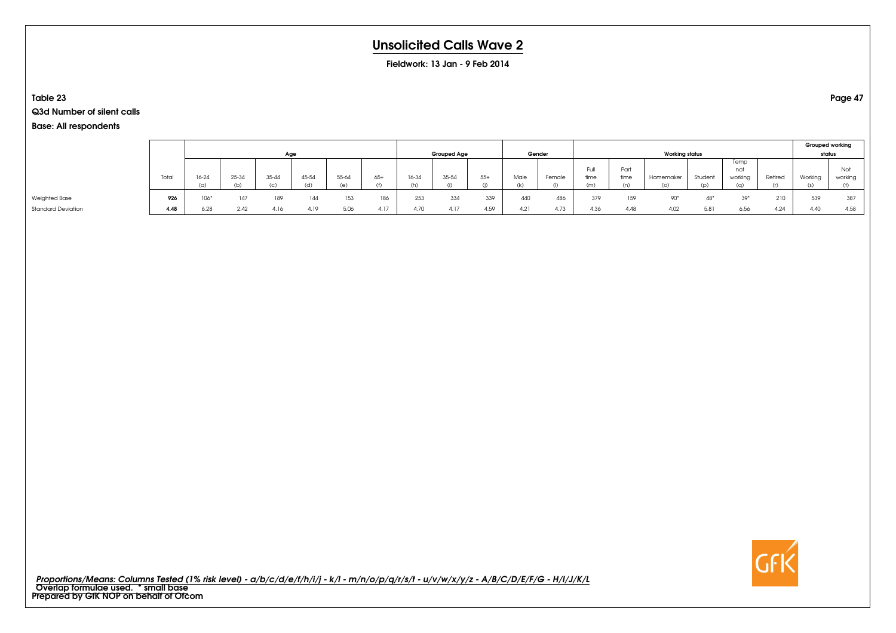Fieldwork: 13 Jan - 9 Feb 2014

Table 23

Q3d Number of silent calls

Base: All respondents

|             |              |              | Age         |              |              |              |             | Grouped Age |             |             | Gender      |                     |              | <b>Working status</b> |             |                               |                | Grouped working               | status         |
|-------------|--------------|--------------|-------------|--------------|--------------|--------------|-------------|-------------|-------------|-------------|-------------|---------------------|--------------|-----------------------|-------------|-------------------------------|----------------|-------------------------------|----------------|
| Total       | 16-24<br>(a) | 25-34<br>(b) | 35-44       | 45-54<br>(d) | 55-64<br>(e) | $65+$<br>(f) | 16-34       | 35-54       | $55+$       | Male<br>(k) | Female      | Full<br>time<br>(m) | Part<br>time | Homemaker             | Student     | Temp<br>not<br>working<br>(a) | Retired<br>(r) | Working<br>$\left( s \right)$ | Not<br>working |
| 926<br>4.48 | 106*<br>6.28 | 147<br>2.42  | 189<br>4.16 | 144<br>4.19  | 153<br>5.06  | 186<br>4.17  | 253<br>4.70 | 334<br>4.17 | 339<br>4.59 | 440<br>4.21 | 486<br>4.73 | 379<br>4.36         | 159<br>4.48  | 90*<br>4.02           | 48*<br>5.81 | $39*$<br>6.56                 | 210<br>4.24    | 539<br>4.40                   | 387<br>4.58    |

Weighted Base **Standard Deviation** 

Proportions/Means: Columns Tested (1% risk level) - a/b/c/d/e/f/h/i/j - k/l - m/n/o/p/q/r/s/t - u/v/w/x/y/z - A/B/C/D/E/F/G - H/I/J/K/L<br>Overlap formulae used. \* small base<br>Prepared by GfK NOP on behalf of Ofcom

end the set of the set of the set of the set of the set of the set of the set of the set of the set of the set of the set of the set of the set of the set of the set of the set of the set of the set of the set of the set o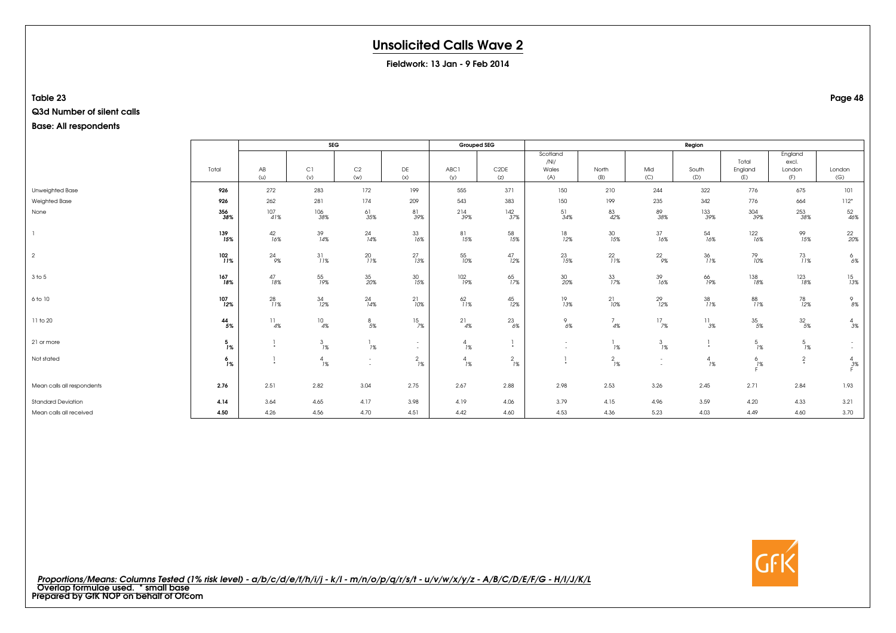Fieldwork: 13 Jan - 9 Feb 2014

#### Table 23

Q3d Number of silent calls

#### Base: All respondents

|                            |                   |                          | SEG                        |                   |                      | Grouped SEG                                |                                            |                                        |                                    |                     | Region                                     |                                            |                                   |                             |
|----------------------------|-------------------|--------------------------|----------------------------|-------------------|----------------------|--------------------------------------------|--------------------------------------------|----------------------------------------|------------------------------------|---------------------|--------------------------------------------|--------------------------------------------|-----------------------------------|-----------------------------|
|                            | Total             | AB<br>(u)                | C1<br>(v)                  | C2<br>(w)         | DE<br>(x)            | ABC1<br>(y)                                | C <sub>2</sub> DE<br>(z)                   | Scotland<br>$/$ NI $/$<br>Wales<br>(A) | North<br>(B)                       | Mid<br>(C)          | South<br>(D)                               | Total<br>England<br>(E)                    | England<br>excl.<br>London<br>(F) | London<br>$\left( G\right)$ |
| <b>Unweighted Base</b>     | 926               | 272                      | 283                        | 172               | 199                  | 555                                        | 371                                        | 150                                    | 210                                | 244                 | 322                                        | 776                                        | 675                               | 101                         |
| <b>Weighted Base</b>       | 926               | 262                      | 281                        | 174               | 209                  | 543                                        | 383                                        | 150                                    | 199                                | 235                 | 342                                        | 776                                        | 664                               | $112*$                      |
| None                       | 356<br>38%        | 107<br>41%               | 106<br>38%                 | $^{61}_{35\%}$    | 81<br>39%            | $\begin{array}{c} 214 \\ 39\% \end{array}$ | $\begin{array}{c} 142 \\ 37\% \end{array}$ | $\frac{51}{34\%}$                      | 83<br>42%                          | 89<br>38%           | $\begin{array}{c} 133 \\ 39\% \end{array}$ | $\underset{39\%}{^{304}}$                  | 253<br>38%                        | $\frac{52}{46\%}$           |
| $\mathbf{1}$               | 139<br>15%        | $\frac{42}{16\%}$        | $\frac{39}{14\%}$          | $^{24}_{14\%}$    | $\frac{33}{16\%}$    | $\frac{81}{15\%}$                          | $\frac{58}{15\%}$                          | $^{18}_{12\%}$                         | $\frac{30}{15\%}$                  | 37<br>16%           | $\frac{54}{16\%}$                          | $\frac{122}{16\%}$                         | 99<br>15%                         | $^{22}_{20\%}$              |
| $\overline{2}$             | 102<br><i>11%</i> | $^{24}_{\phantom{1}9\%}$ | $^{31}_{\hphantom{1}11\%}$ | $^{20}_{11\%}$    | 27<br>73%            | $\frac{55}{10\%}$                          | 47<br>12%                                  | $^{23}_{15\%}$                         | $^{22}_{\hbox{\scriptsize{11}}\%}$ | $^{22}_{\  \, 9\%}$ | $\frac{36}{11\%}$                          | 79<br>10%                                  | $^{73}_{11\%}$                    | $^6_{6\%}$                  |
| 3 to 5                     | 167<br>18%        | $^{47}_{18\%}$           | $\frac{55}{19\%}$          | $\frac{35}{20\%}$ | $\frac{30}{15\%}$    | $\frac{102}{19\%}$                         | 65<br>17%                                  | $\frac{30}{20\%}$                      | $\frac{33}{17\%}$                  | $\frac{39}{16\%}$   | 66<br>19%                                  | $\begin{array}{c} 138 \\ 18\% \end{array}$ | $\frac{123}{18\%}$                | $^{15}_{13\%}$              |
| 6 to 10                    | 107<br><i>12%</i> | $^{28}_{\hbox{11\%}}$    | $\frac{34}{12\%}$          | $^{24}_{14\%}$    | $^{21}_{10\%}$       | $^{62}_{11\%}$                             | $\frac{45}{12\%}$                          | $^{19}_{13\%}$                         | $^{21}_{10\%}$                     | $^{29}_{12\%}$      | $\frac{38}{11\%}$                          | $\frac{88}{11\%}$                          | $^{78}_{12\%}$                    | $^{\circ}_{\rm 8\%}$        |
| 11 to 20                   | 44<br>5%          | $11 -$<br>4%             | 10 <sup>°</sup><br>4%      | $\frac{8}{5\%}$   | 15<br>7%             | 21<br>4%                                   | 23<br>6%                                   | 9<br>6%                                | $\overline{7}$<br>$4\%$            | 17<br>7%            | $\frac{11}{3\%}$                           | 35<br>5%                                   | $\frac{32}{5\%}$                  | $^4_{3\%}$                  |
| 21 or more                 | 5<br>7%           |                          | $\frac{3}{1\%}$            | 1%                | $\sim$<br>$\sim$     | $\frac{4}{1\%}$                            | $\star$                                    | $\sim$<br>a.                           | 1%                                 | $\frac{3}{1\%}$     |                                            | $5\phantom{121}\phantom{121}$              | $5\phantom{121}\phantom{121}$     | $\sim$<br><b>Section</b>    |
| Not stated                 | 6<br>1%           | $\bullet$                | $\overline{4}$<br>1%       | $\sim$<br>$\sim$  | $\overline{2}$<br>1% | $\overline{4}$<br>1%                       | $\overline{2}$<br>1%                       |                                        | $^2_{1\%}$                         | $\sim$<br>$\sim$    | 4<br>1%                                    | 6<br>1%                                    | $\frac{2}{\epsilon}$              | $\frac{4}{3\%}$             |
| Mean calls all respondents | 2.76              | 2.51                     | 2.82                       | 3.04              | 2.75                 | 2.67                                       | 2.88                                       | 2.98                                   | 2.53                               | 3.26                | 2.45                                       | 2.71                                       | 2.84                              | 1.93                        |
| <b>Standard Deviation</b>  | 4.14              | 3.64                     | 4.65                       | 4.17              | 3.98                 | 4.19                                       | 4.06                                       | 3.79                                   | 4.15                               | 4.96                | 3.59                                       | 4.20                                       | 4.33                              | 3.21                        |
| Mean calls all received    | 4.50              | 4.26                     | 4.56                       | 4.70              | 4.51                 | 4.42                                       | 4.60                                       | 4.53                                   | 4.36                               | 5.23                | 4.03                                       | 4.49                                       | 4.60                              | 3.70                        |



Proportions/Means: Columns Tested (1% risk level) - a/b/c/d/e/f/h/i/j - k/l - m/n/o/p/q/r/s/t - u/v/w/x/y/z - A/B/C/D/E/F/G - H/l/J/K/L<br>Overlap formulae used. \* small base<br>Prepared by GfK NOP on behalf of Ofcom

en and the set of the set of the set of the set of the set of the set of the set of the set of the set of the set of the set of the set of the set of the set of the set of the set of the set of the set of the set of the se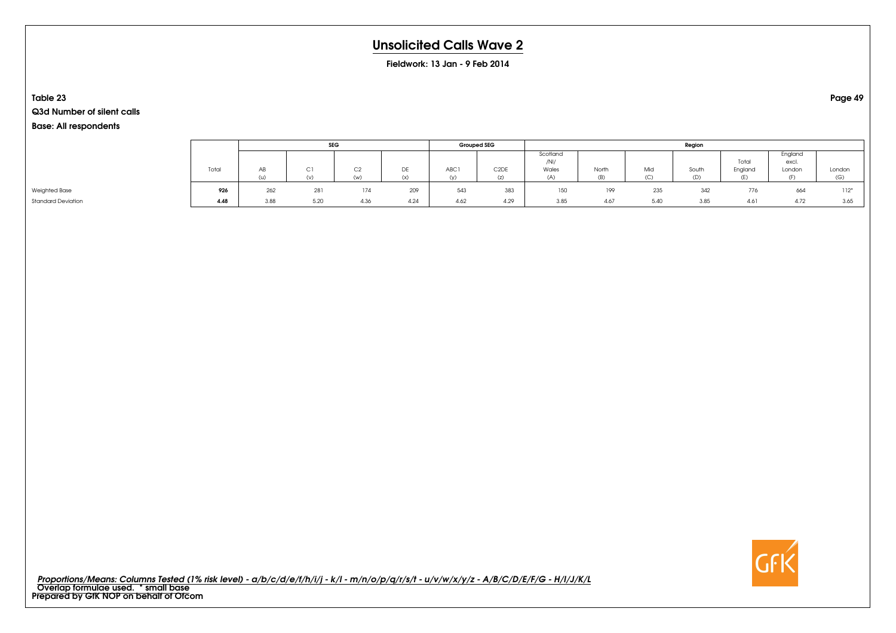Fieldwork: 13 Jan - 9 Feb 2014

Table 23

Q3d Number of silent calls

Base: All respondents

|       |      | <b>SEG</b>  |      |      |                  | Grouped SEG       |          |       |              | Region |         |         |        |  |
|-------|------|-------------|------|------|------------------|-------------------|----------|-------|--------------|--------|---------|---------|--------|--|
|       |      |             |      |      |                  |                   | Scotland |       |              |        |         | England |        |  |
|       |      |             |      |      |                  |                   | /NI/     |       |              |        | Total   | excl.   |        |  |
| Total | AB   | $\sim$<br>◡ | C2   | DE   | ABC <sup>1</sup> | C <sub>2</sub> DE | Wales    | North | Mid          | South  | England | London  | London |  |
|       | (u)  |             | (W)  | (x)  |                  | (z)               | (A)      | (B)   | $\sim$<br>いっ | $\sim$ | (E)     |         | (G)    |  |
| 926   | 262  | 281         | 174  | 209  | 543              | 383               | 150      | 199   | 235          | 342    | 776     | 664     | $112*$ |  |
| 4.48  | 3.88 | 5.20        | 4.36 | 4.24 | 4.62             | 4.29              | 3.85     | 4.67  | 5.40         | 3.85   | 4.61    | 4.72    | 3.65   |  |

Weighted Base Standard Deviation

Proportions/Means: Columns Tested (1% risk level) - a/b/c/d/e/f/h/i/j - k/l - m/n/o/p/q/r/s/t - u/v/w/x/y/z - A/B/C/D/E/F/G - H/l/J/K/L<br>Overlap formulae used. \* small base<br>Prepared by GfK NOP on behalf of Ofcom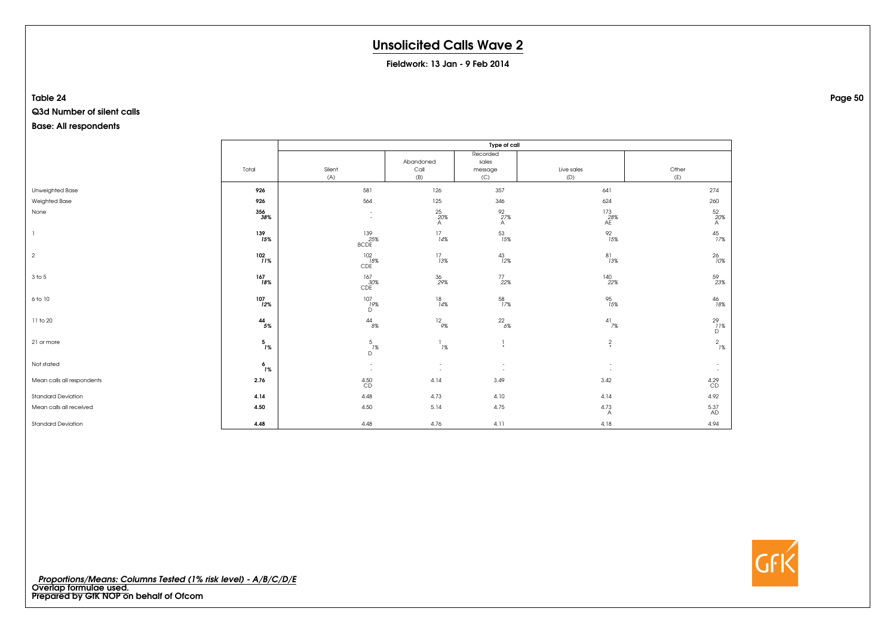Fieldwork: 13 Jan - 9 Feb 2014

#### Table 24

Q3d Number of silent calls

#### Base: All respondents

|                            |                    |                                                                                  |                                | Type of call                        |                           |                                                |
|----------------------------|--------------------|----------------------------------------------------------------------------------|--------------------------------|-------------------------------------|---------------------------|------------------------------------------------|
|                            | Total              | Silent<br>(A)                                                                    | Abandoned<br>$C$ all<br>(B)    | Recorded<br>sales<br>message<br>(C) | Live sales<br>(D)         | Other<br>(E)                                   |
| <b>Unweighted Base</b>     | 926                | 581                                                                              | 126                            | 357                                 | 641                       | 274                                            |
| Weighted Base              | 926                | 564                                                                              | 125                            | 346                                 | 624                       | 260                                            |
| None                       | 356<br>38%         | $\overline{\phantom{a}}$<br>$\sim$                                               | $\underset{\mathsf{A}}{^{25}}$ | 92<br>27%<br>A                      | 173<br>28%<br>AE          | $\frac{52}{20\%}$                              |
| $\mathbf{1}$               | 139<br>15%         | $\begin{array}{c}\n 139 \\  \underline{25\%} \\  \underline{BCDE}\n \end{array}$ | $^{17}_{\phantom{1}14\%}$      | $53 \over 15\%$                     | $^{92}_{\phantom{1}15\%}$ | $\frac{45}{17\%}$                              |
| $\overline{2}$             | $\frac{102}{11\%}$ | $\begin{array}{c}\n102 \\ 18\% \\ \hline\n\end{array}$ CDE                       | $^{17}_{\phantom{1}13\%}$      | $\substack{43 \\ 12\%}$             | $81 \over 13\%$           | $\frac{26}{10\%}$                              |
| 3 to 5                     | 167<br>18%         | $\begin{array}{c}\n167 \\ 30\% \\ \end{array}$ CDE                               | $\frac{36}{29\%}$              | $^{77}_{22\%}$                      | 140<br>22%                | $^{59}_{23\%}$                                 |
| 6 to 10                    | 107<br><i>12%</i>  | $\frac{107}{19\%}$<br>D                                                          | $^{18}_{\phantom{1}14\%}$      | $\frac{58}{17%}$                    | $\frac{95}{15\%}$         | $^{46}_{18\%}$                                 |
| 11 to 20                   | $\frac{44}{5\%}$   | $\begin{array}{c} 44 \\ 8\% \end{array}$                                         | $^{12}_{\phantom{1}9\%}$       | $\frac{22}{6\%}$                    | $^{41}$<br>7%             | $\overset{29}{\underset{\mathsf{D}}{^{11\%}}}$ |
| 21 or more                 | $^5_{1\%}$         | $\frac{5}{l}\%$                                                                  | $\frac{1}{1\%}$                | $\bullet$                           | $\frac{2}{\pi}$           | $^2_{\phantom{1}\! \gamma\! \! \gamma}$        |
| Not stated                 | 6<br>7%            | $\sim$<br>$\overline{\phantom{a}}$                                               |                                |                                     | $\sim$                    | $\sim$<br>$\sim$                               |
| Mean calls all respondents | 2.76               | $^{4.50}_{CD}$                                                                   | 4.14                           | 3.49                                | 3.42                      | $^{4.29}_{CD}$                                 |
| <b>Standard Deviation</b>  | 4.14               | 4.48                                                                             | 4.73                           | 4.10                                | 4.14                      | 4.92                                           |
| Mean calls all received    | 4.50               | 4.50                                                                             | 5.14                           | 4.75                                | $4.73 \nA$                | 5.37<br>AD                                     |
| <b>Standard Deviation</b>  | 4.48               | 4.48                                                                             | 4.76                           | 4.11                                | 4.18                      | 4.94                                           |

Proportions/Means: Columns Tested (1% risk level) - A/B/C/D/E Overlap formulae used. Prepared by GfK NOP on behalf of Ofcom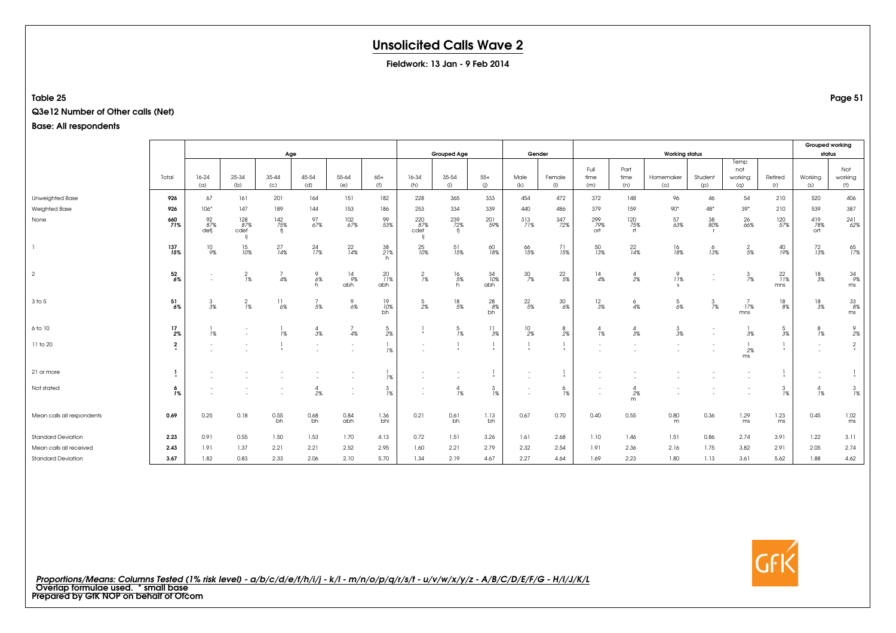Fieldwork: 13 Jan - 9 Feb 2014

#### Table 25

Q3e12 Number of Other calls (Net)

#### Base: All respondents

|                            |                    |                          |                           | Age                      |                |                                 |                         |                    | <b>Grouped Age</b>   |                          | Gender                   |                    |                     |                                     | <b>Working status</b> |                |                               |                       | Grouped working<br>status |                              |
|----------------------------|--------------------|--------------------------|---------------------------|--------------------------|----------------|---------------------------------|-------------------------|--------------------|----------------------|--------------------------|--------------------------|--------------------|---------------------|-------------------------------------|-----------------------|----------------|-------------------------------|-----------------------|---------------------------|------------------------------|
|                            | Total              | 16-24<br>(a)             | 25-34<br>(b)              | 35-44<br>(c)             | 45-54<br>(d)   | 55-64<br>(e)                    | $65+$<br>(f)            | 16-34<br>(h)       | 35-54<br>(i)         | $55+$<br>(j)             | Male<br>(k)              | Female<br>(1)      | Full<br>time<br>(m) | Part<br>time<br>(n)                 | Homemaker<br>(0)      | Student<br>(p) | Temp<br>not<br>working<br>(q) | Retired<br>(r)        | Working<br>(s)            | Not<br>working<br>(t)        |
| <b>Unweighted Base</b>     | 926                | 67                       | 161                       | 201                      | 164            | 151                             | 182                     | 228                | 365                  | 333                      | 454                      | 472                | 372                 | 148                                 | 96                    | 46             | 54                            | 210                   | 520                       | 406                          |
| <b>Weighted Base</b>       | 926                | $106*$                   | 147                       | 189                      | 144            | 153                             | 186                     | 253                | 334                  | 339                      | 440                      | 486                | 379                 | 159                                 | 90*                   | 48*            | $39*$                         | 210                   | 539                       | 387                          |
| None                       | 660<br>71%         | $\frac{92}{87%}$<br>defi | $\frac{128}{87%}$<br>cdef | $\frac{142}{75\%}$<br>fi | 97<br>67%      | 102<br>67%                      | 99<br>53%               | 220<br>87%<br>cdef | 239<br>72%<br>fj     | $^{201}_{59\%}$          | $\frac{313}{71\%}$       | $\frac{347}{72\%}$ | 299<br>79%<br>ort   | <sup>120</sup> 75%<br><sub>rt</sub> | $\frac{57}{63\%}$     | 38<br>80%      | $\frac{26}{66\%}$             | <sup>120</sup><br>57% | $^{419}_{78\%}$<br>ort    | $^{241}_{62\%}$              |
| $\mathbf{1}$               | $\frac{137}{15\%}$ | $^{10}_{9\%}$            | 15<br>10%                 | $^{27}_{14\%}$           | $^{24}_{17\%}$ | $^{22}_{14\%}$                  | $\frac{38}{21\%}$<br>h. | $^{25}_{10\%}$     | $^{51}_{15\%}$       | 60<br>18%                | 66<br>15%                | $\frac{71}{15\%}$  | $^{50}_{13\%}$      | $^{22}_{14\%}$                      | 16<br>18%             | $^{6}_{13\%}$  | $^2_{5\%}$                    | $^{40}_{19\%}$        | $^{72}_{13\%}$            | $^{65}_{17\%}$               |
| $\overline{2}$             | $\frac{52}{6\%}$   | $\sim$                   | $^2_{1\%}$                | $\overline{7}$<br>4%     | 9<br>6%<br>h   | $^{14}_{\phantom{1}9\%}$<br>abh | $^{20}_{11\%}$<br>abh   | $\frac{2}{1\%}$    | $^{16}_{-5\%}$<br>h. | $\frac{34}{10\%}$<br>abh | $\frac{30}{7\%}$         | $^{22}_{\,\,5\%}$  | $\frac{14}{4\%}$    | $\overline{4}$<br>2%                | $\circ$<br>11%<br>- S |                | $\frac{3}{7\%}$               | $^{22}_{11\%}$<br>mns | $\frac{18}{3\%}$          | $\frac{34}{9\%}$<br>ms       |
| $3$ to $5$                 | 51<br>6%           | 3<br>3%                  | $_{\rm 7\%}^2$            | 11<br>6%                 | 7<br>5%        | 9<br>6%                         | 19<br>10%<br>bh         | 5<br>2%            | $\frac{18}{5\%}$     | 28<br>8%<br>bh           | 22<br>5%                 | 30<br>6%           | $\frac{12}{3\%}$    | 6<br>4%                             | $5\overline{5}$<br>6% | 3<br>7%        | 7<br>17%<br>mns               | 18<br>8%              | 18<br>3%                  | $\substack{33 \\ 8\%}$<br>ms |
| 6 to 10                    | 17<br>2%           | 1%                       |                           | 1%                       | 4<br>3%        | 4%                              | $5^{\circ}$<br>2%       |                    | -5<br>1%             | $11 -$<br>3%             | 10<br>2%                 | 8<br>2%            | 4<br>1%             | $\overline{4}$<br>3%                | $\mathbf{3}$<br>3%    |                | 3%                            | 5<br>3%               | 8<br>1%                   | $\frac{9}{2\%}$              |
| 11 to 20                   | $\frac{2}{x}$      |                          |                           |                          |                | ٠                               | 1%                      |                    |                      |                          |                          | $\bullet$          |                     |                                     |                       |                | 2%<br>ms                      |                       | ٠.                        | $\frac{2}{\pi}$              |
| 21 or more                 |                    |                          |                           |                          |                |                                 | 1%                      |                    |                      |                          |                          |                    |                     |                                     |                       |                |                               |                       | $\overline{\phantom{a}}$  |                              |
| Not stated                 | -6<br>1%           |                          |                           |                          | 2%             | $\sim$                          | $\frac{3}{1\%}$         |                    | $\overline{A}$<br>1% | $\frac{3}{1\%}$          | $\overline{\phantom{a}}$ | $\frac{6}{1\%}$    |                     | Δ<br>2%<br>m                        |                       |                | $\sim$                        | $\frac{3}{1\%}$       | $\overline{A}$<br>1%      | $\frac{3}{1\%}$              |
| Mean calls all respondents | 0.69               | 0.25                     | 0.18                      | $0.55$ <sub>bh</sub>     | 0.68<br>bh     | $0.84$<br>abh                   | 1.36<br>bhi             | 0.21               | $0.61$ <sub>bh</sub> | $\frac{1.13}{bh}$        | 0.67                     | 0.70               | 0.40                | 0.55                                | 0.80<br>m             | 0.36           | 1.29<br>ms                    | 1.23<br>ms            | 0.45                      | $\frac{1.02}{ms}$            |
| <b>Standard Deviation</b>  | 2.23               | 0.91                     | 0.55                      | 1.50                     | 1.53           | 1.70                            | 4.13                    | 0.72               | 1.51                 | 3.26                     | 1.61                     | 2.68               | 1.10                | 1.46                                | 1.51                  | 0.86           | 2.74                          | 3.91                  | 1.22                      | 3.11                         |
| Mean calls all received    | 2.43               | 1.91                     | 1.37                      | 2.21                     | 2.21           | 2.52                            | 2.95                    | 1.60               | 2.21                 | 2.79                     | 2.32                     | 2.54               | 1.91                | 2.36                                | 2.16                  | 1.75           | 3.82                          | 2.91                  | 2.05                      | 2.74                         |
| <b>Standard Deviation</b>  | 3.67               | 1.82                     | 0.83                      | 2.33                     | 2.06           | 2.10                            | 5.70                    | 1.34               | 2.19                 | 4.67                     | 2.27                     | 4.64               | 1.69                | 2.23                                | 1.80                  | 1.13           | 3.61                          | 5.62                  | 1.88                      | 4.62                         |

Proportions/Means: Columns Tested (1% risk level) - a/b/c/d/e/f/h/i/j - k/l - m/n/o/p/q/r/s/t - u/v/w/x/y/z - A/B/C/D/E/F/G - H/I/J/K/L<br>Overlap formulae used. \* small base<br>Prepared by GfK NOP on behalf of Ofcom

Page 51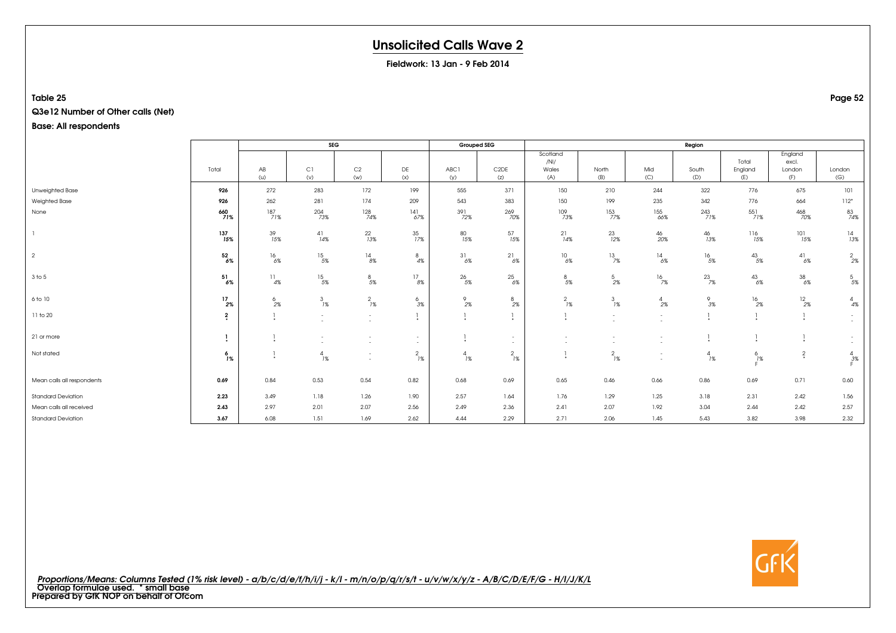Fieldwork: 13 Jan - 9 Feb 2014

#### Table 25

Q3e12 Number of Other calls (Net)

#### Base: All respondents

|                            |                         |                                            | <b>SEG</b>                |                           |                                            | <b>Grouped SEG</b>       |                          |                                  |                                     |                  | Region                                        |                                            |                                   |                             |
|----------------------------|-------------------------|--------------------------------------------|---------------------------|---------------------------|--------------------------------------------|--------------------------|--------------------------|----------------------------------|-------------------------------------|------------------|-----------------------------------------------|--------------------------------------------|-----------------------------------|-----------------------------|
|                            | Total                   | AB<br>(u)                                  | C1<br>(v)                 | C2<br>(w)                 | DE<br>(x)                                  | ABC1<br>(y)              | C <sub>2</sub> DE<br>(z) | Scotland<br>/NI/<br>Wales<br>(A) | North<br>(B)                        | Mid<br>(C)       | South<br>(D)                                  | Total<br>England<br>(E)                    | England<br>excl.<br>London<br>(F) | London<br>$\left( G\right)$ |
| Unweighted Base            | 926                     | 272                                        | 283                       | 172                       | 199                                        | 555                      | 371                      | 150                              | 210                                 | 244              | 322                                           | 776                                        | 675                               | 101                         |
| <b>Weighted Base</b>       | 926                     | 262                                        | 281                       | 174                       | 209                                        | 543                      | 383                      | 150                              | 199                                 | 235              | 342                                           | 776                                        | 664                               | $112*$                      |
| None                       | 660<br>71%              | $\begin{array}{c} 187 \\ 71\% \end{array}$ | $\frac{204}{73\%}$        | $\frac{128}{74\%}$        | $\begin{array}{c} 141 \\ 67\% \end{array}$ | 391<br>72%               | 269<br>70%               | 109<br>73%                       | 153<br>77%                          | 155<br>66%       | $\begin{array}{c}\n 243 \\  71\% \end{array}$ | $\begin{array}{c} 551 \\ 71\% \end{array}$ | 468<br>70%                        | $\frac{83}{74\%}$           |
| $\mathbf{1}$               | 137<br><i>15%</i>       | $\frac{39}{15\%}$                          | $^{41}_{\phantom{1}14\%}$ | $^{22}_{\phantom{2}13\%}$ | $\frac{35}{17\%}$                          | 80<br><i>15%</i>         | $\frac{57}{15\%}$        | $^{21}_{14\%}$                   | $^{23}_{\hbox{{\scriptsize 12\%}}}$ | $^{46}_{20\%}$   | $\frac{46}{13\%}$                             | $\begin{array}{c} 116 \\ 15\% \end{array}$ | $\frac{101}{15\%}$                | $^{14}_{13\%}$              |
| $\overline{2}$             | 52<br>6%                | 16<br>6%                                   | 15<br>5%                  | $^{14}_{\,\,8\%}$         | 8<br>4%                                    | 31<br>6%                 | 21<br>6%                 | 10<br>6%                         | $\frac{13}{7\%}$                    | 14<br>6%         | $^{16}_{-5\%}$                                | 43<br>5%                                   | 41<br>6%                          | $^2_{2\%}$                  |
| 3 to 5                     | 51<br>6%                | $11 -$<br>4%                               | $\frac{15}{5\%}$          | 8<br>5%                   | 17<br>8%                                   | $^{26}_{\phantom{1}5\%}$ | 25<br>6%                 | 8<br>5%                          | $\frac{5}{2\%}$                     | $\frac{16}{7\%}$ | $^{23}$ <sub>7%</sub>                         | 43<br>6%                                   | $\frac{38}{6\%}$                  | $5\over 5\%$                |
| 6 to 10                    | $\frac{17}{2\%}$        | $^6_{2\%}$                                 | $_{\rm 7\%}^3$            | $^2_{1\%}$                | $\frac{6}{3\%}$                            | $\frac{9}{2\%}$          | $\frac{8}{2\%}$          | $^2_{1\%}$                       | $\frac{3}{1\%}$                     | $^{4}_{2\%}$     | $\frac{9}{3\%}$                               | $\frac{16}{2\%}$                           | $\frac{12}{2\%}$                  | $\frac{4}{4\%}$             |
| 11 to 20                   | $\overline{\mathbf{2}}$ |                                            | $\overline{\phantom{a}}$  | $\sim$<br>$\sim$          |                                            |                          |                          |                                  | $\sim$                              | $\sim$<br>$\sim$ |                                               |                                            | $\bullet$                         | $\sim$<br><b>Section</b>    |
| 21 or more                 | $\bullet$               | $\bullet$                                  |                           | $\overline{\phantom{a}}$  | $\sim$<br>$\sim$                           | $\bullet$                | $\sim$<br>$\sim$         |                                  |                                     |                  |                                               | $\cdot$                                    | $\cdot$                           | $\sim$                      |
| Not stated                 | 6<br>1%                 |                                            | $\overline{4}$<br>1%      | $\sim$<br>$\sim$          | $^2_{1\%}$                                 | $\overline{4}$<br>1%     | $^2_{1\%}$               |                                  | $^2_{1\%}$                          | $\sim$<br>$\sim$ | 4<br>1%                                       | $^6_{1\%}$                                 | $\frac{2}{1}$                     | $\frac{4}{3\%}$             |
| Mean calls all respondents | 0.69                    | 0.84                                       | 0.53                      | 0.54                      | 0.82                                       | 0.68                     | 0.69                     | 0.65                             | 0.46                                | 0.66             | 0.86                                          | 0.69                                       | 0.71                              | 0.60                        |
| <b>Standard Deviation</b>  | 2.23                    | 3.49                                       | 1.18                      | 1.26                      | 1.90                                       | 2.57                     | 1.64                     | 1.76                             | 1.29                                | 1.25             | 3.18                                          | 2.31                                       | 2.42                              | 1.56                        |
| Mean calls all received    | 2.43                    | 2.97                                       | 2.01                      | 2.07                      | 2.56                                       | 2.49                     | 2.36                     | 2.41                             | 2.07                                | 1.92             | 3.04                                          | 2.44                                       | 2.42                              | 2.57                        |
| <b>Standard Deviation</b>  | 3.67                    | 6.08                                       | 1.51                      | 1.69                      | 2.62                                       | 4.44                     | 2.29                     | 2.71                             | 2.06                                | 1.45             | 5.43                                          | 3.82                                       | 3.98                              | 2.32                        |

Proportions/Means: Columns Tested (1% risk level) - a/b/c/d/e/f/h/i/j - k/l - m/n/o/p/q/r/s/t - u/v/w/x/y/z - A/B/C/D/E/F/G - H/l/J/K/L<br>Overlap formulae used. \* small base<br>Prepared by GfK NOP on behalf of Ofcom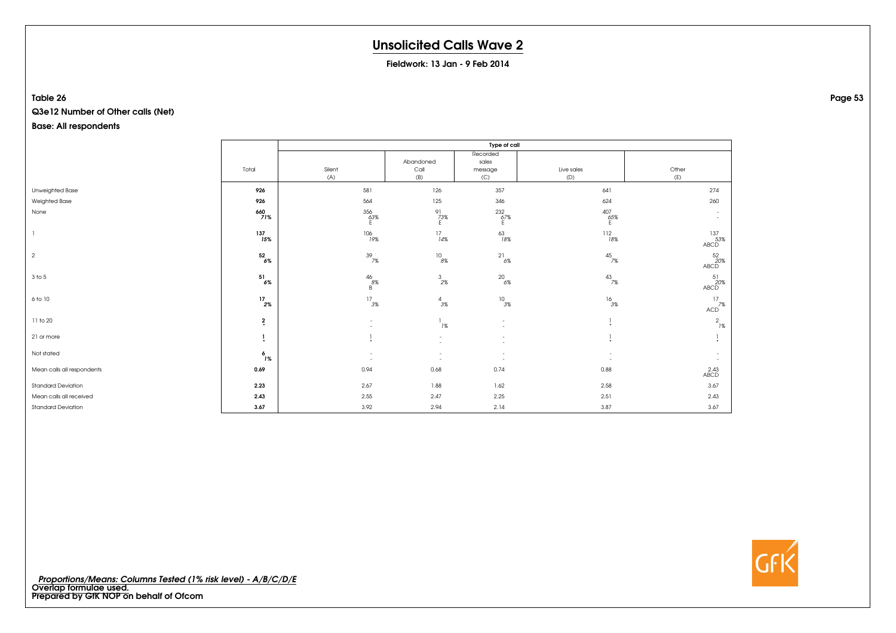Fieldwork: 13 Jan - 9 Feb 2014

#### Table 26

Q3e12 Number of Other calls (Net)

#### Base: All respondents

|                            |                                      |                                                                             |                                    | Type of call                        |                                            |                                                        |
|----------------------------|--------------------------------------|-----------------------------------------------------------------------------|------------------------------------|-------------------------------------|--------------------------------------------|--------------------------------------------------------|
|                            | Total                                | Silent<br>(A)                                                               | Abandoned<br>$C$ all<br>(B)        | Recorded<br>sales<br>message<br>(C) | Live sales<br>(D)                          | Other<br>(E)                                           |
| <b>Unweighted Base</b>     | 926                                  | 581                                                                         | 126                                | 357                                 | 641                                        | 274                                                    |
| Weighted Base              | 926                                  | 564                                                                         | 125                                | 346                                 | 624                                        | 260                                                    |
| None                       | 660<br>71%                           | 356<br>63%<br>E                                                             | 91<br>73%<br>E                     | $\frac{232}{67\%}$                  | $407$<br>65%<br>E                          | $\sim$                                                 |
| $\mathbf{1}$               | $\frac{137}{15\%}$                   | 106<br><i>19%</i>                                                           | $^{17}_{\phantom{1}14\%}$          | $^{63}_{18\%}$                      | $\begin{array}{c} 112 \\ 18\% \end{array}$ | $\frac{137}{53\%}$<br>ABCD                             |
| $\overline{2}$             | $\frac{52}{6\%}$                     | $\frac{39}{7\%}$                                                            | $^{10}_{\,\,8\%}$                  | $^{21}_{6\%}$                       | $45$ <sub>7%</sub>                         | $\begin{matrix}52&1\\20\%\\ \mathrm{ABCD}\end{matrix}$ |
| 3 to 5                     | $\frac{51}{6\%}$                     | $\begin{smallmatrix} 46 & & \\ & 8\% & \\ & \mathsf{B} & \end{smallmatrix}$ | $^3_{2\%}$                         | $\overset{20}{\phantom{1}0\%}$      | $^{43}$ <sub>7%</sub>                      | $51$ $1$<br>$20\%$                                     |
| 6 to 10                    | $\frac{17}{2\%}$                     | $^{17}$ $^{3\%}$                                                            | $^4_{3\%}$                         | $^{10}$ $^{3\%}$                    | $\frac{16}{3\%}$                           | $^{17}$ 7%<br>ACD                                      |
| 11 to 20                   | $\overline{\mathbf{2}}$<br>$\bullet$ |                                                                             | 1<br>1%                            |                                     | $\cdot$                                    | $\sqrt{2}_{1\%}$                                       |
| 21 or more                 | ٠                                    | $\cdot$                                                                     |                                    |                                     | ٠                                          | ٠                                                      |
| Not stated                 | $^{6}$ 1%                            | $\overline{\phantom{a}}$<br>$\overline{\phantom{a}}$                        | $\overline{\phantom{a}}$<br>$\sim$ | $\sim$<br>$\sim$                    | $\overline{\phantom{a}}$                   | $\overline{\phantom{a}}$<br>$\overline{\phantom{a}}$   |
| Mean calls all respondents | 0.69                                 | 0.94                                                                        | 0.68                               | 0.74                                | 0.88                                       | $2.43$<br>ABCD                                         |
| <b>Standard Deviation</b>  | 2.23                                 | 2.67                                                                        | 1.88                               | 1.62                                | 2.58                                       | 3.67                                                   |
| Mean calls all received    | 2.43                                 | 2.55                                                                        | 2.47                               | 2.25                                | 2.51                                       | 2.43                                                   |
| <b>Standard Deviation</b>  | 3.67                                 | 3.92                                                                        | 2.94                               | 2.14                                | 3.87                                       | 3.67                                                   |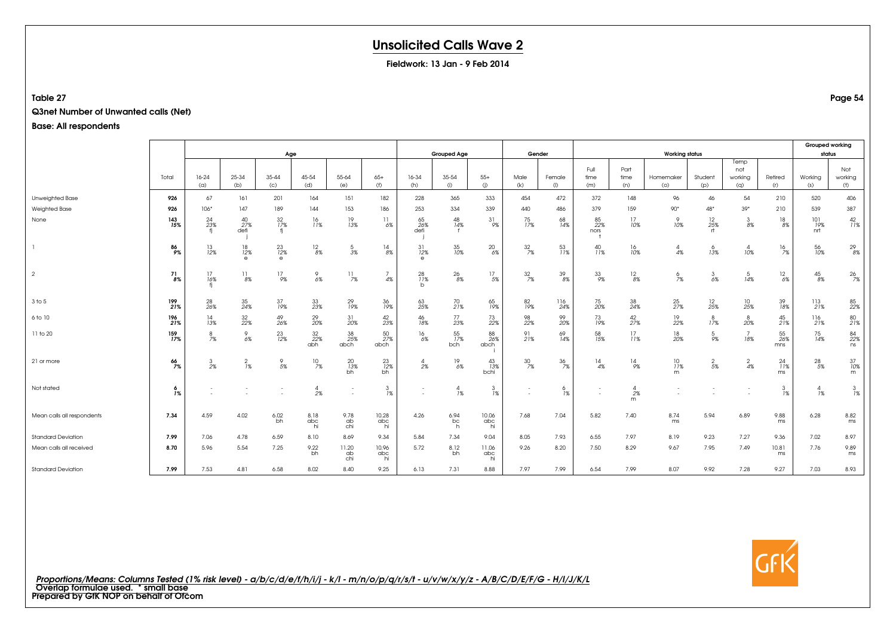Fieldwork: 13 Jan - 9 Feb 2014

#### Table 27

#### Q3net Number of Unwanted calls (Net)

#### Base: All respondents

|                            |                       |                      |                       | Age                          |                          |                                    |                          |                                 | <b>Grouped Age</b>       |                        | Gender                                               |                        |                           |                                      | <b>Working status</b> |                       |                               |                          | Grouped working<br>status                  |                         |
|----------------------------|-----------------------|----------------------|-----------------------|------------------------------|--------------------------|------------------------------------|--------------------------|---------------------------------|--------------------------|------------------------|------------------------------------------------------|------------------------|---------------------------|--------------------------------------|-----------------------|-----------------------|-------------------------------|--------------------------|--------------------------------------------|-------------------------|
|                            | Total                 | 16-24<br>(a)         | 25-34<br>(b)          | 35-44<br>$\left( c\right)$   | 45-54<br>(d)             | 55-64<br>(e)                       | $65+$<br>(f)             | 16-34<br>(h)                    | 35-54<br>(i)             | $55+$<br>(j)           | Male<br>(k)                                          | Female<br>(            | Full<br>time<br>(m)       | Part<br>time<br>(n)                  | Homemaker<br>(0)      | Student<br>(p)        | Temp<br>not<br>working<br>(q) | Retired<br>(r)           | Working<br>(s)                             | Not<br>working<br>$(+)$ |
| Unweighted Base            | 926                   | 67                   | 161                   | 201                          | 164                      | 151                                | 182                      | 228                             | 365                      | 333                    | 454                                                  | 472                    | 372                       | 148                                  | 96                    | 46                    | 54                            | 210                      | 520                                        | 406                     |
| <b>Weighted Base</b>       | 926                   | $106*$               | 147                   | 189                          | 144                      | 153                                | 186                      | 253                             | 334                      | 339                    | 440                                                  | 486                    | 379                       | 159                                  | 90*                   | 48*                   | $39*$                         | 210                      | 539                                        | 387                     |
| None                       | $\frac{143}{15\%}$    | $^{24}_{23\%}$<br>fi | 40<br>27%<br>defi     | $\frac{32}{17\%}$            | $^{16}_{11\%}$           | 19<br>13%                          | 11<br>6%                 | $^{65}_{26\%}$<br>defi          | $\frac{48}{14\%}$        | $\frac{31}{9\%}$       | $^{75}_{17\%}$                                       | 68<br>14%              | $\frac{85}{22\%}$<br>nors | 17<br>io%                            | $\circ$<br>10%        | $^{12}_{25\%}$<br>-rt | $\frac{3}{8\%}$               | 18<br>8%                 | $\frac{101}{19\%}$<br>nrt                  | $^{42}_{11\%}$          |
| $\mathbf{1}$               | 86<br>9%              | 13<br><i>12%</i>     | 18<br>12%<br>$\theta$ | $^{23}_{12\%}$<br>$\epsilon$ | $\frac{12}{8\%}$         | $\frac{5}{3\%}$                    | $\frac{14}{8\%}$         | $\frac{31}{12\%}$<br>$\epsilon$ | $\frac{35}{10\%}$        | 20<br>6%               | $\frac{32}{7\%}$                                     | $\frac{53}{11\%}$      | $^{40}_{11\%}$            | $\frac{16}{10\%}$                    | $\overline{A}$<br>4%  | $^{6}_{13\%}$         | $\overline{4}$<br>10%         | $\frac{16}{7\%}$         | 56<br>10%                                  | $^{29}_{\,\,8\%}$       |
| $\overline{2}$             | 71<br>8%              | 17<br>16%            | 11<br>8%              | $^{17}_{9\%}$                | 9<br>6%                  | $\frac{11}{7\%}$                   | $\overline{7}$<br>4%     | $^{28}_{11\%}$<br>b             | $^{26}_{\,\,8\%}$        | $^{17}_{-5\%}$         | $\frac{32}{7\%}$                                     | $\substack{39 \\ 8\%}$ | $\frac{33}{9\%}$          | $\frac{12}{8\%}$                     | $\frac{6}{7\%}$       | $\frac{3}{6\%}$       | $\frac{5}{14\%}$              | $\frac{12}{6\%}$         | $\substack{45 \\ 8\%}$                     | $^{26}_{7\%}$           |
| 3 to 5                     | 199<br>21%            | 28<br>26%            | 35<br>24%             | $\frac{37}{19\%}$            | $\frac{33}{23\%}$        | 29<br>79%                          | 36<br>19%                | 63<br>25%                       | 70<br>21%                | 65<br>19%              | $\frac{82}{19%}$                                     | 116<br>24%             | 75<br>20%                 | 38<br>24%                            | $^{25}_{27\%}$        | 12<br>25%             | 10 <sup>°</sup><br>25%        | 39<br>18%                | 113<br>21%                                 | $\frac{85}{22\%}$       |
| 6 to 10                    | 196<br>21%            | 14<br>13%            | 32<br>22%             | 49<br>26%                    | $^{29}_{20\%}$           | 31<br>20%                          | 42<br>23%                | 46<br>18%                       | 77<br>23%                | 73<br>22%              | $\frac{98}{22\%}$                                    | 99<br>20%              | 73<br>19%                 | 42<br>27%                            | $^{19}_{22\%}$        | 8<br>17%              | 8<br>20%                      | 45<br>21%                | $\begin{array}{c} 116 \\ 21\% \end{array}$ | $^{80}_{21\%}$          |
| 11 to 20                   | 159<br>17%            | 8<br>7%              | 9<br>6%               | $^{23}_{12\%}$               | $\frac{32}{22\%}$<br>abh | 38<br>25%<br>abch                  | $\frac{50}{27%}$<br>abch | $\frac{16}{6\%}$                | $\frac{55}{17\%}$<br>bch | 88<br>26%<br>abch      | 91<br>21%                                            | 69<br>14%              | $^{58}_{15\%}$            | 17<br>11%                            | $\frac{18}{20\%}$     | 5<br>9%               | $\overline{7}$<br>18%         | $\frac{55}{26\%}$<br>mns | $\frac{75}{14\%}$                          | $\frac{84}{22\%}$<br>ns |
| 21 or more                 | 66<br>7%              | $\frac{3}{2\%}$      | $^2_{1\%}$            | 9<br>5%                      | $^{10}_{7\%}$            | $^{20}_{13\%}$<br>bh               | $^{23}_{12\%}$<br>bh     | $^{4}_{2\%}$                    | 19<br>6%                 | $^{43}_{13\%}$<br>bchi | $\frac{30}{7\%}$                                     | $\frac{36}{7\%}$       | 14<br>4%                  | $^{14}_{\phantom{1}\mathcal{O}\!\%}$ | $^{10}_{11\%}$<br>m   | $^2_{5\%}$            | $\frac{2}{4\%}$               | $^{24}_{11\%}$<br>ms     | $^{28}_{\,\,5\%}$                          | $\frac{37}{10\%}$<br>m  |
| Not stated                 | 6<br>$\overline{1}\%$ |                      |                       |                              | $^4_{2\%}$               | $\overline{\phantom{a}}$<br>$\sim$ | $\frac{3}{1\%}$          | i zi                            | $^4_{1\%}$               | $\frac{3}{1\%}$        | $\overline{\phantom{a}}$<br>$\overline{\phantom{a}}$ | $^6_{1\%}$             |                           | $^4_{2\%}$<br>m                      |                       |                       |                               | $\frac{3}{1\%}$          | $\frac{4}{1\%}$                            | $\frac{3}{1\%}$         |
| Mean calls all respondents | 7.34                  | 4.59                 | 4.02                  | $6.02$<br>bh                 | 8.18<br>abc<br>hi        | $\frac{9.78}{ab}$<br>chi           | 10.28<br>abc<br>hi       | 4.26                            | 6.94<br>bc<br>h          | 10.06<br>abc<br>hi     | 7.68                                                 | 7.04                   | 5.82                      | 7.40                                 | 8.74<br>ms            | 5.94                  | 6.89                          | 9.88<br>ms               | 6.28                                       | 8.82<br>ms              |
| <b>Standard Deviation</b>  | 7.99                  | 7.06                 | 4.78                  | 6.59                         | 8.10                     | 8.69                               | 9.34                     | 5.84                            | 7.34                     | 9.04                   | 8.05                                                 | 7.93                   | 6.55                      | 7.97                                 | 8.19                  | 9.23                  | 7.27                          | 9.36                     | 7.02                                       | 8.97                    |
| Mean calls all received    | 8.70                  | 5.96                 | 5.54                  | 7.25                         | 9.22<br>bh               | 11.20<br>ab<br>chi                 | 10.96<br>abc<br>hi       | 5.72                            | 8.12<br>bh               | 11.06<br>abc<br>hi     | 9.26                                                 | 8.20                   | 7.50                      | 8.29                                 | 9.67                  | 7.95                  | 7.49                          | 10.81<br>ms              | 7.76                                       | 9.89<br>ms              |
| <b>Standard Deviation</b>  | 7.99                  | 7.53                 | 4.81                  | 6.58                         | 8.02                     | 8.40                               | 9.25                     | 6.13                            | 7.31                     | 8.88                   | 7.97                                                 | 7.99                   | 6.54                      | 7.99                                 | 8.07                  | 9.92                  | 7.28                          | 9.27                     | 7.03                                       | 8.93                    |

Proportions/Means: Columns Tested (1% risk level) - a/b/c/d/e/f/h/i/j - k/l - m/n/o/p/q/r/s/t - u/v/w/x/y/z - A/B/C/D/E/F/G - H/I/J/K/L<br>Overlap formulae used. \* small base<br>Prepared by GfK NOP on behalf of Ofcom

Page 54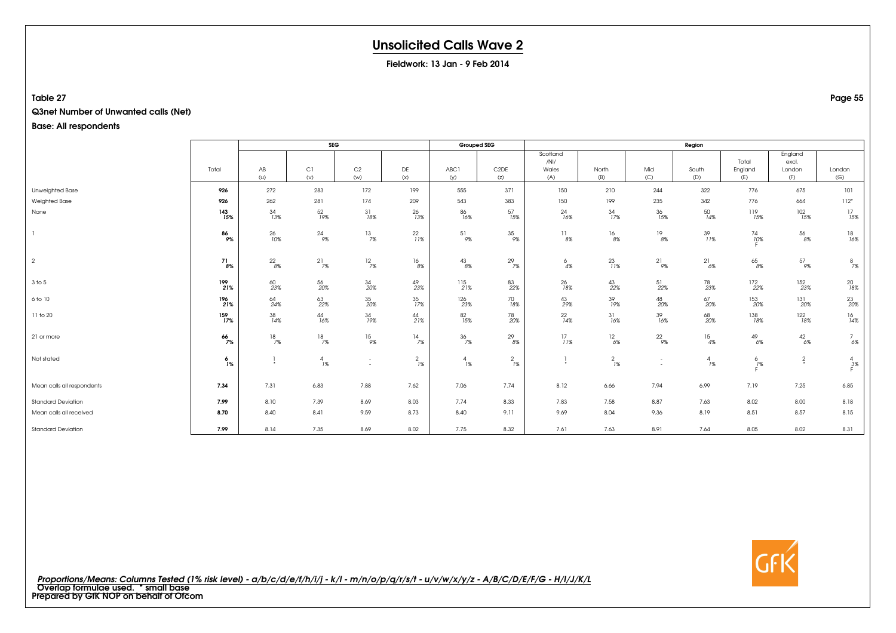Fieldwork: 13 Jan - 9 Feb 2014

#### Table 27

Q3net Number of Unwanted calls (Net)

#### Base: All respondents

|                            |                   |                          | <b>SEG</b>                |                   |                   | <b>Grouped SEG</b>                         |                          |                                  |                   |                     | Region                                    |                                            |                                            |                                                     |
|----------------------------|-------------------|--------------------------|---------------------------|-------------------|-------------------|--------------------------------------------|--------------------------|----------------------------------|-------------------|---------------------|-------------------------------------------|--------------------------------------------|--------------------------------------------|-----------------------------------------------------|
|                            | Total             | AB<br>(u)                | C1<br>(v)                 | C2<br>(w)         | DE<br>(x)         | ABC1<br>(y)                                | C <sub>2</sub> DE<br>(z) | Scotland<br>/NI/<br>Wales<br>(A) | North<br>(B)      | Mid<br>(C)          | South<br>(D)                              | Total<br>England<br>(E)                    | England<br>excl.<br>London<br>(F)          | London<br>(G)                                       |
| Unweighted Base            | 926               | 272                      | 283                       | 172               | 199               | 555                                        | 371                      | 150                              | 210               | 244                 | 322                                       | 776                                        | 675                                        | 101                                                 |
| <b>Weighted Base</b>       | 926               | 262                      | 281                       | 174               | 209               | 543                                        | 383                      | 150                              | 199               | 235                 | 342                                       | 776                                        | 664                                        | $112*$                                              |
| None                       | 143<br><i>15%</i> | 34<br>13%                | $\frac{52}{19\%}$         | 31<br>18%         | 26<br>13%         | 86<br>16%                                  | 57<br>15%                | 24<br>16%                        | $\frac{34}{17\%}$ | $\frac{36}{15\%}$   | 50<br>14%                                 | $\begin{array}{c} 119 \\ 15\% \end{array}$ | 102<br>15%                                 | $^{17}_{\phantom{1}15\%}$                           |
| $\mathbf{1}$               | 86<br>9%          | $^{26}_{10\%}$           | $^{24}_{\ \ 9\%}$         | $\frac{13}{7\%}$  | $^{22}_{11\%}$    | $^{51}_{9\%}$                              | $\frac{35}{9\%}$         | $\frac{11}{8\%}$                 | $\frac{16}{8\%}$  | $\frac{19}{8\%}$    | $\begin{array}{c} 39 \\ 11\% \end{array}$ | $^{74}_{^{10\%}}$                          | $56$ $8\%$                                 | $\frac{18}{16\%}$                                   |
| $\overline{2}$             | $\frac{71}{8\%}$  | $^{22}_{\phantom{2}8\%}$ | $^{21}_{7\%}$             | $\frac{12}{7\%}$  | $\frac{16}{8\%}$  | $^{43}_{8\%}$                              | $^{29}$ 7%               | $^6_{4\%}$                       | $^{23}_{11\%}$    | $^{21}_{9\%}$       | $^{21}_{6\%}$                             | $^{65}_{\phantom{1}8\%}$                   | $^{57}_{9\%}$                              | $\frac{8}{7\%}$                                     |
| $3$ to $5$                 | 199<br>21%        | 60<br>23%                | 56<br>20%                 | $\frac{34}{20\%}$ | $^{49}_{23\%}$    | $\begin{array}{c} 115 \\ 21\% \end{array}$ | 83<br>22%                | $^{26}_{18\%}$                   | $^{43}_{22\%}$    | $\frac{51}{22\%}$   | 78<br>23%                                 | 172<br>22%                                 | <sup>152</sup> <sub>23%</sub>              | $^{20}_{\hphantom{0} \bar{1}8\%}$                   |
| 6 to 10                    | 196<br>21%        | 64<br>24%                | $^{63}_{22\%}$            | $^{35}_{20\%}$    | $\frac{35}{17\%}$ | 126<br>23%                                 | 70<br>18%                | $^{43}_{29\%}$                   | 39<br>19%         | $^{48}_{20\%}$      | 67<br>20%                                 | 153<br>20%                                 | $\begin{array}{c} 131 \\ 20\% \end{array}$ | $^{23}_{\ 20\%}$                                    |
| 11 to 20                   | 159<br>17%        | $\frac{38}{14\%}$        | $^{44}_{\phantom{1}16\%}$ | $\frac{34}{19\%}$ | $^{44}_{21\%}$    | 82<br>15%                                  | 78<br>20%                | $^{22}_{14\%}$                   | $\frac{31}{16\%}$ | 39<br>16%           | 68<br>20%                                 | $\begin{array}{c} 138 \\ 18\% \end{array}$ | $\begin{array}{c} 122 \\ 18\% \end{array}$ | $^{16}_{14\%}$                                      |
| 21 or more                 | 66<br>7%          | $\frac{18}{7\%}$         | $\frac{18}{7\%}$          | $\frac{15}{9\%}$  | 14<br>7%          | $\frac{36}{7\%}$                           | $^{29}_{\phantom{1}8\%}$ | $^{17}_{\hphantom{1}11\%}$       | $\frac{12}{6\%}$  | $^{22}_{\  \, 9\%}$ | 15<br>4%                                  | 49<br>6%                                   | $\frac{42}{6\%}$                           | $\frac{7}{6\%}$                                     |
| Not stated                 | 6<br>1%           | $\cdot$                  | $\frac{4}{1\%}$           | $\sim$<br>$\sim$  | $\frac{2}{1\%}$   | $\overline{4}$<br>1%                       | $^2_{1\%}$               | $\cdot$                          | $\frac{2}{1\%}$   | $\sim$              | $\overline{4}$<br>1%                      | 6<br>1%<br>F.                              | $\frac{2}{\ast}$                           | $\begin{array}{c} 4 \\ 3\% \\ \text{F} \end{array}$ |
| Mean calls all respondents | 7.34              | 7.31                     | 6.83                      | 7.88              | 7.62              | 7.06                                       | 7.74                     | 8.12                             | 6.66              | 7.94                | 6.99                                      | 7.19                                       | 7.25                                       | 6.85                                                |
| <b>Standard Deviation</b>  | 7.99              | 8.10                     | 7.39                      | 8.69              | 8.03              | 7.74                                       | 8.33                     | 7.83                             | 7.58              | 8.87                | 7.63                                      | 8.02                                       | 8.00                                       | 8.18                                                |
| Mean calls all received    | 8.70              | 8.40                     | 8.41                      | 9.59              | 8.73              | 8.40                                       | 9.11                     | 9.69                             | 8.04              | 9.36                | 8.19                                      | 8.51                                       | 8.57                                       | 8.15                                                |
| <b>Standard Deviation</b>  | 7.99              | 8.14                     | 7.35                      | 8.69              | 8.02              | 7.75                                       | 8.32                     | 7.61                             | 7.63              | 8.91                | 7.64                                      | 8.05                                       | 8.02                                       | 8.31                                                |

Proportions/Means: Columns Tested (1% risk level) - a/b/c/d/e/f/h/i/j - k/l - m/n/o/p/q/r/s/t - u/v/w/x/y/z - A/B/C/D/E/F/G - H/l/J/K/L<br>Overlap formulae used. \* small base<br>Prepared by GfK NOP on behalf of Ofcom

7 and the contract of the contract of the contract of the contract of the contract of the contract of the contract of the contract of the contract of the contract of the contract of the contract of the contract of the cont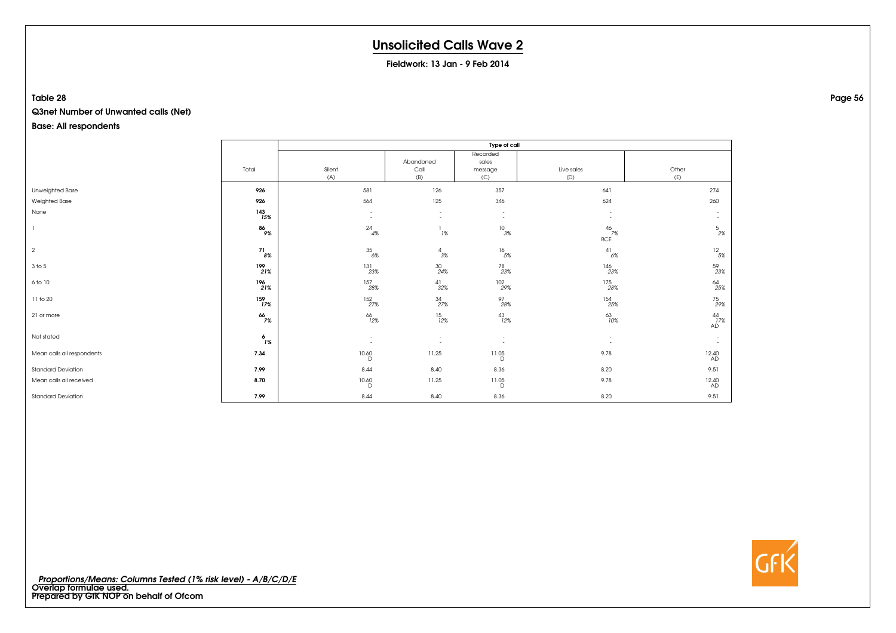Fieldwork: 13 Jan - 9 Feb 2014

#### Table 28

Q3net Number of Unwanted calls (Net)

#### Base: All respondents

|                            |                    |                                            |                             | Type of call                               |                                     |                                         |
|----------------------------|--------------------|--------------------------------------------|-----------------------------|--------------------------------------------|-------------------------------------|-----------------------------------------|
|                            | Total              | Silent<br>(A)                              | Abandoned<br>$C$ all<br>(B) | Recorded<br>sales<br>message<br>(C)        | Live sales<br>(D)                   | Other<br>(E)                            |
| <b>Unweighted Base</b>     | 926                | 581                                        | 126                         | 357                                        | 641                                 | 274                                     |
| <b>Weighted Base</b>       | 926                | 564                                        | 125                         | 346                                        | 624                                 | 260                                     |
| None                       | $\frac{143}{15\%}$ | $\sim$<br>$\sim$                           | $\sim$                      | $\overline{\phantom{a}}$<br>$\overline{a}$ | $\sim$                              | $\sim$<br>$\sim$                        |
| $\mathbf{1}$               | 86<br>9%           | $^{24}_{\  \, 4\%}$                        | $1\%$                       | $^{10}_{\phantom{1}3\%}$                   | $^{46}$ <sub>7%</sub><br><b>BCE</b> | $^5_{2\%}$                              |
| $\overline{2}$             | $\frac{71}{8\%}$   | $\begin{array}{c} 35 \\ 6\% \end{array}$   | $^4_{3\%}$                  | $\frac{16}{5\%}$                           | 41<br>6%                            | $\frac{12}{5\%}$                        |
| 3 to 5                     | 199<br>21%         | $\begin{array}{c} 131 \\ 23\% \end{array}$ | $\substack{30 \\ 24\%}$     | $^{78}_{\phantom{1}23\%}$                  | 146<br>23%                          | $^{59}_{\phantom{1}23\%}$               |
| 6 to 10                    | 196<br>21%         | 157<br>28%                                 | $\underset{32\%}{^{41}}$    | $\frac{102}{29\%}$                         | $^{175}_{\phantom{1}28\%}$          | $^{64}_{25\%}$                          |
| 11 to 20                   | 159<br><i>17%</i>  | $\frac{152}{27\%}$                         | $\frac{34}{27\%}$           | 97<br>28%                                  | <sup>154</sup> <sub>25%</sub>       | 75<br>29%                               |
| 21 or more                 | 66<br>7%           | 66<br><i>12</i> %                          | $\frac{15}{12\%}$           | $\substack{43 \\ 12\%}$                    | $^{63}_{10\%}$                      | $^{44}_{\hbox{\scriptsize\it 17\%}}$ AD |
| Not stated                 | $^{6}$ 1%          | $\overline{\phantom{a}}$                   |                             |                                            | $\overline{\phantom{a}}$            | $\sim$<br>$\sim$                        |
| Mean calls all respondents | 7.34               | $10.60$<br>D                               | 11.25                       | $\overset{11.05}{_{\text D}}$              | 9.78                                | $\frac{12.40}{AD}$                      |
| <b>Standard Deviation</b>  | 7.99               | 8.44                                       | 8.40                        | 8.36                                       | 8.20                                | 9.51                                    |
| Mean calls all received    | 8.70               | $10.60$<br>D                               | 11.25                       | $\overset{11.05}{_{\text D}}$              | 9.78                                | $^{12.40}_{\Lambda \text{D}}$           |
| <b>Standard Deviation</b>  | 7.99               | 8.44                                       | 8.40                        | 8.36                                       | 8.20                                | 9.51                                    |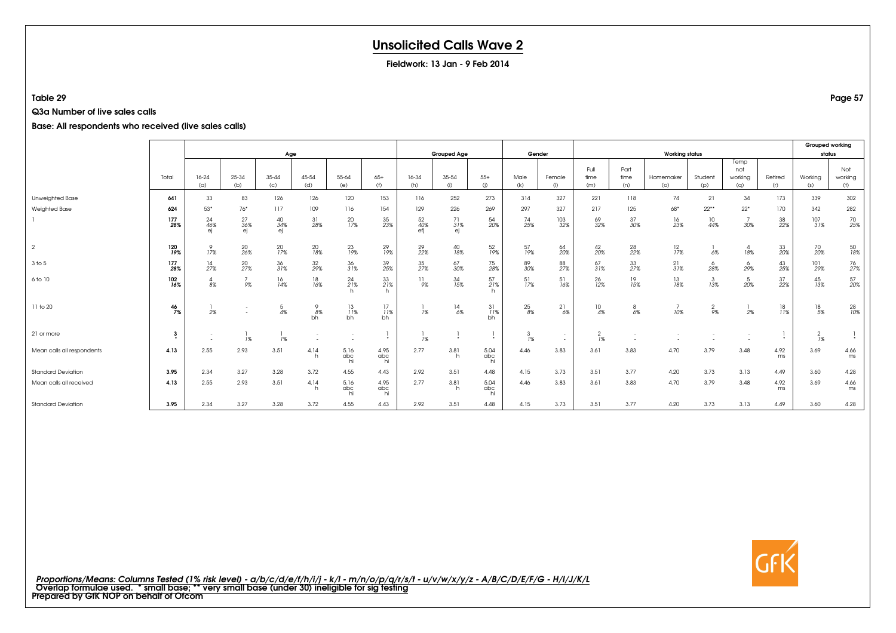Fieldwork: 13 Jan - 9 Feb 2014

Table 29

Q3a Number of live sales calls

#### Base: All respondents who received (live sales calls)

|                            |                   |                                    |                 | Age                  |                   |                          |                        |                  | Grouped Age                |                         | Gender           |                    |             |                   | <b>Working status</b> |                |                  |                | Grouped working<br>status |                   |
|----------------------------|-------------------|------------------------------------|-----------------|----------------------|-------------------|--------------------------|------------------------|------------------|----------------------------|-------------------------|------------------|--------------------|-------------|-------------------|-----------------------|----------------|------------------|----------------|---------------------------|-------------------|
|                            |                   |                                    |                 |                      |                   |                          |                        |                  |                            |                         |                  |                    | Full        | Part              |                       |                | Temp<br>not      |                |                           | Not               |
|                            | Total             | 16-24<br>(a)                       | 25-34<br>(b)    | 35-44<br>(c)         | 45-54<br>(d)      | 55-64<br>(e)             | $65+$<br>(f)           | 16-34<br>(h)     | 35-54<br>(i)               | $55+$<br>(i)            | Male<br>(k)      | Female<br>(1)      | time<br>(m) | time<br>(n)       | Homemaker<br>(0)      | Student<br>(p) | working<br>(q)   | Retired<br>(r) | Working<br>(s)            | working<br>(t)    |
| Unweighted Base            | 641               | 33                                 | 83              | 126                  | 126               | 120                      | 153                    | 116              | 252                        | 273                     | 314              | 327                | 221         | 118               | 74                    | 21             | 34               | 173            | 339                       | 302               |
| <b>Weighted Base</b>       | 624               | $53*$                              | $76*$           | 117                  | 109               | 116                      | 154                    | 129              | 226                        | 269                     | 297              | 327                | 217         | 125               | 68*                   | $22**$         | $22^{\star}$     | 170            | 342                       | 282               |
|                            | 177<br>28%        | 24<br>46%<br>ej                    | 27<br>36%<br>ej | $^{40}_{34\%}$<br>ej | 31<br>28%         | $^{20}_{17\%}$           | $\frac{35}{23\%}$      | 52<br>40%<br>efi | $^{71}_{31\%}$<br>ej       | 54<br>20%               | 74<br>25%        | $\frac{103}{32\%}$ | 69<br>32%   | 37<br>30%         | $^{16}_{23\%}$        | 10<br>44%      | $\frac{7}{30\%}$ | 38<br>22%      | 107<br>31%                | $^{70}_{25\%}$    |
| $\overline{2}$             | 120<br><i>19%</i> | $\circ$<br>17%                     | $^{20}_{26\%}$  | $^{20}_{17\%}$       | $^{20}_{18\%}$    | $^{23}_{19\%}$           | $^{29}_{19\%}$         | $^{29}_{22\%}$   | $^{40}_{\hphantom{1}18\%}$ | $\frac{52}{19\%}$       | 57<br>19%        | 64<br>20%          | 42<br>20%   | $^{28}_{22\%}$    | 12<br>17%             | 6%             | $^{4}_{18\%}$    | 33<br>20%      | 70<br>20%                 | $^{50}_{18\%}$    |
| 3 to 5                     | 177<br>28%        | 14<br>27%                          | 20<br>27%       | $36$<br>$31%$        | 32<br>29%         | 36<br>31%                | 39<br>25%              | 35<br>27%        | 67<br>30%                  | 75<br>28%               | 89<br>30%        | 88<br>27%          | 67<br>31%   | 33<br>27%         | 21<br>31%             | 6<br>28%       | 6<br>29%         | 43<br>25%      | 101<br>29%                | $^{76}_{27\%}$    |
| 6 to 10                    | 102<br>16%        | 4<br>8%                            | 9%              | 16<br>14%            | $\frac{18}{16\%}$ | 24<br>21%<br>h           | $\frac{33}{21\%}$<br>h | 11<br>9%         | 34<br>15%                  | 57<br>21%<br>h.         | 51<br>17%        | 51<br>16%          | 26<br>12%   | $\frac{19}{15\%}$ | 13<br>18%             | 3<br>13%       | 5<br>20%         | 37<br>22%      | 45<br>13%                 | $\frac{57}{20\%}$ |
| 11 to 20                   | $^{46}_{7\%}$     | 2%                                 |                 | 5<br>4%              | 9<br>8%<br>bh     | 13<br>11%<br>bh          | 17<br>11%<br>bh        | 1%               | $\frac{14}{6\%}$           | $\frac{31}{11\%}$<br>bh | $\frac{25}{8\%}$ | 21<br>6%           | 10<br>4%    | 8<br>6%           | 10%                   | $_{\rm 9\%}^2$ | 2%               | 18<br>11%      | $\frac{18}{5\%}$          | $^{28}_{10\%}$    |
| 21 or more                 | 3                 | $\overline{\phantom{a}}$<br>$\sim$ | 1%              | 1%                   |                   | $\overline{\phantom{a}}$ |                        | 1%               |                            |                         | 3<br>1%          | $\sim$<br>$\sim$   | 1%          |                   |                       |                |                  |                | $\frac{2}{1\%}$           |                   |
| Mean calls all respondents | 4.13              | 2.55                               | 2.93            | 3.51                 | 4.14<br>-h        | 5.16<br>abc<br>hi        | 4.95<br>abc<br>hi      | 2.77             | 3.81<br>h                  | 5.04<br>abc<br>hi       | 4.46             | 3.83               | 3.61        | 3.83              | 4.70                  | 3.79           | 3.48             | 4.92<br>ms     | 3.69                      | 4.66<br>ms        |
| <b>Standard Deviation</b>  | 3.95              | 2.34                               | 3.27            | 3.28                 | 3.72              | 4.55                     | 4.43                   | 2.92             | 3.51                       | 4.48                    | 4.15             | 3.73               | 3.51        | 3.77              | 4.20                  | 3.73           | 3.13             | 4.49           | 3.60                      | 4.28              |
| Mean calls all received    | 4.13              | 2.55                               | 2.93            | 3.51                 | 4.14<br>-h        | 5.16<br>abc<br>hi        | 4.95<br>abc<br>hi      | 2.77             | 3.81<br>h                  | 5.04<br>abc             | 4.46             | 3.83               | 3.61        | 3.83              | 4.70                  | 3.79           | 3.48             | 4.92<br>ms     | 3.69                      | 4.66<br>ms        |
| <b>Standard Deviation</b>  | 3.95              | 2.34                               | 3.27            | 3.28                 | 3.72              | 4.55                     | 4.43                   | 2.92             | 3.51                       | 4.48                    | 4.15             | 3.73               | 3.51        | 3.77              | 4.20                  | 3.73           | 3.13             | 4.49           | 3.60                      | 4.28              |

Proportions/Means: Columns Tested (1% risk level) - a/b/c/d/e/t/h/i/j - k/l - m/n/o/p/q/r/s/t - u/v/w/x/y/z - A/B/C/D/E/F/G - H/l/J/K/L<br>Overlap formulae used. \* small base; \*\* very small base (under 30) ineligible for sig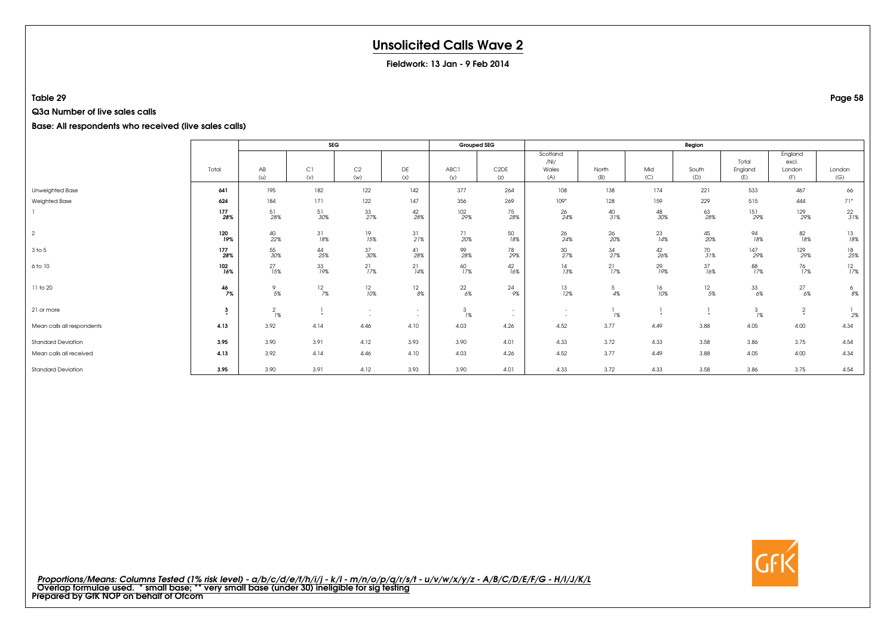Fieldwork: 13 Jan - 9 Feb 2014

Table 29

Q3a Number of live sales calls

Base: All respondents who received (live sales calls)

|                            |                     |                           | <b>SEG</b>        |                   |                  | <b>Grouped SEG</b> |                          |                                  |                                      |                      | Region            |                                            |                                        |                                           |
|----------------------------|---------------------|---------------------------|-------------------|-------------------|------------------|--------------------|--------------------------|----------------------------------|--------------------------------------|----------------------|-------------------|--------------------------------------------|----------------------------------------|-------------------------------------------|
|                            | Total               | AB<br>(u)                 | C1<br>(v)         | C2<br>(w)         | DE<br>(x)        | ABC1<br>(y)        | C <sub>2</sub> DE<br>(z) | Scotland<br>/NI/<br>Wales<br>(A) | North<br>(B)                         | Mid<br>(C)           | South<br>(D)      | Total<br>England<br>(E)                    | England<br>excl.<br>London<br>(F)      | London<br>(G)                             |
| Unweighted Base            | 641                 | 195                       | 182               | 122               | 142              | 377                | 264                      | 108                              | 138                                  | 174                  | 221               | 533                                        | 467                                    | 66                                        |
| Weighted Base              | 624                 | 184                       | 171               | 122               | 147              | 356                | 269                      | $109*$                           | 128                                  | 159                  | 229               | 515                                        | 444                                    | $71*$                                     |
|                            | 177<br>28%          | 51<br>28%                 | $\frac{51}{30\%}$ | $\frac{33}{27\%}$ | $^{42}_{28\%}$   | 102<br>29%         | 75<br>28%                | $\frac{26}{24\%}$                | $\frac{40}{31\%}$                    | $^{48}_{\ 30\%}$     | 63<br>28%         | $\begin{array}{c} 151 \\ 29\% \end{array}$ | 129<br>29%                             | $^{22}_{\rm 31\%}$                        |
| $\overline{2}$             | 120<br><i>19%</i>   | $^{40}_{22\%}$            | 31<br>18%         | $\frac{19}{15\%}$ | 31<br>21%        | $\frac{71}{20\%}$  | $\frac{50}{18\%}$        | $\frac{26}{24\%}$                | $^{26}_{20\%}$                       | $^{23}_{14\%}$       | $^{45}_{20\%}$    | 94<br>18%                                  | 82<br>18%                              | $\begin{array}{c} 13 \\ 18\% \end{array}$ |
| 3 to 5                     | 177<br>28%          | $\frac{55}{30\%}$         | $\frac{44}{25\%}$ | $\frac{37}{30\%}$ | $^{41}_{28\%}$   | 99<br>28%          | 78<br>29%                | $\frac{30}{27\%}$                | $\frac{34}{27\%}$                    | $\frac{42}{26\%}$    | $\frac{70}{31\%}$ | 147<br>29%                                 | $\frac{129}{29\%}$                     | $^{18}_{25\%}$                            |
| 6 to 10                    | 102<br><i>16%</i>   | $^{27}_{\phantom{1}15\%}$ | $\frac{33}{19\%}$ | $^{21}_{17\%}$    | 21<br>14%        | 60<br>17%          | 42<br>16%                | 14<br>13%                        | $^{21}_{\hbox{\scriptsize\it 17\%}}$ | 29<br>19%            | 37<br>16%         | 88<br>17%                                  | $^{76}_{17\%}$                         | $^{12}_{17\%}$                            |
| 11 to 20                   | $^{46}$<br>$^{7\%}$ | $^{\mathrm{9}}_{5\%}$     | $^{12}$ 7%        | $^{12}_{10\%}$    | $\frac{12}{8\%}$ | $^{22}_{6\%}$      | $^{24}_{\rm -9\%}$       | $\frac{13}{12\%}$                | $\frac{5}{4\%}$                      | $^{16}_{10\%}$       | $\frac{12}{5\%}$  | $\frac{33}{6\%}$                           | $^{27}_{6\%}$                          | $^{\rm 6}_{\rm 8\%}$                      |
| 21 or more                 | 3                   | $^2_{1\%}$                | $\cdot$           | $\sim$<br>$\sim$  | $\sim$<br>$\sim$ | $\mathbf{3}$<br>1% | $\sim$<br>$\sim$         |                                  | 1%                                   | $\ddot{\phantom{1}}$ |                   | 3<br>1%                                    | $\overline{2}$<br>$\ddot{\phantom{1}}$ | 2%                                        |
| Mean calls all respondents | 4.13                | 3.92                      | 4.14              | 4.46              | 4.10             | 4.03               | 4.26                     | 4.52                             | 3.77                                 | 4.49                 | 3.88              | 4.05                                       | 4.00                                   | 4.34                                      |
| <b>Standard Deviation</b>  | 3.95                | 3.90                      | 3.91              | 4.12              | 3.93             | 3.90               | 4.01                     | 4.33                             | 3.72                                 | 4.33                 | 3.58              | 3.86                                       | 3.75                                   | 4.54                                      |
| Mean calls all received    | 4.13                | 3.92                      | 4.14              | 4.46              | 4.10             | 4.03               | 4.26                     | 4.52                             | 3.77                                 | 4.49                 | 3.88              | 4.05                                       | 4.00                                   | 4.34                                      |
| <b>Standard Deviation</b>  | 3.95                | 3.90                      | 3.91              | 4.12              | 3.93             | 3.90               | 4.01                     | 4.33                             | 3.72                                 | 4.33                 | 3.58              | 3.86                                       | 3.75                                   | 4.54                                      |

Proportions/Means: Columns Tested (1% risk level) - a/b/c/d/e/f/h/i/j - k/l - m/n/o/p/q/r/s/t - u/v/w/x/y/z - A/B/C/D/E/F/G - H/l/J/K/L<br>Overlap formulae used. \* small base; \*\* very small base (under 30) ineligible for sig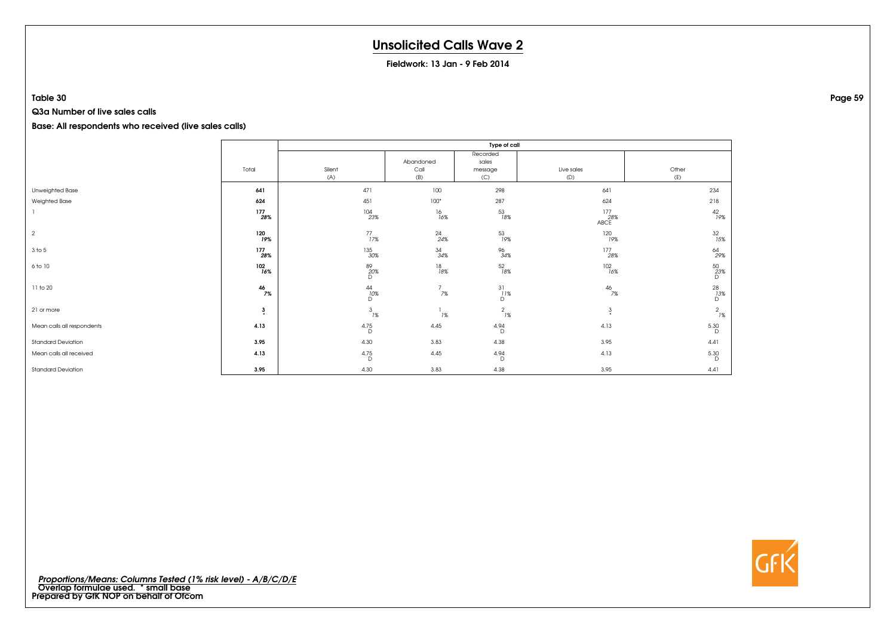Fieldwork: 13 Jan - 9 Feb 2014

Table 30

Q3a Number of live sales calls

Base: All respondents who received (live sales calls)

|                            |                       |                            |                          | Type of call                        |                       |                                        |
|----------------------------|-----------------------|----------------------------|--------------------------|-------------------------------------|-----------------------|----------------------------------------|
|                            | Total                 | Silent<br>(A)              | Abandoned<br>Call<br>(B) | Recorded<br>sales<br>message<br>(C) | Live sales<br>(D)     | Other<br>(E)                           |
| Unweighted Base            | 641                   | 471                        | 100                      | 298                                 | 641                   | 234                                    |
| <b>Weighted Base</b>       | 624                   | 451                        | $100*$                   | 287                                 | 624                   | 218                                    |
| $\mathbf{1}$               | 177<br>28%            | 104<br>23%                 | $\frac{16}{16\%}$        | $\frac{53}{18\%}$                   | 177<br>28%<br>ABCE    | $^{42}_{19\%}$                         |
| $\overline{2}$             | 120<br><i>19%</i>     | $\frac{77}{17\%}$          | $^{24}_{24\%}$           | $\frac{53}{19\%}$                   | $\frac{120}{19\%}$    | $\frac{32}{15\%}$                      |
| 3 to 5                     | 177<br>28%            | $^{135}_{\phantom{1}30\%}$ | $\substack{34 \\ 34\%}$  | 96<br>34%                           | 177<br>28%            | 64<br>29%                              |
| 6 to 10                    | 102<br><i>16%</i>     | 89<br>20%<br>D             | $^{18}_{18\%}$           | $\frac{52}{18\%}$                   | $\frac{102}{16\%}$    | 50<br>23%<br>D                         |
| 11 to 20                   | $^{46}$ <sub>7%</sub> | $\frac{44}{10\%}$<br>D     | $^7$ 7%                  | $\frac{31}{11\%}$<br>D              | $^{46}$ <sub>7%</sub> | $^{28}_{13\%}$<br>D                    |
| 21 or more                 | 3<br>$\bullet$        | $\frac{3}{1\%}$            | 1%                       | $2$ <sub>1%</sub>                   | $\frac{3}{\epsilon}$  | $^2_{\phantom{1}\! \gamma\!\!\!\beta}$ |
| Mean calls all respondents | 4.13                  | $4.75$<br>D                | 4.45                     | $^{4.94}_{\rm D}$                   | 4.13                  | $5.30$<br>D                            |
| <b>Standard Deviation</b>  | 3.95                  | 4.30                       | 3.83                     | 4.38                                | 3.95                  | 4.41                                   |
| Mean calls all received    | 4.13                  | $4.75$<br>D                | 4.45                     | $^{4.94}_{\rm D}$                   | 4.13                  | $5.30$<br>D                            |
| <b>Standard Deviation</b>  | 3.95                  | 4.30                       | 3.83                     | 4.38                                | 3.95                  | 4.41                                   |

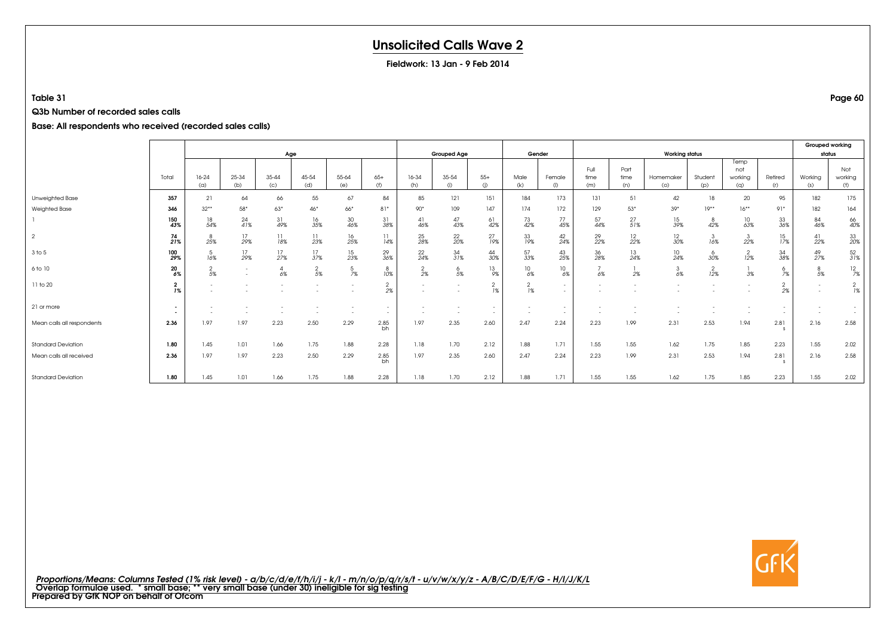Fieldwork: 13 Jan - 9 Feb 2014

Table 31

Q3b Number of recorded sales calls

Base: All respondents who received (recorded sales calls)

|                            |                               |                      |                          | Age              |                        |              |                          |                      | Grouped Age                     |                      | Gender                             |                                            |                     |                     | <b>Working status</b> |                       |                                    |                      | Grouped working<br>status |                          |
|----------------------------|-------------------------------|----------------------|--------------------------|------------------|------------------------|--------------|--------------------------|----------------------|---------------------------------|----------------------|------------------------------------|--------------------------------------------|---------------------|---------------------|-----------------------|-----------------------|------------------------------------|----------------------|---------------------------|--------------------------|
|                            | Total                         | 16-24<br>(a)         | 25-34<br>(b)             | 35-44<br>(c)     | 45-54<br>(d)           | 55-64<br>(e) | $65+$<br>(f)             | 16-34<br>(h)         | 35-54<br>(i)                    | $55+$<br>(i)         | Male<br>(k)                        | Female<br>$($ l $)$                        | Full<br>time<br>(m) | Part<br>time<br>(n) | Homemaker<br>(0)      | Student<br>(p)        | Temp<br>not<br>working<br>(q)      | Retired<br>(r)       | Workina<br>(s)            | Not<br>working<br>(t)    |
| <b>Unweighted Base</b>     | 357                           | 21                   | 64                       | 66               | 55                     | 67           | 84                       | 85                   | 121                             | 151                  | 184                                | 173                                        | 131                 | 51                  | 42                    | 18                    | 20                                 | 95                   | 182                       | 175                      |
| <b>Weighted Base</b>       | 346                           | $32***$              | $58*$                    | $63*$            | $46*$                  | 66*          | $81*$                    | 90*                  | 109                             | 147                  | 174                                | 172                                        | 129                 | $53^{\star}$        | $39*$                 | $19**$                | $16***$                            | $91*$                | 182                       | 164                      |
|                            | 150<br>43%                    | 18<br>54%            | 24<br>41%                | $\frac{31}{49%}$ | 16<br>35%              | 30<br>46%    | 31<br>38%                | 41<br>46%            | $\frac{47}{43\%}$               | 61<br>42%            | $\frac{73}{42\%}$                  | 77<br>45%                                  | 57<br>44%           | 27<br>51%           | 15<br>39%             | 8<br>42%              | $\frac{10}{63\%}$                  | 33<br>36%            | 84<br>46%                 | 66<br>40%                |
| $\overline{2}$             | 74<br>21%                     | 8<br>25%             | 17<br>29%                | 11<br>18%        | $\overline{11}$<br>23% | 16<br>25%    | $11 -$<br>14%            | 25<br>28%            | $^{22}_{20\%}$                  | 27<br>19%            | 33<br>19%                          | 42<br>24%                                  | 29<br>22%           | $^{12}_{22\%}$      | 12<br>30%             | 3<br>16%              | $\frac{3}{22\%}$                   | 15<br>17%            | 41<br>22%                 | $\substack{33 \ 20\%}$   |
| $3$ to $5$                 | 100<br>29%                    | $5^{\circ}$<br>16%   | 17<br>29%                | 17<br>27%        | 17<br>37%              | 15<br>23%    | 29<br>36%                | 22<br>24%            | 34<br>31%                       | 44<br>30%            | 57<br>33%                          | 43<br>25%                                  | 36<br>28%           | 13<br>24%           | $10-10$<br>24%        | 6<br>30%              | $\overline{2}$<br>12%              | 34<br>38%            | 49<br>27%                 | $\frac{52}{31\%}$        |
| 6 to 10                    | 20<br>6%                      | $\overline{2}$<br>5% | $\overline{\phantom{a}}$ | 6%               | $\sim$<br>5%           | 5<br>7%      | 10%                      | $\overline{2}$<br>2% | $^{\rm 6}_{\rm 5\%}$            | 13<br>9%             | 10<br>6%                           | 10<br>6%                                   | 6%                  | 2%                  | 6%                    | $\overline{2}$<br>12% | 3%                                 | -6<br>7%             | 8<br>5%                   | $\frac{12}{7\%}$         |
| 11 to 20                   | $\overline{\mathbf{2}}$<br>1% |                      |                          |                  |                        | -            | $\overline{2}$<br>2%     |                      | $\sim$<br>$\sim$                | $\overline{2}$<br>1% | $\overline{2}$<br>1%               | $\sim$<br>$\sim$                           |                     |                     |                       |                       | $\overline{\phantom{a}}$<br>$\sim$ | $\overline{2}$<br>2% |                           | $\frac{2}{1\%}$          |
| 21 or more                 |                               |                      |                          |                  |                        |              | $\overline{\phantom{a}}$ |                      | $\overline{\phantom{a}}$<br>. . | $\sim$               | $\overline{\phantom{a}}$<br>$\sim$ | $\overline{\phantom{a}}$<br>$\overline{a}$ |                     |                     |                       |                       | $\sim$                             | $\sim$               |                           | <b>Section</b><br>$\sim$ |
| Mean calls all respondents | 2.36                          | 1.97                 | 1.97                     | 2.23             | 2.50                   | 2.29         | 2.85<br>bh               | 1.97                 | 2.35                            | 2.60                 | 2.47                               | 2.24                                       | 2.23                | 1.99                | 2.31                  | 2.53                  | 1.94                               | 2.81                 | 2.16                      | 2.58                     |
| <b>Standard Deviation</b>  | 1.80                          | 1.45                 | 1.01                     | 1.66             | 1.75                   | 1.88         | 2.28                     | 1.18                 | 1.70                            | 2.12                 | 1.88                               | 1.71                                       | 1.55                | 1.55                | 1.62                  | 1.75                  | 1.85                               | 2.23                 | 1.55                      | 2.02                     |
| Mean calls all received    | 2.36                          | 1.97                 | 1.97                     | 2.23             | 2.50                   | 2.29         | 2.85<br>bh               | 1.97                 | 2.35                            | 2.60                 | 2.47                               | 2.24                                       | 2.23                | 1.99                | 2.31                  | 2.53                  | 1.94                               | 2.81                 | 2.16                      | 2.58                     |
| <b>Standard Deviation</b>  | 1.80                          | 1.45                 | 1.01                     | 1.66             | 1.75                   | 1.88         | 2.28                     | 1.18                 | 1.70                            | 2.12                 | 1.88                               | 1.71                                       | 1.55                | 1.55                | 1.62                  | 1.75                  | 1.85                               | 2.23                 | 1.55                      | 2.02                     |



Proportions/Means: Columns Tested (1% risk level) - a/b/c/d/e/t/h/i/j - k/l - m/n/o/p/q/r/s/t - u/v/w/x/y/z - A/B/C/D/E/F/G - H/l/J/K/L<br>Overlap formulae used. \* small base; \*\* very small base (under 30) ineligible for sig

la and the contract of the contract of the contract of the contract of the contract of the contract of the contract of the contract of the contract of the contract of the contract of the contract of the contract of the con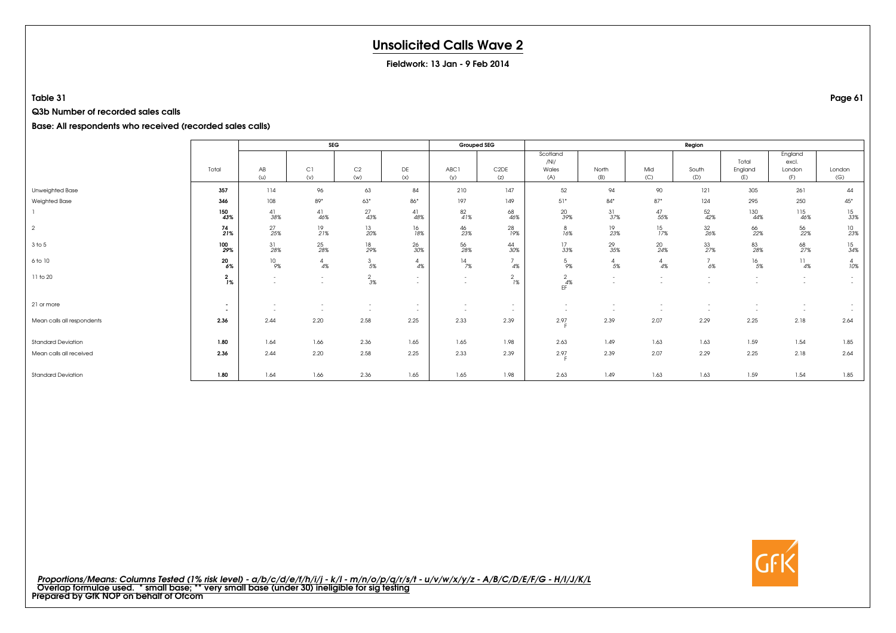Fieldwork: 13 Jan - 9 Feb 2014

Table 31

Q3b Number of recorded sales calls

Base: All respondents who received (recorded sales calls)

|                            |                                    |                                    | <b>SEG</b>           |                  |                      | <b>Grouped SEG</b> |                          |                                  |                         |                         | Region            |                         |                                    |                                           |
|----------------------------|------------------------------------|------------------------------------|----------------------|------------------|----------------------|--------------------|--------------------------|----------------------------------|-------------------------|-------------------------|-------------------|-------------------------|------------------------------------|-------------------------------------------|
|                            | Total                              | AB<br>(u)                          | C1<br>(v)            | C2<br>(w)        | DE<br>(x)            | ABC1<br>(y)        | C <sub>2</sub> DE<br>(z) | Scotland<br>/NI/<br>Wales<br>(A) | North<br>(B)            | Mid<br>(C)              | South<br>(D)      | Total<br>England<br>(E) | England<br>excl.<br>London<br>(F)  | London<br>(G)                             |
| Unweighted Base            | 357                                | 114                                | 96                   | 63               | 84                   | 210                | 147                      | 52                               | 94                      | 90                      | 121               | 305                     | 261                                | 44                                        |
| Weighted Base              | 346                                | 108                                | 89*                  | $63*$            | 86*                  | 197                | 149                      | $51*$                            | $84*$                   | $87*$                   | 124               | 295                     | 250                                | $45*$                                     |
|                            | 150<br>43%                         | 41<br>38%                          | 41<br>46%            | 27<br>43%        | 41<br>48%            | $\frac{82}{41\%}$  | 68<br>46%                | 20<br>39%                        | $\frac{31}{37\%}$       | $\substack{47 \\ 55\%}$ | $\frac{52}{42\%}$ | 130<br>44%              | 115<br>46%                         | $\begin{array}{c} 15 \\ 33\% \end{array}$ |
| $\overline{2}$             | 74<br>21%                          | $^{27}_{25\%}$                     | $^{19}_{21\%}$       | $^{13}_{20\%}$   | $\frac{16}{18\%}$    | $^{46}_{23\%}$     | $^{28}_{19\%}$           | $\frac{8}{16\%}$                 | 19<br>23%               | $\frac{15}{17\%}$       | 32<br>26%         | 66<br>22%               | 56<br>22%                          | $^{10}_{23\%}$                            |
| 3 to 5                     | 100<br>29%                         | $\frac{31}{28\%}$                  | $^{25}_{28\%}$       | $^{18}_{29\%}$   | $^{26}_{30\%}$       | $\frac{56}{28\%}$  | $\substack{44 \\ 30\%}$  | $^{17}_{33\%}$                   | $\substack{29 \\ 35\%}$ | $^{20}_{24\%}$          | $\frac{33}{27\%}$ | 83<br>28%               | $^{68}_{27\%}$                     | $\frac{15}{34\%}$                         |
| 6 to 10                    | $\frac{20}{6\%}$                   | $\frac{10}{9\%}$                   | $\overline{4}$<br>4% | $\frac{3}{5\%}$  | $\overline{4}$<br>4% | $\frac{14}{7%}$    | $\overline{7}$<br>4%     | $\frac{5}{9\%}$                  | $^4_{\,5\%}$            | $\overline{4}$<br>4%    | 6%                | $\frac{16}{5\%}$        | $\frac{11}{4\%}$                   | $\frac{4}{10\%}$                          |
| 11 to 20                   | $\overline{2}$<br>7%               | $\sim$<br>$\sim$                   | $\sim$<br>$\sim$     | $^2_{3\%}$       | $\sim$<br>$\sim$     | $\sim$             | $\frac{2}{1\%}$          | $^2_{4\%}$<br>EF                 | $\sim$                  | $\sim$                  |                   | $\sim$                  | $\sim$<br>$\overline{\phantom{a}}$ | $\sim$ 100 $\pm$<br><b>Section</b>        |
| 21 or more                 | $\overline{\phantom{a}}$<br>$\sim$ | $\overline{\phantom{a}}$<br>$\sim$ |                      | $\sim$<br>$\sim$ | $\sim$<br>$\sim$     | $\sim$<br>$\sim$   | $\sim$<br>$\sim$         | $\sim$                           |                         | $\sim$                  |                   |                         | $\overline{\phantom{a}}$<br>$\sim$ |                                           |
| Mean calls all respondents | 2.36                               | 2.44                               | 2.20                 | 2.58             | 2.25                 | 2.33               | 2.39                     | 2.97                             | 2.39                    | 2.07                    | 2.29              | 2.25                    | 2.18                               | 2.64                                      |
| <b>Standard Deviation</b>  | 1.80                               | 1.64                               | 1.66                 | 2.36             | 1.65                 | 1.65               | 1.98                     | 2.63                             | 1.49                    | 1.63                    | 1.63              | 1.59                    | 1.54                               | 1.85                                      |
| Mean calls all received    | 2.36                               | 2.44                               | 2.20                 | 2.58             | 2.25                 | 2.33               | 2.39                     | 2.97                             | 2.39                    | 2.07                    | 2.29              | 2.25                    | 2.18                               | 2.64                                      |
| <b>Standard Deviation</b>  | 1.80                               | 1.64                               | 1.66                 | 2.36             | 1.65                 | 1.65               | 1.98                     | 2.63                             | 1.49                    | 1.63                    | 1.63              | 1.59                    | 1.54                               | 1.85                                      |



Proportions/Means: Columns Tested (1% risk level) - a/b/c/d/e/f/h/i/j - k/l - m/n/o/p/q/r/s/t - u/v/w/x/y/z - A/B/C/D/E/F/G - H/l/J/K/L<br>Overlap formulae used. \* small base; \*\* very small base (under 30) ineligible for sig

l and the contract of the contract of the contract of the contract of the contract of the contract of the contract of the contract of the contract of the contract of the contract of the contract of the contract of the cont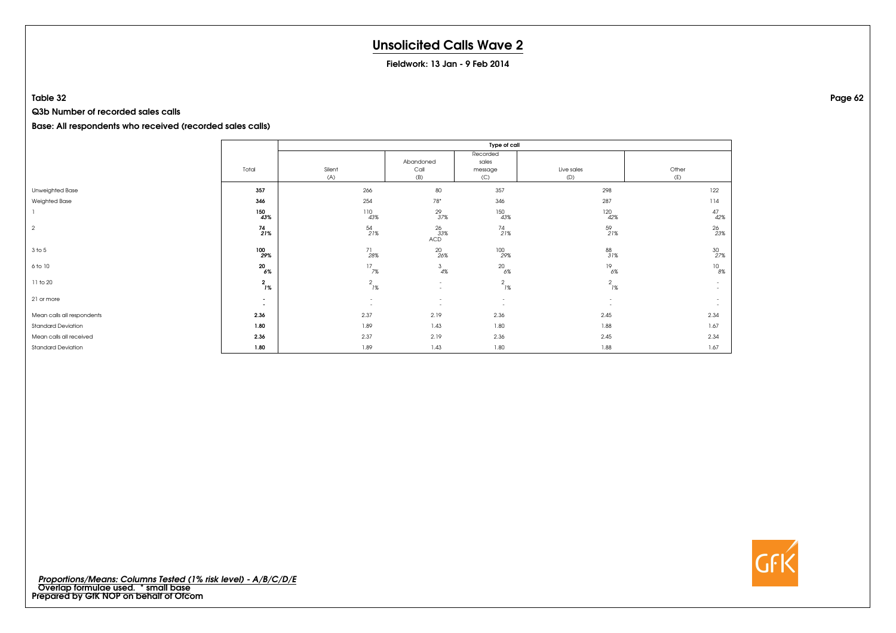Fieldwork: 13 Jan - 9 Feb 2014

Table 32

Q3b Number of recorded sales calls

Base: All respondents who received (recorded sales calls)

|                            |                               |                                            |                                                     | Type of call                        |                   |                   |
|----------------------------|-------------------------------|--------------------------------------------|-----------------------------------------------------|-------------------------------------|-------------------|-------------------|
|                            | Total                         | Silent<br>(A)                              | Abandoned<br>Call<br>(B)                            | Recorded<br>sales<br>message<br>(C) | Live sales<br>(D) | Other<br>(E)      |
| <b>Unweighted Base</b>     | 357                           | 266                                        | 80                                                  | 357                                 | 298               | 122               |
| <b>Weighted Base</b>       | 346                           | 254                                        | 78*                                                 | 346                                 | 287               | 114               |
|                            | 150<br>43%                    | $\begin{array}{c} 110 \\ 43\% \end{array}$ | $\frac{29}{37%}$                                    | 150<br>43%                          | 120<br>42%        | $^{47}_{42\%}$    |
| $\overline{2}$             | 74<br>21%                     | $\frac{54}{21\%}$                          | $\overset{26}{\underset{\text{33\%}}{\text{33\%}}}$ | $\frac{74}{21\%}$                   | $^{59}_{21\%}$    | $^{26}_{23\%}$    |
| 3 to 5                     | 100<br>29%                    | 71<br>28%                                  | $^{20}_{\phantom{1}26\%}$                           | 100<br>29%                          | $\frac{88}{31\%}$ | $\frac{30}{27\%}$ |
| 6 to 10                    | $\frac{20}{6\%}$              | $\frac{17}{7\%}$                           | $\frac{3}{4\%}$                                     | $\overset{20}{\phantom{1}0\%}$      | 19<br>6%          | $\frac{10}{8\%}$  |
| 11 to 20                   | $\overline{\mathbf{2}}$<br>1% | $\sqrt{2}_{1\%}$                           | $\sim$<br>$\sim$                                    | $^2_{\hbox{{\scriptsize 1\%}}}$     | $\sqrt{2}_{1\%}$  |                   |
| 21 or more                 | $\sim$                        |                                            |                                                     |                                     |                   |                   |
| Mean calls all respondents | 2.36                          | 2.37                                       | 2.19                                                | 2.36                                | 2.45              | 2.34              |
| <b>Standard Deviation</b>  | 1.80                          | 1.89                                       | 1.43                                                | 1.80                                | 1.88              | 1.67              |
| Mean calls all received    | 2.36                          | 2.37                                       | 2.19                                                | 2.36                                | 2.45              | 2.34              |
| <b>Standard Deviation</b>  | 1.80                          | 1.89                                       | 1.43                                                | 1.80                                | 1.88              | 1.67              |

en and the state of the state of the state of the state of the state of the state of the state of the state of the state of the state of the state of the state of the state of the state of the state of the state of the sta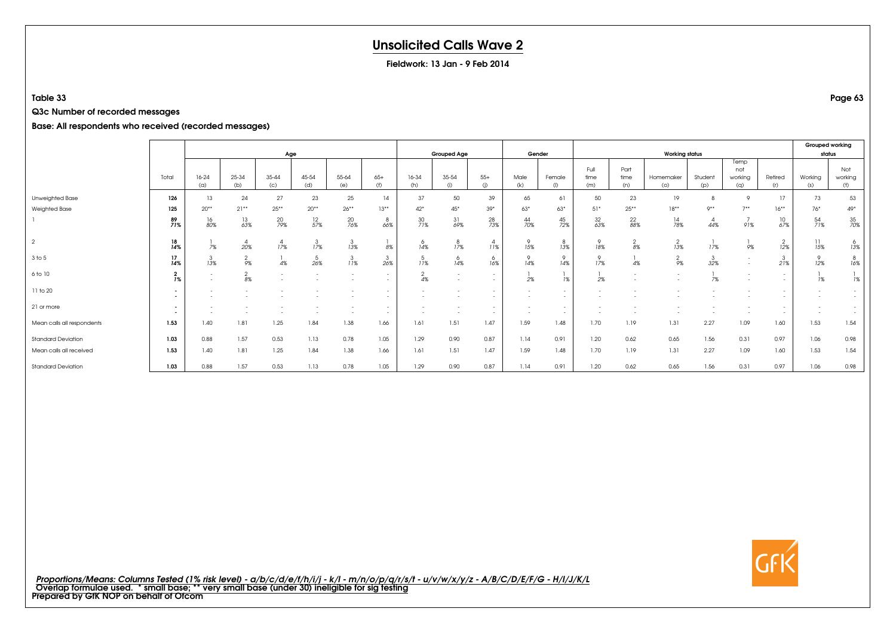Fieldwork: 13 Jan - 9 Feb 2014

Table 33

Q3c Number of recorded messages

#### Base: All respondents who received (recorded messages)

|                            |                      |                   |                          | Age                   |                |              |                     |                     | <b>Grouped Age</b>       |               | Gender                   |                                    |                     |                         | <b>Working status</b>    |                       |                                                      |                        | Grouped working<br>status |                          |
|----------------------------|----------------------|-------------------|--------------------------|-----------------------|----------------|--------------|---------------------|---------------------|--------------------------|---------------|--------------------------|------------------------------------|---------------------|-------------------------|--------------------------|-----------------------|------------------------------------------------------|------------------------|---------------------------|--------------------------|
|                            | Total                | 16-24<br>(a)      | 25-34<br>(b)             | 35-44<br>(c)          | 45-54<br>(d)   | 55-64<br>(e) | $65+$<br>(f)        | 16-34<br>(h)        | 35-54<br>(i)             | $55+$<br>(i)  | Male<br>(k)              | Female<br>$($ l                    | Full<br>time<br>(m) | Part<br>time<br>(n)     | Homemaker<br>(0)         | Student<br>(p)        | Temp<br>not<br>working<br>(q)                        | Retired<br>(r)         | Working<br>(s)            | Not<br>working<br>(t)    |
| Unweighted Base            | 126                  | 13                | 24                       | 27                    | 23             | 25           | 14                  | 37                  | 50                       | 39            | 65                       | 61                                 | 50                  | 23                      | 19                       | ε                     | $\circ$                                              | 17                     | 73                        | 53                       |
| <b>Weighted Base</b>       | 125                  | $20**$            | $21**$                   | $25***$               | $20**$         | $26***$      | $13***$             | $42*$               | 45*                      | $39*$         | $63*$                    | $63*$                              | $51*$               | $25***$                 | $18***$                  | $^{\bullet\ast}$      | $7**$                                                | $16***$                | $76*$                     | 49*                      |
|                            | 89<br>71%            | $\frac{16}{80\%}$ | 13<br>63%                | $^{20}_{79\%}$        | $^{12}_{57\%}$ | 20<br>76%    | 8<br>66%            | 30<br>71%           | $\frac{31}{69\%}$        | $^{28}_{73%}$ | $^{44}_{70\%}$           | 45<br>72%                          | 32<br>63%           | $\substack{22 \\ 88\%}$ | $\frac{14}{78\%}$        | $\overline{4}$<br>44% | $\overline{ }$<br>91%                                | 10 <sup>°</sup><br>67% | $\frac{54}{71\%}$         | $\frac{35}{70\%}$        |
| $\overline{2}$             | 18<br>14%            | 7%                | $\overline{4}$<br>20%    | $\overline{A}$<br>17% | 17%            | 13%          | 8%                  | 6<br>14%            | 8<br>17%                 | 4<br>11%      | $\circ$<br>15%           | 8<br>13%                           | $\circ$<br>18%      | $\overline{2}$<br>$8\%$ | 2<br>13%                 | 17%                   | 9%                                                   | $\overline{2}$<br>12%  | 11<br>15%                 | 6<br>13%                 |
| 3 to 5                     | 17<br>14%            | $\frac{3}{13\%}$  | $\sim$<br>$\frac{2}{9%}$ | 4%                    | 5<br>26%       | 11%          | $\mathbf{3}$<br>26% | 11%                 | $\frac{6}{14\%}$         | 6<br>16%      | $\circ$<br>14%           | $\circ$<br>14%                     | $\circ$<br>17%      | 4%                      | $\overline{2}$<br>9%     | 3<br>32%              | $\sim$<br>$\sim$                                     | 21%                    | $\circ$<br>12%            | 8<br>16%                 |
| 6 to 10                    | $\overline{2}$<br>1% | $\sim$<br>$\sim$  | $\frac{2}{8\%}$          |                       |                |              | $\sim$<br>$\sim$    | $\mathcal{P}$<br>4% | $\sim$<br>$\sim$         | $\sim$        | 2%                       | 1%                                 | 2%                  | <b>.</b>                | $\overline{\phantom{a}}$ | 7%                    | $\overline{\phantom{a}}$<br>$\overline{\phantom{a}}$ | ۰.<br>$\sim$           | 1%                        | 1%                       |
| 11 to 20                   | $\sim$<br>. .        |                   |                          |                       |                |              |                     |                     | $\sim$                   | $\sim$        |                          | $\sim$<br>$\overline{\phantom{a}}$ |                     |                         |                          |                       |                                                      | $\sim$                 |                           | <b>Section</b><br>$\sim$ |
| 21 or more                 | . .<br>. .           |                   |                          |                       |                |              |                     |                     | $\overline{\phantom{a}}$ |               | $\overline{\phantom{a}}$ | $\sim$                             |                     |                         |                          |                       | $\overline{\phantom{a}}$                             | ۰.                     |                           | $\sim$<br><b>Section</b> |
| Mean calls all respondents | 1.53                 | 1.40              | 1.81                     | 1.25                  | 1.84           | 1.38         | 1.66                | 1.61                | 1.51                     | 1.47          | 1.59                     | 1.48                               | 1.70                | 1.19                    | 1.31                     | 2.27                  | 1.09                                                 | 1.60                   | 1.53                      | 1.54                     |
| <b>Standard Deviation</b>  | 1.03                 | 0.88              | 1.57                     | 0.53                  | 1.13           | 0.78         | 1.05                | 1.29                | 0.90                     | 0.87          | 1.14                     | 0.91                               | 1.20                | 0.62                    | 0.65                     | 1.56                  | 0.31                                                 | 0.97                   | 1.06                      | 0.98                     |
| Mean calls all received    | 1.53                 | 1.40              | 1.81                     | 1.25                  | 1.84           | 1.38         | 1.66                | 1.61                | 1.51                     | 1.47          | 1.59                     | 1.48                               | 1.70                | 1.19                    | 1.31                     | 2.27                  | 1.09                                                 | 1.60                   | 1.53                      | 1.54                     |
| <b>Standard Deviation</b>  | 1.03                 | 0.88              | 1.57                     | 0.53                  | 1.13           | 0.78         | 1.05                | 1.29                | 0.90                     | 0.87          | 1.14                     | 0.91                               | 1.20                | 0.62                    | 0.65                     | 1.56                  | 0.31                                                 | 0.97                   | 1.06                      | 0.98                     |

Proportions/Means: Columns Tested (1% risk level) - a/b/c/d/e/t/h/i/j - k/l - m/n/o/p/q/r/s/t - u/v/w/x/y/z - A/B/C/D/E/F/G - H/l/J/K/L<br>Overlap formulae used. \* small base; \*\* very small base (under 30) ineligible for sig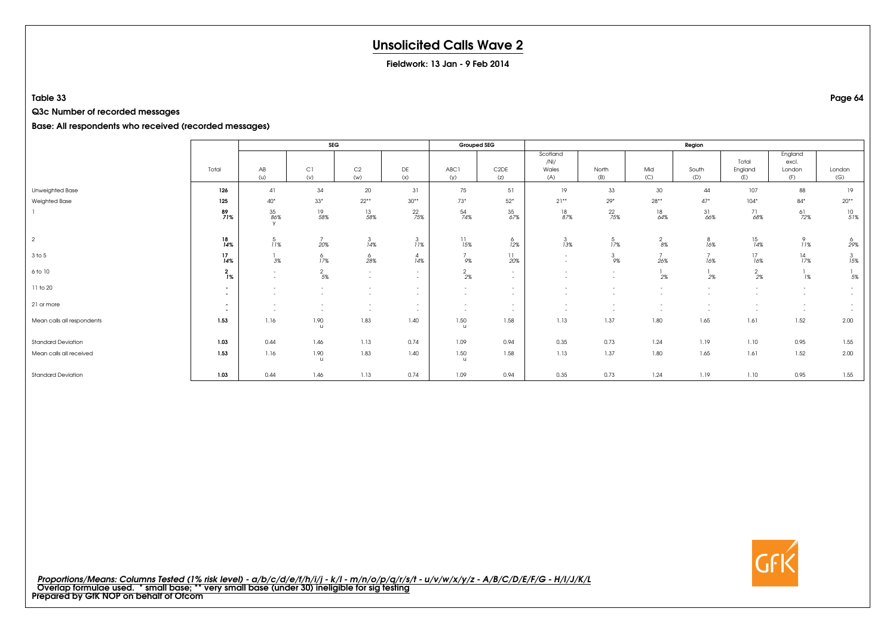Fieldwork: 13 Jan - 9 Feb 2014

Table 33

Q3c Number of recorded messages

Base: All respondents who received (recorded messages)

|                            |                                    |                        | <b>SEG</b>       |                                           |                       | <b>Grouped SEG</b>   |                          |                                           |                    |                       | Region                   |                         |                                    |                                  |
|----------------------------|------------------------------------|------------------------|------------------|-------------------------------------------|-----------------------|----------------------|--------------------------|-------------------------------------------|--------------------|-----------------------|--------------------------|-------------------------|------------------------------------|----------------------------------|
|                            | Total                              | AB<br>(u)              | C1<br>(v)        | C2<br>(w)                                 | DE<br>(x)             | ABC1<br>(y)          | C <sub>2</sub> DE<br>(z) | Scotland<br>/Nl/<br>Wales<br>(A)          | North<br>(B)       | Mid<br>(C)            | South<br>(D)             | Total<br>England<br>(E) | England<br>excl.<br>London<br>(F)  | London<br>(G)                    |
| <b>Unweighted Base</b>     | 126                                | 41                     | 34               | 20                                        | 31                    | 75                   | 51                       | 19                                        | 33                 | 30 <sup>°</sup>       | 44                       | 107                     | 88                                 | 19                               |
| Weighted Base              | 125                                | $40^*$                 | $33*$            | $22***$                                   | $30**$                | $73*$                | $52*$                    | $21***$                                   | $29*$              | $28**$                | 47*                      | $104*$                  | $84*$                              | $20**$                           |
|                            | 89<br>71%                          | $\frac{35}{86\%}$<br>v | 19<br>58%        | $\begin{array}{c} 13 \\ 58\% \end{array}$ | $^{22}_{75\%}$        | 54<br>74%            | 35 <sub>5</sub><br>67%   | $\begin{array}{c} 18 \\ 87\% \end{array}$ | $\frac{22}{75\%}$  | 18<br>64%             | 31<br>66%                | 71<br>68%               | 61<br>72%                          | $\frac{10}{51\%}$                |
| $\overline{2}$             | 18<br><i>14%</i>                   | $5\phantom{.0}$<br>11% | $\frac{7}{20\%}$ | 3<br>14%                                  | $\mathbf{3}$<br>11%   | $\frac{11}{15\%}$    | $^{6}_{12\%}$            | 13%                                       | $\frac{5}{17\%}$   | $\frac{2}{8\%}$       | 8<br>16%                 | $\frac{15}{14\%}$       | 9<br>11%                           | $^{\,6}_{\,29\%}$                |
| $3$ to $5$                 | 17<br>14%                          | 3%                     | 6<br>17%         | 6<br>28%                                  | $\overline{A}$<br>14% | 9%                   | $11 -$<br>20%            | $\sim$<br>$\sim$                          | $\mathbf{3}$<br>9% | $\overline{7}$<br>26% | 16%                      | 17<br>16%               | 14<br>17%                          | $\frac{3}{15\%}$                 |
| 6 to 10                    | $\overline{2}$<br>1%               | $\sim$<br>$\sim$       | $^2_{\bf 5\%}$   | $\sim$<br>$\sim$                          | $\sim$<br>$\sim$      | $\frac{2}{2\%}$      | $\sim$<br>$\sim$         | $\sim$                                    | $\sim$<br>$\sim$   | 2%                    | $2\%$                    | $^2_{2\%}$              | 1%                                 | 5%                               |
| 11 to 20                   | $\sim$<br>. .                      |                        | $\sim$<br>$\sim$ | $\sim$                                    | $\sim$<br>$\sim$      | $\sim$<br>$\sim$     | $\sim$<br>$\sim$         |                                           | $\sim$<br>$\sim$   | $\sim$                | $\overline{\phantom{a}}$ | $\sim$<br>$\sim$        | $\overline{\phantom{a}}$<br>$\sim$ | $\sim$<br><b>Section</b>         |
| 21 or more                 | $\overline{\phantom{a}}$<br>$\sim$ |                        | $\sim$           | $\sim$<br>$\sim$                          | $\sim$<br>$\sim$      | $\sim$<br>$\sim$     | $\sim$<br>$\sim$         |                                           | $\sim$             | $\sim$                |                          |                         | $\overline{\phantom{a}}$<br>$\sim$ | <b>Section</b><br><b>Section</b> |
| Mean calls all respondents | 1.53                               | 1.16                   | 1.90<br>$\cup$   | 1.83                                      | 1.40                  | 1.50<br>$\mathbf{u}$ | 1.58                     | 1.13                                      | 1.37               | 1.80                  | 1.65                     | 1.61                    | 1.52                               | 2.00                             |
| <b>Standard Deviation</b>  | 1.03                               | 0.44                   | 1.46             | 1.13                                      | 0.74                  | 1.09                 | 0.94                     | 0.35                                      | 0.73               | 1.24                  | 1.19                     | 1.10                    | 0.95                               | 1.55                             |
| Mean calls all received    | 1.53                               | 1.16                   | 1.90<br>$\cup$   | 1.83                                      | 1.40                  | 1.50<br>$\cup$       | 1.58                     | 1.13                                      | 1.37               | 1.80                  | 1.65                     | 1.61                    | 1.52                               | 2.00                             |
| <b>Standard Deviation</b>  | 1.03                               | 0.44                   | 1.46             | 1.13                                      | 0.74                  | 1.09                 | 0.94                     | 0.35                                      | 0.73               | 1.24                  | 1.19                     | 1.10                    | 0.95                               | 1.55                             |



Proportions/Means: Columns Tested (1% risk level) - a/b/c/d/e/f/h/i/j - k/l - m/n/o/p/q/r/s/t - u/v/w/x/y/z - A/B/C/D/E/F/G - H/l/J/K/L<br>Overlap formulae used. \* small base; \*\* very small base (under 30) ineligible for sig

en and the state of the state of the state of the state of the state of the state of the state of the state of the state of the state of the state of the state of the state of the state of the state of the state of the sta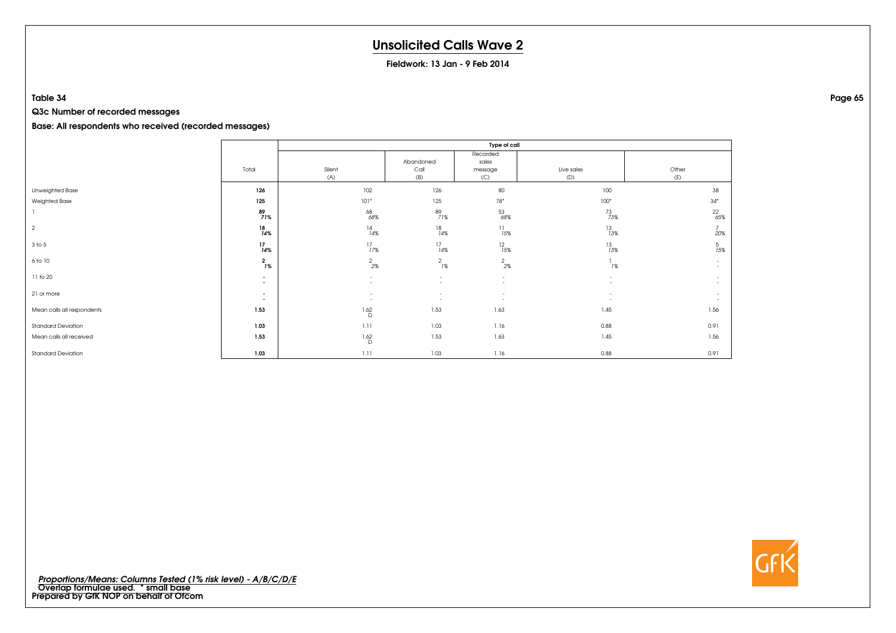Fieldwork: 13 Jan - 9 Feb 2014

Table 34

Q3c Number of recorded messages

Base: All respondents who received (recorded messages)

|                            |                  |                                                      |                           | Type of call                        |                                           |                                    |
|----------------------------|------------------|------------------------------------------------------|---------------------------|-------------------------------------|-------------------------------------------|------------------------------------|
|                            | Total            | Silent<br>(A)                                        | Abandoned<br>Call<br>(B)  | Recorded<br>sales<br>message<br>(C) | Live sales<br>(D)                         | Other<br>(E)                       |
| <b>Unweighted Base</b>     | 126              | 102                                                  | 126                       | 80                                  | 100                                       | 38                                 |
| Weighted Base              | 125              | $101*$                                               | 125                       | $78*$                               | $100*$                                    | $34*$                              |
|                            | 89<br>71%        | 68<br>68%                                            | $\frac{89}{71\%}$         | 53<br>68%                           | 73<br>73%                                 | $\frac{22}{65\%}$                  |
| $\overline{2}$             | 18<br><i>14%</i> | $^{14}_{14\%}$                                       | $^{18}_{14\%}$            | $^{11}_{\hphantom{1}15\%}$          | $\begin{array}{c} 13 \\ 13\% \end{array}$ | 20%                                |
| 3 to 5                     | 17<br>14%        | $\frac{17}{17\%}$                                    | $^{17}_{\phantom{1}14\%}$ | $^{12}_{\phantom{1}75\%}$           | $^{13}_{\hphantom{1}73\%}$                | $\frac{5}{15\%}$                   |
| 6 to 10                    | $2\frac{2}{1\%}$ | $^2_{2\%}$                                           | $2^{18}$                  | $2\phantom{1}2\%$                   | $1\%$                                     | $\sim$<br>$\overline{\phantom{a}}$ |
| 11 to 20                   | $\sim$<br>$\sim$ | $\overline{\phantom{a}}$<br>$\overline{\phantom{a}}$ | $\sim$<br>$\sim$          | $\sim$<br>$\sim$                    | $\sim$<br>$\sim$                          |                                    |
| 21 or more                 | $\sim$<br>$\sim$ | $\overline{\phantom{a}}$<br>$\overline{\phantom{a}}$ | $\sim$<br>$\sim$          | $\sim$<br>$\overline{\phantom{a}}$  |                                           |                                    |
| Mean calls all respondents | 1.53             | $1.62$<br>D                                          | 1.53                      | 1.63                                | 1.45                                      | 1.56                               |
| <b>Standard Deviation</b>  | 1.03             | 1.11                                                 | 1.03                      | 1.16                                | 0.88                                      | 0.91                               |
| Mean calls all received    | 1.53             | $1.62$<br>D                                          | 1.53                      | 1.63                                | 1.45                                      | 1.56                               |
| <b>Standard Deviation</b>  | 1.03             | 1.11                                                 | 1.03                      | 1.16                                | 0.88                                      | 0.91                               |





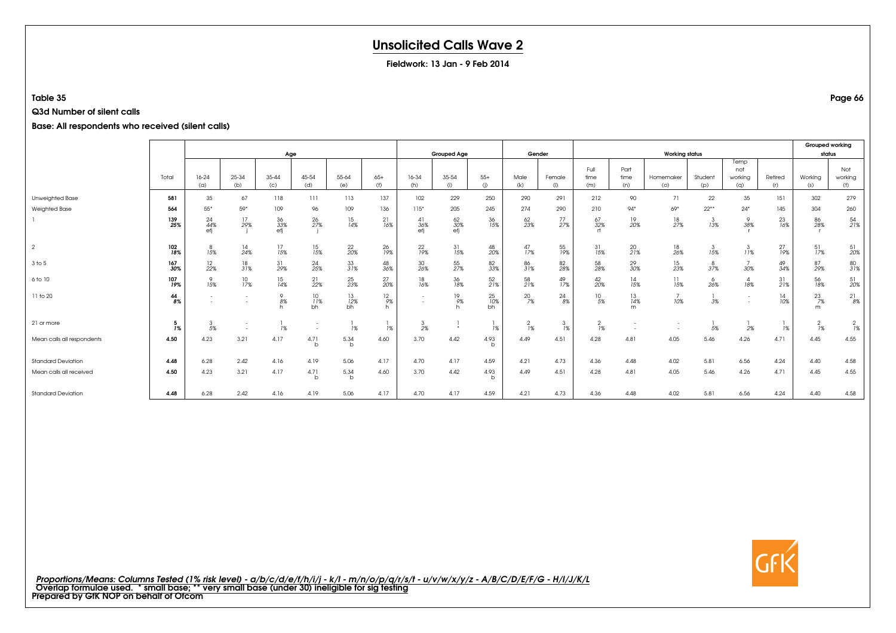Fieldwork: 13 Jan - 9 Feb 2014

Table 35

Q3d Number of silent calls

Base: All respondents who received (silent calls)

|                            |                    |                  |                        |                    |                     |                                           |                |                  |                          |                      |                      |                   |                      |                   |                       |          |                       |           | Grouped working      |                          |
|----------------------------|--------------------|------------------|------------------------|--------------------|---------------------|-------------------------------------------|----------------|------------------|--------------------------|----------------------|----------------------|-------------------|----------------------|-------------------|-----------------------|----------|-----------------------|-----------|----------------------|--------------------------|
|                            |                    |                  |                        | Age                |                     |                                           |                |                  | Grouped Age              |                      | Gender               |                   |                      |                   | <b>Working status</b> |          |                       |           | status               |                          |
|                            |                    |                  |                        |                    |                     |                                           |                |                  |                          |                      |                      |                   |                      |                   |                       |          | Temp                  |           |                      |                          |
|                            | Total              | 16-24            | 25-34                  | 35-44              | 45-54               | 55-64                                     | $65+$          | 16-34            | 35-54                    | $55+$                | Male                 | Female            | Full<br>time         | Part<br>time      | Homemaker             | Student  | not<br>working        | Retired   | Working              | Not<br>working           |
|                            |                    | (a)              | (b)                    | (c)                | (d)                 | (e)                                       | (f)            | (h)              | (i)                      | (i)                  | (k)                  | (1)               | (m)                  | (n)               | (o)                   | (p)      | (q)                   | (r)       | (s)                  | (t)                      |
| <b>Unweighted Base</b>     | 581                | 35               | 67                     | 118                | 111                 | 113                                       | 137            | 102              | 229                      | 250                  | 290                  | 291               | 212                  | 90                | 71                    | 22       | 35                    | 151       | 302                  | 279                      |
| <b>Weighted Base</b>       | 564                | $55"$            | 59*                    | 109                | 96                  | 109                                       | 136            | $115*$           | 205                      | 245                  | 274                  | 290               | 210                  | 94*               | 69*                   | $22**$   | $24*$                 | 145       | 304                  | 260                      |
|                            | 139<br>25%         | 24<br>44%<br>efj | 17<br>29%              | 36<br>33%<br>efj   | 26<br>27%           | 15<br>14%                                 | 21<br>16%      | 41<br>36%<br>efi | $\frac{62}{30\%}$<br>efj | 36<br>15%            | $^{62}_{23\%}$       | $^{77}_{27\%}$    | 67<br>32%            | $\frac{19}{20\%}$ | 18<br>27%             | 13%      | $\frac{9}{38\%}$      | 23<br>16% | 86<br>28%            | $^{54}_{21\%}$           |
| 2                          | $\frac{102}{18\%}$ | 8<br>15%         | 14<br>24%              | $^{17}_{15\%}$     | 15<br>15%           | $^{22}_{20\%}$                            | 26<br>79%      | 22<br>79%        | 31<br>15%                | 48<br>20%            | 47<br>17%            | 55<br>19%         | 31<br>15%            | 20<br>21%         | 18<br>26%             | 15%      | 3<br>11%              | 27<br>19% | 51<br>17%            | $^{51}_{20\%}$           |
| 3 to 5                     | 167<br>30%         | 12<br>22%        | 18<br>31%              | 31<br>29%          | 24<br>25%           | $\begin{array}{c} 33 \\ 31\% \end{array}$ | 48<br>36%      | 30<br>26%        | 55<br>27%                | 82<br>33%            | 86<br>31%            | $\frac{82}{28\%}$ | 58<br>28%            | 29<br>30%         | 15<br>23%             | 8<br>37% | 30%                   | 49<br>34% | 87<br>29%            | $\substack{80\\31\%}$    |
| 6 to 10                    | 107<br>19%         | 9<br>15%         | 10 <sup>°</sup><br>17% | 15<br>14%          | 21<br>22%           | 25<br>23%                                 | 27<br>20%      | 18<br>16%        | $\frac{36}{18\%}$        | 52<br>21%            | 58<br>21%            | 49<br>17%         | 42<br>20%            | 14<br>15%         | 11<br>15%             | 6<br>26% | $\overline{4}$<br>18% | 31<br>21% | 56<br>18%            | 51<br>20%                |
| 11 to 20                   | 44<br>8%           |                  |                        | $\circ$<br>8%<br>h | 10<br>11%<br>bh     | 13<br>12%<br>bh                           | 12<br>9%<br>h. |                  | $\frac{19}{9\%}$<br>h    | 25<br>10%<br>bh      | $20\,$<br>7%         | 24<br>8%          | 10<br>5%             | 13<br>14%<br>m    | $\overline{7}$<br>10% | 3%       | $\sim$                | 14<br>10% | 23<br>7%<br>m        | $^{21}_{\substack{8\%}}$ |
| 21 or more                 | 5<br>1%            | 3<br>5%          |                        | 1%                 |                     | 1%                                        | 1%             | 3<br>2%          | $\cdot$                  | 1%                   | $\overline{2}$<br>1% | 3<br>1%           | $\overline{2}$<br>1% | $\sim$            |                       | 5%       | 2%                    | 1%        | $\overline{2}$<br>1% | $\frac{2}{1\%}$          |
| Mean calls all respondents | 4.50               | 4.23             | 3.21                   | 4.17               | 4.71<br>$\mathbf b$ | 5.34                                      | 4.60           | 3.70             | 4.42                     | 4.93<br>$\mathsf{b}$ | 4.49                 | 4.51              | 4.28                 | 4.81              | 4.05                  | 5.46     | 4.26                  | 4.71      | 4.45                 | 4.55                     |
| <b>Standard Deviation</b>  | 4.48               | 6.28             | 2.42                   | 4.16               | 4.19                | 5.06                                      | 4.17           | 4.70             | 4.17                     | 4.59                 | 4.21                 | 4.73              | 4.36                 | 4.48              | 4.02                  | 5.81     | 6.56                  | 4.24      | 4.40                 | 4.58                     |
| Mean calls all received    | 4.50               | 4.23             | 3.21                   | 4.17               | 4.71<br>-b          | 5.34                                      | 4.60           | 3.70             | 4.42                     | 4.93<br>b            | 4.49                 | 4.51              | 4.28                 | 4.81              | 4.05                  | 5.46     | 4.26                  | 4.71      | 4.45                 | 4.55                     |
| <b>Standard Deviation</b>  | 4.48               | 6.28             | 2.42                   | 4.16               | 4.19                | 5.06                                      | 4.17           | 4.70             | 4.17                     | 4.59                 | 4.21                 | 4.73              | 4.36                 | 4.48              | 4.02                  | 5.81     | 6.56                  | 4.24      | 4.40                 | 4.58                     |

Proportions/Means: Columns Tested (1% risk level) - a/b/c/d/e/t/h/i/j - k/l - m/n/o/p/q/r/s/t - u/v/w/x/y/z - A/B/C/D/E/F/G - H/l/J/K/L<br>Overlap formulae used. \* small base; \*\* very small base (under 30) ineligible for sig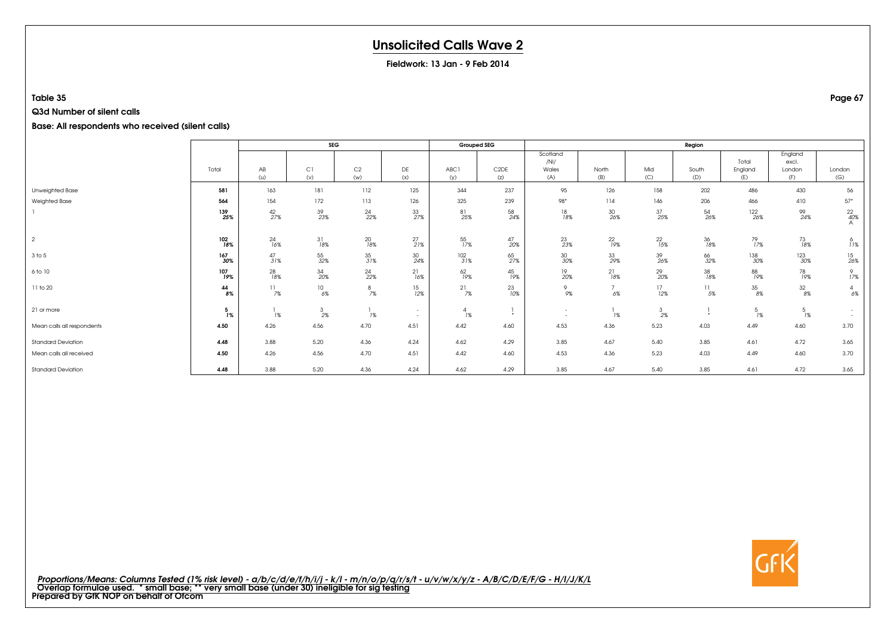Fieldwork: 13 Jan - 9 Feb 2014

Table 35

Q3d Number of silent calls

Base: All respondents who received (silent calls)

|                            |                   |                         | <b>SEG</b>        |                   |                        | <b>Grouped SEG</b>                         |                          |                                           |                      |                   | Region            |                                            |                                   |                                |
|----------------------------|-------------------|-------------------------|-------------------|-------------------|------------------------|--------------------------------------------|--------------------------|-------------------------------------------|----------------------|-------------------|-------------------|--------------------------------------------|-----------------------------------|--------------------------------|
|                            | Total             | AB<br>(u)               | C1<br>(v)         | C2<br>(w)         | DE<br>(x)              | ABC1<br>(y)                                | C <sub>2</sub> DE<br>(z) | Scotland<br>/NI/<br>Wales<br>(A)          | North<br>(B)         | Mid<br>(C)        | South<br>(D)      | Total<br>England<br>(E)                    | England<br>excl.<br>London<br>(F) | London<br>$\left( G\right)$    |
| Unweighted Base            | 581               | 163                     | 181               | 112               | 125                    | 344                                        | 237                      | 95                                        | 126                  | 158               | 202               | 486                                        | 430                               | 56                             |
| Weighted Base              | 564               | 154                     | 172               | 113               | 126                    | 325                                        | 239                      | 98*                                       | 114                  | 146               | 206               | 466                                        | 410                               | $57*$                          |
|                            | 139<br>25%        | $\frac{42}{27\%}$       | 39<br>23%         | $^{24}_{22\%}$    | $\frac{33}{27\%}$      | 81<br>25%                                  | $\frac{58}{24\%}$        | $\begin{array}{c} 18 \\ 18\% \end{array}$ | 30<br>26%            | $\frac{37}{25\%}$ | 54<br>26%         | $\begin{array}{c} 122 \\ 26\% \end{array}$ | 99<br>24%                         | $\underset{\mathsf{A}}{^{22}}$ |
| $\overline{2}$             | 102<br>18%        | 24<br>76%               | 31<br>18%         | $^{20}_{18\%}$    | 27<br>21%              | $\frac{55}{17\%}$                          | 47<br>20%                | $^{23}_{23\%}$                            | $^{22}_{19\%}$       | $^{22}_{15\%}$    | 36<br>18%         | 79<br>17%                                  | 73<br><i>18%</i>                  | $_{11\%}^6$                    |
| $3$ to $5$                 | 167<br>30%        | $\substack{47 \\ 31\%}$ | $\frac{55}{32\%}$ | $\frac{35}{31\%}$ | 30 <sub>o</sub><br>24% | $\begin{array}{c} 102 \\ 31\% \end{array}$ | 65<br>27%                | $\frac{30}{30\%}$                         | 33<br>29%            | 39<br>26%         | 66<br>32%         | $\frac{138}{30\%}$                         | $\frac{123}{30\%}$                | $\frac{15}{26\%}$              |
| 6 to 10                    | 107<br><i>19%</i> | $^{28}_{18\%}$          | $\frac{34}{20\%}$ | $^{24}_{22\%}$    | $^{21}_{16\%}$         | 62<br>19%                                  | $\frac{45}{19\%}$        | 19<br>20%                                 | $^{21}_{18\%}$       | $^{29}_{20\%}$    | $\frac{38}{18\%}$ | 88<br>19%                                  | 78<br>19%                         | $^{9}_{17\%}$                  |
| 11 to 20                   | $\frac{44}{8%}$   | $\frac{11}{7\%}$        | $\frac{10}{6\%}$  | $\frac{8}{7\%}$   | $^{15}_{12\%}$         | $^{21}$ 7%                                 | $^{23}_{10\%}$           | $\overset{\circ}{\mathcal{G}\mathcal{H}}$ | $\overline{7}$<br>6% | $^{17}_{12\%}$    | $\frac{11}{5\%}$  | $\substack{35 \\ 8\%}$                     | $\substack{32 \\ 8\%}$            | $^4_{6\%}$                     |
| 21 or more                 | 5<br>1%           | 1%                      | $\frac{3}{2\%}$   | 1%                | $\sim$<br>$\sim$       | 4<br>1%                                    | $\cdot$                  | $\sim$                                    | 1%                   | $\frac{3}{2\%}$   | $\bullet$         | 5<br>1%                                    | $\frac{5}{1\%}$                   | $\sim$<br><b>Section</b>       |
| Mean calls all respondents | 4.50              | 4.26                    | 4.56              | 4.70              | 4.51                   | 4.42                                       | 4.60                     | 4.53                                      | 4.36                 | 5.23              | 4.03              | 4.49                                       | 4.60                              | 3.70                           |
| <b>Standard Deviation</b>  | 4.48              | 3.88                    | 5.20              | 4.36              | 4.24                   | 4.62                                       | 4.29                     | 3.85                                      | 4.67                 | 5.40              | 3.85              | 4.61                                       | 4.72                              | 3.65                           |
| Mean calls all received    | 4.50              | 4.26                    | 4.56              | 4.70              | 4.51                   | 4.42                                       | 4.60                     | 4.53                                      | 4.36                 | 5.23              | 4.03              | 4.49                                       | 4.60                              | 3.70                           |
| <b>Standard Deviation</b>  | 4.48              | 3.88                    | 5.20              | 4.36              | 4.24                   | 4.62                                       | 4.29                     | 3.85                                      | 4.67                 | 5.40              | 3.85              | 4.61                                       | 4.72                              | 3.65                           |



Proportions/Means: Columns Tested (1% risk level) - a/b/c/d/e/f/h/i/j - k/l - m/n/o/p/q/r/s/t - u/v/w/x/y/z - A/B/C/D/E/F/G - H/l/J/K/L<br>Overlap formulae used. \* small base; \*\* very small base (under 30) ineligible for sig

Page 67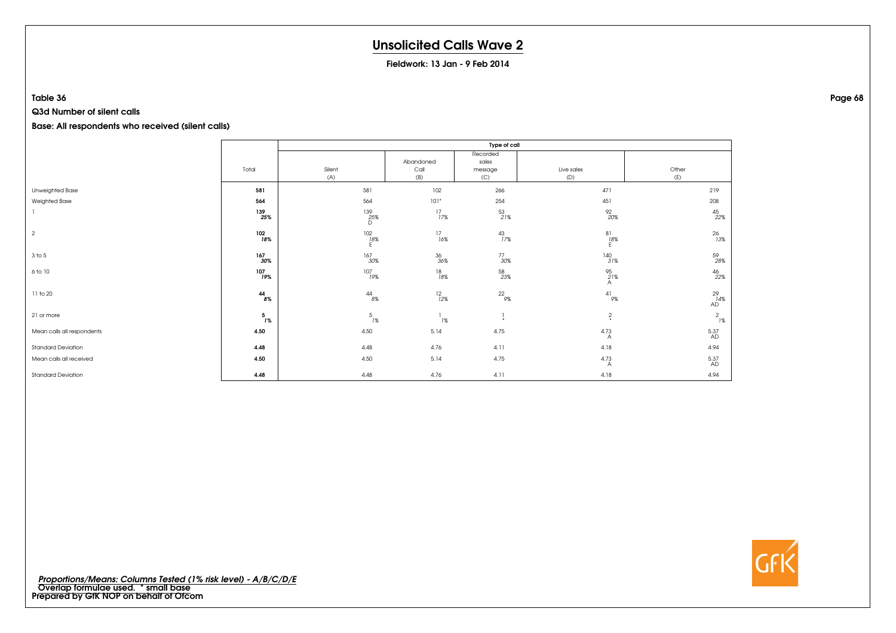Fieldwork: 13 Jan - 9 Feb 2014

Table 36

Q3d Number of silent calls

Base: All respondents who received (silent calls)

|                            |                    |                                                                          |                                     | Type of call                        |                                                           |                      |
|----------------------------|--------------------|--------------------------------------------------------------------------|-------------------------------------|-------------------------------------|-----------------------------------------------------------|----------------------|
|                            | Total              | Silent<br>(A)                                                            | Abandoned<br>$C$ all<br>(B)         | Recorded<br>sales<br>message<br>(C) | Live sales<br>(D)                                         | Other<br>(E)         |
| Unweighted Base            | 581                | 581                                                                      | 102                                 | 266                                 | 471                                                       | 219                  |
| <b>Weighted Base</b>       | 564                | 564                                                                      | $101*$                              | 254                                 | 451                                                       | 208                  |
|                            | 139<br>25%         | 139<br>25%<br>D                                                          | $^{17}_{\phantom{1}77\%}$           | $\frac{53}{21\%}$                   | $^{92}_{20\%}$                                            | $^{45}_{22\%}$       |
| $\overline{2}$             | 102<br><i>18%</i>  | $\begin{array}{r} 102 \\ \frac{18}{\sqrt{2}} \\ \varepsilon \end{array}$ | 17<br>16%                           | $^{43}_{17\%}$                      | $\begin{array}{c} 81 \\ 18\% \\ \hline \to 8 \end{array}$ | $\frac{26}{13\%}$    |
| $3$ to $5$                 | $\frac{167}{30\%}$ | $\frac{167}{30\%}$                                                       | $\frac{36}{36\%}$                   | 77<br>30%                           | $\begin{array}{c} 140 \\ 31\% \end{array}$                | 59<br>28%            |
| 6 to 10                    | 107<br><i>19%</i>  | $\frac{107}{19\%}$                                                       | $^{18}_{18\%}$                      | $\underset{23\%}{^{58}}$            | $^{95}_{21\%}$<br>A                                       | 46<br>22%            |
| 11 to 20                   | $\frac{44}{8\%}$   | $^{44}_{\phantom{1}8\%}$                                                 | $^{12}_{\hbox{{\scriptsize 12\%}}}$ | $^{22}_{\,9\%}$                     | $^{41}_{9\%}$                                             | $^{29}_{14\%}$<br>AD |
| 21 or more                 | $\frac{5}{1\%}$    | $5$ $_{\rm 1\%}$                                                         | '1%                                 | $\bullet$                           | $\frac{2}{x}$                                             | $2_{1\%}$            |
| Mean calls all respondents | 4.50               | 4.50                                                                     | 5.14                                | 4.75                                | $^{4.73}_{A}$                                             | 5.37<br>AD           |
| <b>Standard Deviation</b>  | 4.48               | 4.48                                                                     | 4.76                                | 4.11                                | 4.18                                                      | 4.94                 |
| Mean calls all received    | 4.50               | 4.50                                                                     | 5.14                                | 4.75                                | $^{4.73}_{\hbox{{\small \; A}}}$                          | 5.37<br>AD           |
| <b>Standard Deviation</b>  | 4.48               | 4.48                                                                     | 4.76                                | 4.11                                | 4.18                                                      | 4.94                 |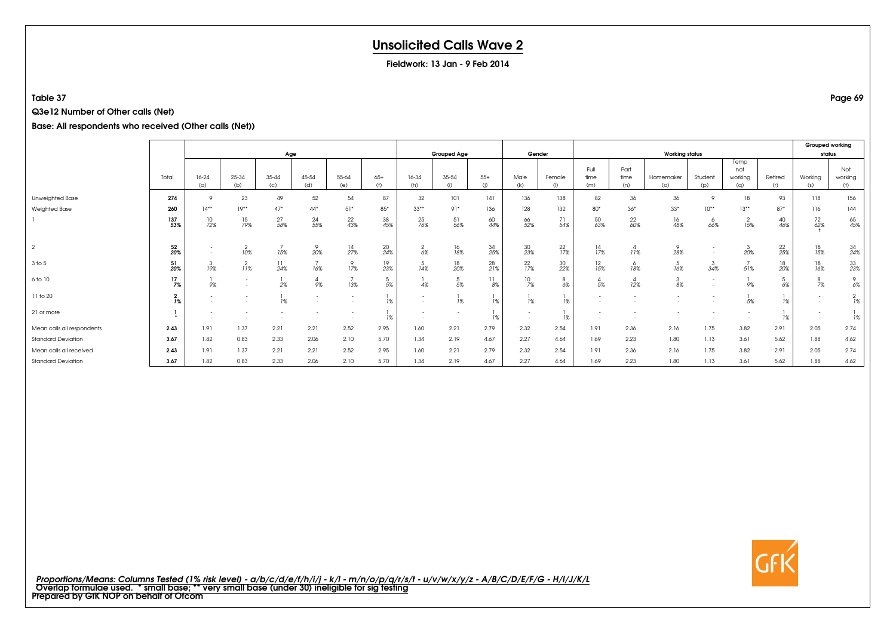Fieldwork: 13 Jan - 9 Feb 2014

Table 37

Q3e12 Number of Other calls (Net)

## Base: All respondents who received (Other calls (Net))

|                            |                               |                          |                          | Age            |                |                          |              |                      | <b>Grouped Age</b>            |              | Gender      |                     |                     |                       | <b>Working status</b> |                |                                                      |                | Grouped working<br>status |                       |
|----------------------------|-------------------------------|--------------------------|--------------------------|----------------|----------------|--------------------------|--------------|----------------------|-------------------------------|--------------|-------------|---------------------|---------------------|-----------------------|-----------------------|----------------|------------------------------------------------------|----------------|---------------------------|-----------------------|
|                            | Total                         | 16-24<br>(a)             | 25-34<br>(b)             | 35-44<br>(c)   | 45-54<br>(d)   | 55-64<br>(e)             | $65+$<br>(f) | 16-34<br>(h)         | 35-54<br>(i)                  | $55+$<br>(i) | Male<br>(k) | Female<br>$($ l $)$ | Full<br>time<br>(m) | Part<br>time<br>(n)   | Homemaker<br>(0)      | Student<br>(p) | Temp<br>not<br>working<br>(q)                        | Retired<br>(r) | Working<br>(s)            | Not<br>working<br>(t) |
| Unweighted Base            | 274                           | $\circ$                  | 23                       | 49             | 52             | 54                       | 87           | 32                   | 101                           | 4            | 136         | 138                 | 82                  | 36                    | 36                    | $\circ$        | 18                                                   | 93             | 118                       | 156                   |
| <b>Weighted Base</b>       | 260                           | $14***$                  | $19***$                  | $47*$          | 44*            | $51*$                    | $85*$        | $33***$              | $91*$                         | 136          | 128         | 132                 | $80*$               | $36*$                 | $33*$                 | $10**$         | $13***$                                              | $87*$          | 116                       | 144                   |
|                            | 137<br>53%                    | 10<br>72%                | 15<br>79%                | $^{27}_{58\%}$ | 24<br>55%      | 22<br>43%                | 38<br>45%    | 25<br>76%            | $\frac{51}{56\%}$             | 60<br>44%    | 66<br>52%   | 71<br>54%           | 50<br>63%           | $^{22}_{60\%}$        | 16<br>48%             | 6<br>66%       | 15%                                                  | 40<br>46%      | 72<br>62%                 | $\frac{65}{45\%}$     |
| 2                          | 52<br>20%                     | $\sim$                   | $\Omega$<br>10%          | 15%            | $\circ$<br>20% | 14<br>27%                | 20<br>24%    | $\overline{2}$<br>6% | $\frac{16}{18\%}$             | 34<br>25%    | 30<br>23%   | 22<br>17%           | 14<br>17%           | $\overline{4}$<br>11% | $\Omega$<br>28%       |                | $\frac{3}{20\%}$                                     | 22<br>25%      | 18<br>15%                 | $\frac{34}{24\%}$     |
| 3 to 5                     | 51<br>20%                     | 3<br>19%                 | $\overline{2}$<br>11%    | 11<br>24%      | 16%            | $\circ$<br>17%           | 19<br>23%    | -5<br>14%            | 18<br>20%                     | 28<br>21%    | 22<br>17%   | 30<br>22%           | 12<br>15%           | 6<br>18%              | -5<br>16%             | 3<br>34%       | $\overline{7}$<br>51%                                | 18<br>20%      | 18<br>16%                 | 33<br>23%             |
| 6 to 10                    | 17<br>7%                      | 9%                       | $\overline{\phantom{a}}$ | 2%             | 9%             | 13%                      | 5<br>5%      | 4%                   | $\frac{5}{5\%}$               | 11<br>8%     | 10<br>7%    | 8<br>6%             | .5%                 | $\overline{A}$<br>12% | 8%                    | $\sim$         | 9%                                                   | 6%             | 8<br>7%                   | 9<br>6%               |
| 11 to 20                   | $\overline{\mathbf{2}}$<br>1% | $\overline{\phantom{a}}$ |                          | 1%             |                | $\overline{\phantom{a}}$ | 1%           |                      | 1%                            | 1%           | 1%          | 1%                  |                     |                       |                       |                | 5%                                                   | 1%             |                           | $\overline{2}$<br>1%  |
| 21 or more                 |                               | .                        |                          |                |                |                          | 1%           |                      | ٠<br>$\overline{\phantom{a}}$ | 1%           |             | 1%                  |                     |                       |                       |                | $\overline{\phantom{a}}$<br>$\overline{\phantom{a}}$ | 1%             |                           | 1%                    |
| Mean calls all respondents | 2.43                          | 1.91                     | 1.37                     | 2.21           | 2.21           | 2.52                     | 2.95         | 1.60                 | 2.21                          | 2.79         | 2.32        | 2.54                | 1.91                | 2.36                  | 2.16                  | 1.75           | 3.82                                                 | 2.91           | 2.05                      | 2.74                  |
| <b>Standard Deviation</b>  | 3.67                          | 1.82                     | 0.83                     | 2.33           | 2.06           | 2.10                     | 5.70         | 1.34                 | 2.19                          | 4.67         | 2.27        | 4.64                | 1.69                | 2.23                  | 1.80                  | 1.13           | 3.61                                                 | 5.62           | 1.88                      | 4.62                  |
| Mean calls all received    | 2.43                          | 1.91                     | 1.37                     | 2.21           | 2.21           | 2.52                     | 2.95         | 1.60                 | 2.21                          | 2.79         | 2.32        | 2.54                | 1.91                | 2.36                  | 2.16                  | 1.75           | 3.82                                                 | 2.91           | 2.05                      | 2.74                  |
| <b>Standard Deviation</b>  | 3.67                          | 1.82                     | 0.83                     | 2.33           | 2.06           | 2.10                     | 5.70         | 1.34                 | 2.19                          | 4.67         | 2.27        | 4.64                | 1.69                | 2.23                  | 1.80                  | 1.13           | 3.61                                                 | 5.62           | 1.88                      | 4.62                  |

Proportions/Means: Columns Tested (1% risk level) - a/b/c/d/e/t/h/i/j - k/l - m/n/o/p/q/r/s/t - u/v/w/x/y/z - A/B/C/D/E/F/G - H/l/J/K/L<br>Overlap formulae used. \* small base; \*\* very small base (under 30) ineligible for sig



7 August 2014 and 2016 and 2017 and 2018 and 2018 and 2018 and 2018 and 2019 and 2018 and 2019 and 2019 and 20<br>The contract of the contract of the contract of the contract of the contract of the contract of the contract o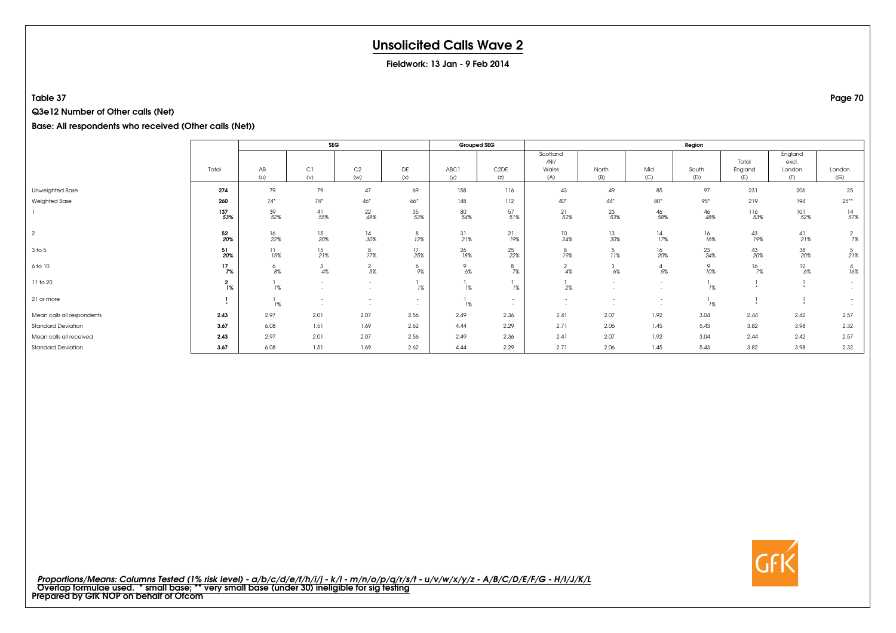Fieldwork: 13 Jan - 9 Feb 2014

Table 37

Q3e12 Number of Other calls (Net)

Base: All respondents who received (Other calls (Net))

|                            |                      |                   | SEG                |                |                   |                   | Grouped SEG       |                           |                          |                  | Region           |                   |                                            |                   |
|----------------------------|----------------------|-------------------|--------------------|----------------|-------------------|-------------------|-------------------|---------------------------|--------------------------|------------------|------------------|-------------------|--------------------------------------------|-------------------|
|                            | Total                | AB                | C1                 | C2             | DE                | ABC1              | C <sub>2</sub> DE | Scotland<br>/NI/<br>Wales | North                    | Mid              | South            | Total<br>England  | England<br>excl.<br>London                 | London            |
|                            |                      | (u)               | (v)                | (w)            | (x)               | (y)               | (z)               | (A)                       | (B)                      | (C)              | (D)              | (E)               | (F)                                        | (G)               |
| Unweighted Base            | 274                  | 79                | 79                 | 47             | 69                | 158               | 116               | 43                        | 49                       | 85               | 97               | 231               | 206                                        | 25                |
| Weighted Base              | 260                  | $74*$             | $74*$              | $46*$          | 66*               | 148               | 112               | $40*$                     | $44*$                    | $80*$            | 95*              | 219               | 194                                        | $25***$           |
|                            | 137<br>53%           | 39<br>52%         | $^{41}_{55\%}$     | $^{22}_{48\%}$ | $\frac{35}{53\%}$ | 80<br>54%         | 57<br>51%         | $^{21}_{52\%}$            | $^{23}_{\ 53\%}$         | $^{46}_{58\%}$   | 46<br>48%        | 116<br>53%        | $\begin{array}{c} 101 \\ 52\% \end{array}$ | $\frac{14}{57\%}$ |
| $\overline{2}$             | $^{52}_{20\%}$       | $\frac{16}{22\%}$ | $\frac{15}{20\%}$  | $^{14}_{30\%}$ | 8<br>12%          | $\frac{31}{21\%}$ | $^{21}_{19\%}$    | $\frac{10}{24\%}$         | $\frac{13}{30\%}$        | 14<br>17%        | 16<br><i>16%</i> | $\frac{43}{19\%}$ | $^{41}_{21\%}$                             | $\frac{2}{7\%}$   |
| $3$ to $5$                 | 51<br>20%            | $\frac{11}{15\%}$ | $\frac{15}{21\%}$  | $^{8}_{17\%}$  | 17<br>25%         | $\frac{26}{18\%}$ | $\frac{25}{22\%}$ | 8<br>19%                  | $\frac{5}{11\%}$         | 16<br>20%        | $^{23}_{24\%}$   | 43<br>20%         | $\frac{38}{20\%}$                          | $\frac{5}{21\%}$  |
| 6 to 10                    | 17<br>7%             | $\frac{6}{8\%}$   | $\mathbf{3}$<br>4% | $^2_{\,5\%}$   | 6<br>9%           | 9<br>6%           | 8<br>7%           | $\frac{2}{4\%}$           | 3<br>6%                  | 5%               | $\circ$<br>10%   | $\frac{16}{7%}$   | $\frac{12}{6\%}$                           | 16%               |
| 11 to 20                   | $\overline{2}$<br>1% | 1%                | $\sim$             | $\sim$         | 1%                | 1%                | 1%                | 2%                        |                          |                  | 1%               |                   |                                            |                   |
| 21 or more                 |                      | 1%                | $\sim$             | $\sim$         | $\sim$<br>$\sim$  | 1%                | $\sim$<br>$\sim$  | $\sim$                    | $\overline{\phantom{a}}$ | $\sim$<br>$\sim$ | 7%               |                   |                                            |                   |
| Mean calls all respondents | 2.43                 | 2.97              | 2.01               | 2.07           | 2.56              | 2.49              | 2.36              | 2.41                      | 2.07                     | 1.92             | 3.04             | 2.44              | 2.42                                       | 2.57              |
| <b>Standard Deviation</b>  | 3.67                 | 6.08              | 1.51               | 1.69           | 2.62              | 4.44              | 2.29              | 2.71                      | 2.06                     | 1.45             | 5.43             | 3.82              | 3.98                                       | 2.32              |
| Mean calls all received    | 2.43                 | 2.97              | 2.01               | 2.07           | 2.56              | 2.49              | 2.36              | 2.41                      | 2.07                     | 1.92             | 3.04             | 2.44              | 2.42                                       | 2.57              |
| <b>Standard Deviation</b>  | 3.67                 | 6.08              | 1.51               | 1.69           | 2.62              | 4.44              | 2.29              | 2.71                      | 2.06                     | 1.45             | 5.43             | 3.82              | 3.98                                       | 2.32              |

Proportions/Means: Columns Tested (1% risk level) - a/b/c/d/e/f/h/i/j - k/l - m/n/o/p/q/r/s/t - u/v/w/x/y/z - A/B/C/D/E/F/G - H/l/J/K/L<br>Overlap formulae used. \* small base; \*\* very small base (under 30) ineligible for sig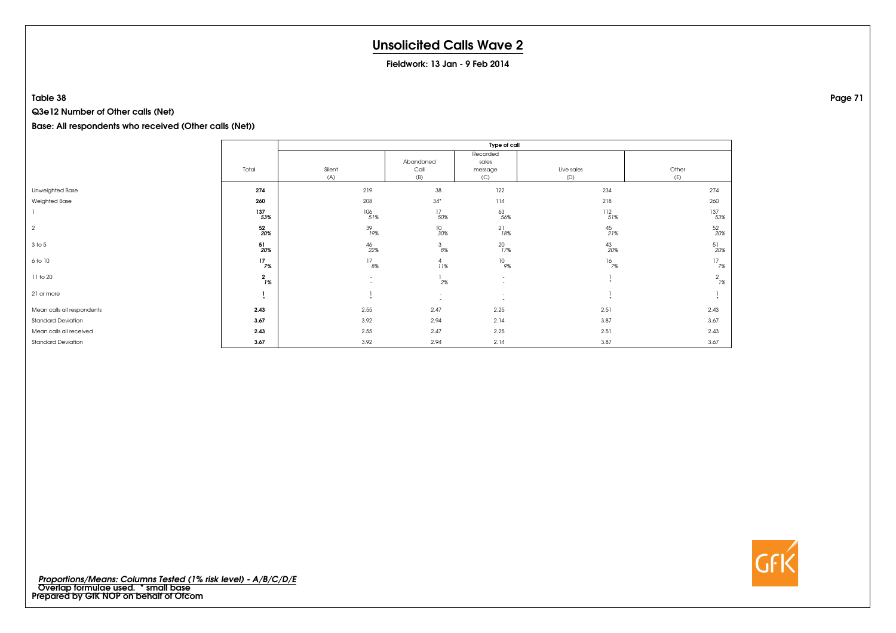Fieldwork: 13 Jan - 9 Feb 2014

Table 38

Q3e12 Number of Other calls (Net)

Base: All respondents who received (Other calls (Net))

|                            |                  |                          |                          | Type of call                        |                                            |                   |
|----------------------------|------------------|--------------------------|--------------------------|-------------------------------------|--------------------------------------------|-------------------|
|                            | Total            | Silent<br>(A)            | Abandoned<br>Call<br>(B) | Recorded<br>sales<br>message<br>(C) | Live sales<br>(D)                          | Other<br>(E)      |
| Unweighted Base            | 274              | 219                      | 38                       | 122                                 | 234                                        | 274               |
| <b>Weighted Base</b>       | 260              | 208                      | $34*$                    | 114                                 | 218                                        | 260               |
|                            | 137<br>53%       | $\frac{106}{51\%}$       | 17<br>50%                | 63<br>56%                           | $\begin{array}{c} 112 \\ 51\% \end{array}$ | 137<br>53%        |
| $\overline{2}$             | 52<br>20%        | $\frac{39}{19\%}$        | $^{10}_{30\%}$           | $^{21}_{18\%}$                      | $^{45}_{\phantom{2}21\%}$                  | $\frac{52}{20\%}$ |
| 3 to 5                     | 51<br>20%        | $^{46}_{22\%}$           | $^3_{\,\,8\%}$           | $^{20}_{17\%}$                      | $^{43}_{\phantom{1}\phantom{1}20\%}$       | $^{51}_{20\%}$    |
| 6 to 10                    | $\frac{17}{7\%}$ | $^{17}$ $^{8\%}$         | $^{\,4}_{\,11\%}$        | $\frac{10}{9\%}$                    | $\frac{16}{7%}$                            | $^{17}$ 7%        |
| 11 to 20                   | $\frac{2}{1\%}$  | $\overline{\phantom{a}}$ | 2%                       | $\overline{\phantom{a}}$            |                                            | $\frac{2}{1\%}$   |
| 21 or more                 | $\bullet$        | $\bullet$                | $\sim$                   | $\sim$                              |                                            |                   |
| Mean calls all respondents | 2.43             | 2.55                     | 2.47                     | 2.25                                | 2.51                                       | 2.43              |
| <b>Standard Deviation</b>  | 3.67             | 3.92                     | 2.94                     | 2.14                                | 3.87                                       | 3.67              |
| Mean calls all received    | 2.43             | 2.55                     | 2.47                     | 2.25                                | 2.51                                       | 2.43              |
| <b>Standard Deviation</b>  | 3.67             | 3.92                     | 2.94                     | 2.14                                | 3.87                                       | 3.67              |

Page 71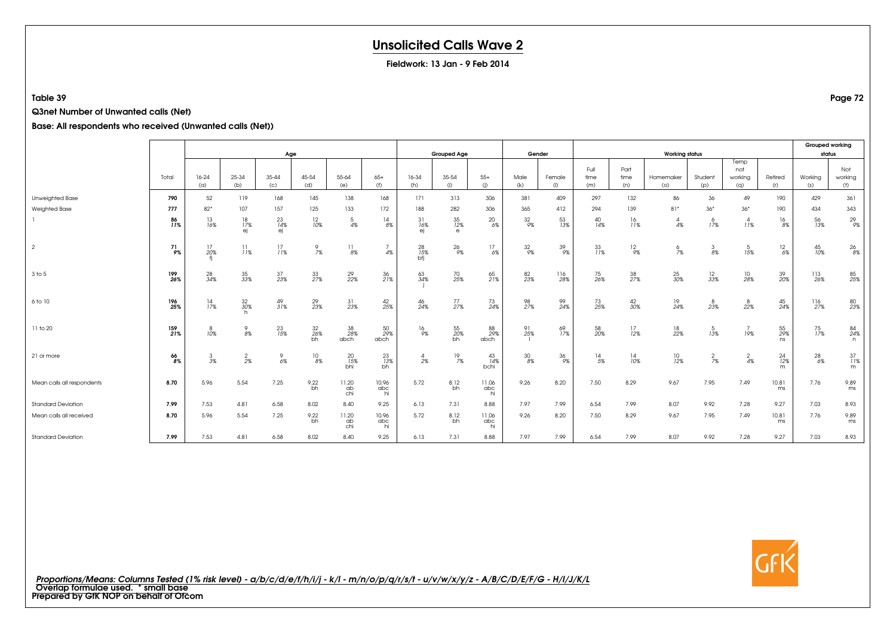Fieldwork: 13 Jan - 9 Feb 2014

Table 39

Q3net Number of Unwanted calls (Net)

### Base: All respondents who received (Unwanted calls (Net))

|                            |                         | Age                |                         |                      |                        |                          |                      |                         | <b>Grouped Age</b>         |                    | Gender            |                                            |                          |                          | <b>Working status</b> |                   |                               |                         | Grouped working<br>status                  |                          |
|----------------------------|-------------------------|--------------------|-------------------------|----------------------|------------------------|--------------------------|----------------------|-------------------------|----------------------------|--------------------|-------------------|--------------------------------------------|--------------------------|--------------------------|-----------------------|-------------------|-------------------------------|-------------------------|--------------------------------------------|--------------------------|
|                            | Total                   | 16-24<br>(a)       | 25-34<br>(b)            | 35-44<br>(c)         | 45-54<br>(d)           | 55-64<br>(e)             | $65+$<br>(f)         | 16-34<br>(h)            | 35-54<br>(i)               | $55+$<br>(j)       | Male<br>(k)       | Female<br>(1)                              | Full<br>time<br>(m)      | Part<br>time<br>(n)      | Homemaker<br>(0)      | Student<br>(p)    | Temp<br>not<br>working<br>(q) | Retired<br>(r)          | Working<br>(s)                             | Not<br>working<br>(t)    |
| <b>Unweighted Base</b>     | 790                     | 52                 | 119                     | 168                  | 145                    | 138                      | 168                  | 171                     | 313                        | 306                | 381               | 409                                        | 297                      | 132                      | 86                    | 36                | 49                            | 190                     | 429                                        | 361                      |
| <b>Weighted Base</b>       | 777                     | $82*$              | 107                     | 157                  | 125                    | 133                      | 172                  | 188                     | 282                        | 306                | 365               | 412                                        | 294                      | 139                      | $81*$                 | $36*$             | $36*$                         | 190                     | 434                                        | 343                      |
|                            | 86<br>$\overline{11}\%$ | 13<br>16%          | $^{18}_{17\%}$<br>ei    | $^{23}_{14\%}$<br>ej | 12<br>10%              | 5<br>4%                  | $^{14}_{8\%}$        | 31<br>16%<br>ei         | $^{35}_{12\%}$<br>$\theta$ | 20<br>6%           | 32<br>9%          | 53<br>13%                                  | 40<br>14%                | 16<br>11%                | $\overline{4}$<br>4%  | 6<br>17%          | $\overline{4}$<br>11%         | 16<br>8%                | $\frac{56}{13%}$                           | $^{29}_{\phantom{1}9\%}$ |
| $\overline{2}$             | $^{71}_{9\%}$           | $\frac{17}{20\%}$  | $^{11}_{11\%}$          | 17<br>11%            | 9<br>7%                | $^{11}_{\,\,8\%}$        | $7^{\circ}$<br>4%    | $^{28}_{\ 15\%}$<br>bfj | $^{26}_{\phantom{1}9\%}$   | 17<br>6%           | $\frac{32}{9\%}$  | 39<br>9%                                   | 33<br>11%                | $^{12}_{\phantom{1}9\%}$ | $\frac{6}{7\%}$       | $\frac{3}{8\%}$   | $\frac{5}{15%}$               | $\frac{12}{6\%}$        | $^{45}_{10\%}$                             | $^{26}_{\,\,8\%}$        |
| $3$ to $5$                 | 199<br>26%              | $\frac{28}{34\%}$  | $\substack{35 \\ 33\%}$ | $\frac{37}{23\%}$    | $\frac{33}{27\%}$      | $^{29}_{22\%}$           | $\frac{36}{21\%}$    | $^{63}_{34\%}$          | $^{70}_{25\%}$             | $^{65}_{21\%}$     | $\frac{82}{23\%}$ | $\begin{array}{c} 116 \\ 28\% \end{array}$ | $^{75}_{26\%}$           | $\frac{38}{27%}$         | $^{25}_{30\%}$        | $\frac{12}{33\%}$ | $^{10}_{28\%}$                | $\substack{39 \\ 20\%}$ | $\begin{array}{c} 113 \\ 26\% \end{array}$ | $\frac{85}{25\%}$        |
| 6 to 10                    | 196<br>25%              | 14<br>17%          | 32<br>30%<br>h          | 49<br>31%            | $^{29}_{23\%}$         | 31<br>23%                | 42<br>25%            | $\frac{46}{24\%}$       | $\frac{77}{27\%}$          | $\frac{73}{24\%}$  | 98<br>27%         | 99<br>24%                                  | $\frac{73}{25\%}$        | $\frac{42}{30\%}$        | 19<br>24%             | 8<br>23%          | 8<br>22%                      | 45<br>24%               | $\begin{array}{c} 116 \\ 27\% \end{array}$ | 80<br>23%                |
| 11 to 20                   | 159<br>21%              | 8<br>10%           | 9<br>8%                 | 23<br>15%            | 32<br>$\frac{26}{8}$   | 38<br>28%<br>abch        | 50<br>29%<br>abch    | 16<br>9%                | $\frac{55}{20\%}$ bh       | 88<br>29%<br>abch  | 91<br>25%         | 69<br>17%                                  | 58<br>20%                | 17<br>12%                | 18<br>22%             | -5<br>13%         | $\overline{7}$<br>19%         | 55<br>29%<br>ns         | $^{75}_{17\%}$                             | $\frac{84}{24\%}$<br>n   |
| 21 or more                 | 66<br>8%                | $\mathbf{3}$<br>3% | $\frac{2}{2\%}$         | 9<br>6%              | 10 <sup>10</sup><br>8% | $\frac{20}{15\%}$<br>bhi | $^{23}_{13\%}$<br>bh | $\overline{A}$<br>2%    | $\frac{19}{7\%}$           | 43<br>14%<br>bchi  | 30<br>8%          | 36<br>9%                                   | $^{14}_{\phantom{1}5\%}$ | 14<br>10%                | $^{10}_{12\%}$        | $^2_{7\%}$        | $_{\rm 4\%}^2$                | $^{24}_{12\%}$<br>m     | $\frac{28}{6\%}$                           | $\frac{37}{11\%}$<br>m   |
| Mean calls all respondents | 8.70                    | 5.96               | 5.54                    | 7.25                 | 9.22<br>bh             | 11.20<br>ab<br>chi       | 10.96<br>abc<br>hi   | 5.72                    | 8.12<br>bh                 | 11.06<br>abc<br>hi | 9.26              | 8.20                                       | 7.50                     | 8.29                     | 9.67                  | 7.95              | 7.49                          | 10.81<br>ms             | 7.76                                       | 9.89<br>ms               |
| <b>Standard Deviation</b>  | 7.99                    | 7.53               | 4.81                    | 6.58                 | 8.02                   | 8.40                     | 9.25                 | 6.13                    | 7.31                       | 8.88               | 7.97              | 7.99                                       | 6.54                     | 7.99                     | 8.07                  | 9.92              | 7.28                          | 9.27                    | 7.03                                       | 8.93                     |
| Mean calls all received    | 8.70                    | 5.96               | 5.54                    | 7.25                 | 9.22<br>bh             | 11.20<br>ab<br>chi       | 10.96<br>abc<br>hi   | 5.72                    | 8.12<br>bh                 | 11.06<br>abc<br>hi | 9.26              | 8.20                                       | 7.50                     | 8.29                     | 9.67                  | 7.95              | 7.49                          | 10.81<br>ms             | 7.76                                       | 9.89<br>ms               |
| <b>Standard Deviation</b>  | 7.99                    | 7.53               | 4.81                    | 6.58                 | 8.02                   | 8.40                     | 9.25                 | 6.13                    | 7.31                       | 8.88               | 7.97              | 7.99                                       | 6.54                     | 7.99                     | 8.07                  | 9.92              | 7.28                          | 9.27                    | 7.03                                       | 8.93                     |

Proportions/Means: Columns Tested (1% risk level) - a/b/c/d/e/f/h/i/j - k/l - m/n/o/p/q/r/s/t - u/v/w/x/y/z - A/B/C/D/E/F/G - H/I/J/K/L<br>Overlap formulae used. \* small base<br>Prepared by GfK NOP on behalf of Ofcom

en de la provincia de la provincia de la provincia de la provincia de la provincia de la provincia de la provi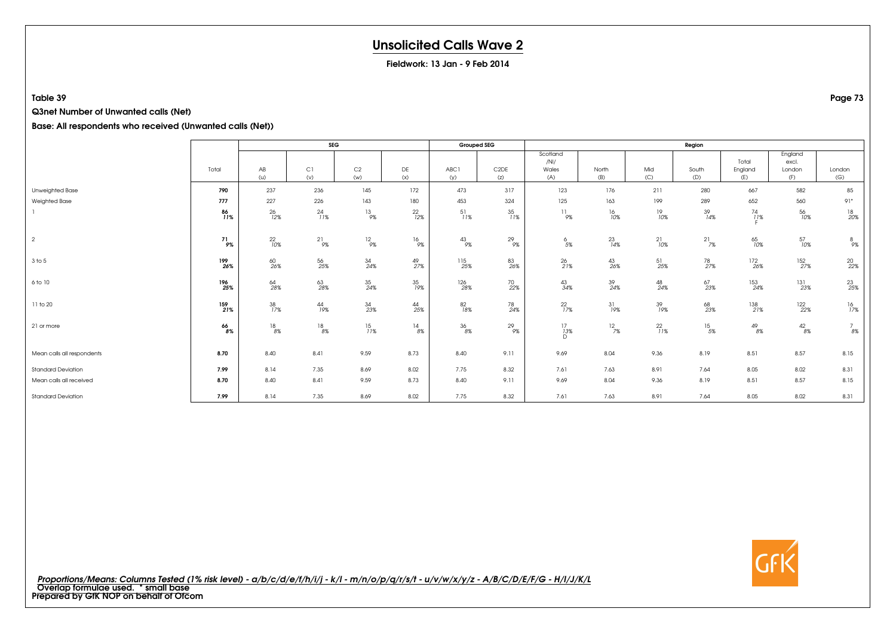Fieldwork: 13 Jan - 9 Feb 2014

Table 39

Q3net Number of Unwanted calls (Net)

### Base: All respondents who received (Unwanted calls (Net))

|                            |               |                   | SEG                                |                   |                   |                   | Grouped SEG                    |                                  |                   |                   | Region         |                                            |                                            |                   |
|----------------------------|---------------|-------------------|------------------------------------|-------------------|-------------------|-------------------|--------------------------------|----------------------------------|-------------------|-------------------|----------------|--------------------------------------------|--------------------------------------------|-------------------|
|                            | Total         | AB<br>(u)         | C1<br>(v)                          | C2<br>(w)         | DE<br>(x)         | ABC1<br>(y)       | C <sub>2</sub> DE<br>(z)       | Scotland<br>/NI/<br>Wales<br>(A) | North<br>(B)      | Mid<br>(C)        | South<br>(D)   | Total<br>England<br>(E)                    | England<br>excl.<br>London<br>(F)          | London<br>(G)     |
| Unweighted Base            | 790           | 237               | 236                                | 145               | 172               | 473               | 317                            | 123                              | 176               | 211               | 280            | 667                                        | 582                                        | 85                |
| <b>Weighted Base</b>       | 777           | 227               | 226                                | 143               | 180               | 453               | 324                            | 125                              | 163               | 199               | 289            | 652                                        | 560                                        | $91*$             |
|                            | 86<br>11%     | $^{26}_{12\%}$    | $^{24}_{\hbox{\scriptsize{11}}\%}$ | $\frac{13}{9\%}$  | $\frac{22}{12\%}$ | $\frac{51}{11\%}$ | $\frac{35}{11\%}$              | $\frac{11}{9\%}$                 | $^{16}_{10\%}$    | 19<br><i>10</i> % | 39<br>14%      | 74<br>11%                                  | 56<br>10%                                  | $^{18}_{\ 20\%}$  |
| $\overline{2}$             | $^{71}_{9\%}$ | $^{22}_{10\%}$    | $^{21}_{9\%}$                      | $^{12}_{-9\%}$    | $\frac{16}{9\%}$  | $^{43}_{9\%}$     | $\overset{29}{\phantom{1}9\%}$ | $^6$ 5%                          | $^{23}_{14\%}$    | $^{21}_{10\%}$    | $^{21}_{7\%}$  | 65<br>10%                                  | $\frac{57}{10\%}$                          | $\frac{8}{9\%}$   |
| $3$ to $5$                 | 199<br>26%    | 60<br>26%         | 56<br>25%                          | $\frac{34}{24\%}$ | $^{49}_{27\%}$    | 115<br>25%        | $\frac{83}{26\%}$              | $^{26}_{21\%}$                   | $^{43}_{26\%}$    | $^{51}_{25\%}$    | 78<br>27%      | 172<br>26%                                 | $\begin{array}{c} 152 \\ 27\% \end{array}$ | 20<br>22%         |
| 6 to 10                    | 196<br>25%    | 64<br>28%         | $^{63}_{28\%}$                     | $\frac{35}{24\%}$ | $\frac{35}{19\%}$ | 126<br>28%        | 70<br>22%                      | $\frac{43}{34\%}$                | 39<br>24%         | $\frac{48}{24\%}$ | 67<br>23%      | 153<br>24%                                 | $\begin{array}{c} 131 \\ 23\% \end{array}$ | $\frac{23}{25\%}$ |
| 11 to 20                   | 159<br>21%    | $\frac{38}{17\%}$ | $^{44}_{19\%}$                     | $\frac{34}{23\%}$ | $\frac{44}{25\%}$ | $\frac{82}{18\%}$ | 78<br>24%                      | $^{22}_{17\%}$                   | $\frac{31}{19\%}$ | 39<br>19%         | 68<br>23%      | $\begin{array}{c} 138 \\ 21\% \end{array}$ | $\frac{122}{22\%}$                         | $\frac{16}{17\%}$ |
| 21 or more                 | 66<br>8%      | $^{18}_{\,\,8\%}$ | $^{18}_{\phantom{1}8\%}$           | $\frac{15}{11\%}$ | $\frac{14}{8\%}$  | $36$ $8\%$        | $^{29}_{\phantom{1}9\%}$       | $^{17}_{13\%}$<br>D              | $\frac{12}{7\%}$  | $^{22}_{11\%}$    | $^{15}_{-5\%}$ | $\begin{array}{c} 49 \\ 8\% \end{array}$   | $\substack{42\\8\%}$                       | $\frac{7}{8\%}$   |
| Mean calls all respondents | 8.70          | 8.40              | 8.41                               | 9.59              | 8.73              | 8.40              | 9.11                           | 9.69                             | 8.04              | 9.36              | 8.19           | 8.51                                       | 8.57                                       | 8.15              |
| <b>Standard Deviation</b>  | 7.99          | 8.14              | 7.35                               | 8.69              | 8.02              | 7.75              | 8.32                           | 7.61                             | 7.63              | 8.91              | 7.64           | 8.05                                       | 8.02                                       | 8.31              |
| Mean calls all received    | 8.70          | 8.40              | 8.41                               | 9.59              | 8.73              | 8.40              | 9.11                           | 9.69                             | 8.04              | 9.36              | 8.19           | 8.51                                       | 8.57                                       | 8.15              |
| <b>Standard Deviation</b>  | 7.99          | 8.14              | 7.35                               | 8.69              | 8.02              | 7.75              | 8.32                           | 7.61                             | 7.63              | 8.91              | 7.64           | 8.05                                       | 8.02                                       | 8.31              |



Proportions/Means: Columns Tested (1% risk level) - a/b/c/d/e/f/h/i/j - k/l - m/n/o/p/q/r/s/t - u/v/w/x/y/z - A/B/C/D/E/F/G - H/l/J/K/L<br>Overlap formulae used. \* small base<br>Prepared by GfK NOP on behalf of Ofcom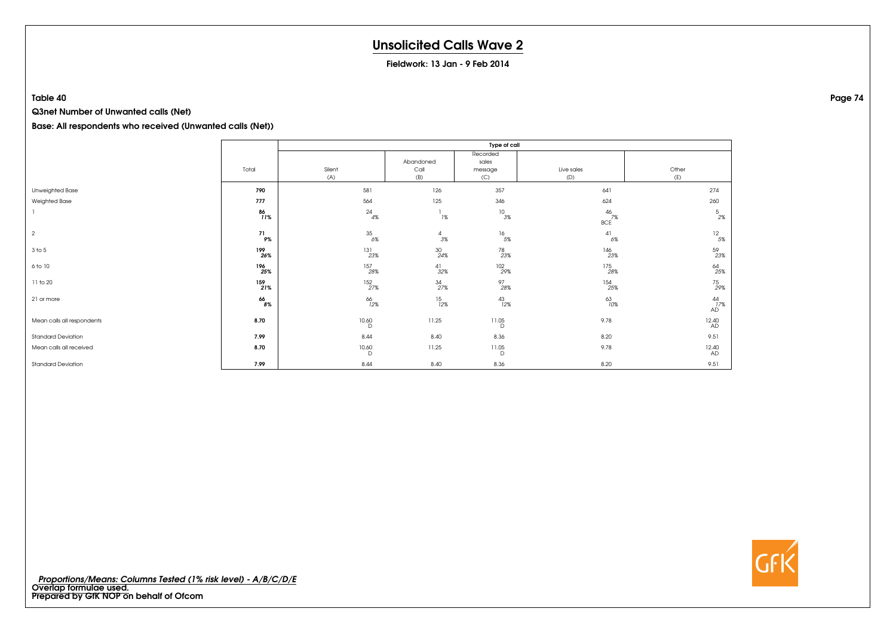Fieldwork: 13 Jan - 9 Feb 2014

Table 40

Q3net Number of Unwanted calls (Net)

Base: All respondents who received (Unwanted calls (Net))

|                            |                  |                                            |                          | Type of call                              |                   |                                    |
|----------------------------|------------------|--------------------------------------------|--------------------------|-------------------------------------------|-------------------|------------------------------------|
|                            | Total            | Silent<br>(A)                              | Abandoned<br>Call<br>(B) | Recorded<br>sales<br>message<br>(C)       | Live sales<br>(D) | Other<br>(E)                       |
| Unweighted Base            | 790              | 581                                        | 126                      | 357                                       | 641               | 274                                |
| Weighted Base              | 777              | 564                                        | 125                      | 346                                       | 624               | 260                                |
|                            | 86<br><i>11%</i> | $\overset{24}{_{4\%}}$                     | $1\%$                    | $\frac{10}{3\%}$                          | $rac{46}{7\%}$    | $^5_{2\%}$                         |
| $\overline{2}$             | $^{71}$ 9%       | $\begin{array}{c} 35 \\ 6\% \end{array}$   | $\frac{4}{3\%}$          | $\frac{16}{5\%}$                          | $^{41}_{6\%}$     | $\frac{12}{5\%}$                   |
| $3$ to $5$                 | 199<br>26%       | $\begin{array}{c} 131 \\ 23\% \end{array}$ | $\substack{30 \\ 24\%}$  | $^{78}_{\phantom{1}23\%}$                 | 146<br>23%        | 59<br>23%                          |
| 6 to 10                    | 196<br>25%       | 157<br>28%                                 | $\underset{32\%}{^{41}}$ | 102<br>29%                                | 175<br>28%        | 64<br>25%                          |
| 11 to 20                   | 159<br>21%       | 152<br>27%                                 | $\frac{34}{27%}$         | 97<br>28%                                 | 154<br>25%        | 75<br>29%                          |
| 21 or more                 | 66<br>8%         | 66<br>12%                                  | $\frac{15}{12\%}$        | $^{43}_{12\%}$                            | $^{63}_{10\%}$    | $\frac{44}{17\%}$<br>AD            |
| Mean calls all respondents | 8.70             | $\overset{10.60}{_{\text{D}}}$             | 11.25                    | $\overset{11.05}{_{\circ}}$               | 9.78              | $\overset{12.40}{\mathsf{AD}}$     |
| <b>Standard Deviation</b>  | 7.99             | 8.44                                       | 8.40                     | 8.36                                      | 8.20              | 9.51                               |
| Mean calls all received    | 8.70             | $\overset{10.60}{_{\text{D}}}$             | 11.25                    | $\begin{array}{c} 11.05 \\ D \end{array}$ | 9.78              | $^{12.40}_{\hbox{\scriptsize AD}}$ |
| <b>Standard Deviation</b>  | 7.99             | 8.44                                       | 8.40                     | 8.36                                      | 8.20              | 9.51                               |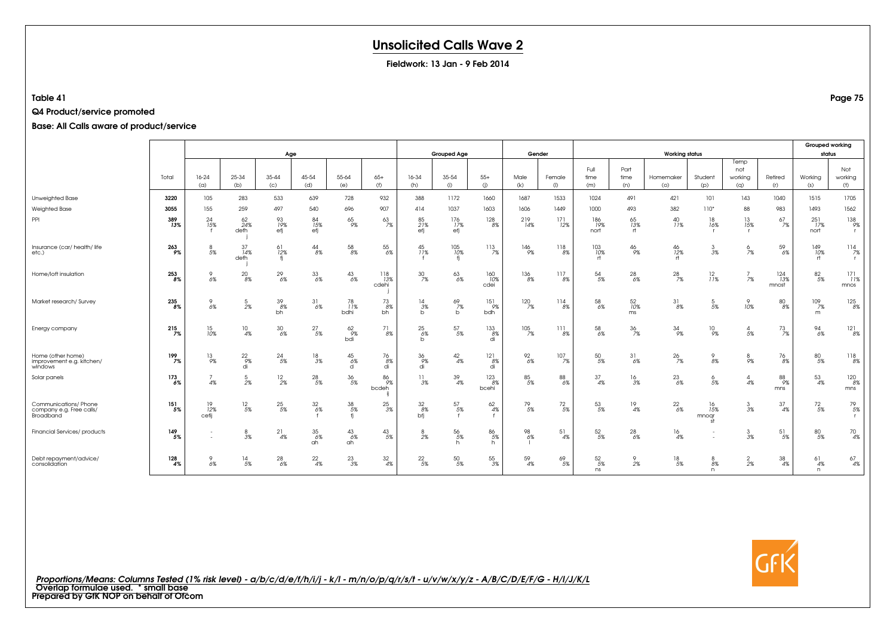Fieldwork: 13 Jan - 9 Feb 2014

Table 41

Q4 Product/service promoted

### Base: All Calls aware of product/service

|                                                                |                   |                    |                        | Age                   |                       |                      |                                                     |                          | Grouped Age           |                            | Gender            |                                           |                          |                         | <b>Working status</b>     |                           |                                             |                                     | Grouped working<br>status |                                                 |
|----------------------------------------------------------------|-------------------|--------------------|------------------------|-----------------------|-----------------------|----------------------|-----------------------------------------------------|--------------------------|-----------------------|----------------------------|-------------------|-------------------------------------------|--------------------------|-------------------------|---------------------------|---------------------------|---------------------------------------------|-------------------------------------|---------------------------|-------------------------------------------------|
|                                                                | Total             | 16-24<br>(a)       | 25-34<br>(b)           | 35-44<br>(c)          | 45-54<br>(d)          | 55-64<br>(e)         | $65+$<br>(f)                                        | 16-34<br>(h)             | 35-54<br>(i)          | $55+$<br>(j)               | Male<br>(k)       | Female<br>(1)                             | Full<br>time<br>(m)      | Part<br>time<br>(n)     | Homemaker<br>(0)          | Student<br>(p)            | Temp<br>not<br>working<br>$\left( q\right)$ | Retired<br>(r)                      | Working<br>(s)            | Not<br>working<br>(t)                           |
| Unweighted Base                                                | 3220              | 105                | 283                    | 533                   | 639                   | 728                  | 932                                                 | 388                      | 1172                  | 1660                       | 1687              | 1533                                      | 1024                     | 491                     | 421                       | 101                       | 143                                         | 1040                                | 1515                      | 1705                                            |
| <b>Weighted Base</b>                                           | 3055              | 155                | 259                    | 497                   | 540                   | 696                  | 907                                                 | 414                      | 1037                  | 1603                       | 1606              | 1449                                      | 1000                     | 493                     | 382                       | $110*$                    | 88                                          | 983                                 | 1493                      | 1562                                            |
| PPI                                                            | 389<br>13%        | $^{24}_{15\%}$     | $^{62}_{24\%}$<br>defh | 93<br>19%<br>efj      | $^{84}_{15\%}$<br>efj | 65<br>9%             | $^{63}_{7\%}$                                       | 85<br>21%<br>efj         | 176<br>17%<br>efj     | 128<br>8%                  | 219<br>14%        | 171<br>12%                                | 186<br>19%<br>nort       | $^{65}_{13\%}$<br>rt.   | 40<br>11%                 | 18<br>16%                 | 13<br>15%<br>$\mathbf{r}$                   | 67<br>7%                            | $^{251}_{17\%}$<br>nort   | $^{138}_{-9\%}$<br>$\mathsf{r}$                 |
| Insurance (car/ health/ life<br>etc.                           | $\frac{263}{9\%}$ | $\frac{8}{5\%}$    | 37<br>14%<br>defh      | 61<br>12%             | 44<br>8%              | $^{58}_{\,\,8\%}$    | $^{55}_{\,\,6\%}$                                   | 45<br>11%                | $^{105}_{10\%}$<br>fj | $\frac{113}{7\%}$          | $\frac{146}{9\%}$ | $\begin{array}{c} 118 \\ 8\% \end{array}$ | 103<br><i>10%</i><br>rt. | $^{46}_{9\%}$           | 46<br>12%<br><sup>-</sup> | 3%                        | $\frac{6}{7\%}$                             | 59<br>6%                            | 149<br>10%<br>rt.         | $^{114}_{7\%}$<br>$\mathsf{r}$                  |
| Home/loft insulation                                           | $^{253}_{8\%}$    | $\circ$<br>6%      | $^{20}_{\,\,8\%}$      | $^{29}_{\,\,6\%}$     | $\frac{33}{6\%}$      | 43<br>6%             | $\begin{array}{c} 118 \\ 13\% \end{array}$<br>cdehi | $\frac{30}{7\%}$         | $^{63}_{6\%}$         | $\frac{160}{10\%}$<br>cdei | $\frac{136}{8\%}$ | 117<br>8%                                 | 54<br>5%                 | $^{28}_{\,\,\delta\%}$  | $^{28}_{7\%}$             | $^{12}_{11\%}$            | $\frac{7}{7\%}$                             | $^{124}_{\phantom{1}73\%}$<br>mnost | $\frac{82}{5\%}$          | 171<br>11%<br>mnos                              |
| Market research/Survey                                         | 235<br>8%         | 9<br>6%            | $\frac{5}{2\%}$        | 39<br>8%<br>bh        | 31<br>6%              | 78<br>11%<br>bdhi    | 73<br>8%<br>bh                                      | 14<br>3%<br>$\mathsf{b}$ | $^{69}_{7\%}$<br>b    | 151<br>9%<br>bdh           | 120<br>7%         | 114<br>8%                                 | 58<br>6%                 | $\frac{52}{10\%}$<br>ms | $\substack{31 \\ 8\%}$    | -5<br>5%                  | $\circ$<br>10%                              | 80<br>8%                            | 109<br>7%<br>m            | $\frac{125}{8\%}$                               |
| Energy company                                                 | 215<br>7%         | 15<br>10%          | 10<br>4%               | 30 <sup>°</sup><br>6% | 27<br>5%              | $^{62}_{9\%}$<br>bdi | 71<br>8%                                            | 25<br>6%<br>$\mathsf{b}$ | 57<br>5%              | 133<br>8%<br>di            | 105<br>7%         | 111<br>8%                                 | 58<br>6%                 | 36<br>7%                | $^{34}_{\phantom{1}9\%}$  | 10<br>9%                  | $\overline{4}$<br>5%                        | 73<br>7%                            | 94<br>6%                  | $\underset{\mathcal{B}\mathcal{L}}{\text{121}}$ |
| Home (other home)<br>improvement e.g. kitchen/<br>windows      | 199<br>7%         | 13<br>9%           | $22\,$<br>9%<br>di     | 24<br>5%              | 18<br>3%              | 45<br>6%<br>d        | 76<br>8%<br>di                                      | 36<br>9%<br>di           | 42<br>4%              | 121<br>8%<br>di            | 92<br>6%          | 107<br>7%                                 | 50<br>5%                 | 31<br>6%                | $^{26}_{7\%}$             | $\circ$<br>8%             | 8<br>9%                                     | 76<br>8%                            | 80<br>5%                  | 118<br>8%                                       |
| Solar panels                                                   | 173<br>6%         | 7<br>4%            | 5<br>2%                | 12<br>2%              | 28<br>5%              | 36<br>5%             | 86<br>9%<br>bcdeh                                   | 11<br>3%                 | 39<br>4%              | 123<br>8%<br>bcehi         | 85<br>5%          | 88<br>6%                                  | 37<br>4%                 | 16<br>3%                | 23<br>6%                  | 6<br>5%                   | $\overline{A}$<br>4%                        | 88<br>9%<br>mns                     | 53<br>4%                  | 120<br>8%<br>mns                                |
| Communications/ Phone<br>company e.g. Free calls/<br>Broadband | 151<br>5%         | 19<br>12%<br>cefij | 12<br>5%               | 25<br>5%              | 32<br>6%              | 38<br>5%             | 25<br>3%                                            | 32<br>8%<br>bfj          | 57<br>5%              | 62<br>4%                   | 79<br>5%          | 72<br>5%                                  | 53<br>5%                 | 19<br>4%                | 22<br>6%                  | 16<br>15%<br>mnogr<br>-st | 3<br>3%                                     | 37<br>4%                            | 72<br>5%                  | 79<br>5%<br>$\mathsf{r}$                        |
| Financial Services/ products                                   | 149<br>5%         | $\sim$<br>$\sim$   | 8<br>3%                | 21<br>4%              | 35<br>6%<br>ah        | 43<br>6%<br>ah       | 43<br>5%                                            | 8<br>2%                  | 56<br>5%<br>h         | 86<br>5%<br>h              | 98<br>6%          | 51<br>4%                                  | 52<br>5%                 | 28<br>6%                | 16<br>4%                  |                           | 3<br>3%                                     | 51<br>5%                            | 80<br>5%                  | 70<br>4%                                        |
| Debt repayment/advice/<br>consolidation                        | 128<br>4%         | $\circ$<br>6%      | 14<br>5%               | 28<br>6%              | 22<br>4%              | 23<br>3%             | 32<br>4%                                            | 22<br>5%                 | 50<br>5%              | 55<br>3%                   | 59<br>4%          | 69<br>5%                                  | 52<br>5%<br>ns           | $\circ$<br>2%           | 18<br>5%                  | 8%<br>n.                  | $\overline{2}$<br>2%                        | 38<br>4%                            | 61<br>4%<br>n             | 67<br>4%                                        |

Proportions/Means: Columns Tested (1% risk level) - a/b/c/d/e/f/h/i/j - k/l - m/n/o/p/q/r/s/t - u/v/w/x/y/z - A/B/C/D/E/F/G - H/I/J/K/L<br>Overlap formulae used. \* small base<br>Prepared by GfK NOP on behalf of Ofcom

la a comparativa de la construction de la construction de la construction de la construction de la construction de la construction de la construction de la construction de la construction de la construction de la construct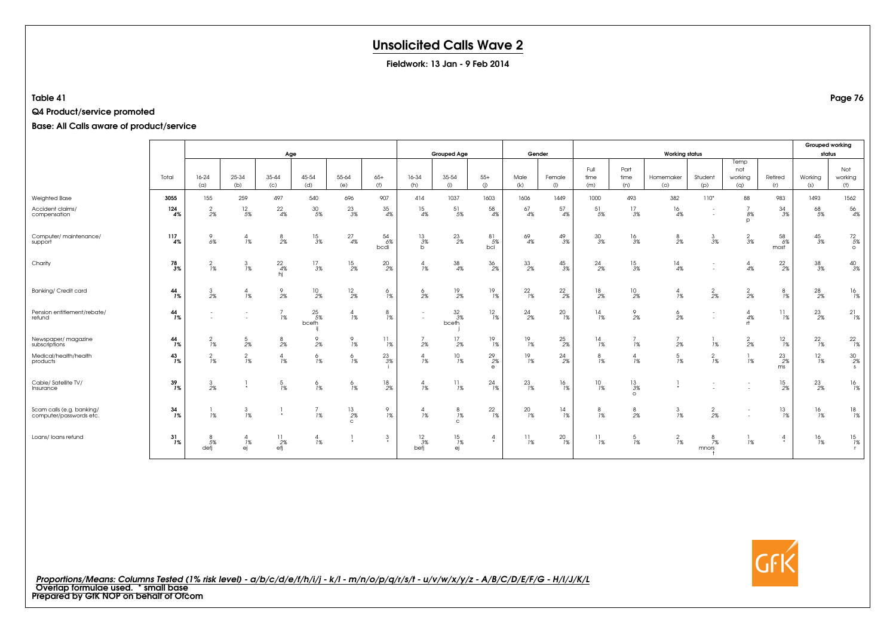Fieldwork: 13 Jan - 9 Feb 2014

Table 41la a comparativa de la construction de la construction de la construction de la construction de la construction<br>Design de la construction de la construction de la construction de la construction de la construction de la co

Q4 Product/service promoted

### Base: All Calls aware of product/service

|                                                      |                 | Age                  |                      |                            |                   |                      |                          |                          | Grouped Age             |                             | Gender                 |                  |                                                   |                             | <b>Working status</b> |                      |                                                      |                           | Grouped working<br>status |                                  |
|------------------------------------------------------|-----------------|----------------------|----------------------|----------------------------|-------------------|----------------------|--------------------------|--------------------------|-------------------------|-----------------------------|------------------------|------------------|---------------------------------------------------|-----------------------------|-----------------------|----------------------|------------------------------------------------------|---------------------------|---------------------------|----------------------------------|
|                                                      | Total           | 16-24<br>(a)         | 25-34<br>(b)         | 35-44<br>$\left( c\right)$ | 45-54<br>(d)      | 55-64<br>(e)         | $65+$<br>(f)             | 16-34<br>(h)             | 35-54<br>(i)            | $55+$<br>(i)                | Male<br>(k)            | Female<br>(      | Full<br>time<br>(m)                               | Part<br>time<br>(n)         | Homemaker<br>(0)      | Student<br>(p)       | Temp<br>not<br>working<br>$\mathsf{q}$               | Retired<br>(r)            | Working<br>(s)            | Not<br>working<br>(t)            |
| Weighted Base                                        | 3055            | 155                  | 259                  | 497                        | 540               | 696                  | 907                      | 414                      | 1037                    | 1603                        | 1606                   | 1449             | 1000                                              | 493                         | 382                   | $110*$               | 88                                                   | 983                       | 1493                      | 1562                             |
| Accident claims/<br>compensation                     | 124<br>4%       | $\frac{2}{2\%}$      | $\frac{12}{5\%}$     | $\frac{22}{4\%}$           | 30<br>5%          | 23<br>3%             | 35<br>4%                 | 15<br>4%                 | 51<br>5%                | 58<br>4%                    | 67<br>4%               | 57<br>4%         | 51<br>5%                                          | $17\,$<br>3%                | 16<br>4%              |                      | $\overline{7}$<br>8%<br>p.                           | 34<br>3%                  | 68<br>5%                  | $\frac{56}{4\%}$                 |
| Computer/ maintenance/<br>support                    | 117<br>4%       | 9<br>6%              | $\overline{4}$<br>1% | 8<br>2%                    | 15<br>3%          | 27<br>4%             | 54<br>6%<br>bcdi         | 13<br>3%<br>b            | $\frac{23}{2\%}$        | 81<br>5%<br>bci             | 69<br>4%               | 49<br>3%         | 30<br>3%                                          | 16<br>3%                    | 8<br>2%               | 3<br>3%              | $_{\rm 3\%}^2$                                       | 58<br>6%<br>most          | 45<br>3%                  | $^{72}_{\,5\%}$<br>$\circ$       |
| Charity                                              | 78<br>3%        | $\frac{2}{1\%}$      | 3<br>1%              | $\frac{22}{4\%}$<br>hj     | 17<br>3%          | 15<br>2%             | $^{20}_{\phantom{1}2\%}$ | $\overline{4}$<br>1%     | 38<br>$4\%$             | $\frac{36}{2\%}$            | 33<br>2%               | 45<br>3%         | 24<br>2%                                          | 15<br>3%                    | 14<br>4%              |                      | $\overline{4}$<br>$4\%$                              | $^{22}_{\phantom{2}2\%}$  | 38<br>3%                  | $\substack{40 \\ 3\%}$           |
| <b>Banking/ Credit card</b>                          | $\frac{44}{1%}$ | $\frac{3}{2\%}$      | $\overline{A}$<br>1% | 9<br>2%                    | $^{10}_{2\%}$     | $^{12}_{2\%}$        | $\frac{6}{1\%}$          | 6<br>2%                  | $\frac{19}{2\%}$        | $\frac{19}{1\%}$            | 22<br>$\overline{1}\%$ | $^{22}_{\ 2\%}$  | $^{18}_{2\%}$                                     | 10<br>2%                    | $\overline{A}$<br>1%  | $^2_{2\%}$           | $_{2\%}^2$                                           | 8<br>1%                   | 28<br>2%                  | $\frac{16}{1\%}$                 |
| Pension entitlement/rebate/<br>refund                | 44<br>1%        |                      |                      | $\overline{7}$<br>1%       | 25<br>5%<br>bcefh | $\overline{A}$<br>1% | 8<br>1%                  | $\overline{\phantom{a}}$ | 32<br>3%<br>bcefh       | 12<br>1%                    | 24<br>2%               | 20<br>1%         | 14<br>1%                                          | 9<br>2%                     | 6<br>$2\%$            |                      | $\overline{A}$<br>4%<br>rt                           | 11.<br>1%                 | 23<br>2%                  | $2^1_{1\%}$                      |
| Newspaper/ magazine<br>subscriptions                 | 44<br>1%        | $\overline{2}$<br>1% | 5<br>2%              | 8<br>2%                    | $\circ$<br>2%     | $\circ$<br>1%        | $\overline{11}$<br>1%    | 2%                       | 17<br>2%                | 19<br>1%                    | 19<br>1%               | 25<br>2%         | 14<br>1%                                          | $\overline{7}$<br>1%        | $\overline{7}$<br>2%  | 1%                   | $\overline{2}$<br>2%                                 | 12<br>1%                  | 22<br>1%                  | $\frac{22}{1\%}$                 |
| Medical/health/health<br>products                    | 43<br>1%        | $\frac{2}{1\%}$      | $\overline{2}$<br>1% | $\overline{4}$<br>1%       | 6<br>1%           | 6<br>1%              | 23<br>3%                 | $\overline{A}$<br>1%     | 10<br>1%                | 29<br>2%<br>$\epsilon$      | 19<br>1%               | 24<br>2%         | 1%                                                | $\overline{4}$<br>1%        | 5<br>1%               | $\overline{2}$<br>1% | 1%                                                   | 23<br>2%<br>ms            | 12<br>1%                  | $\substack{30 \\ 2\%}$<br>s.     |
| Cable/ Satellite TV/<br>Insurance                    | 39<br>1%        | $\frac{3}{2\%}$      |                      | -5<br>1%                   | 6<br>1%           | 6<br>1%              | $^{18}_{2\%}$            | $\overline{A}$<br>1%     | 11<br>1%                | 24<br>1%                    | 23<br>1%               | $\frac{16}{1\%}$ | $^{10}_{\hphantom{1}\hphantom{1}\hphantom{1}7\%}$ | $\frac{13}{3\%}$<br>$\circ$ | $\bullet$             |                      |                                                      | $\frac{15}{2\%}$          | $^{23}_{\phantom{2}2\%}$  | $\frac{16}{1\%}$                 |
| Scam calls (e.g. banking/<br>computer/passwords etc. | 34<br>1%        | 1%                   | 1%                   |                            | 1%                | 13<br>2%<br>$\sim$   | $\circ$<br>1%            | $\overline{4}$<br>1%     | 8<br>1%<br>$\mathbf{C}$ | 22<br>1%                    | 20<br>1%               | 14<br>1%         | 1%                                                | 8<br>2%                     | 3<br>1%               | $\overline{2}$<br>2% | $\overline{\phantom{a}}$<br>$\overline{\phantom{a}}$ | 13<br>1%                  | 16<br>1%                  | $^{18}_{\hbox{1\%}}$             |
| Loans/loans refund                                   | 31<br>1%        | 8<br>5%<br>defi      | 1%<br>$\Theta$       | 11<br>$2\%$<br>efj         | 4<br>1%           |                      | $\mathbf{3}$             | $\frac{12}{3\%}$<br>befi | 15<br>1%<br>ej          | $\overline{A}$<br>$\bullet$ | 11<br>1%               | 20<br>1%         | $11 -$<br>1%                                      | 5<br>1%                     | $\frac{2}{1\%}$       | 7%<br>mnors          | 1%                                                   | $\overline{A}$<br>$\cdot$ | 16<br>1%                  | $\frac{15}{1\%}$<br>$\mathsf{r}$ |



Proportions/Means: Columns Tested (1% risk level) - a/b/c/d/e/f/h/i/j - k/l - m/n/o/p/q/r/s/t - u/v/w/x/y/z - A/B/C/D/E/F/G - H/I/J/K/L<br>Overlap formulae used. \* small base<br>Prepared by GfK NOP on behalf of Ofcom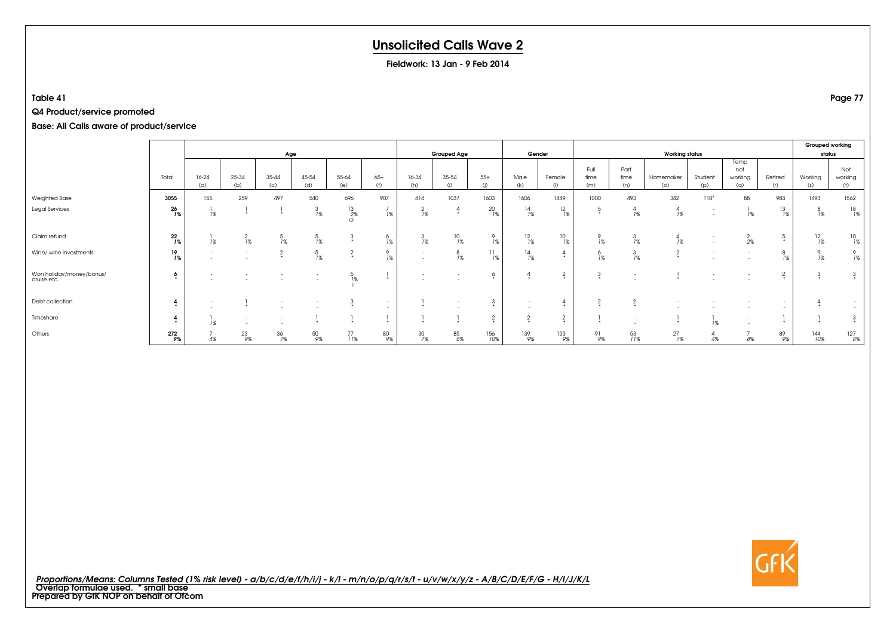Fieldwork: 13 Jan - 9 Feb 2014

Table 41

Q4 Product/service promoted

### Base: All Calls aware of product/service

|                                         |                |            |                  | Age                         |            |                              |                  |                  | <b>Grouped Age</b>                                |                       | Gender                            |                             |                  |                      | <b>Working status</b> |               |                                                      |                                                      | Grouped working<br>status                    |                  |
|-----------------------------------------|----------------|------------|------------------|-----------------------------|------------|------------------------------|------------------|------------------|---------------------------------------------------|-----------------------|-----------------------------------|-----------------------------|------------------|----------------------|-----------------------|---------------|------------------------------------------------------|------------------------------------------------------|----------------------------------------------|------------------|
|                                         | Total          | 16-24      | 25-34            | 35-44                       | 45-54      | 55-64                        | $65+$            | 16-34            | 35-54                                             | $55+$<br>(1)          | Male                              | Female                      | Full<br>time     | Part<br>time         | Homemaker             | Student       | Temp<br>not<br>working                               | Retired                                              | Working                                      | Not<br>working   |
| <b>Weighted Base</b>                    | 3055           | (a)<br>155 | (b)<br>259       | (c)<br>497                  | (d)<br>540 | (e)<br>696                   | (f)<br>907       | (h)<br>414       | $\sqrt{r}$<br>1037                                | 1603                  | (k)<br>1606                       | $($ l $)$<br>1449           | (m)<br>1000      | (n)<br>493           | (0)<br>382            | (p)<br>$110*$ | (n)<br>88                                            | 983                                                  | (s)<br>1493                                  | (t)<br>1562      |
| <b>Legal Services</b>                   | 26<br>1%       | 1%         |                  | $\cdot$                     | 1%         | 13<br>2%<br>ci               | 1%               | ∠<br>1%          | 4<br>$\cdot$                                      | 20<br>1%              | 14<br>1%                          | 12<br>1%                    |                  | $\overline{4}$<br>1% | 1%                    | $\sim$        | 1%                                                   | 13<br>1%                                             | 8<br>1%                                      | $\frac{18}{1\%}$ |
| Claim refund                            | 22<br>1%       | 1%         | 1%               | .c<br>1%                    | 1%         |                              | $\circ$<br>1%    | 1%               | $^{10}_{\hphantom{1}\hphantom{1}\hphantom{1}7\%}$ | 9<br>1%               | 12<br>1%                          | 10 <sup>°</sup><br>1%       | $\circ$<br>1%    | 3<br>1%              | 1%                    |               | $\overline{c}$<br>2%                                 | $\bullet$                                            | 12<br>1%                                     | $\frac{10}{1\%}$ |
| Wine/ wine investments                  | 19<br>1%       | $\sim$     |                  | $\overline{2}$<br>$\bullet$ | 5<br>1%    | $\sqrt{2}$<br>∠<br>$\bullet$ | 9<br>1%          | $\sim$           | 8<br>1%                                           | $\overline{11}$<br>1% | 14<br>1%                          | 4<br>$\bullet$              | $\circ$<br>1%    | 3<br>1%              | $\sim$<br>$\bullet$   |               | $\sim$<br>$\overline{a}$                             | 8<br>1%                                              | $\circ$<br>1%                                | 9<br>1%          |
| Won holiday/money/bonus/<br>cruise etc. | $\bullet$      |            |                  |                             |            | 1%                           |                  |                  | $\sim$<br>$\sim$                                  | 6<br>$\cdot$          | 4<br>$\bullet$                    | $\mathcal{L}$<br>∠          |                  |                      |                       |               | $\overline{\phantom{a}}$<br>$\overline{\phantom{a}}$ | $\Omega$<br>$\epsilon$                               | -3                                           | $\frac{3}{4}$    |
| Debt collection                         |                | <b>.</b>   |                  |                             |            |                              | $\sim$<br>$\sim$ |                  | $\overline{\phantom{a}}$                          | $\cdot$               | $\overline{\phantom{a}}$<br>. .   | 4<br>$\bullet$              |                  | $\sim$               |                       |               | $\overline{\phantom{a}}$                             | $\overline{\phantom{a}}$<br>$\overline{\phantom{a}}$ | 4<br>$\bullet$                               | $\sim$<br>$\sim$ |
| Timeshare                               |                | 1%         |                  |                             |            |                              | $\bullet$        |                  |                                                   | 2<br>$\bullet$        | $\sim$<br>$\epsilon$<br>$\bullet$ | $\overline{2}$<br>$\bullet$ |                  |                      |                       | 1%            | $\sim$<br>$\sim$                                     | $\bullet$                                            |                                              | $\frac{3}{2}$    |
| Others                                  | $^{272}_{9\%}$ | 4%         | $\frac{23}{9\%}$ | $\frac{36}{7\%}$            | 50<br>9%   | 77<br>11%                    | 80<br>9%         | $\frac{30}{7\%}$ | $\frac{85}{8\%}$                                  | $\frac{156}{10\%}$    | 139<br>9%                         | 133<br>9%                   | $\frac{91}{9\%}$ | $\frac{53}{11\%}$    | 27<br>7%              | 4<br>4%       | 8%                                                   | 89<br>9%                                             | $\begin{array}{c}\n144 \\ 10\%\n\end{array}$ | $^{127}_{8\%}$   |

Proportions/Means: Columns Tested (1% risk level) - a/b/c/d/e/f/h/i/j - k/l - m/n/o/p/q/r/s/t - u/v/w/x/y/z - A/B/C/D/E/F/G - H/I/J/K/L<br>Overlap formulae used. \* small base<br>Prepared by GfK NOP on behalf of Ofcom



l and the contract of the contract of the contract of the contract of the contract of the contract of the contract of the contract of the contract of the contract of the contract of the contract of the contract of the cont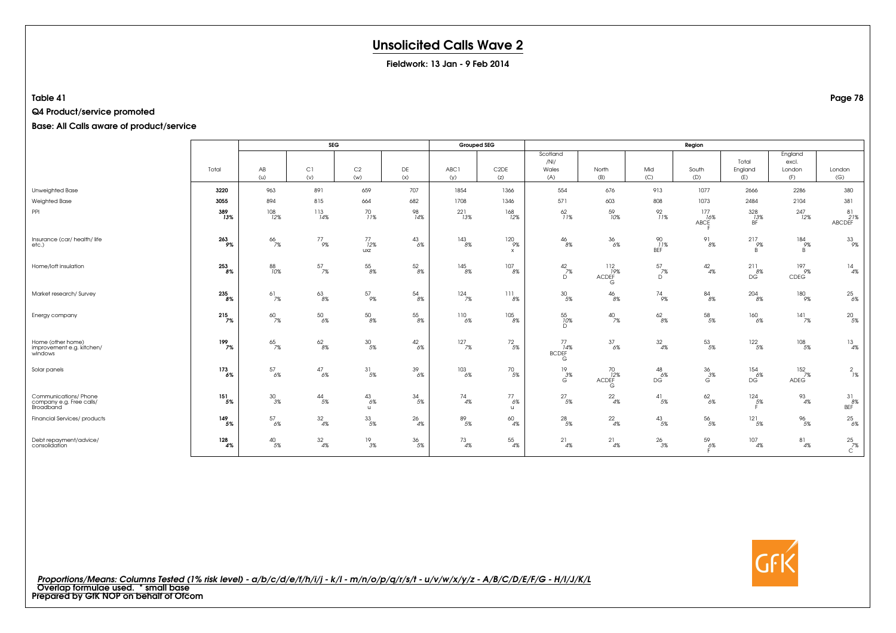Fieldwork: 13 Jan - 9 Feb 2014

Table 41

Q4 Product/service promoted

### Base: All Calls aware of product/service

|                                                               |                   |                                            | <b>SEG</b>                                 |                                    |                          | <b>Grouped SEG</b>                        |                                            |                                  |                                         |                          | Region                |                                                         |                                                             |                                                  |
|---------------------------------------------------------------|-------------------|--------------------------------------------|--------------------------------------------|------------------------------------|--------------------------|-------------------------------------------|--------------------------------------------|----------------------------------|-----------------------------------------|--------------------------|-----------------------|---------------------------------------------------------|-------------------------------------------------------------|--------------------------------------------------|
|                                                               | Total             | AB<br>(u)                                  | C1<br>(v)                                  | C2<br>(w)                          | DE<br>(x)                | ABC1<br>(y)                               | C <sub>2</sub> DE<br>(z)                   | Scotland<br>/Nl/<br>Wales<br>(A) | North<br>(B)                            | Mid<br>(C)               | South<br>(D)          | Total<br>England<br>(E)                                 | England<br>excl.<br>London<br>(F)                           | London<br>$\left( G\right)$                      |
| Unweighted Base                                               | 3220              | 963                                        | 891                                        | 659                                | 707                      | 1854                                      | 1366                                       | 554                              | 676                                     | 913                      | 1077                  | 2666                                                    | 2286                                                        | 380                                              |
| <b>Weighted Base</b>                                          | 3055              | 894                                        | 815                                        | 664                                | 682                      | 1708                                      | 1346                                       | 571                              | 603                                     | 808                      | 1073                  | 2484                                                    | 2104                                                        | 381                                              |
| PPI                                                           | 389<br>13%        | $\begin{array}{c} 108 \\ 12\% \end{array}$ | $\begin{array}{c} 113 \\ 14\% \end{array}$ | $^{70}_{11\%}$                     | 98<br>14%                | $^{221}_{\phantom{1}13\%}$                | $\begin{array}{c} 168 \\ 12\% \end{array}$ | $^{62}_{11\%}$                   | 59<br>10%                               | $\frac{92}{11\%}$        | 177<br>16%<br>ABCE    | $\begin{array}{c} 328 \\ 13\% \\ \text{BF} \end{array}$ | 247<br>12%                                                  | $\frac{81}{21\%}$<br><b>ABCDEF</b>               |
| Insurance (car/ health/ life<br>etc.)                         | 263<br>9%         | 66<br>7%                                   | 77<br>9%                                   | 77<br>12%<br><b>UXZ</b>            | 43<br>6%                 | 143<br>8%                                 | 120<br>9%<br>$\times$                      | 46<br>8%                         | 36<br>6%                                | 90<br>11%<br><b>BEF</b>  | 91<br>8%              | 217<br>9%<br>B                                          | 184<br>9%<br>B                                              | $^{33}_{\phantom{1}9\%}$                         |
| Home/loft insulation                                          | 253<br>8%         | 88<br>70%                                  | 57<br>7%                                   | $55\atop8\%$                       | 52<br>8%                 | 145<br>8%                                 | 107<br>8%                                  | $^{42}$ <sub>7%</sub><br>D       | $\frac{112}{19\%}$<br><b>ACDEF</b><br>G | 57<br>7%<br>D            | 42<br>4%              | 211<br>8%<br>DG                                         | 197<br>9%<br>CDEG                                           | $^{14}_{\ 4\%}$                                  |
| Market research/ Survey                                       | 235<br>8%         | 61<br>7%                                   | 63<br>8%                                   | 57<br>9%                           | $54\,$<br>8%             | 124<br>7%                                 | $111 -$<br>8%                              | 30 <sup>°</sup><br>5%            | 46<br>8%                                | 74<br>9%                 | 84<br>8%              | 204<br>8%                                               | 180<br>9%                                                   | $\frac{25}{6\%}$                                 |
| Energy company                                                | $^{215}_{7\%}$    | $^{60}$ 7%                                 | $^{50}_{\phantom{1}6\%}$                   | $^{50}_{\phantom{0}8\%}$           | $^{55}_{\phantom{1}8\%}$ | $\begin{array}{c} 110 \\ 6\% \end{array}$ | $^{105}_{\phantom{1}8\%}$                  | $\frac{55}{10\%}$<br>D           | $^{40}$ <sub>7%</sub>                   | $^{62}_{\phantom{1}8\%}$ | $58$ $5\%$            | $\frac{160}{6\%}$                                       | $\begin{array}{c} 141 \\ 7\% \end{array}$                   | $^{20}_{\phantom{1}5\%}$                         |
| Home (other home)<br>improvement e.g. kitchen/<br>windows     | 199<br>7%         | $65$ <sub>7%</sub>                         | $^{62}_{8\%}$                              | $\substack{30 \\ 5\%}$             | 42<br>6%                 | $\frac{127}{7\%}$                         | $^{72}_{\phantom{1}5\%}$                   | 77<br>14%<br><b>BCDEF</b><br>G   | 37<br>6%                                | $\frac{32}{4\%}$         | $53 \atop 5\%$        | $^{122}_{\phantom{1}5\%}$                               | $\begin{array}{c} 108 \\ 5\% \end{array}$                   | $\frac{13}{4\%}$                                 |
| Solar panels                                                  | 173<br>6%         | 57<br>6%                                   | 47<br>6%                                   | 31/5%                              | 39<br>6%                 | 103<br>6%                                 | 70<br>5%                                   | $\frac{19}{3\%}$<br>G            | 70<br>12%<br>ACDEF<br>Ĝ.                | 48<br>6%<br><b>DG</b>    | $\frac{36}{3\%}$<br>G | 154<br>6%<br><b>DG</b>                                  | $\begin{array}{c}\n152 \\ 7\% \n\end{array}$<br><b>ADEG</b> | $^2_{1\%}$                                       |
| Communications/Phone<br>company e.g. Free calls/<br>Broadband | $\frac{151}{5\%}$ | $^{30}_{\phantom{1}3\%}$                   | $\begin{array}{c} 44 \\ 5\% \end{array}$   | $^{43}_{\phantom{1}6\%}$<br>$\cup$ | $^{34}_{\phantom{1}5\%}$ | $^{74}_{4\%}$                             | 77<br>6%<br>$\cup$                         | $^{27}_{\phantom{1}5\%}$         | $^{22}_{4\%}$                           | $^{41}_{-5\%}$           | $62 \atop 6\%$        | $\frac{124}{5\%}$                                       | $\frac{93}{4\%}$                                            | $\begin{array}{c} 31 \\ -8\% \\ \end{array}$ BEF |
| Financial Services/ products                                  | 149<br>5%         | 57<br>6%                                   | 32<br>4%                                   | 33<br>5%                           | 26<br>4%                 | $89 \atop 5\%$                            | 60<br>4%                                   | 28<br>5%                         | 22<br>4%                                | 43<br>5%                 | 56<br>5%              | 121<br>5%                                               | $\frac{96}{5\%}$                                            | 25<br>6%                                         |
| Debt repayment/advice/<br>consolidation                       | 128<br>4%         | 40<br>5%                                   | $\frac{32}{4\%}$                           | $\frac{19}{3\%}$                   | 36<br>5%                 | 73<br>4%                                  | 55<br>4%                                   | 21<br>4%                         | 21<br>$4\%$                             | 26<br>3%                 | 59<br>6%              | 107<br>4%                                               | 81<br>4%                                                    | $\overset{25}{\underset{\text{C}}{7\%}}$         |

Proportions/Means: Columns Tested (1% risk level) - a/b/c/d/e/f/h/i/j - k/l - m/n/o/p/q/r/s/t - u/v/w/x/y/z - A/B/C/D/E/F/G - H/l/J/K/L<br>Overlap formulae used. \* small base<br>Prepared by GfK NOP on behalf of Ofcom

la a comparativa de la construction de la construction de la construction de la construction de la construction de la construction de la construction de la construction de la construction de la construction de la construct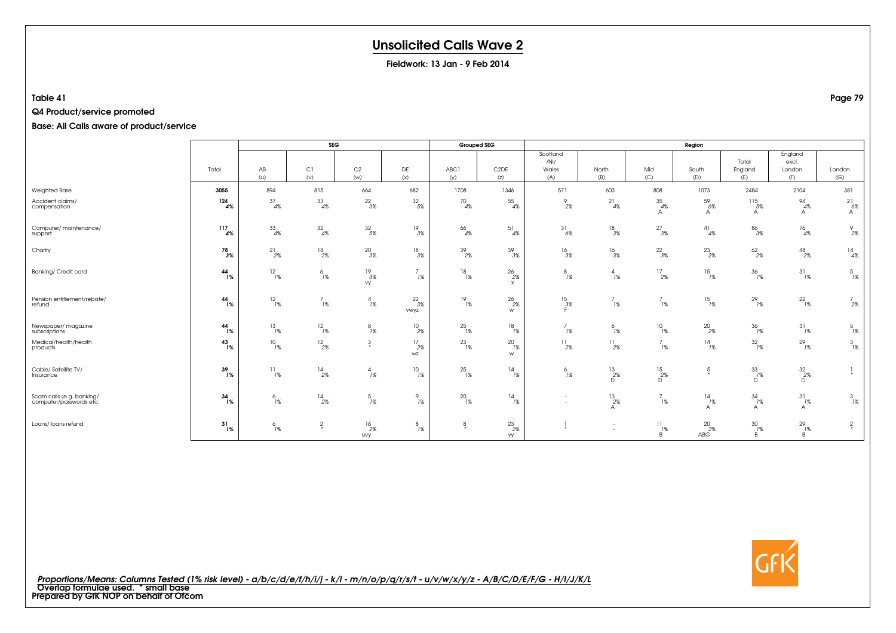Fieldwork: 13 Jan - 9 Feb 2014

Table 41

Q4 Product/service promoted

### Base: All Calls aware of product/service

|                                                      |                    | SEG              |                          |                                 |                       | <b>Grouped SEG</b>         |                                         |                                  |                               |                                    | Region                          |                                                |                                   |                                      |
|------------------------------------------------------|--------------------|------------------|--------------------------|---------------------------------|-----------------------|----------------------------|-----------------------------------------|----------------------------------|-------------------------------|------------------------------------|---------------------------------|------------------------------------------------|-----------------------------------|--------------------------------------|
|                                                      | Total              | AB<br>(u)        | C1<br>(v)                | C2<br>(w)                       | DE<br>(x)             | ABC1<br>(y)                | C <sub>2</sub> DE<br>(z)                | Scotland<br>/NI/<br>Wales<br>(A) | North<br>(B)                  | Mid<br>(C)                         | South<br>(D)                    | Total<br>England<br>(E)                        | England<br>excl.<br>London<br>(F) | London<br>$\left( \mathbb{G}\right)$ |
| Weighted Base                                        | 3055               | 894              | 815                      | 664                             | 682                   | 1708                       | 1346                                    | 571                              | 603                           | 808                                | 1073                            | 2484                                           | 2104                              | 381                                  |
| Accident claims/<br>compensation                     | $\frac{124}{4\%}$  | 37<br>4%         | $\frac{33}{4\%}$         | $^{22}_{\phantom{2}3\%}$        | $\frac{32}{5\%}$      | $^{70}_{4\%}$              | $\frac{55}{4\%}$                        | $\frac{9}{2\%}$                  | 21<br>4%                      | $\frac{35}{4\%}$<br>$\overline{A}$ | 59<br>6%<br>A                   | $\begin{array}{c} 115 \\ 5\% \end{array}$<br>A | $^{94}_{\phantom{1}4\%}$<br>A     | $^{21}_{6\%}$<br>$\mathsf{A}$        |
| Computer/ maintenance/<br>support                    | 117<br>4%          | $\frac{33}{4\%}$ | $\frac{32}{4\%}$         | $^{32}_{\phantom{1}5\%}$        | 19<br>3%              | $^{66}_{4\%}$              | 51<br>4%                                | 31<br>6%                         | $^{18}_{3\%}$                 | $^{27}_{\phantom{1}3\%}$           | 41<br>4%                        | $\frac{86}{3%}$                                | $\frac{76}{4\%}$                  | $^{\mathrm{Q}}_{2\%}$                |
| Charity                                              | 78<br>3%           | 21<br>2%         | $^{18}_{\phantom{1}2\%}$ | $^{20}_{\phantom{1}3\%}$        | 18<br>3%              | $\frac{39}{2\%}$           | 39<br>3%                                | $\frac{16}{3\%}$                 | $\frac{16}{3\%}$              | $^{22}_{\phantom{2}3\%}$           | $\frac{23}{2\%}$                | $^{62}_{2\%}$                                  | $\frac{48}{2\%}$                  | $\frac{14}{4\%}$                     |
| <b>Banking/Credit card</b>                           | $\frac{44}{1\%}$   | $\frac{12}{1\%}$ | $^6_{1\%}$               | $\frac{19}{3\%}$<br>vy          | $\overline{7}$<br>1%  | $\frac{18}{1\%}$           | $^{26}_{2\%}$<br>$\times$               | $\frac{8}{1\%}$                  | $\frac{4}{1\%}$               | $\frac{17}{2\%}$                   | $\frac{15}{1\%}$                | $\frac{36}{1\%}$                               | $\frac{31}{1\%}$                  | $5$ $_{1\%}$                         |
| Pension entitlement/rebate/<br>refund                | $rac{44}{1%}$      | $\frac{12}{1\%}$ | $7_{1\%}$                | $^4_{\hbox{{\scriptsize 7\%}}}$ | $^{22}_{3\%}$<br>vwyz | $\frac{19}{1\%}$           | $^{26}_{2\%}$<br>W                      | $^{15}_{\phantom{1}3\%}$         | 7/36                          | $\frac{7}{1\%}$                    | $\frac{15}{1\%}$                | $29$ $_{\rm 1\%}$                              | $22$ $_{\rm 7\%}$                 | $7\atop{2\%}$                        |
| Newspaper/magazine<br>subscriptions                  | $\frac{44}{1\%}$   | 13<br>7%         | $^{12}$ 1%               | $^8_{1\%}$                      | $\frac{10}{2\%}$      | $^{25}$ <sup>1%</sup>      | 18<br>7%                                | $7\overline{ }$<br>1%            | $^{6}$ 1%                     | 10<br>7%                           | $^{20}_{\phantom{1}2\%}$        | $\frac{36}{1\%}$                               | $\frac{31}{1\%}$                  | $5\phantom{121}\phantom{121}$        |
| Medical/health/health<br>products                    | 43<br>7%           | $\frac{10}{1\%}$ | $^{12}_{\phantom{1}2\%}$ | $\frac{3}{2}$                   | 17<br>2%<br>WZ        | $^{23}$ <sub>1%</sub>      | $^{20}_{\hbox{{\scriptsize 7\%}}}$<br>W | 11<br>2%                         | 11<br>2%                      | $\overline{7}$<br>1%               | 14<br>1%                        | $\frac{32}{1\%}$                               | $^{29}$ 1%                        | $3\phantom{121}\phantom{121}$        |
| Cable/ Satellite TV/<br>Insurance                    | 39<br>1%           | 11<br>7%         | $^{14}_{\phantom{1}2\%}$ | $^4_{\hbox{{\scriptsize 1\%}}}$ | 10<br>7%              | $^{25}$ <sub>1%</sub>      | 14<br>1%                                | $^{6}$ 1%                        | $^{13}_{\phantom{1}2\%}$<br>D | $\frac{15}{2\%}$<br>D              | 5                               | $\frac{33}{1\%}$<br>D                          | $\frac{32}{2\%}$<br>D             | $\frac{1}{\pi}$                      |
| Scam calls (e.g. banking/<br>computer/passwords etc. | 34<br>1%           | $^{6}$ 1%        | $^{14}_{\phantom{1}2\%}$ | $^5_{1\%}$                      | 9<br>1%               | $^{20}_{\hbox{{\it 1\%}}}$ | 14<br>1%                                |                                  | $^{13}_{\phantom{1}2\%}$<br>A | $\overline{7}$<br>่ 1%             | 14<br>1%<br>A                   | $\frac{34}{1\%}$<br>$\overline{A}$             | $\frac{31}{1\%}$<br>A             | $\frac{3}{1\%}$                      |
| Loans/loans refund                                   | $31$ <sub>1%</sub> | $^6_{1\%}$       | $\frac{2}{3}$            | $\frac{16}{2\%}$<br>uvy         | 8<br>1%               | 8<br>$\ddot{}$             | $^{23}_{\phantom{1}2\%}$<br>vy          |                                  | $\sim$<br>$\sim$              | 11<br>1%<br>B                      | $^{20}_{\phantom{1}2\%}$<br>ABG | $\frac{30}{1\%}$<br>B                          | $^{29}$ $^{1\%}$<br>B             | $\frac{2}{\pi}$                      |



Proportions/Means: Columns Tested (1% risk level) - a/b/c/d/e/f/h/i/j - k/l - m/n/o/p/q/r/s/t - u/v/w/x/y/z - A/B/C/D/E/F/G - H/l/J/K/L<br>Overlap formulae used. \* small base<br>Prepared by GfK NOP on behalf of Ofcom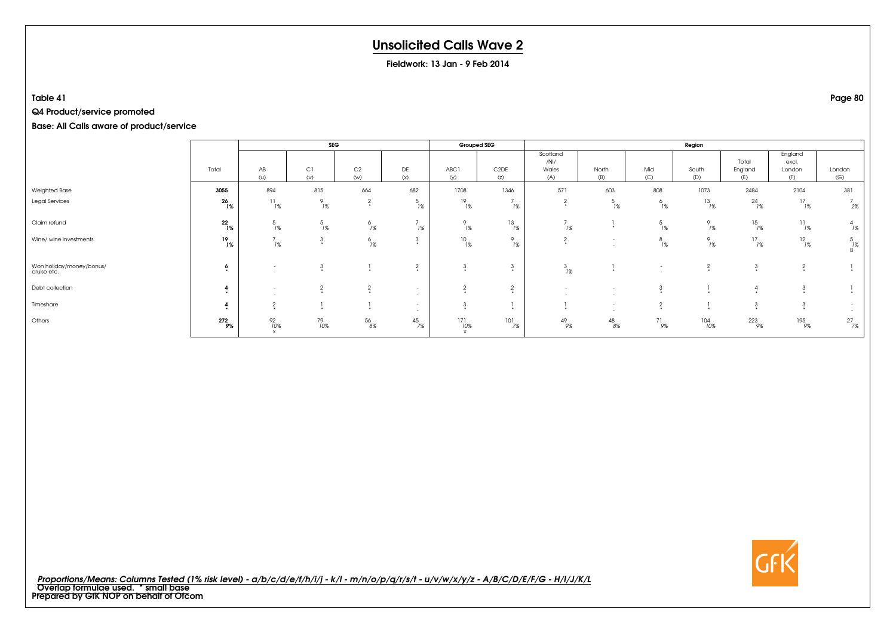Fieldwork: 13 Jan - 9 Feb 2014

Table 41

Q4 Product/service promoted

### Base: All Calls aware of product/service

|                                         |                   |                       |                          | $\sf{SEG}$                        |                           |                        | Grouped SEG              |                                  |                                    |                  | Region             |                         |                                   |                                  |
|-----------------------------------------|-------------------|-----------------------|--------------------------|-----------------------------------|---------------------------|------------------------|--------------------------|----------------------------------|------------------------------------|------------------|--------------------|-------------------------|-----------------------------------|----------------------------------|
|                                         | Total             | AB<br>(u)             | C1<br>(v)                | C2<br>(w)                         | DE<br>(x)                 | ABC1<br>(y)            | C <sub>2</sub> DE<br>(z) | Scotland<br>/NI/<br>Wales<br>(A) | North<br>(B)                       | Mid<br>(C)       | South<br>(D)       | Total<br>England<br>(E) | England<br>excl.<br>London<br>(F) | London<br>(G)                    |
| Weighted Base                           | 3055              | 894                   | 815                      | 664                               | 682                       | 1708                   | 1346                     | 571                              | 603                                | 808              | 1073               | 2484                    | 2104                              | 381                              |
| Legal Services                          | $\frac{26}{1\%}$  | $\frac{11}{1\%}$      | 9<br>1%                  | $\frac{2}{3}$                     | $\frac{5}{1\%}$           | $\frac{19}{1\%}$       | 7%                       | $\sim$<br>$\bullet$              | $\frac{5}{1\%}$                    | $^{6}$ 1%        | $\frac{13}{1\%}$   | $^{24}$ <sub>1%</sub>   | $\frac{17}{1\%}$                  | 2%                               |
| Claim refund                            | $\frac{22}{1\%}$  | 5<br>1%               | 5<br>1%                  | $\circ$<br>1%                     | 1%                        | 9<br>1%                | $\frac{13}{1\%}$         | 1%                               |                                    | 1%               | $\circ$<br>1%      | $\frac{15}{1\%}$        | $\frac{11}{1\%}$                  | 4<br>1%                          |
| Wine/ wine investments                  | 19<br>1%          | $\rightarrow$<br>1%   | 3<br>$\cdot$             | 6<br>1%                           | 3<br>$\cdot$              | 10 <sup>10</sup><br>1% | 9<br>1%                  | $\overline{2}$<br>$\cdot$        | $\sim$<br>$\overline{\phantom{a}}$ | 8<br>1%          | $\circ$<br>1%      | 17<br>1%                | 12<br>1%                          | $\frac{5}{1\%}$<br>B             |
| Won holiday/money/bonus/<br>cruise etc. | 6<br>$\bullet$    |                       | 3<br>$\cdot$             |                                   | $\overline{2}$<br>$\cdot$ | J.                     | J.<br>$\cdot$            | $\frac{3}{1\%}$                  |                                    | $\sim$           | $\overline{2}$     | 3                       | $\frac{2}{1}$                     | $\star$                          |
| Debt collection                         |                   |                       | $\sim$<br>∠<br>$\bullet$ | $\sim$<br>$\epsilon$<br>$\bullet$ | $\sim$<br>$\sim$          | $\sim$<br>$\epsilon$   | $\sim$                   |                                  | $\sim$<br>$\sim$                   |                  |                    | 4                       | 3<br>$\bullet$                    | $\ddot{\phantom{1}}$             |
| Timeshare                               |                   | $\sim$<br>∠           |                          |                                   | $\sim$                    |                        |                          |                                  | $\sim$                             | $\sim$<br>∠      |                    | 3                       | 3                                 | <b>Section</b><br><b>Section</b> |
| Others                                  | $\frac{272}{9\%}$ | 92<br>10%<br>$\times$ | 79<br>10%                | 56<br>8%                          | 45<br>7%                  | 171<br>10%             | 101<br>7%                | $49$<br>$9\%$                    | $\overset{48}{\phantom{1}8\%}$     | $\frac{71}{9\%}$ | $\frac{104}{10\%}$ | $\frac{223}{9%}$        | $\frac{195}{9\%}$                 | $^{27}_{7\%}$                    |



Proportions/Means: Columns Tested (1% risk level) - a/b/c/d/e/f/h/i/j - k/l - m/n/o/p/q/r/s/t - u/v/w/x/y/z - A/B/C/D/E/F/G - H/l/J/K/L<br>Overlap formulae used. \* small base<br>Prepared by GfK NOP on behalf of Ofcom

la a comparativa de la construction de la construction de la construction de la construction de la construction de la construction de la construction de la construction de la construction de la construction de la construct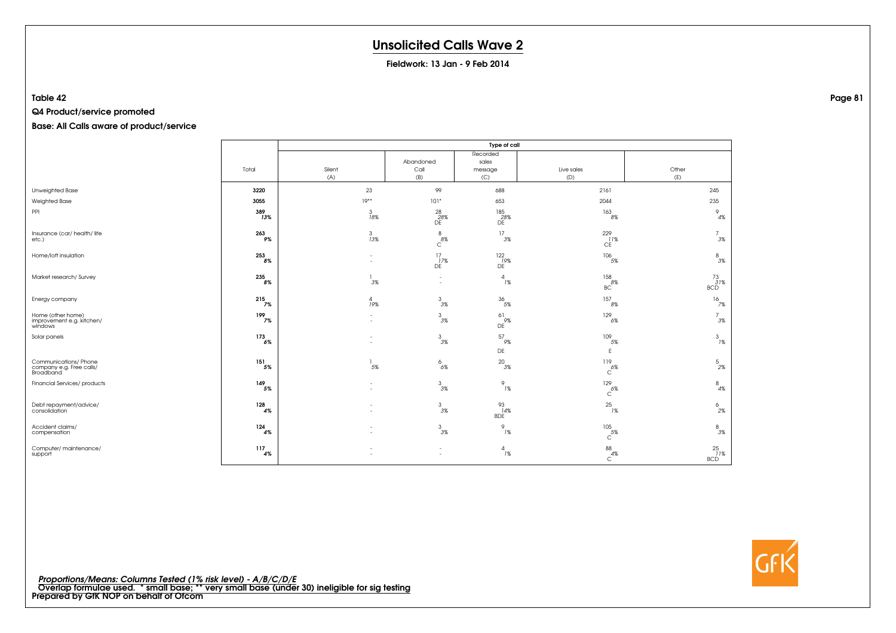Fieldwork: 13 Jan - 9 Feb 2014

#### Table 42

Q4 Product/service promoted

### Base: All Calls aware of product/service

|                                                               |                                           |                                    |                                    | Type of call                                            |                                     |                                                  |
|---------------------------------------------------------------|-------------------------------------------|------------------------------------|------------------------------------|---------------------------------------------------------|-------------------------------------|--------------------------------------------------|
|                                                               | Total                                     | Silent<br>(A)                      | Abandoned<br>$_{\rm{Call}}$<br>(B) | Recorded<br>sales<br>message<br>(C)                     | Live sales<br>(D)                   | Other<br>(E)                                     |
| Unweighted Base                                               | 3220                                      | 23                                 | 99                                 | 688                                                     | 2161                                | 245                                              |
| <b>Weighted Base</b>                                          | 3055                                      | $19**$                             | $101*$                             | 653                                                     | 2044                                | 235                                              |
| PPI                                                           | 389<br>13%                                | $\mathbf{3}$<br>18%                | 28<br>$28%$<br>DE                  | 185<br>$\frac{28}{}{}$ DE                               | 163<br>8%                           | $\circ$<br>4%                                    |
| Insurance (car/ health/ life<br>etc.)                         | 263<br>9%                                 | $\frac{3}{13\%}$                   | 8<br>8%<br>$\mathsf{C}$            | 17<br>3%                                                | 229<br>71%<br>CE                    | $7^{\circ}$<br>3%                                |
| Home/loft insulation                                          | 253<br>8%                                 | $\sim$<br>$\overline{\phantom{a}}$ | 17<br>17%                          | 122<br>$\frac{1}{1}$ 9%                                 | $^{106}_{-5\%}$                     | 8<br>3%                                          |
| Market research/ Survey                                       | $\begin{array}{c} 235 \ 8\% \end{array}$  | $\mathbf{1}$<br>3%                 | $\sim$<br>in 1919.                 | $\overline{4}$<br>1%                                    | 158<br>8%<br>BC                     | $\frac{73}{31\%}$<br><b>BCD</b>                  |
| Energy company                                                | $^{215}$<br>$^{7\%}$                      | $^{\,4}_{\,19\%}$                  | $3\over 3\%$                       | $36$ $5\%$                                              | $^{157}_{\phantom{1}8\%}$           | $\frac{16}{7%}$                                  |
| Home (other home)<br>improvement e.g. kitchen/<br>windows     | 199<br>7%                                 | $\sim$<br>$\sim$                   | $3\over 3\%$                       | $61$ $9\%$<br>DE                                        | 129<br>6%                           | $\overline{7}$<br>3%                             |
| Solar panels                                                  | 173<br>6%                                 |                                    | 3<br>3%                            | 57<br>9%<br>DE                                          | 109<br>5%<br>E                      | $\mathbf{3}$<br>-1%                              |
| Communications/Phone<br>company e.g. Free calls/<br>Broadband | 151<br>5%                                 | 5%                                 | 6<br>6%                            | 20<br>3%                                                | 119<br>$\sigma$ <sup>6%</sup>       | $\overline{5}$<br>2%                             |
| <b>Financial Services/ products</b>                           | $\begin{array}{c} 149 \\ 5\% \end{array}$ | $\sim$<br>$\sim$                   | $^3_{3\%}$                         | $\ensuremath{\mathcal{P}_{1\%}}$                        | 129<br>6%<br>$\mathsf{C}$           | 8<br>4%                                          |
| Debt repayment/advice/<br>consolidation                       | 128<br>4%                                 |                                    | $^3_{3\%}$                         | $\begin{array}{c} 93 \\ 14\% \\ \text{BDE} \end{array}$ | $\frac{25}{1\%}$                    | $^6_{2\%}$                                       |
| Accident claims/<br>compensation                              | 124<br>4%                                 |                                    | $3\over 3\%$                       | 9<br>1%                                                 | $\frac{105}{5\%}$<br>$\overline{C}$ | $^8_{3\%}$                                       |
| Computer/maintenance/<br>support                              | 117<br>4%                                 |                                    | $\sim$                             | $\overline{4}$<br>7%                                    | $rac{88}{4%}$<br>$\mathbb C$        | $^{25}_{\hbox{\scriptsize{11}}\%}$<br><b>BCD</b> |





en and the set of the set of the set of the set of the set of the set of the set of the set of the set of the set of the set of the set of the set of the set of the set of the set of the set of the set of the set of the se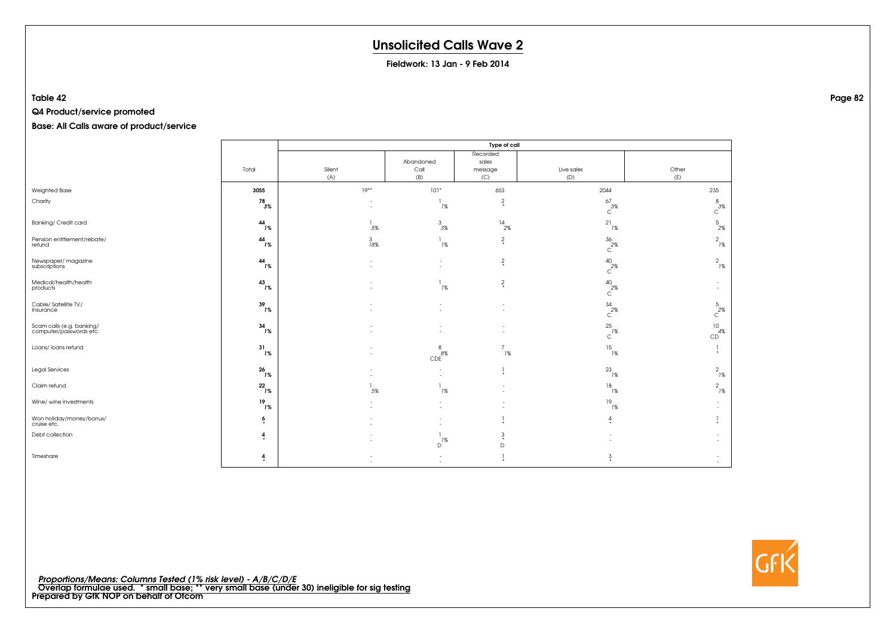Fieldwork: 13 Jan - 9 Feb 2014

### Table 42

Q4 Product/service promoted

### Base: All Calls aware of product/service

|                                                      |                       |                                    |                          | Type of call                        |                                                                                         |                                      |
|------------------------------------------------------|-----------------------|------------------------------------|--------------------------|-------------------------------------|-----------------------------------------------------------------------------------------|--------------------------------------|
|                                                      | Total                 | Silent<br>(A)                      | Abandoned<br>Call<br>(B) | Recorded<br>sales<br>message<br>(C) | Live sales<br>(D)                                                                       | Other<br>(E)                         |
| Weighted Base                                        | 3055                  | $19**$                             | $101*$                   | 653                                 | 2044                                                                                    | 235                                  |
| Charity                                              | 78<br>3%              | $\overline{\phantom{a}}$<br>$\sim$ | $\frac{1}{1\%}$          | $\frac{2}{\ast}$                    | 67<br>$3\%$<br>$\mathsf{C}$                                                             | 8<br>$\sigma$ <sup>3%</sup>          |
| <b>Banking/Credit card</b>                           | 44<br>1%              | 5%                                 | $^3_{3\%}$               | $^{14}_{\phantom{1}2\%}$            | $21$<br>$_{\rm 1\%}$                                                                    | $5\phantom{.0}$<br>2%                |
| Pension entitlement/rebate/<br>refund                | 44<br>1%              | 3<br>18%                           | 1%                       | $\frac{2}{\epsilon}$                | $rac{36}{C}$                                                                            | $\overline{2}$<br>7%                 |
| Newspaper/magazine<br>subscriptions                  | $44$ <sub>1%</sub>    |                                    | $\sim$<br>$\sim$         | $\frac{2}{\ast}$                    | $^{40}_{2\%}$<br>$\mathsf C$                                                            | $^2_{\phantom{1}\! \gamma\! \rm g}$  |
| Medical/health/health<br>products                    | 43<br>1%              |                                    | 1%                       | $\frac{2}{\ast}$                    | 40<br>$\check{c}^{2\%}$                                                                 | $\sim$<br>$\sim$                     |
| Cable/ Satellite TV/<br>Insurance                    | 39<br>1%              |                                    | $\sim$                   |                                     | 34<br>$C^{2\%}$                                                                         | $5\phantom{.0}$<br>$\check{c}^{2\%}$ |
| Scam calls (e.g. banking/<br>computer/passwords etc. | $34$ <sub>1%</sub>    |                                    | $\sim$                   |                                     | 25<br>7%<br>$\mathsf{C}$                                                                | 10<br>4%<br>CD                       |
| Loans/loans refund                                   | 31<br>1%              |                                    | 8<br>8%<br>CDE           | $7\overline{ }$<br>1%               | 15<br>7%                                                                                | $\cdot$                              |
| Legal Services                                       | $^{26}$ <sup>1%</sup> |                                    | $\sim$<br>$\sim$         |                                     | $^{23}_{\phantom{1}\phantom{1}\phantom{1}\phantom{1}\phantom{1}\phantom{1}\phantom{1}}$ | $^2_{\phantom{1}\! \gamma\! \rm g}$  |
| Claim refund                                         | 22<br>7%              | 1<br>5%                            | 1%                       |                                     | 18<br>7%                                                                                | 2<br>1%                              |
| Wine/ wine investments                               | 19<br>1%              |                                    | $\overline{\phantom{a}}$ |                                     | 19<br>1%                                                                                | $\overline{\phantom{a}}$<br>$\sim$   |
| Won holiday/money/bonus/<br>cruise etc.              | 6<br>$\bullet$        |                                    |                          |                                     | $\overline{4}$<br>$\cdot$                                                               | $\mathbf{1}$<br>٠                    |
| Debt collection                                      | 4                     |                                    | 1%<br>D                  | 3<br>D                              | ×,                                                                                      | $\sim$                               |
| Timeshare                                            | $\frac{4}{1}$         |                                    | $\sim$<br>$\sim$         |                                     | $\frac{3}{4}$                                                                           | $\overline{\phantom{a}}$<br>$\sim$   |



2 and the set of the set of the set of the set of the set of the set of the set of the set of the set of the set of the set of the set of the set of the set of the set of the set of the set of the set of the set of the set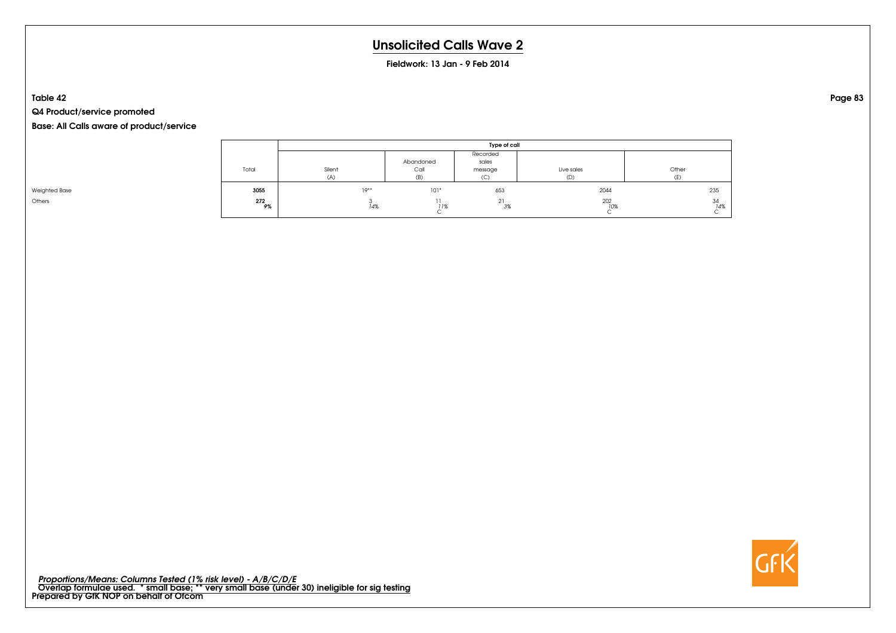Fieldwork: 13 Jan - 9 Feb 2014

Table 42

Q4 Product/service promoted

Base: All Calls aware of product/service

| Type of call<br>Recorded<br>Abandoned<br>sales<br>Silent<br>Call<br>Other<br>Total<br>Live sales<br>message<br>(D)<br>(C)<br>(A)<br>(E)<br>2044<br>3055<br>$19**$<br>$101*$<br>653<br>Weighted Base<br>Others<br>272<br>202<br>21<br>9%<br>10%<br>3%<br>14%<br>11%<br>$\sim$ |  |  |  |           |
|------------------------------------------------------------------------------------------------------------------------------------------------------------------------------------------------------------------------------------------------------------------------------|--|--|--|-----------|
|                                                                                                                                                                                                                                                                              |  |  |  |           |
|                                                                                                                                                                                                                                                                              |  |  |  |           |
|                                                                                                                                                                                                                                                                              |  |  |  |           |
|                                                                                                                                                                                                                                                                              |  |  |  |           |
|                                                                                                                                                                                                                                                                              |  |  |  |           |
|                                                                                                                                                                                                                                                                              |  |  |  | 235       |
|                                                                                                                                                                                                                                                                              |  |  |  | 34<br>14% |
|                                                                                                                                                                                                                                                                              |  |  |  |           |

Weighted Base

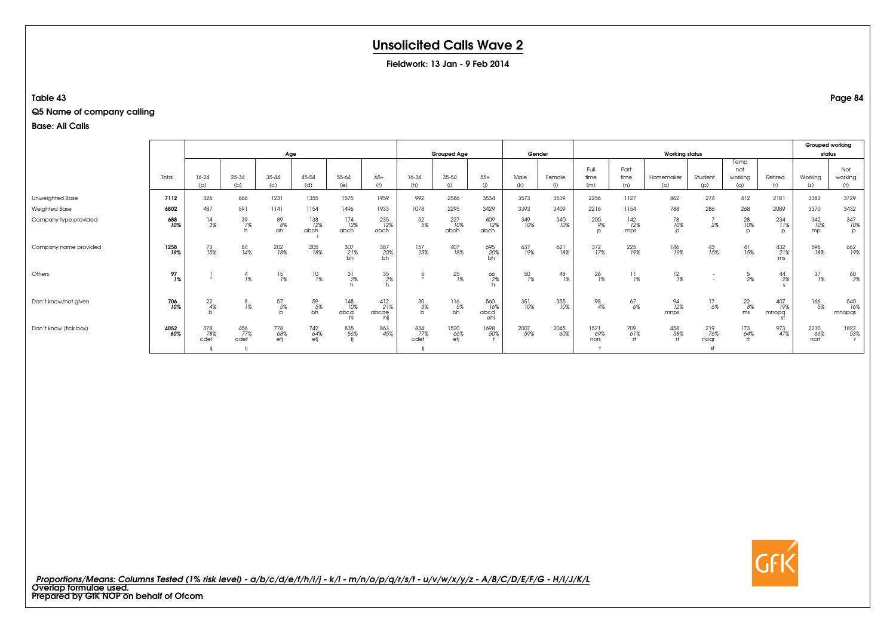Fieldwork: 13 Jan - 9 Feb 2014

### Table 43

### Q5 Name of company calling

### Base: All Calls

|                       |                    |                     |                    | Age                          |                            |                                                    |                            |                       | <b>Grouped Age</b>      |                           | Gender             |                    |                     |                            | <b>Working status</b>                                                        |                          |                            |                                 | Grouped working<br>status |                          |
|-----------------------|--------------------|---------------------|--------------------|------------------------------|----------------------------|----------------------------------------------------|----------------------------|-----------------------|-------------------------|---------------------------|--------------------|--------------------|---------------------|----------------------------|------------------------------------------------------------------------------|--------------------------|----------------------------|---------------------------------|---------------------------|--------------------------|
|                       |                    |                     |                    |                              |                            |                                                    |                            |                       |                         |                           |                    |                    | Full                | Part                       |                                                                              |                          | Temp<br>not                |                                 |                           | Not                      |
|                       | Total              | 16-24<br>(a)        | 25-34<br>(b)       | 35-44<br>(c)                 | 45-54<br>(d)               | 55-64<br>(e)                                       | $65+$<br>(f)               | 16-34<br>(h)          | 35-54<br>(i)            | $55+$<br>(i)              | Male<br>(k)        | Female<br>(1)      | time<br>(m)         | time<br>(n)                | Homemaker<br>(0)                                                             | Student<br>(p)           | working<br>(q)             | Retired<br>(r)                  | Working<br>(s)            | working<br>(t)           |
| Unweighted Base       | 7112               | 326                 | 666                | 1231                         | 1355                       | 1575                                               | 1959                       | 992                   | 2586                    | 3534                      | 3573               | 3539               | 2256                | 1127                       | 862                                                                          | 274                      | 412                        | 2181                            | 3383                      | 3729                     |
| Weighted Base         | 6802               | 487                 | 591                | 1141                         | 1154                       | 1496                                               | 1933                       | 1078                  | 2295                    | 3429                      | 3393               | 3409               | 2216                | 1154                       | 788                                                                          | 286                      | 268                        | 2089                            | 3370                      | 3432                     |
| Company type provided | 688<br>10%         | $\frac{14}{3\%}$    | 39<br>7%           | $\substack{89 \\ 8\%}$<br>ah | $\frac{138}{12\%}$<br>abch | $\begin{array}{c} 174 \\ 12\% \end{array}$<br>abch | $^{235}_{12\%}$<br>abch    | $^{52}_{\,5\%}$       | $^{227}_{10\%}$<br>abch | 409<br>12%<br>abch        | $\frac{349}{10\%}$ | $\frac{340}{10\%}$ | $^{200}_{9\%}$<br>n | $\frac{142}{12\%}$<br>mps  | 78<br>10%<br>$\circ$                                                         | 2%                       | $^{28}_{10\%}$<br>$\circ$  | $^{234}_{11\%}$<br>$\mathsf{D}$ | $\frac{342}{10\%}$<br>mp  | $\frac{347}{10\%}$<br>p. |
| Company name provided | 1258<br><i>19%</i> | 73<br>15%           | 84<br>14%          | $\frac{202}{18\%}$           | $\frac{205}{18\%}$         | $\begin{array}{c} 307 \\ 21\% \end{array}$<br>bh   | 387<br>20%<br>bh           | 157<br><i>15%</i>     | $^{407}_{18\%}$         | 695<br>20%<br>bh          | 637<br>19%         | $^{621}_{18\%}$    | $\frac{372}{17\%}$  | $^{225}_{19\%}$            | 146<br><i>19</i> %                                                           | $^{43}_{15\%}$           | $^{41}_{15\%}$             | $^{432}_{21\%}$<br>ms           | 596<br>18%                | 662<br>19%               |
| Others                | 97<br>1%           |                     | 1%                 | $\frac{15}{1\%}$             | $\frac{10}{1\%}$           | 31<br>2%                                           | $\frac{35}{2\%}$<br>h      | 5                     | $^{25}_{1\%}$           | 66<br>2%                  | $^{50}_{1\%}$      | 48<br>1%           | $\frac{26}{1\%}$    | $\frac{11}{1\%}$           | $^{12}_{\phantom{1}\phantom{1}\phantom{1}\phantom{1}\phantom{1}\phantom{1}}$ |                          | $\frac{5}{2\%}$            | 44<br>2%                        | 37<br>1%                  | $^{60}_{2\%}$            |
| Don't know/not given  | 706<br>70%         | $^{22}_{\  \, 4\%}$ | 1%                 | 57<br>5%<br>$\mathsf{b}$     | 59<br>5%<br>bh             | 148<br>10%<br>abcd                                 | 412<br>21%<br>abcde<br>hii | $\frac{30}{3\%}$<br>h | $\frac{116}{5\%}$<br>bh | 560<br>16%<br>abcd<br>ehi | $\frac{351}{10\%}$ | 355<br>10%         | $\frac{98}{4\%}$    | 67<br>6%                   | 94<br>12%<br>mnps                                                            | 17<br>6%                 | $\frac{22}{8\%}$<br>ms     | 407<br>19%<br>mnopg             | $\frac{166}{5\%}$         | 540<br>16%<br>mnopqs     |
| Don't know (tick box) | 4052<br>60%        | 378<br>78%<br>cdef  | 456<br>77%<br>cdef | 778<br>68%<br>efj            | 742<br>64%<br>efj          | 835<br>56%                                         | 863<br>45%                 | 834<br>77%<br>cdef    | 1520<br>66%<br>efj      | 1698<br>50%               | 2007<br>59%        | 2045<br>60%        | 1521<br>69%<br>nors | 709<br>61%<br><sup>-</sup> | 458<br>58%                                                                   | 219<br>76%<br>noar<br>st | 173<br>64%<br><sup>-</sup> | 973<br>47%                      | 2230<br>66%<br>nort       | 1822<br>53%              |

Proportions/Means: Columns Tested (1% risk level) - a/b/c/d/e/f/h/i/j - k/l - m/n/o/p/q/r/s/t - u/v/w/x/y/z - A/B/C/D/E/F/G - H/I/J/K/L<br>Overlap formulae used.<br>Prepared by GfK NOP on behalf of Ofcom



Page 84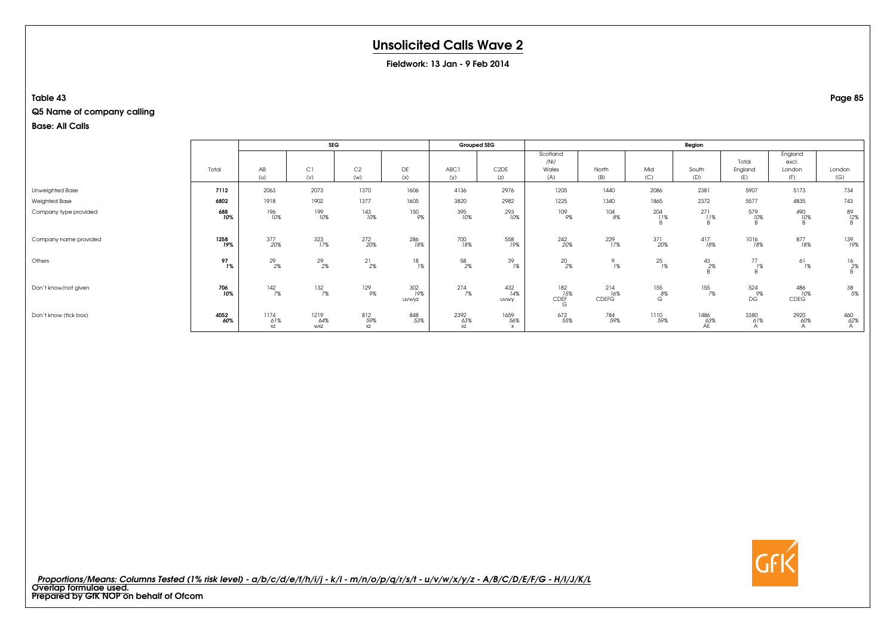Fieldwork: 13 Jan - 9 Feb 2014

### Table 43

### Q5 Name of company calling

### Base: All Calls

|                        |             |                   | SEG                       |                    |                             | Grouped SEG              |                             |                                                                       |                                 |                                             | Region                                     |                                             |                                   |                                                    |
|------------------------|-------------|-------------------|---------------------------|--------------------|-----------------------------|--------------------------|-----------------------------|-----------------------------------------------------------------------|---------------------------------|---------------------------------------------|--------------------------------------------|---------------------------------------------|-----------------------------------|----------------------------------------------------|
|                        | Total       | AB<br>(u)         | C1<br>(v)                 | C2<br>(w)          | DE<br>(x)                   | ABC1<br>(y)              | C <sub>2</sub> DE<br>(z)    | Scotland<br>$/$ NI $/$<br>Wales<br>(A)                                | North<br>(B)                    | Mid<br>(C)                                  | South<br>(D)                               | Total<br>England<br>(E)                     | England<br>excl.<br>London<br>(F) | London<br>(G)                                      |
| <b>Unweighted Base</b> | 7112        | 2063              | 2073                      | 1370               | 1606                        | 4136                     | 2976                        | 1205                                                                  | 1440                            | 2086                                        | 2381                                       | 5907                                        | 5173                              | 734                                                |
| Weighted Base          | 6802        | 1918              | 1902                      | 1377               | 1605                        | 3820                     | 2982                        | 1225                                                                  | 1340                            | 1865                                        | 2372                                       | 5577                                        | 4835                              | 743                                                |
| Company type provided  | 688<br>70%  | 196<br>10%        | 199<br><i>10%</i>         | $\frac{143}{10\%}$ | 150<br>9%                   | 395<br>10%               | 293<br>10%                  | $\frac{109}{9\%}$                                                     | $\frac{104}{8\%}$               | 204<br>$\frac{718}{B}$                      | 271<br>11%                                 | 579<br>10%                                  | $^{490}_{10\%}$<br>B.             | $\begin{array}{c} 89 \\ 12\% \\ B \end{array}$     |
| Company name provided  | 1258<br>19% | 377<br>20%        | $\frac{323}{17\%}$        | 272<br>20%         | $\frac{286}{18\%}$          | 700<br>18%               | 558<br>19%                  | 242<br>20%                                                            | 229<br>17%                      | 371<br>20%                                  | $\begin{array}{c} 417 \\ 18\% \end{array}$ | $\begin{array}{r} 1016 \\ 18\% \end{array}$ | $877 \over 18\%$                  | $\begin{array}{c}\n139 \\ 19\% \quad\n\end{array}$ |
| Others                 | 97<br>1%    | $^{29}_{2\%}$     | $^{29}_{\phantom{1}2\%}$  | $^{21}_{2\%}$      | $\frac{18}{1\%}$ .          | $\frac{58}{2\%}$         | $\frac{39}{1\%}$            | $^{20}_{\phantom{1}2\%}$                                              | $\frac{9}{1\%}$                 | $^{25}$ <sub>1%</sub>                       | $^{43}_{2\%}$                              | 77<br>1%                                    | $61$ <sub>1%</sub>                | $\frac{16}{2\%}$                                   |
| Don't know/not given   | 706<br>70%  | $\frac{142}{7\%}$ | $\frac{132}{7%}$          | $\frac{129}{9\%}$  | $\frac{302}{19\%}$<br>uvwyz | $^{274}$ <sub>7%</sub>   | $432$ $14\%$<br>uvwy        | $\begin{array}{c}\n 182 \\  \hline\n 15\%\n \end{array}$<br>CDEF<br>G | $^{214}_{16\%}$<br><b>CDEFG</b> | $\frac{155}{8\%}$<br>G                      | $\frac{155}{7\%}$                          | $^{524}$ %<br>DG                            | 486<br>10%<br>CDEG                | $\begin{array}{c} 38 \\ 5\% \end{array}$           |
| Don't know (tick box)  | 4052<br>60% | 1174<br>61%<br>XZ | 1219<br>64%<br><b>WXZ</b> | 812<br>59%<br>XZ   | 848<br>53%                  | 2392<br>63%<br><b>XZ</b> | 1659<br>56%<br>$\checkmark$ | 672<br>55%                                                            | 784<br>59%                      | $\begin{array}{c} 1110 \\ 59\% \end{array}$ | 1486<br>63%<br>AE                          | 3380<br>61%                                 | 2920<br>60%                       | 460<br>62%<br>A                                    |

Proportions/Means: Columns Tested (1% risk level) - a/b/c/d/e/f/h/i/j - k/l - m/n/o/p/q/r/s/t - u/v/w/x/y/z - A/B/C/D/E/F/G - H/l/J/K/L<br>Overlap formulae used.<br>Prepared by GfK NOP on behalf of Ofcom



## en and the state of the state of the state of the state of the state of the state of the state of the state of the state of the state of the state of the state of the state of the state of the state of the state of the sta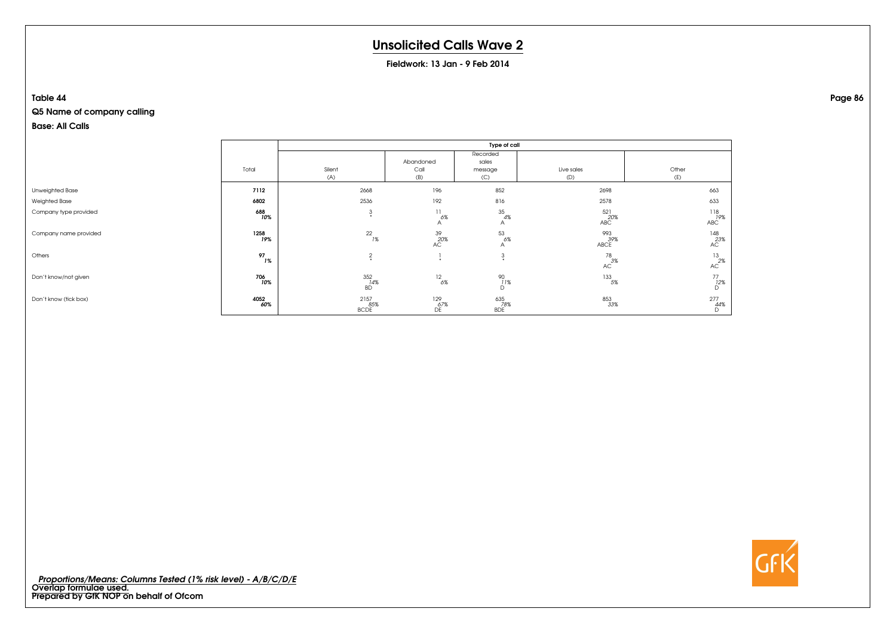Fieldwork: 13 Jan - 9 Feb 2014

#### Table 44

Q5 Name of company calling

### Base: All Calls

|                       |             |                                                            |                                                  | Type of call                   |                                                      |                                                                        |
|-----------------------|-------------|------------------------------------------------------------|--------------------------------------------------|--------------------------------|------------------------------------------------------|------------------------------------------------------------------------|
|                       | Total       | Silent                                                     | Abandoned<br>Call                                | Recorded<br>sales<br>message   | Live sales                                           | Other                                                                  |
|                       |             | (A)                                                        | (B)                                              | (C)                            | (D)                                                  | (E)                                                                    |
| Unweighted Base       | 7112        | 2668                                                       | 196                                              | 852                            | 2698                                                 | 663                                                                    |
| <b>Weighted Base</b>  | 6802        | 2536                                                       | 192                                              | 816                            | 2578                                                 | 633                                                                    |
| Company type provided | 688<br>70%  | 3<br>$\ddot{\phantom{1}}$                                  | 11<br>$A^{\delta\%}$                             | 35<br>4%<br>Α                  | $\frac{521}{20\%}$                                   | $\begin{array}{c} 118 \\ \hline \text{19\%} \\ \text{ABC} \end{array}$ |
| Company name provided | 1258<br>19% | $^{22}$ <sub>1%</sub>                                      | $\underset{\text{AC}}{39}$ 20%                   | 53<br>6%<br>Α                  | 993<br>39%<br>ABCE                                   | $\frac{148}{23\%}$ AC                                                  |
| Others                | 97<br>1%    | $\frac{2}{\ast}$                                           | $\bullet$                                        | $\frac{3}{4}$                  | $\overset{78}{\underset{\mathsf{AC}}{\mathsf{3}\%}}$ | $\overset{13}{\underset{\mathsf{AC}}{\mathsf{2\%}}}$                   |
| Don't know/not given  | 706<br>70%  | $\begin{array}{c} 352 \\ 14\% \\ \text{BD} \end{array}$    | $\frac{12}{6\%}$                                 | $^{90}_{\substack{11\% \\ D}}$ | $\begin{array}{c} 133 \\ 5\% \end{array}$            | 77<br>12%<br>D                                                         |
| Don't know (tick box) | 4052<br>60% | $\begin{array}{c} 2157 \\ 85\% \end{array}$<br><b>BCDE</b> | $\begin{array}{c} 129 \\ 67\% \end{array}$<br>DE | 635<br>78%<br><b>BDE</b>       | 853<br>33%                                           | $\frac{277}{44\%}$<br>D                                                |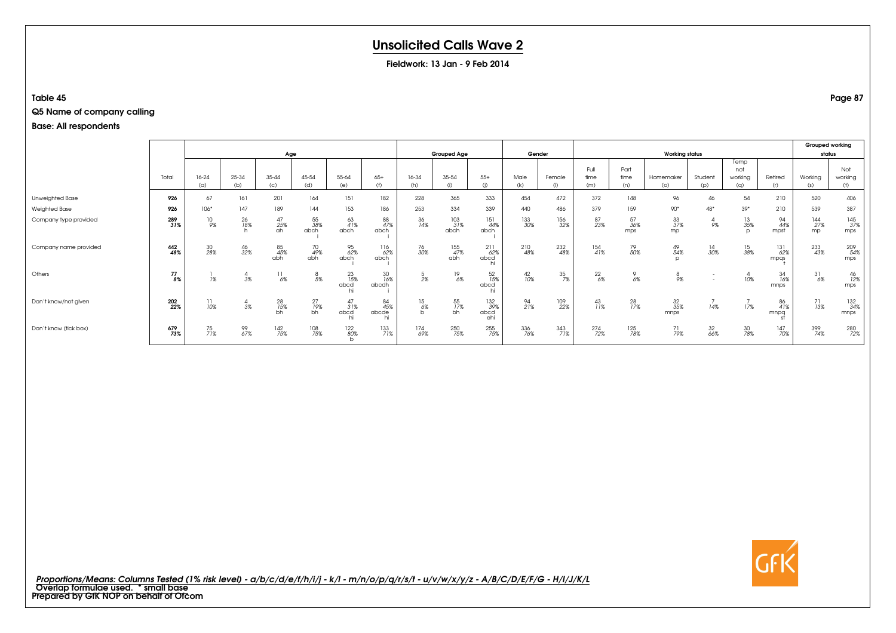Fieldwork: 13 Jan - 9 Feb 2014

### Table 45

Q5 Name of company calling

## Base: All respondents

|                       |            |                   |                   | Age                                                    |                                                      |                        |                            |                   | <b>Grouped Age</b>         |                                                    | Gender             |                               |                  |                  | <b>Working status</b>     |                   |                        |                    | Grouped working<br>status |                            |
|-----------------------|------------|-------------------|-------------------|--------------------------------------------------------|------------------------------------------------------|------------------------|----------------------------|-------------------|----------------------------|----------------------------------------------------|--------------------|-------------------------------|------------------|------------------|---------------------------|-------------------|------------------------|--------------------|---------------------------|----------------------------|
|                       |            |                   |                   |                                                        |                                                      |                        |                            |                   |                            |                                                    |                    |                               | Full             | Part             |                           |                   | Temp<br>not            |                    |                           | Not                        |
|                       | Total      | 16-24<br>(a)      | 25-34<br>(b)      | 35-44<br>(c)                                           | 45-54<br>(d)                                         | 55-64<br>(e)           | $65+$<br>(f)               | 16-34<br>(h)      | 35-54<br>$\sqrt{ }$        | $55+$<br>(1)                                       | Male<br>(k)        | Female<br>(1)                 | time<br>(m)      | time<br>(n)      | Homemaker<br>(0)          | Student<br>(p)    | working<br>(a)         | Retired<br>(r)     | Working<br>(s)            | working<br>(t)             |
| Unweighted Base       | 926        | 67                | 161               | 201                                                    | 164                                                  | 151                    | 182                        | 228               | 365                        | 333                                                | 454                | 472                           | 372              | 148              | 96                        | 46                | 54                     | 210                | 520                       | 406                        |
| <b>Weighted Base</b>  | 926        | $106*$            | 147               | 189                                                    | 144                                                  | 153                    | 186                        | 253               | 334                        | 339                                                | 440                | 486                           | 379              | 159              | $90^*$                    | 48*               | $39*$                  | 210                | 539                       | 387                        |
| Company type provided | 289<br>31% | $\frac{10}{9\%}$  | $^{26}_{18\%}$    | $^{47}_{25\%}$ ah                                      | 55<br>38%<br>abch                                    | $^{63}_{41\%}$<br>abch | 88<br>47%<br>abch          | $\frac{36}{14\%}$ | $\frac{103}{31\%}$<br>abch | $\begin{array}{c} 151 \\ 44\% \end{array}$<br>abch | $\frac{133}{30\%}$ | <sup>156</sup> <sub>32%</sub> | 87<br>23%        | 57<br>36%<br>mps | 33<br>37%<br>mp           | 9%                | $\frac{13}{35\%}$<br>p | 94<br>44%<br>mpst  | $\frac{144}{27%}$<br>mp   | 145<br>37%<br>mps          |
| Company name provided | 442<br>48% | 30<br>28%         | $\frac{46}{32\%}$ | $\frac{85}{45\%}$<br>abh                               | 70<br>49%<br>abh                                     | 95<br>62%<br>abch      | $\frac{116}{62\%}$<br>abch | 76<br>30%         | $\frac{155}{47\%}$<br>abh  | 211<br>62%<br>abcd                                 | 210<br>48%         | 232<br>48%                    | 154<br>41%       | 79<br>50%        | 49<br>54%<br>$\mathbf{D}$ | $\frac{14}{30\%}$ | $\frac{15}{38\%}$      | 131<br>62%<br>mpas | 233<br>43%                | 209<br>54%<br>mps          |
| Others                | 77<br>8%   | 1%                | 3%                | $^{11}_{6\%}$                                          | $\frac{8}{5\%}$                                      | $^{23}_{15\%}$<br>abcd | 30<br>16%<br>abcdh         | $\frac{5}{2\%}$   | $\frac{19}{6\%}$           | $\frac{52}{15\%}$<br>abcd                          | $^{42}_{10\%}$     | $\frac{35}{7\%}$              | $\frac{22}{6\%}$ | 9<br>6%          | 8<br>9%                   |                   | 10%                    | 34<br>16%<br>mnps  | $\frac{31}{6\%}$          | $^{46}_{12\%}$<br>mps      |
| Don't know/not given  | 202<br>22% | 10%               | 3%                | $\begin{array}{c} 28 \\ 15\% \\ \text{bh} \end{array}$ | $\begin{array}{c} 27 \\ 19\% \\ \rm{bh} \end{array}$ | 47<br>31%<br>abcd      | 84<br>45%<br>abcde<br>hi   | 15<br>6%<br>h     | $^{55}_{17\%}$ bh          | 132<br>39%<br>abcd<br>ehi                          | $\frac{94}{21\%}$  | 109<br>22%                    | 43<br>11%        | $^{28}_{17\%}$   | 32<br>35%<br>mnps         | 14%               | 17%                    | 86<br>41%<br>mnpq  | $^{71}_{13\%}$            | $\frac{132}{34\%}$<br>mnps |
| Don't know (tick box) | 679<br>73% | $\frac{75}{71\%}$ | 99<br>67%         | <sup>142</sup> 75%                                     | 108<br>75%                                           | 122<br>80%             | $\frac{133}{71\%}$         | 174<br>69%        | 250<br>75%                 | 255<br>75%                                         | 336<br>76%         | 343<br>71%                    | 274<br>72%       | 125<br>78%       | 71<br>79%                 | $\frac{32}{66\%}$ | 30<br>78%              | 147<br>70%         | 399<br>74%                | 280<br>72%                 |



Page 87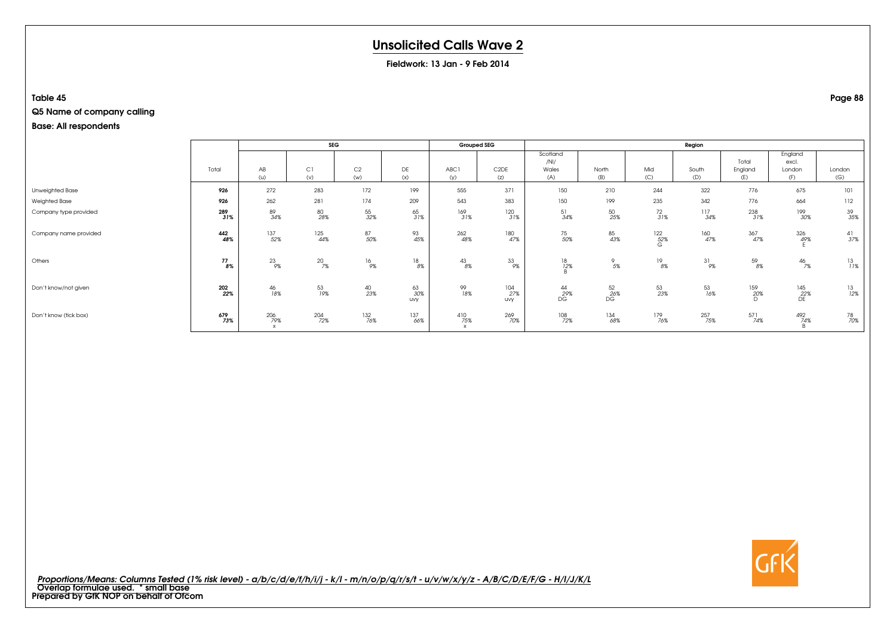Fieldwork: 13 Jan - 9 Feb 2014

#### Table 45

Q5 Name of company calling

### Base: All respondents

|                       |                  |                   | <b>SEG</b>                                   |                   |                       | <b>Grouped SEG</b> |                                               |                                  |                                            |                                              | Region            |                                                  |                                                           |                                           |
|-----------------------|------------------|-------------------|----------------------------------------------|-------------------|-----------------------|--------------------|-----------------------------------------------|----------------------------------|--------------------------------------------|----------------------------------------------|-------------------|--------------------------------------------------|-----------------------------------------------------------|-------------------------------------------|
|                       | Total            | AB<br>(u)         | C1<br>(v)                                    | C2<br>(w)         | DE<br>(x)             | ABC1<br>(y)        | C <sub>2</sub> DE<br>(z)                      | Scotland<br>/NI/<br>Wales<br>(A) | North<br>(B)                               | Mid<br>(C)                                   | South<br>(D)      | Total<br>England<br>(E)                          | England<br>excl.<br>London<br>(F)                         | London<br>(G)                             |
| Unweighted Base       | 926              | 272               | 283                                          | 172               | 199                   | 555                | 371                                           | 150                              | 210                                        | 244                                          | 322               | 776                                              | 675                                                       | 101                                       |
| Weighted Base         | 926              | 262               | 281                                          | 174               | 209                   | 543                | 383                                           | 150                              | 199                                        | 235                                          | 342               | 776                                              | 664                                                       | 112                                       |
| Company type provided | 289<br>31%       | 89<br>34%         | $\begin{array}{c} {80}\\ {28\%} \end{array}$ | $\frac{55}{32\%}$ | $^{65}_{31\%}$        | $\frac{169}{31\%}$ | $\begin{array}{c}\n120 \\ 31\% \n\end{array}$ | 51<br>34%                        | $\frac{50}{25\%}$                          | $^{72}_{31\%}$                               | 117<br>34%        | $\begin{array}{c}\n 238 \\  31\% \n \end{array}$ | 199<br>30%                                                | $\frac{39}{35\%}$                         |
| Company name provided | 442<br>48%       | 137<br>52%        | $\frac{125}{44\%}$                           | $87 \over 50\%$   | 93<br>45%             | 262<br>48%         | $\frac{180}{47\%}$                            | 75<br>50%                        | 85<br>43%                                  | $\underset{\mathsf{G}}{\overset{122}{52\%}}$ | 160<br>47%        | 367<br>47%                                       | 326<br>49%                                                | $^{41}_{37\%}$                            |
| Others                | $\frac{77}{8\%}$ | $\frac{23}{9\%}$  | $^{20}$ <sub>7%</sub>                        | $\frac{16}{9\%}$  | $\frac{18}{8\%}$      | $^{43}_{8\%}$      | $\frac{33}{9\%}$                              | $^{18}_{12\%}$<br>B              | $\frac{9}{5\%}$                            | $\frac{19}{8\%}$                             | $31$ 9%           | $59$ $8\%$                                       | $\frac{46}{7%}$                                           | $\frac{13}{11\%}$                         |
| Don't know/not given  | 202<br>22%       | $\frac{46}{18\%}$ | $\frac{53}{19\%}$                            | $^{40}_{23\%}$    | $^{63}_{30\%}$<br>uvy | 99<br>18%          | $^{104}_{27\%}$<br>uvy                        | 44<br>29%<br>DG                  | $^{52}_{\phantom{2}26\%}$ DG               | $\frac{53}{23\%}$                            | $\frac{53}{16\%}$ | 159<br>20%<br>D                                  | $\begin{array}{c} 145 \\ 22\% \\ \mathrm{DE} \end{array}$ | $\begin{array}{c} 13 \\ 12\% \end{array}$ |
| Don't know (tick box) | 679<br>73%       | 206<br>79%        | 204<br>72%                                   | 132<br>76%        | 137<br>66%            | $^{410}_{75\%}$    | 269<br>70%                                    | <sup>108</sup> 72%               | $\begin{array}{c} 134 \\ 68\% \end{array}$ | 179<br>76%                                   | 257<br>75%        | 571<br>74%                                       | 492<br>74%                                                | $^{78}_{70\%}$                            |



Proportions/Means: Columns Tested (1% risk level) - a/b/c/d/e/f/h/i/j - k/l - m/n/o/p/q/r/s/t - u/v/w/x/y/z - A/B/C/D/E/F/G - H/l/J/K/L<br>Overlap formulae used. \* small base<br>Prepared by GfK NOP on behalf of Ofcom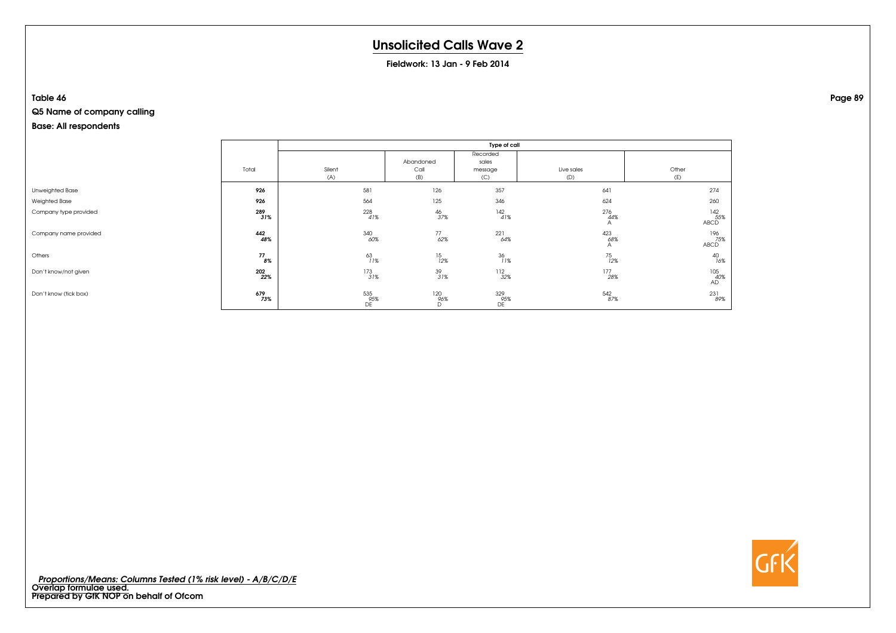Fieldwork: 13 Jan - 9 Feb 2014

#### Table 46

Q5 Name of company calling

## Base: All respondents

|                        |            |                                                                       |                   | Type of call                               |                    |                                                                                |
|------------------------|------------|-----------------------------------------------------------------------|-------------------|--------------------------------------------|--------------------|--------------------------------------------------------------------------------|
|                        |            |                                                                       |                   | Recorded                                   |                    |                                                                                |
|                        | Total      | Silent                                                                | Abandoned<br>Call | sales<br>message                           | Live sales         | Other                                                                          |
|                        |            | (A)                                                                   | (B)               | (C)                                        | (D)                | (E)                                                                            |
|                        |            |                                                                       |                   |                                            |                    |                                                                                |
| <b>Unweighted Base</b> | 926        | 581                                                                   | 126               | 357                                        | 641                | 274                                                                            |
| Weighted Base          | 926        | 564                                                                   | 125               | 346                                        | 624                | 260                                                                            |
| Company type provided  | 289<br>31% | $\frac{228}{41\%}$                                                    | $\frac{46}{37%}$  | $\begin{array}{c} 142 \\ 41\% \end{array}$ |                    |                                                                                |
|                        |            |                                                                       |                   |                                            | $\frac{276}{44\%}$ | $\begin{array}{c}\n 142 \\  \overline{55}\% \\  \overline{ABCD}\n \end{array}$ |
| Company name provided  | 442<br>48% | 340<br>60%                                                            | 77<br>62%         | 221<br>64%                                 | 423<br>68%         | 196<br>75%                                                                     |
|                        |            |                                                                       |                   |                                            | Α                  | ABCD                                                                           |
| Others                 | 77         |                                                                       |                   |                                            |                    |                                                                                |
|                        | 8%         | $^{63}_{11\%}$                                                        | $\frac{15}{12\%}$ | $\frac{36}{11\%}$                          | 75<br>12%          | $^{40}_{16\%}$                                                                 |
| Don't know/not given   | 202<br>22% | $\frac{173}{31\%}$                                                    | $\frac{39}{31\%}$ | $\begin{array}{c} 112 \\ 32\% \end{array}$ | $\frac{177}{28\%}$ | $\frac{105}{40\%}$                                                             |
|                        |            |                                                                       |                   |                                            |                    | AD                                                                             |
| Don't know (tick box)  |            |                                                                       |                   |                                            |                    |                                                                                |
|                        |            |                                                                       |                   |                                            |                    |                                                                                |
|                        | 679<br>73% | $\begin{array}{c} 535 \\ \text{\small 95\%} \\ \text{DE} \end{array}$ | 120<br>96%<br>D   | 329<br>95%<br>DE                           | 542<br>87%         | 231<br>89%                                                                     |

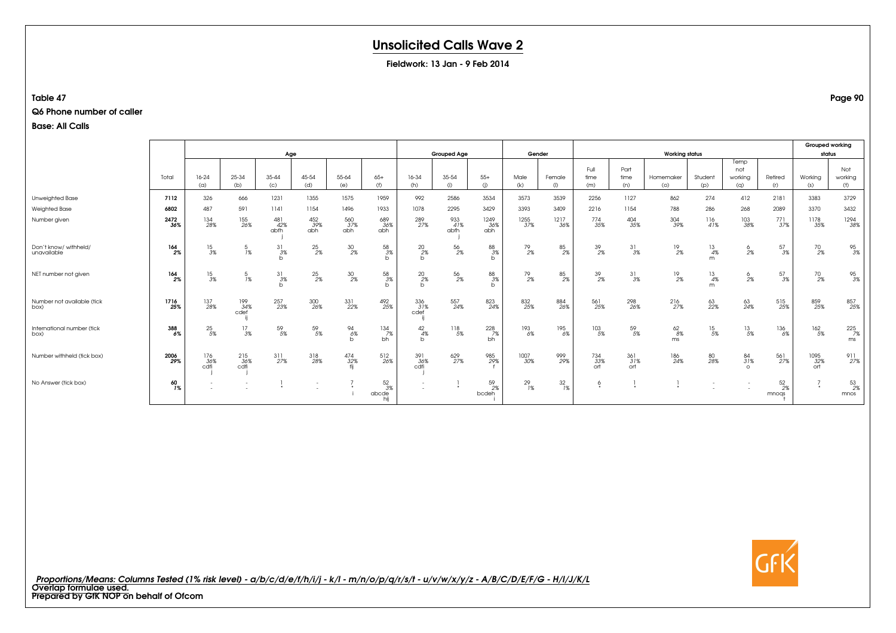Fieldwork: 13 Jan - 9 Feb 2014

### Table 47

#### Q6 Phone number of caller

## Base: All Calls

|                                      |                   |                    |                               | Age                        |                                            |                                            |                                            |                                                            | <b>Grouped Age</b>                        |                             | Gender                 |                  |                     |                     | Working status                             |                   |                                    |                                                                            | Grouped working<br>status                 |                                            |
|--------------------------------------|-------------------|--------------------|-------------------------------|----------------------------|--------------------------------------------|--------------------------------------------|--------------------------------------------|------------------------------------------------------------|-------------------------------------------|-----------------------------|------------------------|------------------|---------------------|---------------------|--------------------------------------------|-------------------|------------------------------------|----------------------------------------------------------------------------|-------------------------------------------|--------------------------------------------|
|                                      | Total             | 16-24<br>(a)       | 25-34<br>(b)                  | 35-44<br>$\left( c\right)$ | 45-54<br>(d)                               | 55-64<br>(e)                               | $65+$<br>(f)                               | 16-34<br>(h)                                               | 35-54<br>(i)                              | $55+$<br>(i)                | Male<br>(k)            | Female<br>(1)    | Full<br>time<br>(m) | Part<br>time<br>(n) | Homemaker<br>(0)                           | Student<br>(p)    | Temp<br>not<br>working<br>(a)      | Retired<br>(r)                                                             | Working<br>(s)                            | Not<br>working<br>(t)                      |
| <b>Unweighted Base</b>               | 7112              | 326                | 666                           | 1231                       | 1355                                       | 1575                                       | 1959                                       | 992                                                        | 2586                                      | 3534                        | 3573                   | 3539             | 2256                | 1127                | 862                                        | 274               | 412                                | 2181                                                                       | 3383                                      | 3729                                       |
| <b>Weighted Base</b>                 | 6802              | 487                | 591                           | 1141                       | 1154                                       | 1496                                       | 1933                                       | 1078                                                       | 2295                                      | 3429                        | 3393                   | 3409             | 2216                | 1154                | 788                                        | 286               | 268                                | 2089                                                                       | 3370                                      | 3432                                       |
| Number given                         | 2472<br>36%       | 134<br>28%         | <sup>155</sup> <sub>26%</sub> | $481$<br>$42%$<br>abfh     | 452<br>39%<br>abh                          | 560<br>37%<br>abh                          | 689<br>36%<br>abh                          | 289<br>27%                                                 | $\frac{933}{41\%}$<br>abfh                | 1249<br>36%<br>abh          | <sup>1255</sup><br>37% | 1217<br>36%      | 774<br>35%          | 404<br>35%          | 304<br>39%                                 | 116<br>41%        | $^{103}_{38\%}$                    | 771<br>37%                                                                 | 1178<br>35%                               | 1294<br>38%                                |
| Don't know/ withheld/<br>unavailable | $\frac{164}{2\%}$ | $^{15}_{3\%}$      | 5<br>7%                       | 31<br>3%<br>b              | $^{25}_{\ 2\%}$                            | $\frac{30}{2\%}$                           | 58<br>3%<br>b                              | $^{20}_{\phantom{2}\mathbf{2}\mathbf{\%}}$<br>$\mathsf{b}$ | $\frac{56}{2\%}$                          | $\substack{88 \\ 3\%}$<br>b | $^{79}_{2\%}$          | $\frac{85}{2\%}$ | $\frac{39}{2\%}$    | $\frac{31}{3\%}$    | $^{19}_{2\%}$                              | 13<br>4%<br>m     | $^6_{2\%}$                         | 57<br>3%                                                                   | $^{70}_{2\%}$                             | $\substack{95 \\ 3\%}$                     |
| NET number not given                 | $\frac{164}{2\%}$ | $^{15}_{3\%}$      | 5<br>7%                       | 31<br>3%<br>b              | $^{25}_{2\%}$                              | $\frac{30}{2\%}$                           | 58<br>3%<br>b                              | $^{20}_{\phantom{1}2\%}$<br>h                              | $\frac{56}{2\%}$                          | $\substack{88 \\ 3\%}$<br>b | $\frac{79}{2\%}$       | $\frac{85}{2\%}$ | $\frac{39}{2\%}$    | 31<br>3%            | $^{19}_{2\%}$                              | 13<br>4%<br>m     | $^6_{2\%}$                         | 57<br>3%                                                                   | $^{70}_{2\%}$                             | $\frac{95}{3\%}$                           |
| Number not available (tick<br>box)   | 1716<br>25%       | 137<br>28%         | 199<br>34%<br>cdef            | 257<br>23%                 | 300<br>26%                                 | $\begin{array}{c} 331 \\ 22\% \end{array}$ | 492<br>25%                                 | 336<br>31%<br>cdef                                         | 557<br>24%                                | 823<br>24%                  | 832<br>25%             | 884<br>26%       | 561<br>25%          | 298<br>26%          | $\begin{array}{c} 216 \\ 27\% \end{array}$ | $^{63}_{22\%}$    | $^{63}_{24\%}$                     | 515<br>25%                                                                 | 859<br>25%                                | 857<br>25%                                 |
| International number (tick<br>box)   | 388<br>6%         | $^{25}_{\,\,5\%}$  | 17<br>3%                      | 59<br>5%                   | 59<br>5%                                   | 94<br>6%<br>$\mathsf{b}$                   | 134<br>7%<br>bh                            | 42<br>4%<br>$\mathsf{b}$                                   | $\begin{array}{c} 118 \\ 5\% \end{array}$ | $^{228}_{7\%}$<br>bh        | 193<br>6%              | 195<br>6%        | 103<br>5%           | 59<br>5%            | 62<br>8%<br>ms                             | 15<br>5%          | $\frac{13}{5\%}$                   | 136<br>6%                                                                  | $\begin{array}{c} 162 \\ 5\% \end{array}$ | $\frac{225}{7\%}$<br>ms                    |
| Number withheld (tick box)           | 2006<br>29%       | 176<br>36%<br>cdfi | $\frac{215}{36\%}$<br>cdfi    | 311<br>27%                 | $\begin{array}{c} 318 \\ 28\% \end{array}$ | $\frac{474}{32\%}$                         | $\begin{array}{c} 512 \\ 26\% \end{array}$ | 391<br>36%<br>cdfi                                         | 629<br>27%                                | 985<br>29%                  | 1007<br>30%            | 999<br>29%       | 734<br>33%<br>ort   | 361<br>31%<br>ort   | 186<br>24%                                 | $\frac{80}{28\%}$ | $\substack{84 \\ 31\%}$<br>$\circ$ | 561<br>27%                                                                 | 1095<br>32%<br>ort                        | $\begin{array}{c} 911 \\ 27\% \end{array}$ |
| No Answer (fick box)                 | 60<br>1%          |                    |                               |                            | $\overline{\phantom{a}}$                   |                                            | 52<br>3%<br>abcde<br>hij                   |                                                            |                                           | 59<br>2%<br>bcdeh           | 29<br>1%               | 32<br>1%         | 6                   |                     |                                            |                   |                                    | $^{52}_{\phantom{2}\phantom{2}\phantom{2}\phantom{2}\phantom{2}}$<br>mnogs |                                           | $\frac{53}{2\%}$<br>mnos                   |



Proportions/Means: Columns Tested (1% risk level) - a/b/c/d/e/f/h/i/j - k/l - m/n/o/p/q/r/s/t - u/v/w/x/y/z - A/B/C/D/E/F/G - H/I/J/K/L<br>Overlap formulae used.<br>Prepared by GfK NOP on behalf of Ofcom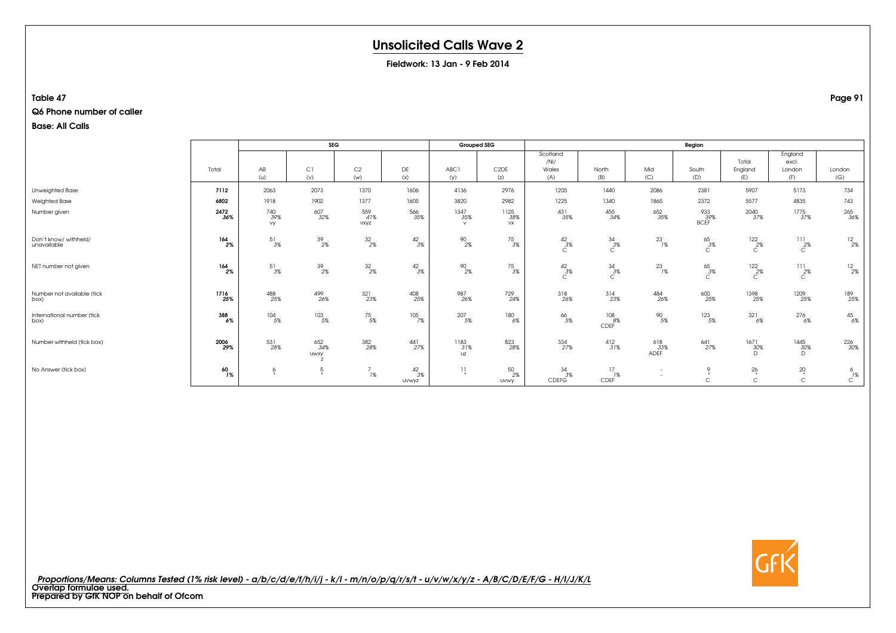Fieldwork: 13 Jan - 9 Feb 2014

#### Table 47

### Q6 Phone number of caller

### Base: All Calls

|                                      |                   |                           | <b>SEG</b>                               |                          |                                           | <b>Grouped SEG</b>                                       |                          |                                            |                                            |                         | Region                             |                                                |                                                 |                            |
|--------------------------------------|-------------------|---------------------------|------------------------------------------|--------------------------|-------------------------------------------|----------------------------------------------------------|--------------------------|--------------------------------------------|--------------------------------------------|-------------------------|------------------------------------|------------------------------------------------|-------------------------------------------------|----------------------------|
|                                      |                   |                           |                                          |                          |                                           |                                                          |                          | Scotland<br>$/$ NI $/$                     |                                            |                         |                                    | Total                                          | England<br>excl.                                |                            |
|                                      | Total             | AB<br>(u)                 | C1<br>(v)                                | C2<br>(w)                | DE<br>(x)                                 | ABC1<br>(y)                                              | C <sub>2</sub> DE<br>(z) | Wales<br>(A)                               | North<br>(B)                               | Mid<br>(C)              | South<br>(D)                       | England<br>(E)                                 | London<br>(F)                                   | London<br>(G)              |
| <b>Unweighted Base</b>               | 7112              | 2063                      | 2073                                     | 1370                     | 1606                                      | 4136                                                     | 2976                     | 1205                                       | 1440                                       | 2086                    | 2381                               | 5907                                           | 5173                                            | 734                        |
| Weighted Base                        | 6802              | 1918                      | 1902                                     | 1377                     | 1605                                      | 3820                                                     | 2982                     | 1225                                       | 1340                                       | 1865                    | 2372                               | 5577                                           | 4835                                            | 743                        |
| Number given                         | 2472<br>36%       | 740<br>39%<br><b>VV</b>   | 607<br>32%                               | 559<br>41%<br>vxyz       | 566<br>35%                                | 1347<br>35%<br>$\checkmark$                              | 1125<br>38%<br><b>VX</b> | $^{431}_{\phantom{1}35\%}$                 | $\substack{455 \\ 34\%}$                   | 652<br>35%              | 933<br>39%<br>BCEF                 | 2040<br>37%                                    | 1775<br>37%                                     | 265<br>36%                 |
| Don't know/ withheld/<br>unavailable | $\frac{164}{2\%}$ | $\frac{51}{3\%}$          | $\frac{39}{2\%}$                         | $\frac{32}{2\%}$         | $\frac{42}{3\%}$                          | $\frac{90}{2\%}$                                         | 75<br>3%                 | $\ensuremath{\mathbb{Z}_3^{3\%}}\xspace$ C | 34<br>$\int_{C}^{3\%}$                     | $^{23}$ <sub>1%</sub>   | 65<br>3%<br>C                      | $\frac{122}{2\%}$<br>С                         | $\begin{array}{c} 111 \\ -2\% \\ C \end{array}$ | $\frac{12}{2\%}$           |
| NET number not given                 | $\frac{164}{2\%}$ | $\frac{51}{3\%}$          | $\begin{array}{c} 39 \\ 2\% \end{array}$ | $\frac{32}{2\%}$         | $^{42}_{3\%}$                             | $\frac{90}{2\%}$                                         | $\frac{75}{3\%}$         | $^{42}_{3\%}$<br>C                         | 34<br>3%<br>$\mathsf{C}$                   | $\frac{23}{1\%}$        | $^{65}_{3\%}$<br>C                 | $\begin{array}{c} 122 \\ 2\% \end{array}$<br>C | $\begin{array}{c} 111 \\ -2\% \\ C \end{array}$ | $\frac{12}{2\%}$           |
| Number not available (tick<br>box)   | 1716<br>25%       | $\underset{25\%}{^{488}}$ | 499<br>26%                               | 321<br>23%               | $\underset{25\%}{^{408}}$                 | 987<br>26%                                               | 729<br>24%               | $\begin{array}{c} 318 \\ 26\% \end{array}$ | $\begin{array}{c} 314 \\ 23\% \end{array}$ | 484<br>26%              | 600<br>25%                         | 1398<br>25%                                    | 1209<br>25%                                     | 189<br>25%                 |
| International number (tick<br>box)   | 388<br>6%         | $\frac{104}{5%}$          | $\frac{103}{5\%}$                        | $^{75}_{\phantom{1}5\%}$ | $\begin{array}{c} 105 \\ 7\% \end{array}$ | $\begin{array}{l} 207 \\ 5\% \end{array}$                | 180<br>6%                | 66<br>5%                                   | $^{108}_{8\%}$<br>CDEF                     | $90\n 5%$               | $\frac{123}{5%}$                   | $321$ 6%                                       | $\frac{276}{6\%}$                               | $^{45}_{6\%}$              |
| Number withheld (tick box)           | 2006<br>29%       | 531<br>28%                | 652<br>34%<br>uwxy                       | 382<br>28%               | $^{441}_{27\%}$                           | $\begin{array}{c} 1183 \\ 31\% \end{array}$<br><b>UZ</b> | 823<br>28%               | $\frac{334}{27\%}$                         | $\underset{31\%}{^{412}}$                  | $^{618}_{33\%}$<br>ADEF | $^{641}_{27\%}$                    | $\frac{1671}{30\%}$<br>D                       | 1445<br>30%<br>D                                | $\frac{226}{30\%}$         |
| No Answer (tick box)                 | 60<br>1%          | $\dot{\circ}$             | $\frac{5}{3}$                            | $\overline{ }$<br>1%     | $^{42}_{3\%}$<br>uvwyz                    | 11                                                       | $50$ $2\%$<br>uvwy       | $\frac{34}{3\%}$<br><b>CDEFG</b>           | 17<br>1%<br>CDEF                           | $\sim$<br>$\sim$        | $\circ$<br>$\cdot$<br>$\mathsf{C}$ | $26 \overline{ }$<br>C                         | $20 \xspace$<br>$\mathsf{C}$                    | $\sigma_{\rm 1\%}^{\rm 6}$ |



Proportions/Means: Columns Tested (1% risk level) - a/b/c/d/e/f/h/i/j - k/l - m/n/o/p/q/r/s/t - u/v/w/x/y/z - A/B/C/D/E/F/G - H/l/J/K/L<br>Overlap formulae used.<br>Prepared by GfK NOP on behalf of Ofcom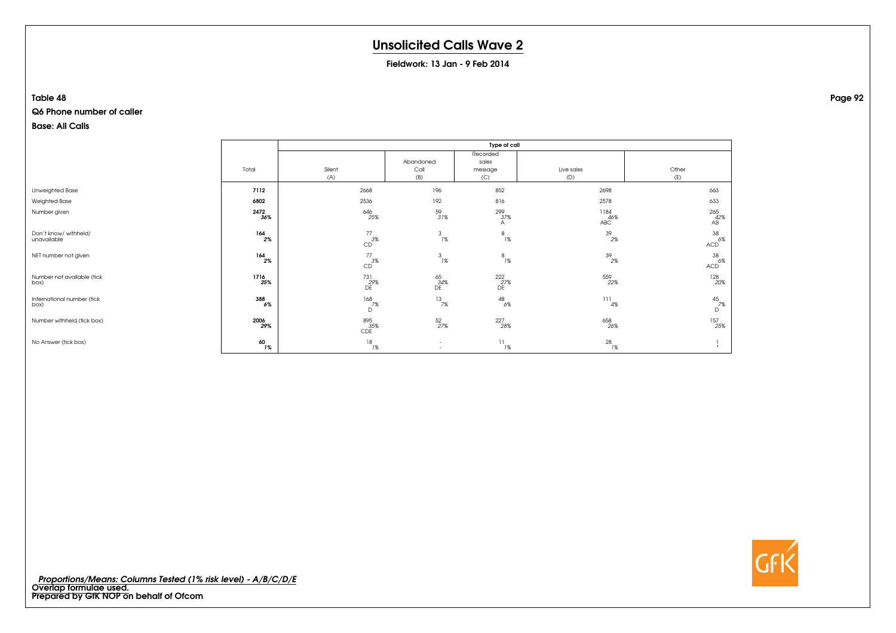Fieldwork: 13 Jan - 9 Feb 2014

#### Table 48

Q6 Phone number of caller

### Base: All Calls

|                                      |                                           |                                                          |                   | Type of call                                   |                                          |                                                        |
|--------------------------------------|-------------------------------------------|----------------------------------------------------------|-------------------|------------------------------------------------|------------------------------------------|--------------------------------------------------------|
|                                      |                                           |                                                          |                   | Recorded                                       |                                          |                                                        |
|                                      | Total                                     | Silent                                                   | Abandoned         | sales                                          | Live sales                               | Other                                                  |
|                                      |                                           | (A)                                                      | Call<br>(B)       | message<br>(C)                                 | (D)                                      | (E)                                                    |
|                                      |                                           |                                                          |                   |                                                |                                          |                                                        |
| Unweighted Base                      | 7112                                      | 2668                                                     | 196               | 852                                            | 2698                                     | 663                                                    |
| Weighted Base                        | 6802                                      | 2536                                                     | 192               | 816                                            | 2578                                     | 633                                                    |
| Number given                         | 2472<br>36%                               | 646<br>25%                                               | $\frac{59}{31\%}$ | $\frac{299}{37\%}$ A                           | 1184<br>46%<br>ABC                       | $\overset{265}{\underset{\mathsf{AB}}{\overset{42\%}}$ |
| Don't know/ withheld/<br>unavailable | $\frac{164}{2\%}$                         | 77<br>$CD$ <sup>3%</sup>                                 | $3$ <sub>1%</sub> | $\begin{smallmatrix} 8\\1\% \end{smallmatrix}$ | $\begin{array}{c} 39 \\ 2\% \end{array}$ | 38<br>6%<br><b>ACD</b>                                 |
| NET number not given                 | $\frac{164}{2\%}$                         | 77<br>$CD$ <sup>3%</sup>                                 | $\frac{3}{1\%}$   | $\begin{smallmatrix} 8\\1\% \end{smallmatrix}$ | $\begin{array}{c} 39 \\ 2\% \end{array}$ | 38<br>ACD                                              |
| Number not available (tick<br>box)   | 1716<br>25%                               | 731<br>29%                                               | 65<br>34%<br>DE   | $\overset{222}{\underset{\text{DE}}{27\%}}$    | 559<br>22%                               | 128<br>20%                                             |
| International number (tick<br>box)   | $\begin{array}{c} 388 \\ 6\% \end{array}$ | $168$ <sub>7%</sub><br>D                                 | $\frac{13}{7\%}$  | $^{48}_{6\%}$                                  | 111<br>4%                                | $45$ <sub>7%</sub><br>D                                |
| Number withheld (tick box)           | 2006<br>29%                               | $\begin{array}{c} 895 \\ 35\% \\ \text{CDE} \end{array}$ | $\frac{52}{27%}$  | 227<br>28%                                     | 658<br>26%                               | <sup>157</sup><br>25%                                  |
| No Answer (tick box)                 | 60<br>1%                                  | $\frac{18}{1\%}$                                         | $\sim$            | $11 -$<br>1%                                   | $^{28}$ $_{l\%}$                         | $\bullet$                                              |

Proportions/Means: Columns Tested (1% risk level) - A/B/C/D/E Overlap formulae used. Prepared by GfK NOP on behalf of Ofcom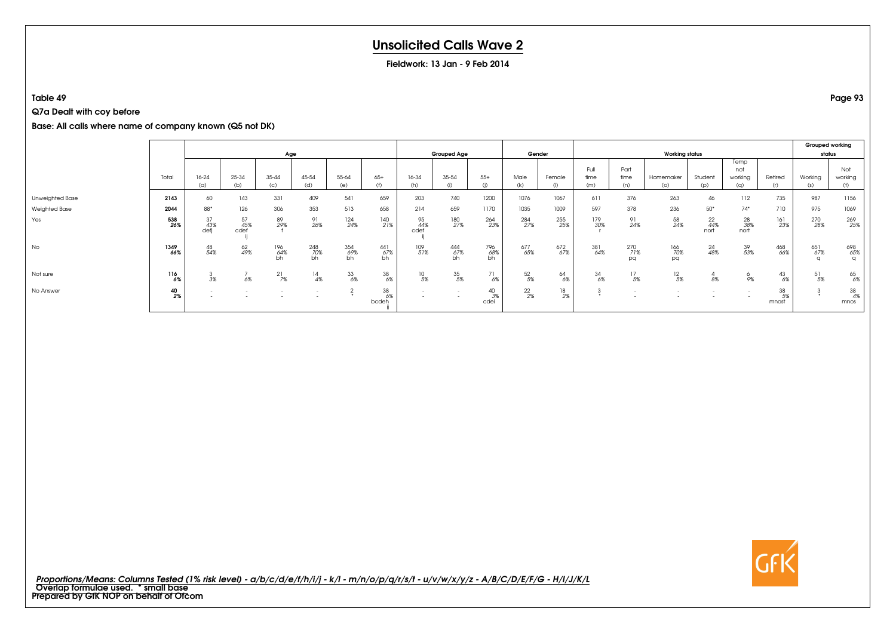### Fieldwork: 13 Jan - 9 Feb 2014

Table 49

Q7a Dealt with coy before

Base: All calls where name of company known (Q5 not DK)

|                      |             |                   |                   |                          |                   |                  |                   |                   |                    |                  |                  |                          |             |                   |                       |                        |                                                         |                   | Grouped working        |                            |
|----------------------|-------------|-------------------|-------------------|--------------------------|-------------------|------------------|-------------------|-------------------|--------------------|------------------|------------------|--------------------------|-------------|-------------------|-----------------------|------------------------|---------------------------------------------------------|-------------------|------------------------|----------------------------|
|                      |             |                   |                   | Age                      |                   |                  |                   |                   | <b>Grouped Age</b> |                  | Gender           |                          |             |                   | <b>Working status</b> |                        |                                                         |                   | status                 |                            |
|                      |             |                   |                   |                          |                   |                  |                   |                   |                    |                  |                  |                          |             |                   |                       |                        | Temp                                                    |                   |                        |                            |
|                      | Total       | 16-24             | 25-34             | 35-44                    | 45-54             | 55-64            | $65+$             | 16-34             | 35-54              | $55+$            |                  |                          | Full        | Part              |                       |                        | not                                                     |                   |                        | Not                        |
|                      |             | (a)               | (b)               | (c)                      | (d)               | (e)              | (f)               | (h)               | (1)                | (i)              | Male<br>(k)      | Female<br>(1)            | time<br>(m) | time<br>(n)       | Homemaker<br>(0)      | Student<br>(p)         | working<br>(a)                                          | Retired<br>(r)    | Working<br>(s)         | working<br>(t)             |
|                      |             |                   |                   |                          |                   |                  |                   |                   |                    |                  |                  |                          |             |                   |                       |                        |                                                         |                   |                        |                            |
| Unweighted Base      | 2143        | 60                | 143               | 331                      | 409               | 541              | 659               | 203               | 740                | 1200             | 1076             | 1067                     | 611         | 376               | 263                   | 46                     | 112                                                     | 735               | 987                    | 1156                       |
| <b>Weighted Base</b> | 2044        | 88*               | 126               | 306                      | 353               | 513              | 658               | 214               | 659                | 1170             | 1035             | 1009                     | 597         | 378               | 236                   | $50*$                  | $74*$                                                   | 710               | 975                    | 1069                       |
| Yes                  | 538<br>26%  | 37<br>43%<br>defi | 57<br>45%<br>cdef | $\frac{89}{29%}$         | $\frac{91}{26\%}$ | $^{124}_{24\%}$  | $^{140}_{21\%}$   | 95<br>44%<br>cdef | 180<br>27%         | 264<br>23%       | 284<br>27%       | $\substack{255 \\ 25\%}$ | 179<br>30%  | $\frac{91}{24\%}$ | 58<br>24%             | $^{22}_{44\%}$<br>nort | $\begin{array}{c} 28 \\ 38\% \\ \text{nor} \end{array}$ | 161<br>23%        | $^{270}_{28\%}$        | 269<br>25%                 |
| No                   | 1349<br>66% | 48<br>54%         | $^{62}_{49\%}$    | 196<br>64%<br>bh         | 248<br>70%<br>bh  | 354<br>69%<br>bh | 441<br>67%<br>bh  | $^{109}_{51\%}$   | 444<br>67%<br>bh   | 796<br>68%<br>bh | 677<br>65%       | 672<br>67%               | 381<br>64%  | 270<br>71%<br>pq  | 166<br>70%<br>pq      | $^{24}_{48\%}$         | 39<br>53%                                               | 468<br>66%        | 651<br>67%<br>$\Omega$ | 698<br>65%<br>$\mathsf{q}$ |
| Not sure             | 116<br>6%   | 3%                | 6%                | $^{21}_{7\%}$            | $\frac{14}{4\%}$  | 33<br>6%         | 38<br>6%          | $\frac{10}{5\%}$  | $\frac{35}{5\%}$   | 71<br>6%         | $\frac{52}{5\%}$ | 64<br>6%                 | 34<br>6%    | $\frac{17}{5\%}$  | $^{12}_{\,5\%}$       | 8%                     | $^{6}_{9\%}$                                            | 43<br>6%          | $^{51}_{5\%}$          | 65<br>6%                   |
| No Answer            | 40<br>2%    | $\sim$            |                   | $\overline{\phantom{a}}$ |                   | $\sim$<br>-4     | 38<br>6%<br>bcdeh | $\sim$            | $\sim$             | 40<br>3%<br>cdei | $^{22}_{2\%}$    | 18<br>2%                 |             | $\sim$            | $\sim$                |                        | $\overline{\phantom{a}}$                                | 38<br>5%<br>mnost |                        | $\frac{38}{4\%}$<br>mnos   |



Proportions/Means: Columns Tested (1% risk level) - a/b/c/d/e/f/h/i/j - k/l - m/n/o/p/q/r/s/t - u/v/w/x/y/z - A/B/C/D/E/F/G - H/I/J/K/L<br>Overlap formulae used. \* small base<br>Prepared by GfK NOP on behalf of Ofcom

en de la provincia de la provincia de la provincia de la provincia de la provincia de la provincia de la provi<br>Page 93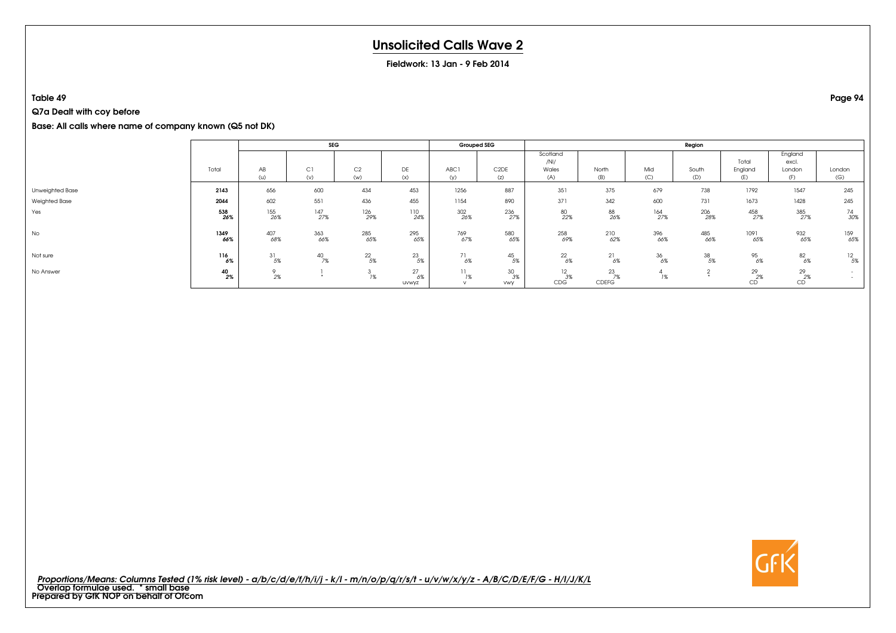Fieldwork: 13 Jan - 9 Feb 2014

Table 49

Q7a Dealt with coy before

Base: All calls where name of company known (Q5 not DK)

|                        |             |               | <b>SEG</b> |                |                                            | <b>Grouped SEG</b> |                                |                     |                                            |            | Region     |                     |                                                  |                  |
|------------------------|-------------|---------------|------------|----------------|--------------------------------------------|--------------------|--------------------------------|---------------------|--------------------------------------------|------------|------------|---------------------|--------------------------------------------------|------------------|
|                        |             |               |            |                |                                            |                    |                                | Scotland            |                                            |            |            |                     | England                                          |                  |
|                        |             |               |            |                |                                            |                    |                                | $/$ NI $/$          |                                            |            |            | Total               | excl.                                            |                  |
|                        | Total       | AB            | C1         | C2             | DE                                         | ABC1               | C <sub>2</sub> DE              | Wales               | North                                      | Mid        | South      | England             | London                                           | London           |
|                        |             | (u)           | (v)        | (w)            | (x)                                        | (y)                | (z)                            | (A)                 | (B)                                        | (C)        | (D)        | (E)                 | (F)                                              | (G)              |
| <b>Unweighted Base</b> | 2143        | 656           | 600        | 434            | 453                                        | 1256               | 887                            | 351                 | 375                                        | 679        | 738        | 1792                | 1547                                             | 245              |
| <b>Weighted Base</b>   | 2044        | 602           | 551        | 436            | 455                                        | 1154               | 890                            | 371                 | 342                                        | 600        | 731        | 1673                | 1428                                             | 245              |
| Yes                    | 538<br>26%  | 155<br>26%    | 147<br>27% | 126<br>29%     | $\begin{array}{c} 110 \\ 24\% \end{array}$ | 302<br>26%         | 236<br>27%                     | 80<br>22%           | 88<br>26%                                  | 164<br>27% | 206<br>28% | 458<br>27%          | 385<br>27%                                       | 74<br>30%        |
| No                     | 1349<br>66% | 407<br>68%    | 363<br>66% | 285<br>65%     | 295<br>65%                                 | 769<br>67%         | 580<br>65%                     | 258<br>69%          | $\begin{array}{c} 210 \\ 62\% \end{array}$ | 396<br>66% | 485<br>66% | 1091<br>65%         | 932<br>65%                                       | 159<br>65%       |
| Not sure               | 116<br>6%   | 31<br>5%      | 40<br>7%   | $^{22}_{-5\%}$ | 23<br>5%                                   | 71<br>6%           | 45<br>5%                       | 22<br>6%            | 21<br>6%                                   | 36<br>6%   | 38<br>5%   | 95<br>6%            | 82<br>6%                                         | $\frac{12}{5\%}$ |
| No Answer              | 40<br>2%    | $\circ$<br>2% |            | 1%             | 27<br>6%<br>uvwyz                          | $11 -$<br>1%       | $\frac{30}{3\%}$<br><b>vwy</b> | $^{12}_{3%}$<br>CDG | 23<br>7%<br>CDEFG                          | 1%         |            | $^{29}_{2\%}$<br>CD | $\overset{29}{_{\sim}}$ $\overset{2\%}{_{\sim}}$ | $\sim$<br>$\sim$ |
|                        |             |               |            |                |                                            |                    |                                |                     |                                            |            |            |                     |                                                  |                  |

Proportions/Means: Columns Tested (1% risk level) - a/b/c/d/e/f/h/i/j - k/l - m/n/o/p/q/r/s/t - u/v/w/x/y/z - A/B/C/D/E/F/G - H/l/J/K/L<br>Overlap formulae used. \* small base<br>Prepared by GfK NOP on behalf of Ofcom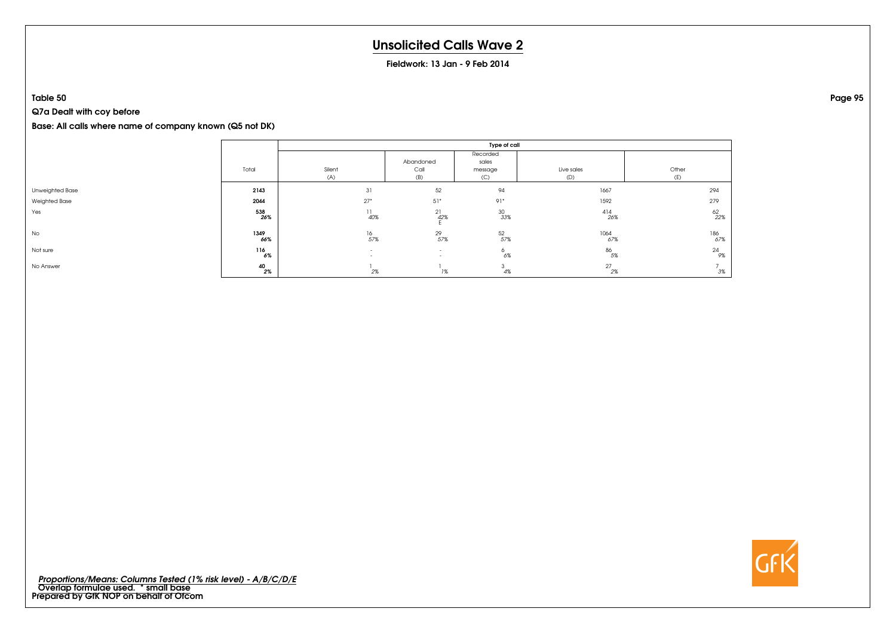### Fieldwork: 13 Jan - 9 Feb 2014

Table 50

Q7a Dealt with coy before

Base: All calls where name of company known (Q5 not DK)

|                 |                   |                          |                  | Type of call           |                                            |            |
|-----------------|-------------------|--------------------------|------------------|------------------------|--------------------------------------------|------------|
|                 |                   |                          |                  | Recorded               |                                            |            |
|                 |                   |                          | Abandoned        | sales                  |                                            |            |
|                 | Total             | Silent                   | Call             | message                | Live sales                                 | Other      |
|                 |                   | (A)                      | (B)              | (C)                    | (D)                                        | (E)        |
| Unweighted Base | 2143              | 31                       | 52               | 94                     | 1667                                       | 294        |
| Weighted Base   | 2044              | $27*$                    | $51*$            | $91*$                  | 1592                                       | 279        |
| Yes             | 538<br>26%        | $11 -$<br>40%            | 21<br>42%        | $\substack{30 \ 33\%}$ | $\begin{array}{c} 414 \\ 26\% \end{array}$ | 62<br>22%  |
|                 |                   |                          |                  |                        |                                            |            |
| No              | 1349              | $\frac{16}{57%}$         | $^{29}_{\ 57\%}$ | 52<br>57%              | 1064<br>67%                                | 186<br>67% |
|                 | 66%               |                          |                  |                        |                                            |            |
| Not sure        | $\frac{116}{6\%}$ | $\overline{\phantom{a}}$ | $\sim$           | $\circ$<br>6%          | 86<br>5%                                   | $^{24}$ %  |
|                 |                   | $\overline{\phantom{a}}$ | $\sim$           |                        |                                            |            |
| No Answer       | $\frac{40}{2\%}$  | 2%                       | 1%               | 4%                     | 27<br>2%                                   | 3%         |
|                 |                   |                          |                  |                        |                                            |            |



Page 95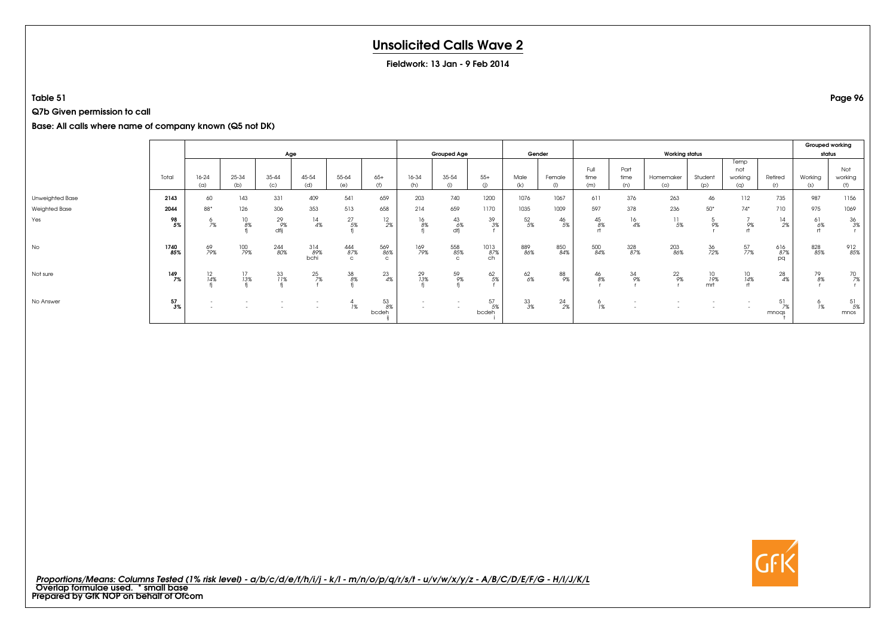### Fieldwork: 13 Jan - 9 Feb 2014

Table 51

Q7b Given permission to call

Base: All calls where name of company known (Q5 not DK)

|                 |                   |                |                  | Age                              |                    |                                 |                            |                  | <b>Grouped Age</b>                                     |                   | Gender           |                  |                                     |                     | <b>Working status</b> |                  |                               |                   | Grouped working<br>status |                          |
|-----------------|-------------------|----------------|------------------|----------------------------------|--------------------|---------------------------------|----------------------------|------------------|--------------------------------------------------------|-------------------|------------------|------------------|-------------------------------------|---------------------|-----------------------|------------------|-------------------------------|-------------------|---------------------------|--------------------------|
|                 | Total             | 16-24<br>(a)   | 25-34<br>(b)     | 35-44                            | 45-54<br>(d)       | 55-64<br>(e)                    | $65+$                      | 16-34<br>(h)     | 35-54                                                  | $55+$<br>$\circ$  | Male<br>(k)      | Female<br>(1)    | Full<br>time<br>(m)                 | Part<br>time<br>(n) | Homemaker<br>(0)      | Student<br>(p)   | Temp<br>not<br>working<br>(a) | Retired<br>(r)    | Working<br>(s)            | Not<br>working<br>(t)    |
| Unweighted Base | 2143              | 60             | 143              | 331                              | 409                | 541                             | 659                        | 203              | 740                                                    | 1200              | 1076             | 1067             | 611                                 | 376                 | 263                   | 46               | 112                           | 735               | 987                       | 1156                     |
| Weighted Base   | 2044              | 88*            | 126              | 306                              | 353                | 513                             | 658                        | 214              | 659                                                    | 1170              | 1035             | 1009             | 597                                 | 378                 | 236                   | $50*$            | $74*$                         | 710               | 975                       | 1069                     |
| Yes             | 98<br>5%          | 6<br>7%        | $\frac{10}{8\%}$ | $^{29}_{\phantom{1}9\%}$<br>dfij | 14<br>4%           | 27<br>5%                        | $^{12}_{2\%}$              | $\frac{16}{8\%}$ | $\begin{array}{c} 43 \\ 6\% \\ \text{dfj} \end{array}$ | 39<br>3%          | $\frac{52}{5\%}$ | $^{46}_{\ 5\%}$  | $\substack{45 \\ 8\%}$              | $\frac{16}{4\%}$    | $\frac{11}{5\%}$      | 9%               | 9%                            | 14<br>2%          | 61<br>6%                  | $\frac{36}{3\%}$         |
| No              | 1740<br>85%       | 69<br>79%      | 100<br>79%       | 244<br>80%                       | 314<br>89%<br>bchi | $^{444}_{87\%}$<br>$\mathbf{C}$ | 569<br>86%<br>$\mathbb{C}$ | 169<br>79%       | 558<br>85%<br>$\mathtt{C}$                             | 1013<br>87%<br>ch | 889<br>86%       | 850<br>84%       | $\frac{500}{84\%}$                  | $\frac{328}{87%}$   | 203<br>86%            | 36<br>72%        | $\frac{57}{77\%}$             | 616<br>87%<br>pq  | $\underset{85\%}{^{828}}$ | 912<br>85%               |
| Not sure        | $\frac{149}{7\%}$ | $^{12}_{14\%}$ | $^{17}_{13\%}$   | $\frac{33}{11\%}$                | $^{25}_{7\%}$      | $\substack{38 \\ 8\%}$          | $\frac{23}{4\%}$           | $^{29}_{13\%}$   | 59<br>9%                                               | $^{62}_{-5\%}$    | $^{62}_{6\%}$    | $\frac{88}{9\%}$ | $\substack{46 \\ \scriptstyle 8\%}$ | $\frac{34}{9\%}$    | $^{22}_{9\%}$         | 10<br>19%<br>mrt | $\frac{10}{14\%}$<br>rt.      | $^{28}_{4\%}$     | 79<br>8%                  | <sup>70</sup> 7%         |
| No Answer       | 57<br>3%          |                |                  |                                  |                    | 1%                              | 53<br>8%<br>bcdeh          | $\sim$           | $\overline{\phantom{a}}$<br>$\sim$                     | 57<br>5%<br>bcdeh | $\frac{33}{3\%}$ | 24<br>2%         | ó<br>1%                             |                     |                       |                  |                               | 51<br>7%<br>mnogs | Ô<br>1%                   | $\frac{51}{5\%}$<br>mnos |

Proportions/Means: Columns Tested (1% risk level) - a/b/c/d/e/f/h/i/j - k/l - m/n/o/p/q/r/s/t - u/v/w/x/y/z - A/B/C/D/E/F/G - H/I/J/K/L<br>Overlap formulae used. \* small base<br>Prepared by GfK NOP on behalf of Ofcom

la a constantin de la constantin de la constantin de la constantin de la constantin de la constantin de la constantin de la constantin de la constantin de la constantin de la constantin de la constantin de la constantin de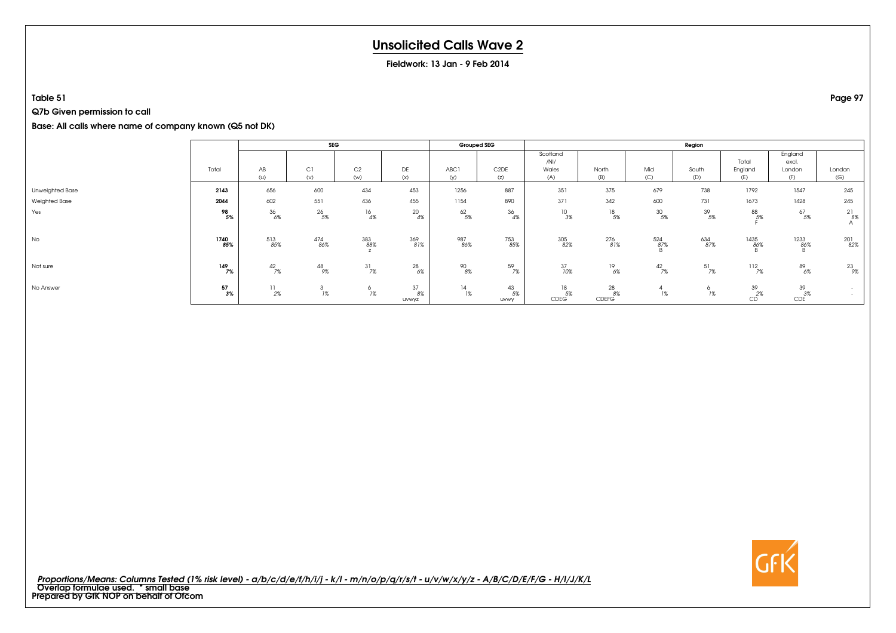Fieldwork: 13 Jan - 9 Feb 2014

Table 51

Q7b Given permission to call

Base: All calls where name of company known (Q5 not DK)

|                        |                   |                          | <b>SEG</b>       |                                                      |                           |                  | Grouped SEG               |                          |                                  |                    | Region           |                                           |                                                        |                 |
|------------------------|-------------------|--------------------------|------------------|------------------------------------------------------|---------------------------|------------------|---------------------------|--------------------------|----------------------------------|--------------------|------------------|-------------------------------------------|--------------------------------------------------------|-----------------|
|                        |                   |                          |                  |                                                      |                           |                  |                           | Scotland                 |                                  |                    |                  |                                           | England                                                |                 |
|                        |                   |                          |                  |                                                      |                           |                  |                           | /NI/                     |                                  |                    |                  | Total                                     | excl.                                                  |                 |
|                        | Total             | AB                       | C1               | C2                                                   | DE                        | ABC1             | C <sub>2</sub> DE         | Wales                    | North                            | Mid                | South            | England                                   | London                                                 | London          |
|                        |                   | (u)                      | (v)              | (w)                                                  | (x)                       | (y)              | (z)                       | (A)                      | (B)                              | (C)                | (D)              | (E)                                       | (F)                                                    | (G)             |
| <b>Unweighted Base</b> | 2143              | 656                      | 600              | 434                                                  | 453                       | 1256             | 887                       | 351                      | 375                              | 679                | 738              | 1792                                      | 1547                                                   | 245             |
| <b>Weighted Base</b>   | 2044              | 602                      | 551              | 436                                                  | 455                       | 1154             | 890                       | 371                      | 342                              | 600                | 731              | 1673                                      | 1428                                                   | 245             |
| Yes                    | 98<br>5%          | 36<br>6%                 | $\frac{26}{5\%}$ | $\frac{16}{4\%}$                                     | 20<br>4%                  | $62$ 5%          | 36<br>4%                  | $\frac{10}{3\%}$         | $\frac{18}{5\%}$                 | $\frac{30}{5\%}$   | 39<br>5%         | 88<br>5%                                  | $^{67}_{\phantom{1}5\%}$                               | $^{21}_{8\%}$   |
|                        |                   |                          |                  |                                                      |                           |                  |                           |                          |                                  |                    |                  |                                           |                                                        | A               |
| No                     | 1740<br>85%       | $\substack{513 \\ 85\%}$ | 474<br>86%       | $\underset{\mathcal{B\mathcal{B}\mathcal{B}}}{38\%}$ | 369<br>81%                | 987<br>86%       | 753<br>85%                | 305<br>82%               | $^{276}_{81\%}$                  |                    | 634<br>87%       | 1435<br>86%                               |                                                        | 201<br>82%      |
|                        |                   |                          |                  |                                                      |                           |                  |                           |                          |                                  | $\frac{524}{87\%}$ |                  |                                           | $\frac{1233}{86\%}$                                    |                 |
| Not sure               |                   |                          |                  |                                                      | 28                        |                  |                           |                          |                                  |                    |                  |                                           |                                                        |                 |
|                        | $\frac{149}{7\%}$ | $^{42}$ <sub>7%</sub>    | $^{48}_{9\%}$    | $\frac{31}{7\%}$                                     | 6%                        | 90<br>8%         | 59<br>7%                  | $\frac{37}{10\%}$        | $\frac{19}{6\%}$                 | $^{42}_{7\%}$      | $\frac{51}{7\%}$ | $\begin{array}{c} 112 \\ 7\% \end{array}$ | 89<br>6%                                               | $\frac{23}{9%}$ |
| No Answer              |                   |                          |                  | $\circ$                                              |                           |                  |                           |                          |                                  |                    |                  |                                           |                                                        | $\sim$          |
|                        | $\frac{57}{3\%}$  | $\frac{11}{2\%}$         | $\frac{3}{1\%}$  | 7%                                                   | $\frac{37}{8\%}$<br>uvwyz | $\frac{14}{1\%}$ | $^{43}_{\,\,5\%}$<br>uvwy | $\frac{18}{5\%}$<br>CDEG | $\frac{28}{8\%}$<br><b>CDEFG</b> | 1%                 | $^{\circ}$ 1%    | $\frac{39}{2\%}$<br>CD                    | $\begin{array}{c} 39 \\ 3\% \\ \text{CDE} \end{array}$ | <b>Contract</b> |
|                        |                   |                          |                  |                                                      |                           |                  |                           |                          |                                  |                    |                  |                                           |                                                        |                 |

Proportions/Means: Columns Tested (1% risk level) - a/b/c/d/e/f/h/i/j - k/l - m/n/o/p/q/r/s/t - u/v/w/x/y/z - A/B/C/D/E/F/G - H/l/J/K/L<br>Overlap formulae used. \* small base<br>Prepared by GfK NOP on behalf of Ofcom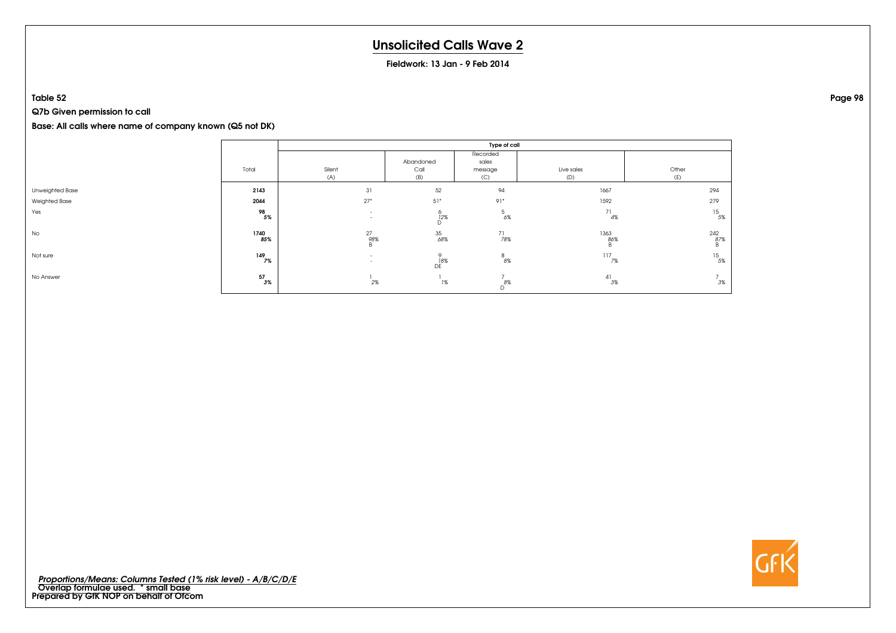### Fieldwork: 13 Jan - 9 Feb 2014

Table 52

Q7b Given permission to call

Base: All calls where name of company known (Q5 not DK)

|                 |                  |                                    |                          | Type of call                        |                                           |                     |
|-----------------|------------------|------------------------------------|--------------------------|-------------------------------------|-------------------------------------------|---------------------|
|                 | Total            | Silent<br>(A)                      | Abandoned<br>Call<br>(B) | Recorded<br>sales<br>message<br>(C) | Live sales<br>(D)                         | Other<br>(E)        |
| Unweighted Base | 2143             | 31                                 | 52                       | 94                                  | 1667                                      | 294                 |
| Weighted Base   | 2044             | $27*$                              | $51*$                    | $91*$                               | 1592                                      | 279                 |
| Yes             | 98<br>5%         | $\overline{\phantom{a}}$<br>$\sim$ | 6<br>12%<br>D            | $5\atop{6\%}$                       | $^{71}_{4\%}$                             | $\frac{15}{5\%}$    |
| No              | 1740<br>85%      | $\frac{27}{98\%}$                  | 35<br>68%                | 71<br>78%                           | 1363<br>86%<br>B                          | 242<br>87%          |
| Not sure        | 149<br>7%        | $\sim$<br>$\sim$                   | 9<br>18%                 | $\substack{8 \\ \scriptstyle 8\%}$  | $\begin{array}{c} 117 \\ 7\% \end{array}$ | $\frac{15}{5\%}$    |
| No Answer       | $\frac{57}{3\%}$ | $2\%$                              | 1%                       | 8%<br>D                             | $^{41}_{3\%}$                             | $\rightarrow$<br>3% |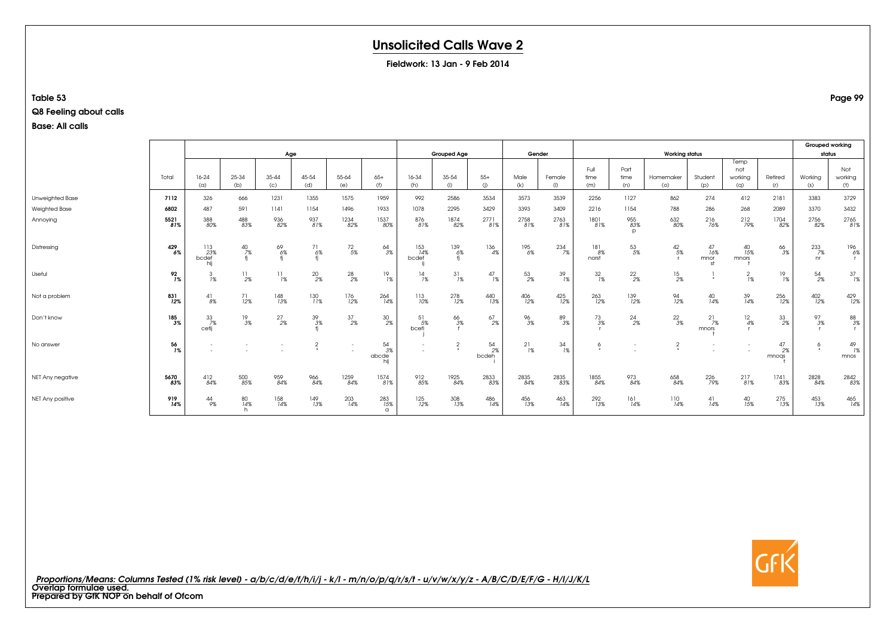Fieldwork: 13 Jan - 9 Feb 2014

### Table 53

## Q8 Feeling about calls

### Base: All calls

|                      |                   |                            |                          | Age                                                        |                                            |                  |                          |                        | <b>Grouped Age</b>                           |                    | Gender              |                                     |                     |                                          | <b>Working status</b>  |                         |                                    |                            | Grouped working<br>status |                                   |
|----------------------|-------------------|----------------------------|--------------------------|------------------------------------------------------------|--------------------------------------------|------------------|--------------------------|------------------------|----------------------------------------------|--------------------|---------------------|-------------------------------------|---------------------|------------------------------------------|------------------------|-------------------------|------------------------------------|----------------------------|---------------------------|-----------------------------------|
|                      | Total             | 16-24<br>(a)               | 25-34<br>(b)             | 35-44<br>(c)                                               | 45-54<br>(d)                               | 55-64<br>(e)     | $65+$<br>(f)             | 16-34<br>(h)           | 35-54<br>(i)                                 | $55+$<br>(i)       | Male<br>(k)         | Female<br>(                         | Full<br>time<br>(m) | Part<br>time<br>(n)                      | Homemaker<br>(0)       | Student<br>(p)          | Temp<br>not<br>working<br>(q)      | Retired<br>(r)             | Working<br>(s)            | Not<br>working<br>(t)             |
| Unweighted Base      | 7112              | 326                        | 666                      | 1231                                                       | 1355                                       | 1575             | 1959                     | 992                    | 2586                                         | 3534               | 3573                | 3539                                | 2256                | 1127                                     | 862                    | 274                     | 412                                | 2181                       | 3383                      | 3729                              |
| <b>Weighted Base</b> | 6802              | 487                        | 591                      | 1141                                                       | 1154                                       | 1496             | 1933                     | 1078                   | 2295                                         | 3429               | 3393                | 3409                                | 2216                | 1154                                     | 788                    | 286                     | 268                                | 2089                       | 3370                      | 3432                              |
| Annoying             | 5521<br>81%       | 388<br>80%                 | 488<br>83%               | 936<br>82%                                                 | 937<br>81%                                 | 1234<br>82%      | 1537<br>80%              | 876<br>81%             | 1874<br>82%                                  | 2771<br>81%        | $^{2758}_{81\%}$    | 2763<br>81%                         | 1801<br>81%         | $\substack{955 \\ 83\%}$<br>$\mathsf{D}$ | 632<br>80%             | 216<br>76%              | $^{212}_{79\%}$                    | 1704<br>82%                | 2756<br>82%               | $^{2765}_{81\%}$                  |
| Distressing          | 429<br>6%         | 113<br>23%<br>bcdef<br>hij | 40<br>7%                 | 69<br>6%                                                   | 71<br>6%                                   | $^{72}_{\,5\%}$  | $^{64}_{3\%}$            | 153<br>14%<br>bcdef    | $\begin{array}{c}\n139 \\ 6\% \n\end{array}$ | $\frac{136}{4\%}$  | 195<br>6%           | $^{234}_{7\%}$                      | 181<br>8%<br>norst  | $\substack{53 \\ 5\%}$                   | $\substack{42 \\ 5\%}$ | 47<br>16%<br>mnor<br>st | 40<br>15%<br>mnors                 | $^{66}_{3\%}$              | $^{233}_{7\%}$<br>nr      | $\frac{196}{6\%}$<br>$\mathsf{r}$ |
| Useful               | $\frac{92}{1\%}$  | 3<br>1%                    | $^{11}_{\phantom{1}2\%}$ | $^{11}_{\hphantom{1}\hphantom{1}\hphantom{1}\hphantom{1}}$ | $^{20}_{\phantom{2}\mathbf{2}\mathbf{\%}}$ | $^{28}_{\ 2\%}$  | $\frac{19}{1\%}$         | $\frac{14}{1\%}$       | 31/7%                                        | 47<br>1%           | $\frac{53}{2\%}$    | 39<br>1%                            | $\frac{32}{1\%}$    | $^{22}_{\ 2\%}$                          | $^{15}_{2\%}$          |                         | $^2_{1\%}$                         | 19<br>1%                   | $\frac{54}{2\%}$          | $\frac{37}{1\%}$                  |
| Not a problem        | 831<br>12%        | 41<br>8%                   | 71<br>12%                | 148<br>13%                                                 | 130<br>11%                                 | 176<br>12%       | 264<br>14%               | 113<br>10%             | 278<br>12%                                   | 440<br>13%         | 406<br>12%          | 425<br>12%                          | 263<br>12%          | 139<br>12%                               | 94<br>12%              | 40<br>14%               | 39<br>14%                          | 256<br>12%                 | $rac{402}{12\%}$          | $429$<br>$12%$                    |
| Don't know           | $\frac{185}{3\%}$ | $\frac{33}{7\%}$<br>cefij  | $\frac{19}{3\%}$         | $^{27}_{\ 2\%}$                                            | $\frac{39}{3\%}$                           | $\frac{37}{2\%}$ | $\frac{30}{2\%}$         | $^{51}_{5\%}$<br>bcefi | 66<br>3%                                     | $^{67}_{2\%}$      | 96<br>3%            | $\frac{89}{3\%}$                    | $^{73}_{3\%}$       | $^{24}_{2\%}$                            | $^{22}_{\bf 3\%}$      | 21<br>7%<br>mnors       | $\frac{12}{4\%}$                   | $\frac{33}{2\%}$           | $\frac{97}{3\%}$          | $\frac{88}{3\%}$<br>$\mathsf{r}$  |
| No answer            | 56<br>1%          |                            |                          |                                                            | $\frac{2}{3}$                              |                  | 54<br>3%<br>abcde<br>hij |                        | $\sim$                                       | 54<br>2%<br>bcdeh  | $2^{1}_{1\%}$       | 34<br>1%                            | -6                  |                                          | $\sim$                 |                         |                                    | 47<br>2%<br>mnogs          | 6                         | $^{49}_{1\%}$<br>mnos             |
| NET Any negative     | 5670<br>83%       | $^{412}_{84\%}$            | $\substack{500 \\ 85\%}$ | 959<br>84%                                                 | 966<br>84%                                 | 1259<br>84%      | 1574<br>81%              | 912<br>85%             | 1925<br>84%                                  | 2833<br>83%        | $\frac{2835}{84\%}$ | $\underset{\mathbf{83\%}}{^{2835}}$ | 1855<br>84%         | 973<br>84%                               | 658<br>84%             | 226<br>79%              | $^{217}_{\substack{81\%}}$         | 1741<br>83%                | 2828<br>84%               | 2842<br>83%                       |
| NET Any positive     | 919<br>14%        | $\frac{44}{9\%}$           | 80<br>14%<br>h           | $\frac{158}{14\%}$                                         | 149<br>13%                                 | 203<br>14%       | $^{283}_{15\%}$<br>a     | $\frac{125}{12\%}$     | $\underset{13\%}{308}$                       | $\frac{486}{14\%}$ | $^{456}_{13\%}$     | $\frac{463}{14\%}$                  | $^{292}_{13\%}$     | 161<br>14%                               | $\frac{110}{14\%}$     | $^{41}_{14\%}$          | $^{40}_{\hbox{\scriptsize{15}}\%}$ | $^{275}_{\phantom{1}13\%}$ | $^{453}_{13\%}$           | $\frac{465}{14\%}$                |

Proportions/Means: Columns Tested (1% risk level) - a/b/c/d/e/f/h/i/j - k/l - m/n/o/p/q/r/s/t - u/v/w/x/y/z - A/B/C/D/E/F/G - H/I/J/K/L<br>Overlap formulae used.<br>Prepared by GfK NOP on behalf of Ofcom

en and the set of the set of the set of the set of the set of the set of the set of the set of the set of the set of the set of the set of the set of the set of the set of the set of the set of the set of the set of the se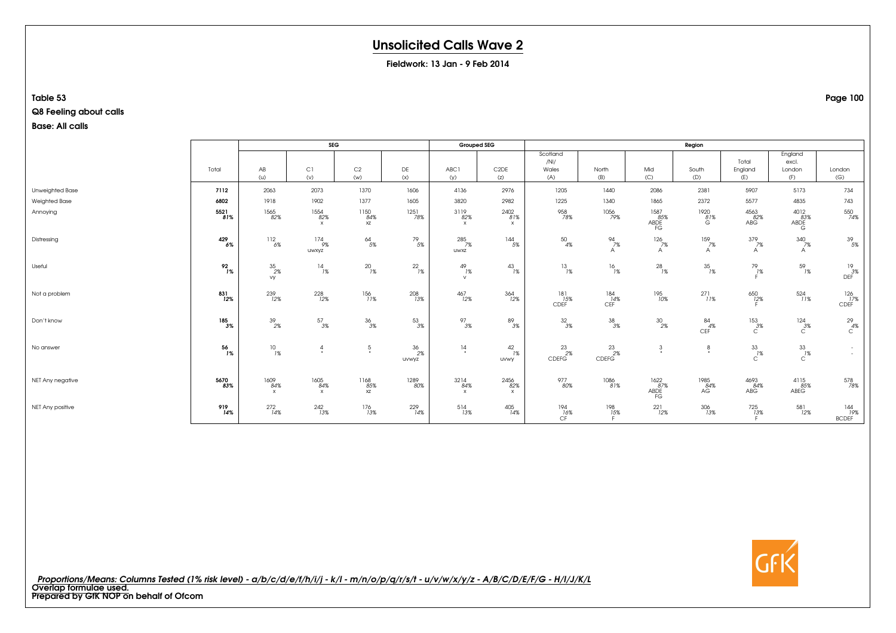Fieldwork: 13 Jan - 9 Feb 2014

### Table 53

### Q8 Feeling about calls

### Base: All calls

|                        |                     |                                                | SEG                                      |                                                   |                          | <b>Grouped SEG</b>                                      |                                           |                                                           |                                                                |                                          | Region               |                                                           |                                                                 |                                          |
|------------------------|---------------------|------------------------------------------------|------------------------------------------|---------------------------------------------------|--------------------------|---------------------------------------------------------|-------------------------------------------|-----------------------------------------------------------|----------------------------------------------------------------|------------------------------------------|----------------------|-----------------------------------------------------------|-----------------------------------------------------------------|------------------------------------------|
|                        | Total               | AB<br>(u)                                      | C1<br>(v)                                | C2<br>(w)                                         | DE<br>(x)                | ABC1<br>(y)                                             | C <sub>2</sub> DE<br>(z)                  | Scotland<br>$/$ NI $/$<br>Wales<br>(A)                    | North<br>(B)                                                   | Mid<br>(C)                               | South<br>(D)         | Total<br>England<br>(E)                                   | England<br>excl.<br>London<br>(F)                               | London<br>(G)                            |
| <b>Unweighted Base</b> | 7112                | 2063                                           | 2073                                     | 1370                                              | 1606                     | 4136                                                    | 2976                                      | 1205                                                      | 1440                                                           | 2086                                     | 2381                 | 5907                                                      | 5173                                                            | 734                                      |
| Weighted Base          | 6802                | 1918                                           | 1902                                     | 1377                                              | 1605                     | 3820                                                    | 2982                                      | 1225                                                      | 1340                                                           | 1865                                     | 2372                 | 5577                                                      | 4835                                                            | 743                                      |
| Annoying               | $\frac{5521}{81\%}$ | 1565<br>82%                                    | 1554<br>82%<br>$\times$                  | $\frac{1150}{84\%}$<br>XZ                         | 1251<br>78%              | $\begin{array}{c} 3119 \\ 82\% \end{array}$<br>$\times$ | $\frac{2402}{81\%}$<br>$\times$           | 958<br>78%                                                | 1056<br>79%                                                    | 1587<br>85%<br>ABDE<br>FG                | 1920<br>$rac{81}{9}$ | $\begin{array}{c} 4563 \\ 82\% \\ \text{ABC} \end{array}$ | $\begin{array}{r} 4012 \\ 83\% \\ \text{ABDE} \end{array}$<br>G | $\frac{550}{74\%}$                       |
| Distressing            | 429<br>6%           | $\begin{array}{c} 112 \\ 6\% \end{array}$      | $^{174}_{9\%}$<br>uwxyz                  | $^{64}_{\phantom{1}5\%}$                          | 79<br>5%                 | $^{285}_{7\%}$<br><b>UWXZ</b>                           | $\begin{array}{c} 144 \\ 5\% \end{array}$ | $^{50}_{4\%}$                                             | $\frac{94}{7\%}$<br>A                                          | $\frac{126}{7%}$<br>$\mathsf{A}$         | 159<br>7%<br>A       | 379<br>7%<br>A                                            | $\begin{array}{c}\n340 \\ 7\% \\ A\n\end{array}$                | $39$ $5\%$                               |
| Useful                 | $\frac{92}{1\%}$    | $\begin{array}{c} 35 \\ 2\% \end{array}$<br>vy | $^{14}_{\phantom{1}7\%}$                 | $\frac{20}{1\%}$                                  | $\frac{22}{1\%}$ .       | $rac{49}{1\%}$<br>$\mathsf{v}$                          | 43<br>1%                                  | $\frac{13}{1\%}$                                          | $\frac{16}{1\%}$                                               | $^{28}_{\hbox{\scriptsize 1\%}}$         | $\frac{35}{1\%}$     | $\frac{79}{1\%}$                                          | $\frac{59}{1\%}$                                                | $rac{19}{3\%}$                           |
| Not a problem          | 831<br>72%          | $\frac{239}{12\%}$                             | $\frac{228}{12\%}$                       | $\frac{156}{11\%}$                                | $\frac{208}{13\%}$       | $\frac{467}{12\%}$                                      | $\frac{364}{12\%}$                        | $\begin{array}{c} 181 \\ 15\% \\ \text{CDEF} \end{array}$ | $\begin{array}{c}\n 184 \\  14\% \\  \text{CEF}\n \end{array}$ | $\frac{195}{10\%}$                       | $\frac{271}{11\%}$   | $650$<br>$12\%$                                           | $^{524}_{\hphantom{1}11\%}$                                     | $\frac{126}{17\%}$                       |
| Don't know             | $\frac{185}{3\%}$   | $\frac{39}{2\%}$                               | $^{57}_{3\%}$                            | $\frac{36}{3\%}$                                  | $^{53}_{\phantom{1}3\%}$ | $^{97}_{3\%}$                                           | 89<br>3%                                  | $\frac{32}{3\%}$                                          | $\begin{array}{c} 38 \\ 3\% \end{array}$                       | $\begin{array}{c} 30 \\ 2\% \end{array}$ | 84<br>$4\%$<br>CEF   | 153<br>3%<br>Ć                                            | $\frac{124}{C}$                                                 | $\overset{29}{\underset{\text{C}}{4\%}}$ |
| No answer              | $\frac{56}{1\%}$    | $\frac{10}{1\%}$                               | 4<br>$\bullet$                           | $\frac{5}{4}$                                     | 36<br>2%<br>uvwyz        | 14<br>$\ddot{\phantom{1}}$                              | 42<br>1%<br>uvwy                          | $^{23}_{2\%}$<br><b>CDEFG</b>                             | $^{23}_{2\%}$<br>CDEFG                                         | 3<br>$\ddot{\phantom{1}}$                | 8                    | 33<br>1%<br>$\mathsf{C}$                                  | $\frac{33}{1\%}$<br>$\mathsf{C}$                                | $\sim$<br>$\sim$                         |
| NET Any negative       | 5670<br>83%         | 1609<br>84%<br>$\times$                        | 1605<br>84%<br>$\boldsymbol{\mathsf{x}}$ | $\begin{array}{r} 1168 \\ 85\% \end{array}$<br>XZ | 1289<br>80%              | 3214<br>84%<br>$\times$                                 | 2456<br>82%<br>$\times$                   | 977<br>80%                                                | $\frac{1086}{81\%}$                                            | 1622<br>87%<br>ABDE<br>FG                | 1985<br>84%<br>AG    | 4693<br>84%<br>ABG                                        | $4115$<br>$85\%$<br>ABEG                                        | 578<br>78%                               |
| NET Any positive       | $919$<br>$14\%$     | $^{272}_{14\%}$                                | $\substack{242 \\ 13\%}$                 | $\frac{176}{13\%}$                                | $^{229}_{14\%}$          | $514 \over 13\%$                                        | $405$ <sub>14%</sub>                      | $\frac{194}{16\%}$                                        | $\begin{array}{c} 198 \\ 15\% \end{array}$<br>F.               | $^{221}_{12\%}$                          | $\frac{306}{13\%}$   | $^{725}_{13\%}$                                           | $\frac{581}{12\%}$                                              | 144<br>19%<br><b>BCDEF</b>               |

Proportions/Means: Columns Tested (1% risk level) - a/b/c/d/e/f/h/i/j - k/l - m/n/o/p/q/r/s/t - u/v/w/x/y/z - A/B/C/D/E/F/G - H/l/J/K/L<br>Overlap formulae used.<br>Prepared by GfK NOP on behalf of Ofcom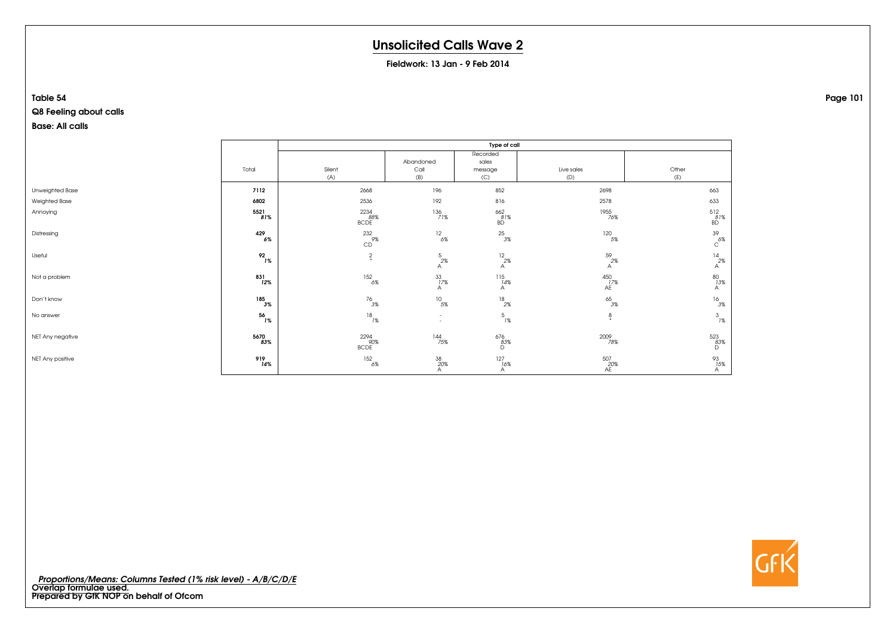Fieldwork: 13 Jan - 9 Feb 2014

### Table 54

Q8 Feeling about calls

### Base: All calls

|                  |                   |                                                            |                                               | Type of call                                       |                               |                       |
|------------------|-------------------|------------------------------------------------------------|-----------------------------------------------|----------------------------------------------------|-------------------------------|-----------------------|
|                  | Total             | Silent<br>(A)                                              | Abandoned<br>$C$ all<br>(B)                   | Recorded<br>sales<br>message<br>(C)                | Live sales<br>(D)             | Other<br>(E)          |
| Unweighted Base  | 7112              | 2668                                                       | 196                                           | 852                                                | 2698                          | 663                   |
| Weighted Base    | 6802              | 2536                                                       | 192                                           | 816                                                | 2578                          | 633                   |
| Annoying         | 5521<br>81%       | $\begin{array}{c} 2234 \\ 88\% \\ \text{BCDE} \end{array}$ | $\begin{array}{c}\n136 \\ 71\% \n\end{array}$ | $\overset{662}{\underset{\text{BD}}{\text{81\%}}}$ | 1955<br>76%                   | $\frac{512}{81\%}$ BD |
| Distressing      | 429<br>6%         | $^{232}_{9\%}$<br>$\mathsf{CD}$                            | $^{12}_{\phantom{1}6\%}$                      | $\frac{25}{3\%}$                                   | $^{120}_{-5\%}$               | 39<br>6%<br>C         |
| Useful           | $\frac{92}{1\%}$  | $\frac{2}{\epsilon}$                                       | $\frac{5}{2\%}$<br>A                          | $^{12}_{2\%}$<br>A                                 | $^{59}_{.2\%}$<br>Α           | $\frac{14}{2\%}$<br>A |
| Not a problem    | 831<br>12%        | $\begin{array}{c}\n152 \\ 6\% \n\end{array}$               | $\frac{33}{17\%}$<br>A                        | $\frac{115}{14\%}$<br>Α                            | $\frac{450}{17\%}$ AE         | $^{80}_{13\%}$<br>A   |
| Don't know       | $\frac{185}{3\%}$ | $\frac{76}{3\%}$                                           | $^{10}_{\phantom{1}5\%}$                      | $^{18}_{\phantom{1}2\%}$                           | $^{65}_{3\%}$                 | $^{16}$ 3%            |
| No answer        | 56<br>1%          | $^{18}$ $_{l\%}$                                           | $\sim$<br>$\sim$                              | $5$ $_{1\%}$                                       | $\frac{8}{3}$                 | $3$ <sub>1%</sub>     |
| NET Any negative | 5670<br>83%       | $\begin{array}{c} 2294 \\ 90\% \\ \text{BCDE} \end{array}$ | 144<br>75%                                    | 676<br>83%<br>D                                    | 2009<br>78%                   | $523 \atop 83\%$      |
| NET Any positive | 919<br>14%        | $\begin{array}{c}\n152 \\ 6\% \n\end{array}$               | $\frac{38}{20\%}$                             | 127<br>16%<br>Α                                    | $\underset{\mathsf{AE}}{507}$ | 93<br>15%<br>A        |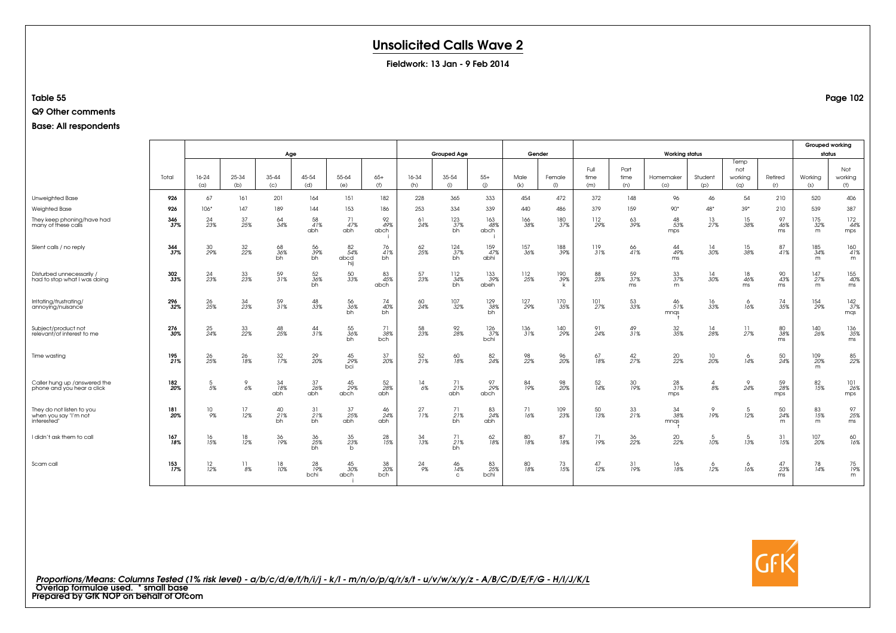Fieldwork: 13 Jan - 9 Feb 2014

### Table 55

### Q9 Other comments

### Base: All respondents

|                                                                   |                   |                |                   | Age                        |                         |                          |                         |              | Grouped Age               |                    | Gender                                     |                 |                     |                        | <b>Working status</b> |                        |                            |                  | Grouped working<br>status |                   |
|-------------------------------------------------------------------|-------------------|----------------|-------------------|----------------------------|-------------------------|--------------------------|-------------------------|--------------|---------------------------|--------------------|--------------------------------------------|-----------------|---------------------|------------------------|-----------------------|------------------------|----------------------------|------------------|---------------------------|-------------------|
|                                                                   |                   |                |                   |                            |                         |                          |                         |              |                           |                    |                                            |                 |                     | Part                   |                       |                        | Temp                       |                  |                           | Not               |
|                                                                   | Total             | 16-24<br>(a)   | 25-34<br>(b)      | 35-44<br>$\left( c\right)$ | 45-54<br>(d)            | 55-64<br>(e)             | $65+$<br>(f)            | 16-34<br>(h) | 35-54<br>(i)              | $55+$<br>(i)       | Male<br>(k)                                | Female<br>(1)   | Full<br>time<br>(m) | time<br>(n)            | Homemaker<br>(0)      | Studen<br>(p)          | not<br>working<br>$\alpha$ | Retired<br>(r)   | Working<br>(s)            | working<br>(t)    |
| Unweighted Base                                                   | 926               | 67             | 161               | 201                        | 164                     | 151                      | 182                     | 228          | 365                       | 333                | 454                                        | 472             | 372                 | 148                    | 96                    | 46                     | 54                         | 210              | 520                       | 406               |
| <b>Weighted Base</b>                                              | 926               | $106*$         | 147               | 189                        | 144                     | 153                      | 186                     | 253          | 334                       | 339                | 440                                        | 486             | 379                 | 159                    | 90*                   | 48*                    | $39*$                      | 210              | 539                       | 387               |
| They keep phoning/have had<br>many of these calls                 | 346<br>37%        | $^{24}_{23\%}$ | 37<br>25%         | 64<br>34%                  | 58<br>41%<br>abh        | 71<br>47%<br>abh         | 92<br>49%<br>abch       | 61<br>24%    | $\frac{123}{37\%}$<br>bh  | 163<br>48%<br>abch | 166<br>38%                                 | 180<br>37%      | 112<br>29%          | 63<br>39%              | 48<br>53%<br>mps      | 13<br>27%              | 15<br>38%                  | 97<br>46%<br>ms  | $\frac{175}{32\%}$<br>m   | 172<br>44%<br>mps |
| Silent calls / no reply                                           | $\frac{344}{37%}$ | 30<br>29%      | $\frac{32}{22\%}$ | 68<br>36%<br>bh            | 56<br>39%<br>bh         | 82<br>54%<br>abcd<br>hij | 76<br>41%<br>bh         | 62<br>25%    | 124<br>37%<br>bh          | 159<br>47%<br>abhi | 157<br>36%                                 | $^{188}_{39\%}$ | 119<br>31%          | 66<br>41%              | 44<br>49%<br>ms       | $\frac{14}{30\%}$      | 15<br>38%                  | 87<br>41%        | 185<br>34%<br>m           | 160<br>41%<br>m   |
| Disturbed unnecessarily<br>had to stop what I was doing           | 302<br>33%        | $^{24}_{23\%}$ | $\frac{33}{23\%}$ | 59<br>31%                  | $\frac{52}{36\%}$<br>bh | 50<br>33%                | 83<br>45%<br>abch       | 57<br>23%    | $\frac{112}{34\%}$<br>bh  | 133<br>39%<br>abeh | $\begin{array}{c} 112 \\ 25\% \end{array}$ | 190<br>39%<br>k | 88<br>23%           | 59<br>37%<br>ms        | 33<br>37%<br>m        | 14<br>30%              | 18<br>46%<br>ms            | 90<br>43%<br>ms  | 147<br>27%<br>m           | 155<br>40%<br>ms  |
| Irritating/frustrating/<br>annoying/nuisance                      | 296<br>32%        | 26<br>25%      | 34<br>23%         | 59<br>31%                  | 48<br>33%               | 56<br>36%<br>bh          | 74<br>40%<br>bh         | 60<br>24%    | 107<br>32%                | 129<br>38%<br>bh   | 127<br>29%                                 | 170<br>35%      | 101<br>27%          | 53<br>33%              | 46<br>51%<br>mngs     | 16<br>33%              | 6<br>16%                   | 74<br>35%        | 154<br>29%                | 142<br>37%<br>mqs |
| Subject/product not<br>relevant/of interest to me                 | 276<br>30%        | 25<br>24%      | 33<br>22%         | 48<br>25%                  | 44<br>31%               | 55<br>36%<br>bh          | 71<br>38%<br>bch        | 58<br>23%    | 92<br>28%                 | 126<br>37%<br>bchi | 136<br>31%                                 | 140<br>29%      | 91<br>24%           | 49<br>31%              | 32<br>35%             | 14<br>28%              | 11<br>27%                  | 80<br>38%<br>ms  | 140<br>26%                | 136<br>35%<br>ms  |
| Time wasting                                                      | 195<br>21%        | 26<br>25%      | 26<br>18%         | 32<br>17%                  | 29<br>20%               | 45<br>29%<br>bci         | 37<br>20%               | 52<br>21%    | 60<br>18%                 | 82<br>24%          | 98<br>22%                                  | 96<br>20%       | 67<br>18%           | 42<br>27%              | 20<br>22%             | 10 <sup>°</sup><br>20% | 6<br>14%                   | 50<br>24%        | 109<br>20%<br>m           | 85<br>22%         |
| Caller hung up /answered the<br>phone and you hear a click        | 182<br>20%        | 5<br>5%        | $\circ$<br>6%     | 34<br>18%<br>abh           | 37<br>26%<br>abh        | 45<br>29%<br>abch        | $\frac{52}{28%}$<br>abh | 14<br>6%     | 71<br>21%<br>abh          | 97<br>29%<br>abch  | 84<br>19%                                  | 98<br>20%       | 52<br>14%           | 30 <sup>°</sup><br>19% | 28<br>31%<br>mps      | $\overline{4}$<br>8%   | 9<br>24%                   | 59<br>28%<br>mps | 82<br>15%                 | 101<br>26%<br>mps |
| They do not listen to you<br>when you say "I'm not<br>interested" | 181<br>20%        | 10<br>9%       | 17<br>12%         | 40<br>21%<br>bh            | 31<br>21%<br>bh         | 37<br>25%<br>abh         | 46<br>24%<br>abh        | 27<br>11%    | 71<br>21%<br>bh           | 83<br>24%<br>abh   | 71<br>16%                                  | 109<br>23%      | 50<br>13%           | 33<br>21%              | 34<br>38%<br>mngs     | 9<br>19%               | 5<br>12%                   | 50<br>24%<br>m   | 83<br>15%<br>m            | 97<br>25%<br>ms   |
| I didn't ask them to call                                         | 167<br>18%        | 16<br>15%      | 18<br>12%         | 36<br>19%                  | 36<br>25%<br>bh         | 35<br>23%<br>b           | 28<br>15%               | 34<br>13%    | 71<br>21%<br>bh           | 62<br>18%          | 80<br>18%                                  | 87<br>18%       | 71<br>19%           | 36<br>22%              | 20<br>22%             | -5<br>10%              | 5<br>13%                   | 31<br>15%        | 107<br>20%                | 60<br>16%         |
| Scam call                                                         | 153<br>17%        | $12 \,$<br>12% | 11<br>8%          | 18<br>10%                  | 28<br>19%<br>bchi       | 45<br>30%<br>abch        | 38<br>20%<br>bch        | 24<br>9%     | 46<br>14%<br>$\mathbf{C}$ | 83<br>25%<br>bchi  | 80<br>18%                                  | 73<br>15%       | 47<br>12%           | 31<br>19%              | 16<br>18%             | 6<br>12%               | 6<br>16%                   | 47<br>23%<br>ms  | 78<br>14%                 | 75<br>19%<br>m    |



Proportions/Means: Columns Tested (1% risk level) - a/b/c/d/e/f/h/i/j - k/l - m/n/o/p/q/r/s/t - u/v/w/x/y/z - A/B/C/D/E/F/G - H/I/J/K/L<br>Overlap formulae used. \* small base<br>Prepared by GfK NOP on behalf of Ofcom

Page 102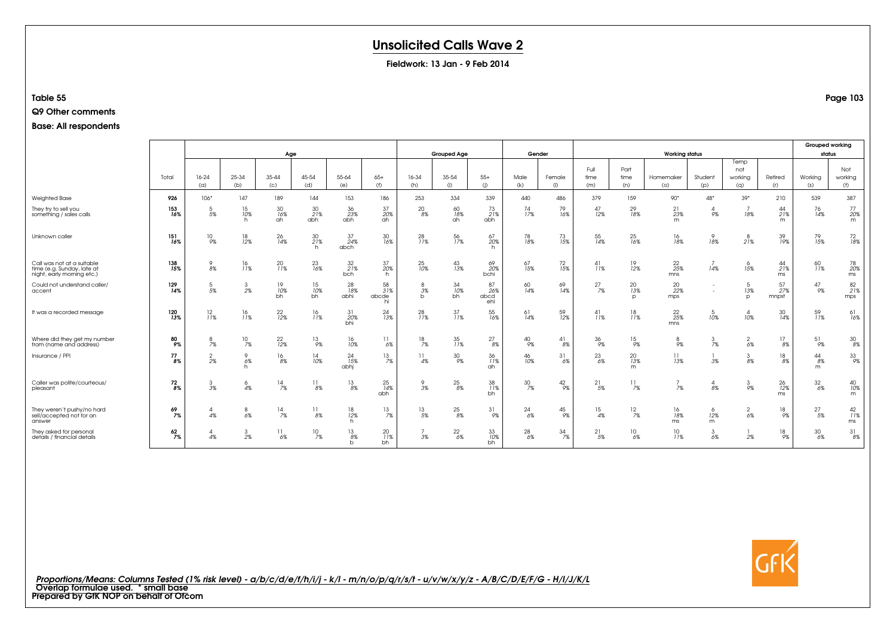Fieldwork: 13 Jan - 9 Feb 2014

#### Table 55

### Q9 Other comments

### Base: All respondents

|                                                                                        |            |                       |                   | Age             |                       |                   |                          |                   | <b>Grouped Age</b> |                          |                | Gender      |                     |                     | <b>Working status</b> |                      |                                    |                    | Grouped working<br>status |                          |
|----------------------------------------------------------------------------------------|------------|-----------------------|-------------------|-----------------|-----------------------|-------------------|--------------------------|-------------------|--------------------|--------------------------|----------------|-------------|---------------------|---------------------|-----------------------|----------------------|------------------------------------|--------------------|---------------------------|--------------------------|
|                                                                                        | Total      | 16-24<br>(a)          | 25-34<br>(b)      | 35-44<br>(c)    | 45-54<br>(d)          | 55-64<br>(e)      | $65+$<br>(f)             | 16-34<br>(h)      | 35-54<br>(i)       | $55+$<br>(j)             | Male<br>(k)    | Female<br>( | Full<br>time<br>(m) | Part<br>time<br>(n) | Homemaker<br>(0)      | Student<br>(p)       | Temp<br>not<br>working<br>(q)      | Retired<br>(r)     | Working<br>(s)            | Not<br>working<br>(t)    |
| <b>Weighted Base</b>                                                                   | 926        | $106*$                | 147               | 189             | 144                   | 153               | 186                      | 253               | 334                | 339                      | 440            | 486         | 379                 | 159                 | 90*                   | 48*                  | $39*$                              | 210                | 539                       | 387                      |
| They try to sell you<br>something / sales calls                                        | 153<br>16% | 5<br>5%               | 15<br>10%         | 30<br>16%<br>ah | 30<br>21%<br>abh      | 36<br>23%<br>abh  | 37<br>20%<br>ah          | $^{20}_{\,\,8\%}$ | 60<br>18%<br>ah    | 73<br>21%<br>abh         | $^{74}_{17\%}$ | 79<br>16%   | 47<br>12%           | 29<br>18%           | 21<br>23%<br>m        | 4<br>9%              | 18%                                | 44<br>21%<br>m     | 76<br>14%                 | 77<br>20%<br>m           |
| Unknown caller                                                                         | 151<br>16% | 10<br>9%              | $\frac{18}{12\%}$ | 26<br>14%       | 30<br>21%<br><b>h</b> | 37<br>24%<br>abch | 30<br>16%                | $^{28}_{11\%}$    | 56<br>17%          | 67<br>20%                | $^{78}_{18\%}$ | 73<br>15%   | 55<br>14%           | $\frac{25}{16\%}$   | 16<br>18%             | $\circ$<br>18%       | 8<br>21%                           | 39<br>19%          | 79<br>15%                 | $^{72}_{18\%}$           |
| Call was not at a suitable<br>time (e.g. Sunday, late at<br>night, early morning etc.) | 138<br>15% | $\circ$<br>8%         | 16<br>11%         | $20\,$<br>11%   | 23<br>16%             | 32<br>21%<br>bch  | 37<br>20%<br>h           | 25<br>10%         | $^{43}_{13\%}$     | 69<br>20%<br>bchi        | 67<br>15%      | 72<br>15%   | 41<br>11%           | 19<br>12%           | $^{22}_{25\%}$<br>mns | 14%                  | $^{6}_{15\%}$                      | 44<br>21%<br>ms    | 60<br>11%                 | 78<br>20%<br>ms          |
| Could not understand caller/<br>accent                                                 | 129<br>14% | 5<br>5%               | 3<br>2%           | 19<br>10%<br>bh | 15<br>10%<br>bh       | 28<br>18%<br>abhi | 58<br>31%<br>abcde<br>hi | 8<br>3%<br>h      | 34<br>10%<br>bh    | 87<br>26%<br>abcd<br>ehi | 60<br>14%      | 69<br>14%   | 27<br>7%            | 20<br>13%<br>p      | 20<br>22%<br>mps      |                      | -5<br>13%<br><b>p</b>              | 57<br>27%<br>mnpst | 47<br>9%                  | 82<br>21%<br>mps         |
| It was a recorded message                                                              | 120<br>13% | $12 \,$<br>11%        | 16<br>11%         | 22<br>12%       | 16<br>11%             | 31<br>20%<br>bhi  | 24<br>13%                | 28<br>11%         | 37<br>11%          | 55<br>16%                | 61<br>14%      | 59<br>12%   | 41<br>11%           | 18<br>11%           | 22<br>25%<br>mns      | 5<br>10%             | $\boldsymbol{\vartriangle}$<br>10% | 30<br>14%          | 59<br>11%                 | 61<br>16%                |
| Where did they get my number<br>from (name and address)                                | 80<br>9%   | 8<br>7%               | 10<br>7%          | 22<br>12%       | 13<br>9%              | 16<br>10%         | $\overline{11}$<br>6%    | 18<br>7%          | 35<br>11%          | 27<br>8%                 | 40<br>9%       | 41<br>8%    | 36<br>9%            | 15<br>9%            | 8<br>9%               | 3<br>7%              | $\overline{2}$<br>6%               | 17<br>8%           | 51<br>9%                  | 30 <sup>°</sup><br>8%    |
| Insurance / PPI                                                                        | 77<br>8%   | 2<br>$\overline{2}\%$ | $\circ$<br>6%     | 16<br>8%        | 4<br>10%              | 24<br>15%<br>abhj | 13<br>7%                 | 11<br>4%          | 30<br>9%           | 36<br>11%<br>ah          | 46<br>10%      | 31<br>6%    | 23<br>6%            | 20<br>13%<br>m      | 11<br>13%             | 3%                   | 3<br>8%                            | 18<br>8%           | 44<br>8%<br>m             | $^{33}_{\phantom{1}9\%}$ |
| Caller was polite/courteous/<br>pleasant                                               | 72<br>8%   | $\mathbf{3}$<br>3%    | 6<br>4%           | 14<br>7%        | 11<br>8%              | 13<br>8%          | 25<br>14%<br>abh         | $\circ$<br>$3\%$  | 25<br>8%           | 38<br>11%<br>bh          | 30<br>7%       | 42<br>9%    | 21<br>5%            | 11<br>7%            | $\overline{7}$<br>7%  | $\overline{4}$<br>8% | 3<br>9%                            | 26<br>12%<br>ms    | 32<br>6%                  | $^{40}_{10\%}$<br>m      |
| They weren't pushy/no hard<br>sell/accepted not for an<br>answer                       | 69<br>7%   | $\overline{4}$<br>4%  | 8<br>6%           | 14<br>7%        | 11.<br>8%             | 18<br>12%<br>h.   | 13<br>7%                 | 13<br>5%          | 25<br>8%           | 31<br>9%                 | 24<br>6%       | 45<br>9%    | 15<br>4%            | 12<br>7%            | 16<br>18%<br>ms       | 6<br>12%<br>m        | $\overline{2}$<br>6%               | 18<br>9%           | 27<br>5%                  | $^{42}_{11\%}$<br>ms     |
| They asked for personal<br>details / financial details                                 | 62<br>7%   | $\overline{4}$<br>4%  | 3<br>2%           | 11<br>6%        | 10<br>7%              | 13<br>8%<br>b     | 20<br>11%<br>bh          | 3%                | 22<br>6%           | 33<br>10%<br>bh          | 28<br>6%       | 34<br>7%    | 21<br>5%            | 10<br>6%            | 10<br>11%             | 3<br>6%              | 2%                                 | 18<br>9%           | 30<br>6%                  | 31<br>8%                 |

Proportions/Means: Columns Tested (1% risk level) - a/b/c/d/e/f/h/i/j - k/l - m/n/o/p/q/r/s/t - u/v/w/x/y/z - A/B/C/D/E/F/G - H/I/J/K/L<br>Overlap formulae used. \* small base<br>Prepared by GfK NOP on behalf of Ofcom

Page 103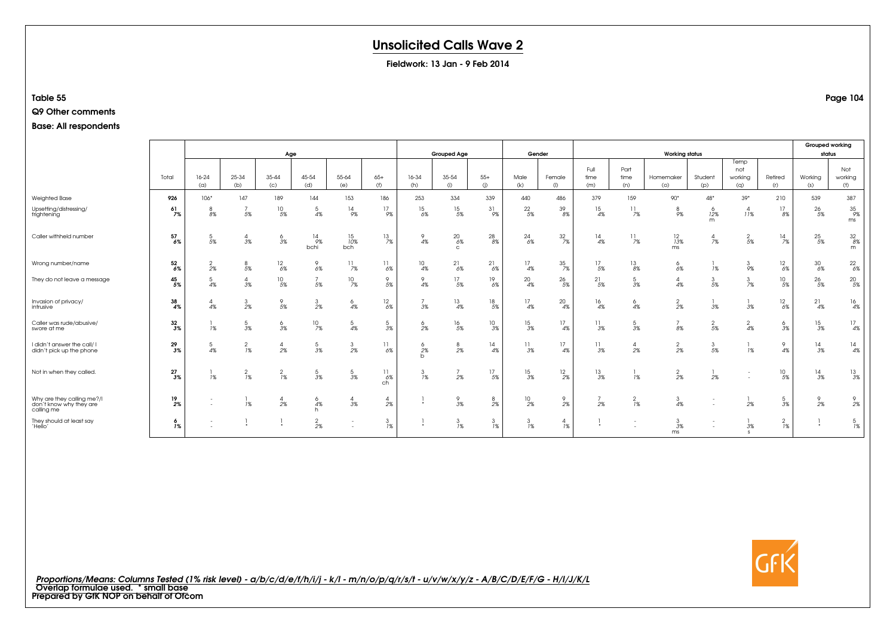Fieldwork: 13 Jan - 9 Feb 2014

#### Table 55

### Q9 Other comments

### Base: All respondents

|                                                                     |          |                         |                      | Age                         |                      |                  |                             |               | Grouped Age              |                        | Gender        |                      |                     |                       | <b>Working status</b> |                      |                                                      |                      | Grouped working<br>status |                                  |
|---------------------------------------------------------------------|----------|-------------------------|----------------------|-----------------------------|----------------------|------------------|-----------------------------|---------------|--------------------------|------------------------|---------------|----------------------|---------------------|-----------------------|-----------------------|----------------------|------------------------------------------------------|----------------------|---------------------------|----------------------------------|
|                                                                     | Total    | 16-24<br>(a)            | 25-34<br>(b)         | 35-44<br>$\left( c\right)$  | 45-54<br>(d)         | 55-64<br>(e)     | $65+$<br>(f)                | 16-34<br>(h)  | 35-54<br>(i)             | $55+$<br>(j)           | Male<br>(k)   | Female<br>(          | Full<br>time<br>(m) | Part<br>time<br>(n)   | Homemaker<br>(0)      | Student<br>(p)       | Temp<br>not<br>working<br>(q)                        | Retired<br>(r)       | Working<br>(s)            | Not<br>working<br>(t)            |
| Weighted Base                                                       | 926      | $106*$                  | 147                  | 189                         | 144                  | 153              | 186                         | 253           | 334                      | 339                    | 440           | 486                  | 379                 | 159                   | 90*                   | 48*                  | $39*$                                                | 210                  | 539                       | 387                              |
| Upsetting/distressing/<br>frightening                               | 61<br>7% | 8%                      | 5%                   | 10<br>5%                    | 4%                   | 14<br>9%         | 17<br>9%                    | 15<br>6%      | 15<br>5%                 | 31<br>9%               | 22<br>5%      | 39<br>8%             | 15<br>4%            | $\overline{11}$<br>7% | 9%                    | -6<br>12%<br>m       | 4<br>11%                                             | 17<br>8%             | 26<br>5%                  | $^{35}_{\phantom{1}\!9\%}$<br>ms |
| Caller withheld number                                              | 57<br>6% | -5<br>5%                | $\overline{A}$<br>3% | $^{\rm 6}_{\rm 3\%}$        | 14<br>9%<br>bchi     | 15<br>10%<br>bch | 13<br>7%                    | $\circ$<br>4% | 20<br>6%<br>$\mathbf{C}$ | 28<br>8%               | 24<br>6%      | 32<br>7%             | 14<br>4%            | 11<br>7%              | 12<br>13%<br>ms       | 4<br>7%              | $\overline{2}$<br>5%                                 | 14<br>7%             | 25<br>5%                  | $\frac{32}{8\%}$<br>m            |
| Wrong number/name                                                   | 52<br>6% | $\overline{2}$<br>$2\%$ | 8<br>5%              | $\frac{12}{6\%}$            | $\circ$<br>6%        | 11<br>7%         | $\overline{11}$<br>6%       | 10<br>4%      | 21<br>6%                 | 21<br>6%               | 17<br>4%      | 35<br>7%             | 17<br>5%            | $\frac{13}{8\%}$      | 6<br>6%               | 1%                   | 3<br>9%                                              | 12<br>6%             | 30<br>6%                  | $\frac{22}{6\%}$                 |
| They do not leave a message                                         | 45<br>5% | -5<br>4%                | 4<br>3%              | 10<br>5%                    | 5%                   | 10<br>7%         | $\circ$<br>5%               | $\circ$<br>4% | 17<br>5%                 | 19<br>6%               | 20<br>4%      | 26<br>5%             | 21<br>5%            | 5<br>3%               | $\overline{A}$<br>4%  | 3<br>5%              | 3<br>7%                                              | 10<br>5%             | 26<br>5%                  | $^{20}_{\,\,5\%}$                |
| Invasion of privacy/<br>intrusive                                   | 38<br>4% | 4<br>4%                 | 3<br>2%              | $\circ$<br>5%               | 3<br>2%              | 6<br>4%          | 12<br>6%                    | 3%            | 13<br>4%                 | 18<br>5%               | 17<br>4%      | 20<br>4%             | 16<br>4%            | 6<br>4%               | $\overline{2}$<br>2%  | 3%                   | 3%                                                   | 12<br>6%             | 21<br>4%                  | $\frac{16}{4\%}$                 |
| Caller was rude/abusive/<br>swore at me                             | 32<br>3% | 1%                      | 5<br>3%              | 6<br>3%                     | 10<br>7%             | 5<br>4%          | 5<br>3%                     | 6<br>2%       | 16<br>5%                 | 10 <sup>10</sup><br>3% | 15<br>3%      | 17<br>4%             | 11<br>3%            | 5<br>3%               | $\overline{7}$<br>8%  | $\overline{2}$<br>5% | $\overline{2}$<br>4%                                 | 6<br>3%              | 15<br>3%                  | 17<br>$4\%$                      |
| I didn't answer the call/ I<br>didn't pick up the phone             | 29<br>3% | -5<br>4%                | $\frac{2}{1\%}$      | $\overline{4}$<br>2%        | 5<br>3%              | 3<br>2%          | $\overline{11}$<br>6%       | 6<br>2%       | 8<br>2%                  | 14<br>4%               | 11<br>3%      | 17<br>4%             | 11<br>3%            | $\overline{4}$<br>2%  | $^2_{2\%}$            | 3<br>5%              | 1%                                                   | 9<br>4%              | 14<br>3%                  | $\frac{14}{4\%}$                 |
| Not in when they called.                                            | 27<br>3% | 1%                      | $_{7\%}^2$           | $_{\gamma_{\%}}^{2}$        | 5<br>3%              | 5<br>3%          | $\overline{11}$<br>6%<br>ch | 3<br>1%       | 2%                       | 17<br>5%               | $^{15}_{3\%}$ | $^{12}_{2\%}$        | $\frac{13}{3\%}$    | 1%                    | $^2_{2\%}$            | 2%                   | $\overline{\phantom{a}}$<br>$\overline{\phantom{a}}$ | 10<br>5%             | 14<br>3%                  | $^{13}_{3\%}$                    |
| Why are they calling me?/I<br>don't know why they are<br>calling me | 19<br>2% |                         | 1%                   | $\boldsymbol{\Delta}$<br>2% | 6<br>4%<br>h         | 3%               | $\overline{4}$<br>2%        |               | $\circ$<br>3%            | 8<br>2%                | $^{10}_{2\%}$ | 9<br>2%              | 2%                  | $^2_{1\%}$            | 4%                    |                      | 2%                                                   | 5<br>3%              | $\circ$<br>2%             | 9<br>2%                          |
| They should at least say<br>'Hello'                                 | 6<br>1%  |                         |                      | $\star$                     | $\overline{2}$<br>2% |                  | 3<br>1%                     |               | 1%                       | 3<br>1%                | 3<br>1%       | $\overline{4}$<br>1% |                     | <b>.</b>              | 3<br>3%<br>ms         |                      | 3%<br>s                                              | $\overline{2}$<br>1% |                           | 5<br>1%                          |



Proportions/Means: Columns Tested (1% risk level) - a/b/c/d/e/f/h/i/j - k/l - m/n/o/p/q/r/s/t - u/v/w/x/y/z - A/B/C/D/E/F/G - H/I/J/K/L<br>Overlap formulae used. \* small base<br>Prepared by GfK NOP on behalf of Ofcom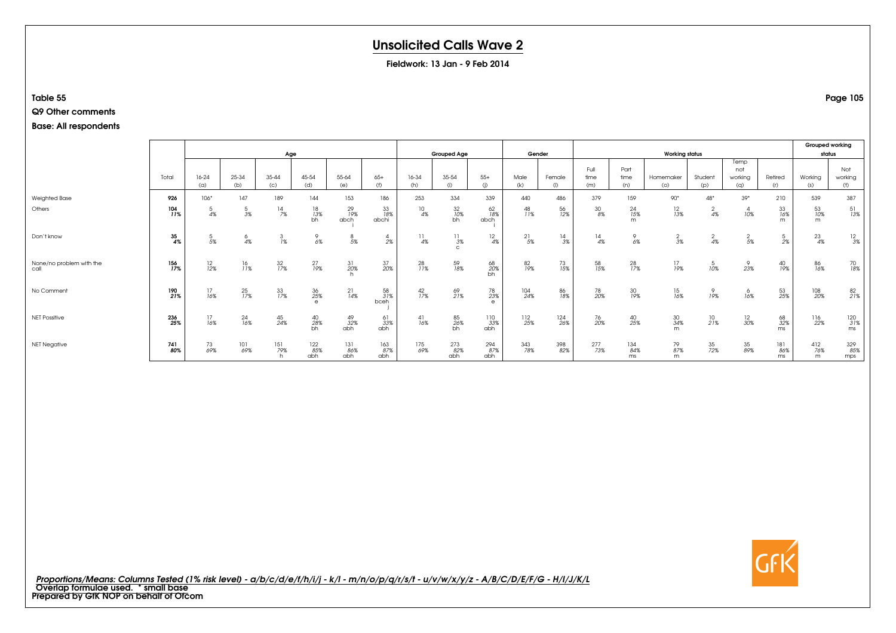Fieldwork: 13 Jan - 9 Feb 2014

#### Table 55

### Q9 Other comments

### Base: All respondents

|                                  |                    |                |                   | Age               |                                                   |                           |                           |                | <b>Grouped Age</b>                                     |                        | Gender                                     |                               |                     |                           | <b>Working status</b> |                   |                               |                      | Grouped working<br>status                  |                          |
|----------------------------------|--------------------|----------------|-------------------|-------------------|---------------------------------------------------|---------------------------|---------------------------|----------------|--------------------------------------------------------|------------------------|--------------------------------------------|-------------------------------|---------------------|---------------------------|-----------------------|-------------------|-------------------------------|----------------------|--------------------------------------------|--------------------------|
|                                  | Total              | 16-24<br>(a)   | 25-34<br>(b)      | 35-44<br>(c)      | 45-54<br>(d)                                      | 55-64<br>(e)              | $65+$<br>(f)              | 16-34<br>(h)   | 35-54<br>(i)                                           | $55+$<br>(i)           | Male<br>(k)                                | Female<br>$($ l $)$           | Full<br>time<br>(m) | Part<br>time<br>(n)       | Homemaker<br>(0)      | Student<br>(p)    | Temp<br>not<br>working<br>(a) | Retired<br>(r)       | Working<br>(s)                             | Not<br>working<br>(t)    |
| <b>Weighted Base</b>             | 926                | $106*$         | 147               | 189               | 144                                               | 153                       | 186                       | 253            | 334                                                    | 339                    | 440                                        | 486                           | 379                 | 159                       | 90*                   | 48*               | $39*$                         | 210                  | 539                                        | 387                      |
| Others                           | $\frac{104}{11\%}$ | 5<br>4%        | 3%                | $\frac{14}{7\%}$  | 18<br>13%<br>bh                                   | 29<br>79%<br>abch         | $\frac{33}{18%}$<br>abchi | 10<br>4%       | $\begin{array}{c} 32 \\ 10\% \\ \rm{bh} \end{array}$   | $^{62}_{18\%}$<br>abch | $^{48}_{11\%}$                             | 56<br>12%                     | $\frac{30}{8\%}$    | $^{24}_{15\%}$<br>m       | 12<br>13%             | $\frac{2}{4\%}$   | $\frac{4}{10\%}$              | 33<br>16%<br>m       | $\frac{53}{10\%}$<br>m                     | $^{51}_{13\%}$           |
| Don't know                       | 35<br>4%           | 5<br>5%        | $\circ$<br>4%     | 3<br>1%           | 9<br>6%                                           | 8<br>5%                   | 4<br>2%                   | 11<br>4%       | $^{11}_{\ 3\%}$<br>$\mathbf{C}$                        | 12<br>4%               | $^{21}_{5\%}$                              | 14<br>3%                      | 14<br>4%            | 9<br>6%                   | $\frac{2}{3\%}$       | $\epsilon$<br>4%  | $^2_{5\%}$                    | 5<br>2%              | 23<br>4%                                   | $\frac{12}{3\%}$         |
| None/no problem with the<br>call | 156<br>17%         | $^{12}_{12\%}$ | 16<br>11%         | $\frac{32}{17\%}$ | $^{27}_{19\%}$                                    | $\frac{31}{20\%}$         | $\frac{37}{20\%}$         | $^{28}_{11\%}$ | 59<br>18%                                              | $^{68}_{20\%}$<br>bh   | 82<br>19%                                  | 73<br>15%                     | $\frac{58}{15\%}$   | $^{28}_{17\%}$            | 17<br>19%             | 5<br>10%          | 9<br>23%                      | 40<br>19%            | 86<br>16%                                  | 70<br>18%                |
| No Comment                       | 190<br>21%         | 17<br>16%      | $^{25}_{17\%}$    | $\frac{33}{17\%}$ | 36<br>25%<br>$\theta$                             | $^{21}_{14\%}$            | 58<br>31%<br>bceh         | $^{42}_{17\%}$ | $^{69}_{21\%}$                                         | 78<br>23%<br>$\theta$  | $\frac{104}{24\%}$                         | 86<br>18%                     | 78<br>20%           | $\frac{30}{19\%}$         | 15<br>16%             | 9<br>19%          | $^{6}_{16\%}$                 | 53<br>25%            | $^{108}_{20\%}$                            | $\frac{82}{21\%}$        |
| <b>NET Possitive</b>             | 236<br>25%         | 17<br>16%      | $^{24}_{16\%}$    | $^{45}_{24\%}$    | $^{40}_{28\%}$<br>bh                              | 49<br>32%<br>abh          | 61<br>33%<br>abh          | $^{41}_{16\%}$ | $\begin{array}{c} 85 \\ 26\% \\ \text{bh} \end{array}$ | 110<br>33%<br>abh      | $\begin{array}{c} 112 \\ 25\% \end{array}$ | <sup>124</sup> <sub>26%</sub> | 76<br>20%           | $^{40}_{\color{red}25\%}$ | 30<br>34%<br>m.       | $\frac{10}{21\%}$ | $\frac{12}{30\%}$             | $^{68}_{32\%}$<br>ms | $\begin{array}{c} 116 \\ 22\% \end{array}$ | $\frac{120}{31\%}$<br>ms |
| <b>NET Negative</b>              | 741<br>80%         | 73<br>69%      | $\frac{101}{69%}$ | 151<br>79%<br>h   | $\begin{array}{c} 122 \\ 85\% \end{array}$<br>abh | $\frac{131}{86\%}$<br>abh | $\frac{163}{87%}$<br>abh  | 175<br>69%     | $^{273}_{82\%}$<br>abh                                 | $^{294}_{87\%}$<br>abh | 343<br>78%                                 | 398<br>82%                    | 277<br>73%          | 134<br>84%<br>ms          | 79<br>87%<br>m        | $\frac{35}{72\%}$ | 35<br>89%                     | 181<br>86%<br>ms     | $^{412}_{76\%}$<br>m                       | 329<br>85%<br>mps        |

Proportions/Means: Columns Tested (1% risk level) - a/b/c/d/e/f/h/i/j - k/l - m/n/o/p/q/r/s/t - u/v/w/x/y/z - A/B/C/D/E/F/G - H/I/J/K/L<br>Overlap formulae used. \* small base<br>Prepared by GfK NOP on behalf of Ofcom



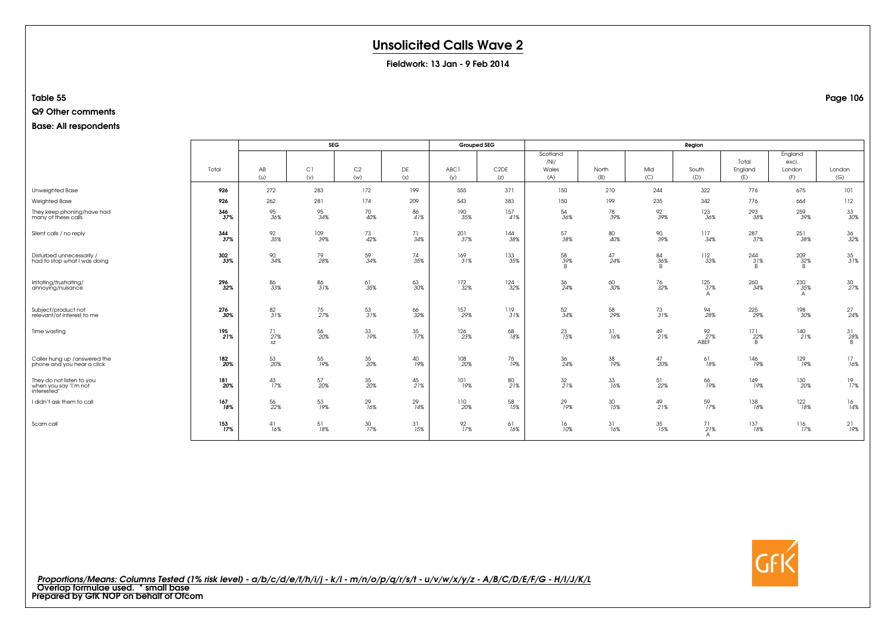Fieldwork: 13 Jan - 9 Feb 2014

#### Table 55

### Q9 Other comments

### Base: All respondents

|                                                                   |                   |                        |                   | <b>SEG</b>        |                        | <b>Grouped SEG</b> |                          |                                        |                   |                   | Region                 |                                            |                                            |                         |
|-------------------------------------------------------------------|-------------------|------------------------|-------------------|-------------------|------------------------|--------------------|--------------------------|----------------------------------------|-------------------|-------------------|------------------------|--------------------------------------------|--------------------------------------------|-------------------------|
|                                                                   | Total             | AB<br>(u)              | C1<br>(v)         | C2<br>(w)         | DE<br>(x)              | ABC1<br>(y)        | C <sub>2</sub> DE<br>(z) | Scotland<br>$/$ NI $/$<br>Wales<br>(A) | North<br>(B)      | Mid<br>(C)        | South<br>(D)           | Total<br>England<br>(E)                    | England<br>excl.<br>London<br>(F)          | London<br>(G)           |
| <b>Unweighted Base</b>                                            | 926               | 272                    | 283               | 172               | 199                    | 555                | 371                      | 150                                    | 210               | 244               | 322                    | 776                                        | 675                                        | 101                     |
| <b>Weighted Base</b>                                              | 926               | 262                    | 281               | 174               | 209                    | 543                | 383                      | 150                                    | 199               | 235               | 342                    | 776                                        | 664                                        | 112                     |
| They keep phoning/have had<br>many of these calls                 | 346<br>37%        | 95<br>36%              | 95<br>34%         | 70<br>40%         | 86<br>41%              | 190<br>35%         | 157<br>41%               | 54<br>36%                              | 78<br>39%         | 92<br>39%         | 123<br>36%             | 293<br>38%                                 | 259<br>39%                                 | $\substack{33 \ 30\%}$  |
| Silent calls / no reply                                           | 344<br>37%        | 92<br>35%              | 109<br>39%        | $\frac{73}{42\%}$ | 71<br>34%              | 201<br>37%         | $^{144}_{38\%}$          | 57<br>38%                              | 80<br>40%         | 90<br>39%         | 117<br>34%             | 287<br>37%                                 | 251<br>38%                                 | $\substack{36 \\ 32\%}$ |
| Disturbed unnecessarily /<br>had to stop what I was doing         | 302<br>33%        | 90<br>34%              | 79<br>28%         | 59<br>34%         | 74<br>35%              | 169<br>31%         | 133<br>35%               | 58<br>39%<br>B.                        | 47<br>24%         | 84<br>36%         | 112<br>33%             | 244<br>31%<br><b>B</b>                     | 209<br>32%<br>B                            | $\frac{35}{31\%}$       |
| Irritating/frustrating/<br>annoying/nuisance                      | 296<br>32%        | 86<br>33%              | 86<br>31%         | 61<br>35%         | 63<br>30%              | 172<br>32%         | 124<br>32%               | 36<br>24%                              | 60<br>30%         | 76<br>32%         | 125<br>37%<br>A        | 260<br>34%                                 | 230<br>35%<br>A                            | $\frac{30}{27\%}$       |
| Subject/product not<br>relevant/of interest to me                 | 276<br>30%        | 82<br>31%              | 75<br>27%         | 53<br>31%         | 66<br>32%              | 157<br>29%         | 119<br>31%               | 52<br>34%                              | 58<br>29%         | 73<br>31%         | 94<br>28%              | 225<br>29%                                 | 198<br>30%                                 | $\frac{27}{24\%}$       |
| Time wasting                                                      | 195<br>21%        | 71<br>27%<br><b>XZ</b> | $^{56}_{20\%}$    | $\frac{33}{19\%}$ | 35 <sub>5</sub><br>17% | 126<br>23%         | 68<br>18%                | $^{23}_{15\%}$                         | 31<br>16%         | 49<br>21%         | 92<br>27%<br>ABEF      | 171<br>22%<br>B                            | 140<br>21%                                 | $\frac{31}{28\%}$<br>B  |
| Caller hung up /answered the<br>phone and you hear a click        | 182<br>20%        | $\frac{53}{20\%}$      | $\frac{55}{19\%}$ | $\frac{35}{20\%}$ | $^{40}_{19\%}$         | 108<br>20%         | 75<br>19%                | 36<br>24%                              | 38<br>19%         | $^{47}_{20\%}$    | 61<br>18%              | 146<br><i>19</i> %                         | 129<br><i>19</i> %                         | $^{17}_{16\%}$          |
| They do not listen to you<br>when you say "I'm not<br>interested" | 181<br>20%        | 43<br>17%              | 57<br>20%         | $\frac{35}{20\%}$ | 45<br>21%              | 101<br>19%         | $^{80}_{21\%}$           | $^{32}_{21\%}$                         | $\frac{33}{16\%}$ | $\frac{51}{22\%}$ | 66<br>19%              | 149<br>19%                                 | $^{130}_{\phantom{1}20\%}$                 | $\frac{19}{17\%}$       |
| I didn't ask them to call                                         | 167<br>18%        | $\frac{56}{22\%}$      | $\frac{53}{19\%}$ | $\frac{29}{16\%}$ | $^{29}_{14\%}$         | 110<br>20%         | $\frac{58}{15\%}$        | $^{29}_{19\%}$                         | $\frac{30}{15\%}$ | $^{49}_{21\%}$    | 59<br>17%              | $\begin{array}{c} 138 \\ 18\% \end{array}$ | $\begin{array}{c} 122 \\ 18\% \end{array}$ | $\frac{16}{14\%}$       |
| Scam call                                                         | 153<br><i>17%</i> | $^{41}_{16\%}$         | $^{51}_{18\%}$    | $\frac{30}{17\%}$ | $\frac{31}{15\%}$      | $\frac{92}{17\%}$  | $^{61}_{16\%}$           | $^{16}_{10\%}$                         | $\frac{31}{16\%}$ | $\frac{35}{15\%}$ | $\frac{71}{21\%}$<br>A | 137<br>18%                                 | $\frac{116}{17\%}$                         | $^{21}_{19\%}$          |



Proportions/Means: Columns Tested (1% risk level) - a/b/c/d/e/f/h/i/j - k/l - m/n/o/p/q/r/s/t - u/v/w/x/y/z - A/B/C/D/E/F/G - H/l/J/K/L<br>Overlap formulae used. \* small base<br>Prepared by GfK NOP on behalf of Ofcom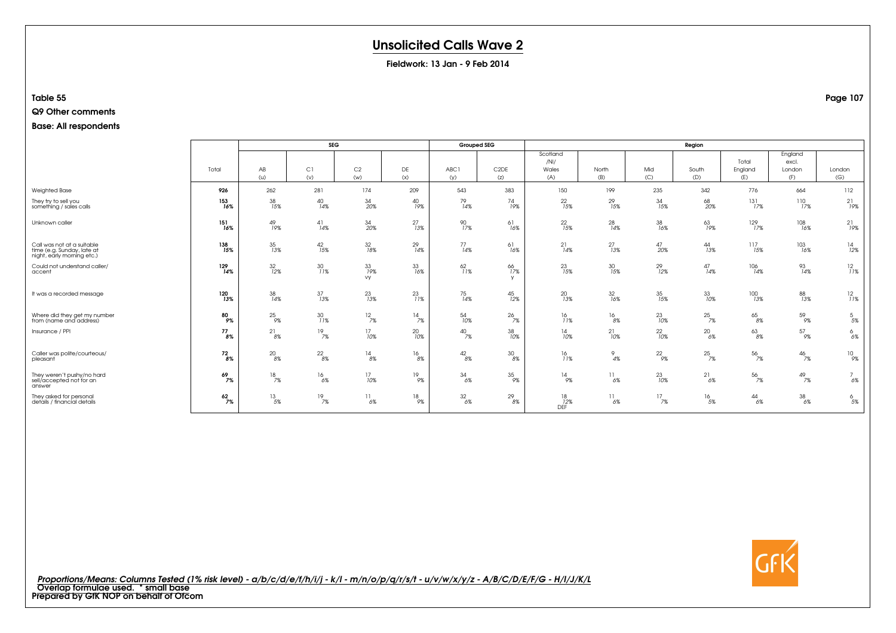Fieldwork: 13 Jan - 9 Feb 2014

#### Table 55

### Q9 Other comments

#### Base: All respondents

|                                                                                        |                    |                          | SEG                      |                         |                                    | Grouped SEG                    |                              |                                  |                                   |                     | Region            |                          |                                            |                                    |
|----------------------------------------------------------------------------------------|--------------------|--------------------------|--------------------------|-------------------------|------------------------------------|--------------------------------|------------------------------|----------------------------------|-----------------------------------|---------------------|-------------------|--------------------------|--------------------------------------------|------------------------------------|
|                                                                                        | Total              | AB<br>(u)                | C1<br>(v)                | C2<br>(w)               | DE<br>(x)                          | ABC1<br>(y)                    | C <sub>2</sub> DE<br>(z)     | Scotland<br>/Nl/<br>Wales<br>(A) | North<br>(B)                      | Mid<br>(C)          | South<br>(D)      | Total<br>England<br>(E)  | England<br>excl.<br>London<br>(F)          | London<br>(G)                      |
| Weighted Base                                                                          | 926                | 262                      | 281                      | 174                     | 209                                | 543                            | 383                          | 150                              | 199                               | 235                 | 342               | 776                      | 664                                        | 112                                |
| They try to sell you<br>something / sales calls                                        | $\frac{153}{16\%}$ | $\frac{38}{15\%}$        | 40<br>14%                | 34<br>20%               | 40<br>19%                          | 79<br>14%                      | 74<br>19%                    | $^{22}_{15\%}$                   | $^{29}_{\phantom{1}75\%}$         | 34<br>15%           | 68<br>20%         | 131<br>17%               | $\begin{array}{c} 110 \\ 17\% \end{array}$ | $^{21}_{19\%}$                     |
| Unknown caller                                                                         | 151<br>16%         | 49<br>19%                | 41<br>14%                | 34<br>20%               | 27<br>13%                          | 90<br>17%                      | 61<br>16%                    | 22<br>15%                        | 28<br>14%                         | 38<br>16%           | 63<br>19%         | 129<br>17%               | 108<br>16%                                 | $^{21}_{19\%}$                     |
| Call was not at a suitable<br>time (e.g. Sunday, late at<br>night, early morning etc.) | 138<br>15%         | $\frac{35}{13\%}$        | $^{42}_{15\%}$           | $\frac{32}{18\%}$       | 29<br>14%                          | 77<br>14%                      | 61<br>16%                    | $^{21}_{14\%}$                   | $^{27}_{\phantom{1}13\%}$         | $^{47}_{20\%}$      | 44<br>13%         | 117<br>15%               | $\frac{103}{16\%}$                         | $^{14}_{12\%}$                     |
| Could not understand caller/<br>accent                                                 | 129<br>14%         | $\frac{32}{12\%}$        | $\frac{30}{11\%}$        | $\frac{33}{19\%}$<br>vy | 33<br>16%                          | 62<br>11%                      | 66<br>17%<br>$\mathcal{U}$   | $^{23}_{\phantom{1}15\%}$        | $\frac{30}{15\%}$                 | $^{29}_{12\%}$      | 47<br>14%         | 106<br>14%               | $\frac{93}{14\%}$                          | $^{12}_{\hbox{\scriptsize{II}\%}}$ |
| It was a recorded message                                                              | 120<br>73%         | 38<br>14%                | 37<br>13%                | $^{23}_{13\%}$          | $^{23}_{\hbox{\scriptsize{11}}\%}$ | 75<br>14%                      | 45<br>12%                    | $^{20}_{13\%}$                   | $\frac{32}{16\%}$                 | $\frac{35}{15\%}$   | $\frac{33}{10\%}$ | 100<br>13%               | 88<br>13%                                  | $^{12}_{11\%}$                     |
| Where did they get my number<br>from (name and address)                                | 80<br>9%           | 25<br>9%                 | $\frac{30}{11\%}$        | $^{12}_{7\%}$           | $\frac{14}{7\%}$                   | 54<br>10%                      | $^{26}$ 7%                   | $^{16}_{11\%}$                   | $\frac{16}{8\%}$                  | $^{23}_{10\%}$      | $^{25}_{7\%}$     | $^{65}_{\phantom{1}8\%}$ | 59<br>9%                                   | $\frac{5}{5\%}$                    |
| Insurance / PPI                                                                        | 77<br>8%           | 21<br>8%                 | $\frac{19}{7\%}$         | 17<br>10%               | 20<br>10%                          | 40<br>7%                       | 38<br>10%                    | $^{14}_{10\%}$                   | $^{21}_{\hbox{\scriptsize 10\%}}$ | $^{22}_{10\%}$      | 20<br>6%          | 63<br>8%                 | 57<br>9%                                   | 6<br>6%                            |
| Caller was polite/courteous/<br>pleasant                                               | $\frac{72}{8\%}$   | $^{20}_{\phantom{1}8\%}$ | $^{22}_{\phantom{2}8\%}$ | $^{14}_{\,\,8\%}$       | $\frac{16}{8\%}$                   | $\overset{42}{\phantom{1}8\%}$ | $\overset{30}{\mathbf{8\%}}$ | $^{16}_{11\%}$                   | 9<br>4%                           | $^{22}_{\  \, 9\%}$ | $^{25}_{7\%}$     | $\frac{56}{7\%}$         | $^{46}$<br>$^{7\%}$                        | $\frac{10}{9\%}$                   |
| They weren't pushy/no hard<br>sell/accepted not for an<br>answer                       | 69<br>7%           | 18<br>7%                 | 16<br>6%                 | 17<br>10%               | 19<br>9%                           | 34<br>6%                       | $\frac{35}{9\%}$             | 14<br>9%                         | 11<br>6%                          | $^{23}_{10\%}$      | 21<br>6%          | $\frac{56}{7\%}$         | 49<br>7%                                   | $7^{\circ}$<br>6%                  |
| They asked for personal<br>details / financial details                                 | $^{62}_{7\%}$      | $\frac{13}{5\%}$         | $\frac{19}{7\%}$         | 11<br>6%                | $\frac{18}{9\%}$                   | 32<br>6%                       | 29<br>8%                     | $\frac{18}{12\%}$<br>DEF         | $11 -$<br>6%                      | $\frac{17}{7\%}$    | $\frac{16}{5\%}$  | 44<br>6%                 | 38<br>6%                                   | $^6_{5\%}$                         |



Proportions/Means: Columns Tested (1% risk level) - a/b/c/d/e/f/h/i/j - k/l - m/n/o/p/q/r/s/t - u/v/w/x/y/z - A/B/C/D/E/F/G - H/l/J/K/L<br>Overlap formulae used. \* small base<br>Prepared by GfK NOP on behalf of Ofcom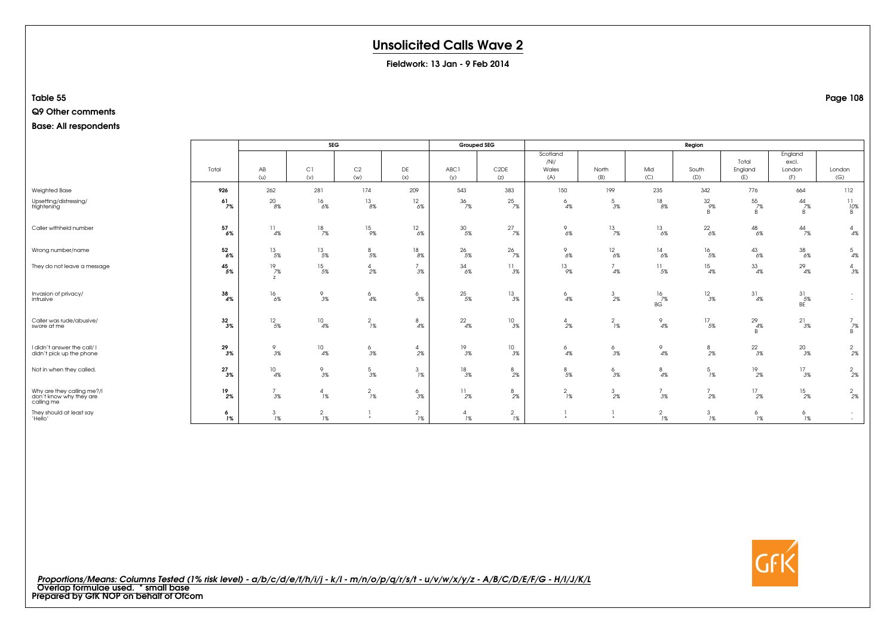Fieldwork: 13 Jan - 9 Feb 2014

#### Table 55

### Q9 Other comments

#### Base: All respondents

|                                                                     |                  |                          |                          | SEG                   |                         | <b>Grouped SEG</b>       |                          |                                        |                       |                               | Region            |                         |                                                       |                                   |
|---------------------------------------------------------------------|------------------|--------------------------|--------------------------|-----------------------|-------------------------|--------------------------|--------------------------|----------------------------------------|-----------------------|-------------------------------|-------------------|-------------------------|-------------------------------------------------------|-----------------------------------|
|                                                                     | Total            | AB<br>(u)                | C1<br>(v)                | C <sub>2</sub><br>(w) | DE<br>(x)               | ABC1<br>(y)              | C <sub>2</sub> DE<br>(z) | Scotland<br>$/$ NI $/$<br>Wales<br>(A) | North<br>(B)          | Mid<br>(C)                    | South<br>(D)      | Total<br>England<br>(E) | England<br>excl.<br>London<br>(F)                     | London<br>(G)                     |
| <b>Weighted Base</b>                                                | 926              | 262                      | 281                      | 174                   | 209                     | 543                      | 383                      | 150                                    | 199                   | 235                           | 342               | 776                     | 664                                                   | 112                               |
| Upsetting/distressing/<br>frightening                               | 61<br>7%         | $^{20}_{\phantom{1}8\%}$ | $^{16}_{6\%}$            | 13<br>8%              | $\frac{12}{6\%}$        | $\frac{36}{7\%}$         | $^{25}_{7\%}$            | 6<br>4%                                | $5\phantom{.0}$<br>3% | $^{18}_{\,\,8\%}$             | 32<br>$-9%$       | 55<br>7%<br><b>B</b>    | 44<br>7%<br>B                                         | $\frac{11}{10\%}$ B               |
| Caller withheld number                                              | 57<br>6%         | 11<br>4%                 | $^{18}_{7\%}$            | $\frac{15}{9\%}$      | $\frac{12}{6\%}$        | $\underset{5\%}{^{30}}$  | 27<br>7%                 | 9<br>6%                                | $\frac{13}{7\%}$      | $\frac{13}{6\%}$              | $^{22}_{6\%}$     | 48<br>6%                | $^{44}$<br>7%                                         | $\frac{4}{4\%}$                   |
| Wrong number/name                                                   | 52<br>6%         | 13<br>5%                 | 13<br>5%                 | 8<br>5%               | 18<br>8%                | $^{26}_{\phantom{1}5\%}$ | 26<br>7%                 | 9<br>6%                                | 12<br>6%              | 14<br>6%                      | 16<br>5%          | 43<br>6%                | 38<br>6%                                              | 5 <sub>5</sub><br>4%              |
| They do not leave a message                                         | 45<br>5%         | 19<br>7%                 | $^{15}_{\phantom{1}5\%}$ | $\overline{4}$<br>2%  | $\overline{7}$<br>$3\%$ | 34<br>6%                 | 11<br>3%                 | $\frac{13}{9\%}$                       | 7<br>$4\%$            | 11<br>5%                      | 15<br>4%          | 33<br>4%                | 29<br>4%                                              | $\overline{4}$<br>3%              |
| Invasion of privacy/<br>intrusive                                   | 38<br>4%         | 16<br>6%                 | 9<br>3%                  | $\frac{6}{4\%}$       | $\frac{6}{3\%}$         | $\substack{25 \\ 5\%}$   | 13<br>3%                 | 6<br>4%                                | $\frac{3}{2\%}$       | $\frac{16}{7\%}$<br><b>BG</b> | $\frac{12}{3\%}$  | 31<br>4%                | $\begin{array}{c} 31 \\ 5\% \\ \text{BE} \end{array}$ | $\sim 100$<br>$\omega_{\rm{eff}}$ |
| Caller was rude/abusive/<br>swore at me                             | $\frac{32}{3\%}$ | $\frac{12}{5\%}$         | 10 <sup>°</sup><br>4%    | $^2_{1\%}$            | 8<br>4%                 | $^{22}_{4\%}$            | 10<br>3%                 | $^4_{2\%}$                             | $\frac{2}{1\%}$       | 9<br>4%                       | 17<br>5%          | 29<br>4%<br><b>B</b>    | $^{21}_{3\%}$                                         | $\frac{7\%}{B}$                   |
| I didn't answer the call/ I<br>didn't pick up the phone             | 29<br>3%         | 9<br>3%                  | 10<br>4%                 | $^6_{3\%}$            | $\overline{4}$<br>2%    | $\frac{19}{3\%}$         | 10<br>3%                 | 6<br>4%                                | 6<br>3%               | 9<br>$4\%$                    | 8<br>2%           | 22<br>3%                | $^{20}_{\phantom{1}3\%}$                              | $^2_{2\%}$                        |
| Not in when they called.                                            | $^{27}_{3\%}$    | 10 <sup>°</sup><br>4%    | $\frac{9}{3\%}$          | $\frac{5}{3\%}$       | $\frac{3}{1\%}$         | $\frac{18}{3\%}$         | 8<br>2%                  | $^8_{5\%}$                             | $^6_{3\%}$            | $\frac{8}{4\%}$               | $5\phantom{1}7\%$ | $\frac{19}{2\%}$        | $^{17}_{\phantom{1}3\%}$                              | $^2_{2\%}$                        |
| Why are they calling me?/I<br>don't know why they are<br>calling me | 19<br>2%         | $\overline{7}$<br>$3\%$  | $\overline{4}$<br>1%     | $\frac{2}{1\%}$       | 6<br>3%                 | 11<br>2%                 | 8<br>2%                  | $\overline{2}$<br>1%                   | 3<br>2%               | 7<br>3%                       | 7<br>2%           | 17<br>2%                | $\frac{15}{2\%}$                                      | $^2_{2\%}$                        |
| They should at least say<br>'Hello'                                 | 6<br>1%          | $\mathbf{3}$<br>7%       | $\frac{2}{1\%}$          | $\bullet$             | $\frac{2}{1\%}$         | 4<br>1%                  | $\overline{2}$<br>1%     | $\bullet$                              | $\cdot$               | $\frac{2}{1\%}$               | 3<br>1%           | 6<br>1%                 | $^6_{1\%}$                                            | $\sim$<br>$\sim 100$              |



Proportions/Means: Columns Tested (1% risk level) - a/b/c/d/e/f/h/i/j - k/l - m/n/o/p/q/r/s/t - u/v/w/x/y/z - A/B/C/D/E/F/G - H/l/J/K/L<br>Overlap formulae used. \* small base<br>Prepared by GfK NOP on behalf of Ofcom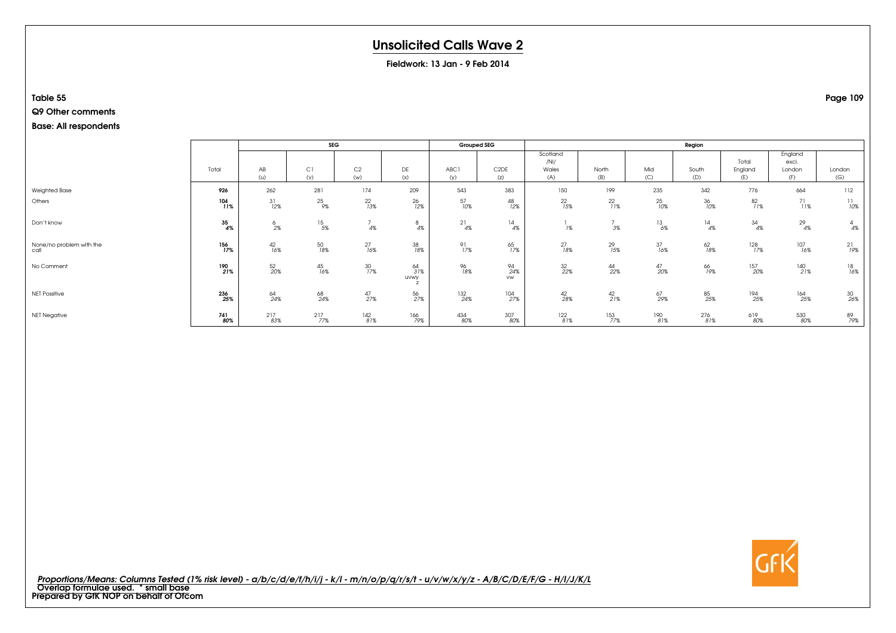Fieldwork: 13 Jan - 9 Feb 2014

#### Table 55

Q9 Other comments

### Base: All respondents

|                                  |                    |                                           | <b>SEG</b>        |                            |                                           |                    | <b>Grouped SEG</b>                         |                                        |                           |                    | Region            |                         |                                            |                                           |
|----------------------------------|--------------------|-------------------------------------------|-------------------|----------------------------|-------------------------------------------|--------------------|--------------------------------------------|----------------------------------------|---------------------------|--------------------|-------------------|-------------------------|--------------------------------------------|-------------------------------------------|
|                                  | Total              | AB<br>(u)                                 | C1<br>(v)         | C2<br>(w)                  | DE<br>(x)                                 | ABC1<br>(y)        | C <sub>2</sub> DE<br>(z)                   | Scotland<br>$/$ NI $/$<br>Wales<br>(A) | North<br>(B)              | Mid<br>(C)         | South<br>(D)      | Total<br>England<br>(E) | England<br>excl.<br>London<br>(F)          | London<br>(G)                             |
| Weighted Base                    | 926                | 262                                       | 281               | 174                        | 209                                       | 543                | 383                                        | 150                                    | 199                       | 235                | 342               | 776                     | 664                                        | 112                                       |
| Others                           | $\frac{104}{11\%}$ | $\begin{array}{c} 31 \\ 12\% \end{array}$ | $\frac{25}{9\%}$  | $^{22}_{13\%}$             | $^{26}_{12\%}$                            | $\frac{57}{10\%}$  | $\frac{48}{12\%}$                          | $^{22}_{\phantom{2}15\%}$              | $^{22}_{11\%}$            | $^{25}_{10\%}$     | $\frac{36}{10\%}$ | $\frac{82}{11\%}$       | $\frac{71}{11\%}$                          | $^{11}_{10\%}$                            |
| Don't know                       | 35<br>4%           | $\frac{6}{2\%}$                           | $\frac{15}{5\%}$  | 4%                         | $\frac{8}{4\%}$                           | $^{21}_{4\%}$      | 14<br>4%                                   | 1%                                     | 3%                        | 13<br>6%           | 14<br>$4\%$       | $\frac{34}{4\%}$        | $\frac{29}{4\%}$                           | $\frac{4}{4\%}$                           |
| None/no problem with the<br>call | 156<br>17%         | $\frac{42}{16\%}$                         | $^{50}_{18\%}$    | $\frac{27}{16\%}$          | $\begin{array}{c} 38 \\ 18\% \end{array}$ | 91<br>17%          | 65<br>17%                                  | $^{27}_{18\%}$                         | $^{29}_{15\%}$            | $\frac{37}{16\%}$  | 62<br>18%         | $\frac{128}{17\%}$      | $\frac{107}{16\%}$                         | $^{21}_{19\%}$                            |
| No Comment                       | 190<br>21%         | $\frac{52}{20\%}$                         | $\frac{45}{16\%}$ | $\frac{30}{17\%}$          | 64<br>31%<br>uvwy                         | 96<br>18%          | 94<br>24%<br><b>VW</b>                     | $\frac{32}{22\%}$                      | $\frac{44}{22\%}$         | $^{47}_{20\%}$     | 66<br>19%         | 157<br>20%              | $\begin{array}{c} 140 \\ 21\% \end{array}$ | $\begin{array}{c} 18 \\ 16\% \end{array}$ |
| NET Possitive                    | 236<br>25%         | 64<br>24%                                 | $^{68}_{24\%}$    | $^{47}_{27\%}$             | $\frac{56}{27%}$                          | $\frac{132}{24\%}$ | $\begin{array}{c} 104 \\ 27\% \end{array}$ | $^{42}_{28\%}$                         | $^{42}_{\phantom{2}21\%}$ | 67<br>29%          | 85<br>25%         | 194<br>25%              | 164<br>25%                                 | 30<br>26%                                 |
| NET Negative                     | 741<br>80%         | $^{217}_{83\%}$                           | $^{217}_{77\%}$   | $^{142}_{\substack{81\%}}$ | 166<br>79%                                | 434<br>80%         | 307<br>80%                                 | $\frac{122}{81\%}$                     | 153<br>77%                | $\frac{190}{81\%}$ | $^{276}_{81\%}$   | 619<br>80%              | 530<br>80%                                 | 89<br>79%                                 |

Proportions/Means: Columns Tested (1% risk level) - a/b/c/d/e/f/h/i/j - k/l - m/n/o/p/q/r/s/t - u/v/w/x/y/z - A/B/C/D/E/F/G - H/l/J/K/L<br>Overlap formulae used. \* small base<br>Prepared by GfK NOP on behalf of Ofcom

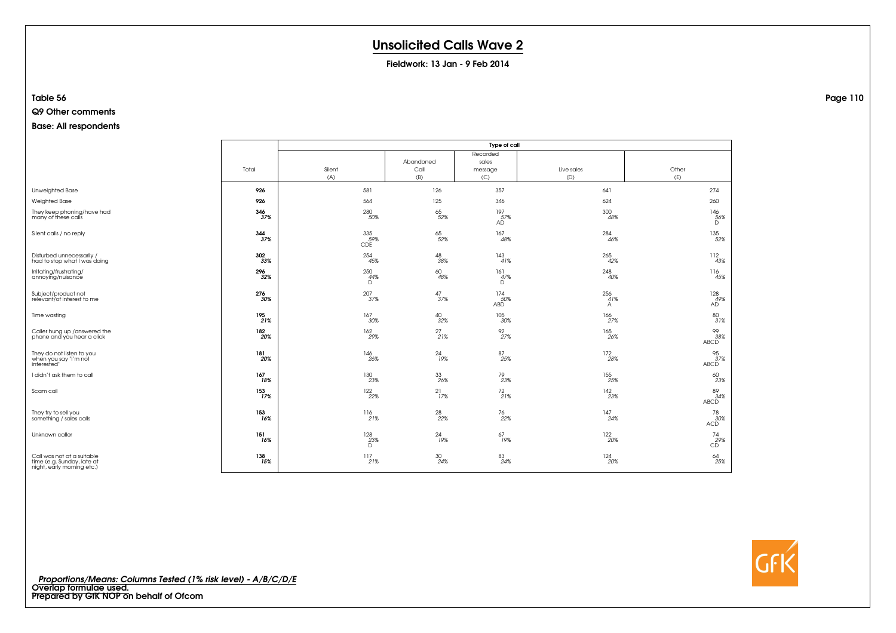Fieldwork: 13 Jan - 9 Feb 2014

#### Table 56

Q9 Other comments

### Base: All respondents

|                                                                                        |                                            |                                 |                                                        | Type of call                        |                                            |                                            |
|----------------------------------------------------------------------------------------|--------------------------------------------|---------------------------------|--------------------------------------------------------|-------------------------------------|--------------------------------------------|--------------------------------------------|
|                                                                                        | Total                                      | Silent<br>(A)                   | Abandoned<br>Call<br>(B)                               | Recorded<br>sales<br>message<br>(C) | Live sales<br>(D)                          | Other<br>(E)                               |
| Unweighted Base                                                                        | 926                                        | 581                             | 126                                                    | 357                                 | 641                                        | 274                                        |
| <b>Weighted Base</b>                                                                   | 926                                        | 564                             | 125                                                    | 346                                 | 624                                        | 260                                        |
| They keep phoning/have had<br>many of these calls                                      | 346<br>37%                                 | 280<br>50%                      | 65<br>52%                                              | 197<br>57%<br>AD                    | 300<br>48%                                 | $\frac{146}{56\%}$<br>D                    |
| Silent calls / no reply                                                                | 344<br>37%                                 | 335<br>59%<br>CDE               | $65 \over 52\%$                                        | 167<br>48%                          | 284<br>46%                                 | $^{135}_{\phantom{1}52\%}$                 |
| Disturbed unnecessarily /<br>had to stop what I was doing                              | 302<br>33%                                 | 254<br>45%                      | 48<br>38%                                              | 143<br>41%                          | 265<br>42%                                 | 112<br>43%                                 |
| Irritating/frustrating/<br>annoying/nuisance                                           | 296<br>32%                                 | 250<br>44%<br>D                 | $\overset{60}{\mathbf{48\%}}$                          | $\frac{161}{47\%}$<br>D             | $\underset{40\%}{^{248}}$                  | $\begin{array}{c} 116 \\ 45\% \end{array}$ |
| Subject/product not<br>relevant/of interest to me                                      | 276<br>30%                                 | 207<br>37%                      | $\substack{47 \\ 37\%}$                                | 174<br>$50\%$<br>ABD                | $^{256}_{41\%}$<br>A                       | $\frac{128}{49%}$<br>AD <sup>"</sup>       |
| Time wasting                                                                           | 195<br>21%                                 | $^{167}_{30\%}$                 | $\substack{40 \\ 32\%}$                                | $^{105}_{\phantom{1}30\%}$          | 166<br>27%                                 | $\frac{80}{31\%}$                          |
| Caller hung up /answered the<br>phone and you hear a click                             | 182<br>20%                                 | $\frac{162}{29\%}$              | $^{27}_{\phantom{1}21\%}$                              | $\frac{92}{27\%}$                   | 165<br>26%                                 | 99<br>38%<br>ABCD                          |
| They do not listen to you<br>when you say "I'm not<br>interested"                      | 181<br>20%                                 | $\frac{146}{26\%}$              | $^{24}_{19\%}$                                         | $\underset{25\%}{^{87}}$            | $^{172}_{-28\%}$                           | $\frac{95}{37\%}$<br>ABCD                  |
| I didn't ask them to call                                                              | 167<br>18%                                 | 130<br>23%                      | $\frac{33}{26\%}$                                      | 79<br>23%                           | 155<br>25%                                 | 60<br>23%                                  |
| Scam call                                                                              | 153<br>17%                                 | $\frac{122}{22\%}$              | $^{21}_{\hbox{{\scriptsize 17\%}}}$                    | $^{72}_{\ 21\%}$                    | $\begin{array}{c} 142 \\ 23\% \end{array}$ | 89<br>34%<br>ABCD                          |
| They try to sell you<br>something / sales calls                                        | 153<br>16%                                 | 116<br>21%                      | $^{28}_{\phantom{1}22\%}$                              | 76<br>22%                           | 147<br>24%                                 | 78<br>30%<br><b>ACD</b>                    |
| Unknown caller                                                                         | $\frac{151}{16\%}$                         | $\underset{\mathsf{D}}{^{128}}$ | $^{24}_{\phantom{1} \phantom{1} \phantom{1} \gamma\%}$ | $^{67}_{19\%}$                      | 122<br>20%                                 | $^{74}_{\,\,29\%}$ CD                      |
| Call was not at a suitable<br>time (e.g. Sunday, late at<br>night, early morning etc.) | $\begin{array}{c} 138 \\ 15\% \end{array}$ | $^{117}_{\phantom{1}21\%}$      | $\substack{30 \\ 24\%}$                                | 83<br>24%                           | $\begin{array}{c} 124 \\ 20\% \end{array}$ | $^{64}_{25\%}$                             |

Proportions/Means: Columns Tested (1% risk level) - A/B/C/D/E Overlap formulae used. Prepared by GfK NOP on behalf of Ofcom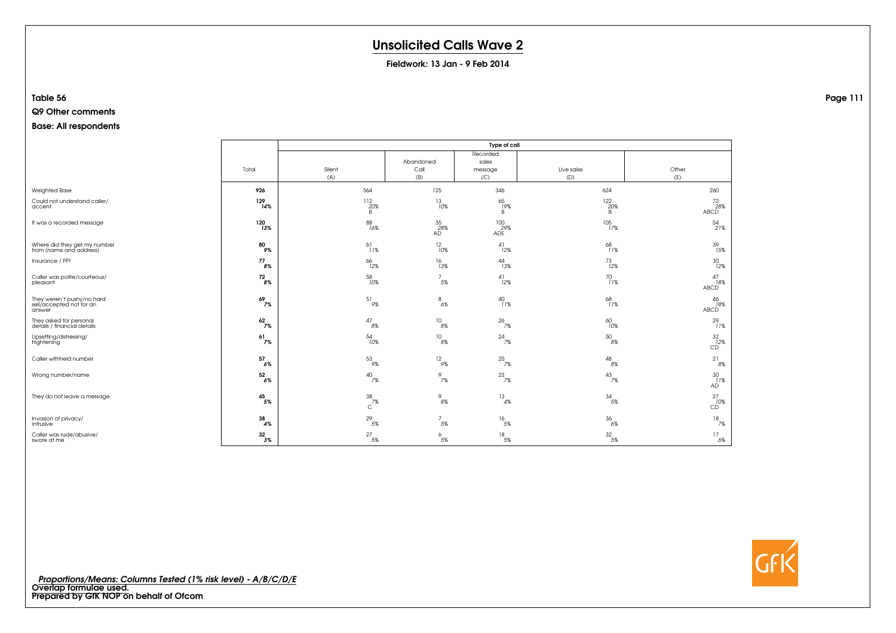Fieldwork: 13 Jan - 9 Feb 2014

#### Table 56

Q9 Other comments

#### Base: All respondents

|                                                                  |                                           |                                    |                                  | Type of call                             |                          |                                     |
|------------------------------------------------------------------|-------------------------------------------|------------------------------------|----------------------------------|------------------------------------------|--------------------------|-------------------------------------|
|                                                                  | Total                                     | Silent<br>(A)                      | Abandoned<br>Call<br>(B)         | Recorded<br>sales<br>message<br>(C)      | Live sales<br>(D)        | Other<br>(E)                        |
| <b>Weighted Base</b>                                             | 926                                       | 564                                | 125                              | 346                                      | 624                      | 260                                 |
| Could not understand caller/<br>accent                           | 129<br><i>14%</i>                         | $\frac{112}{20\%}$<br>$\mathsf{B}$ | $^{13}_{10\%}$                   | $^{65}_{19\%}$<br>B                      | $\frac{122}{20\%}$<br>B  | $^{72}_{28\%}$<br><b>ABCD</b>       |
| It was a recorded message                                        | 120<br>13%                                | 88<br>16%                          | $\underset{\mathsf{AD}}{35}$ 28% | 100<br>$\frac{29\%}{29\%}$               | 105<br>17%               | 54<br>21%                           |
| Where did they get my number<br>from (name and address)          | 80<br>9%                                  | $^{61}_{11\%}$                     | $^{12}_{10\%}$                   | $\overset{4\uparrow}{\phantom{}_{12\%}}$ | $^{68}_{11\%}$           | $\substack{39 \\ 15\%}$             |
| Insurance / PPI                                                  | 77<br>8%                                  | $66 \atop 12\%$                    | $\frac{16}{13\%}$                | $\frac{44}{13\%}$                        | $^{73}_{12\%}$           | 30 <sup>°</sup><br>72%              |
| Caller was polite/courteous/<br>pleasant                         | 72<br>8%                                  | $58$ $10\%$                        | $\overline{7}$<br>5%             | $\underset{12\%}{^{41}}$                 | 70<br>11%                | 47<br>18%<br><b>ABCD</b>            |
| They weren't pushy/no hard<br>sell/accepted not for an<br>answer | 69<br>7%                                  | $^{51}$ 9%                         | $8\atop{6\%}$                    | $\substack{40\\11\%}$                    | $^{68}_{11\%}$           | 46<br>78%<br><b>ABCD</b>            |
| They asked for personal<br>details / financial details           | 62<br>7%                                  | 47<br>8%                           | 10<br>8%                         | $^{26}$ 7%                               | 60<br>10%                | 29<br>11%                           |
| Upsetting/distressing/<br>frightening                            | 61<br>7%                                  | 54<br>10%                          | $^{10}_{\phantom{1}8\%}$         | $^{24}$ <sub>7%</sub>                    | 50<br>8%                 | $\frac{32}{12\%}$<br>CD <sub></sub> |
| Caller withheld number                                           | 57<br>6%                                  | 53<br>9%                           | $^{12}_{\phantom{1}9\%}$         | 25<br>7%                                 | 48<br>8%                 | 21<br>8%                            |
| Wrong number/name                                                | 52<br>6%                                  | 40<br>7%                           | $\frac{9}{7\%}$                  | $^{23}$ <sub>7%</sub>                    | $^{43}$ <sub>7%</sub>    | 30 <sup>°</sup><br>11%<br>AD        |
| They do not leave a message                                      | $\begin{array}{c} 45 \\ 5 \% \end{array}$ | $38$ <sub>7%</sub><br>$\mathsf C$  | $^{\circ}_{_{\mathcal{S}\%}}$    | 13<br>4%                                 | $34$ $5\%$               | 27<br>-10%<br>CD                    |
| Invasion of privacy/<br>intrusive                                | 38<br>4%                                  | 29<br>5%                           | $^7_{\,5\%}$                     | 16<br>5%                                 | 36<br>6%                 | 18<br>7%                            |
| Caller was rude/abusive/<br>swore at me                          | $32^{3}$                                  | $^{27}_{\phantom{1}5\%}$           | $^6$ 5%                          | $^{18}_{\phantom{1}5\%}$                 | $^{32}_{\phantom{1}5\%}$ | 17<br>$^{\degree}$ 6%               |

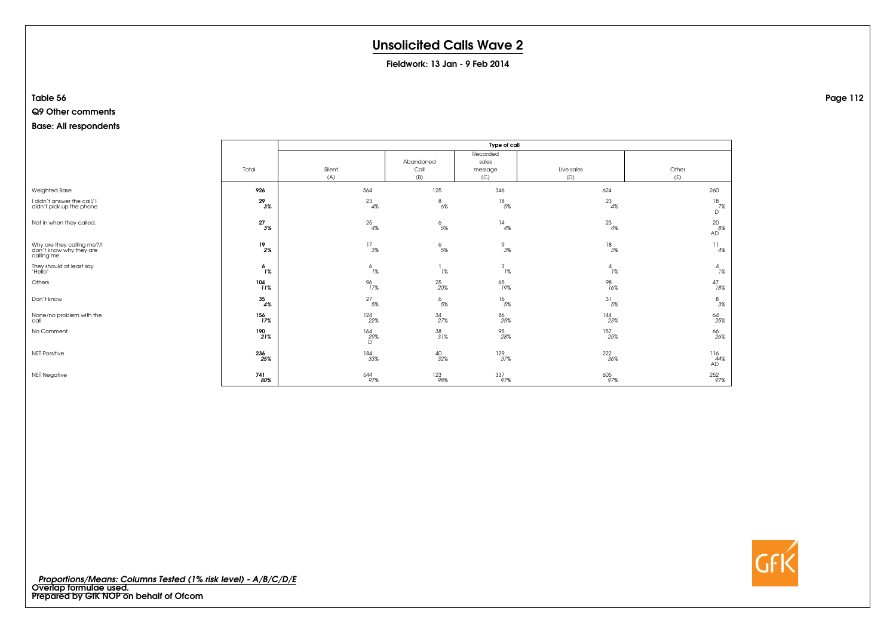Fieldwork: 13 Jan - 9 Feb 2014

#### Table 56

Q9 Other comments

### Base: All respondents

|                                                                     |                    |                                            |                                    | Type of call                        |                      |                            |
|---------------------------------------------------------------------|--------------------|--------------------------------------------|------------------------------------|-------------------------------------|----------------------|----------------------------|
|                                                                     | Total              | Silent<br>(A)                              | Abandoned<br>Call<br>(B)           | Recorded<br>sales<br>message<br>(C) | Live sales<br>(D)    | Other<br>(E)               |
| <b>Weighted Base</b>                                                | 926                | 564                                        | 125                                | 346                                 | 624                  | 260                        |
| I didn't answer the call/ I<br>didn't pick up the phone             | $^{29}$ 3%         | $^{23}_{\ \ \ 4\%}$                        | $8\atop{6\%}$                      | $^{18}$ $^{5\%}$                    | $^{23}_{4\%}$        | $\frac{18}{7\%}$<br>D      |
| Not in when they called.                                            | 27<br>3%           | $\frac{25}{4\%}$                           | $^6$ 5%                            | $^{14}_{\phantom{1}4\%}$            | $^{23}_{4\%}$        | 20<br>8%<br>AD <sup></sup> |
| Why are they calling me?/l<br>don't know why they are<br>calling me | 19<br>2%           | $^{17}$ 3%                                 | $^6$ 5%                            | $\frac{9}{3\%}$                     | $\frac{18}{3\%}$     | 11<br>4%                   |
| They should at least say<br>'Hello'                                 | 6<br>1%            | $^6$ $_{1\%}$                              | 1%                                 | $\frac{3}{1\%}$                     | $\overline{4}$<br>1% | 4<br>1%                    |
| Others                                                              | $\frac{104}{11\%}$ | $\frac{96}{17\%}$                          | $^{25}_{\color{red}\mathit{20\%}}$ | $^{65}_{19\%}$                      | 98<br>16%            | $^{47}_{\phantom{1}18\%}$  |
| Don't know                                                          | 35<br>4%           | $^{27}_{\phantom{1}5\%}$                   | $^6$ 5%                            | $^{16}$ 5%                          | $31$ 5%              | $^8_{3\%}$                 |
| None/no problem with the<br>call                                    | 156<br><i>17%</i>  | 124<br>22%                                 | $\frac{34}{27\%}$                  | $\frac{86}{25\%}$                   | 144<br>23%           | $^{64}_{25\%}$             |
| No Comment                                                          | 190<br>21%         | 164<br>29%<br>D                            | $\frac{38}{31\%}$                  | $^{95}_{\phantom{1}28\%}$           | 157<br>25%           | 66<br>26%                  |
| NET Possitive                                                       | 236<br>25%         | $\begin{array}{c} 184 \\ 33\% \end{array}$ | $^{40}_{32\%}$                     | 129<br>37%                          | 222<br>36%           | $\frac{116}{44\%}$<br>AD   |
| <b>NET Negative</b>                                                 | 741<br>80%         | 544<br>97%                                 | 123<br>98%                         | 337<br>97%                          | $605$<br>$97\%$      | 252<br>97%                 |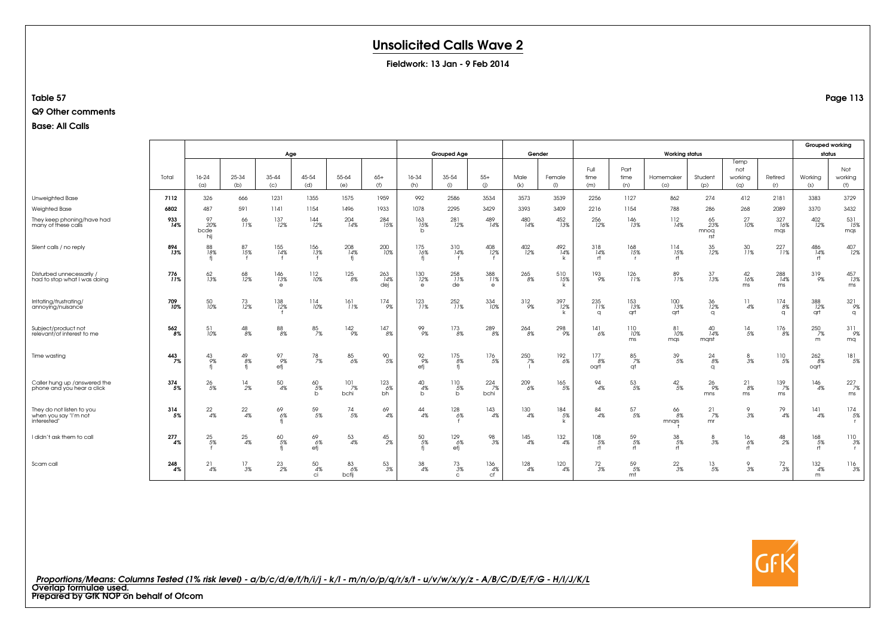Fieldwork: 13 Jan - 9 Feb 2014

## Table 57

## Q9 Other comments

# Base: All Calls

|                                                                   |            |                          |                | Age                        |                 |                   |                   |                                                  | <b>Grouped Age</b>       |                        | Gender      |                    |                        |                            | <b>Working status</b> |                          |                               |                   | Grouped working<br>status  |                           |
|-------------------------------------------------------------------|------------|--------------------------|----------------|----------------------------|-----------------|-------------------|-------------------|--------------------------------------------------|--------------------------|------------------------|-------------|--------------------|------------------------|----------------------------|-----------------------|--------------------------|-------------------------------|-------------------|----------------------------|---------------------------|
|                                                                   | Total      | 16-24<br>(a)             | 25-34<br>(b)   | 35-44<br>$\left( c\right)$ | 45-54<br>(d)    | 55-64<br>(e)      | $65+$<br>(f)      | 16-34<br>(h)                                     | 35-54<br>(i)             | $55+$<br>(j)           | Male<br>(k) | Female<br>(1)      | Full<br>time<br>(m)    | Part<br>time<br>(n)        | Homemaker<br>(0)      | Student<br>(p)           | Temp<br>not<br>working<br>(q) | Retired<br>(r)    | Working<br>(s)             | Not<br>working<br>(t)     |
| Unweighted Base                                                   | 7112       | 326                      | 666            | 1231                       | 1355            | 1575              | 1959              | 992                                              | 2586                     | 3534                   | 3573        | 3539               | 2256                   | 1127                       | 862                   | 274                      | 412                           | 2181              | 3383                       | 3729                      |
| <b>Weighted Base</b>                                              | 6802       | 487                      | 591            | 1141                       | 1154            | 1496              | 1933              | 1078                                             | 2295                     | 3429                   | 3393        | 3409               | 2216                   | 1154                       | 788                   | 286                      | 268                           | 2089              | 3370                       | 3432                      |
| They keep phoning/have had<br>many of these calls                 | 933<br>14% | 97<br>20%<br>bcde<br>hij | 66<br>11%      | 137<br>12%                 | 144<br>12%      | 204<br>14%        | 284<br>15%        | 163<br>15%<br>b                                  | 281<br>72%               | 489<br>14%             | 480<br>14%  | $\frac{452}{13\%}$ | 256<br>12%             | 146<br>13%                 | 112<br>14%            | 65<br>23%<br>mnog<br>rst | 27<br>10%                     | 327<br>16%<br>mqs | $\frac{402}{12\%}$         | $531$<br>$15\%$<br>mqs    |
| Silent calls / no reply                                           | 894<br>13% | 88<br>18%                | 87<br>15%      | $^{155}_{14\%}$            | 156<br>13%      | $^{208}_{14\%}$   | $^{200}_{10\%}$   | $\begin{array}{c} 175 \\ 16\% \end{array}$<br>fi | $\frac{310}{14\%}$       | $^{408}_{12\%}$        | 402<br>12%  | $\frac{492}{14\%}$ | $318 \atop 14\%$<br>rt | 168<br>15%<br>$\mathsf{r}$ | 114<br>15%<br>rt      | $\frac{35}{12\%}$        | 30<br>11%                     | 227<br>11%        | $\frac{486}{14\%}$<br>- rt | $^{407}_{12\%}$           |
| Disturbed unnecessarily<br>had to stop what I was doing           | 776<br>11% | 62<br>13%                | $^{68}_{12\%}$ | 146<br>13%<br>$\mathbf e$  | 112<br>10%      | 125<br>8%         | 263<br>14%<br>dej | 130<br>12%<br>$\theta$                           | 258<br>71%<br>de         | 388<br>77%<br>$\theta$ | 265<br>8%   | 510<br>15%         | 193<br>9%              | 126<br>$\overline{11}\%$   | 89<br>11%             | 37<br>13%                | 42<br>16%<br>ms               | 288<br>14%<br>ms  | 319<br>9%                  | 457<br>73%<br>ms          |
| Irritating/frustrating/<br>annoying/nuisance                      | 709<br>10% | 50<br>10%                | 73<br>12%      | 138<br>12%                 | 114<br>10%      | 161<br>11%        | 174<br>9%         | 123<br>11%                                       | 252<br>11%               | 334<br>10%             | 312<br>9%   | 397<br>12%         | 235<br>11%<br>q        | 153<br>13%<br>art          | 100<br>13%<br>art     | 36<br>12%<br>q           | 11<br>4%                      | 174<br>8%<br>q    | 388<br>12%<br>art          | 321<br>9%<br>$\mathsf{q}$ |
| Subject/product not<br>relevant/of interest to me                 | 562<br>8%  | 51<br>10%                | 48<br>8%       | 88<br>8%                   | 85<br>7%        | 142<br>9%         | 147<br>8%         | 99<br>9%                                         | 173<br>8%                | 289<br>8%              | 264<br>8%   | 298<br>9%          | 4 <br>6%               | 110<br>10%<br>ms           | 81<br>10%<br>mqs      | 40<br>14%<br>marst       | 14<br>5%                      | 176<br>8%         | 250<br>7%<br>m             | 311<br>9%<br>mq           |
| Time wasting                                                      | 443<br>7%  | 43<br>9%                 | 49<br>8%       | 97<br>9%<br>efj            | 78<br>7%        | 85<br>6%          | 90<br>5%          | 92<br>9%<br>efj                                  | 175<br>8%                | 176<br>5%              | 250<br>7%   | 192<br>6%          | 177<br>8%<br>oqrt      | 85<br>7%<br>qt             | 39<br>5%              | 24<br>8%<br>a            | 8<br>3%                       | 110<br>5%         | 262<br>8%<br>oart          | 181<br>5%                 |
| Caller hung up /answered the<br>phone and you hear a click        | 374<br>5%  | 26<br>5%                 | 14<br>2%       | 50<br>4%                   | 60<br>5%<br>b   | 101<br>7%<br>bchi | 123<br>6%<br>bh   | 40<br>4%<br>b                                    | 110<br>5%<br>b           | 224<br>7%<br>bchi      | 209<br>6%   | 165<br>5%          | 94<br>4%               | 53<br>5%                   | 42<br>5%              | 26<br>9%<br>mns          | 21<br>8%<br>ms                | 139<br>7%<br>ms   | 146<br>4%                  | 227<br>7%<br>ms           |
| They do not listen to you<br>when you say "I'm not<br>interested" | 314<br>5%  | 22<br>4%                 | 22<br>4%       | 69<br>6%                   | 59<br>5%        | 74<br>5%          | 69<br>4%          | 44<br>4%                                         | 128<br>6%                | 143<br>4%              | 130<br>4%   | 184<br>5%          | 84<br>4%               | 57<br>5%                   | 66<br>8%<br>mngrs     | 21<br>7%<br>mr           | $\circ$<br>3%                 | 79<br>4%          | 141<br>4%                  | $^{174}_{-5\%}$<br>r.     |
| I didn't ask them to call                                         | 277<br>4%  | 25<br>5%                 | 25<br>4%       | 60<br>5%                   | 69<br>6%<br>efj | 53<br>4%          | 45<br>2%          | 50<br>5%                                         | 129<br>6%<br>efj         | 98<br>3%               | 145<br>4%   | 132<br>4%          | 108<br>5%<br>rt        | 59<br>5%<br><sup>-</sup>   | 38<br>5%<br><b>rt</b> | 8<br>3%                  | 16<br>6%<br><b>rt</b>         | 48<br>2%          | 168<br>5%<br><sub>rt</sub> | 110<br>3%<br>r.           |
| Scam call                                                         | 248<br>4%  | 21<br>4%                 | 17<br>3%       | 23<br>2%                   | 50<br>4%<br>сi  | 83<br>6%<br>bcfij | 53<br>3%          | 38<br>4%                                         | 73<br>3%<br>$\mathbf{C}$ | 136<br>4%<br>cf        | 128<br>4%   | 120<br>4%          | 72<br>3%               | 59<br>5%<br>mt             | 22<br>3%              | 13<br>5%                 | $\circ$<br>3%                 | 72<br>3%          | 132<br>4%<br>m             | 116<br>3%                 |

Proportions/Means: Columns Tested (1% risk level) - a/b/c/d/e/f/h/i/j - k/l - m/n/o/p/q/r/s/t - u/v/w/x/y/z - A/B/C/D/E/F/G - H/I/J/K/L<br>Overlap formulae used.<br>Prepared by GfK NOP on behalf of Ofcom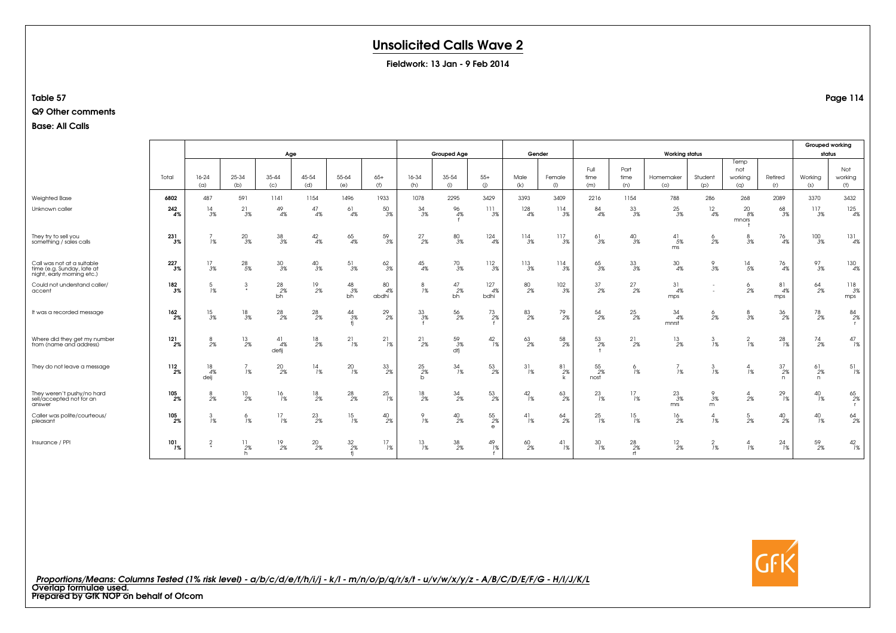Fieldwork: 13 Jan - 9 Feb 2014

### Table 57

### Q9 Other comments

# Base: All Calls

|                                                                                        |           | Age                   |                 |                          |                          |                          |                   |                       | <b>Grouped Age</b>                  |                      | Gender                                    |               |                     |                                                   | <b>Working status</b>  |                      |                               |                 | Grouped working<br>status |                                           |
|----------------------------------------------------------------------------------------|-----------|-----------------------|-----------------|--------------------------|--------------------------|--------------------------|-------------------|-----------------------|-------------------------------------|----------------------|-------------------------------------------|---------------|---------------------|---------------------------------------------------|------------------------|----------------------|-------------------------------|-----------------|---------------------------|-------------------------------------------|
|                                                                                        | Total     | 16-24<br>(a)          | 25-34<br>(b)    | 35-44<br>(c)             | 45-54<br>(d)             | 55-64<br>(e)             | $65+$<br>(f)      | 16-34<br>(h)          | 35-54<br>(i)                        | $55+$<br>(j)         | Male<br>(k)                               | Female<br>(   | Full<br>time<br>(m) | Part<br>time<br>(n)                               | Homemaker<br>(0)       | Student<br>(p)       | Temp<br>not<br>working<br>(q) | Retired<br>(r)  | Working<br>(s)            | Not<br>working<br>(t)                     |
| <b>Weighted Base</b>                                                                   | 6802      | 487                   | 591             | 1141                     | 1154                     | 1496                     | 1933              | 1078                  | 2295                                | 3429                 | 3393                                      | 3409          | 2216                | 1154                                              | 788                    | 286                  | 268                           | 2089            | 3370                      | 3432                                      |
| Unknown caller                                                                         | 242<br>4% | 14<br>3%              | 21<br>3%        | 49<br>4%                 | 47<br>4%                 | 61<br>4%                 | 50<br>3%          | 34<br>3%              | 96<br>4%                            | 111<br>3%            | 128<br>4%                                 | 114<br>3%     | 84<br>4%            | 33<br>3%                                          | 25<br>3%               | 12<br>4%             | 20<br>8%<br>mnors             | 68<br>3%        | 117<br>3%                 | 125<br>4%                                 |
| They try to sell you<br>something / sales calls                                        | 231<br>3% | $7\overline{ }$<br>1% | 20<br>3%        | 38<br>3%                 | 42<br>4%                 | 65<br>4%                 | 59<br>3%          | 27<br>2%              | 80<br>3%                            | 124<br>4%            | 114<br>3%                                 | 117<br>3%     | 61<br>3%            | 40<br>3%                                          | 41<br>5%<br>ms         | 6<br>2%              | 8<br>3%                       | 76<br>4%        | 100<br>3%                 | 131<br>4%                                 |
| Call was not at a suitable<br>time (e.g. Sunday, late at<br>night, early morning etc.) | 227<br>3% | 17<br>3%              | 28<br>5%        | 30<br>3%                 | 40<br>3%                 | 51<br>3%                 | 62<br>3%          | 45<br>4%              | 70<br>3%                            | 112<br>3%            | $\begin{array}{c} 113 \\ 3\% \end{array}$ | 114<br>3%     | 65<br>3%            | 33<br>3%                                          | 30 <sup>°</sup><br>4%  | 9<br>3%              | 14<br>5%                      | 76<br>4%        | $\frac{97}{3\%}$          | $\begin{array}{c} 130 \\ 4\% \end{array}$ |
| Could not understand caller/<br>accent                                                 | 182<br>3% | 5<br>1%               | 3               | 28<br>2%<br>bh           | 19<br>2%                 | 48<br>3%<br>bh           | 80<br>4%<br>abdhi | 8<br>1%               | 47<br>2%<br>bh                      | 127<br>4%<br>bdhi    | 80<br>2%                                  | 102<br>3%     | 37<br>2%            | 27<br>2%                                          | 31<br>4%<br>mps        |                      | $\frac{6}{2\%}$               | 81<br>4%<br>mps | 64<br>2%                  | $^{118}_{-3\%}$<br>mps                    |
| It was a recorded message                                                              | 162<br>2% | $^{15}_{3\%}$         | 18<br>3%        | $^{28}_{\phantom{1}2\%}$ | $^{28}_{\phantom{1}2\%}$ | 44<br>3%                 | 29<br>2%          | $\frac{33}{3\%}$      | $^{56}_{\phantom{1}\phantom{1}2\%}$ | 73<br>2%             | $\substack{83 \\ 2\%}$                    | 79<br>2%      | 54<br>2%            | $^{25}_{\phantom{2}\mathbf{2}\mathbf{\%}}$        | 34<br>4%<br>mnrst      | 6<br>2%              | $\frac{8}{3\%}$               | 36<br>2%        | 78<br>2%                  | $\underset{2\%}{^{84}}$<br>$\mathbf{r}$   |
| Where did they get my number<br>from (name and address)                                | 121<br>2% | 8<br>2%               | 13<br>2%        | 41<br>4%<br>defij        | $^{18}_{2\%}$            | 21<br>1%                 | 21<br>1%          | 21<br>2%              | 59<br>3%<br>dfj                     | 42<br>1%             | 63<br>2%                                  | 58<br>2%      | 53<br>2%            | 21<br>2%                                          | 13<br>2%               | 3<br>1%              | $^2_{1\%}$                    | 28<br>1%        | 74<br>2%                  | $\substack{47 \\ 1\%}$                    |
| They do not leave a message                                                            | 112<br>2% | 18<br>4%<br>deij      | 1%              | 20<br>2%                 | 14<br>1%                 | 20<br>1%                 | 33<br>2%          | $\frac{25}{2\%}$<br>h | 34<br>$1\%$                         | 53<br>2%             | 31<br>1%                                  | 81<br>2%      | 55<br>2%<br>nost    | 6<br>1%                                           | 1%                     | 3<br>1%              | 4<br>$1\%$                    | 37<br>2%<br>n.  | 61<br>2%<br>n.            | $^{51}_{1\%}$                             |
| They weren't pushy/no hard<br>sell/accepted not for an<br>answer                       | 105<br>2% | 8<br>2%               | 10<br>2%        | 16<br>1%                 | $^{18}_{\phantom{1}2\%}$ | $^{28}_{\phantom{1}2\%}$ | 25<br>1%          | $\frac{18}{2\%}$      | $\frac{34}{2\%}$                    | 53<br>2%             | 42<br>1%                                  | 63<br>2%      | 23<br>1%            | 17<br>1%                                          | $^{23}_{\ 3\%}$<br>mrs | $\circ$<br>3%<br>m   | $\overline{A}$<br>2%          | 29<br>1%        | 40<br>1%                  | $^{65}_{2\%}$<br>$\mathsf{r}$             |
| Caller was polite/courteous/<br>pleasant                                               | 105<br>2% | $\frac{3}{1\%}$       | $\frac{6}{1\%}$ | $\frac{17}{1\%}$         | $^{23}_{\ 2\%}$          | 15<br>1%                 | 40<br>2%          | $\circ$<br>1%         | 40<br>2%                            | 55<br>2%<br>$\theta$ | 41<br>1%                                  | $^{64}_{2\%}$ | 25<br>1%            | $^{15}_{\hphantom{1}\hphantom{1}\hphantom{1}7\%}$ | $^{16}_{2\%}$          | 4<br>1%              | $\frac{5}{2\%}$               | 40<br>2%        | 40<br>1%                  | $^{64}_{2\%}$                             |
| Insurance / PPI                                                                        | 101<br>1% | $\overline{2}$        | 11<br>2%<br>h   | 19<br>2%                 | $^{20}_{2\%}$            | $\frac{32}{2\%}$         | 17<br>1%          | $\frac{13}{1\%}$      | 38<br>2%                            | 49<br>1%             | $^{60}_{2\%}$                             | 41<br>1%      | 30<br>1%            | $^{28}_{\ 2\%}$<br>- rt                           | $^{12}_{2\%}$          | $\overline{2}$<br>7% | 4<br>1%                       | 24<br>1%        | 59<br>2%                  | $\frac{42}{1\%}$                          |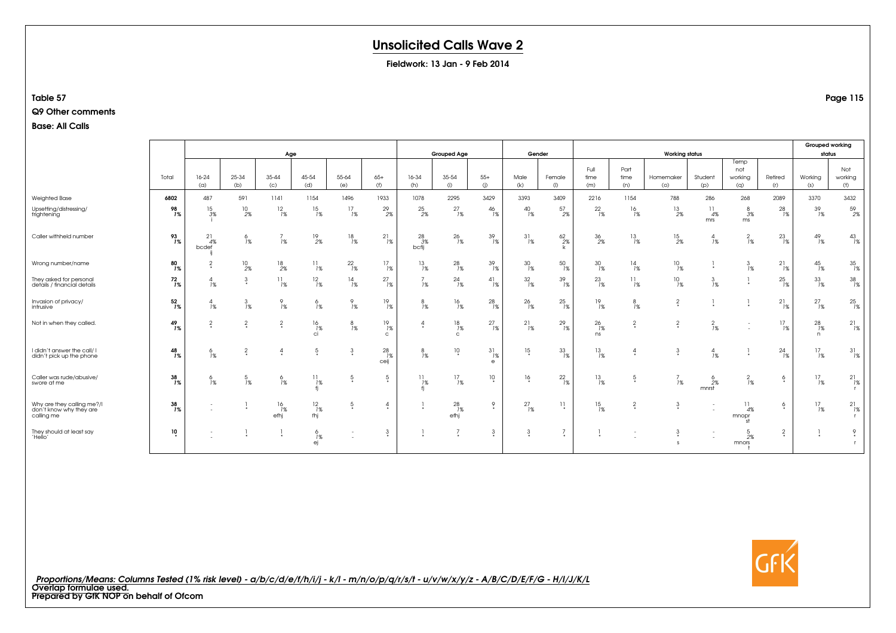Fieldwork: 13 Jan - 9 Feb 2014

### Table 57

### Q9 Other comments

# Base: All Calls

|                                                                     |          | Age                       |                       |                  |                 |                  |                      |                                   | <b>Grouped Age</b>       |                        | Gender          |               |                     |                     | <b>Working status</b> |                          |                               |                           | Grouped working<br>status |                                                           |
|---------------------------------------------------------------------|----------|---------------------------|-----------------------|------------------|-----------------|------------------|----------------------|-----------------------------------|--------------------------|------------------------|-----------------|---------------|---------------------|---------------------|-----------------------|--------------------------|-------------------------------|---------------------------|---------------------------|-----------------------------------------------------------|
|                                                                     | Total    | 16-24<br>(a)              | 25-34<br>(b)          | 35-44<br>(c)     | 45-54<br>(d)    | 55-64<br>(e)     | $65+$<br>(f)         | 16-34<br>(h)                      | 35-54<br>(i)             | $55+$<br>(j)           | Male<br>(k)     | Female<br>(1) | Full<br>time<br>(m) | Part<br>time<br>(n) | Homemaker<br>(0)      | Student<br>(p)           | Temp<br>not<br>working<br>(q) | Retired<br>(r)            | Working<br>(s)            | Not<br>working<br>(t)                                     |
| Weighted Base                                                       | 6802     | 487                       | 591                   | 1141             | 1154            | 1496             | 1933                 | 1078                              | 2295                     | 3429                   | 3393            | 3409          | 2216                | 1154                | 788                   | 286                      | 268                           | 2089                      | 3370                      | 3432                                                      |
| Upsetting/distressing/<br>frightening                               | 98<br>1% | 15<br>3%                  | 10 <sup>°</sup><br>2% | 12<br>1%         | 15<br>1%        | 17<br>1%         | 29<br>2%             | $^{25}_{\phantom{2}\mathbf{2}\%}$ | 27<br>1%                 | 46<br>1%               | 40<br>1%        | 57<br>2%      | 22<br>1%            | 16<br>1%            | 13<br>2%              | 11<br>4%<br>mrs          | 8<br>3%<br>ms                 | 28<br>1%                  | 39<br>1%                  | 59<br>2%                                                  |
| Caller withheld number                                              | 93<br>1% | 21<br>4%<br>bcdef         | 6<br>1%               | 1%               | 19<br>2%        | 18<br>1%         | 21<br>1%             | 28<br>3%<br>bcfij                 | 26<br>1%                 | 39<br>1%               | 31<br>1%        | 62<br>2%      | 36<br>2%            | 13<br>1%            | 15<br>2%              | 4<br>1%                  | $\overline{2}$<br>1%          | 23<br>1%                  | 49<br>1%                  | 43<br>1%                                                  |
| Wrong number/name                                                   | 80<br>1% | $\overline{2}$<br>$\cdot$ | 10<br>2%              | 18<br>2%         | 11<br>1%        | $\frac{22}{1\%}$ | 17<br>1%             | 13<br>1%                          | 28<br>1%                 | 39<br>1%               | 30<br>1%        | 50<br>1%      | 30<br>1%            | 14<br>1%            | 10 <sup>°</sup><br>1% |                          | $\mathbf{3}$<br>1%            | 21<br>1%                  | 45<br>1%                  | $\frac{35}{1\%}$                                          |
| They asked for personal<br>details / financial details              | 72<br>1% | 4<br>1%                   | 3                     | 11<br>1%         | 12<br>1%        | 14<br>1%         | 27<br>1%             | 1%                                | 24<br>1%                 | 41<br>1%               | 32<br>1%        | 39<br>1%      | 23<br>1%            | $11 -$<br>1%        | 10 <sup>°</sup><br>1% | 3<br>1%                  |                               | 25<br>1%                  | 33<br>1%                  | 38<br>1%                                                  |
| Invasion of privacy/<br>intrusive                                   | 52<br>1% | $\overline{A}$<br>1%      | 3<br>1%               | 9<br>1%          | 6<br>1%         | 9<br>1%          | 19<br>1%             | 8<br>1%                           | 16<br>1%                 | 28<br>1%               | 26<br>1%        | 25<br>1%      | 19<br>1%            | 8<br>1%             | 2<br>$\bullet$        |                          |                               | 21<br>1%                  | 27<br>1%                  | $^{25}_{\hbox{1\%}}$                                      |
| Not in when they called.                                            | 49<br>1% | $\overline{2}$            | $\overline{2}$        | $\overline{2}$   | 16<br>1%<br>ci  | 8<br>1%          | 19<br>1%<br>$\Omega$ |                                   | 18<br>1%<br>$\mathbf{C}$ | 27<br>1%               | 21<br>1%        | 29<br>1%      | 26<br>1%<br>ns      | $\overline{2}$      | $\overline{2}$        | $\overline{2}$<br>1%     |                               | 17<br>1%                  | 28<br>1%<br>n             | $21$ <sub>1%</sub>                                        |
| I didn't answer the call/ I<br>didn't pick up the phone             | 48<br>1% | 6<br>1%                   | 2                     |                  | 5               | 3                | 28<br>1%<br>ceij     | 8<br>1%                           | 10                       | 31<br>1%<br>$\epsilon$ | 15              | 33<br>1%      | 13<br>1%            | -4                  | 3                     | 4<br>1%                  |                               | 24<br>1%                  | 17<br>1%                  | 31<br>1%                                                  |
| Caller was rude/abusive/<br>swore at me                             | 38<br>1% | 6<br>1%                   | $\frac{5}{1\%}$       | 6<br>1%          | 11<br>1%<br>fi  | 5<br>$\bullet$   | -5                   | 11<br>1%                          | 17<br>1%                 | 10<br>$\bullet$        | 16<br>$\bullet$ | 22<br>1%      | 13<br>1%            | -5<br>$\bullet$     | 1%                    | $\frac{6}{2\%}$<br>mnrst | $_{\rm 7\%}^2$                | $\frac{6}{1}$             | 17<br>1%                  | $\begin{array}{c} 21 \\ 1 \% \end{array}$<br>$\mathsf{r}$ |
| Why are they calling me?/I<br>don't know why they are<br>calling me | 38<br>1% | $\sim$                    |                       | 16<br>1%<br>efhj | 12<br>1%<br>fhj | 5                | 4                    |                                   | 28<br>1%<br>efhj         | 9<br>$\star$           | 27<br>1%        | 11            | 15<br>1%            | $\overline{2}$      | 3                     |                          | 11<br>4%<br>mnopr<br>s1       | 6                         | 17<br>1%                  | 21<br>1%<br>$\mathbf{r}$                                  |
| They should at least say<br>'Hello'                                 | 10       |                           |                       | $\star$          | 6<br>1%<br>ej   | $\sim$<br>$\sim$ | 3<br>$\bullet$       |                                   | -7<br>$\cdot$            | $\frac{3}{4}$          | 3<br>$\bullet$  | 7<br>$\cdot$  | $\star$             |                     | 3<br>$\cdot$          | $\overline{\phantom{a}}$ | -5<br>2%<br>mnors             | $\overline{2}$<br>$\cdot$ | $\cdot$                   | 9<br>$\cdot$                                              |

Proportions/Means: Columns Tested (1% risk level) - a/b/c/d/e/f/h/i/j - k/l - m/n/o/p/q/r/s/t - u/v/w/x/y/z - A/B/C/D/E/F/G - H/I/J/K/L<br>Overlap formulae used.<br>Prepared by GfK NOP on behalf of Ofcom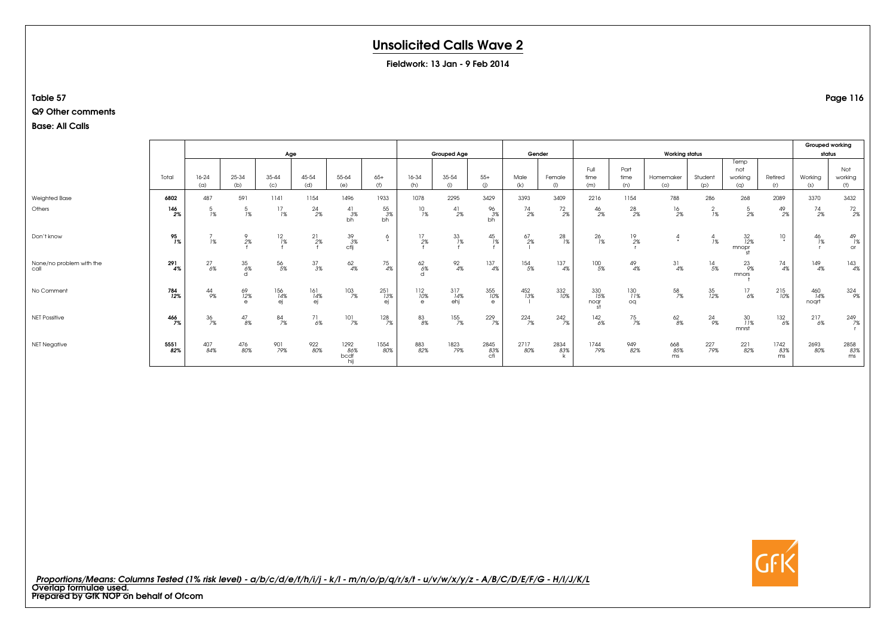Fieldwork: 13 Jan - 9 Feb 2014

### Table 57

### Q9 Other comments

# Base: All Calls

|                                  |             | Age               |                       |                          |                          |                            | Gender<br>Grouped Age |                                     |                          | <b>Working status</b>            |                  |                    |                            |                          |                  | Grouped working<br>status  |                            |                   |                             |                                           |
|----------------------------------|-------------|-------------------|-----------------------|--------------------------|--------------------------|----------------------------|-----------------------|-------------------------------------|--------------------------|----------------------------------|------------------|--------------------|----------------------------|--------------------------|------------------|----------------------------|----------------------------|-------------------|-----------------------------|-------------------------------------------|
|                                  | Total       | 16-24             | 25-34                 | 35-44                    | 45-54                    | 55-64                      | $65+$                 | 16-34                               | 35-54                    | $55+$                            | Male             | Female             | Full<br>time               | Part<br>time             | Homemaker        | Student                    | Temp<br>not<br>working     | Retired           | Working                     | Not<br>working                            |
|                                  |             | (a)               | (b)                   |                          | (d)                      | (e)                        | (f)                   | (h)                                 | (i)                      | (j)                              | (k)              | (1)                | (m)                        | (n)                      | (0)              | (p)                        | (a)                        | (r)               | (s)                         | (t)                                       |
| <b>Weighted Base</b>             | 6802        | 487               | 591                   | 1141                     | 1154                     | 1496                       | 1933                  | 1078                                | 2295                     | 3429                             | 3393             | 3409               | 2216                       | 1154                     | 788              | 286                        | 268                        | 2089              | 3370                        | 3432                                      |
| Others                           | 146<br>2%   | -5<br>1%          | 5<br>1%               | 17<br>1%                 | $^{24}_{2\%}$            | 41<br>3%<br>bh             | $^{55}_{3\%}$<br>bh   | 10<br>1%                            | $^{41}_{2\%}$            | $\frac{96}{3%}$<br>bh            | $\frac{74}{2\%}$ | $^{72}_{2\%}$      | 46<br>2%                   | $^{28}_{\phantom{1}2\%}$ | $\frac{16}{2\%}$ | $\overline{c}$<br>1%       | -5<br>2%                   | 49<br>2%          | $^{74}_{2\%}$               | $^{72}_{2\%}$                             |
| Don't know                       | 95<br>1%    | 1%                | 9<br>2%               | 12<br>1%                 | $^{21}_{2\%}$            | $\frac{39}{3\%}$<br>cfij   | 6<br>$\cdot$          | 17<br>2%                            | 33<br>1%                 | 45<br>1%                         | 67<br>2%         | 28<br>1%           | 26<br>1%                   | $\frac{19}{2\%}$         | 4<br>$\bullet$   | 1%                         | $\frac{32}{12\%}$<br>mnopr | 10                | 46<br>1%                    | $\frac{49}{1\%}$<br>or                    |
| None/no problem with the<br>call | 291<br>4%   | 27<br>6%          | 35<br>6%<br>d         | $\frac{56}{5\%}$         | 37<br>3%                 | 62<br>4%                   | 75<br>4%              | 62<br>6%<br><sub>d</sub>            | $\frac{92}{4\%}$         | 137<br>4%                        | 154<br>5%        | 137<br>4%          | 100<br>5%                  | 49<br>4%                 | 31<br>4%         | $\frac{14}{5\%}$           | 23<br>9%<br>mnors          | 74<br>4%          | 149<br>4%                   | 143<br>4%                                 |
| No Comment                       | 784<br>12%  | $^{44}_{\rm 9\%}$ | 69<br>12%<br>$\theta$ | $\frac{156}{14\%}$<br>ej | 161<br><i>14</i> %<br>ej | $\frac{103}{7\%}$          | $^{251}_{13\%}$       | $^{112}_{10\%}$<br>$\triangleright$ | 317<br><i>14%</i><br>ehj | $\frac{355}{10\%}$<br>$\epsilon$ | $^{452}_{13\%}$  | $\frac{332}{10\%}$ | $\frac{330}{15\%}$<br>nogr | $\frac{130}{11\%}$<br>oq | $\frac{58}{7\%}$ | $\frac{35}{12\%}$          | $\frac{17}{6\%}$           | $^{215}_{10\%}$   | $\frac{460}{14\%}$<br>nogrt | $\frac{324}{9\%}$                         |
| <b>NET Possitive</b>             | 466<br>7%   | $\frac{36}{7\%}$  | 47<br>8%              | $^{84}_{7\%}$            | 71<br>6%                 | 101<br>7%                  | $^{128}$ %            | $\frac{83}{8\%}$                    | $\frac{155}{7\%}$        | 229<br>7%                        | 224<br>7%        | $^{242}_{7\%}$     | 142<br>6%                  | $^{75}_{7\%}$            | $\frac{62}{8\%}$ | $^{24}_{\phantom{1}\!9\%}$ | $\frac{30}{11\%}$<br>mnrst | 132<br>6%         | 217<br>6%                   | $\frac{249}{7\%}$                         |
| NET Negative                     | 5551<br>82% | $^{407}_{84\%}$   | $^{476}_{80\%}$       | 901<br>79%               | 922<br>80%               | 1292<br>86%<br>bcdf<br>hij | $^{1554}_{80\%}$      | 883<br>82%                          | 1823<br>79%              | 2845<br>83%<br>cfi               | 2717<br>80%      | 2834<br>83%        | 1744<br>79%                | 949<br>82%               | 668<br>85%<br>ms | 227<br>79%                 | $^{221}_{82\%}$            | 1742<br>83%<br>ms | 2693<br>80%                 | $\underset{\mathbf{83\%}}{^{2858}}$<br>ms |

Proportions/Means: Columns Tested (1% risk level) - a/b/c/d/e/f/h/i/j - k/l - m/n/o/p/q/r/s/t - u/v/w/x/y/z - A/B/C/D/E/F/G - H/I/J/K/L<br>Overlap formulae used.<br>Prepared by GfK NOP on behalf of Ofcom



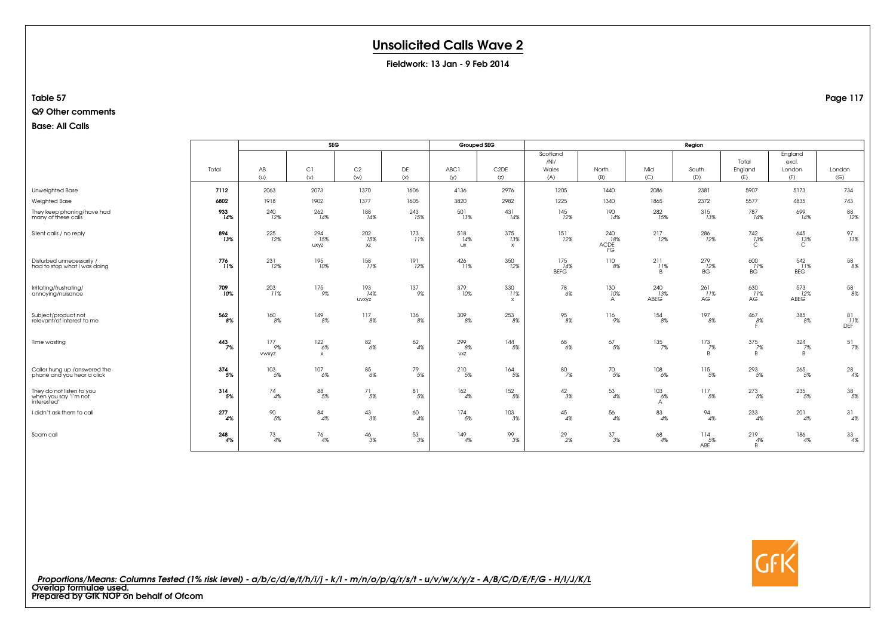Fieldwork: 13 Jan - 9 Feb 2014

#### Table 57

#### Q9 Other comments

### Base: All Calls

|                                                                   |            |                                                | <b>SEG</b>                                                             |                                            |                                            | <b>Grouped SEG</b>               |                                    |                                            |                                            |                                           | Region                                    |                                           |                                                            |                              |  |  |  |  |
|-------------------------------------------------------------------|------------|------------------------------------------------|------------------------------------------------------------------------|--------------------------------------------|--------------------------------------------|----------------------------------|------------------------------------|--------------------------------------------|--------------------------------------------|-------------------------------------------|-------------------------------------------|-------------------------------------------|------------------------------------------------------------|------------------------------|--|--|--|--|
|                                                                   | Total      | AB<br>(u)                                      | C1<br>(v)                                                              | C2<br>(w)                                  | DE<br>(x)                                  | ABC1<br>(y)                      | C <sub>2</sub> DE<br>(z)           | Scotland<br>/NI/<br>Wales<br>(A)           | North<br>(B)                               | Mid<br>(C)                                | South<br>(D)                              | Total<br>England<br>(E)                   | England<br>excl.<br>London<br>(F)                          | London<br>(G)                |  |  |  |  |
| <b>Unweighted Base</b>                                            | 7112       | 2063                                           | 2073                                                                   | 1370                                       | 1606                                       | 4136                             | 2976                               | 1205                                       | 1440                                       | 2086                                      | 2381                                      | 5907                                      | 5173                                                       | 734                          |  |  |  |  |
| <b>Weighted Base</b>                                              | 6802       | 1918                                           | 1902                                                                   | 1377                                       | 1605                                       | 3820                             | 2982                               | 1225                                       | 1340                                       | 1865                                      | 2372                                      | 5577                                      | 4835                                                       | 743                          |  |  |  |  |
| They keep phoning/have had<br>many of these calls                 | 933<br>14% | $\begin{array}{c} 240 \\ 12\% \end{array}$     | $\frac{262}{14\%}$                                                     | 188<br>14%                                 | 243<br>15%                                 | 501<br>13%                       | 431<br>14%                         | $\begin{array}{c} 145 \\ 12\% \end{array}$ | 190<br>14%                                 | 282<br>15%                                | 315<br>13%                                | 787<br>14%                                | 699<br>14%                                                 | $\underset{12\%}{^{88}}$     |  |  |  |  |
| Silent calls / no reply                                           | 894<br>13% | $\underset{l2\%}{^{225}}$                      | 294<br>15%<br>uxyz                                                     | 202<br>15%<br>XZ                           | 173<br>11%                                 | 518<br>14%<br><b>UX</b>          | $\underset{13\%}{375}$<br>$\times$ | 151<br>12%                                 | 240<br>18%<br>ACDE<br>FG                   | 217<br>12%                                | 286<br><i>12%</i>                         | 742<br>13%<br>$\mathsf{C}$                | $645$<br>$13\%$<br>$\mathsf{C}$                            | 97<br>13%                    |  |  |  |  |
| Disturbed unnecessarily /<br>had to stop what I was doing         | 776<br>11% | $^{231}_{12\%}$                                | $^{195}_{\phantom{1}10\%}$                                             | $\begin{array}{c} 158 \\ 11\% \end{array}$ | $\begin{array}{c} 191 \\ 12\% \end{array}$ | $426$ $11\%$                     | $\underset{l2\%}{^{350}}$          | $\frac{175}{14\%}$<br><b>BEFG</b>          | $^{110}_{-8\%}$                            | 211<br>11%<br><b>B</b>                    | 279<br>12%<br>BG                          | 600<br>11%<br>BG                          | $\begin{array}{c}\n542 \\ 11\%\n\end{array}$<br><b>BEG</b> | $58\atop8\%$                 |  |  |  |  |
| Irritating/frustrating/<br>annoying/nuisance                      | 709<br>70% | $\overset{203}{\underset{11\%}{\phantom{1}7}}$ | $^{175}_{-9\%}$                                                        | 193<br><i>14%</i><br>uvxyz                 | 137<br>9%                                  | $\frac{379}{10\%}$               | $\underset{11\%}{330}$<br>$\times$ | $\frac{78}{6\%}$                           | $^{130}_{\hbox{\scriptsize\it 10\%}}$<br>A | $\frac{240}{13\%}$<br>ABEG                | $\frac{261}{11\%}$<br>AG.                 | $630$ $11\%$<br>AG                        | $\frac{573}{12\%}$<br><b>ABEG</b>                          | $58$ $8\%$                   |  |  |  |  |
| Subject/product not<br>relevant/of interest to me                 | 562<br>8%  | $\frac{160}{8\%}$                              | $^{149}_{8\%}$                                                         | 117<br>8%                                  | 136<br>8%                                  | 309<br>8%                        | $^{253}_{\phantom{1}8\%}$          | $^{95}_{\phantom{1}8\%}$                   | $\frac{116}{9\%}$                          | 154<br>8%                                 | 197<br>8%                                 | 467<br>8%<br>F.                           | $385\atop8\%$                                              | $^{81}_{11\%}$<br><b>DEF</b> |  |  |  |  |
| Time wasting                                                      | 443<br>7%  | 177<br>9%<br><b>VWXVZ</b>                      | $\begin{array}{c} 122 \\ 6\% \end{array}$<br>$\boldsymbol{\mathsf{x}}$ | $\frac{82}{6\%}$                           | 62<br>4%                                   | $^{299}_{\phantom{1}8\%}$<br>VXZ | 144<br>5%                          | 68<br>6%                                   | 67<br>5%                                   | $\begin{array}{c} 135 \\ 7\% \end{array}$ | $\begin{array}{c} 173 \\ 7\% \end{array}$ | $375$ <sub>7%</sub><br>B.                 | 324<br>7%<br>B                                             | $^{51}_{7\%}$                |  |  |  |  |
| Caller hung up /answered the<br>phone and you hear a click        | 374<br>5%  | $^{103}_{\phantom{1}5\%}$                      | 107<br>6%                                                              | 85<br>6%                                   | $^{79}_{\phantom{1}5\%}$                   | $^{210}_{-5\%}$                  | $^{164}_{-5\%}$                    | $80$ <sub>7%</sub>                         | $70$ $5\%$                                 | 108<br>6%                                 | $\begin{array}{c} 115 \\ 5\% \end{array}$ | $\begin{array}{c} 293 \\ 5\% \end{array}$ | $\begin{array}{c} 265 \\ 5\% \end{array}$                  | $^{28}_{\  \, 4\%}$          |  |  |  |  |
| They do not listen to you<br>when you say "I'm not<br>interested" | 314<br>5%  | 74<br>$4\%$                                    | 88<br>5%                                                               | 71<br>5%                                   | 81<br>5%                                   | 162<br>$4\%$                     | $^{152}_{-5\%}$                    | $^{42}_{3\%}$                              | 53<br>4%                                   | 103<br>6%<br>A                            | 117<br>5%                                 | $\begin{array}{c} 273 \\ 5\% \end{array}$ | $\underset{5\%}{^{235}}$                                   | $\frac{38}{5\%}$             |  |  |  |  |
| I didn't ask them to call                                         | 277<br>4%  | 90<br>5%                                       | 84<br>4%                                                               | 43<br>3%                                   | 60<br>4%                                   | 174<br>5%                        | 103<br>3%                          | 45<br>4%                                   | 56<br>4%                                   | 83<br>4%                                  | 94<br>4%                                  | 233<br>4%                                 | 201<br>4%                                                  | 31<br>$4\%$                  |  |  |  |  |
| Scam call                                                         | 248<br>4%  | $^{73}_{4\%}$                                  | 76<br>4%                                                               | $^{46}_{3\%}$                              | $^{53}_{\phantom{1}3\%}$                   | 149<br>4%                        | 99<br>3%                           | $29$ $2\%$                                 | 37<br>3%                                   | 68<br>4%                                  | 114<br>5%<br>ABE                          | 219<br>4%<br>B                            | $\begin{array}{c} 186 \\ 4\% \end{array}$                  | $\frac{33}{4\%}$             |  |  |  |  |



Proportions/Means: Columns Tested (1% risk level) - a/b/c/d/e/f/h/i/j - k/l - m/n/o/p/q/r/s/t - u/v/w/x/y/z - A/B/C/D/E/F/G - H/l/J/K/L<br>Overlap formulae used.<br>Prepared by GfK NOP on behalf of Ofcom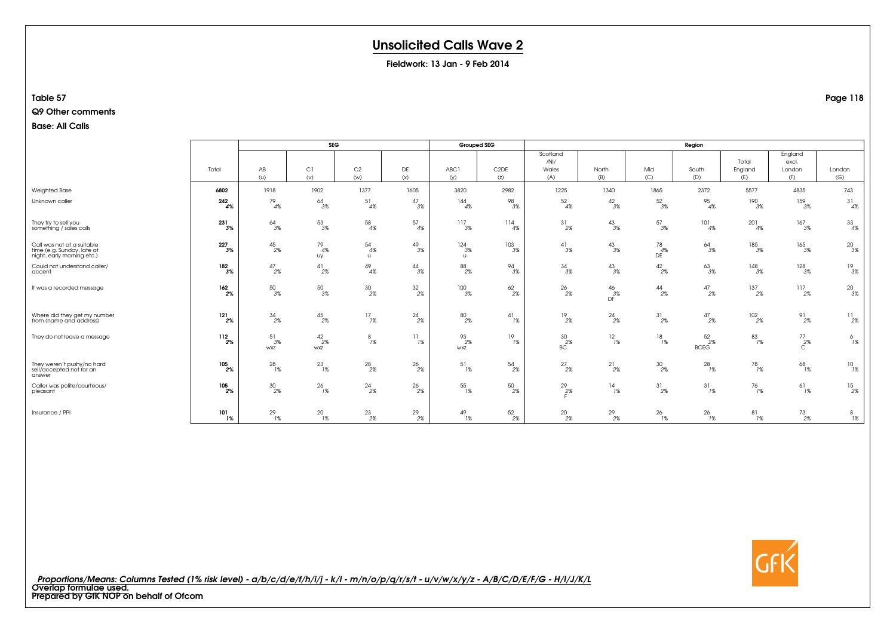Fieldwork: 13 Jan - 9 Feb 2014

#### Table 57

#### Q9 Other comments

### Base: All Calls

|                                                                                        |                   |                 | <b>SEG</b>              |                          |                  | <b>Grouped SEG</b>                                        |                           |                                          | Region              |                          |                         |                                           |                                           |                          |  |
|----------------------------------------------------------------------------------------|-------------------|-----------------|-------------------------|--------------------------|------------------|-----------------------------------------------------------|---------------------------|------------------------------------------|---------------------|--------------------------|-------------------------|-------------------------------------------|-------------------------------------------|--------------------------|--|
|                                                                                        | Total             | AB<br>(u)       | C1<br>(v)               | C2<br>(w)                | DE<br>(x)        | ABC1<br>(y)                                               | C <sub>2</sub> DE<br>(z)  | Scotland<br>/NI/<br>Wales<br>(A)         | North<br>(B)        | Mid<br>(C)               | South<br>(D)            | Total<br>England<br>(E)                   | England<br>excl.<br>London<br>(F)         | London<br>(G)            |  |
| Weighted Base                                                                          | 6802              | 1918            | 1902                    | 1377                     | 1605             | 3820                                                      | 2982                      | 1225                                     | 1340                | 1865                     | 2372                    | 5577                                      | 4835                                      | 743                      |  |
| Unknown caller                                                                         | 242<br>4%         | 79<br>4%        | $^{64}_{3\%}$           | 51<br>$4\%$              | 47<br>3%         | 144<br>4%                                                 | $^{98}_{3\%}$             | 52<br>4%                                 | 42<br>3%            | $^{52}_{\phantom{1}3\%}$ | 95<br>4%                | $^{190}_{3\%}$                            | $\begin{array}{c} 159 \\ 3\% \end{array}$ | $\frac{31}{4\%}$         |  |
| They try to sell you<br>something / sales calls                                        | 231<br>3%         | 64<br>3%        | $\frac{53}{3\%}$        | 58<br>4%                 | 57<br>4%         | 117<br>3%                                                 | 114<br>4%                 | 31<br>2%                                 | 43<br>3%            | 57<br>3%                 | 101<br>4%               | 201<br>4%                                 | 167<br>3%                                 | $\frac{33}{4\%}$         |  |
| Call was not at a suitable<br>time (e.g. Sunday, late at<br>night, early morning etc.) | 227<br>3%         | 45<br>2%        | 79<br>4%<br>uy          | 54<br>4%<br>$\cup$       | $^{49}_{3\%}$    | $\begin{array}{c} 124 \\ 3\% \end{array}$<br>$\mathbf{u}$ | $^{103}_{\phantom{1}3\%}$ | 41<br>3%                                 | $^{43}_{3\%}$       | $^{78}_{4\%}$<br>DE      | 64<br>3%                | 185<br>3%                                 | $\frac{165}{3\%}$                         | $\frac{20}{3\%}$         |  |
| Could not understand caller/<br>accent                                                 | 182<br>3%         | 47<br>2%        | 41<br>$2\%$             | 49<br>$4\%$              | $\frac{44}{3\%}$ | $\frac{88}{2\%}$                                          | $\frac{94}{3\%}$          | $\begin{array}{c} 34 \\ 3\% \end{array}$ | 43<br>3%            | $^{42}_{2\%}$            | 63<br>3%                | 148<br>3%                                 | 128<br>3%                                 | $\frac{19}{3\%}$         |  |
| It was a recorded message                                                              | $\frac{162}{2\%}$ | 50<br>3%        | $^{50}_{3\%}$           | $\frac{30}{2\%}$         | $\frac{32}{2\%}$ | $^{100}_{-3\%}$                                           | $^{62}_{2\%}$             | $^{26}_{2\%}$                            | $^{46}_{3\%}$<br>DF | $^{44}_{2\%}$            | 47<br>2%                | $\begin{array}{c} 137 \\ 2\% \end{array}$ | $^{117}_{\phantom{1}2\%}$                 | $^{20}_{\phantom{1}3\%}$ |  |
| Where did they get my number<br>from (name and address)                                | $\frac{121}{2\%}$ | 34<br>2%        | $^{45}_{2\%}$           | $\frac{17}{1\%}$         | $^{24}_{2\%}$    | $80\atop2\%$                                              | 41<br>7%                  | $^{19}_{2\%}$                            | $^{24}_{2\%}$       | $\frac{31}{2\%}$         | 47<br>2%                | $^{102}_{\phantom{1}2\%}$                 | $^{91}_{2\%}$                             | $\frac{11}{2\%}$         |  |
| They do not leave a message                                                            | 112<br>2%         | 51<br>3%<br>WXZ | $\frac{42}{2\%}$<br>WXZ | 8<br>1%                  | 11<br>1%         | 93<br>2%<br>WXZ                                           | 19<br>1%                  | 30<br>$BC$ <sup>2%</sup>                 | 12<br>1%            | 18<br>1%                 | 52<br>2%<br><b>BCEG</b> | 83<br>1%                                  | 77<br>$\vec{c}^{2\%}$                     | $\frac{6}{1\%}$          |  |
| They weren't pushy/no hard<br>sell/accepted not for an<br>answer                       | 105<br>2%         | 28<br>1%        | 23<br>1%                | 28<br>2%                 | 26<br>2%         | 51<br>1%                                                  | 54<br>2%                  | 27<br>2%                                 | 21<br>2%            | $\frac{30}{2\%}$         | 28<br>1%                | 78<br>1%                                  | 68<br>1%                                  | $\frac{10}{1\%}$         |  |
| Caller was polite/courteous/<br>pleasant                                               | 105<br>2%         | 30<br>2%        | $\frac{26}{1\%}$        | $^{24}_{\phantom{1}2\%}$ | $^{26}_{2\%}$    | 55<br>1%                                                  | $50$ $2\%$                | 29<br>2%                                 | 14<br>1%            | $\frac{31}{2\%}$         | 31<br>1%                | 76<br>1%                                  | 61<br>1%                                  | $\frac{15}{2\%}$         |  |
| Insurance / PPI                                                                        | 101<br>1%         | 29<br>1%        | 20<br>1%                | 23<br>2%                 | $\frac{29}{2\%}$ | 49<br>1%                                                  | 52<br>2%                  | $^{20}_{\phantom{1}2\%}$                 | 29<br>2%            | $^{26}$ $^{1\%}$         | 26<br>1%                | 81<br>1%                                  | $\frac{73}{2\%}$                          | $\frac{8}{1\%}$          |  |



Proportions/Means: Columns Tested (1% risk level) - a/b/c/d/e/f/h/i/j - k/l - m/n/o/p/q/r/s/t - u/v/w/x/y/z - A/B/C/D/E/F/G - H/l/J/K/L<br>Overlap formulae used.<br>Prepared by GfK NOP on behalf of Ofcom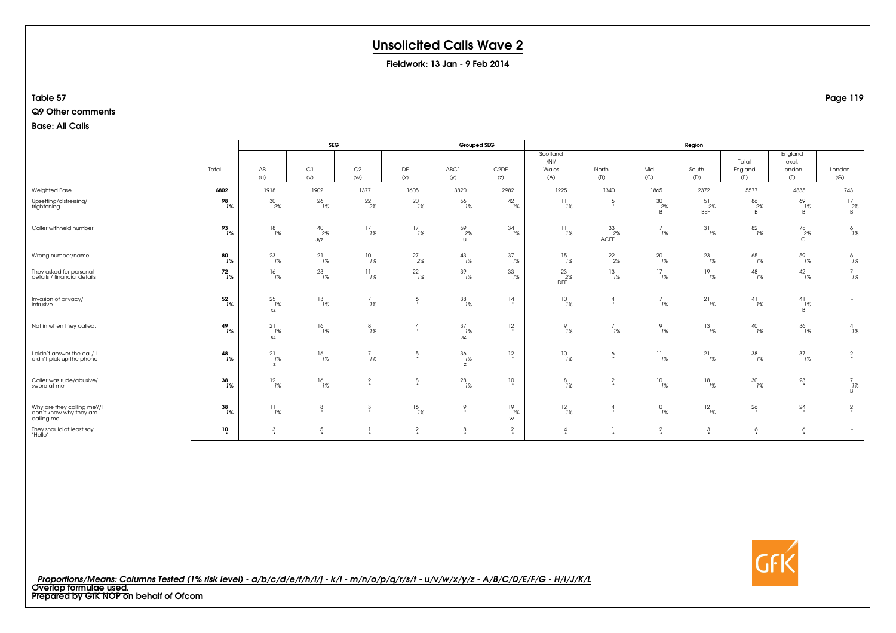Fieldwork: 13 Jan - 9 Feb 2014

#### Table 57

#### Q9 Other comments

### Base: All Calls

|                                                                     |                  |                            | SEG              |                          |                             | <b>Grouped SEG</b>    |                          | Region                                 |                           |                    |                    |                             |                                   |                         |  |
|---------------------------------------------------------------------|------------------|----------------------------|------------------|--------------------------|-----------------------------|-----------------------|--------------------------|----------------------------------------|---------------------------|--------------------|--------------------|-----------------------------|-----------------------------------|-------------------------|--|
|                                                                     | Total            | AB<br>(u)                  | C1<br>(v)        | C2<br>(w)                | DE<br>(x)                   | ABC1<br>(y)           | C <sub>2</sub> DE<br>(z) | Scotland<br>$/$ NI $/$<br>Wales<br>(A) | North<br>(B)              | Mid<br>(C)         | South<br>(D)       | Total<br>England<br>(E)     | England<br>excl.<br>London<br>(F) | London<br>(G)           |  |
| Weighted Base                                                       | 6802             | 1918                       | 1902             | 1377                     | 1605                        | 3820                  | 2982                     | 1225                                   | 1340                      | 1865               | 2372               | 5577                        | 4835                              | 743                     |  |
| Upsetting/distressing/<br>frightening                               | 98<br>1%         | $\frac{30}{2\%}$           | $^{26}$ 1%       | $^{22}_{\phantom{2}2\%}$ | $\frac{20}{1\%}$            | $\frac{56}{1\%}$      | 42<br>1%                 | 11<br>1%                               | 6                         | $rac{30}{2%}$<br>B | 51<br>2%<br>BEF    | $\frac{86}{2%}$<br><b>B</b> | 69<br>1%<br>B                     | $^{17}_{2\%}$<br>B      |  |
| Caller withheld number                                              | 93<br>1%         | 18<br>1%                   | 40<br>2%<br>uyz  | 17<br>้ 1%               | 17<br>1%                    | 59<br>2%<br>u.        | 34<br>1%                 | 11<br>1%                               | $\frac{33}{2\%}$<br>ACEF  | 17<br>1%           | 31<br>1%           | 82<br>7%                    | $\overset{75}{_{2\%}}$ C          | 6<br>7%                 |  |
| Wrong number/name                                                   | 80<br>1%         | 23<br>1%                   | 21<br>1%         | 10<br>1%                 | 27<br>2%                    | 43<br>1%              | 37<br>1%                 | 15<br>1%                               | 22<br>2%                  | 20<br>1%           | 23<br>1%           | 65<br>1%                    | 59<br>1%                          | 6<br>$1\%$              |  |
| They asked for personal<br>details / financial details              | $\frac{72}{1\%}$ | $\frac{16}{1\%}$           | $\frac{23}{1\%}$ | $\frac{11}{1\%}$         | $22$ $_{\rm J\%}$           | $\frac{39}{1\%}$      | 33<br>1%                 | $^{23}_{\phantom{1}2\%}$<br>DEF        | $\frac{13}{1\%}$          | $\frac{17}{1\%}$   | $\frac{19}{1\%}$   | $rac{48}{1%}$               | $42$ <sub>1%</sub>                | $\overline{7}$<br>$1\%$ |  |
| Invasion of privacy/<br>intrusive                                   | $\frac{52}{1\%}$ | $25$<br>$_{\rm 1\%}$<br>XZ | $\frac{13}{1\%}$ | $7_{1\%}$                | $\frac{6}{7}$               | $\frac{38}{1\%}$      | $\frac{14}{1}$           | $\frac{10}{1\%}$                       | $\frac{4}{1}$             | $\frac{17}{1\%}$   | $21$ <sub>1%</sub> | $^{41}$ 1%                  | $^{41}_{1\%}$<br>B                | $\sim$<br>$\sim$        |  |
| Not in when they called.                                            | 49<br>1%         | 21<br>1%<br>XZ             | $\frac{16}{1\%}$ | $\frac{8}{1\%}$          | $\overline{4}$              | 37<br>1%<br>XZ        | $12 \overline{ }$        | 9<br>1%                                | 7<br>1%                   | $\frac{19}{1\%}$   | 13<br>1%           | 40<br>1%                    | 36<br>1%                          | $\overline{A}$<br>1%    |  |
| I didn't answer the call/ I<br>didn't pick up the phone             | 48<br>1%         | $21$<br>$_{\rm 1\%}$<br>z  | $\frac{16}{1\%}$ | $7_{1\%}$                | $\frac{5}{3}$               | $\frac{36}{1\%}$<br>z | $\frac{12}{1}$           | $\frac{10}{1\%}$                       | $\ddot{\circ}$            | $\frac{11}{1\%}$   | $21$ <sub>1%</sub> | $38$ <sub>1%</sub>          | $37$ $_{\rm 1\%}$                 | $\frac{2}{x}$           |  |
| Caller was rude/abusive/<br>swore at me                             | 38<br>1%         | $\frac{12}{1\%}$           | $\frac{16}{1\%}$ | $\frac{2}{\epsilon}$     | 8                           | $^{28}$ <sub>1%</sub> | $10 \choose x$           | $\frac{8}{1\%}$                        | $\frac{2}{\ast}$          | $\frac{10}{1\%}$   | $\frac{18}{1\%}$   | $\frac{30}{1\%}$            | $23 \overline{)}$                 | 1%<br>B                 |  |
| Why are they calling me?/I<br>don't know why they are<br>calling me | $\frac{38}{1\%}$ | 11<br>7%                   | 8                | $\frac{3}{4}$            | $\frac{16}{1\%}$            | 19                    | 19<br>1%<br>W            | $\frac{12}{1\%}$                       | $\overline{4}$<br>$\cdot$ | $^{10}$ $_{l\%}$   | $\frac{12}{1\%}$   | $26 \n$                     | 24                                | $\frac{2}{x}$           |  |
| They should at least say<br>'Hello'                                 | 10               | -3                         | 5<br>$\bullet$   | $\bullet$                | $\overline{2}$<br>$\bullet$ | 8                     | $\sqrt{2}$<br>$\cdot$    | $\overline{4}$<br>$\bullet$            | $\bullet$                 | $\frac{2}{\pi}$    | 3                  | 6<br>$\cdot$                | $\frac{6}{1}$                     | $\sim$                  |  |

Proportions/Means: Columns Tested (1% risk level) - a/b/c/d/e/f/h/i/j - k/l - m/n/o/p/q/r/s/t - u/v/w/x/y/z - A/B/C/D/E/F/G - H/l/J/K/L<br>Overlap formulae used.<br>Prepared by GfK NOP on behalf of Ofcom

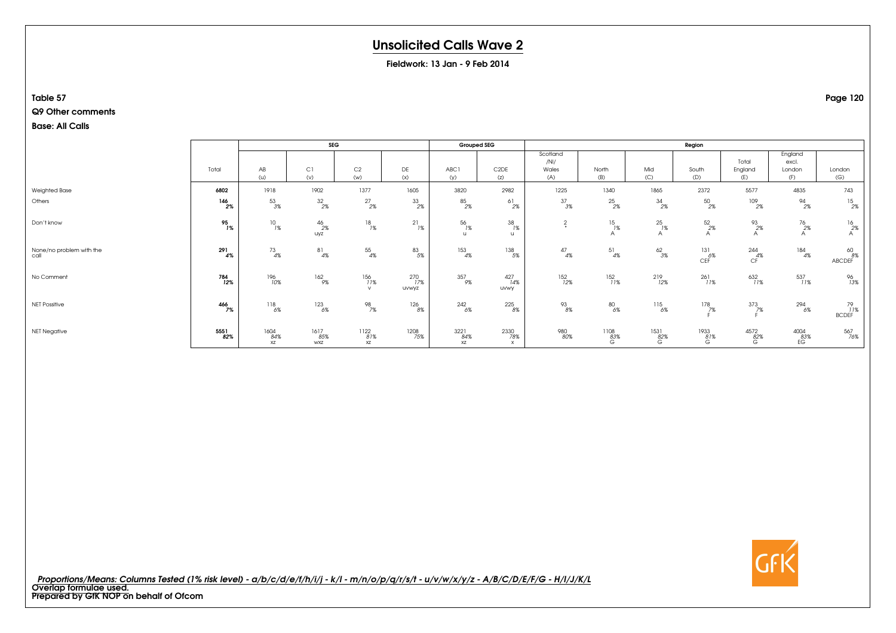Fieldwork: 13 Jan - 9 Feb 2014

#### Table 57

### Q9 Other comments

### Base: All Calls

|                                  |                   |                          | SEG                  |                                                      |                             | <b>Grouped SEG</b> |                          | Region                           |                          |                                          |                                              |                         |                                                          |                                                           |  |
|----------------------------------|-------------------|--------------------------|----------------------|------------------------------------------------------|-----------------------------|--------------------|--------------------------|----------------------------------|--------------------------|------------------------------------------|----------------------------------------------|-------------------------|----------------------------------------------------------|-----------------------------------------------------------|--|
|                                  | Total             | AB<br>(u)                | C1<br>(v)            | C2<br>(w)                                            | DE<br>(x)                   | ABC1<br>(y)        | C <sub>2</sub> DE<br>(z) | Scotland<br>/NI/<br>Wales<br>(A) | North<br>(B)             | Mid<br>(C)                               | South<br>(D)                                 | Total<br>England<br>(E) | England<br>excl.<br>London<br>(F)                        | London<br>(G)                                             |  |
| Weighted Base                    | 6802              | 1918                     | 1902                 | 1377                                                 | 1605                        | 3820               | 2982                     | 1225                             | 1340                     | 1865                                     | 2372                                         | 5577                    | 4835                                                     | 743                                                       |  |
| Others                           | $\frac{146}{2\%}$ | $\frac{53}{3\%}$         | $\frac{32}{2\%}$     | $^{27}_{\phantom{1}2\%}$                             | $\frac{33}{2\%}$            | $\frac{85}{2\%}$   | $^{61}_{2\%}$            | $\frac{37}{3\%}$                 | $^{25}_{2\%}$            | $\begin{array}{c} 34 \\ 2\% \end{array}$ | $50$ $2\%$                                   | $\frac{109}{2\%}$       | $^{94}_{2\%}$                                            | $\frac{15}{2\%}$                                          |  |
| Don't know                       | 95<br>1%          | $\frac{10}{1\%}$         | $^{46}_{2\%}$<br>uyz | $\frac{18}{1\%}$                                     | 21<br>1%                    | 56<br>1%<br>$\pm$  | 38<br>1%<br>u            | $\overline{2}$<br>$\cdot$        | 15<br>1%<br>$\mathsf{A}$ | $\frac{25}{1\%}$<br>A                    | 52<br>2%<br>A                                | 93<br>2%<br>A           | $^{76}_{2\%}$<br>$\mathsf{A}$                            | $\frac{16}{2\%}$                                          |  |
| None/no problem with the<br>call | 291<br>4%         | $\frac{73}{4\%}$         | $\frac{81}{4\%}$     | $\frac{55}{4\%}$                                     | $\frac{83}{5\%}$            | 153<br>4%          | 138<br>5%                | 47<br>4%                         | 51<br>4%                 | $^{62}_{3\%}$                            | 131<br>6%<br>CEF                             | 244<br>4%<br>CF         | $\begin{array}{c} 184 \\ 4\% \end{array}$                | $^{60}_{\phantom{1}8\%}$<br>ABCDEF                        |  |
| No Comment                       | 784<br>12%        | 196<br><i>10</i> %       | $\frac{162}{9%}$     | $\frac{156}{11\%}$<br>$\vee$                         | $\frac{270}{17\%}$<br>uvwyz | $\frac{357}{9\%}$  | 427<br>74%<br>uvwy       | 152<br>72%                       | $\frac{152}{11\%}$       | $\frac{219}{12\%}$                       | $\begin{array}{c}\n261 \\ 11\%\n\end{array}$ | $^{632}_{11\%}$         | $\begin{array}{c} 537 \\ 11\% \end{array}$               | 96<br>13%                                                 |  |
| NET Possitive                    | 466<br>7%         | $\frac{118}{6\%}$        | $\frac{123}{6\%}$    | 98<br>7%                                             | $\frac{126}{8\%}$           | $\frac{242}{6\%}$  | $\frac{225}{8\%}$        | 93<br>8%                         | 80<br>6%                 | $\frac{115}{6\%}$                        | $\begin{array}{c} 178 \\ 7\% \end{array}$    | $\frac{373}{7%}$        | 294<br>6%                                                | $\begin{array}{c} 79 \\ 11\% \\ \text{BCDEF} \end{array}$ |  |
| <b>NET Negative</b>              | 5551<br>82%       | 1604<br>84%<br><b>XZ</b> | 1617<br>85%<br>WXZ   | $\begin{array}{c}\n1122 \\ 81\% \n\end{array}$<br>XZ | 1208<br>75%                 | 3221<br>84%<br>XZ  | 2330<br>78%<br>$\times$  | 980<br>80%                       | $\frac{1108}{83\%}$      | 1531<br>82%<br>G                         | 1933<br>81%<br>G                             | 4572<br>82%<br>G        | $\begin{array}{r} 4004 \\ 83\% \\ \text{EG} \end{array}$ | 567<br>76%                                                |  |

Proportions/Means: Columns Tested (1% risk level) - a/b/c/d/e/f/h/i/j - k/l - m/n/o/p/q/r/s/t - u/v/w/x/y/z - A/B/C/D/E/F/G - H/l/J/K/L<br>Overlap formulae used.<br>Prepared by GfK NOP on behalf of Ofcom



# en die staatsland van die 120ste jaar van die 120ste jaar van die 120ste jaar 120ste jaar 120ste jaar 120ste j<br>120ste jaar 120ste jaar 120ste jaar 120ste jaar 120ste jaar 120ste jaar 120ste jaar 120ste jaar 120ste jaar 12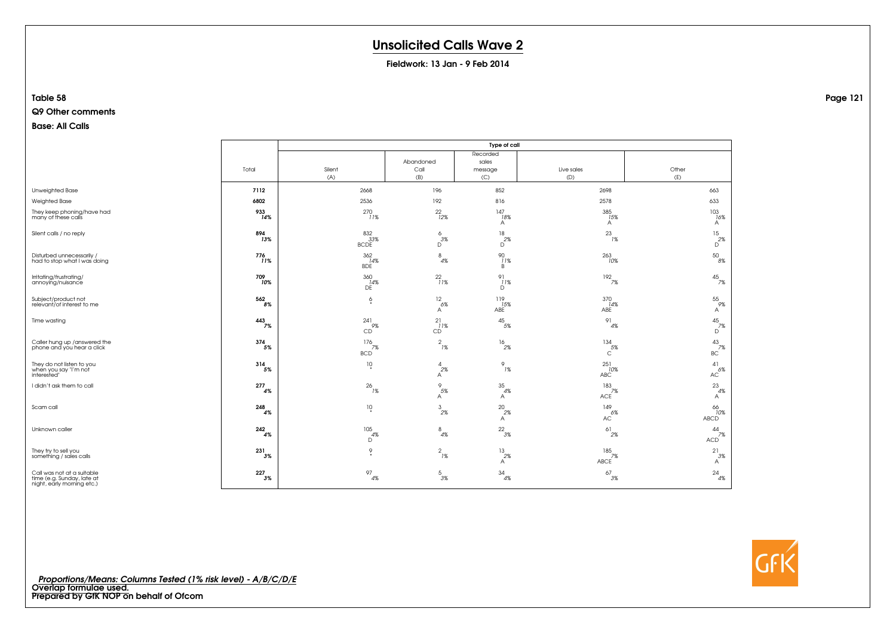Fieldwork: 13 Jan - 9 Feb 2014

#### Table 58

Q9 Other comments

# Base: All Calls

|                                                                                        |                         |                                  |                                 | Type of call                             |                               |                               |
|----------------------------------------------------------------------------------------|-------------------------|----------------------------------|---------------------------------|------------------------------------------|-------------------------------|-------------------------------|
|                                                                                        | Total                   | Silent<br>(A)                    | Abandoned<br>Call<br>(B)        | Recorded<br>sales<br>message<br>(C)      | Live sales<br>(D)             | Other<br>(E)                  |
| Unweighted Base                                                                        | 7112                    | 2668                             | 196                             | 852                                      | 2698                          | 663                           |
| Weighted Base                                                                          | 6802                    | 2536                             | 192                             | 816                                      | 2578                          | 633                           |
| They keep phoning/have had<br>many of these calls                                      | 933<br>14%              | $\underset{l1\%}{^{270}}$        | $^{22}_{\phantom{2}12\%}$       | 147<br>18%<br>A                          | 385<br>15%<br>A               | 103<br>16%<br>A               |
| Silent calls / no reply                                                                | 894<br>13%              | $832$<br>$33\%$<br><b>BCDE</b>   | 6<br>3%<br>D                    | 18<br>2%<br>D                            | 23<br>1%                      | 15<br>2%<br>D                 |
| Disturbed unnecessarily /<br>had to stop what I was doing                              | 776<br>11%              | $\frac{362}{14\%}$<br><b>BDE</b> | 8<br>4%                         | $^{90}_{\phantom{1}17\%}$<br>B           | $\frac{263}{10\%}$            | 50<br>8%                      |
| Irritating/frustrating/<br>annoying/nuisance                                           | 709<br>10%              | 360<br>14%<br>DE                 | $^{22}_{\phantom{2}11\%}$       | 91<br>11%<br>D                           | 192<br>7%                     | 45<br>7%                      |
| Subject/product not<br>relevant/of interest to me                                      | $562_{\color{red}8\%}$  | $\frac{6}{1}$                    | $^{12}_{6\%}$<br>A              | 119<br>15%<br>ABE                        | 370<br>14%<br>ABE             | $^{55}_{9\%}$<br>$\mathsf{A}$ |
| Time wasting                                                                           | 443<br>7%               | 241<br>9%<br>C <sub>D</sub>      | 21<br>11%<br>CD <sup>-</sup>    | $\begin{array}{c} 45 \\ 5\% \end{array}$ | 91<br>4%                      | 45<br>7%<br>D                 |
| Caller hung up /answered the<br>phone and you hear a click                             | 374<br>5%               | $\frac{176}{7\%}$<br><b>BCD</b>  | $^2_{\hbox{{\scriptsize 1\%}}}$ | $^{16}_{2\%}$                            | 134<br>5%<br>C                | 43<br>-7%<br>ВC               |
| They do not listen to you<br>when you say "I'm not<br>interested"                      | 314<br>5%               | $\frac{10}{1}$                   | 4<br>2%<br>A                    | 9<br>1%                                  | 251<br>10%<br>ABC <sup></sup> | 41<br>6%<br>AC                |
| I didn't ask them to call                                                              | 277<br>4%               | $^{26}$ 1%                       | 9<br>5%<br>A                    | 35<br>4%<br>A                            | 183<br>7%<br>$\mathsf{ACE}$   | 23<br>4%<br>A                 |
| Scam call                                                                              | $\overset{248}{_{4\%}}$ | 10                               | $^3_{2\%}$                      | $\frac{20}{2\%}$<br>Α                    | 149<br>6%<br>AC               | 66<br>10%<br>ABCD             |
| Unknown caller                                                                         | 242<br>4%               | 105<br>4%<br>D                   | 8<br>4%                         | 22<br>3%                                 | 61<br>2%                      | 44<br>7%<br><b>ACD</b>        |
| They try to sell you<br>something / sales calls                                        | 231<br>3%               | 9<br>٠                           | $\sqrt{2}_{1\%}$                | 13<br>2%<br>A                            | 185<br>7%<br>ABCE             | 21<br>3%<br>$\mathsf{A}$      |
| Call was not at a suitable<br>time (e.g. Sunday, late at<br>night, early morning etc.) | 227<br>3%               | 97<br>4%                         | $^5_{3\%}$                      | 34<br>4%                                 | 67<br>3%                      | 24<br>4%                      |

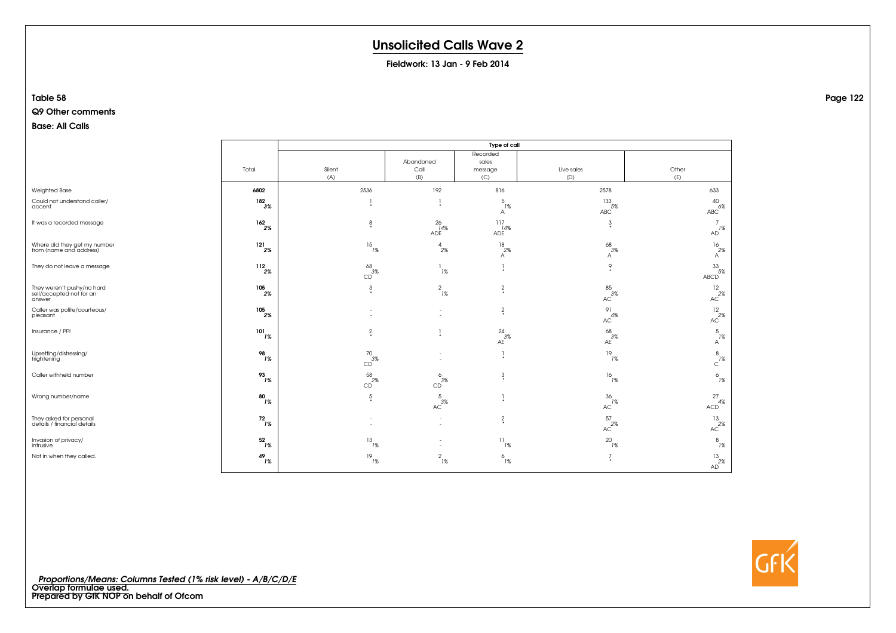Fieldwork: 13 Jan - 9 Feb 2014

#### Table 58

# Q9 Other comments

### Base: All Calls

|                                                                  |                                           |                            |                               | Type of call                        |                                       |                            |
|------------------------------------------------------------------|-------------------------------------------|----------------------------|-------------------------------|-------------------------------------|---------------------------------------|----------------------------|
|                                                                  | Total                                     | Silent<br>(A)              | Abandoned<br>Call<br>(B)      | Recorded<br>sales<br>message<br>(C) | Live sales<br>(D)                     | Other<br>(E)               |
| <b>Weighted Base</b>                                             | 6802                                      | 2536                       | 192                           | 816                                 | 2578                                  | 633                        |
| Could not understand caller/<br>accent                           | $\begin{array}{c} 182 \\ 3\% \end{array}$ |                            |                               | $5$ $_{1\%}$<br>Α                   | $\frac{133}{5\%}$<br>ABC              | $40\,$<br>6%<br><b>ABC</b> |
| It was a recorded message                                        | 162<br>2%                                 | 8<br>$\cdot$               | 26<br>14%<br>ADE              | 117<br>14%<br>ADE                   | 3<br>$\star$                          | $\overline{7}$<br>1%<br>AD |
| Where did they get my number<br>from (name and address)          | $\begin{array}{c} 121 \\ 2\% \end{array}$ | $^{15}$ $_{l\%}$           | $^4_{\phantom{1}2\%}$         | 18<br>2%<br>A                       | 68<br>3%<br>A                         | 16<br>2%<br>A              |
| They do not leave a message                                      | 112<br>2%                                 | 68<br>3%<br>CD             | $\mathbf{1}$<br>1%            |                                     | 9                                     | 33<br>5%<br><b>ABCD</b>    |
| They weren't pushy/no hard<br>sell/accepted not for an<br>answer | $\frac{105}{2\%}$                         | 3                          | $^2_{\hbox{\scriptsize 1\%}}$ | $\frac{2}{\pi}$                     | $85$ <sub>3%</sub><br>AC <sup>1</sup> | $^{12}$ 2%<br>AC           |
| Caller was polite/courteous/<br>pleasant                         | 105<br>2%                                 | ٠                          | $\sim$                        | $\frac{2}{\ast}$                    | 91<br>4%<br>AC                        | 12<br>2%<br>AC <sup></sup> |
| Insurance / PPI                                                  | 101<br>1%                                 | $\frac{2}{\ast}$           |                               | $^{24}$ 3%<br>AE                    | 68<br>3%<br>AE                        | $5\phantom{.0}$<br>1%<br>A |
| Upsetting/distressing/<br>frightening                            | 98<br>7%                                  | $^{70}$ 3%<br>CD           |                               |                                     | 19<br>1%                              | 8<br>-1%<br>C              |
| Caller withheld number                                           | 93<br>1%                                  | 58<br>2%<br>CD <sub></sub> | 6<br>3%<br>CD                 | 3<br>٠                              | 16<br>7%                              | 6<br>1%                    |
| Wrong number/name                                                | $\frac{80}{1\%}$                          | $\frac{5}{4}$              | 5<br>3%<br>AC                 |                                     | 36<br>1%<br>AC                        | 27<br>4%<br>ACD            |
| They asked for personal<br>details / financial details           | 72<br>1%                                  | ä,                         | $\sim$<br>ч.                  | $\frac{2}{\ast}$                    | 57<br>$\mathsf{AC}^{2\%}$             | 13<br>$AC$ <sup>2%</sup>   |
| Invasion of privacy/<br>intrusive                                | $^{52}$<br>$_{\rm J\%}$                   | $\frac{13}{1\%}$           |                               | 11<br>1%                            | $^{20}$ $_{l\%}$                      | 8<br>1%                    |
| Not in when they called.                                         | 49<br>1%                                  | 19<br>1%                   | $^2_{\hbox{\scriptsize 1\%}}$ | 6<br>-1%                            | $\frac{7}{4}$                         | 13<br>2%<br>AD             |